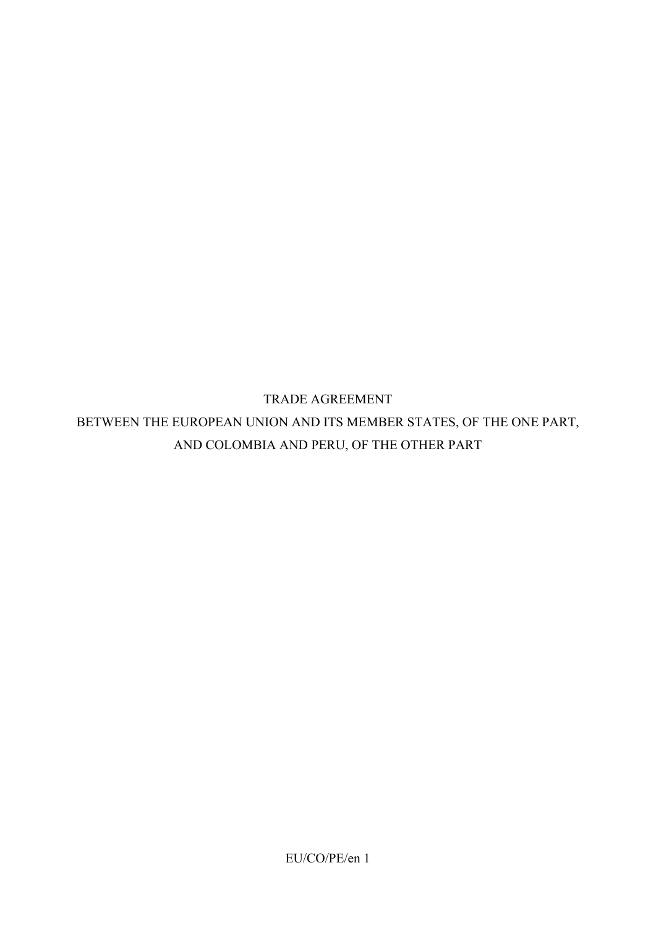TRADE AGREEMENT BETWEEN THE EUROPEAN UNION AND ITS MEMBER STATES, OF THE ONE PART, AND COLOMBIA AND PERU, OF THE OTHER PART

EU/CO/PE/en 1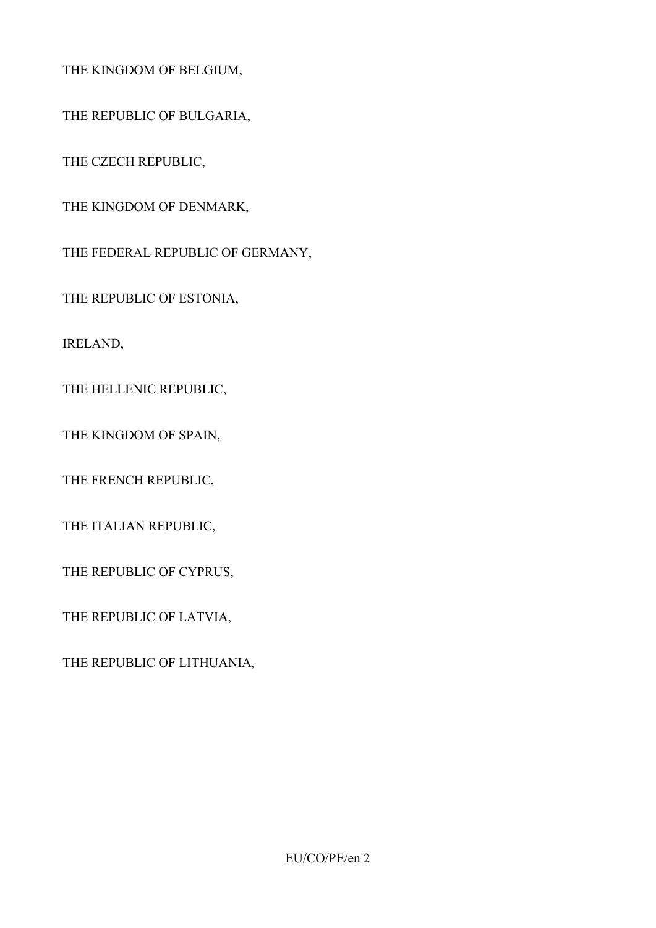THE KINGDOM OF BELGIUM,

THE REPUBLIC OF BULGARIA,

THE CZECH REPUBLIC,

THE KINGDOM OF DENMARK,

THE FEDERAL REPUBLIC OF GERMANY,

THE REPUBLIC OF ESTONIA,

IRELAND,

THE HELLENIC REPUBLIC,

THE KINGDOM OF SPAIN,

THE FRENCH REPUBLIC,

THE ITALIAN REPUBLIC,

THE REPUBLIC OF CYPRUS,

THE REPUBLIC OF LATVIA,

THE REPUBLIC OF LITHUANIA,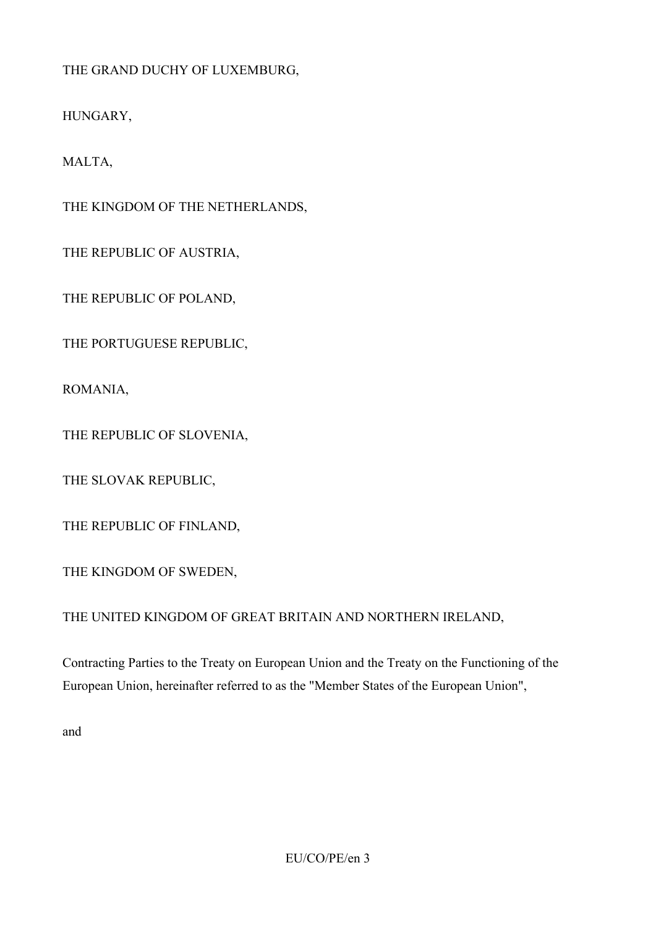THE GRAND DUCHY OF LUXEMBURG,

HUNGARY,

MALTA,

THE KINGDOM OF THE NETHERLANDS,

THE REPUBLIC OF AUSTRIA,

THE REPUBLIC OF POLAND,

THE PORTUGUESE REPUBLIC,

ROMANIA,

THE REPUBLIC OF SLOVENIA,

THE SLOVAK REPUBLIC,

THE REPUBLIC OF FINLAND,

THE KINGDOM OF SWEDEN,

THE UNITED KINGDOM OF GREAT BRITAIN AND NORTHERN IRELAND,

Contracting Parties to the Treaty on European Union and the Treaty on the Functioning of the European Union, hereinafter referred to as the "Member States of the European Union",

and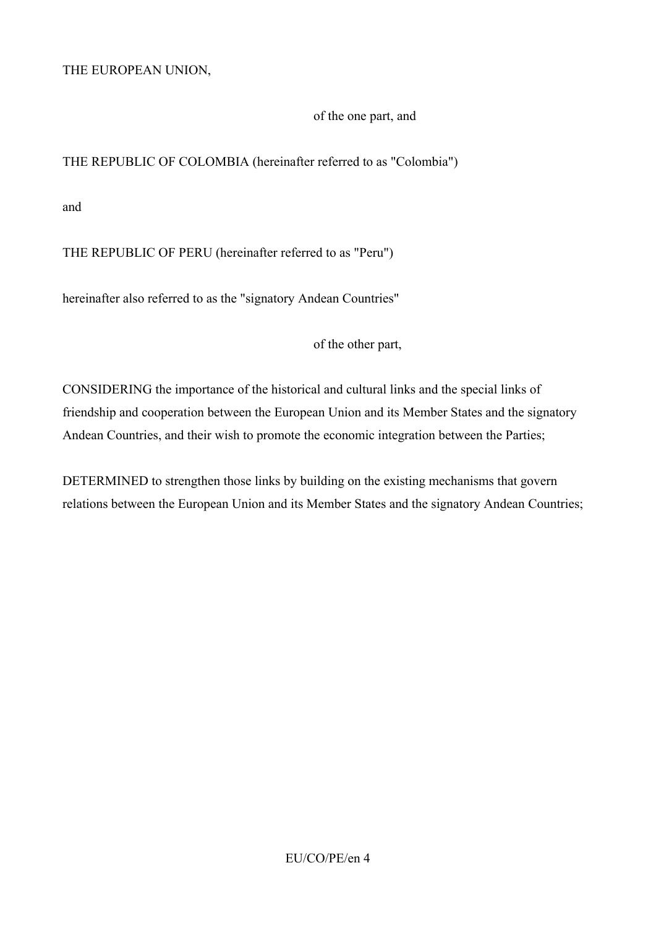THE EUROPEAN UNION,

of the one part, and

THE REPUBLIC OF COLOMBIA (hereinafter referred to as "Colombia")

and

THE REPUBLIC OF PERU (hereinafter referred to as "Peru")

hereinafter also referred to as the "signatory Andean Countries"

of the other part,

CONSIDERING the importance of the historical and cultural links and the special links of friendship and cooperation between the European Union and its Member States and the signatory Andean Countries, and their wish to promote the economic integration between the Parties;

DETERMINED to strengthen those links by building on the existing mechanisms that govern relations between the European Union and its Member States and the signatory Andean Countries;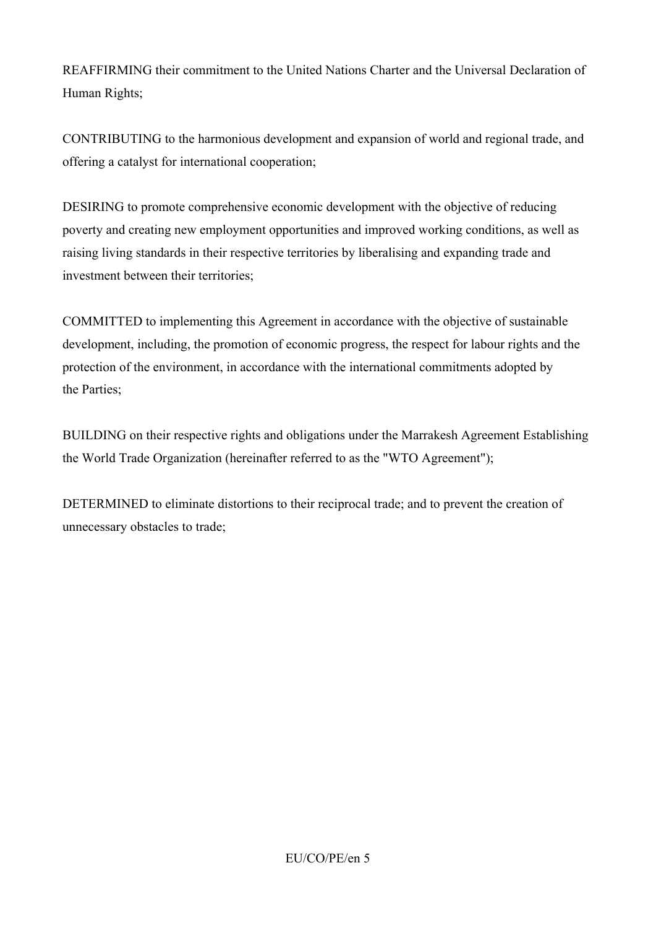REAFFIRMING their commitment to the United Nations Charter and the Universal Declaration of Human Rights;

CONTRIBUTING to the harmonious development and expansion of world and regional trade, and offering a catalyst for international cooperation;

DESIRING to promote comprehensive economic development with the objective of reducing poverty and creating new employment opportunities and improved working conditions, as well as raising living standards in their respective territories by liberalising and expanding trade and investment between their territories;

COMMITTED to implementing this Agreement in accordance with the objective of sustainable development, including, the promotion of economic progress, the respect for labour rights and the protection of the environment, in accordance with the international commitments adopted by the Parties;

BUILDING on their respective rights and obligations under the Marrakesh Agreement Establishing the World Trade Organization (hereinafter referred to as the "WTO Agreement");

DETERMINED to eliminate distortions to their reciprocal trade; and to prevent the creation of unnecessary obstacles to trade;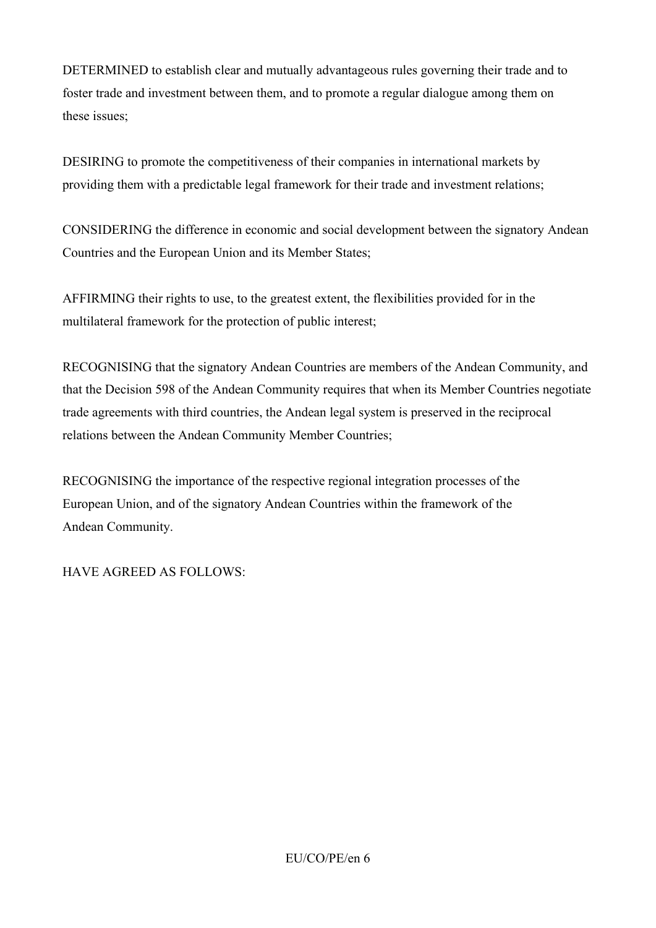DETERMINED to establish clear and mutually advantageous rules governing their trade and to foster trade and investment between them, and to promote a regular dialogue among them on these issues;

DESIRING to promote the competitiveness of their companies in international markets by providing them with a predictable legal framework for their trade and investment relations;

CONSIDERING the difference in economic and social development between the signatory Andean Countries and the European Union and its Member States;

AFFIRMING their rights to use, to the greatest extent, the flexibilities provided for in the multilateral framework for the protection of public interest;

RECOGNISING that the signatory Andean Countries are members of the Andean Community, and that the Decision 598 of the Andean Community requires that when its Member Countries negotiate trade agreements with third countries, the Andean legal system is preserved in the reciprocal relations between the Andean Community Member Countries;

RECOGNISING the importance of the respective regional integration processes of the European Union, and of the signatory Andean Countries within the framework of the Andean Community.

HAVE AGREED AS FOLLOWS: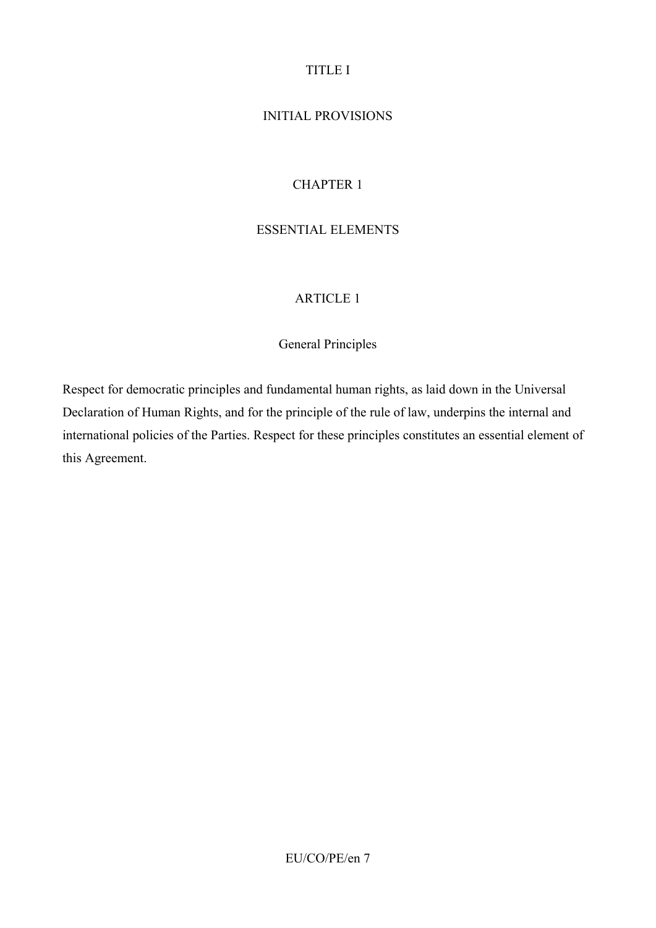# TITLE I

## INITIAL PROVISIONS

## CHAPTER 1

#### ESSENTIAL ELEMENTS

#### ARTICLE 1

#### General Principles

Respect for democratic principles and fundamental human rights, as laid down in the Universal Declaration of Human Rights, and for the principle of the rule of law, underpins the internal and international policies of the Parties. Respect for these principles constitutes an essential element of this Agreement.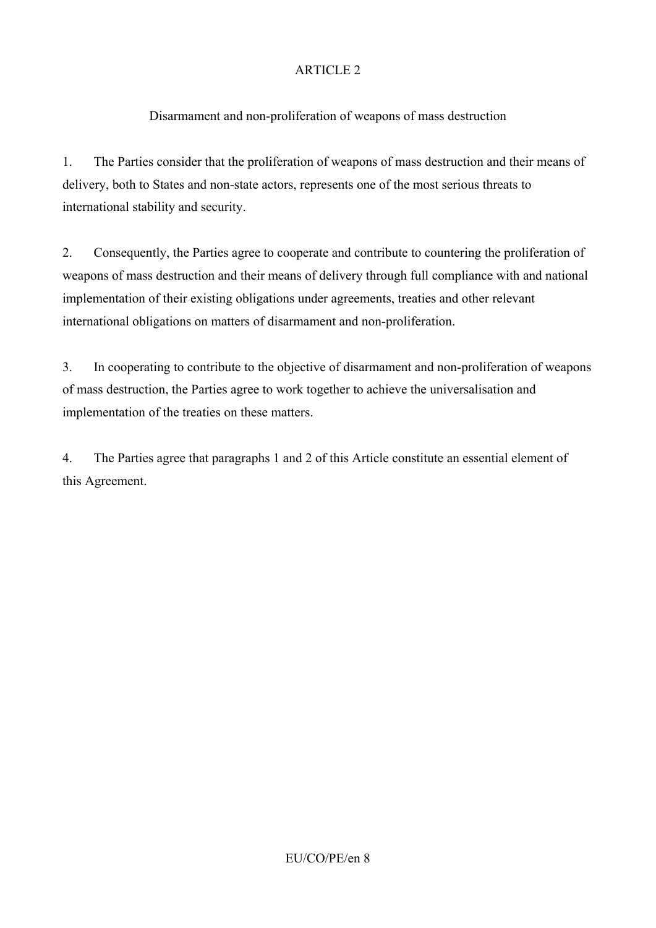# Disarmament and non-proliferation of weapons of mass destruction

1. The Parties consider that the proliferation of weapons of mass destruction and their means of delivery, both to States and non-state actors, represents one of the most serious threats to international stability and security.

2. Consequently, the Parties agree to cooperate and contribute to countering the proliferation of weapons of mass destruction and their means of delivery through full compliance with and national implementation of their existing obligations under agreements, treaties and other relevant international obligations on matters of disarmament and non-proliferation.

3. In cooperating to contribute to the objective of disarmament and non-proliferation of weapons of mass destruction, the Parties agree to work together to achieve the universalisation and implementation of the treaties on these matters.

4. The Parties agree that paragraphs 1 and 2 of this Article constitute an essential element of this Agreement.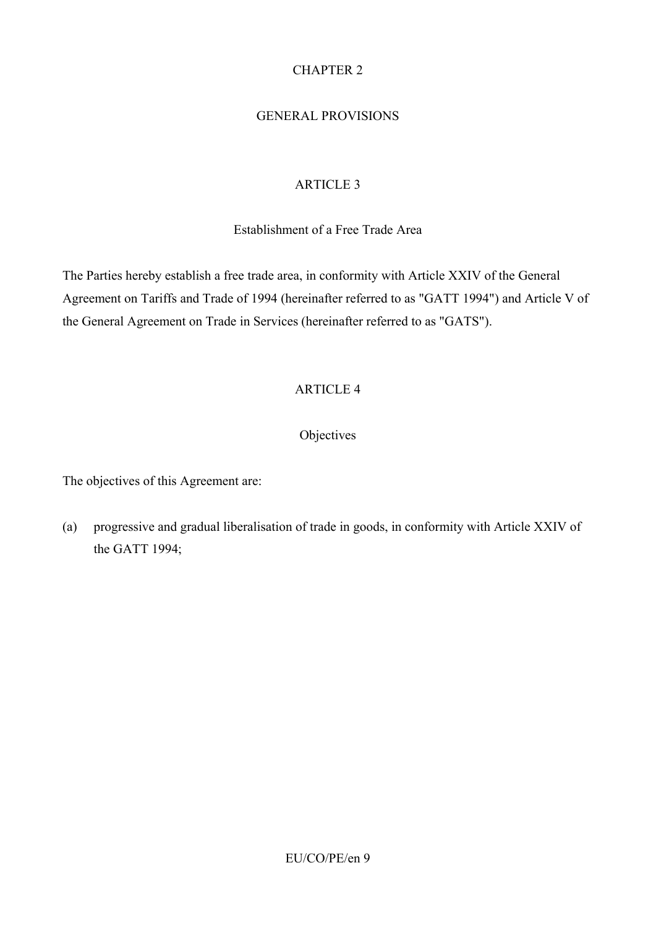# CHAPTER 2

## GENERAL PROVISIONS

## ARTICLE 3

#### Establishment of a Free Trade Area

The Parties hereby establish a free trade area, in conformity with Article XXIV of the General Agreement on Tariffs and Trade of 1994 (hereinafter referred to as "GATT 1994") and Article V of the General Agreement on Trade in Services (hereinafter referred to as "GATS").

### ARTICLE 4

## **Objectives**

The objectives of this Agreement are:

(a) progressive and gradual liberalisation of trade in goods, in conformity with Article XXIV of the GATT 1994;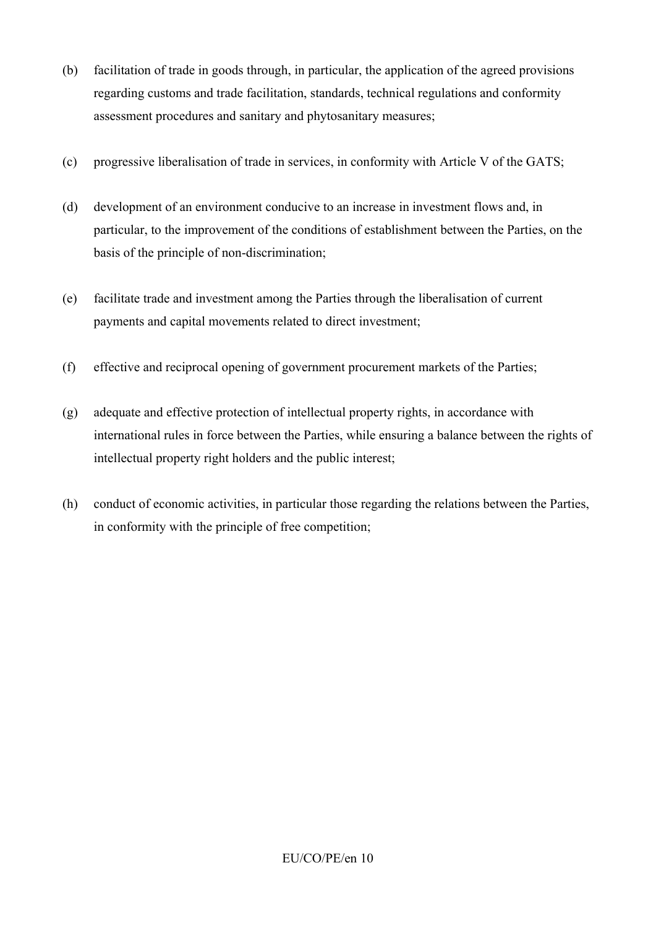- (b) facilitation of trade in goods through, in particular, the application of the agreed provisions regarding customs and trade facilitation, standards, technical regulations and conformity assessment procedures and sanitary and phytosanitary measures;
- (c) progressive liberalisation of trade in services, in conformity with Article V of the GATS;
- (d) development of an environment conducive to an increase in investment flows and, in particular, to the improvement of the conditions of establishment between the Parties, on the basis of the principle of non-discrimination;
- (e) facilitate trade and investment among the Parties through the liberalisation of current payments and capital movements related to direct investment;
- (f) effective and reciprocal opening of government procurement markets of the Parties;
- (g) adequate and effective protection of intellectual property rights, in accordance with international rules in force between the Parties, while ensuring a balance between the rights of intellectual property right holders and the public interest;
- (h) conduct of economic activities, in particular those regarding the relations between the Parties, in conformity with the principle of free competition;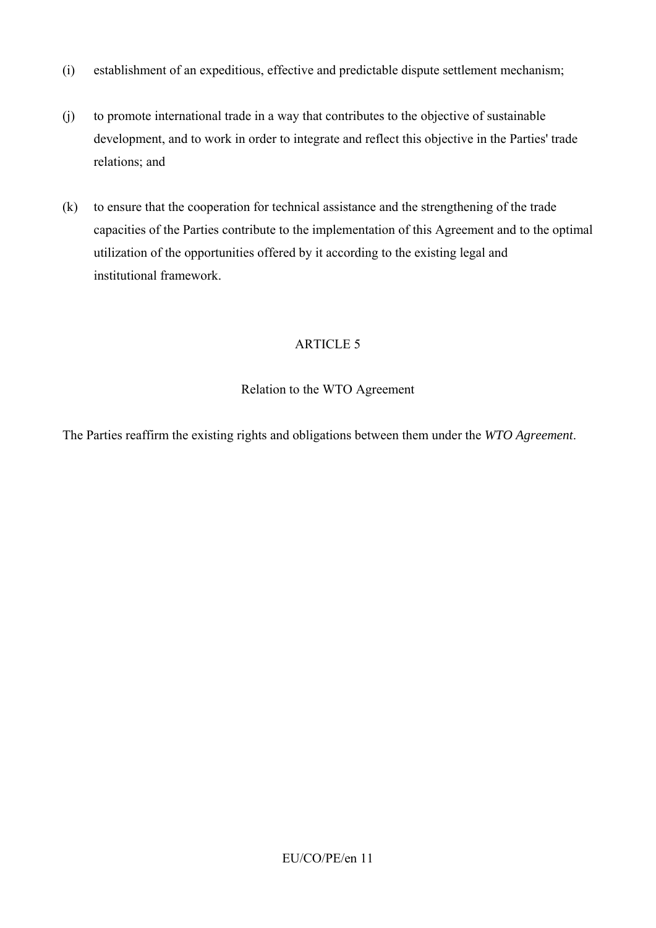- (i) establishment of an expeditious, effective and predictable dispute settlement mechanism;
- (j) to promote international trade in a way that contributes to the objective of sustainable development, and to work in order to integrate and reflect this objective in the Parties' trade relations; and
- (k) to ensure that the cooperation for technical assistance and the strengthening of the trade capacities of the Parties contribute to the implementation of this Agreement and to the optimal utilization of the opportunities offered by it according to the existing legal and institutional framework.

## Relation to the WTO Agreement

The Parties reaffirm the existing rights and obligations between them under the *WTO Agreement*.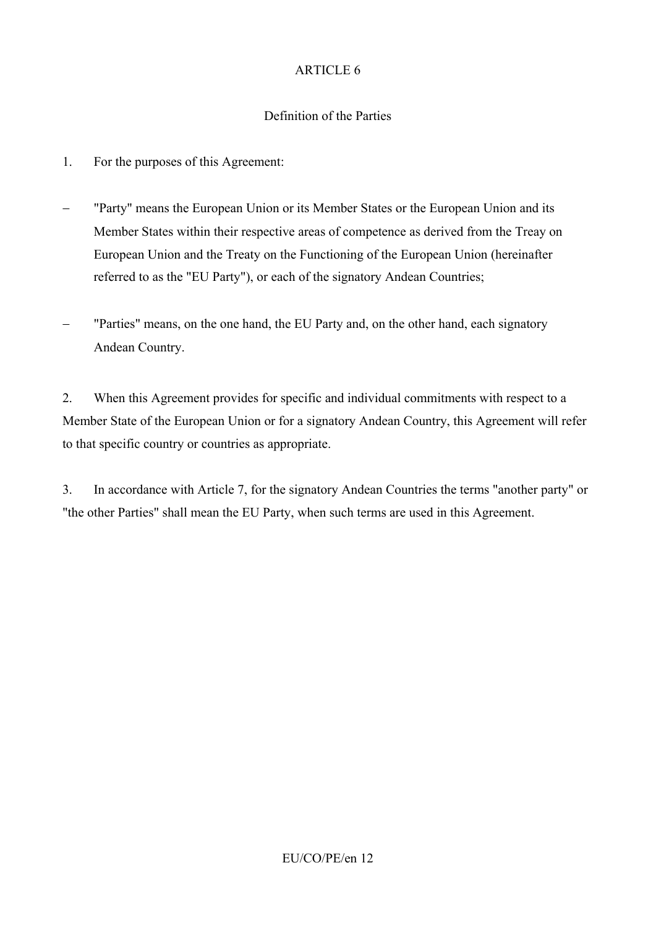### Definition of the Parties

- 1. For the purposes of this Agreement:
- − "Party" means the European Union or its Member States or the European Union and its Member States within their respective areas of competence as derived from the Treay on European Union and the Treaty on the Functioning of the European Union (hereinafter referred to as the "EU Party"), or each of the signatory Andean Countries;
- − "Parties" means, on the one hand, the EU Party and, on the other hand, each signatory Andean Country.

2. When this Agreement provides for specific and individual commitments with respect to a Member State of the European Union or for a signatory Andean Country, this Agreement will refer to that specific country or countries as appropriate.

3. In accordance with Article 7, for the signatory Andean Countries the terms "another party" or "the other Parties" shall mean the EU Party, when such terms are used in this Agreement.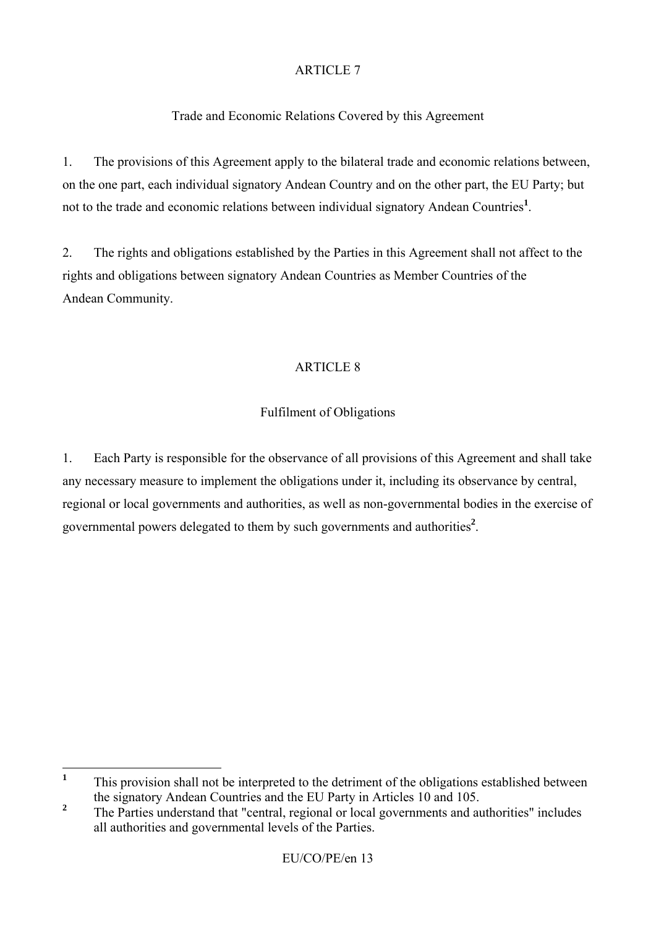# Trade and Economic Relations Covered by this Agreement

1. The provisions of this Agreement apply to the bilateral trade and economic relations between, on the one part, each individual signatory Andean Country and on the other part, the EU Party; but not to the trade and economic relations between individual signatory Andean Countries**<sup>1</sup>** .

2. The rights and obligations established by the Parties in this Agreement shall not affect to the rights and obligations between signatory Andean Countries as Member Countries of the Andean Community.

# ARTICLE 8

# Fulfilment of Obligations

1. Each Party is responsible for the observance of all provisions of this Agreement and shall take any necessary measure to implement the obligations under it, including its observance by central, regional or local governments and authorities, as well as non-governmental bodies in the exercise of governmental powers delegated to them by such governments and authorities**<sup>2</sup>** .

 $\mathbf{1}$ **<sup>1</sup>** This provision shall not be interpreted to the detriment of the obligations established between the signatory Andean Countries and the EU Party in Articles 10 and 105.

<sup>&</sup>lt;sup>2</sup> The Parties understand that "central, regional or local governments and authorities" includes all authorities and governmental levels of the Parties.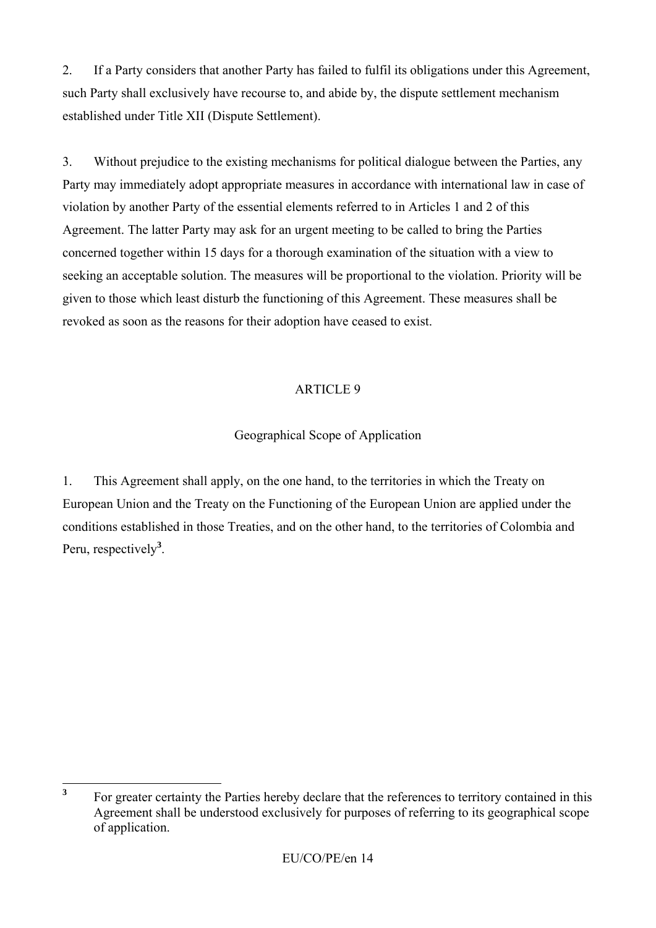2. If a Party considers that another Party has failed to fulfil its obligations under this Agreement, such Party shall exclusively have recourse to, and abide by, the dispute settlement mechanism established under Title XII (Dispute Settlement).

3. Without prejudice to the existing mechanisms for political dialogue between the Parties, any Party may immediately adopt appropriate measures in accordance with international law in case of violation by another Party of the essential elements referred to in Articles 1 and 2 of this Agreement. The latter Party may ask for an urgent meeting to be called to bring the Parties concerned together within 15 days for a thorough examination of the situation with a view to seeking an acceptable solution. The measures will be proportional to the violation. Priority will be given to those which least disturb the functioning of this Agreement. These measures shall be revoked as soon as the reasons for their adoption have ceased to exist.

# ARTICLE 9

# Geographical Scope of Application

1. This Agreement shall apply, on the one hand, to the territories in which the Treaty on European Union and the Treaty on the Functioning of the European Union are applied under the conditions established in those Treaties, and on the other hand, to the territories of Colombia and Peru, respectively**<sup>3</sup>** .

 $\overline{\mathbf{3}}$ **<sup>3</sup>** For greater certainty the Parties hereby declare that the references to territory contained in this Agreement shall be understood exclusively for purposes of referring to its geographical scope of application.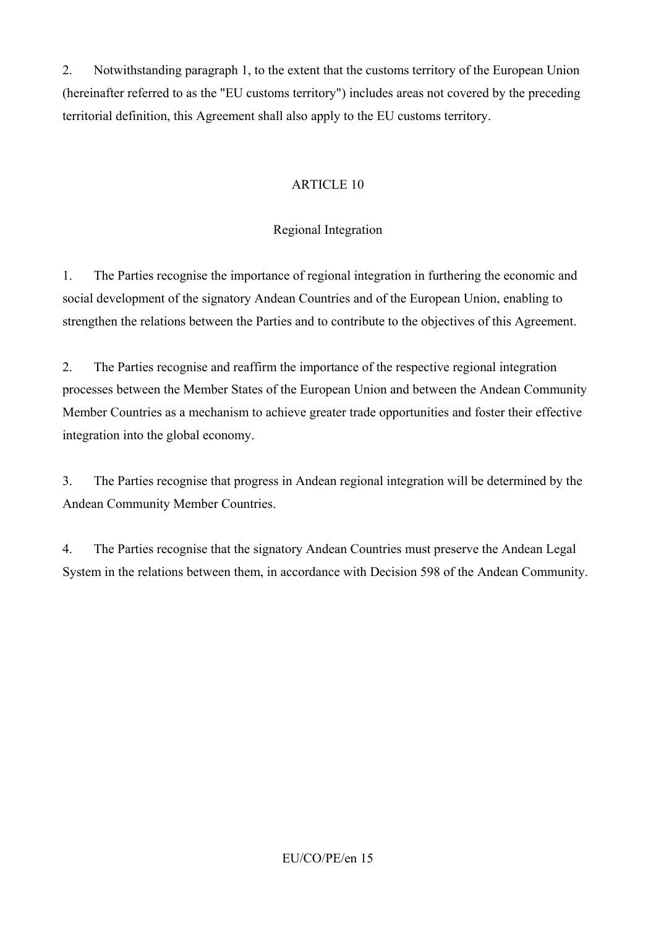2. Notwithstanding paragraph 1, to the extent that the customs territory of the European Union (hereinafter referred to as the "EU customs territory") includes areas not covered by the preceding territorial definition, this Agreement shall also apply to the EU customs territory.

# ARTICLE 10

# Regional Integration

1. The Parties recognise the importance of regional integration in furthering the economic and social development of the signatory Andean Countries and of the European Union, enabling to strengthen the relations between the Parties and to contribute to the objectives of this Agreement.

2. The Parties recognise and reaffirm the importance of the respective regional integration processes between the Member States of the European Union and between the Andean Community Member Countries as a mechanism to achieve greater trade opportunities and foster their effective integration into the global economy.

3. The Parties recognise that progress in Andean regional integration will be determined by the Andean Community Member Countries.

4. The Parties recognise that the signatory Andean Countries must preserve the Andean Legal System in the relations between them, in accordance with Decision 598 of the Andean Community.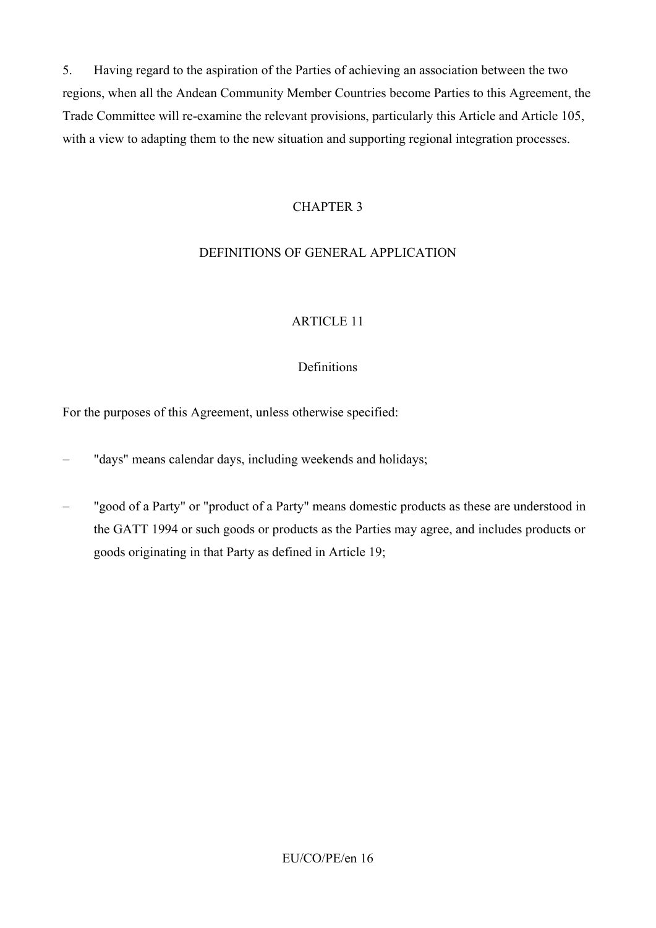5. Having regard to the aspiration of the Parties of achieving an association between the two regions, when all the Andean Community Member Countries become Parties to this Agreement, the Trade Committee will re-examine the relevant provisions, particularly this Article and Article 105, with a view to adapting them to the new situation and supporting regional integration processes.

### CHAPTER 3

# DEFINITIONS OF GENERAL APPLICATION

# ARTICLE 11

## Definitions

For the purposes of this Agreement, unless otherwise specified:

- "days" means calendar days, including weekends and holidays;
- "good of a Party" or "product of a Party" means domestic products as these are understood in the GATT 1994 or such goods or products as the Parties may agree, and includes products or goods originating in that Party as defined in Article 19;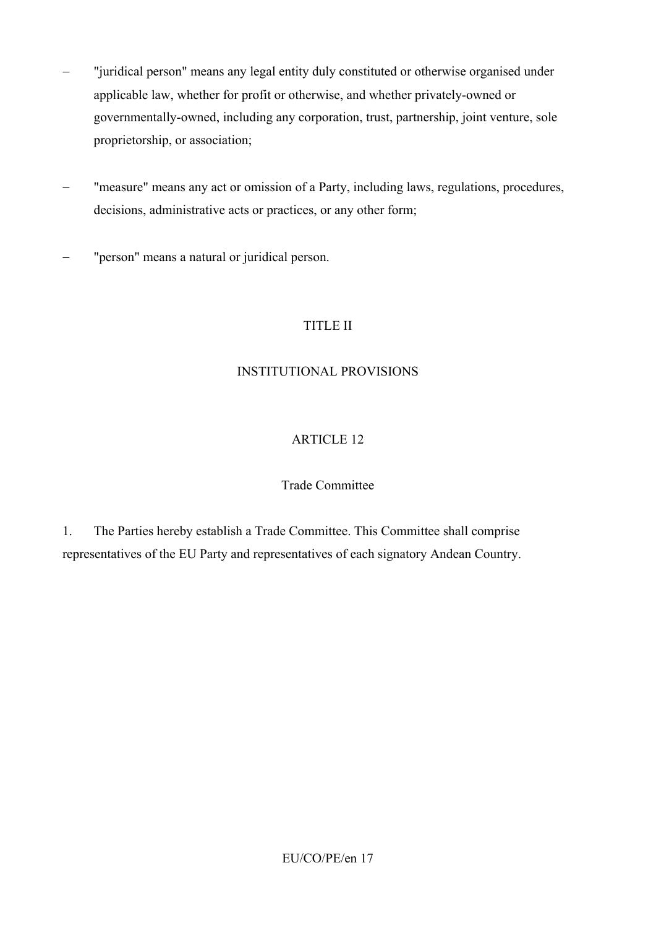- − "juridical person" means any legal entity duly constituted or otherwise organised under applicable law, whether for profit or otherwise, and whether privately-owned or governmentally-owned, including any corporation, trust, partnership, joint venture, sole proprietorship, or association;
- − "measure" means any act or omission of a Party, including laws, regulations, procedures, decisions, administrative acts or practices, or any other form;
- − "person" means a natural or juridical person.

# TITLE II

## INSTITUTIONAL PROVISIONS

# ARTICLE 12

### Trade Committee

1. The Parties hereby establish a Trade Committee. This Committee shall comprise representatives of the EU Party and representatives of each signatory Andean Country.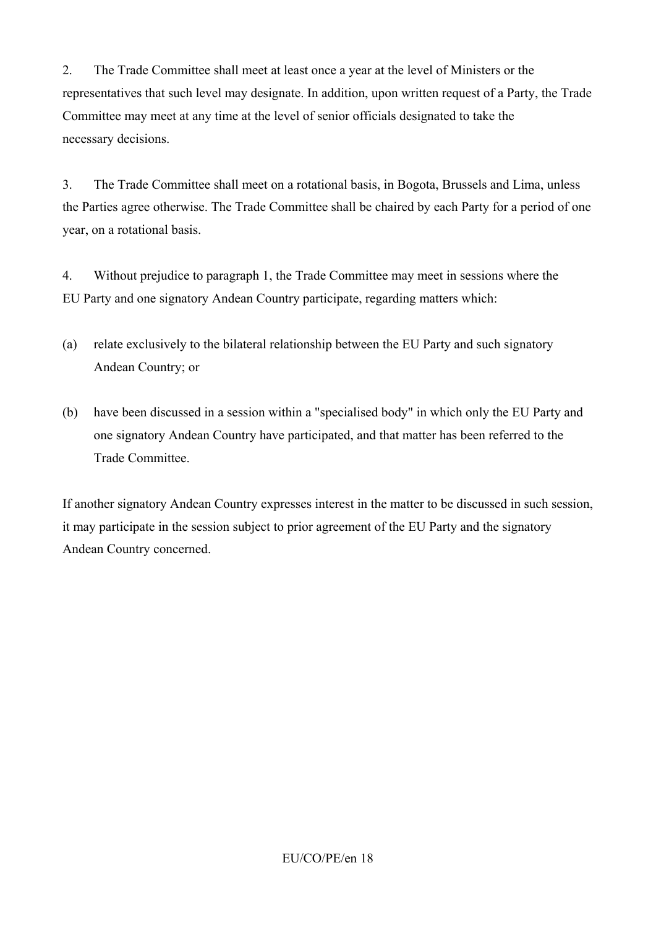2. The Trade Committee shall meet at least once a year at the level of Ministers or the representatives that such level may designate. In addition, upon written request of a Party, the Trade Committee may meet at any time at the level of senior officials designated to take the necessary decisions.

3. The Trade Committee shall meet on a rotational basis, in Bogota, Brussels and Lima, unless the Parties agree otherwise. The Trade Committee shall be chaired by each Party for a period of one year, on a rotational basis.

4. Without prejudice to paragraph 1, the Trade Committee may meet in sessions where the EU Party and one signatory Andean Country participate, regarding matters which:

- (a) relate exclusively to the bilateral relationship between the EU Party and such signatory Andean Country; or
- (b) have been discussed in a session within a "specialised body" in which only the EU Party and one signatory Andean Country have participated, and that matter has been referred to the Trade Committee.

If another signatory Andean Country expresses interest in the matter to be discussed in such session, it may participate in the session subject to prior agreement of the EU Party and the signatory Andean Country concerned.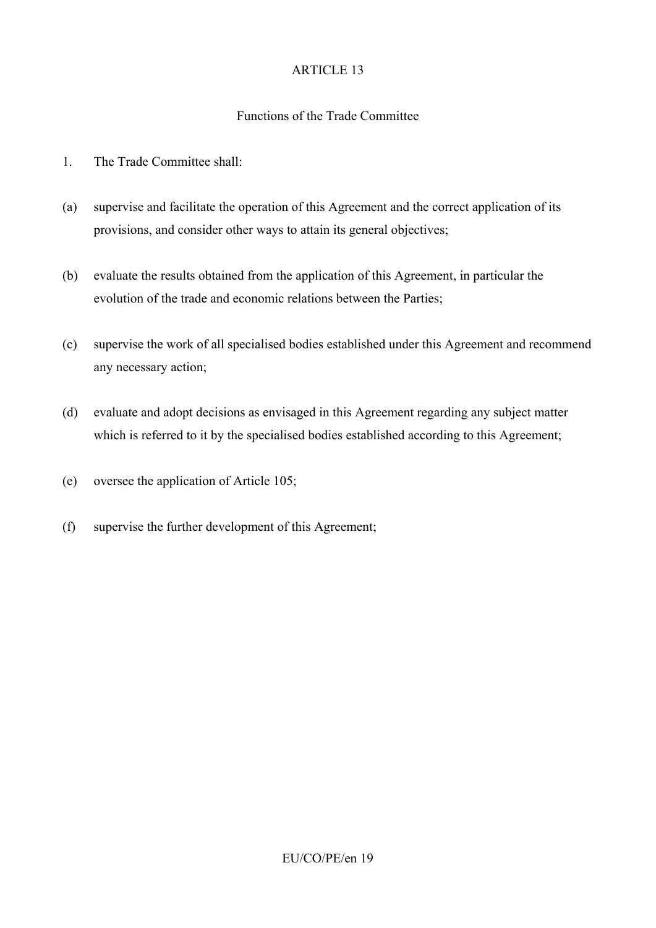## Functions of the Trade Committee

- 1. The Trade Committee shall:
- (a) supervise and facilitate the operation of this Agreement and the correct application of its provisions, and consider other ways to attain its general objectives;
- (b) evaluate the results obtained from the application of this Agreement, in particular the evolution of the trade and economic relations between the Parties;
- (c) supervise the work of all specialised bodies established under this Agreement and recommend any necessary action;
- (d) evaluate and adopt decisions as envisaged in this Agreement regarding any subject matter which is referred to it by the specialised bodies established according to this Agreement;
- (e) oversee the application of Article 105;
- (f) supervise the further development of this Agreement;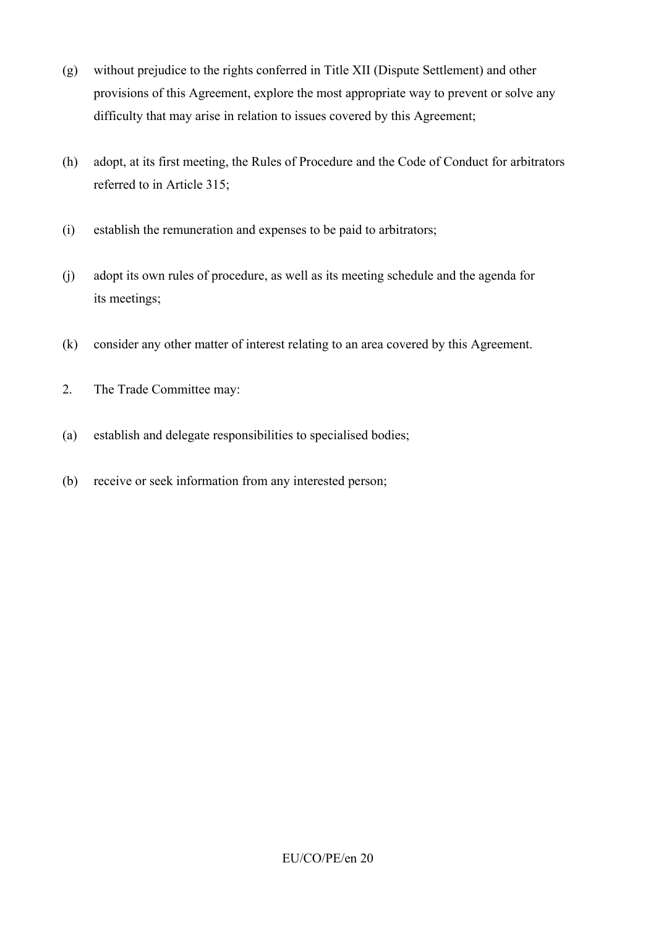- (g) without prejudice to the rights conferred in Title XII (Dispute Settlement) and other provisions of this Agreement, explore the most appropriate way to prevent or solve any difficulty that may arise in relation to issues covered by this Agreement;
- (h) adopt, at its first meeting, the Rules of Procedure and the Code of Conduct for arbitrators referred to in Article 315;
- (i) establish the remuneration and expenses to be paid to arbitrators;
- (j) adopt its own rules of procedure, as well as its meeting schedule and the agenda for its meetings;
- (k) consider any other matter of interest relating to an area covered by this Agreement.
- 2. The Trade Committee may:
- (a) establish and delegate responsibilities to specialised bodies;
- (b) receive or seek information from any interested person;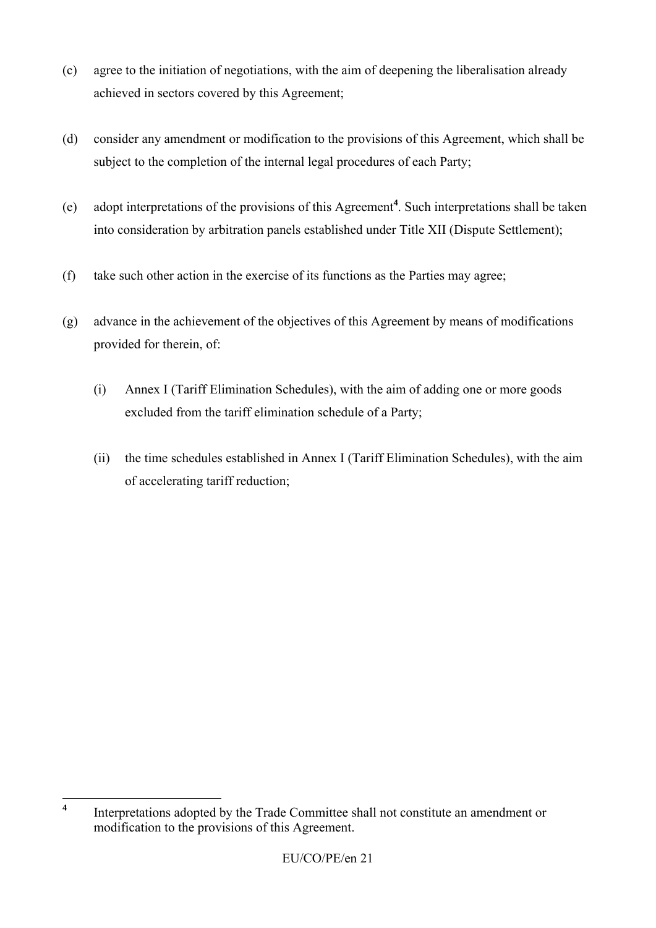- (c) agree to the initiation of negotiations, with the aim of deepening the liberalisation already achieved in sectors covered by this Agreement;
- (d) consider any amendment or modification to the provisions of this Agreement, which shall be subject to the completion of the internal legal procedures of each Party;
- (e) adopt interpretations of the provisions of this Agreement**<sup>4</sup>** . Such interpretations shall be taken into consideration by arbitration panels established under Title XII (Dispute Settlement);
- (f) take such other action in the exercise of its functions as the Parties may agree;
- (g) advance in the achievement of the objectives of this Agreement by means of modifications provided for therein, of:
	- (i) Annex I (Tariff Elimination Schedules), with the aim of adding one or more goods excluded from the tariff elimination schedule of a Party;
	- (ii) the time schedules established in Annex I (Tariff Elimination Schedules), with the aim of accelerating tariff reduction;

 $\overline{\mathbf{4}}$ **<sup>4</sup>** Interpretations adopted by the Trade Committee shall not constitute an amendment or modification to the provisions of this Agreement.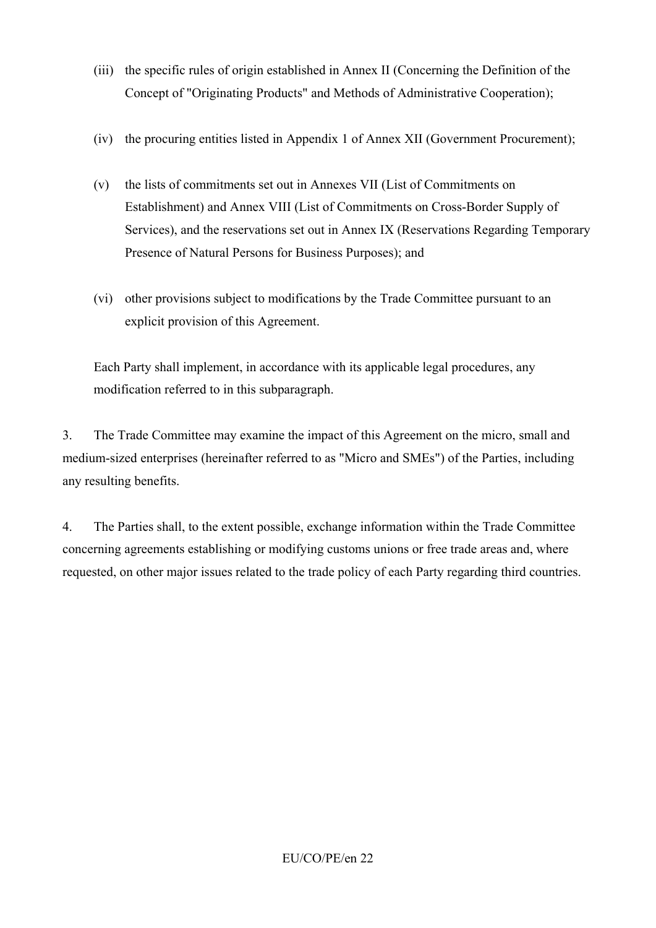- (iii) the specific rules of origin established in Annex II (Concerning the Definition of the Concept of "Originating Products" and Methods of Administrative Cooperation);
- (iv) the procuring entities listed in Appendix 1 of Annex XII (Government Procurement);
- (v) the lists of commitments set out in Annexes VII (List of Commitments on Establishment) and Annex VIII (List of Commitments on Cross-Border Supply of Services), and the reservations set out in Annex IX (Reservations Regarding Temporary Presence of Natural Persons for Business Purposes); and
- (vi) other provisions subject to modifications by the Trade Committee pursuant to an explicit provision of this Agreement.

Each Party shall implement, in accordance with its applicable legal procedures, any modification referred to in this subparagraph.

3. The Trade Committee may examine the impact of this Agreement on the micro, small and medium-sized enterprises (hereinafter referred to as "Micro and SMEs") of the Parties, including any resulting benefits.

4. The Parties shall, to the extent possible, exchange information within the Trade Committee concerning agreements establishing or modifying customs unions or free trade areas and, where requested, on other major issues related to the trade policy of each Party regarding third countries.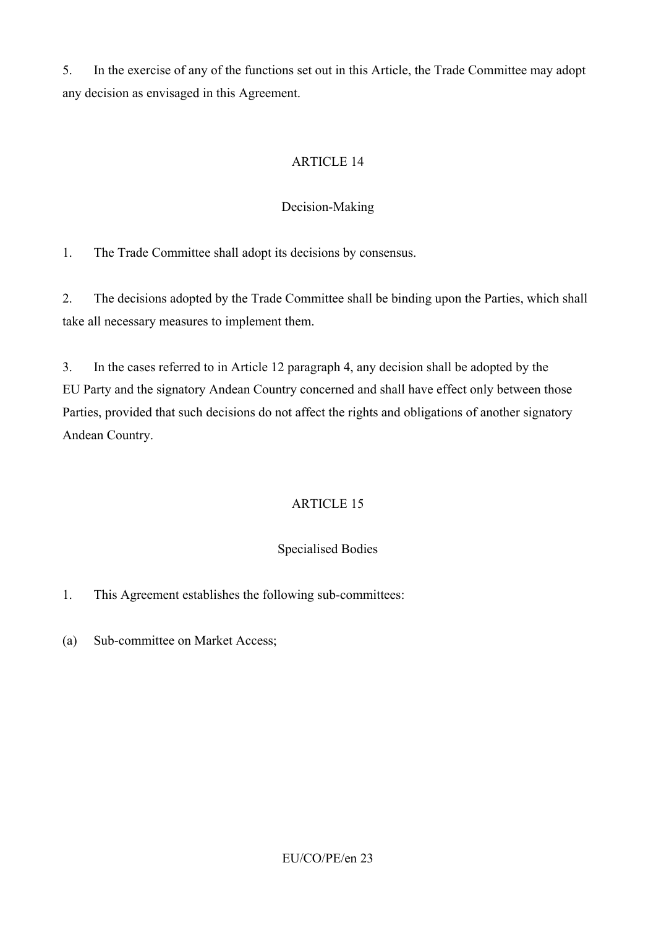5. In the exercise of any of the functions set out in this Article, the Trade Committee may adopt any decision as envisaged in this Agreement.

# ARTICLE 14

# Decision-Making

1. The Trade Committee shall adopt its decisions by consensus.

2. The decisions adopted by the Trade Committee shall be binding upon the Parties, which shall take all necessary measures to implement them.

3. In the cases referred to in Article 12 paragraph 4, any decision shall be adopted by the EU Party and the signatory Andean Country concerned and shall have effect only between those Parties, provided that such decisions do not affect the rights and obligations of another signatory Andean Country.

# ARTICLE 15

# Specialised Bodies

- 1. This Agreement establishes the following sub-committees:
- (a) Sub-committee on Market Access;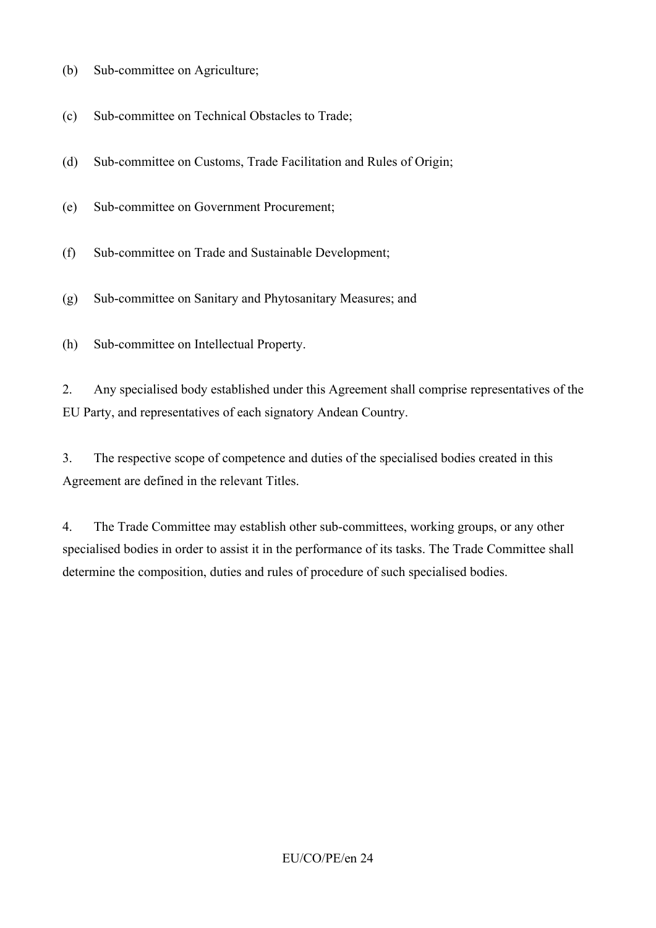- (b) Sub-committee on Agriculture;
- (c) Sub-committee on Technical Obstacles to Trade;
- (d) Sub-committee on Customs, Trade Facilitation and Rules of Origin;
- (e) Sub-committee on Government Procurement;
- (f) Sub-committee on Trade and Sustainable Development;
- (g) Sub-committee on Sanitary and Phytosanitary Measures; and
- (h) Sub-committee on Intellectual Property.

2. Any specialised body established under this Agreement shall comprise representatives of the EU Party, and representatives of each signatory Andean Country.

3. The respective scope of competence and duties of the specialised bodies created in this Agreement are defined in the relevant Titles.

4. The Trade Committee may establish other sub-committees, working groups, or any other specialised bodies in order to assist it in the performance of its tasks. The Trade Committee shall determine the composition, duties and rules of procedure of such specialised bodies.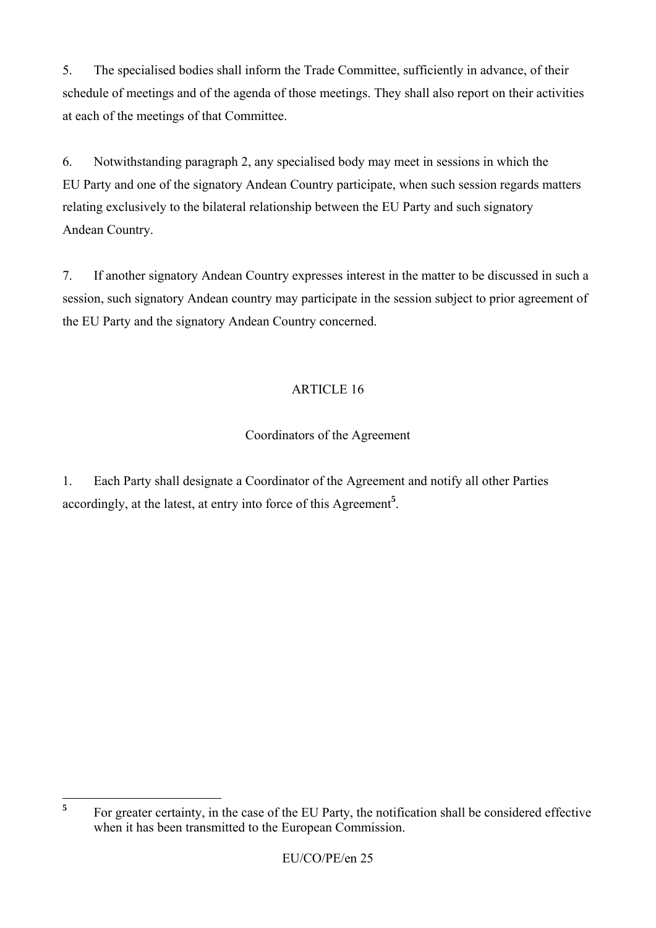5. The specialised bodies shall inform the Trade Committee, sufficiently in advance, of their schedule of meetings and of the agenda of those meetings. They shall also report on their activities at each of the meetings of that Committee.

6. Notwithstanding paragraph 2, any specialised body may meet in sessions in which the EU Party and one of the signatory Andean Country participate, when such session regards matters relating exclusively to the bilateral relationship between the EU Party and such signatory Andean Country.

7. If another signatory Andean Country expresses interest in the matter to be discussed in such a session, such signatory Andean country may participate in the session subject to prior agreement of the EU Party and the signatory Andean Country concerned.

# ARTICLE 16

# Coordinators of the Agreement

1. Each Party shall designate a Coordinator of the Agreement and notify all other Parties accordingly, at the latest, at entry into force of this Agreement**<sup>5</sup>** .

 $\overline{\mathbf{5}}$ **<sup>5</sup>** For greater certainty, in the case of the EU Party, the notification shall be considered effective when it has been transmitted to the European Commission.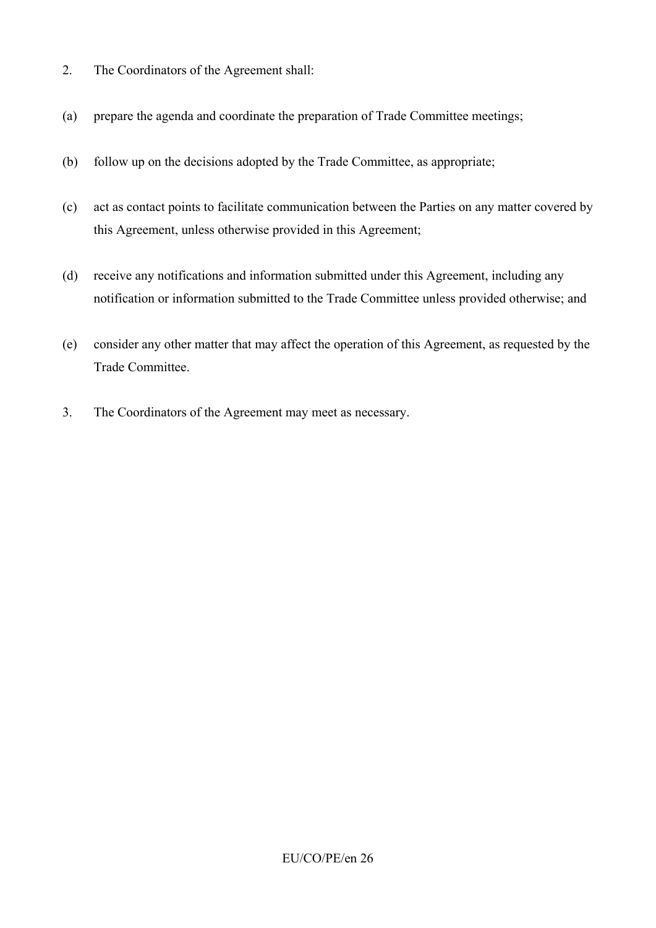- 2. The Coordinators of the Agreement shall:
- (a) prepare the agenda and coordinate the preparation of Trade Committee meetings;
- (b) follow up on the decisions adopted by the Trade Committee, as appropriate;
- (c) act as contact points to facilitate communication between the Parties on any matter covered by this Agreement, unless otherwise provided in this Agreement;
- (d) receive any notifications and information submitted under this Agreement, including any notification or information submitted to the Trade Committee unless provided otherwise; and
- (e) consider any other matter that may affect the operation of this Agreement, as requested by the Trade Committee.
- 3. The Coordinators of the Agreement may meet as necessary.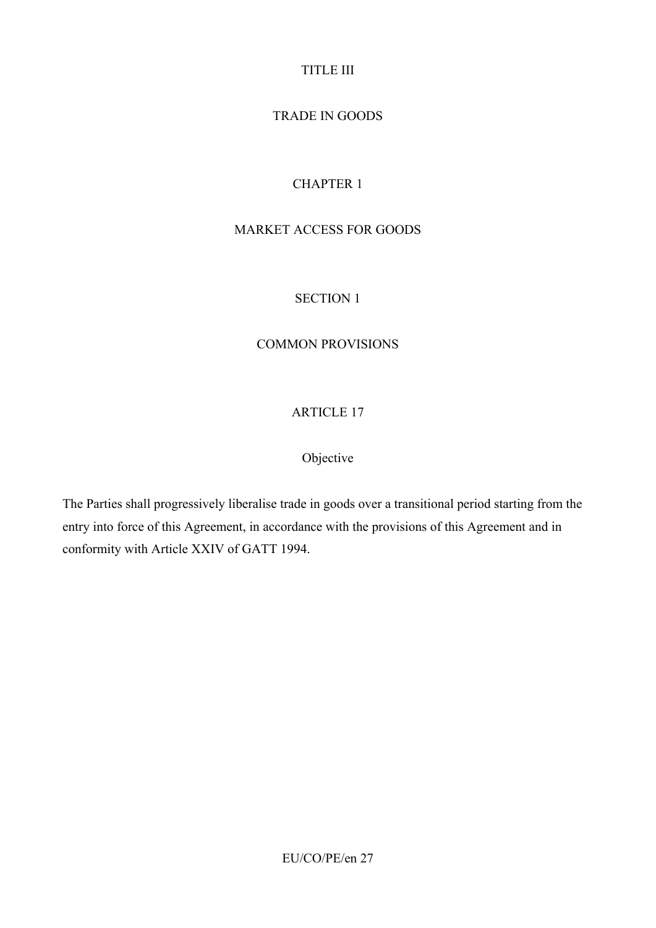# TITLE III

# TRADE IN GOODS

# CHAPTER 1

# MARKET ACCESS FOR GOODS

# SECTION 1

# COMMON PROVISIONS

# ARTICLE 17

# Objective

The Parties shall progressively liberalise trade in goods over a transitional period starting from the entry into force of this Agreement, in accordance with the provisions of this Agreement and in conformity with Article XXIV of GATT 1994.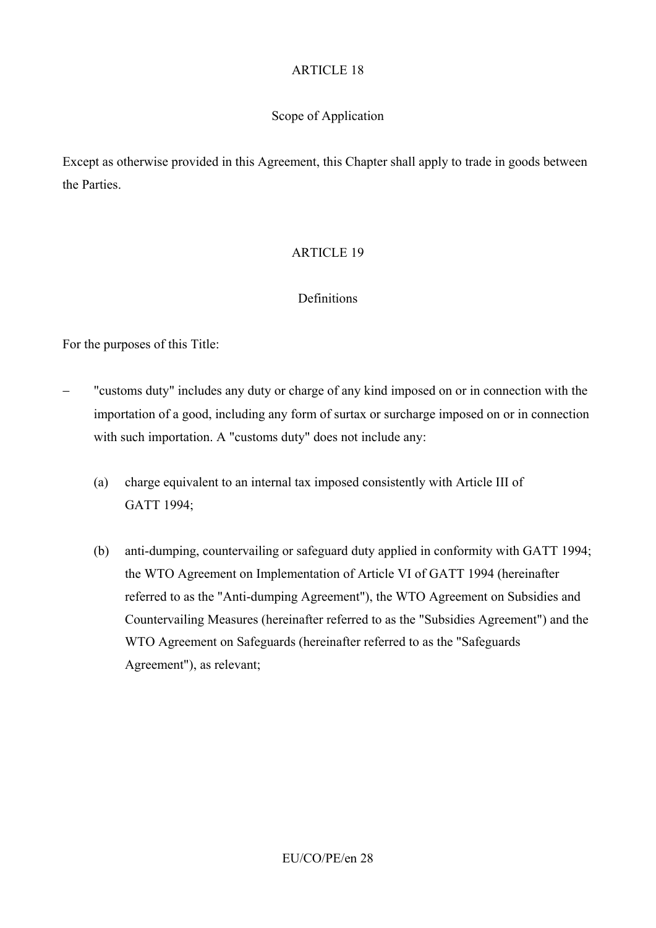### Scope of Application

Except as otherwise provided in this Agreement, this Chapter shall apply to trade in goods between the Parties.

## ARTICLE 19

#### **Definitions**

For the purposes of this Title:

- − "customs duty" includes any duty or charge of any kind imposed on or in connection with the importation of a good, including any form of surtax or surcharge imposed on or in connection with such importation. A "customs duty" does not include any:
	- (a) charge equivalent to an internal tax imposed consistently with Article III of GATT 1994;
	- (b) anti-dumping, countervailing or safeguard duty applied in conformity with GATT 1994; the WTO Agreement on Implementation of Article VI of GATT 1994 (hereinafter referred to as the "Anti-dumping Agreement"), the WTO Agreement on Subsidies and Countervailing Measures (hereinafter referred to as the "Subsidies Agreement") and the WTO Agreement on Safeguards (hereinafter referred to as the "Safeguards Agreement"), as relevant;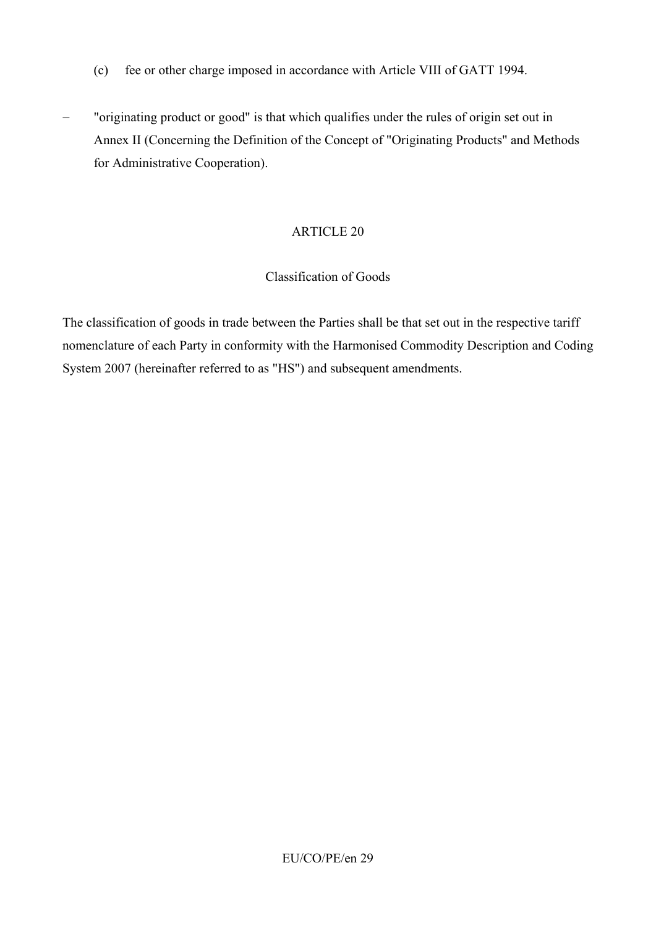- (c) fee or other charge imposed in accordance with Article VIII of GATT 1994.
- − "originating product or good" is that which qualifies under the rules of origin set out in Annex II (Concerning the Definition of the Concept of "Originating Products" and Methods for Administrative Cooperation).

#### Classification of Goods

The classification of goods in trade between the Parties shall be that set out in the respective tariff nomenclature of each Party in conformity with the Harmonised Commodity Description and Coding System 2007 (hereinafter referred to as "HS") and subsequent amendments.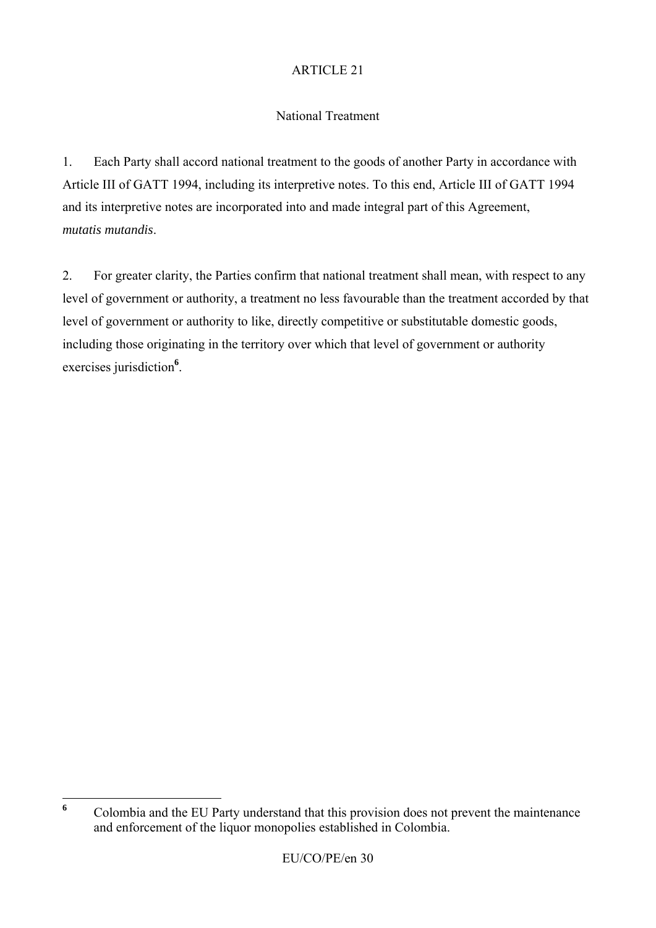## National Treatment

1. Each Party shall accord national treatment to the goods of another Party in accordance with Article III of GATT 1994, including its interpretive notes. To this end, Article III of GATT 1994 and its interpretive notes are incorporated into and made integral part of this Agreement, *mutatis mutandis*.

2. For greater clarity, the Parties confirm that national treatment shall mean, with respect to any level of government or authority, a treatment no less favourable than the treatment accorded by that level of government or authority to like, directly competitive or substitutable domestic goods, including those originating in the territory over which that level of government or authority exercises jurisdiction**<sup>6</sup>** .

 $\boldsymbol{6}$ **<sup>6</sup>** Colombia and the EU Party understand that this provision does not prevent the maintenance and enforcement of the liquor monopolies established in Colombia.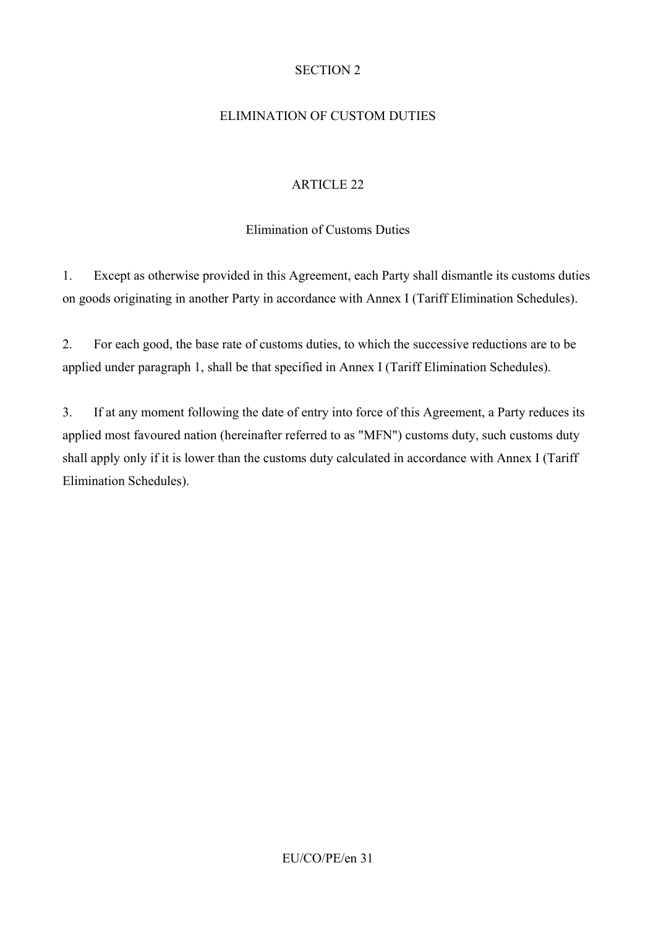## SECTION 2

## ELIMINATION OF CUSTOM DUTIES

## ARTICLE 22

## Elimination of Customs Duties

1. Except as otherwise provided in this Agreement, each Party shall dismantle its customs duties on goods originating in another Party in accordance with Annex I (Tariff Elimination Schedules).

2. For each good, the base rate of customs duties, to which the successive reductions are to be applied under paragraph 1, shall be that specified in Annex I (Tariff Elimination Schedules).

3. If at any moment following the date of entry into force of this Agreement, a Party reduces its applied most favoured nation (hereinafter referred to as "MFN") customs duty, such customs duty shall apply only if it is lower than the customs duty calculated in accordance with Annex I (Tariff Elimination Schedules).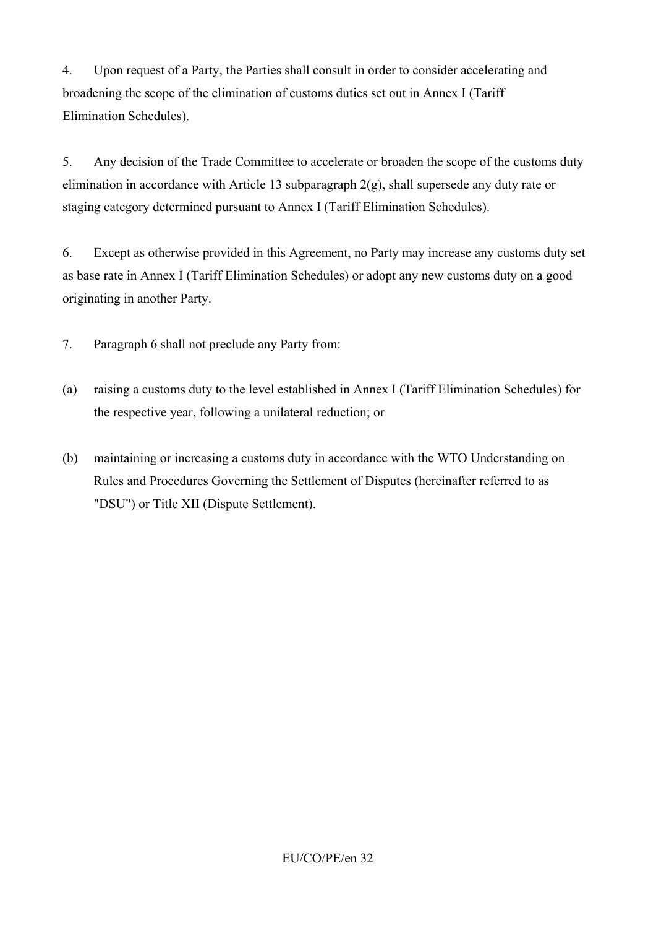4. Upon request of a Party, the Parties shall consult in order to consider accelerating and broadening the scope of the elimination of customs duties set out in Annex I (Tariff Elimination Schedules).

5. Any decision of the Trade Committee to accelerate or broaden the scope of the customs duty elimination in accordance with Article 13 subparagraph 2(g), shall supersede any duty rate or staging category determined pursuant to Annex I (Tariff Elimination Schedules).

6. Except as otherwise provided in this Agreement, no Party may increase any customs duty set as base rate in Annex I (Tariff Elimination Schedules) or adopt any new customs duty on a good originating in another Party.

7. Paragraph 6 shall not preclude any Party from:

- (a) raising a customs duty to the level established in Annex I (Tariff Elimination Schedules) for the respective year, following a unilateral reduction; or
- (b) maintaining or increasing a customs duty in accordance with the WTO Understanding on Rules and Procedures Governing the Settlement of Disputes (hereinafter referred to as "DSU") or Title XII (Dispute Settlement).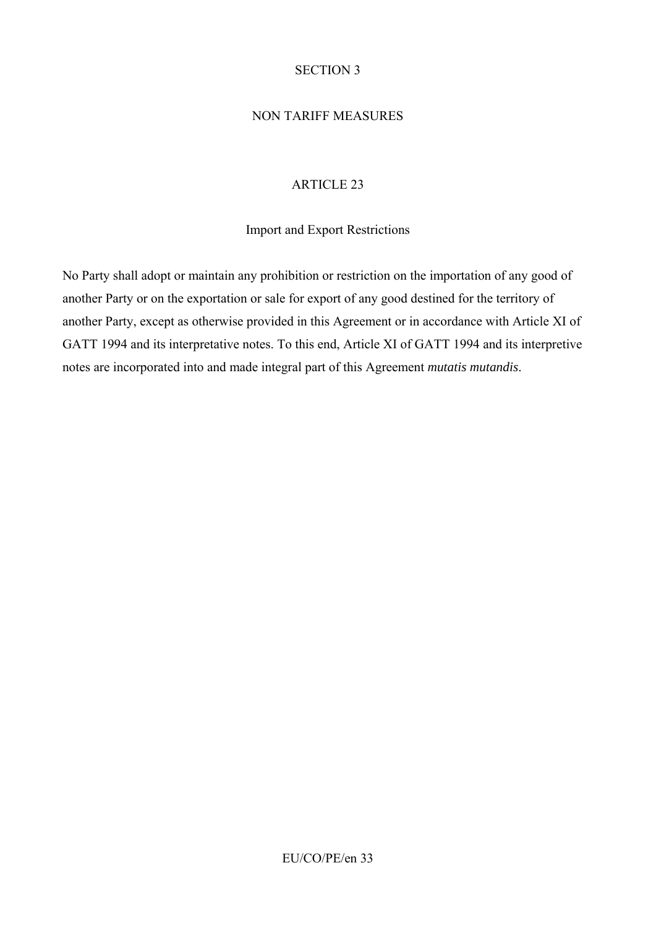### SECTION 3

# NON TARIFF MEASURES

## ARTICLE 23

### Import and Export Restrictions

No Party shall adopt or maintain any prohibition or restriction on the importation of any good of another Party or on the exportation or sale for export of any good destined for the territory of another Party, except as otherwise provided in this Agreement or in accordance with Article XI of GATT 1994 and its interpretative notes. To this end, Article XI of GATT 1994 and its interpretive notes are incorporated into and made integral part of this Agreement *mutatis mutandis*.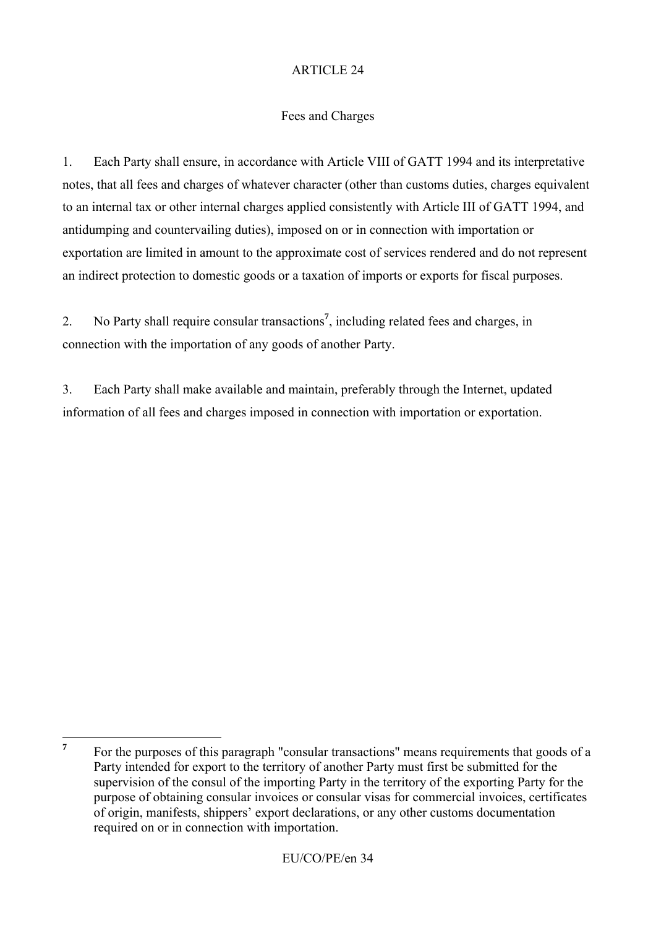# Fees and Charges

1. Each Party shall ensure, in accordance with Article VIII of GATT 1994 and its interpretative notes, that all fees and charges of whatever character (other than customs duties, charges equivalent to an internal tax or other internal charges applied consistently with Article III of GATT 1994, and antidumping and countervailing duties), imposed on or in connection with importation or exportation are limited in amount to the approximate cost of services rendered and do not represent an indirect protection to domestic goods or a taxation of imports or exports for fiscal purposes.

2. No Party shall require consular transactions**<sup>7</sup>** , including related fees and charges, in connection with the importation of any goods of another Party.

3. Each Party shall make available and maintain, preferably through the Internet, updated information of all fees and charges imposed in connection with importation or exportation.

 $\overline{7}$ **<sup>7</sup>** For the purposes of this paragraph "consular transactions" means requirements that goods of a Party intended for export to the territory of another Party must first be submitted for the supervision of the consul of the importing Party in the territory of the exporting Party for the purpose of obtaining consular invoices or consular visas for commercial invoices, certificates of origin, manifests, shippers' export declarations, or any other customs documentation required on or in connection with importation.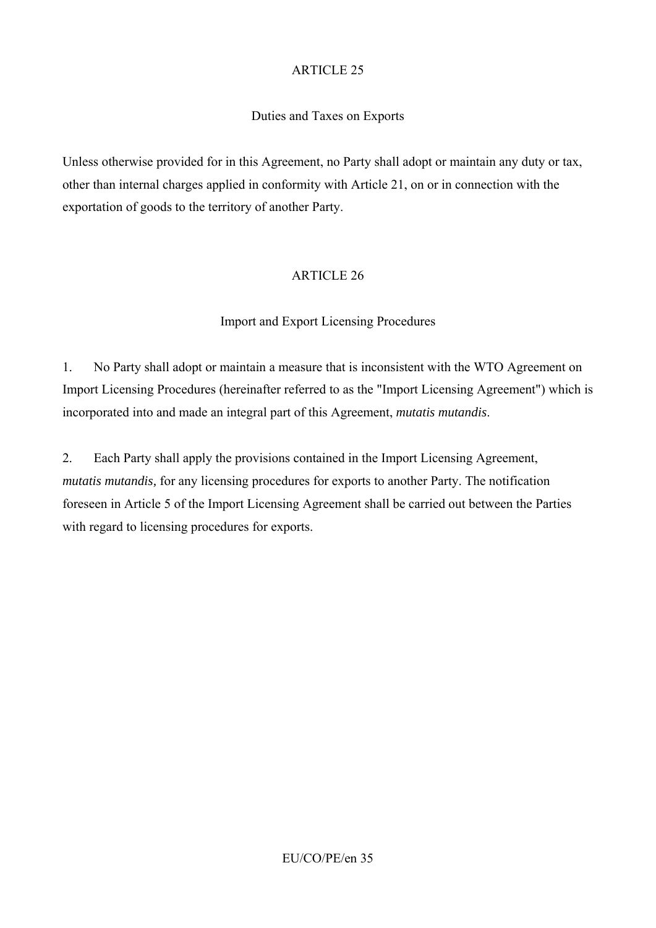# Duties and Taxes on Exports

Unless otherwise provided for in this Agreement, no Party shall adopt or maintain any duty or tax, other than internal charges applied in conformity with Article 21, on or in connection with the exportation of goods to the territory of another Party.

## ARTICLE 26

## Import and Export Licensing Procedures

1. No Party shall adopt or maintain a measure that is inconsistent with the WTO Agreement on Import Licensing Procedures (hereinafter referred to as the "Import Licensing Agreement") which is incorporated into and made an integral part of this Agreement, *mutatis mutandis*.

2. Each Party shall apply the provisions contained in the Import Licensing Agreement, *mutatis mutandis,* for any licensing procedures for exports to another Party. The notification foreseen in Article 5 of the Import Licensing Agreement shall be carried out between the Parties with regard to licensing procedures for exports.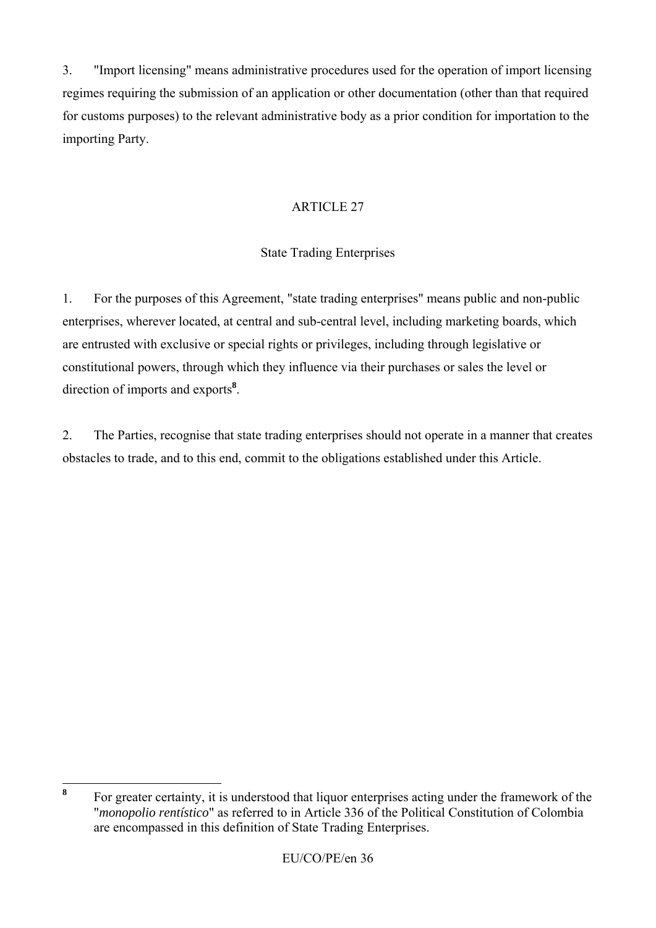3. "Import licensing" means administrative procedures used for the operation of import licensing regimes requiring the submission of an application or other documentation (other than that required for customs purposes) to the relevant administrative body as a prior condition for importation to the importing Party.

# ARTICLE 27

# State Trading Enterprises

1. For the purposes of this Agreement, "state trading enterprises" means public and non-public enterprises, wherever located, at central and sub-central level, including marketing boards, which are entrusted with exclusive or special rights or privileges, including through legislative or constitutional powers, through which they influence via their purchases or sales the level or direction of imports and exports**<sup>8</sup>** .

2. The Parties, recognise that state trading enterprises should not operate in a manner that creates obstacles to trade, and to this end, commit to the obligations established under this Article.

 $\bf{8}$ **<sup>8</sup>** For greater certainty, it is understood that liquor enterprises acting under the framework of the "*monopolio rentístico*" as referred to in Article 336 of the Political Constitution of Colombia are encompassed in this definition of State Trading Enterprises.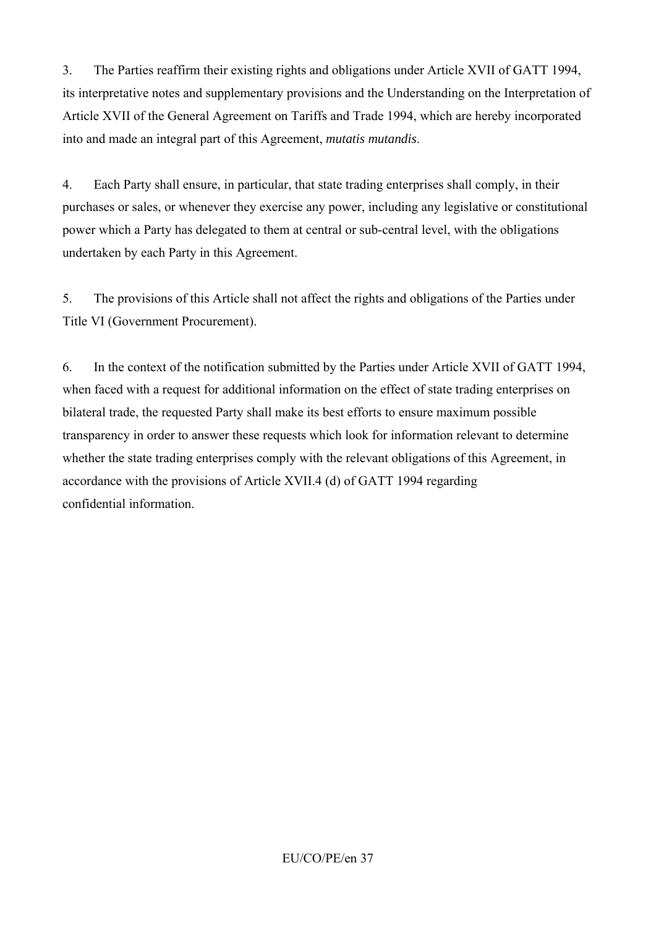3. The Parties reaffirm their existing rights and obligations under Article XVII of GATT 1994, its interpretative notes and supplementary provisions and the Understanding on the Interpretation of Article XVII of the General Agreement on Tariffs and Trade 1994, which are hereby incorporated into and made an integral part of this Agreement, *mutatis mutandis*.

4. Each Party shall ensure, in particular, that state trading enterprises shall comply, in their purchases or sales, or whenever they exercise any power, including any legislative or constitutional power which a Party has delegated to them at central or sub-central level, with the obligations undertaken by each Party in this Agreement.

5. The provisions of this Article shall not affect the rights and obligations of the Parties under Title VI (Government Procurement).

6. In the context of the notification submitted by the Parties under Article XVII of GATT 1994, when faced with a request for additional information on the effect of state trading enterprises on bilateral trade, the requested Party shall make its best efforts to ensure maximum possible transparency in order to answer these requests which look for information relevant to determine whether the state trading enterprises comply with the relevant obligations of this Agreement, in accordance with the provisions of Article XVII.4 (d) of GATT 1994 regarding confidential information.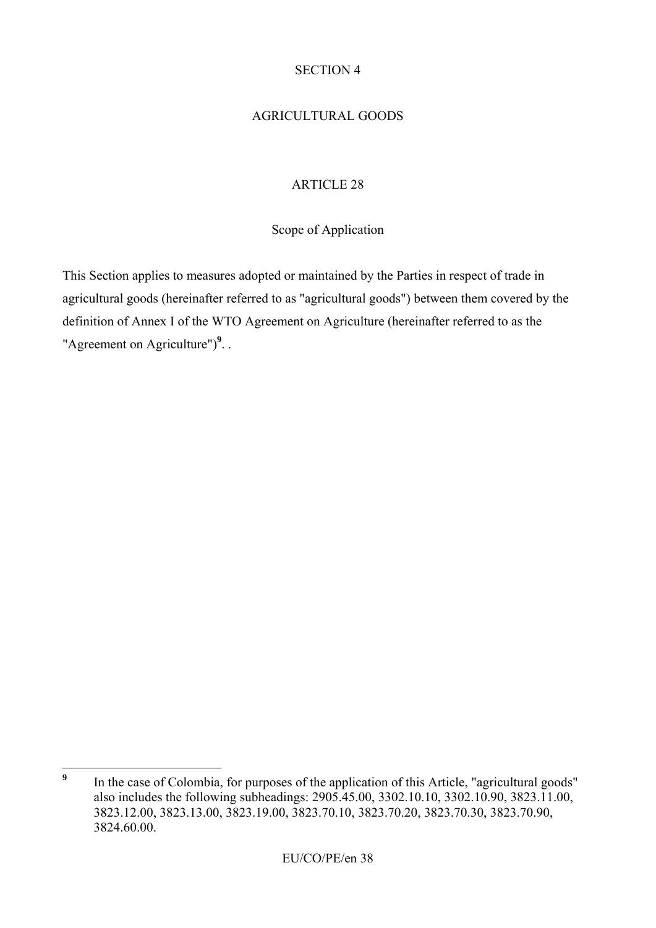## SECTION 4

# AGRICULTURAL GOODS

# ARTICLE 28

## Scope of Application

This Section applies to measures adopted or maintained by the Parties in respect of trade in agricultural goods (hereinafter referred to as "agricultural goods") between them covered by the definition of Annex I of the WTO Agreement on Agriculture (hereinafter referred to as the "Agreement on Agriculture")<sup>9</sup>. .

 **9** In the case of Colombia, for purposes of the application of this Article, "agricultural goods" also includes the following subheadings: 2905.45.00, 3302.10.10, 3302.10.90, 3823.11.00, 3823.12.00, 3823.13.00, 3823.19.00, 3823.70.10, 3823.70.20, 3823.70.30, 3823.70.90, 3824.60.00.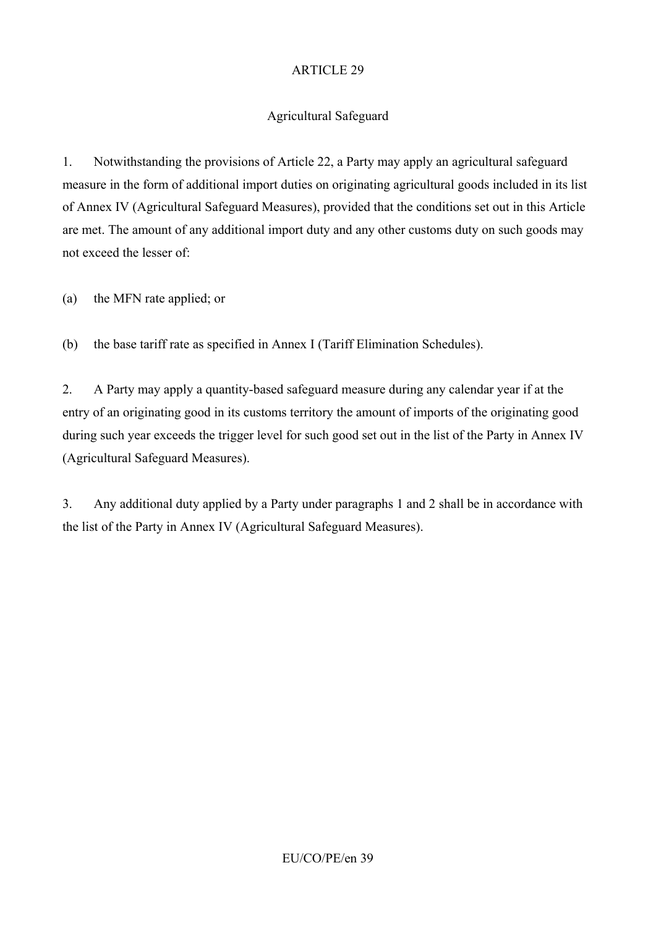# Agricultural Safeguard

1. Notwithstanding the provisions of Article 22, a Party may apply an agricultural safeguard measure in the form of additional import duties on originating agricultural goods included in its list of Annex IV (Agricultural Safeguard Measures), provided that the conditions set out in this Article are met. The amount of any additional import duty and any other customs duty on such goods may not exceed the lesser of:

(a) the MFN rate applied; or

(b) the base tariff rate as specified in Annex I (Tariff Elimination Schedules).

2. A Party may apply a quantity-based safeguard measure during any calendar year if at the entry of an originating good in its customs territory the amount of imports of the originating good during such year exceeds the trigger level for such good set out in the list of the Party in Annex IV (Agricultural Safeguard Measures).

3. Any additional duty applied by a Party under paragraphs 1 and 2 shall be in accordance with the list of the Party in Annex IV (Agricultural Safeguard Measures).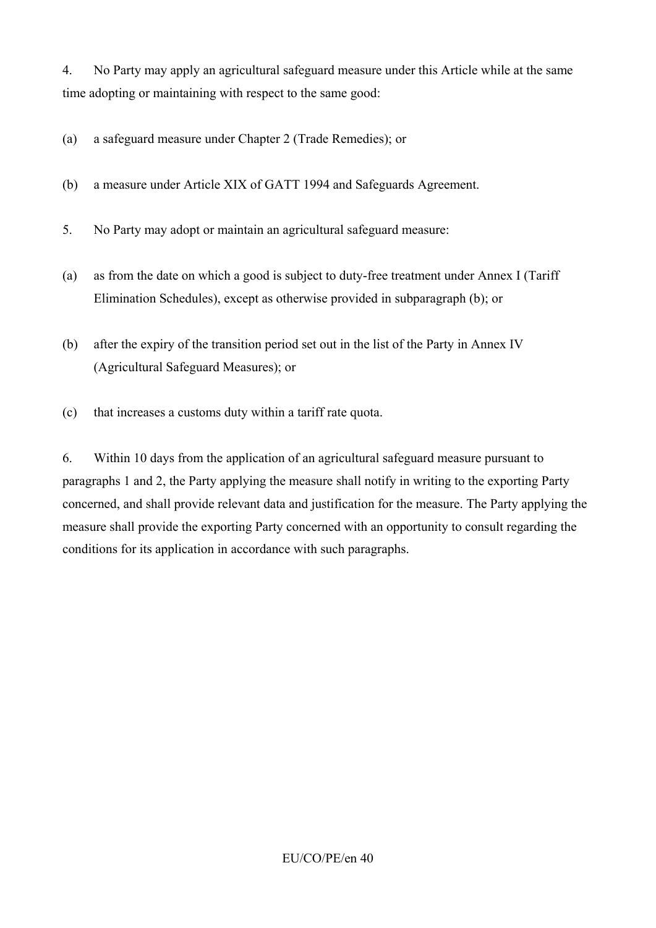4. No Party may apply an agricultural safeguard measure under this Article while at the same time adopting or maintaining with respect to the same good:

(a) a safeguard measure under Chapter 2 (Trade Remedies); or

(b) a measure under Article XIX of GATT 1994 and Safeguards Agreement.

5. No Party may adopt or maintain an agricultural safeguard measure:

- (a) as from the date on which a good is subject to duty-free treatment under Annex I (Tariff Elimination Schedules), except as otherwise provided in subparagraph (b); or
- (b) after the expiry of the transition period set out in the list of the Party in Annex IV (Agricultural Safeguard Measures); or
- (c) that increases a customs duty within a tariff rate quota.

6. Within 10 days from the application of an agricultural safeguard measure pursuant to paragraphs 1 and 2, the Party applying the measure shall notify in writing to the exporting Party concerned, and shall provide relevant data and justification for the measure. The Party applying the measure shall provide the exporting Party concerned with an opportunity to consult regarding the conditions for its application in accordance with such paragraphs.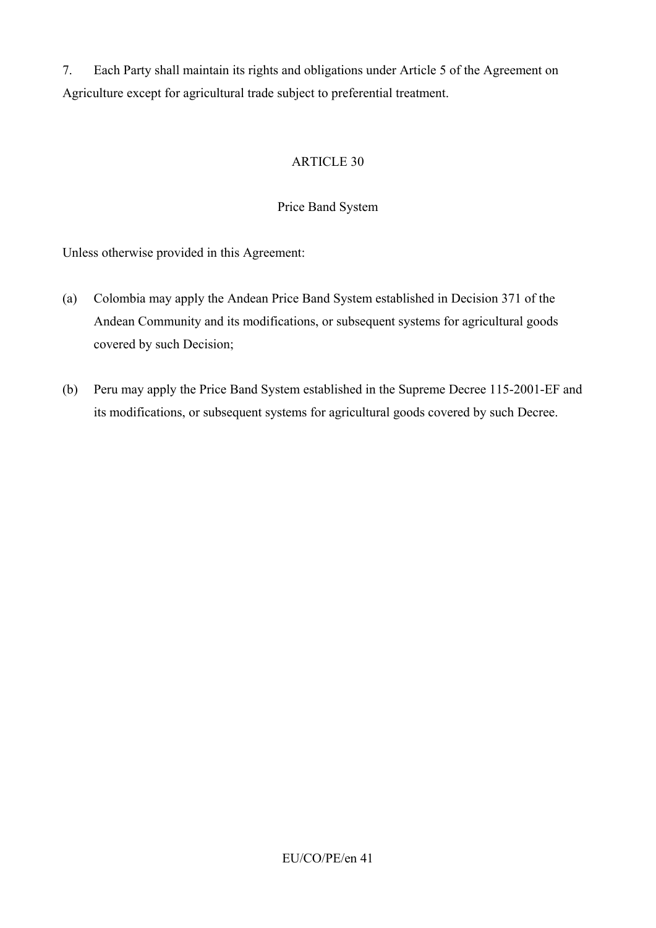7. Each Party shall maintain its rights and obligations under Article 5 of the Agreement on Agriculture except for agricultural trade subject to preferential treatment.

## ARTICLE 30

### Price Band System

Unless otherwise provided in this Agreement:

- (a) Colombia may apply the Andean Price Band System established in Decision 371 of the Andean Community and its modifications, or subsequent systems for agricultural goods covered by such Decision;
- (b) Peru may apply the Price Band System established in the Supreme Decree 115-2001-EF and its modifications, or subsequent systems for agricultural goods covered by such Decree.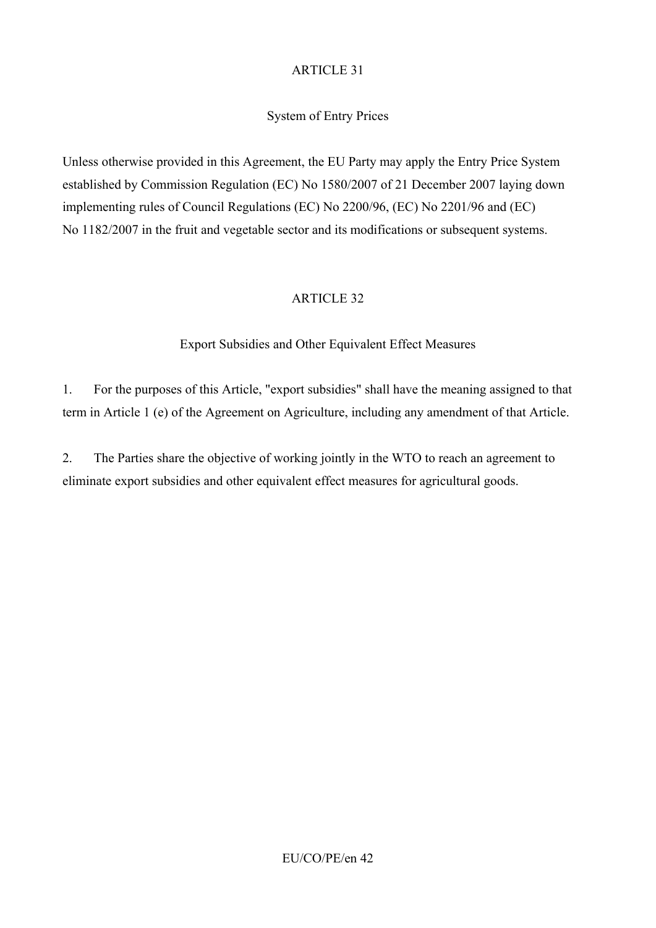## System of Entry Prices

Unless otherwise provided in this Agreement, the EU Party may apply the Entry Price System established by Commission Regulation (EC) No 1580/2007 of 21 December 2007 laying down implementing rules of Council Regulations (EC) No 2200/96, (EC) No 2201/96 and (EC) No 1182/2007 in the fruit and vegetable sector and its modifications or subsequent systems.

## ARTICLE 32

## Export Subsidies and Other Equivalent Effect Measures

1. For the purposes of this Article, "export subsidies" shall have the meaning assigned to that term in Article 1 (e) of the Agreement on Agriculture, including any amendment of that Article.

2. The Parties share the objective of working jointly in the WTO to reach an agreement to eliminate export subsidies and other equivalent effect measures for agricultural goods.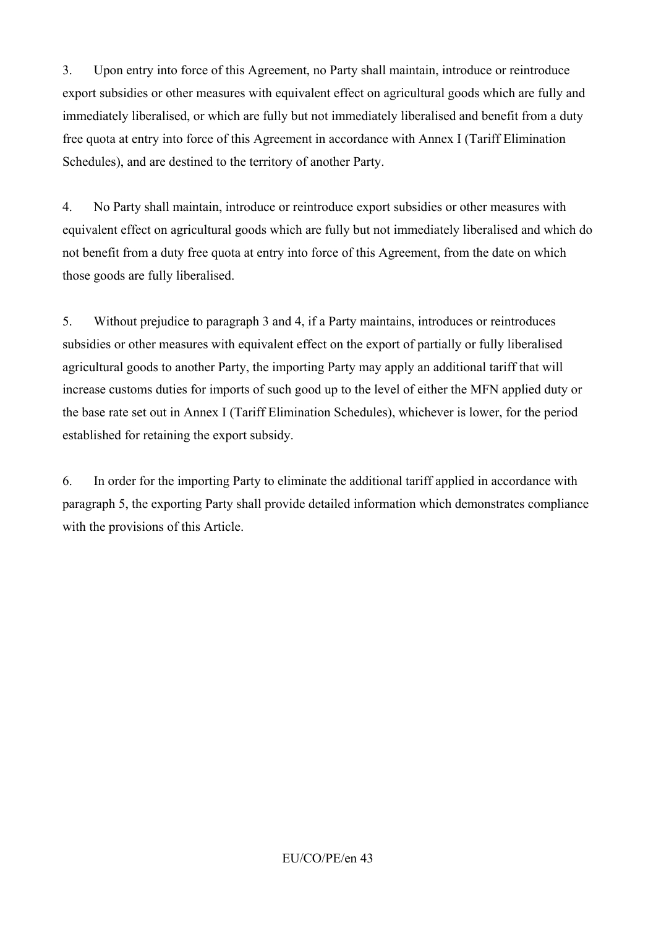3. Upon entry into force of this Agreement, no Party shall maintain, introduce or reintroduce export subsidies or other measures with equivalent effect on agricultural goods which are fully and immediately liberalised, or which are fully but not immediately liberalised and benefit from a duty free quota at entry into force of this Agreement in accordance with Annex I (Tariff Elimination Schedules), and are destined to the territory of another Party.

4. No Party shall maintain, introduce or reintroduce export subsidies or other measures with equivalent effect on agricultural goods which are fully but not immediately liberalised and which do not benefit from a duty free quota at entry into force of this Agreement, from the date on which those goods are fully liberalised.

5. Without prejudice to paragraph 3 and 4, if a Party maintains, introduces or reintroduces subsidies or other measures with equivalent effect on the export of partially or fully liberalised agricultural goods to another Party, the importing Party may apply an additional tariff that will increase customs duties for imports of such good up to the level of either the MFN applied duty or the base rate set out in Annex I (Tariff Elimination Schedules), whichever is lower, for the period established for retaining the export subsidy.

6. In order for the importing Party to eliminate the additional tariff applied in accordance with paragraph 5, the exporting Party shall provide detailed information which demonstrates compliance with the provisions of this Article.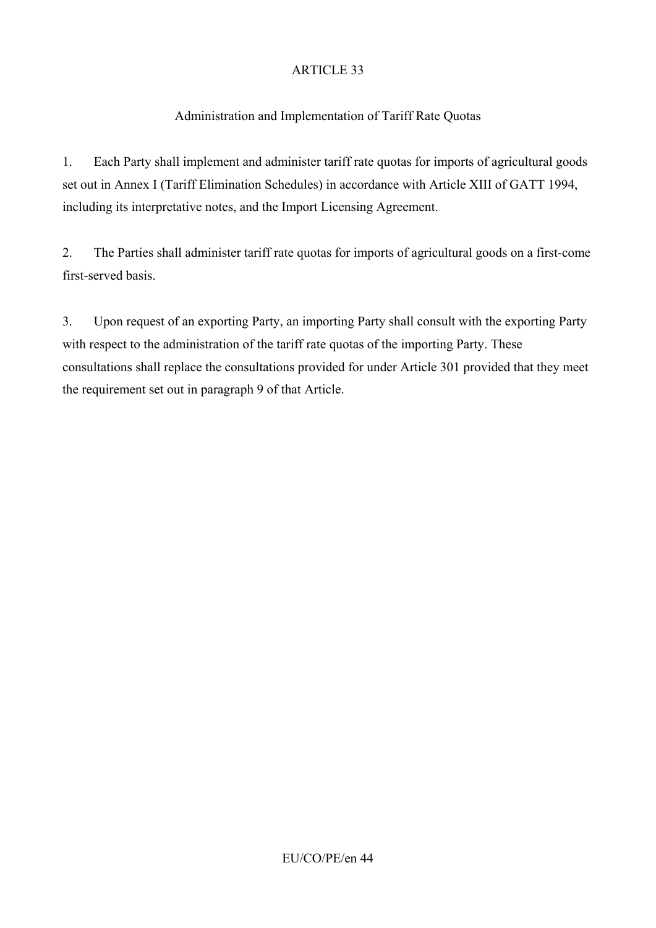# Administration and Implementation of Tariff Rate Quotas

1. Each Party shall implement and administer tariff rate quotas for imports of agricultural goods set out in Annex I (Tariff Elimination Schedules) in accordance with Article XIII of GATT 1994, including its interpretative notes, and the Import Licensing Agreement.

2. The Parties shall administer tariff rate quotas for imports of agricultural goods on a first-come first-served basis.

3. Upon request of an exporting Party, an importing Party shall consult with the exporting Party with respect to the administration of the tariff rate quotas of the importing Party. These consultations shall replace the consultations provided for under Article 301 provided that they meet the requirement set out in paragraph 9 of that Article.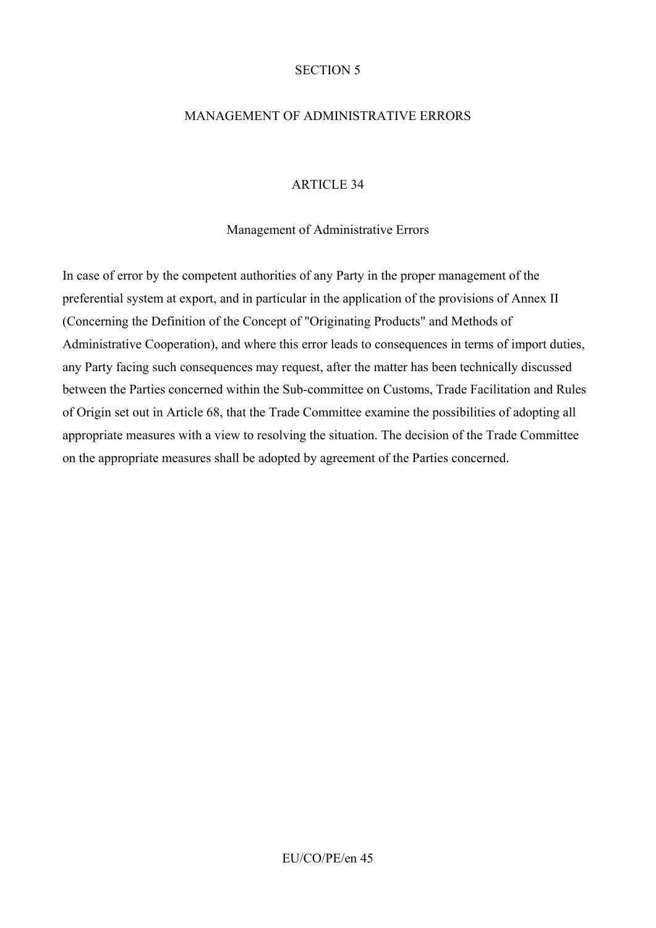### SECTION 5

### MANAGEMENT OF ADMINISTRATIVE ERRORS

#### ARTICLE 34

#### Management of Administrative Errors

In case of error by the competent authorities of any Party in the proper management of the preferential system at export, and in particular in the application of the provisions of Annex II (Concerning the Definition of the Concept of "Originating Products" and Methods of Administrative Cooperation), and where this error leads to consequences in terms of import duties, any Party facing such consequences may request, after the matter has been technically discussed between the Parties concerned within the Sub-committee on Customs, Trade Facilitation and Rules of Origin set out in Article 68, that the Trade Committee examine the possibilities of adopting all appropriate measures with a view to resolving the situation. The decision of the Trade Committee on the appropriate measures shall be adopted by agreement of the Parties concerned.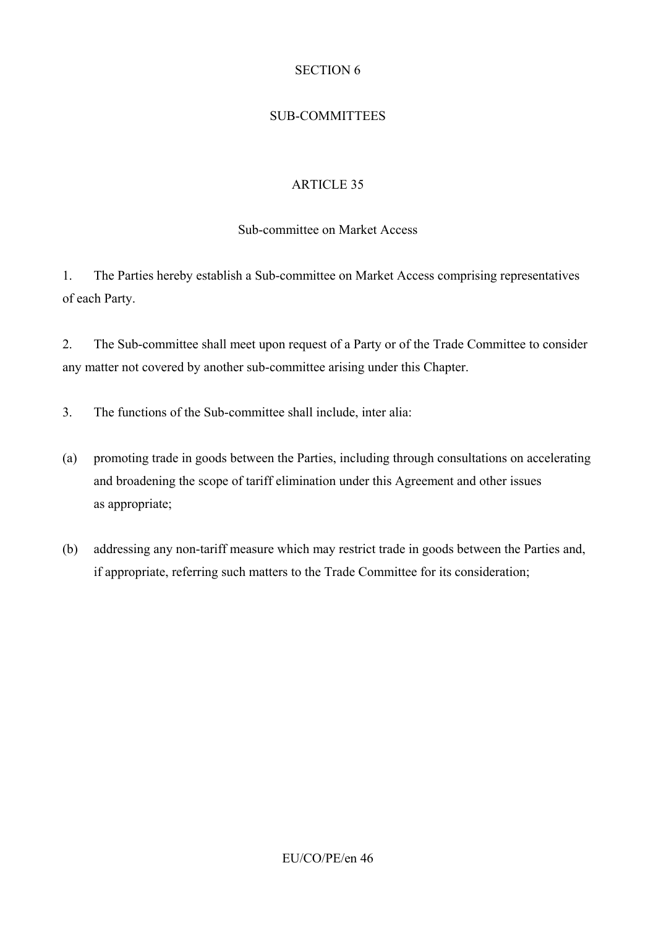## SECTION 6

# SUB-COMMITTEES

# ARTICLE 35

## Sub-committee on Market Access

1. The Parties hereby establish a Sub-committee on Market Access comprising representatives of each Party.

2. The Sub-committee shall meet upon request of a Party or of the Trade Committee to consider any matter not covered by another sub-committee arising under this Chapter.

- 3. The functions of the Sub-committee shall include, inter alia:
- (a) promoting trade in goods between the Parties, including through consultations on accelerating and broadening the scope of tariff elimination under this Agreement and other issues as appropriate;
- (b) addressing any non-tariff measure which may restrict trade in goods between the Parties and, if appropriate, referring such matters to the Trade Committee for its consideration;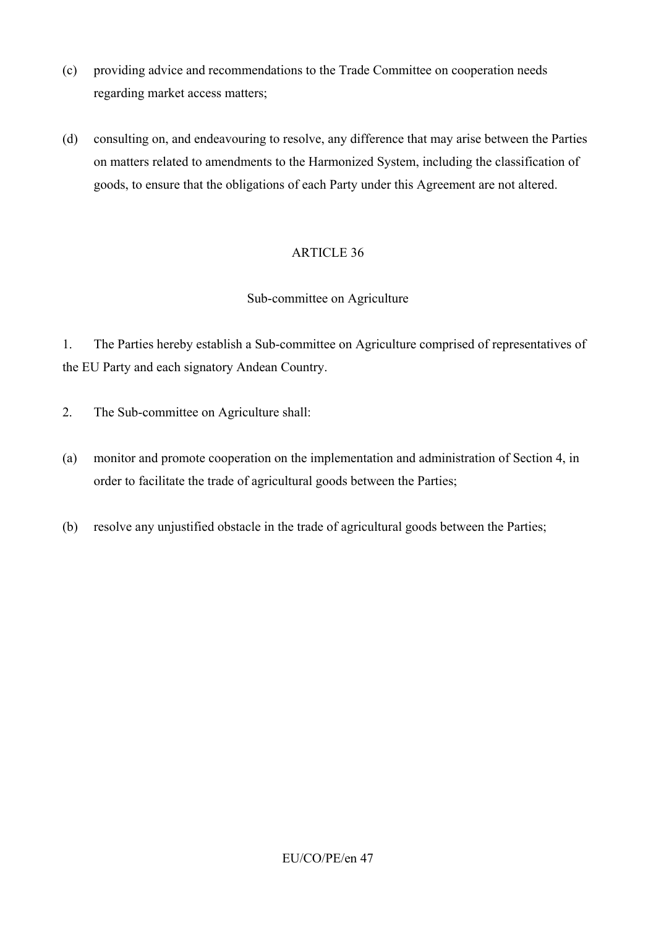- (c) providing advice and recommendations to the Trade Committee on cooperation needs regarding market access matters;
- (d) consulting on, and endeavouring to resolve, any difference that may arise between the Parties on matters related to amendments to the Harmonized System, including the classification of goods, to ensure that the obligations of each Party under this Agreement are not altered.

#### Sub-committee on Agriculture

1. The Parties hereby establish a Sub-committee on Agriculture comprised of representatives of the EU Party and each signatory Andean Country.

- 2. The Sub-committee on Agriculture shall:
- (a) monitor and promote cooperation on the implementation and administration of Section 4, in order to facilitate the trade of agricultural goods between the Parties;
- (b) resolve any unjustified obstacle in the trade of agricultural goods between the Parties;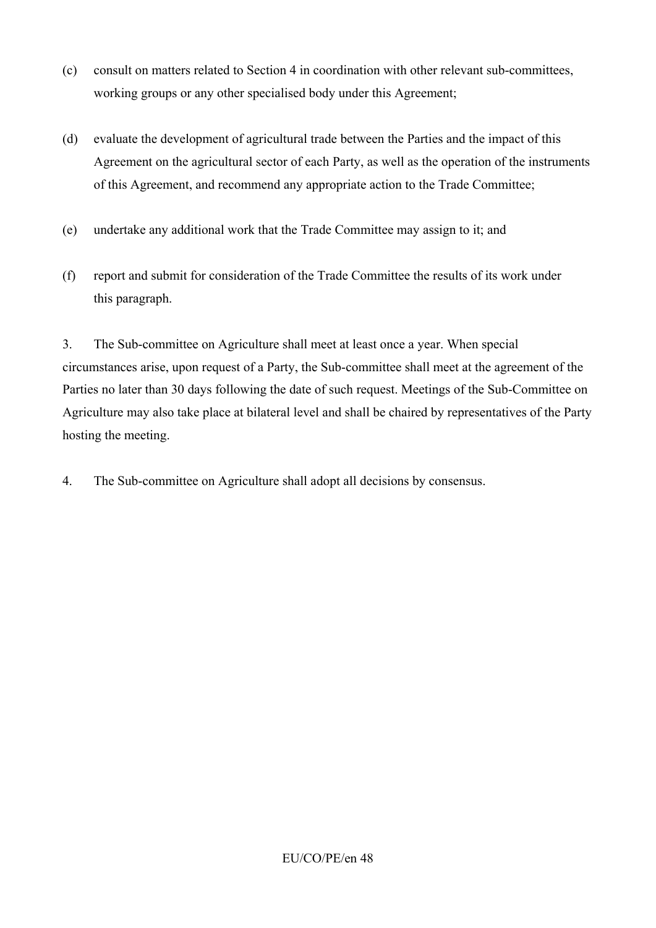- (c) consult on matters related to Section 4 in coordination with other relevant sub-committees, working groups or any other specialised body under this Agreement;
- (d) evaluate the development of agricultural trade between the Parties and the impact of this Agreement on the agricultural sector of each Party, as well as the operation of the instruments of this Agreement, and recommend any appropriate action to the Trade Committee;
- (e) undertake any additional work that the Trade Committee may assign to it; and
- (f) report and submit for consideration of the Trade Committee the results of its work under this paragraph.

3. The Sub-committee on Agriculture shall meet at least once a year. When special circumstances arise, upon request of a Party, the Sub-committee shall meet at the agreement of the Parties no later than 30 days following the date of such request. Meetings of the Sub-Committee on Agriculture may also take place at bilateral level and shall be chaired by representatives of the Party hosting the meeting.

4. The Sub-committee on Agriculture shall adopt all decisions by consensus.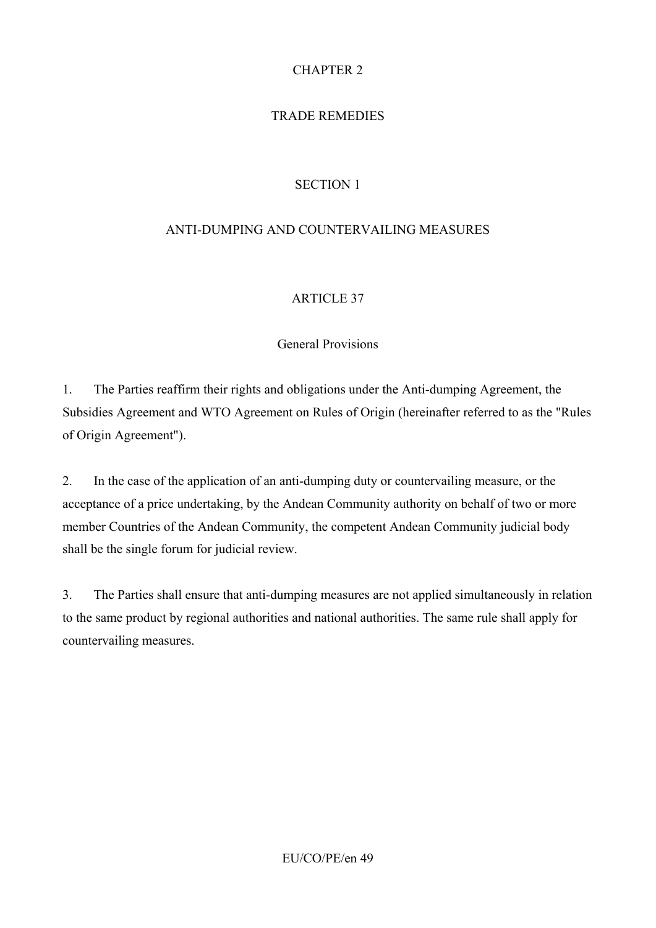# CHAPTER 2

# TRADE REMEDIES

# SECTION 1

## ANTI-DUMPING AND COUNTERVAILING MEASURES

## ARTICLE 37

## General Provisions

1. The Parties reaffirm their rights and obligations under the Anti-dumping Agreement, the Subsidies Agreement and WTO Agreement on Rules of Origin (hereinafter referred to as the "Rules of Origin Agreement").

2. In the case of the application of an anti-dumping duty or countervailing measure, or the acceptance of a price undertaking, by the Andean Community authority on behalf of two or more member Countries of the Andean Community, the competent Andean Community judicial body shall be the single forum for judicial review.

3. The Parties shall ensure that anti-dumping measures are not applied simultaneously in relation to the same product by regional authorities and national authorities. The same rule shall apply for countervailing measures.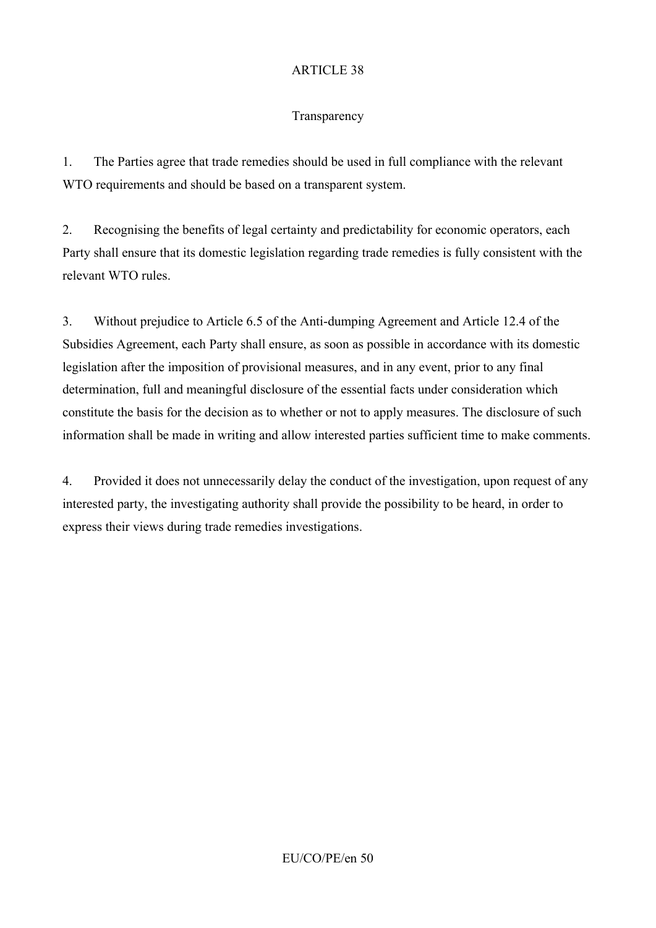### **Transparency**

1. The Parties agree that trade remedies should be used in full compliance with the relevant WTO requirements and should be based on a transparent system.

2. Recognising the benefits of legal certainty and predictability for economic operators, each Party shall ensure that its domestic legislation regarding trade remedies is fully consistent with the relevant WTO rules.

3. Without prejudice to Article 6.5 of the Anti-dumping Agreement and Article 12.4 of the Subsidies Agreement, each Party shall ensure, as soon as possible in accordance with its domestic legislation after the imposition of provisional measures, and in any event, prior to any final determination, full and meaningful disclosure of the essential facts under consideration which constitute the basis for the decision as to whether or not to apply measures. The disclosure of such information shall be made in writing and allow interested parties sufficient time to make comments.

4. Provided it does not unnecessarily delay the conduct of the investigation, upon request of any interested party, the investigating authority shall provide the possibility to be heard, in order to express their views during trade remedies investigations.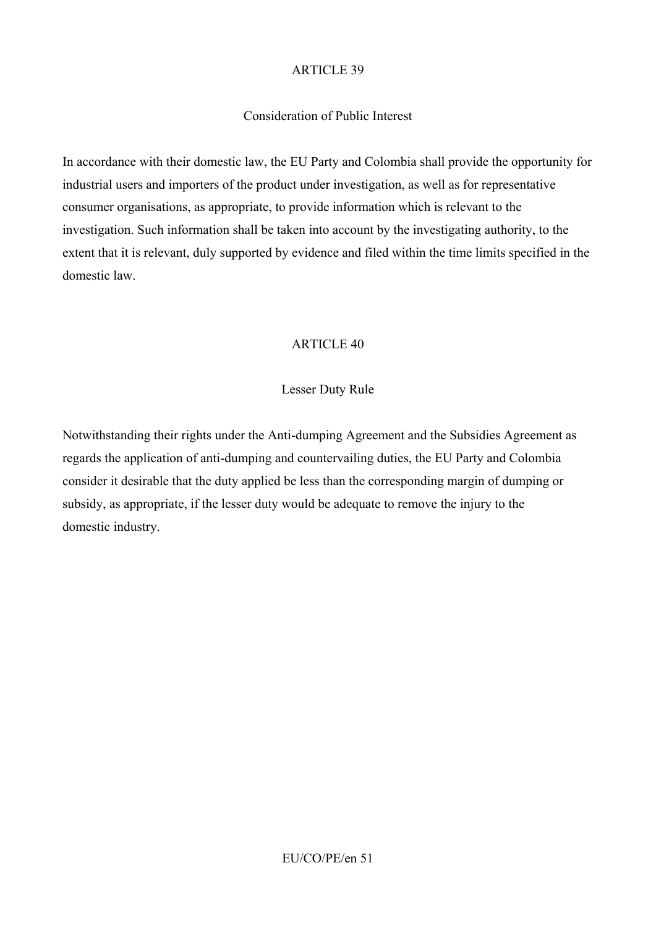### Consideration of Public Interest

In accordance with their domestic law, the EU Party and Colombia shall provide the opportunity for industrial users and importers of the product under investigation, as well as for representative consumer organisations, as appropriate, to provide information which is relevant to the investigation. Such information shall be taken into account by the investigating authority, to the extent that it is relevant, duly supported by evidence and filed within the time limits specified in the domestic law.

## ARTICLE 40

### Lesser Duty Rule

Notwithstanding their rights under the Anti-dumping Agreement and the Subsidies Agreement as regards the application of anti-dumping and countervailing duties, the EU Party and Colombia consider it desirable that the duty applied be less than the corresponding margin of dumping or subsidy, as appropriate, if the lesser duty would be adequate to remove the injury to the domestic industry.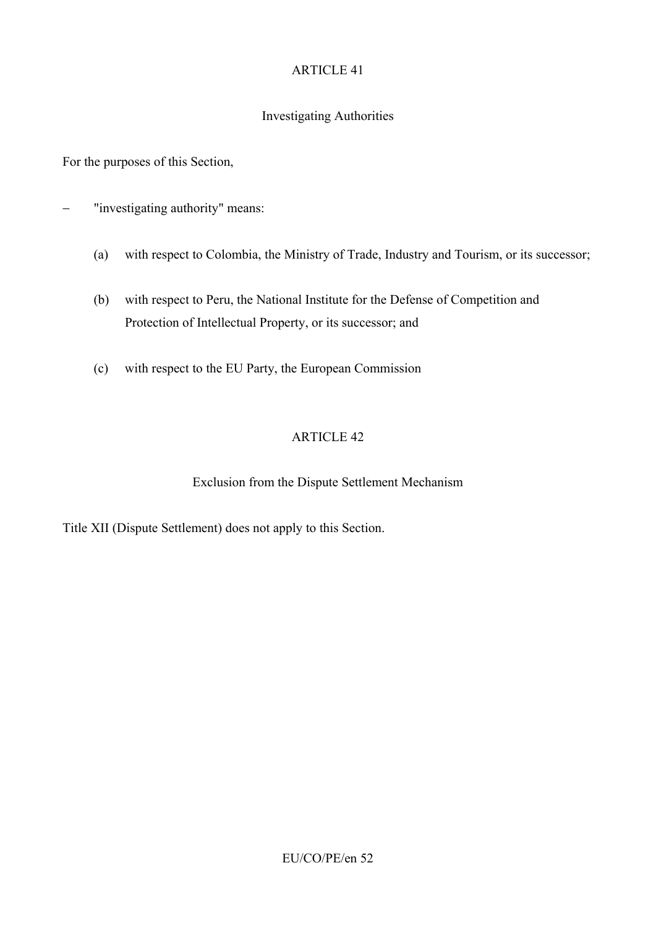## Investigating Authorities

For the purposes of this Section,

- − "investigating authority" means:
	- (a) with respect to Colombia, the Ministry of Trade, Industry and Tourism, or its successor;
	- (b) with respect to Peru, the National Institute for the Defense of Competition and Protection of Intellectual Property, or its successor; and
	- (c) with respect to the EU Party, the European Commission

## ARTICLE 42

## Exclusion from the Dispute Settlement Mechanism

Title XII (Dispute Settlement) does not apply to this Section.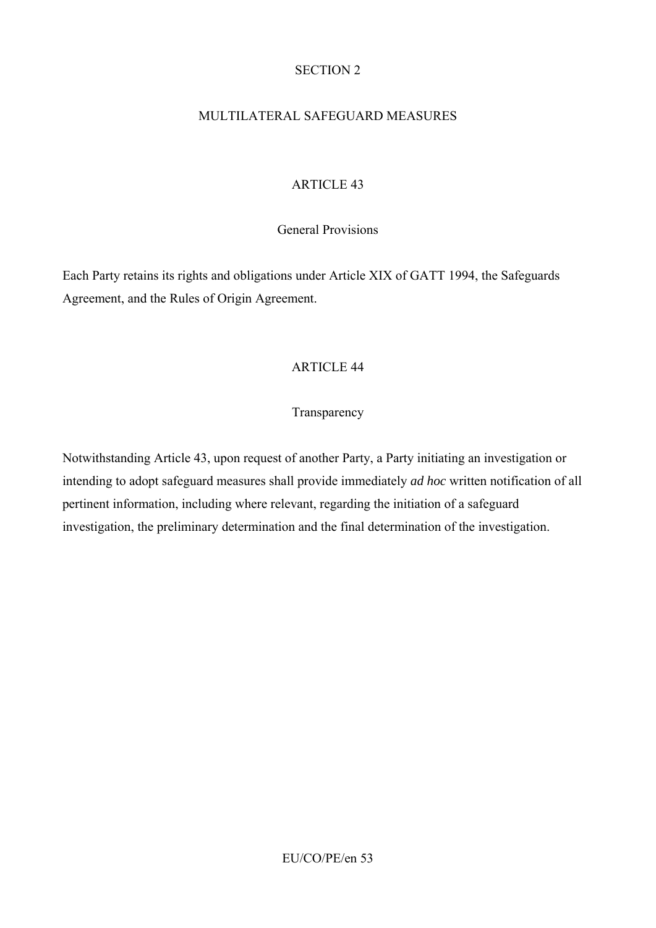### SECTION 2

## MULTILATERAL SAFEGUARD MEASURES

## ARTICLE 43

### General Provisions

Each Party retains its rights and obligations under Article XIX of GATT 1994, the Safeguards Agreement, and the Rules of Origin Agreement.

## ARTICLE 44

### **Transparency**

Notwithstanding Article 43, upon request of another Party, a Party initiating an investigation or intending to adopt safeguard measures shall provide immediately *ad hoc* written notification of all pertinent information, including where relevant, regarding the initiation of a safeguard investigation, the preliminary determination and the final determination of the investigation.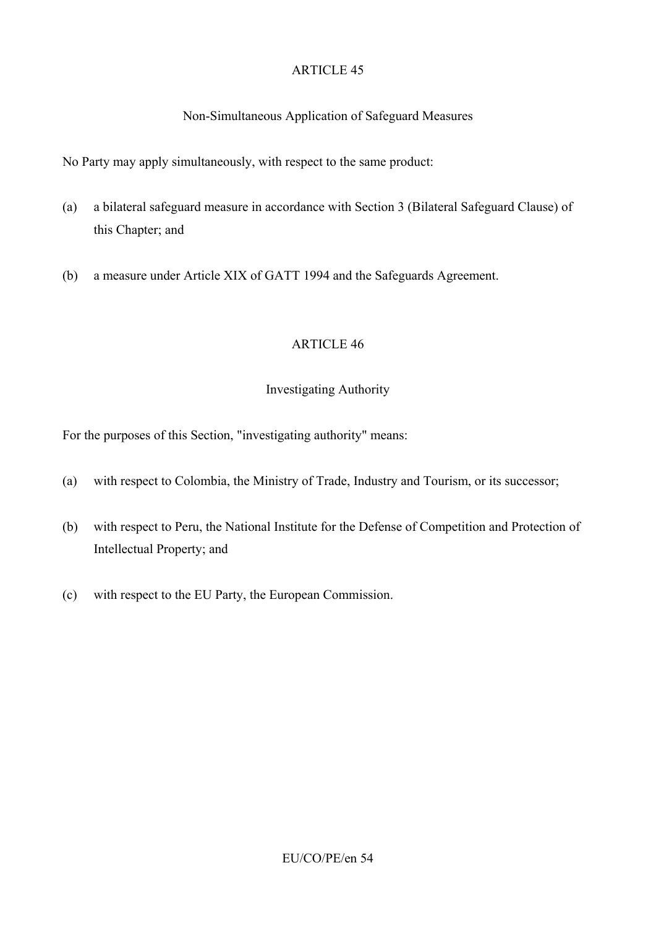## Non-Simultaneous Application of Safeguard Measures

No Party may apply simultaneously, with respect to the same product:

- (a) a bilateral safeguard measure in accordance with Section 3 (Bilateral Safeguard Clause) of this Chapter; and
- (b) a measure under Article XIX of GATT 1994 and the Safeguards Agreement.

### ARTICLE 46

### Investigating Authority

For the purposes of this Section, "investigating authority" means:

- (a) with respect to Colombia, the Ministry of Trade, Industry and Tourism, or its successor;
- (b) with respect to Peru, the National Institute for the Defense of Competition and Protection of Intellectual Property; and
- (c) with respect to the EU Party, the European Commission.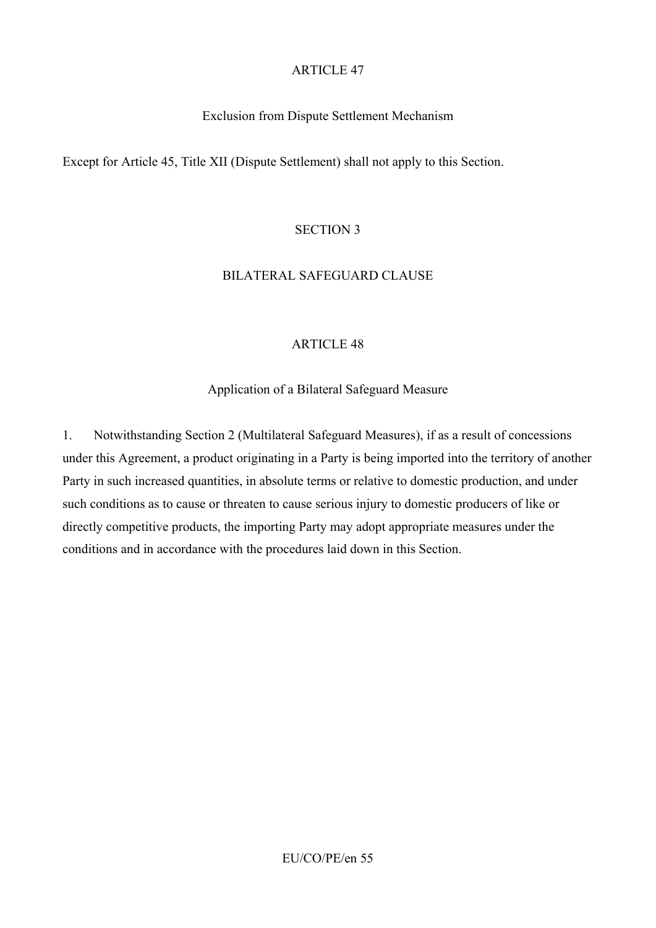### Exclusion from Dispute Settlement Mechanism

Except for Article 45, Title XII (Dispute Settlement) shall not apply to this Section.

#### SECTION 3

#### BILATERAL SAFEGUARD CLAUSE

#### ARTICLE 48

#### Application of a Bilateral Safeguard Measure

1. Notwithstanding Section 2 (Multilateral Safeguard Measures), if as a result of concessions under this Agreement, a product originating in a Party is being imported into the territory of another Party in such increased quantities, in absolute terms or relative to domestic production, and under such conditions as to cause or threaten to cause serious injury to domestic producers of like or directly competitive products, the importing Party may adopt appropriate measures under the conditions and in accordance with the procedures laid down in this Section.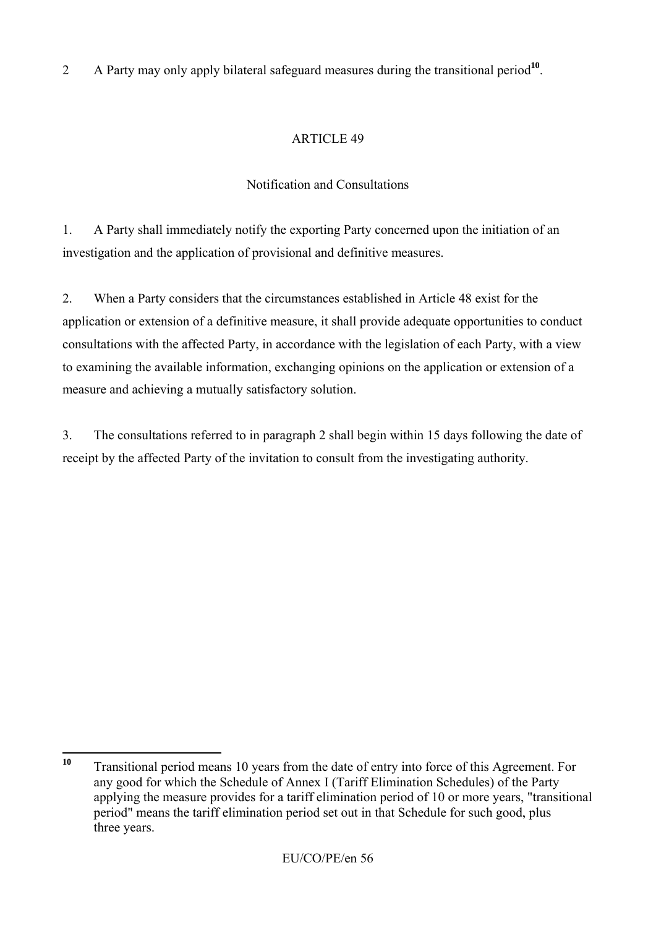# 2 A Party may only apply bilateral safeguard measures during the transitional period<sup>10</sup>.

# ARTICLE 49

# Notification and Consultations

1. A Party shall immediately notify the exporting Party concerned upon the initiation of an investigation and the application of provisional and definitive measures.

2. When a Party considers that the circumstances established in Article 48 exist for the application or extension of a definitive measure, it shall provide adequate opportunities to conduct consultations with the affected Party, in accordance with the legislation of each Party, with a view to examining the available information, exchanging opinions on the application or extension of a measure and achieving a mutually satisfactory solution.

3. The consultations referred to in paragraph 2 shall begin within 15 days following the date of receipt by the affected Party of the invitation to consult from the investigating authority.

 $10$ **<sup>10</sup>** Transitional period means 10 years from the date of entry into force of this Agreement. For any good for which the Schedule of Annex I (Tariff Elimination Schedules) of the Party applying the measure provides for a tariff elimination period of 10 or more years, "transitional period" means the tariff elimination period set out in that Schedule for such good, plus three years.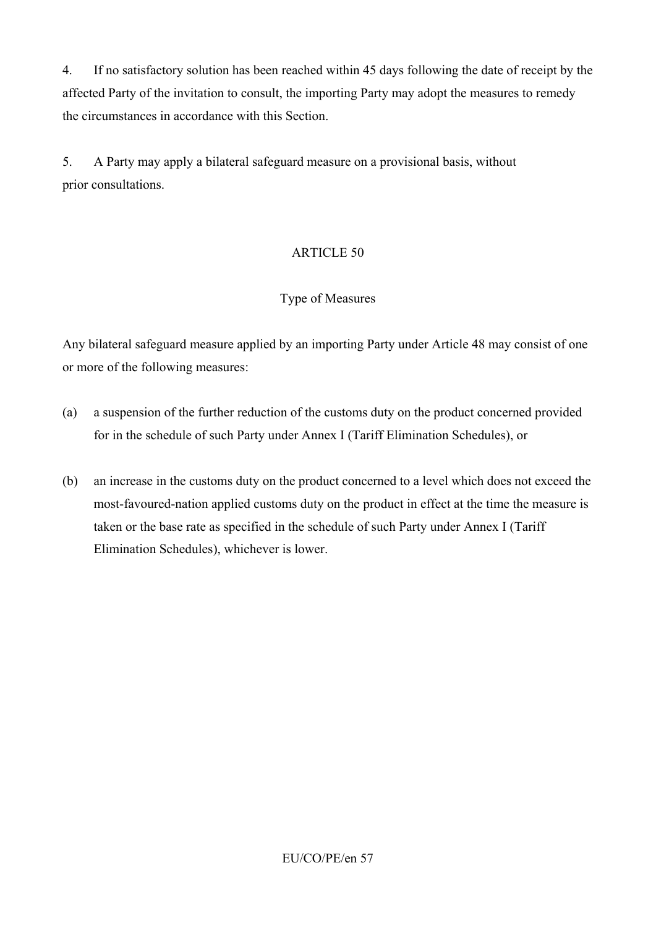4. If no satisfactory solution has been reached within 45 days following the date of receipt by the affected Party of the invitation to consult, the importing Party may adopt the measures to remedy the circumstances in accordance with this Section.

5. A Party may apply a bilateral safeguard measure on a provisional basis, without prior consultations.

# ARTICLE 50

# Type of Measures

Any bilateral safeguard measure applied by an importing Party under Article 48 may consist of one or more of the following measures:

- (a) a suspension of the further reduction of the customs duty on the product concerned provided for in the schedule of such Party under Annex I (Tariff Elimination Schedules), or
- (b) an increase in the customs duty on the product concerned to a level which does not exceed the most-favoured-nation applied customs duty on the product in effect at the time the measure is taken or the base rate as specified in the schedule of such Party under Annex I (Tariff Elimination Schedules), whichever is lower.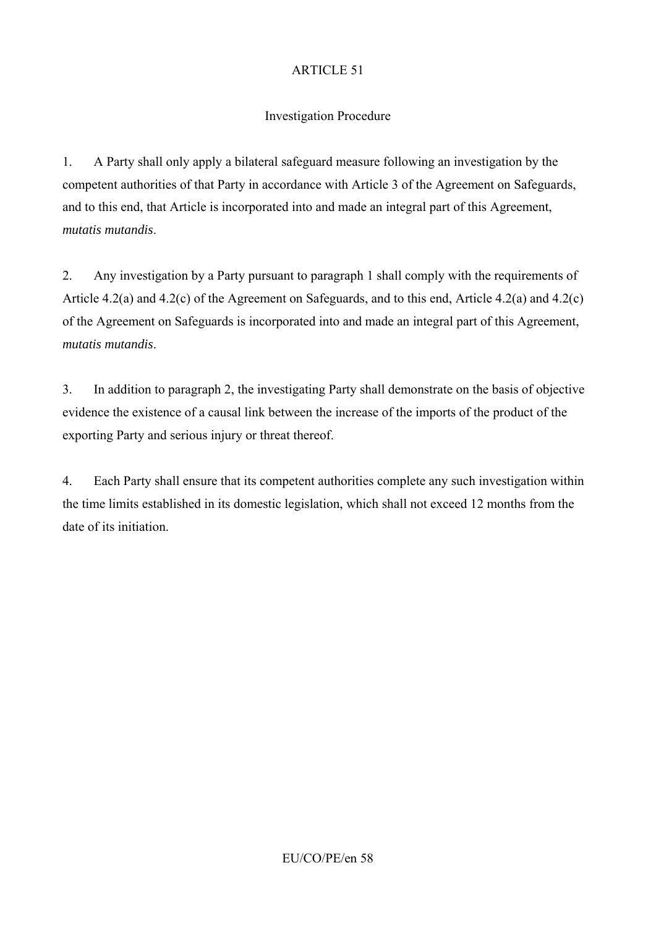## Investigation Procedure

1. A Party shall only apply a bilateral safeguard measure following an investigation by the competent authorities of that Party in accordance with Article 3 of the Agreement on Safeguards, and to this end, that Article is incorporated into and made an integral part of this Agreement, *mutatis mutandis*.

2. Any investigation by a Party pursuant to paragraph 1 shall comply with the requirements of Article 4.2(a) and 4.2(c) of the Agreement on Safeguards, and to this end, Article 4.2(a) and 4.2(c) of the Agreement on Safeguards is incorporated into and made an integral part of this Agreement, *mutatis mutandis*.

3. In addition to paragraph 2, the investigating Party shall demonstrate on the basis of objective evidence the existence of a causal link between the increase of the imports of the product of the exporting Party and serious injury or threat thereof.

4. Each Party shall ensure that its competent authorities complete any such investigation within the time limits established in its domestic legislation, which shall not exceed 12 months from the date of its initiation.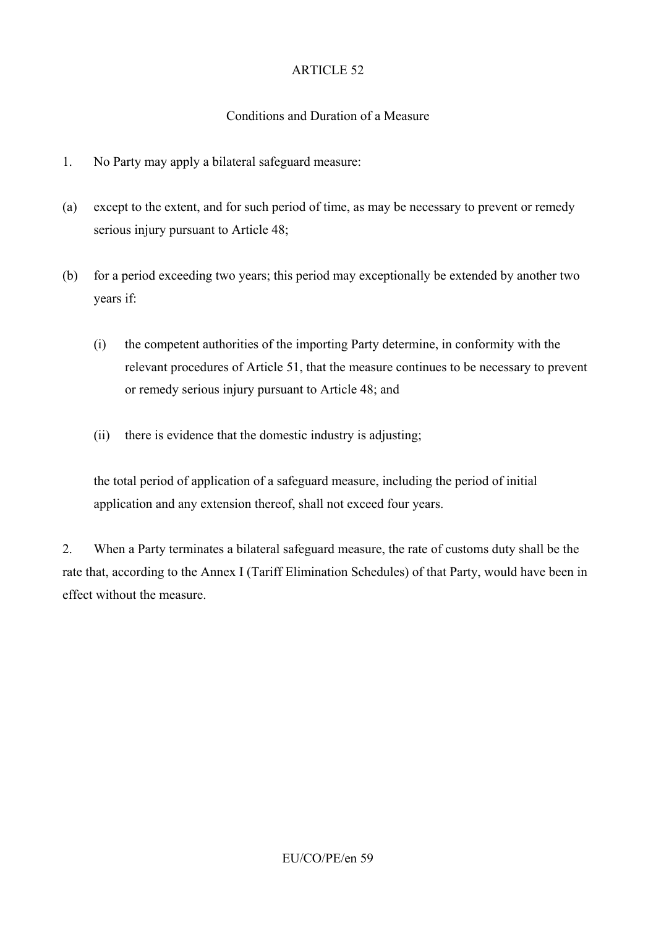### Conditions and Duration of a Measure

- 1. No Party may apply a bilateral safeguard measure:
- (a) except to the extent, and for such period of time, as may be necessary to prevent or remedy serious injury pursuant to Article 48;
- (b) for a period exceeding two years; this period may exceptionally be extended by another two years if:
	- (i) the competent authorities of the importing Party determine, in conformity with the relevant procedures of Article 51, that the measure continues to be necessary to prevent or remedy serious injury pursuant to Article 48; and
	- (ii) there is evidence that the domestic industry is adjusting;

the total period of application of a safeguard measure, including the period of initial application and any extension thereof, shall not exceed four years.

2. When a Party terminates a bilateral safeguard measure, the rate of customs duty shall be the rate that, according to the Annex I (Tariff Elimination Schedules) of that Party, would have been in effect without the measure.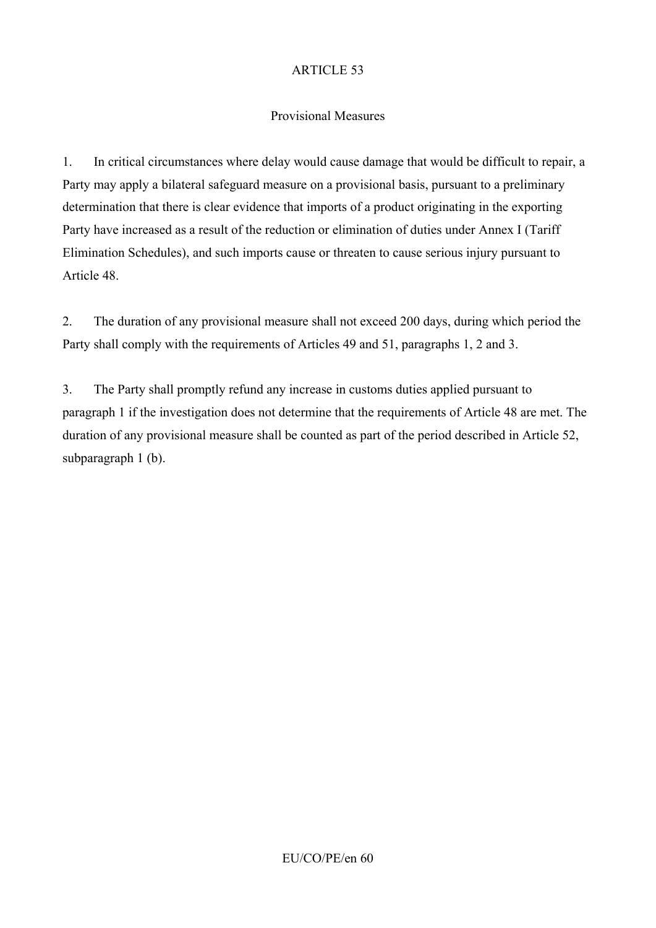# Provisional Measures

1. In critical circumstances where delay would cause damage that would be difficult to repair, a Party may apply a bilateral safeguard measure on a provisional basis, pursuant to a preliminary determination that there is clear evidence that imports of a product originating in the exporting Party have increased as a result of the reduction or elimination of duties under Annex I (Tariff Elimination Schedules), and such imports cause or threaten to cause serious injury pursuant to Article 48.

2. The duration of any provisional measure shall not exceed 200 days, during which period the Party shall comply with the requirements of Articles 49 and 51, paragraphs 1, 2 and 3.

3. The Party shall promptly refund any increase in customs duties applied pursuant to paragraph 1 if the investigation does not determine that the requirements of Article 48 are met. The duration of any provisional measure shall be counted as part of the period described in Article 52, subparagraph 1 (b).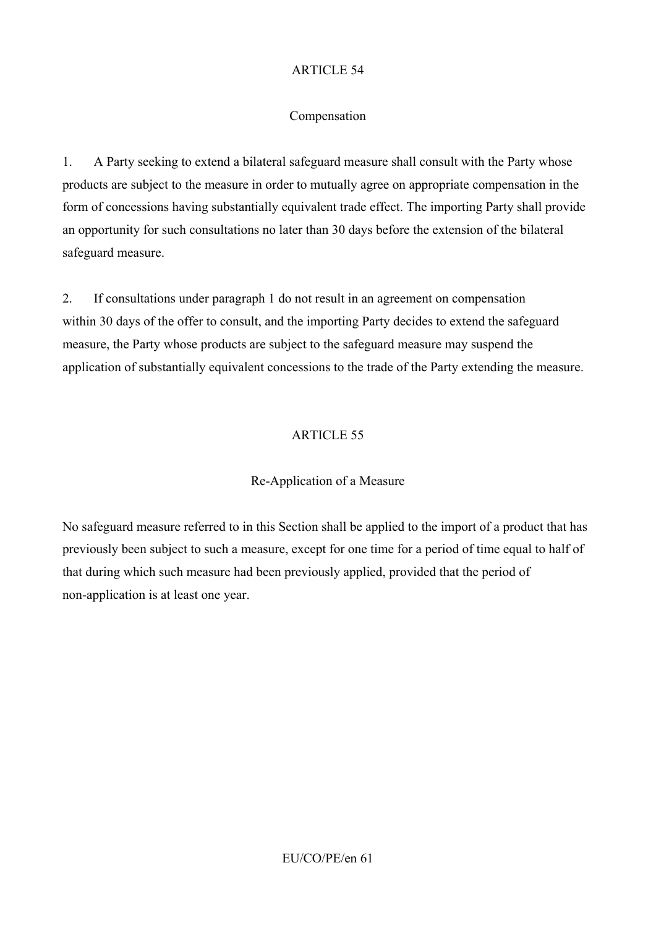### Compensation

1. A Party seeking to extend a bilateral safeguard measure shall consult with the Party whose products are subject to the measure in order to mutually agree on appropriate compensation in the form of concessions having substantially equivalent trade effect. The importing Party shall provide an opportunity for such consultations no later than 30 days before the extension of the bilateral safeguard measure.

2. If consultations under paragraph 1 do not result in an agreement on compensation within 30 days of the offer to consult, and the importing Party decides to extend the safeguard measure, the Party whose products are subject to the safeguard measure may suspend the application of substantially equivalent concessions to the trade of the Party extending the measure.

# ARTICLE 55

# Re-Application of a Measure

No safeguard measure referred to in this Section shall be applied to the import of a product that has previously been subject to such a measure, except for one time for a period of time equal to half of that during which such measure had been previously applied, provided that the period of non-application is at least one year.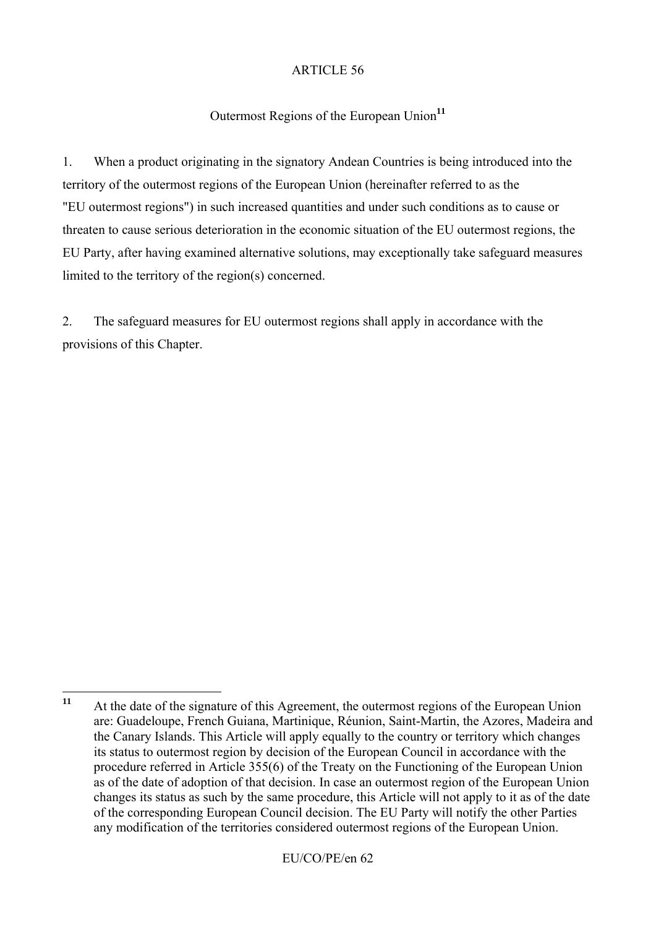### Outermost Regions of the European Union<sup>11</sup>

1. When a product originating in the signatory Andean Countries is being introduced into the territory of the outermost regions of the European Union (hereinafter referred to as the "EU outermost regions") in such increased quantities and under such conditions as to cause or threaten to cause serious deterioration in the economic situation of the EU outermost regions, the EU Party, after having examined alternative solutions, may exceptionally take safeguard measures limited to the territory of the region(s) concerned.

2. The safeguard measures for EU outermost regions shall apply in accordance with the provisions of this Chapter.

 $11$ **<sup>11</sup>** At the date of the signature of this Agreement, the outermost regions of the European Union are: Guadeloupe, French Guiana, Martinique, Réunion, Saint-Martin, the Azores, Madeira and the Canary Islands. This Article will apply equally to the country or territory which changes its status to outermost region by decision of the European Council in accordance with the procedure referred in Article 355(6) of the Treaty on the Functioning of the European Union as of the date of adoption of that decision. In case an outermost region of the European Union changes its status as such by the same procedure, this Article will not apply to it as of the date of the corresponding European Council decision. The EU Party will notify the other Parties any modification of the territories considered outermost regions of the European Union.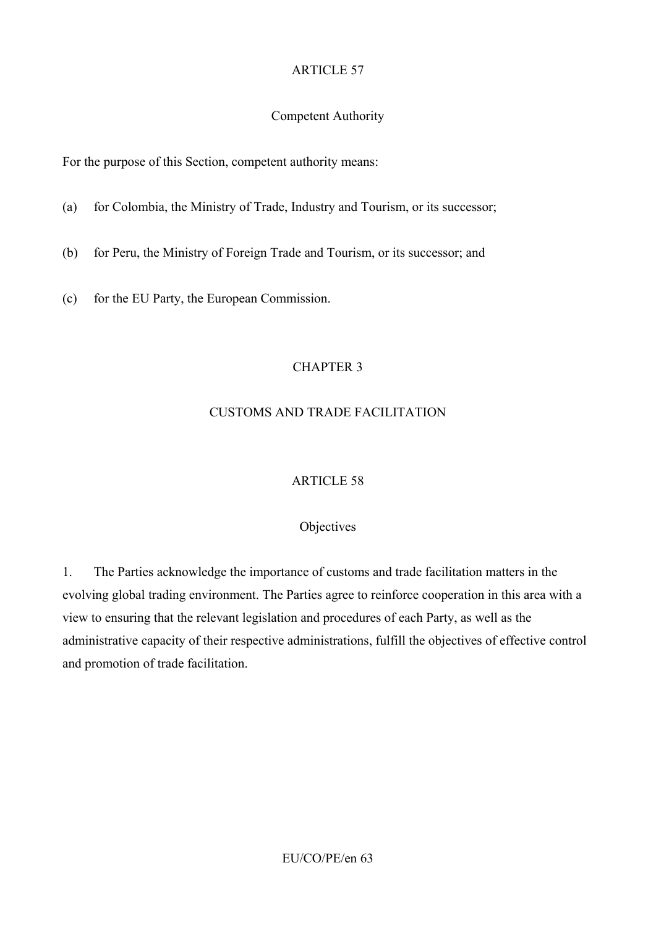### Competent Authority

For the purpose of this Section, competent authority means:

- (a) for Colombia, the Ministry of Trade, Industry and Tourism, or its successor;
- (b) for Peru, the Ministry of Foreign Trade and Tourism, or its successor; and
- (c) for the EU Party, the European Commission.

# CHAPTER 3

# CUSTOMS AND TRADE FACILITATION

# ARTICLE 58

# **Objectives**

1. The Parties acknowledge the importance of customs and trade facilitation matters in the evolving global trading environment. The Parties agree to reinforce cooperation in this area with a view to ensuring that the relevant legislation and procedures of each Party, as well as the administrative capacity of their respective administrations, fulfill the objectives of effective control and promotion of trade facilitation.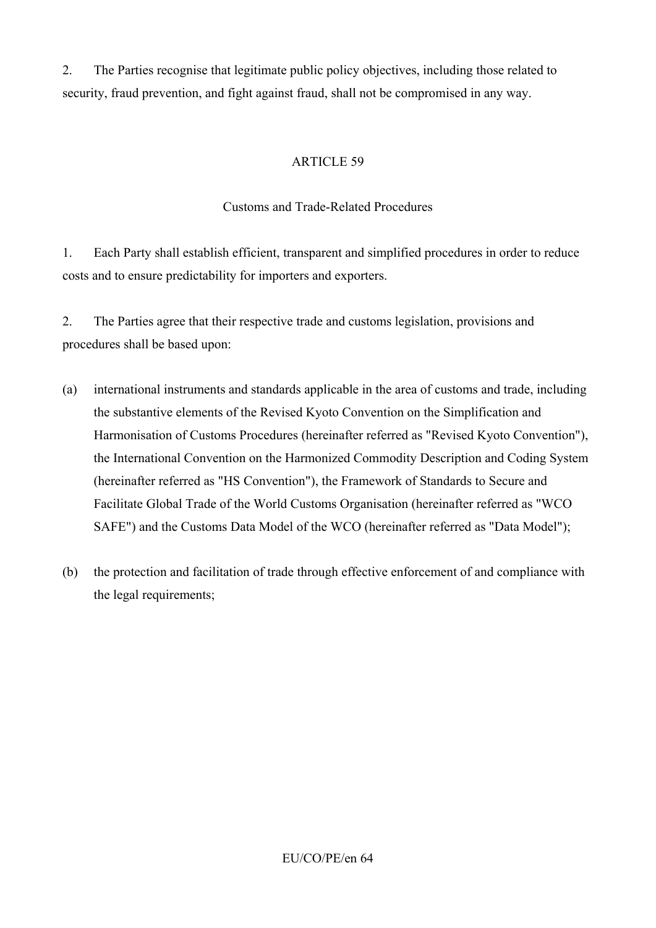2. The Parties recognise that legitimate public policy objectives, including those related to security, fraud prevention, and fight against fraud, shall not be compromised in any way.

## ARTICLE 59

### Customs and Trade-Related Procedures

1. Each Party shall establish efficient, transparent and simplified procedures in order to reduce costs and to ensure predictability for importers and exporters.

2. The Parties agree that their respective trade and customs legislation, provisions and procedures shall be based upon:

- (a) international instruments and standards applicable in the area of customs and trade, including the substantive elements of the Revised Kyoto Convention on the Simplification and Harmonisation of Customs Procedures (hereinafter referred as "Revised Kyoto Convention"), the International Convention on the Harmonized Commodity Description and Coding System (hereinafter referred as "HS Convention"), the Framework of Standards to Secure and Facilitate Global Trade of the World Customs Organisation (hereinafter referred as "WCO SAFE") and the Customs Data Model of the WCO (hereinafter referred as "Data Model");
- (b) the protection and facilitation of trade through effective enforcement of and compliance with the legal requirements;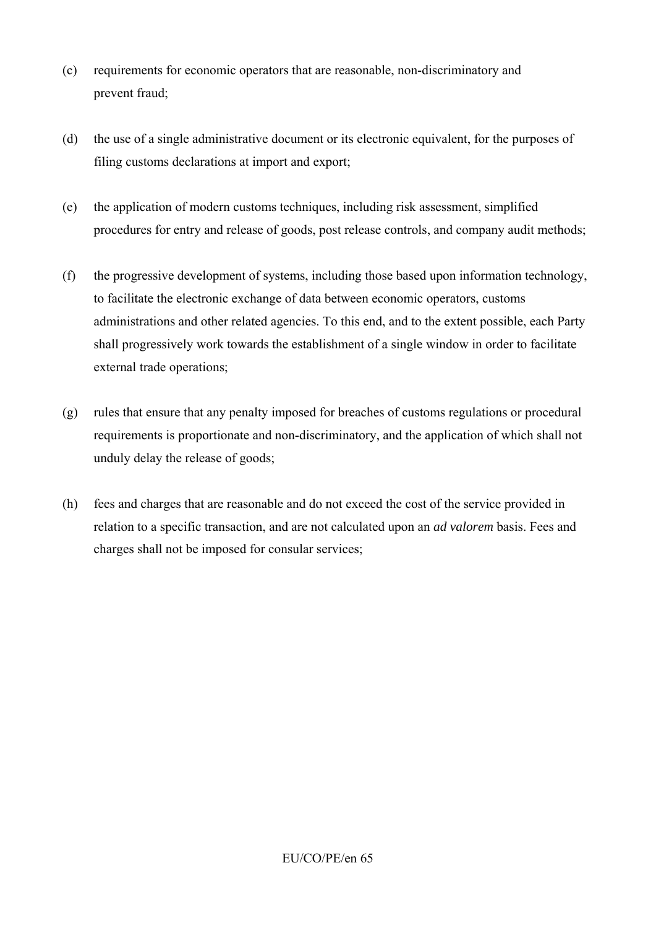- (c) requirements for economic operators that are reasonable, non-discriminatory and prevent fraud;
- (d) the use of a single administrative document or its electronic equivalent, for the purposes of filing customs declarations at import and export;
- (e) the application of modern customs techniques, including risk assessment, simplified procedures for entry and release of goods, post release controls, and company audit methods;
- (f) the progressive development of systems, including those based upon information technology, to facilitate the electronic exchange of data between economic operators, customs administrations and other related agencies. To this end, and to the extent possible, each Party shall progressively work towards the establishment of a single window in order to facilitate external trade operations;
- (g) rules that ensure that any penalty imposed for breaches of customs regulations or procedural requirements is proportionate and non-discriminatory, and the application of which shall not unduly delay the release of goods;
- (h) fees and charges that are reasonable and do not exceed the cost of the service provided in relation to a specific transaction, and are not calculated upon an *ad valorem* basis. Fees and charges shall not be imposed for consular services;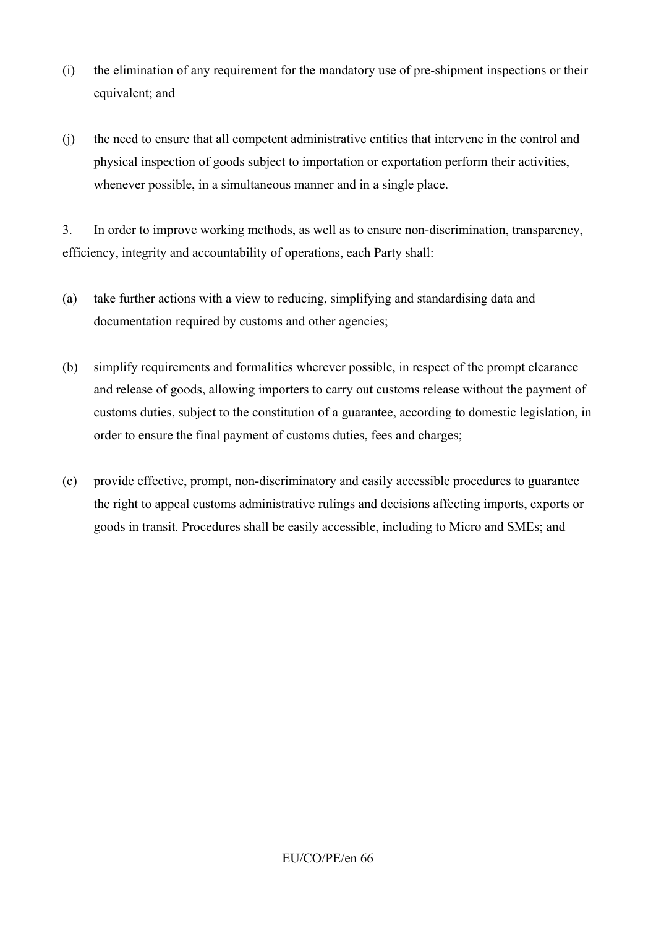- (i) the elimination of any requirement for the mandatory use of pre-shipment inspections or their equivalent; and
- (j) the need to ensure that all competent administrative entities that intervene in the control and physical inspection of goods subject to importation or exportation perform their activities, whenever possible, in a simultaneous manner and in a single place.

3. In order to improve working methods, as well as to ensure non-discrimination, transparency, efficiency, integrity and accountability of operations, each Party shall:

- (a) take further actions with a view to reducing, simplifying and standardising data and documentation required by customs and other agencies;
- (b) simplify requirements and formalities wherever possible, in respect of the prompt clearance and release of goods, allowing importers to carry out customs release without the payment of customs duties, subject to the constitution of a guarantee, according to domestic legislation, in order to ensure the final payment of customs duties, fees and charges;
- (c) provide effective, prompt, non-discriminatory and easily accessible procedures to guarantee the right to appeal customs administrative rulings and decisions affecting imports, exports or goods in transit. Procedures shall be easily accessible, including to Micro and SMEs; and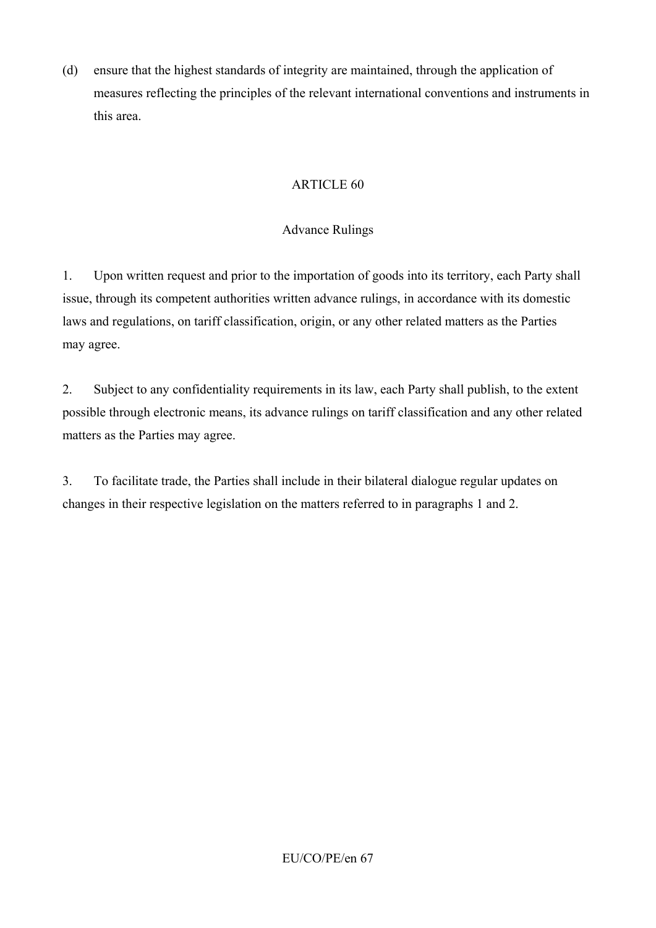(d) ensure that the highest standards of integrity are maintained, through the application of measures reflecting the principles of the relevant international conventions and instruments in this area.

# ARTICLE 60

# Advance Rulings

1. Upon written request and prior to the importation of goods into its territory, each Party shall issue, through its competent authorities written advance rulings, in accordance with its domestic laws and regulations, on tariff classification, origin, or any other related matters as the Parties may agree.

2. Subject to any confidentiality requirements in its law, each Party shall publish, to the extent possible through electronic means, its advance rulings on tariff classification and any other related matters as the Parties may agree.

3. To facilitate trade, the Parties shall include in their bilateral dialogue regular updates on changes in their respective legislation on the matters referred to in paragraphs 1 and 2.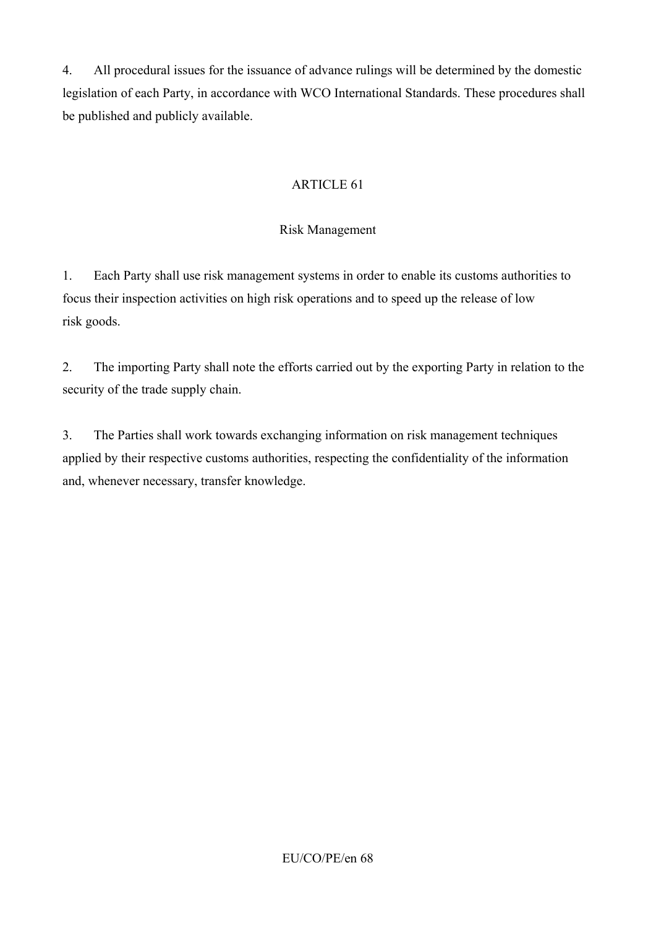4. All procedural issues for the issuance of advance rulings will be determined by the domestic legislation of each Party, in accordance with WCO International Standards. These procedures shall be published and publicly available.

# ARTICLE 61

## Risk Management

1. Each Party shall use risk management systems in order to enable its customs authorities to focus their inspection activities on high risk operations and to speed up the release of low risk goods.

2. The importing Party shall note the efforts carried out by the exporting Party in relation to the security of the trade supply chain.

3. The Parties shall work towards exchanging information on risk management techniques applied by their respective customs authorities, respecting the confidentiality of the information and, whenever necessary, transfer knowledge.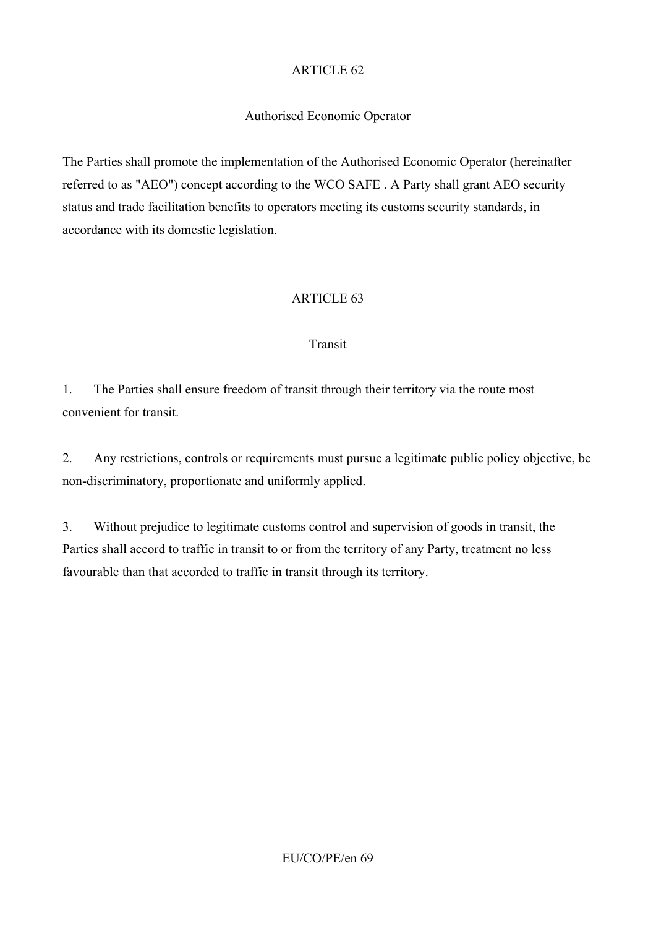# Authorised Economic Operator

The Parties shall promote the implementation of the Authorised Economic Operator (hereinafter referred to as "AEO") concept according to the WCO SAFE . A Party shall grant AEO security status and trade facilitation benefits to operators meeting its customs security standards, in accordance with its domestic legislation.

# ARTICLE 63

### Transit

1. The Parties shall ensure freedom of transit through their territory via the route most convenient for transit.

2. Any restrictions, controls or requirements must pursue a legitimate public policy objective, be non-discriminatory, proportionate and uniformly applied.

3. Without prejudice to legitimate customs control and supervision of goods in transit, the Parties shall accord to traffic in transit to or from the territory of any Party, treatment no less favourable than that accorded to traffic in transit through its territory.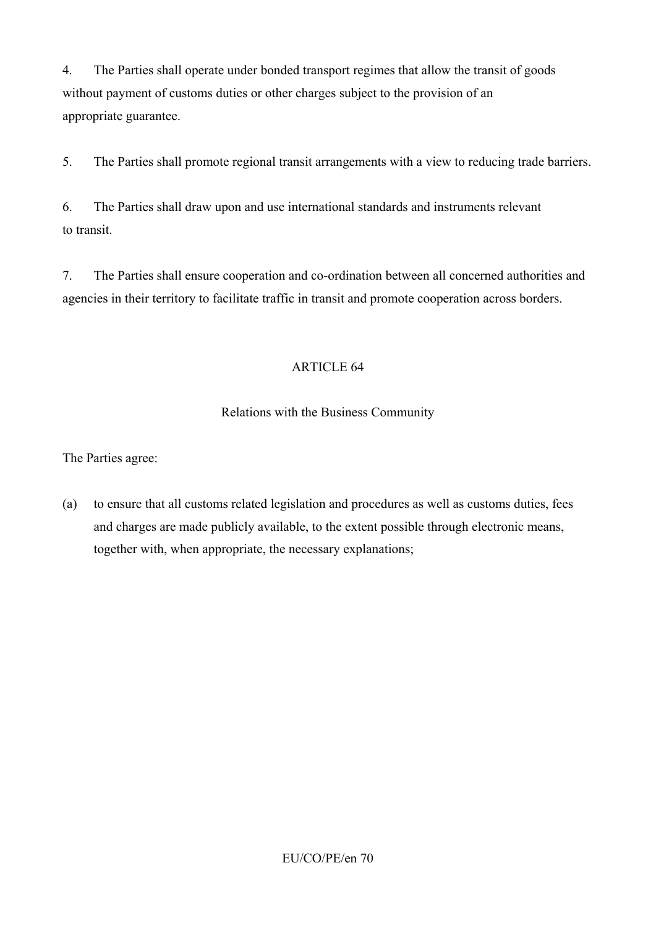4. The Parties shall operate under bonded transport regimes that allow the transit of goods without payment of customs duties or other charges subject to the provision of an appropriate guarantee.

5. The Parties shall promote regional transit arrangements with a view to reducing trade barriers.

6. The Parties shall draw upon and use international standards and instruments relevant to transit.

7. The Parties shall ensure cooperation and co-ordination between all concerned authorities and agencies in their territory to facilitate traffic in transit and promote cooperation across borders.

# ARTICLE 64

# Relations with the Business Community

The Parties agree:

(a) to ensure that all customs related legislation and procedures as well as customs duties, fees and charges are made publicly available, to the extent possible through electronic means, together with, when appropriate, the necessary explanations;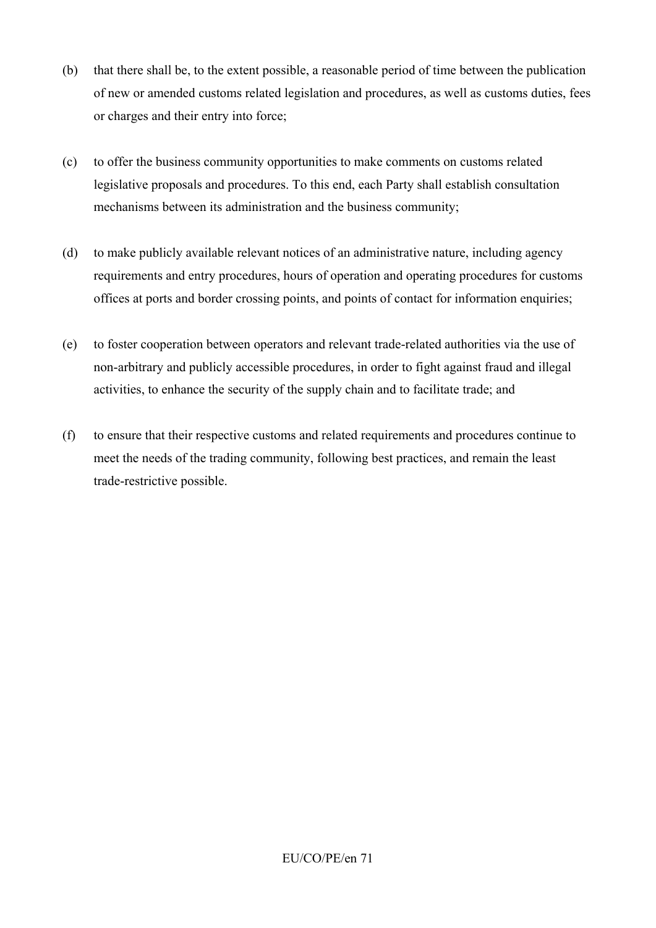- (b) that there shall be, to the extent possible, a reasonable period of time between the publication of new or amended customs related legislation and procedures, as well as customs duties, fees or charges and their entry into force;
- (c) to offer the business community opportunities to make comments on customs related legislative proposals and procedures. To this end, each Party shall establish consultation mechanisms between its administration and the business community;
- (d) to make publicly available relevant notices of an administrative nature, including agency requirements and entry procedures, hours of operation and operating procedures for customs offices at ports and border crossing points, and points of contact for information enquiries;
- (e) to foster cooperation between operators and relevant trade-related authorities via the use of non-arbitrary and publicly accessible procedures, in order to fight against fraud and illegal activities, to enhance the security of the supply chain and to facilitate trade; and
- (f) to ensure that their respective customs and related requirements and procedures continue to meet the needs of the trading community, following best practices, and remain the least trade-restrictive possible.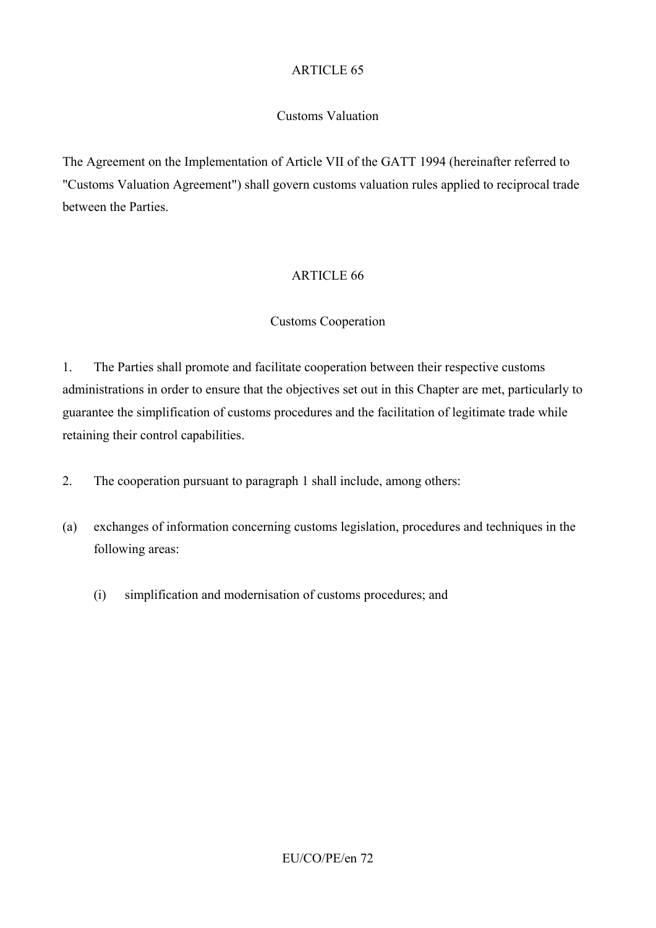## Customs Valuation

The Agreement on the Implementation of Article VII of the GATT 1994 (hereinafter referred to "Customs Valuation Agreement") shall govern customs valuation rules applied to reciprocal trade between the Parties.

## ARTICLE 66

## Customs Cooperation

1. The Parties shall promote and facilitate cooperation between their respective customs administrations in order to ensure that the objectives set out in this Chapter are met, particularly to guarantee the simplification of customs procedures and the facilitation of legitimate trade while retaining their control capabilities.

- 2. The cooperation pursuant to paragraph 1 shall include, among others:
- (a) exchanges of information concerning customs legislation, procedures and techniques in the following areas:
	- (i) simplification and modernisation of customs procedures; and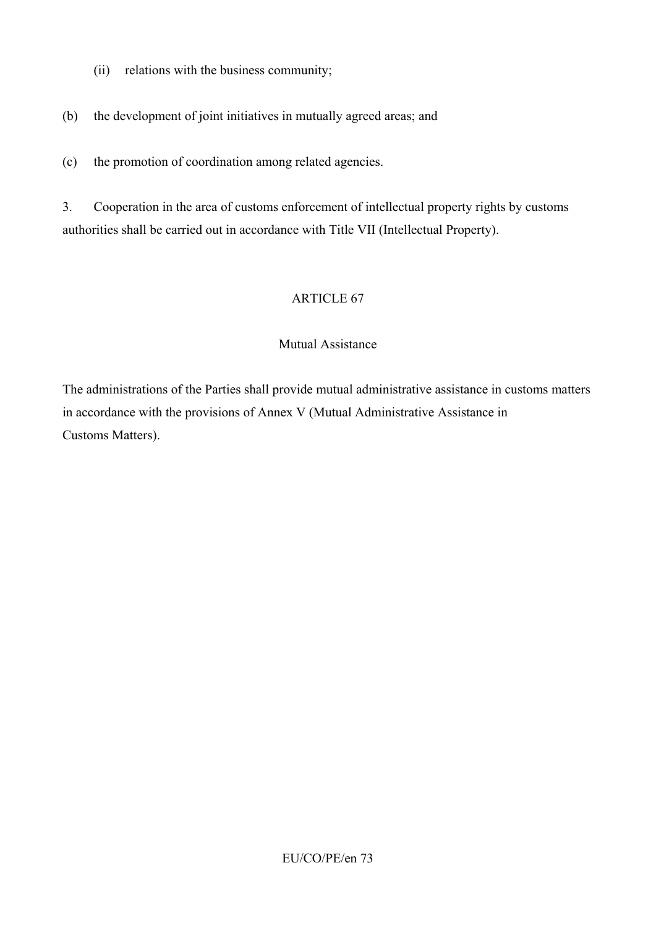- (ii) relations with the business community;
- (b) the development of joint initiatives in mutually agreed areas; and
- (c) the promotion of coordination among related agencies.

3. Cooperation in the area of customs enforcement of intellectual property rights by customs authorities shall be carried out in accordance with Title VII (Intellectual Property).

### ARTICLE 67

#### Mutual Assistance

The administrations of the Parties shall provide mutual administrative assistance in customs matters in accordance with the provisions of Annex V (Mutual Administrative Assistance in Customs Matters).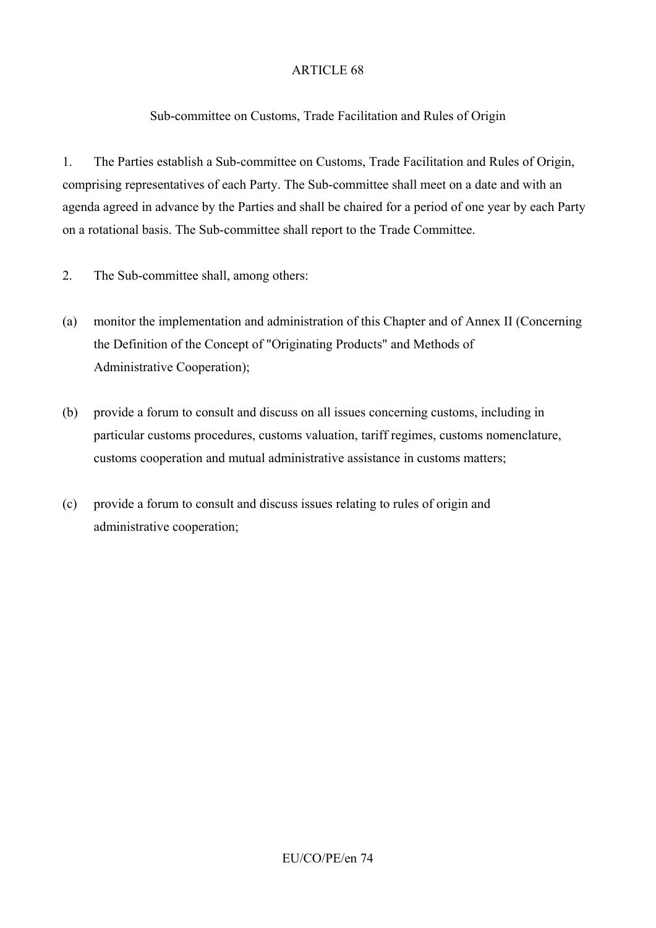### Sub-committee on Customs, Trade Facilitation and Rules of Origin

1. The Parties establish a Sub-committee on Customs, Trade Facilitation and Rules of Origin, comprising representatives of each Party. The Sub-committee shall meet on a date and with an agenda agreed in advance by the Parties and shall be chaired for a period of one year by each Party on a rotational basis. The Sub-committee shall report to the Trade Committee.

- 2. The Sub-committee shall, among others:
- (a) monitor the implementation and administration of this Chapter and of Annex II (Concerning the Definition of the Concept of "Originating Products" and Methods of Administrative Cooperation);
- (b) provide a forum to consult and discuss on all issues concerning customs, including in particular customs procedures, customs valuation, tariff regimes, customs nomenclature, customs cooperation and mutual administrative assistance in customs matters;
- (c) provide a forum to consult and discuss issues relating to rules of origin and administrative cooperation;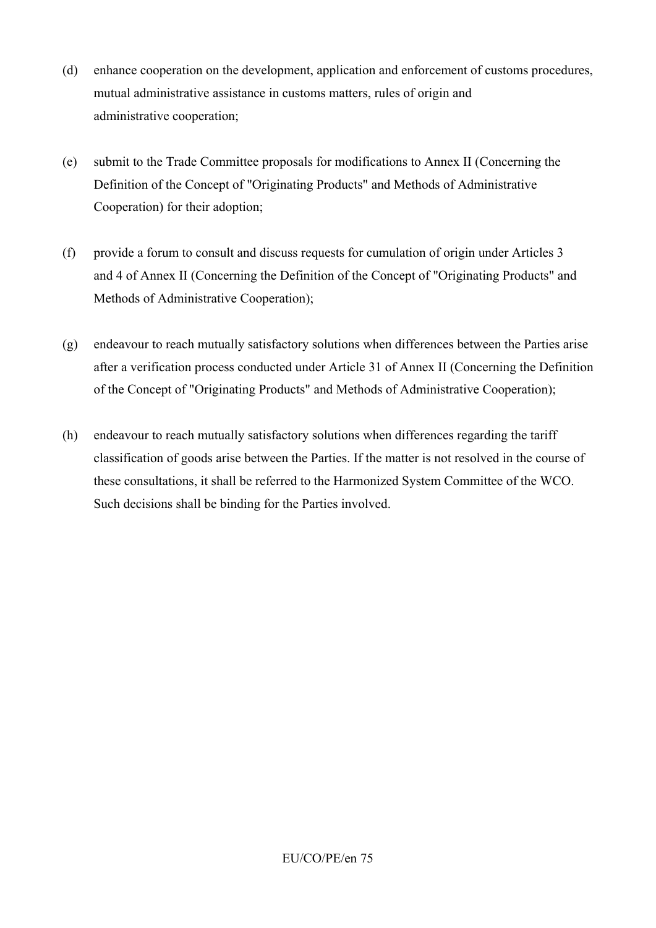- (d) enhance cooperation on the development, application and enforcement of customs procedures, mutual administrative assistance in customs matters, rules of origin and administrative cooperation;
- (e) submit to the Trade Committee proposals for modifications to Annex II (Concerning the Definition of the Concept of "Originating Products" and Methods of Administrative Cooperation) for their adoption;
- (f) provide a forum to consult and discuss requests for cumulation of origin under Articles 3 and 4 of Annex II (Concerning the Definition of the Concept of "Originating Products" and Methods of Administrative Cooperation);
- (g) endeavour to reach mutually satisfactory solutions when differences between the Parties arise after a verification process conducted under Article 31 of Annex II (Concerning the Definition of the Concept of "Originating Products" and Methods of Administrative Cooperation);
- (h) endeavour to reach mutually satisfactory solutions when differences regarding the tariff classification of goods arise between the Parties. If the matter is not resolved in the course of these consultations, it shall be referred to the Harmonized System Committee of the WCO. Such decisions shall be binding for the Parties involved.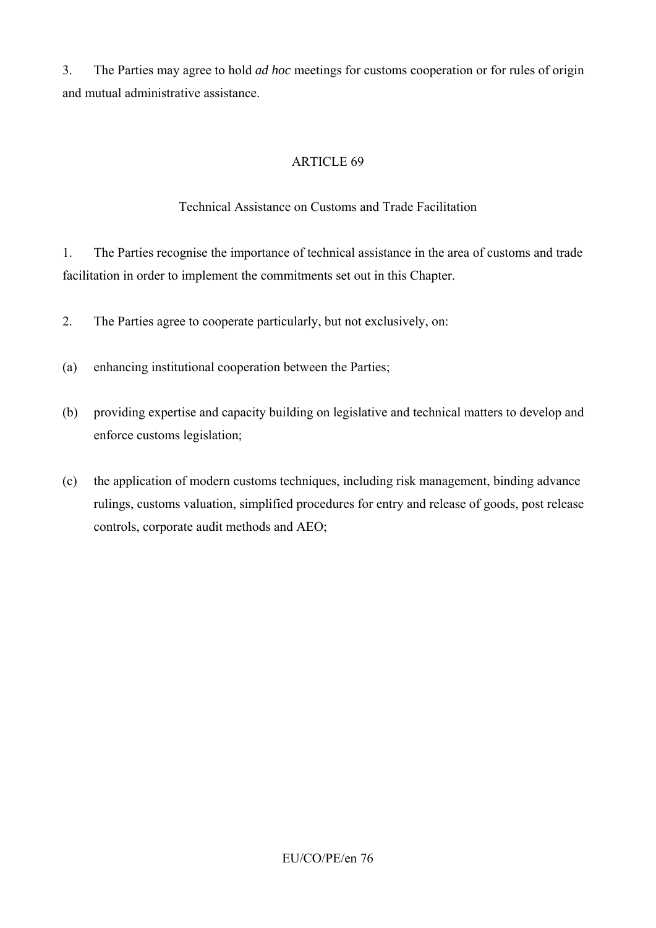3. The Parties may agree to hold *ad hoc* meetings for customs cooperation or for rules of origin and mutual administrative assistance.

### ARTICLE 69

### Technical Assistance on Customs and Trade Facilitation

1. The Parties recognise the importance of technical assistance in the area of customs and trade facilitation in order to implement the commitments set out in this Chapter.

- 2. The Parties agree to cooperate particularly, but not exclusively, on:
- (a) enhancing institutional cooperation between the Parties;
- (b) providing expertise and capacity building on legislative and technical matters to develop and enforce customs legislation;
- (c) the application of modern customs techniques, including risk management, binding advance rulings, customs valuation, simplified procedures for entry and release of goods, post release controls, corporate audit methods and AEO;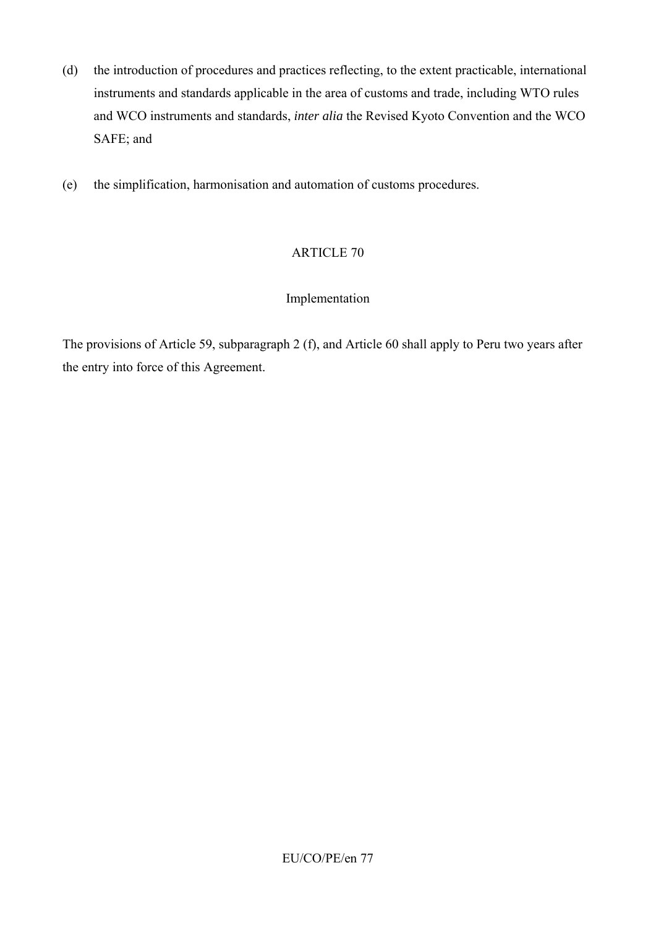- (d) the introduction of procedures and practices reflecting, to the extent practicable, international instruments and standards applicable in the area of customs and trade, including WTO rules and WCO instruments and standards, *inter alia* the Revised Kyoto Convention and the WCO SAFE; and
- (e) the simplification, harmonisation and automation of customs procedures.

### Implementation

The provisions of Article 59, subparagraph 2 (f), and Article 60 shall apply to Peru two years after the entry into force of this Agreement.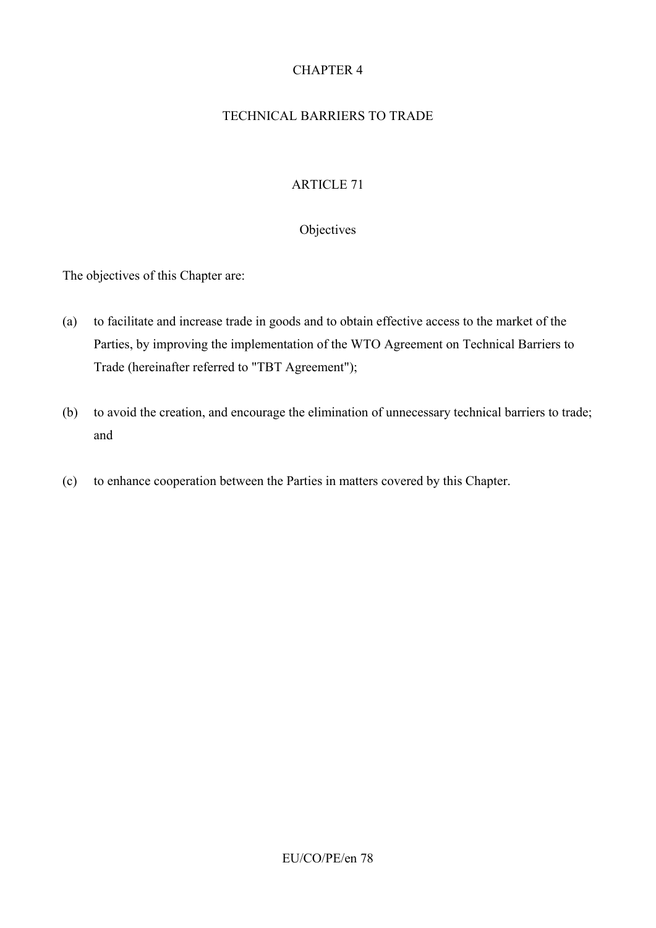# CHAPTER 4

### TECHNICAL BARRIERS TO TRADE

# ARTICLE 71

#### **Objectives**

The objectives of this Chapter are:

- (a) to facilitate and increase trade in goods and to obtain effective access to the market of the Parties, by improving the implementation of the WTO Agreement on Technical Barriers to Trade (hereinafter referred to "TBT Agreement");
- (b) to avoid the creation, and encourage the elimination of unnecessary technical barriers to trade; and
- (c) to enhance cooperation between the Parties in matters covered by this Chapter.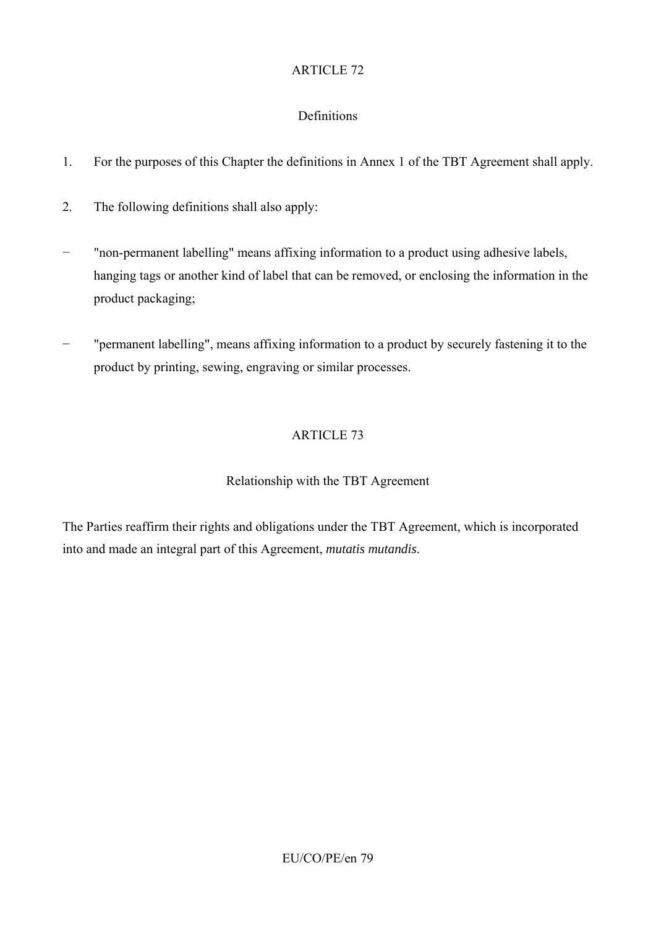# **Definitions**

- 1. For the purposes of this Chapter the definitions in Annex 1 of the TBT Agreement shall apply.
- 2. The following definitions shall also apply:
- − "non-permanent labelling" means affixing information to a product using adhesive labels, hanging tags or another kind of label that can be removed, or enclosing the information in the product packaging;
- − "permanent labelling", means affixing information to a product by securely fastening it to the product by printing, sewing, engraving or similar processes.

# ARTICLE 73

# Relationship with the TBT Agreement

The Parties reaffirm their rights and obligations under the TBT Agreement, which is incorporated into and made an integral part of this Agreement, *mutatis mutandis*.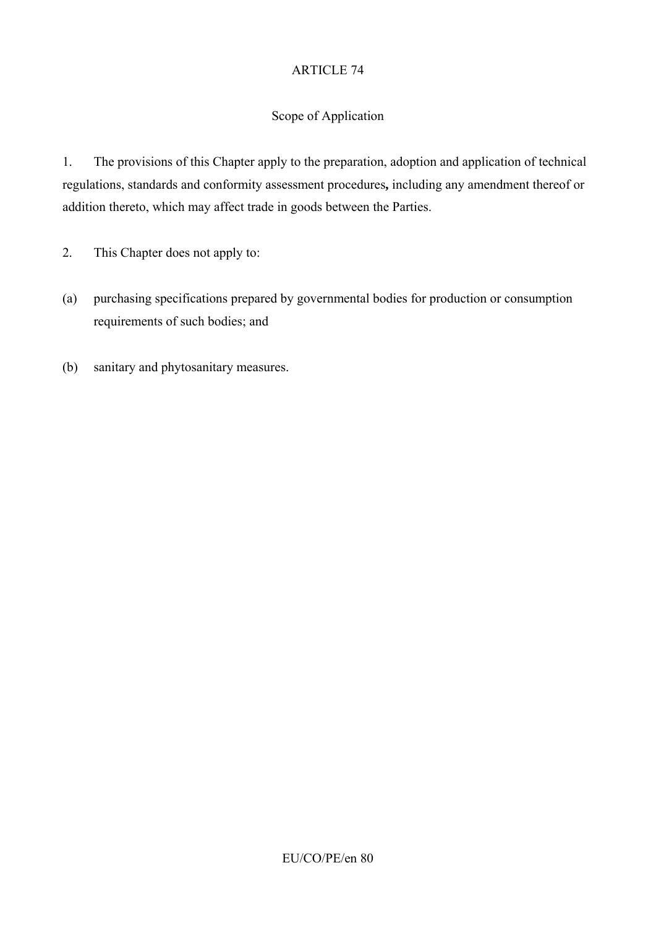# Scope of Application

1. The provisions of this Chapter apply to the preparation, adoption and application of technical regulations, standards and conformity assessment procedures**,** including any amendment thereof or addition thereto, which may affect trade in goods between the Parties.

2. This Chapter does not apply to:

- (a) purchasing specifications prepared by governmental bodies for production or consumption requirements of such bodies; and
- (b) sanitary and phytosanitary measures.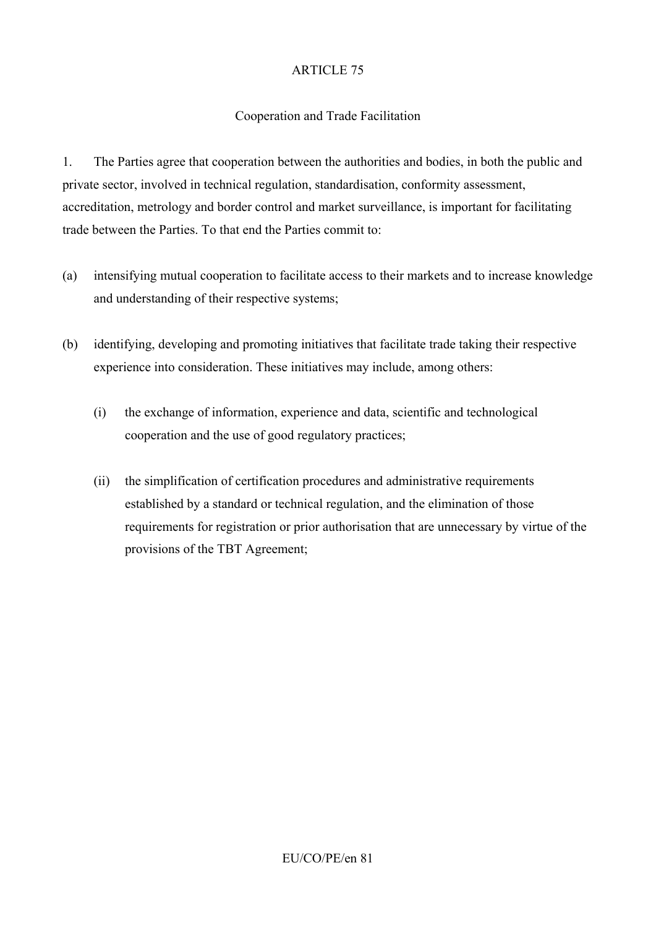# Cooperation and Trade Facilitation

1. The Parties agree that cooperation between the authorities and bodies, in both the public and private sector, involved in technical regulation, standardisation, conformity assessment, accreditation, metrology and border control and market surveillance, is important for facilitating trade between the Parties. To that end the Parties commit to:

- (a) intensifying mutual cooperation to facilitate access to their markets and to increase knowledge and understanding of their respective systems;
- (b) identifying, developing and promoting initiatives that facilitate trade taking their respective experience into consideration. These initiatives may include, among others:
	- (i) the exchange of information, experience and data, scientific and technological cooperation and the use of good regulatory practices;
	- (ii) the simplification of certification procedures and administrative requirements established by a standard or technical regulation, and the elimination of those requirements for registration or prior authorisation that are unnecessary by virtue of the provisions of the TBT Agreement;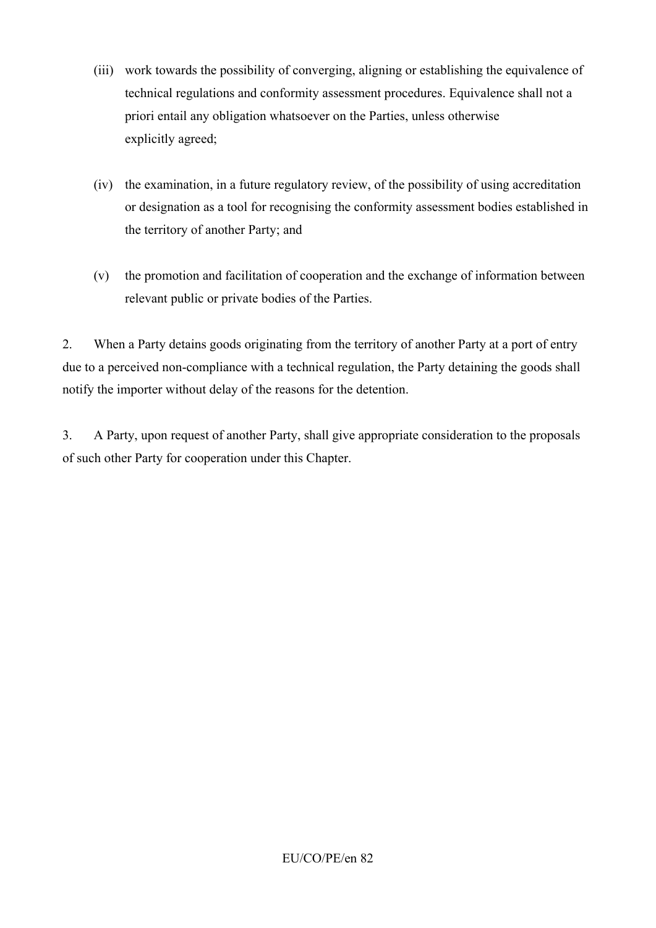- (iii) work towards the possibility of converging, aligning or establishing the equivalence of technical regulations and conformity assessment procedures. Equivalence shall not a priori entail any obligation whatsoever on the Parties, unless otherwise explicitly agreed;
- (iv) the examination, in a future regulatory review, of the possibility of using accreditation or designation as a tool for recognising the conformity assessment bodies established in the territory of another Party; and
- (v) the promotion and facilitation of cooperation and the exchange of information between relevant public or private bodies of the Parties.

2. When a Party detains goods originating from the territory of another Party at a port of entry due to a perceived non-compliance with a technical regulation, the Party detaining the goods shall notify the importer without delay of the reasons for the detention.

3. A Party, upon request of another Party, shall give appropriate consideration to the proposals of such other Party for cooperation under this Chapter.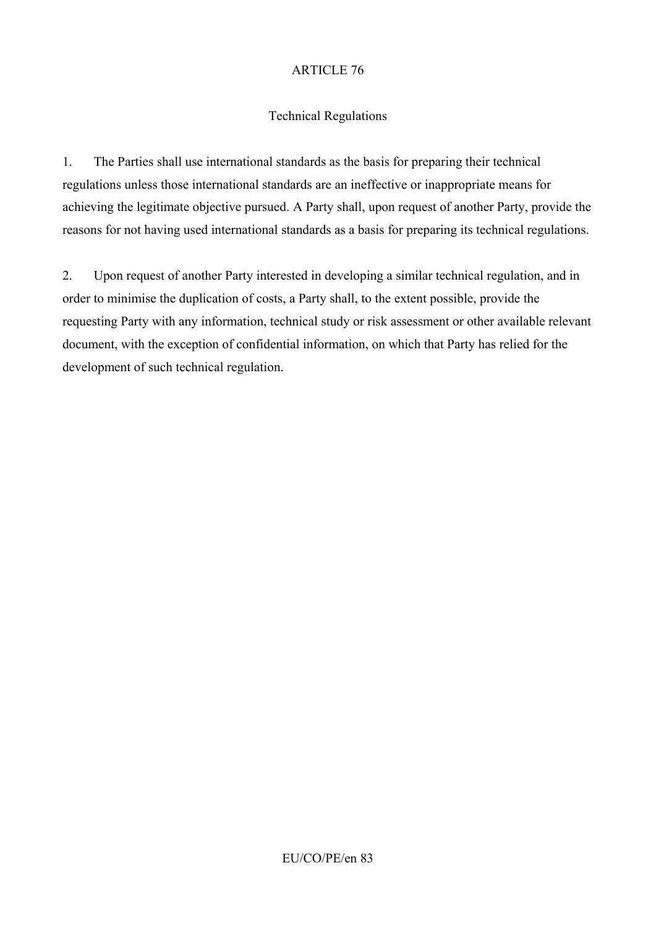### Technical Regulations

1. The Parties shall use international standards as the basis for preparing their technical regulations unless those international standards are an ineffective or inappropriate means for achieving the legitimate objective pursued. A Party shall, upon request of another Party, provide the reasons for not having used international standards as a basis for preparing its technical regulations.

2. Upon request of another Party interested in developing a similar technical regulation, and in order to minimise the duplication of costs, a Party shall, to the extent possible, provide the requesting Party with any information, technical study or risk assessment or other available relevant document, with the exception of confidential information, on which that Party has relied for the development of such technical regulation.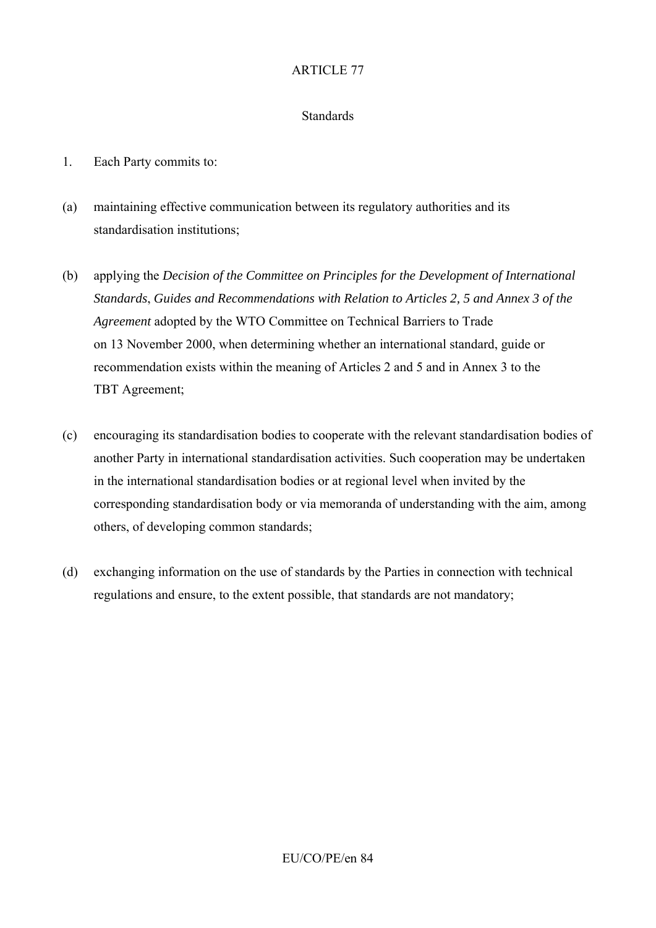#### **Standards**

- 1. Each Party commits to:
- (a) maintaining effective communication between its regulatory authorities and its standardisation institutions;
- (b) applying the *Decision of the Committee on Principles for the Development of International Standards*, *Guides and Recommendations with Relation to Articles 2, 5 and Annex 3 of the Agreement* adopted by the WTO Committee on Technical Barriers to Trade on 13 November 2000, when determining whether an international standard, guide or recommendation exists within the meaning of Articles 2 and 5 and in Annex 3 to the TBT Agreement;
- (c) encouraging its standardisation bodies to cooperate with the relevant standardisation bodies of another Party in international standardisation activities. Such cooperation may be undertaken in the international standardisation bodies or at regional level when invited by the corresponding standardisation body or via memoranda of understanding with the aim, among others, of developing common standards;
- (d) exchanging information on the use of standards by the Parties in connection with technical regulations and ensure, to the extent possible, that standards are not mandatory;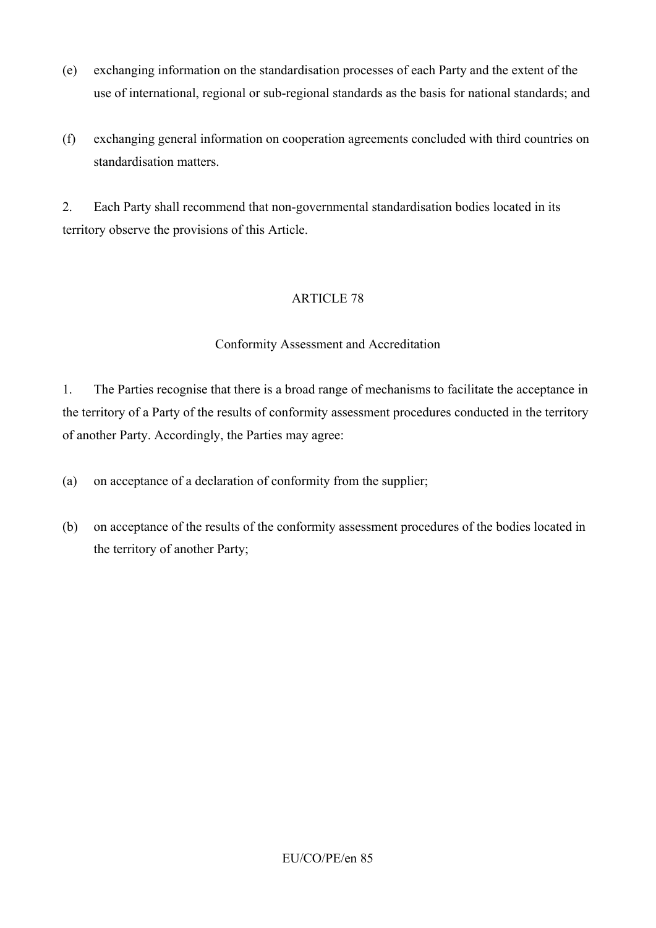- (e) exchanging information on the standardisation processes of each Party and the extent of the use of international, regional or sub-regional standards as the basis for national standards; and
- (f) exchanging general information on cooperation agreements concluded with third countries on standardisation matters.

2. Each Party shall recommend that non-governmental standardisation bodies located in its territory observe the provisions of this Article.

### ARTICLE 78

### Conformity Assessment and Accreditation

1. The Parties recognise that there is a broad range of mechanisms to facilitate the acceptance in the territory of a Party of the results of conformity assessment procedures conducted in the territory of another Party. Accordingly, the Parties may agree:

(a) on acceptance of a declaration of conformity from the supplier;

(b) on acceptance of the results of the conformity assessment procedures of the bodies located in the territory of another Party;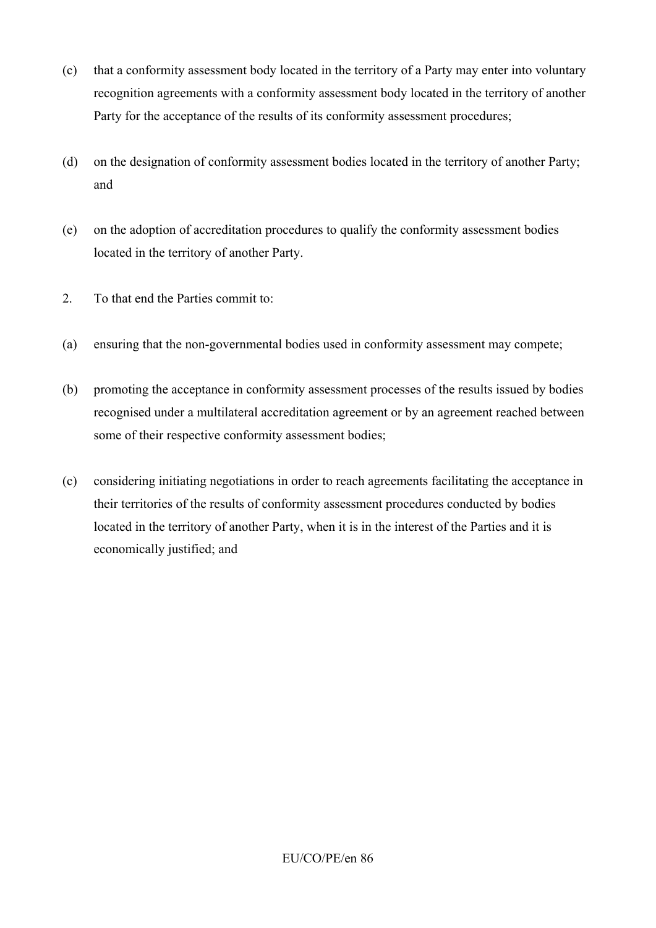- (c) that a conformity assessment body located in the territory of a Party may enter into voluntary recognition agreements with a conformity assessment body located in the territory of another Party for the acceptance of the results of its conformity assessment procedures;
- (d) on the designation of conformity assessment bodies located in the territory of another Party; and
- (e) on the adoption of accreditation procedures to qualify the conformity assessment bodies located in the territory of another Party.
- 2. To that end the Parties commit to:
- (a) ensuring that the non-governmental bodies used in conformity assessment may compete;
- (b) promoting the acceptance in conformity assessment processes of the results issued by bodies recognised under a multilateral accreditation agreement or by an agreement reached between some of their respective conformity assessment bodies;
- (c) considering initiating negotiations in order to reach agreements facilitating the acceptance in their territories of the results of conformity assessment procedures conducted by bodies located in the territory of another Party, when it is in the interest of the Parties and it is economically justified; and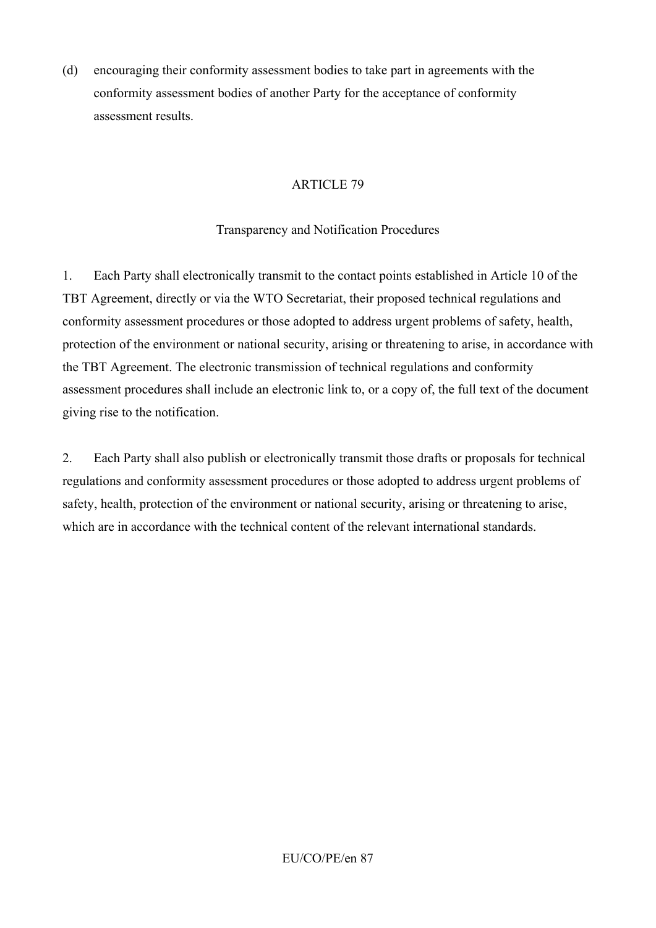(d) encouraging their conformity assessment bodies to take part in agreements with the conformity assessment bodies of another Party for the acceptance of conformity assessment results.

# ARTICLE 79

# Transparency and Notification Procedures

1. Each Party shall electronically transmit to the contact points established in Article 10 of the TBT Agreement, directly or via the WTO Secretariat, their proposed technical regulations and conformity assessment procedures or those adopted to address urgent problems of safety, health, protection of the environment or national security, arising or threatening to arise, in accordance with the TBT Agreement. The electronic transmission of technical regulations and conformity assessment procedures shall include an electronic link to, or a copy of, the full text of the document giving rise to the notification.

2. Each Party shall also publish or electronically transmit those drafts or proposals for technical regulations and conformity assessment procedures or those adopted to address urgent problems of safety, health, protection of the environment or national security, arising or threatening to arise, which are in accordance with the technical content of the relevant international standards.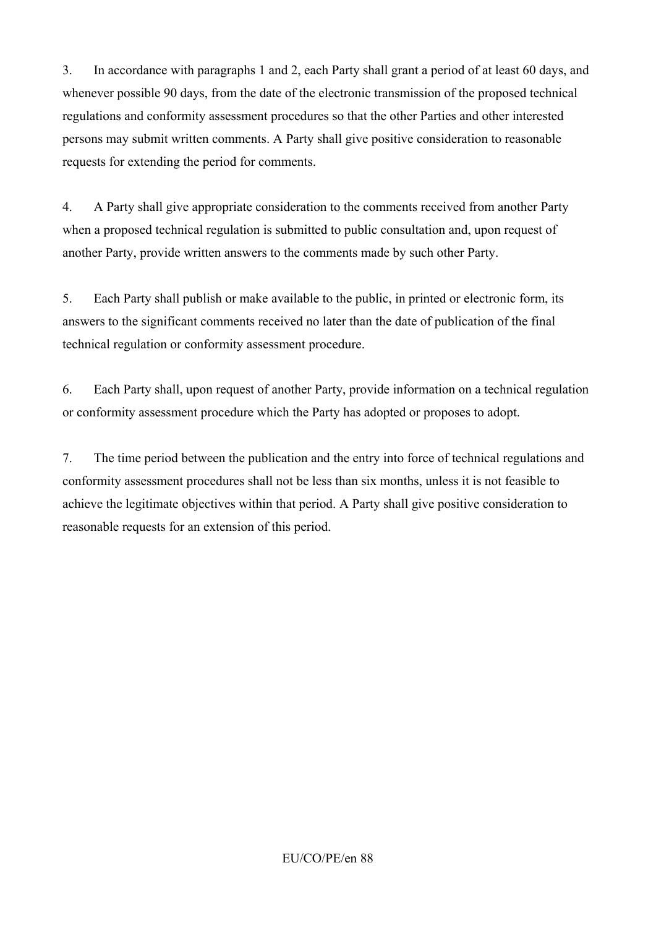3. In accordance with paragraphs 1 and 2, each Party shall grant a period of at least 60 days, and whenever possible 90 days, from the date of the electronic transmission of the proposed technical regulations and conformity assessment procedures so that the other Parties and other interested persons may submit written comments. A Party shall give positive consideration to reasonable requests for extending the period for comments.

4. A Party shall give appropriate consideration to the comments received from another Party when a proposed technical regulation is submitted to public consultation and, upon request of another Party, provide written answers to the comments made by such other Party.

5. Each Party shall publish or make available to the public, in printed or electronic form, its answers to the significant comments received no later than the date of publication of the final technical regulation or conformity assessment procedure.

6. Each Party shall, upon request of another Party, provide information on a technical regulation or conformity assessment procedure which the Party has adopted or proposes to adopt.

7. The time period between the publication and the entry into force of technical regulations and conformity assessment procedures shall not be less than six months, unless it is not feasible to achieve the legitimate objectives within that period. A Party shall give positive consideration to reasonable requests for an extension of this period.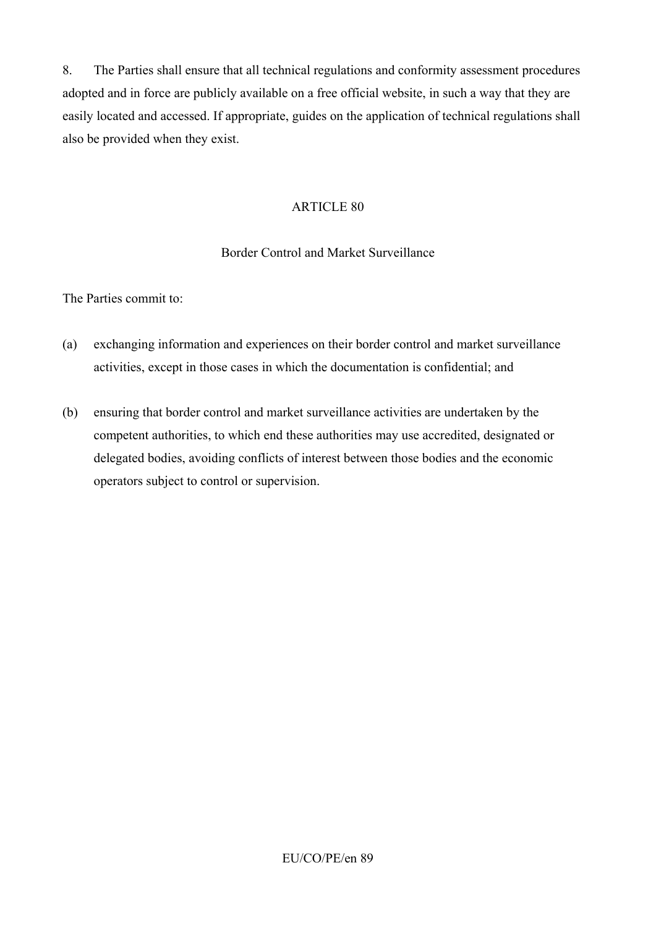8. The Parties shall ensure that all technical regulations and conformity assessment procedures adopted and in force are publicly available on a free official website, in such a way that they are easily located and accessed. If appropriate, guides on the application of technical regulations shall also be provided when they exist.

#### ARTICLE 80

### Border Control and Market Surveillance

The Parties commit to:

- (a) exchanging information and experiences on their border control and market surveillance activities, except in those cases in which the documentation is confidential; and
- (b) ensuring that border control and market surveillance activities are undertaken by the competent authorities, to which end these authorities may use accredited, designated or delegated bodies, avoiding conflicts of interest between those bodies and the economic operators subject to control or supervision.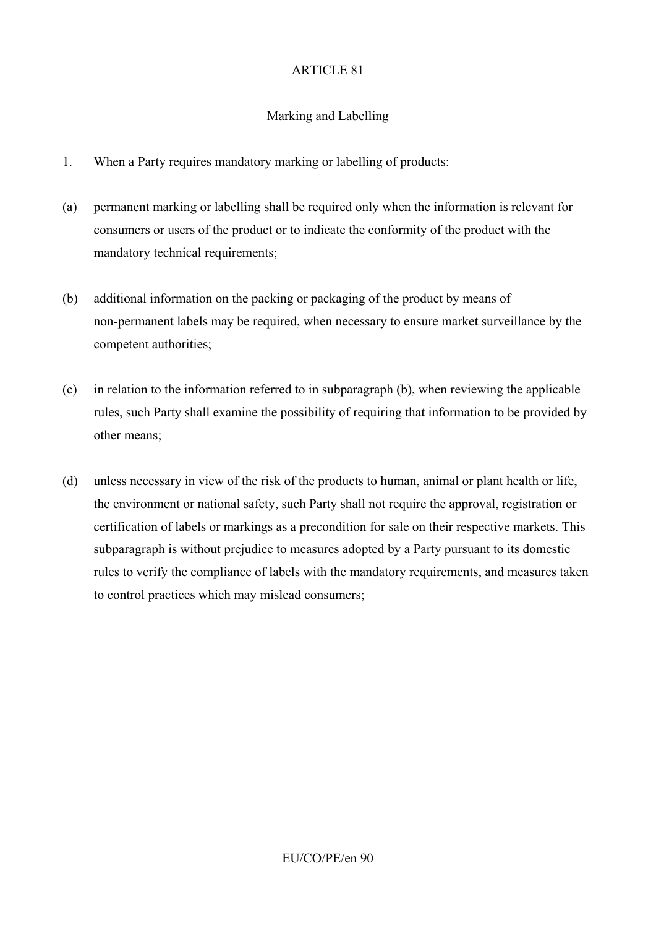# Marking and Labelling

- 1. When a Party requires mandatory marking or labelling of products:
- (a) permanent marking or labelling shall be required only when the information is relevant for consumers or users of the product or to indicate the conformity of the product with the mandatory technical requirements;
- (b) additional information on the packing or packaging of the product by means of non-permanent labels may be required, when necessary to ensure market surveillance by the competent authorities;
- (c) in relation to the information referred to in subparagraph (b), when reviewing the applicable rules, such Party shall examine the possibility of requiring that information to be provided by other means;
- (d) unless necessary in view of the risk of the products to human, animal or plant health or life, the environment or national safety, such Party shall not require the approval, registration or certification of labels or markings as a precondition for sale on their respective markets. This subparagraph is without prejudice to measures adopted by a Party pursuant to its domestic rules to verify the compliance of labels with the mandatory requirements, and measures taken to control practices which may mislead consumers;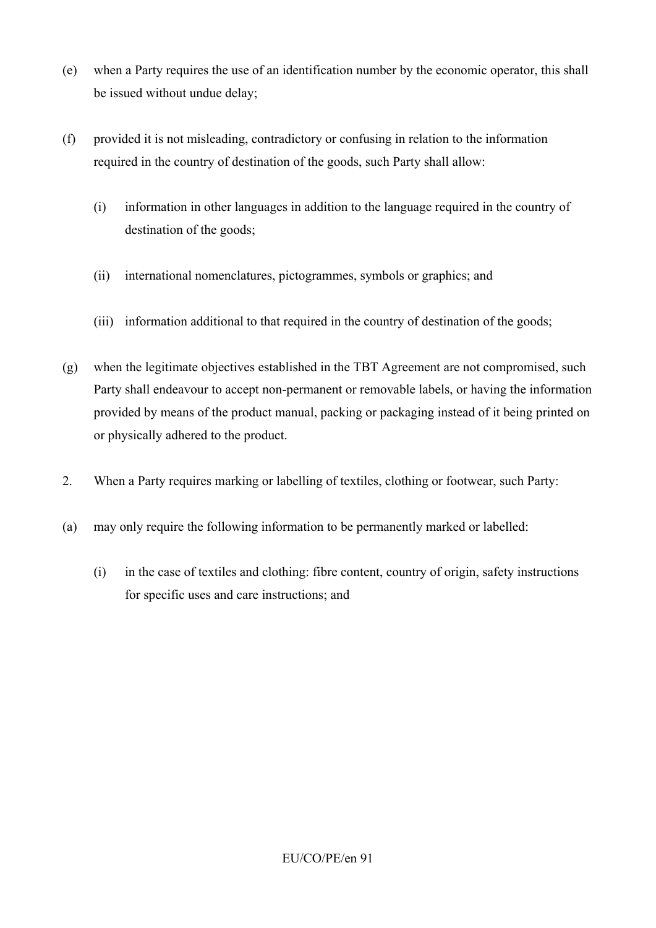- (e) when a Party requires the use of an identification number by the economic operator, this shall be issued without undue delay;
- (f) provided it is not misleading, contradictory or confusing in relation to the information required in the country of destination of the goods, such Party shall allow:
	- (i) information in other languages in addition to the language required in the country of destination of the goods;
	- (ii) international nomenclatures, pictogrammes, symbols or graphics; and
	- (iii) information additional to that required in the country of destination of the goods;
- (g) when the legitimate objectives established in the TBT Agreement are not compromised, such Party shall endeavour to accept non-permanent or removable labels, or having the information provided by means of the product manual, packing or packaging instead of it being printed on or physically adhered to the product.
- 2. When a Party requires marking or labelling of textiles, clothing or footwear, such Party:
- (a) may only require the following information to be permanently marked or labelled:
	- (i) in the case of textiles and clothing: fibre content, country of origin, safety instructions for specific uses and care instructions; and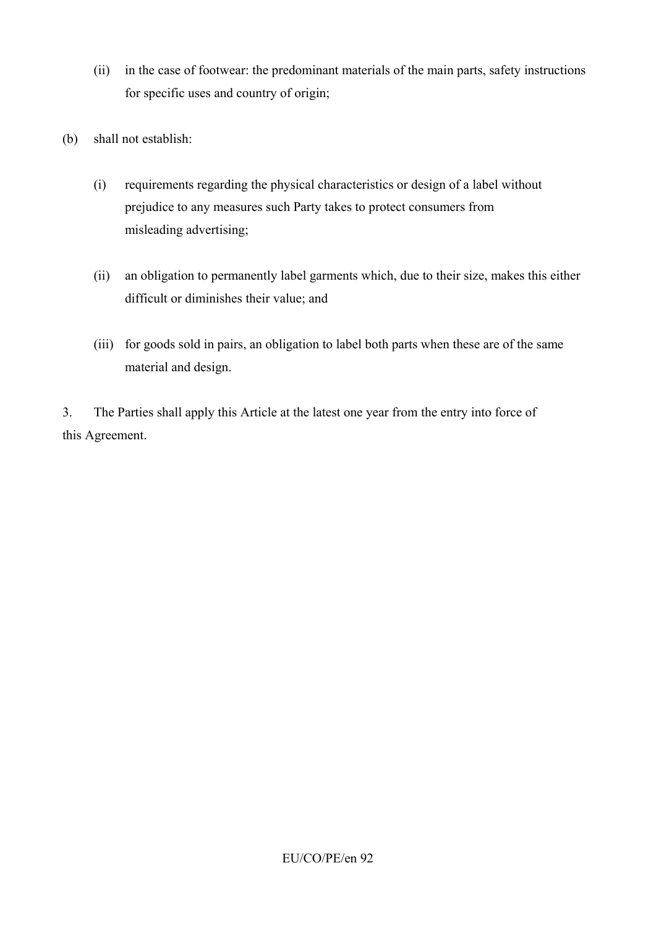- (ii) in the case of footwear: the predominant materials of the main parts, safety instructions for specific uses and country of origin;
- (b) shall not establish:
	- (i) requirements regarding the physical characteristics or design of a label without prejudice to any measures such Party takes to protect consumers from misleading advertising;
	- (ii) an obligation to permanently label garments which, due to their size, makes this either difficult or diminishes their value; and
	- (iii) for goods sold in pairs, an obligation to label both parts when these are of the same material and design.

3. The Parties shall apply this Article at the latest one year from the entry into force of this Agreement.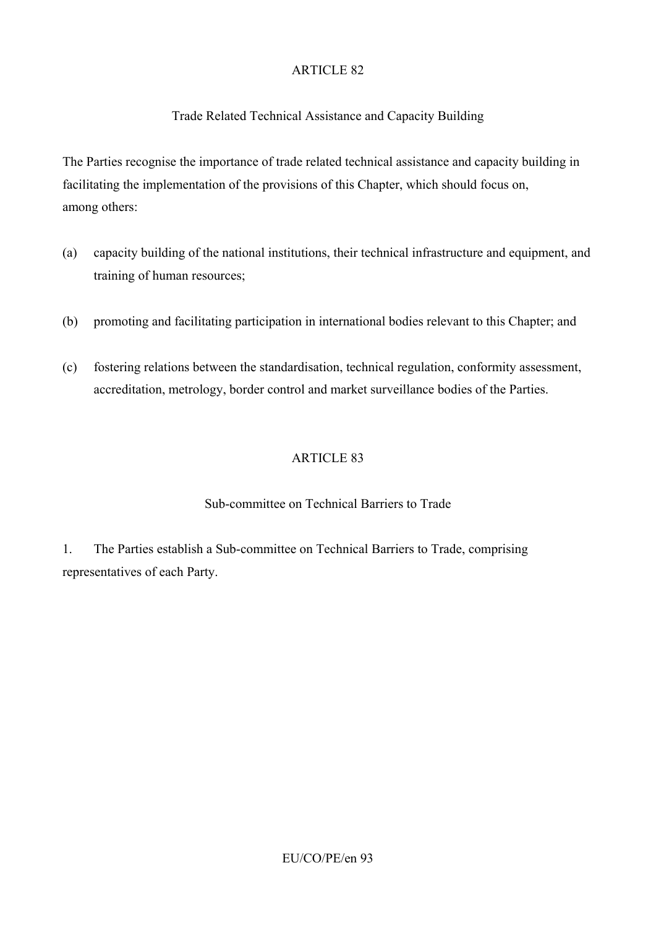# Trade Related Technical Assistance and Capacity Building

The Parties recognise the importance of trade related technical assistance and capacity building in facilitating the implementation of the provisions of this Chapter, which should focus on, among others:

- (a) capacity building of the national institutions, their technical infrastructure and equipment, and training of human resources;
- (b) promoting and facilitating participation in international bodies relevant to this Chapter; and
- (c) fostering relations between the standardisation, technical regulation, conformity assessment, accreditation, metrology, border control and market surveillance bodies of the Parties.

# ARTICLE 83

# Sub-committee on Technical Barriers to Trade

1. The Parties establish a Sub-committee on Technical Barriers to Trade, comprising representatives of each Party.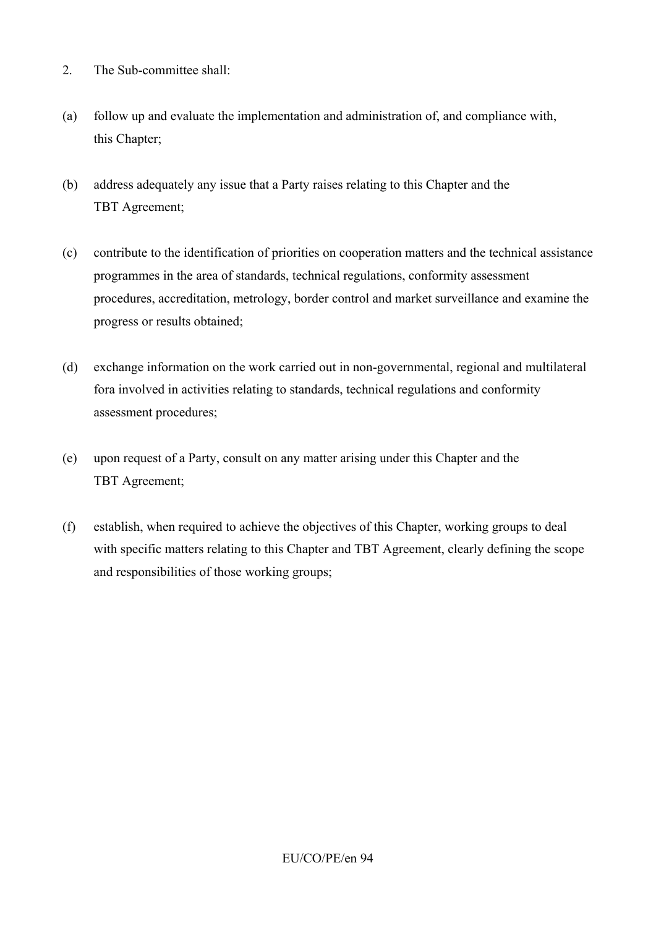- 2. The Sub-committee shall:
- (a) follow up and evaluate the implementation and administration of, and compliance with, this Chapter;
- (b) address adequately any issue that a Party raises relating to this Chapter and the TBT Agreement;
- (c) contribute to the identification of priorities on cooperation matters and the technical assistance programmes in the area of standards, technical regulations, conformity assessment procedures, accreditation, metrology, border control and market surveillance and examine the progress or results obtained;
- (d) exchange information on the work carried out in non-governmental, regional and multilateral fora involved in activities relating to standards, technical regulations and conformity assessment procedures;
- (e) upon request of a Party, consult on any matter arising under this Chapter and the TBT Agreement;
- (f) establish, when required to achieve the objectives of this Chapter, working groups to deal with specific matters relating to this Chapter and TBT Agreement, clearly defining the scope and responsibilities of those working groups;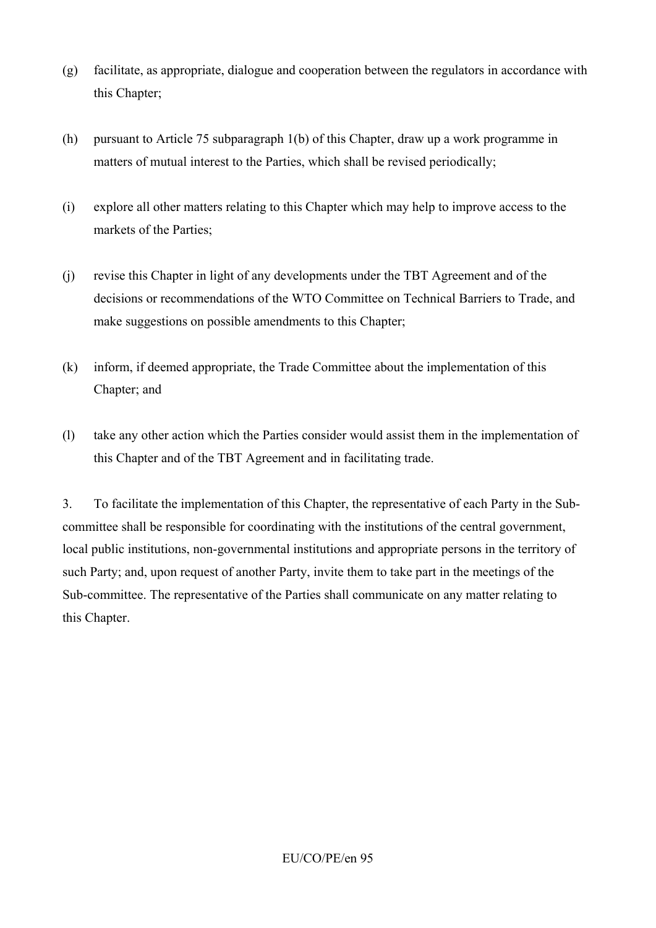- (g) facilitate, as appropriate, dialogue and cooperation between the regulators in accordance with this Chapter;
- (h) pursuant to Article 75 subparagraph 1(b) of this Chapter, draw up a work programme in matters of mutual interest to the Parties, which shall be revised periodically;
- (i) explore all other matters relating to this Chapter which may help to improve access to the markets of the Parties;
- (j) revise this Chapter in light of any developments under the TBT Agreement and of the decisions or recommendations of the WTO Committee on Technical Barriers to Trade, and make suggestions on possible amendments to this Chapter;
- (k) inform, if deemed appropriate, the Trade Committee about the implementation of this Chapter; and
- (l) take any other action which the Parties consider would assist them in the implementation of this Chapter and of the TBT Agreement and in facilitating trade.

3. To facilitate the implementation of this Chapter, the representative of each Party in the Subcommittee shall be responsible for coordinating with the institutions of the central government, local public institutions, non-governmental institutions and appropriate persons in the territory of such Party; and, upon request of another Party, invite them to take part in the meetings of the Sub-committee. The representative of the Parties shall communicate on any matter relating to this Chapter.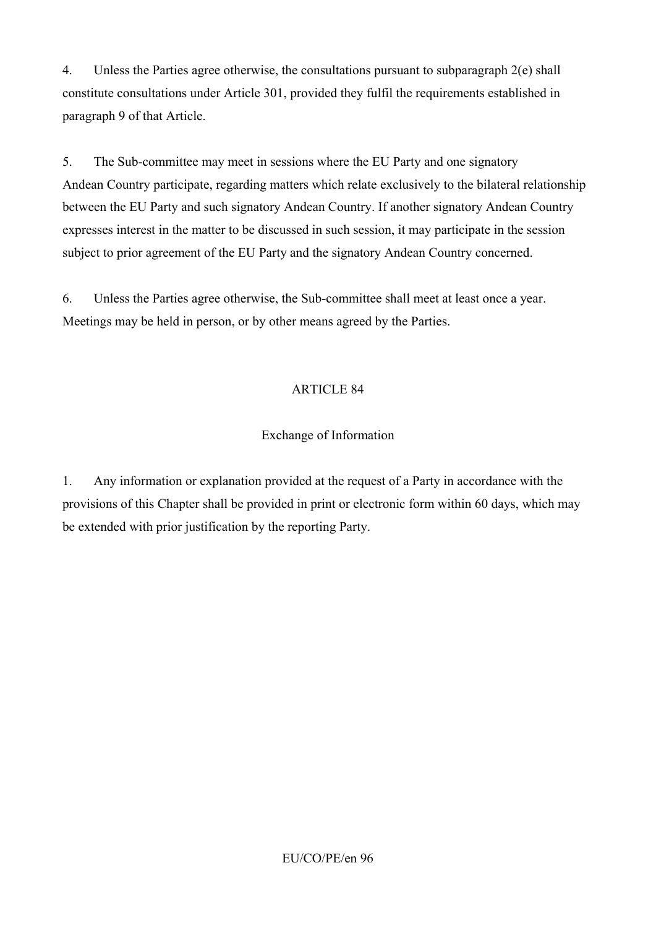4. Unless the Parties agree otherwise, the consultations pursuant to subparagraph 2(e) shall constitute consultations under Article 301, provided they fulfil the requirements established in paragraph 9 of that Article.

5. The Sub-committee may meet in sessions where the EU Party and one signatory Andean Country participate, regarding matters which relate exclusively to the bilateral relationship between the EU Party and such signatory Andean Country. If another signatory Andean Country expresses interest in the matter to be discussed in such session, it may participate in the session subject to prior agreement of the EU Party and the signatory Andean Country concerned.

6. Unless the Parties agree otherwise, the Sub-committee shall meet at least once a year. Meetings may be held in person, or by other means agreed by the Parties.

### ARTICLE 84

### Exchange of Information

1. Any information or explanation provided at the request of a Party in accordance with the provisions of this Chapter shall be provided in print or electronic form within 60 days, which may be extended with prior justification by the reporting Party.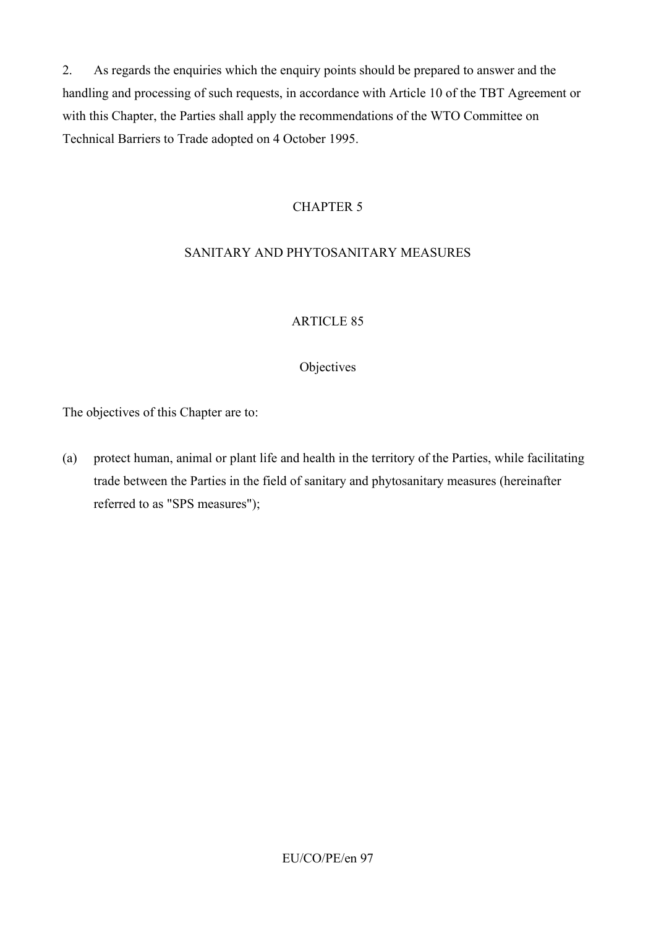2. As regards the enquiries which the enquiry points should be prepared to answer and the handling and processing of such requests, in accordance with Article 10 of the TBT Agreement or with this Chapter, the Parties shall apply the recommendations of the WTO Committee on Technical Barriers to Trade adopted on 4 October 1995.

### CHAPTER 5

# SANITARY AND PHYTOSANITARY MEASURES

### ARTICLE 85

#### **Objectives**

The objectives of this Chapter are to:

(a) protect human, animal or plant life and health in the territory of the Parties, while facilitating trade between the Parties in the field of sanitary and phytosanitary measures (hereinafter referred to as "SPS measures");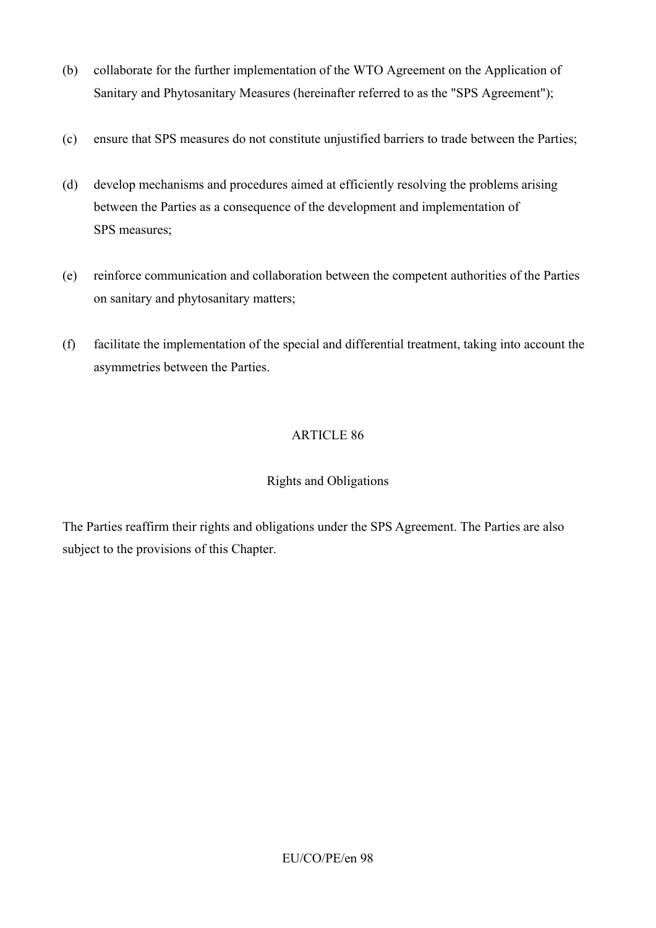- (b) collaborate for the further implementation of the WTO Agreement on the Application of Sanitary and Phytosanitary Measures (hereinafter referred to as the "SPS Agreement");
- (c) ensure that SPS measures do not constitute unjustified barriers to trade between the Parties;
- (d) develop mechanisms and procedures aimed at efficiently resolving the problems arising between the Parties as a consequence of the development and implementation of SPS measures;
- (e) reinforce communication and collaboration between the competent authorities of the Parties on sanitary and phytosanitary matters;
- (f) facilitate the implementation of the special and differential treatment, taking into account the asymmetries between the Parties.

# Rights and Obligations

The Parties reaffirm their rights and obligations under the SPS Agreement. The Parties are also subject to the provisions of this Chapter.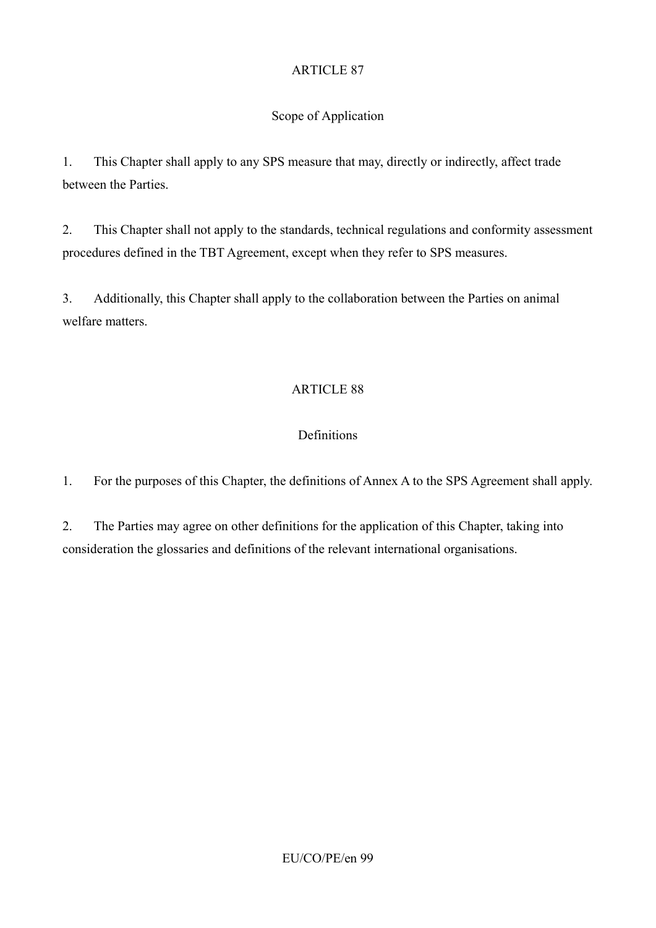# Scope of Application

1. This Chapter shall apply to any SPS measure that may, directly or indirectly, affect trade between the Parties.

2. This Chapter shall not apply to the standards, technical regulations and conformity assessment procedures defined in the TBT Agreement, except when they refer to SPS measures.

3. Additionally, this Chapter shall apply to the collaboration between the Parties on animal welfare matters.

# ARTICLE 88

# Definitions

1. For the purposes of this Chapter, the definitions of Annex A to the SPS Agreement shall apply.

2. The Parties may agree on other definitions for the application of this Chapter, taking into consideration the glossaries and definitions of the relevant international organisations.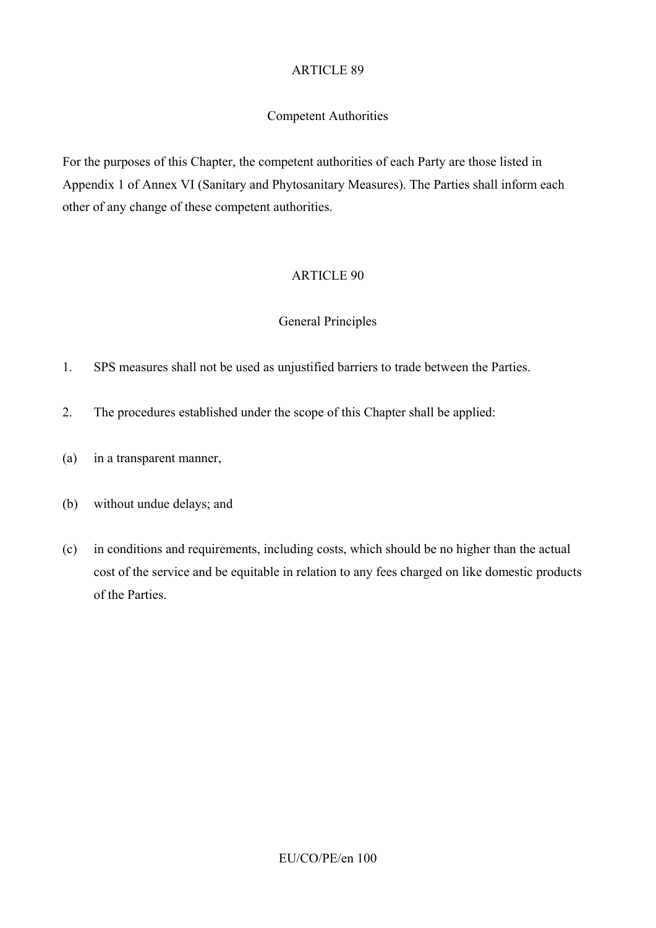### Competent Authorities

For the purposes of this Chapter, the competent authorities of each Party are those listed in Appendix 1 of Annex VI (Sanitary and Phytosanitary Measures). The Parties shall inform each other of any change of these competent authorities.

### ARTICLE 90

#### General Principles

- 1. SPS measures shall not be used as unjustified barriers to trade between the Parties.
- 2. The procedures established under the scope of this Chapter shall be applied:
- (a) in a transparent manner,
- (b) without undue delays; and
- (c) in conditions and requirements, including costs, which should be no higher than the actual cost of the service and be equitable in relation to any fees charged on like domestic products of the Parties.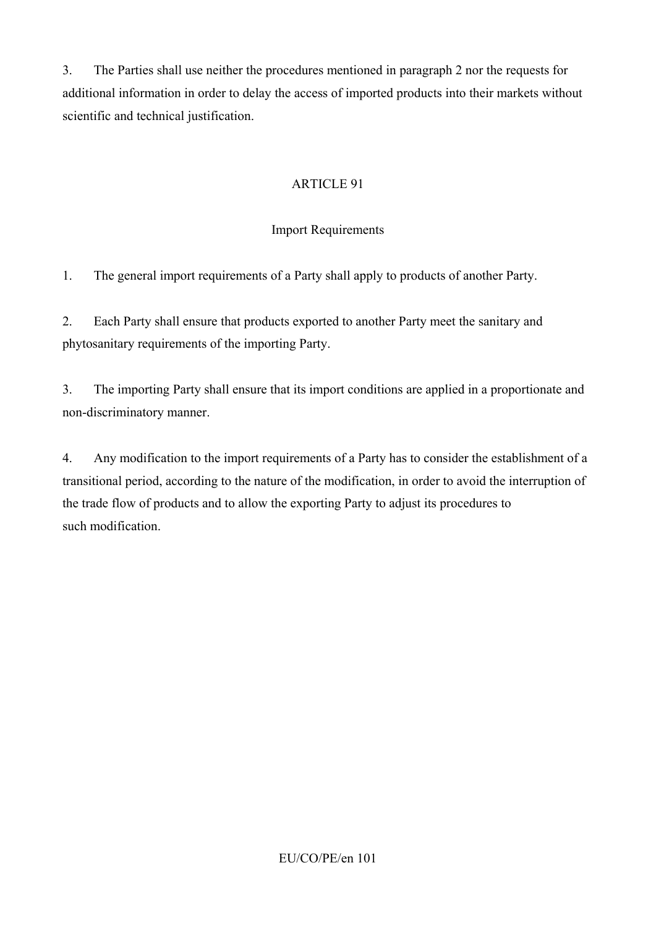3. The Parties shall use neither the procedures mentioned in paragraph 2 nor the requests for additional information in order to delay the access of imported products into their markets without scientific and technical justification.

# ARTICLE 91

# Import Requirements

1. The general import requirements of a Party shall apply to products of another Party.

2. Each Party shall ensure that products exported to another Party meet the sanitary and phytosanitary requirements of the importing Party.

3. The importing Party shall ensure that its import conditions are applied in a proportionate and non-discriminatory manner.

4. Any modification to the import requirements of a Party has to consider the establishment of a transitional period, according to the nature of the modification, in order to avoid the interruption of the trade flow of products and to allow the exporting Party to adjust its procedures to such modification.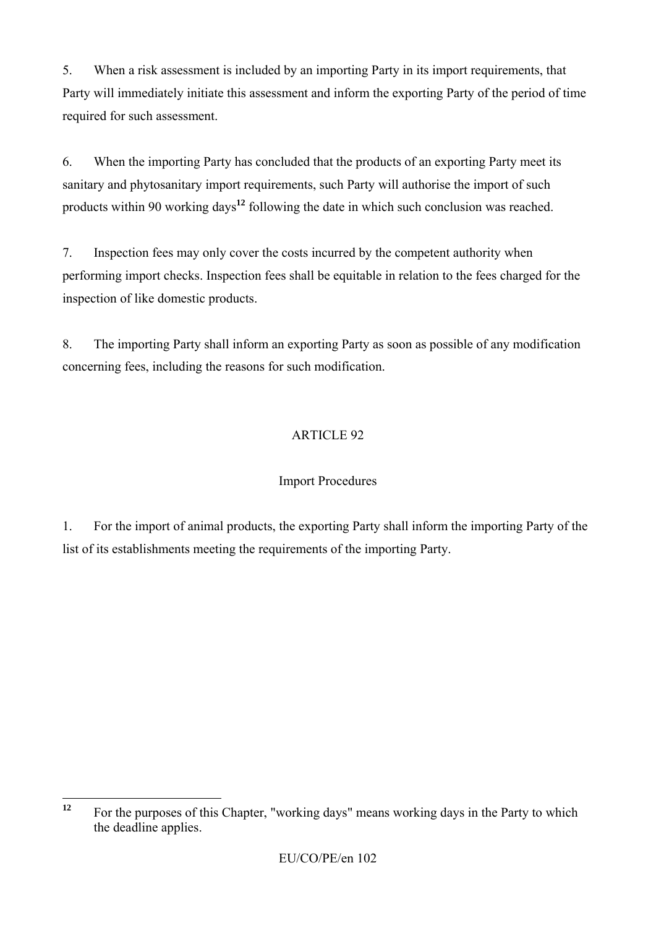5. When a risk assessment is included by an importing Party in its import requirements, that Party will immediately initiate this assessment and inform the exporting Party of the period of time required for such assessment.

6. When the importing Party has concluded that the products of an exporting Party meet its sanitary and phytosanitary import requirements, such Party will authorise the import of such products within 90 working days**<sup>12</sup>** following the date in which such conclusion was reached.

7. Inspection fees may only cover the costs incurred by the competent authority when performing import checks. Inspection fees shall be equitable in relation to the fees charged for the inspection of like domestic products.

8. The importing Party shall inform an exporting Party as soon as possible of any modification concerning fees, including the reasons for such modification.

# ARTICLE 92

# Import Procedures

1. For the import of animal products, the exporting Party shall inform the importing Party of the list of its establishments meeting the requirements of the importing Party.

 $12$ **<sup>12</sup>** For the purposes of this Chapter, "working days" means working days in the Party to which the deadline applies.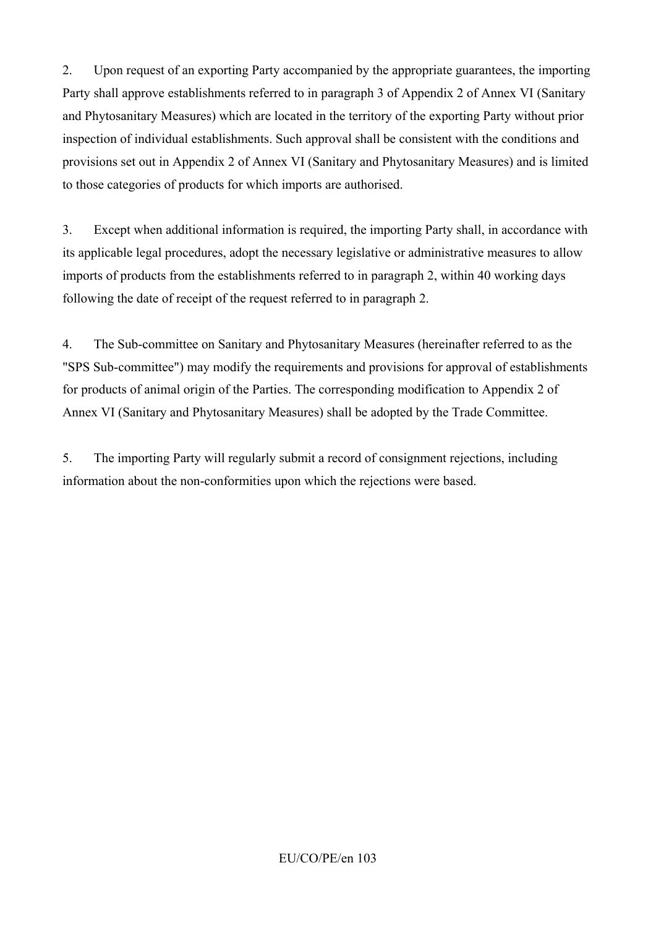2. Upon request of an exporting Party accompanied by the appropriate guarantees, the importing Party shall approve establishments referred to in paragraph 3 of Appendix 2 of Annex VI (Sanitary and Phytosanitary Measures) which are located in the territory of the exporting Party without prior inspection of individual establishments. Such approval shall be consistent with the conditions and provisions set out in Appendix 2 of Annex VI (Sanitary and Phytosanitary Measures) and is limited to those categories of products for which imports are authorised.

3. Except when additional information is required, the importing Party shall, in accordance with its applicable legal procedures, adopt the necessary legislative or administrative measures to allow imports of products from the establishments referred to in paragraph 2, within 40 working days following the date of receipt of the request referred to in paragraph 2.

4. The Sub-committee on Sanitary and Phytosanitary Measures (hereinafter referred to as the "SPS Sub-committee") may modify the requirements and provisions for approval of establishments for products of animal origin of the Parties. The corresponding modification to Appendix 2 of Annex VI (Sanitary and Phytosanitary Measures) shall be adopted by the Trade Committee.

5. The importing Party will regularly submit a record of consignment rejections, including information about the non-conformities upon which the rejections were based.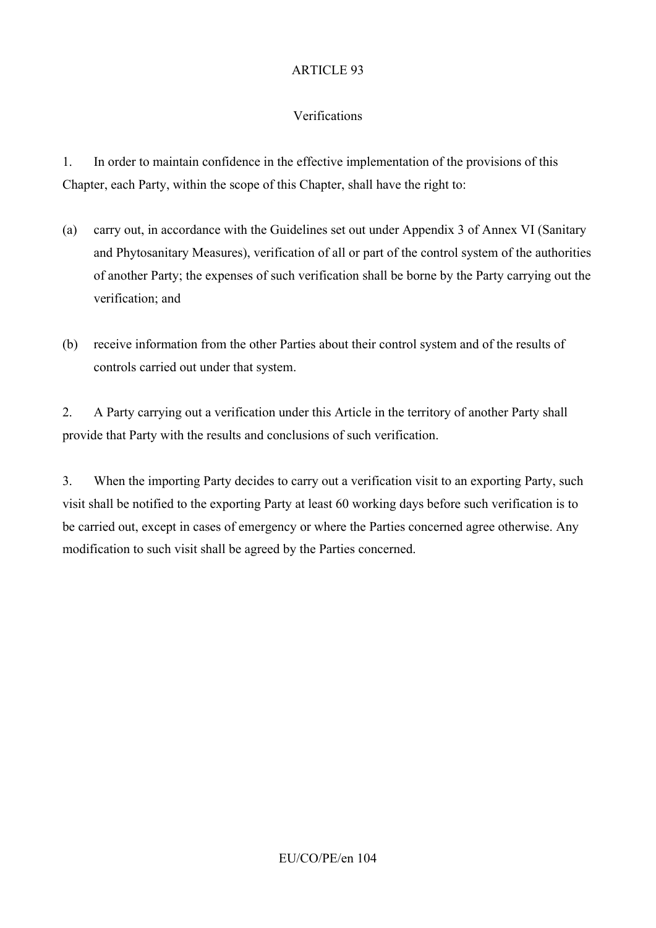# Verifications

1. In order to maintain confidence in the effective implementation of the provisions of this Chapter, each Party, within the scope of this Chapter, shall have the right to:

- (a) carry out, in accordance with the Guidelines set out under Appendix 3 of Annex VI (Sanitary and Phytosanitary Measures), verification of all or part of the control system of the authorities of another Party; the expenses of such verification shall be borne by the Party carrying out the verification; and
- (b) receive information from the other Parties about their control system and of the results of controls carried out under that system.

2. A Party carrying out a verification under this Article in the territory of another Party shall provide that Party with the results and conclusions of such verification.

3. When the importing Party decides to carry out a verification visit to an exporting Party, such visit shall be notified to the exporting Party at least 60 working days before such verification is to be carried out, except in cases of emergency or where the Parties concerned agree otherwise. Any modification to such visit shall be agreed by the Parties concerned.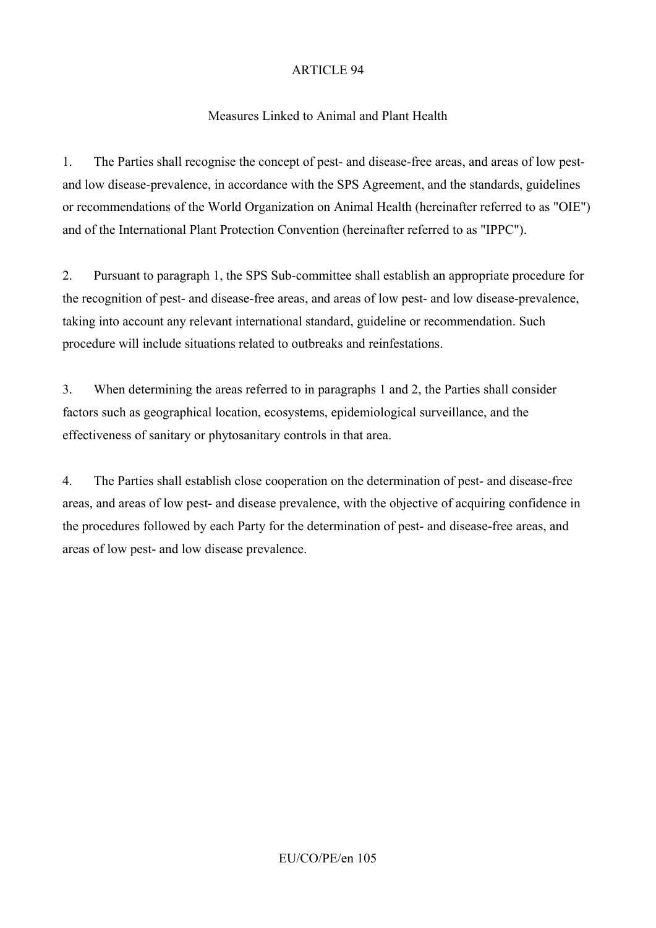### Measures Linked to Animal and Plant Health

1. The Parties shall recognise the concept of pest- and disease-free areas, and areas of low pestand low disease-prevalence, in accordance with the SPS Agreement, and the standards, guidelines or recommendations of the World Organization on Animal Health (hereinafter referred to as "OIE") and of the International Plant Protection Convention (hereinafter referred to as "IPPC").

2. Pursuant to paragraph 1, the SPS Sub-committee shall establish an appropriate procedure for the recognition of pest- and disease-free areas, and areas of low pest- and low disease-prevalence, taking into account any relevant international standard, guideline or recommendation. Such procedure will include situations related to outbreaks and reinfestations.

3. When determining the areas referred to in paragraphs 1 and 2, the Parties shall consider factors such as geographical location, ecosystems, epidemiological surveillance, and the effectiveness of sanitary or phytosanitary controls in that area.

4. The Parties shall establish close cooperation on the determination of pest- and disease-free areas, and areas of low pest- and disease prevalence, with the objective of acquiring confidence in the procedures followed by each Party for the determination of pest- and disease-free areas, and areas of low pest- and low disease prevalence.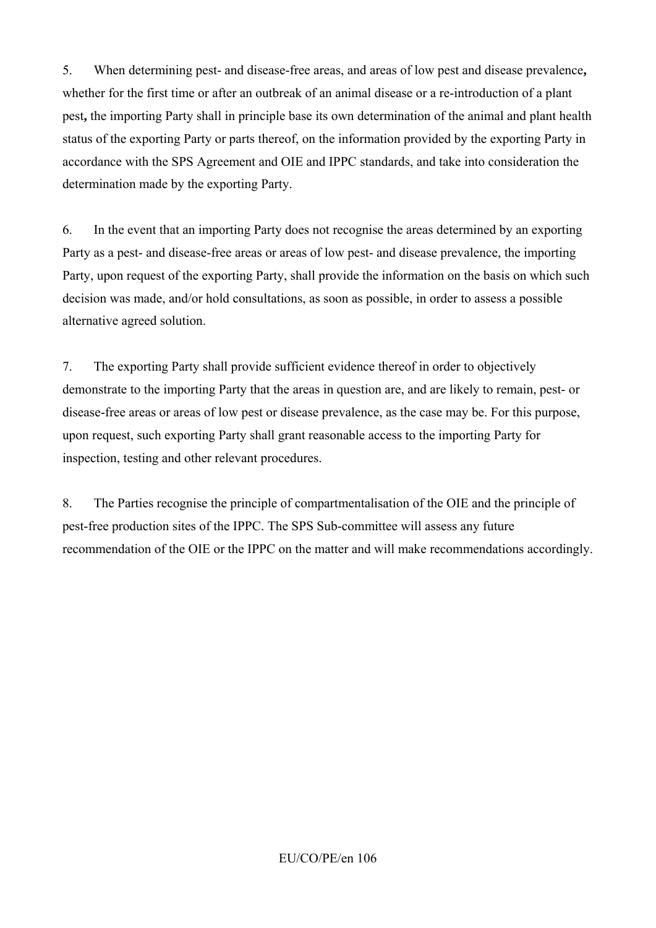5. When determining pest- and disease-free areas, and areas of low pest and disease prevalence**,**  whether for the first time or after an outbreak of an animal disease or a re-introduction of a plant pest**,** the importing Party shall in principle base its own determination of the animal and plant health status of the exporting Party or parts thereof, on the information provided by the exporting Party in accordance with the SPS Agreement and OIE and IPPC standards, and take into consideration the determination made by the exporting Party.

6. In the event that an importing Party does not recognise the areas determined by an exporting Party as a pest- and disease-free areas or areas of low pest- and disease prevalence, the importing Party, upon request of the exporting Party, shall provide the information on the basis on which such decision was made, and/or hold consultations, as soon as possible, in order to assess a possible alternative agreed solution.

7. The exporting Party shall provide sufficient evidence thereof in order to objectively demonstrate to the importing Party that the areas in question are, and are likely to remain, pest- or disease-free areas or areas of low pest or disease prevalence, as the case may be. For this purpose, upon request, such exporting Party shall grant reasonable access to the importing Party for inspection, testing and other relevant procedures.

8. The Parties recognise the principle of compartmentalisation of the OIE and the principle of pest-free production sites of the IPPC. The SPS Sub-committee will assess any future recommendation of the OIE or the IPPC on the matter and will make recommendations accordingly.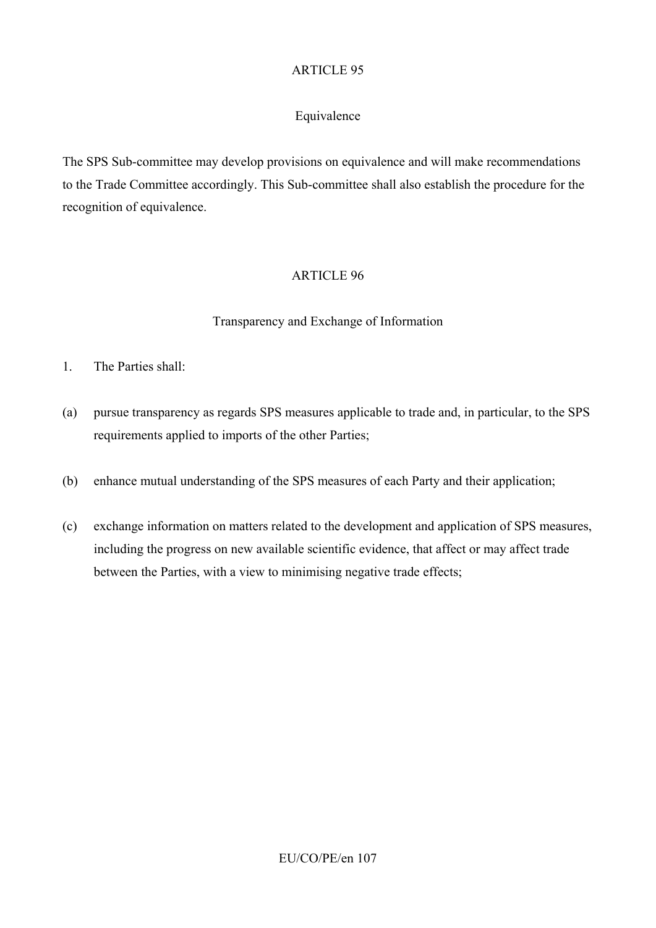# Equivalence

The SPS Sub-committee may develop provisions on equivalence and will make recommendations to the Trade Committee accordingly. This Sub-committee shall also establish the procedure for the recognition of equivalence.

### ARTICLE 96

### Transparency and Exchange of Information

- 1. The Parties shall:
- (a) pursue transparency as regards SPS measures applicable to trade and, in particular, to the SPS requirements applied to imports of the other Parties;
- (b) enhance mutual understanding of the SPS measures of each Party and their application;
- (c) exchange information on matters related to the development and application of SPS measures, including the progress on new available scientific evidence, that affect or may affect trade between the Parties, with a view to minimising negative trade effects;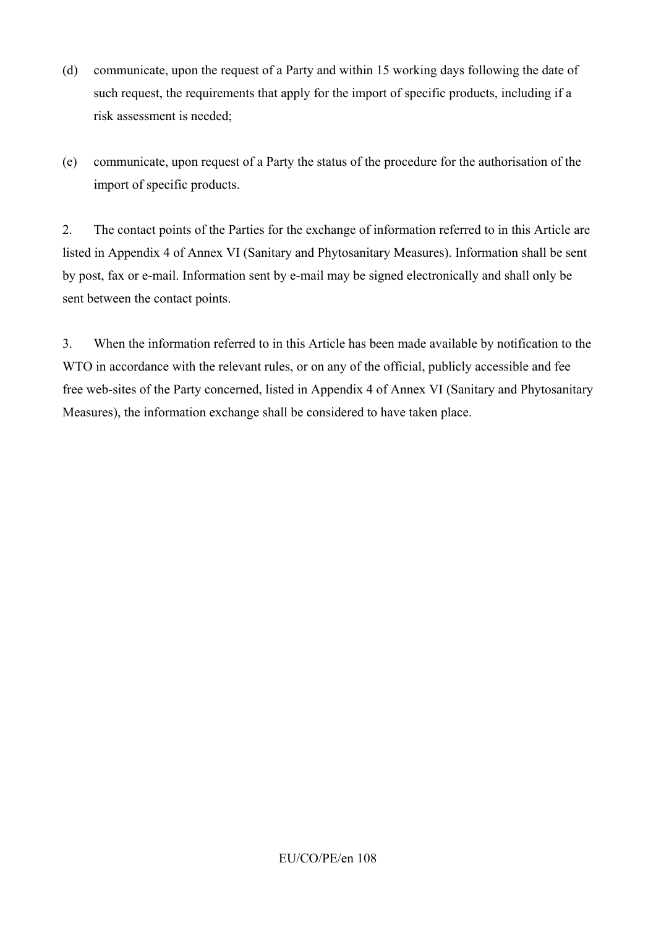- (d) communicate, upon the request of a Party and within 15 working days following the date of such request, the requirements that apply for the import of specific products, including if a risk assessment is needed;
- (e) communicate, upon request of a Party the status of the procedure for the authorisation of the import of specific products.

2. The contact points of the Parties for the exchange of information referred to in this Article are listed in Appendix 4 of Annex VI (Sanitary and Phytosanitary Measures). Information shall be sent by post, fax or e-mail. Information sent by e-mail may be signed electronically and shall only be sent between the contact points.

3. When the information referred to in this Article has been made available by notification to the WTO in accordance with the relevant rules, or on any of the official, publicly accessible and fee free web-sites of the Party concerned, listed in Appendix 4 of Annex VI (Sanitary and Phytosanitary Measures), the information exchange shall be considered to have taken place.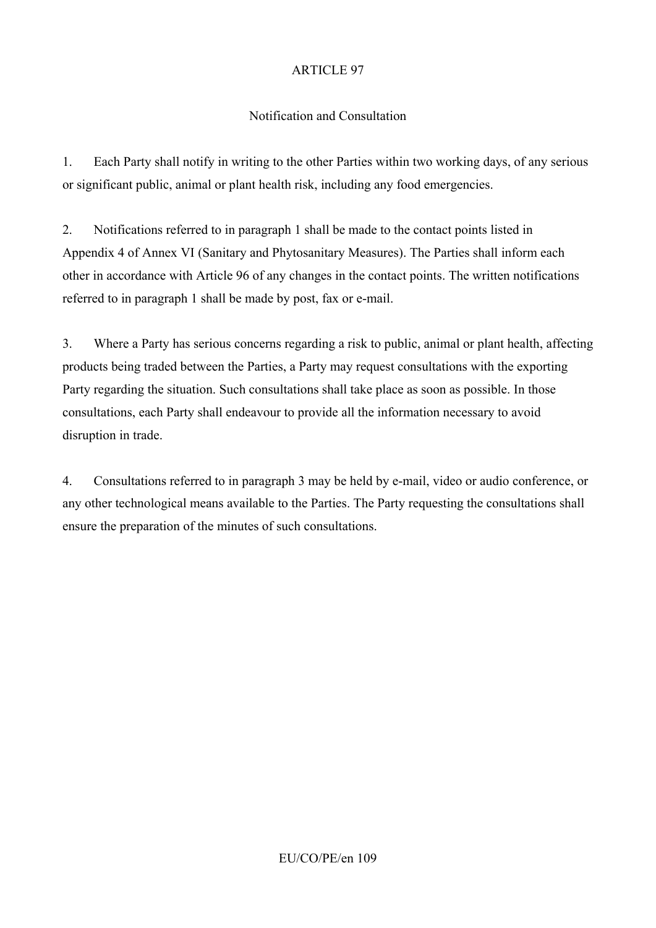## Notification and Consultation

1. Each Party shall notify in writing to the other Parties within two working days, of any serious or significant public, animal or plant health risk, including any food emergencies.

2. Notifications referred to in paragraph 1 shall be made to the contact points listed in Appendix 4 of Annex VI (Sanitary and Phytosanitary Measures). The Parties shall inform each other in accordance with Article 96 of any changes in the contact points. The written notifications referred to in paragraph 1 shall be made by post, fax or e-mail.

3. Where a Party has serious concerns regarding a risk to public, animal or plant health, affecting products being traded between the Parties, a Party may request consultations with the exporting Party regarding the situation. Such consultations shall take place as soon as possible. In those consultations, each Party shall endeavour to provide all the information necessary to avoid disruption in trade.

4. Consultations referred to in paragraph 3 may be held by e-mail, video or audio conference, or any other technological means available to the Parties. The Party requesting the consultations shall ensure the preparation of the minutes of such consultations.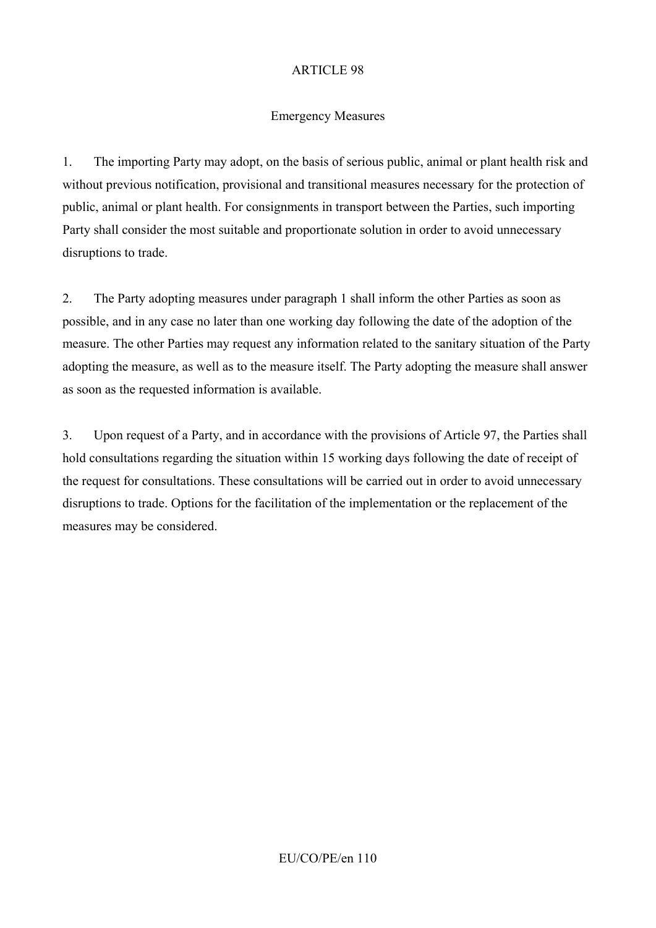#### Emergency Measures

1. The importing Party may adopt, on the basis of serious public, animal or plant health risk and without previous notification, provisional and transitional measures necessary for the protection of public, animal or plant health. For consignments in transport between the Parties, such importing Party shall consider the most suitable and proportionate solution in order to avoid unnecessary disruptions to trade.

2. The Party adopting measures under paragraph 1 shall inform the other Parties as soon as possible, and in any case no later than one working day following the date of the adoption of the measure. The other Parties may request any information related to the sanitary situation of the Party adopting the measure, as well as to the measure itself. The Party adopting the measure shall answer as soon as the requested information is available.

3. Upon request of a Party, and in accordance with the provisions of Article 97, the Parties shall hold consultations regarding the situation within 15 working days following the date of receipt of the request for consultations. These consultations will be carried out in order to avoid unnecessary disruptions to trade. Options for the facilitation of the implementation or the replacement of the measures may be considered.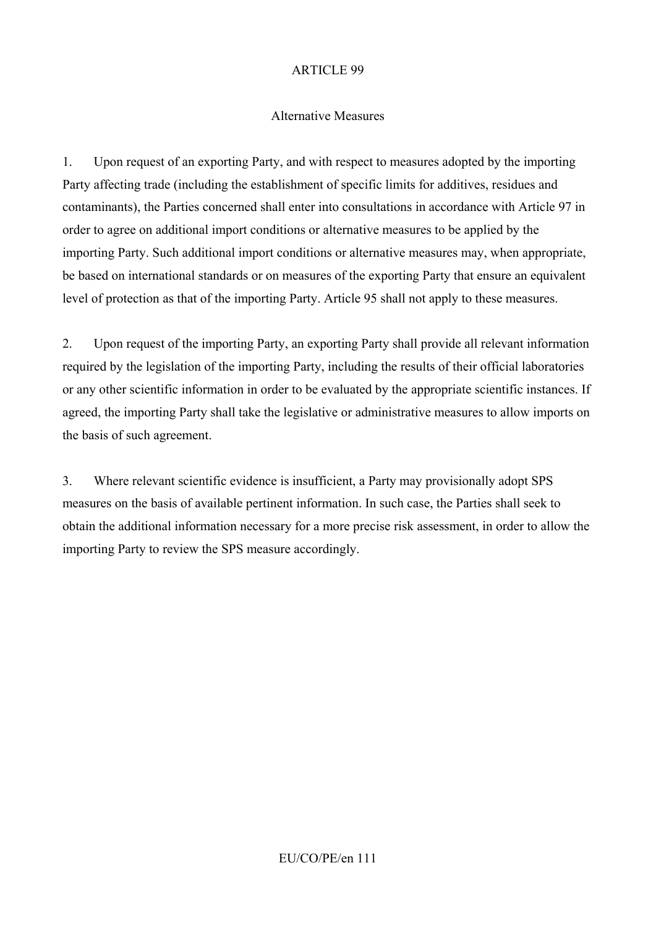#### Alternative Measures

1. Upon request of an exporting Party, and with respect to measures adopted by the importing Party affecting trade (including the establishment of specific limits for additives, residues and contaminants), the Parties concerned shall enter into consultations in accordance with Article 97 in order to agree on additional import conditions or alternative measures to be applied by the importing Party. Such additional import conditions or alternative measures may, when appropriate, be based on international standards or on measures of the exporting Party that ensure an equivalent level of protection as that of the importing Party. Article 95 shall not apply to these measures.

2. Upon request of the importing Party, an exporting Party shall provide all relevant information required by the legislation of the importing Party, including the results of their official laboratories or any other scientific information in order to be evaluated by the appropriate scientific instances. If agreed, the importing Party shall take the legislative or administrative measures to allow imports on the basis of such agreement.

3. Where relevant scientific evidence is insufficient, a Party may provisionally adopt SPS measures on the basis of available pertinent information. In such case, the Parties shall seek to obtain the additional information necessary for a more precise risk assessment, in order to allow the importing Party to review the SPS measure accordingly.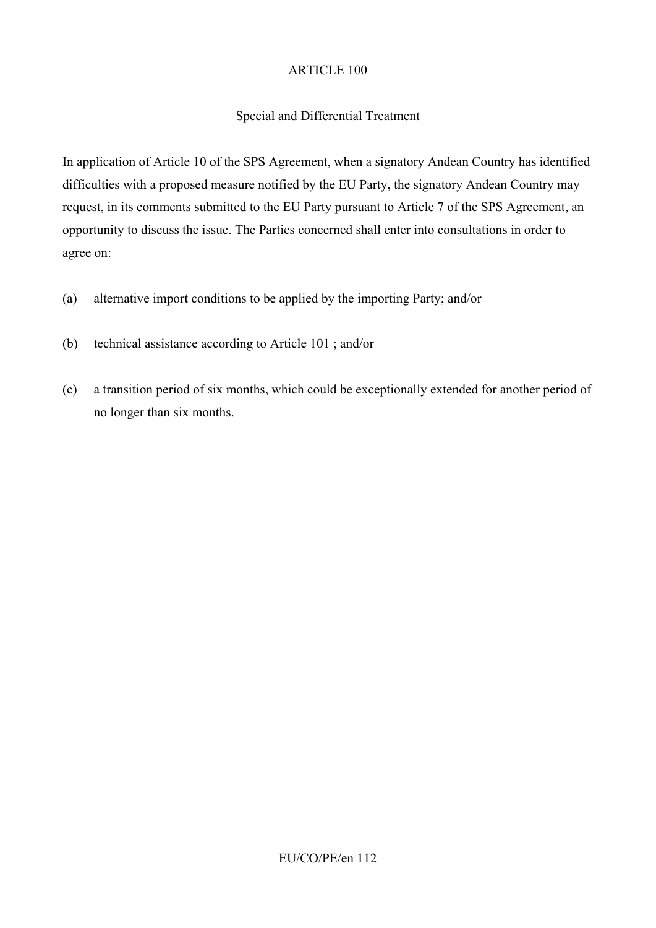### Special and Differential Treatment

In application of Article 10 of the SPS Agreement, when a signatory Andean Country has identified difficulties with a proposed measure notified by the EU Party, the signatory Andean Country may request, in its comments submitted to the EU Party pursuant to Article 7 of the SPS Agreement, an opportunity to discuss the issue. The Parties concerned shall enter into consultations in order to agree on:

- (a) alternative import conditions to be applied by the importing Party; and/or
- (b) technical assistance according to Article 101 ; and/or
- (c) a transition period of six months, which could be exceptionally extended for another period of no longer than six months.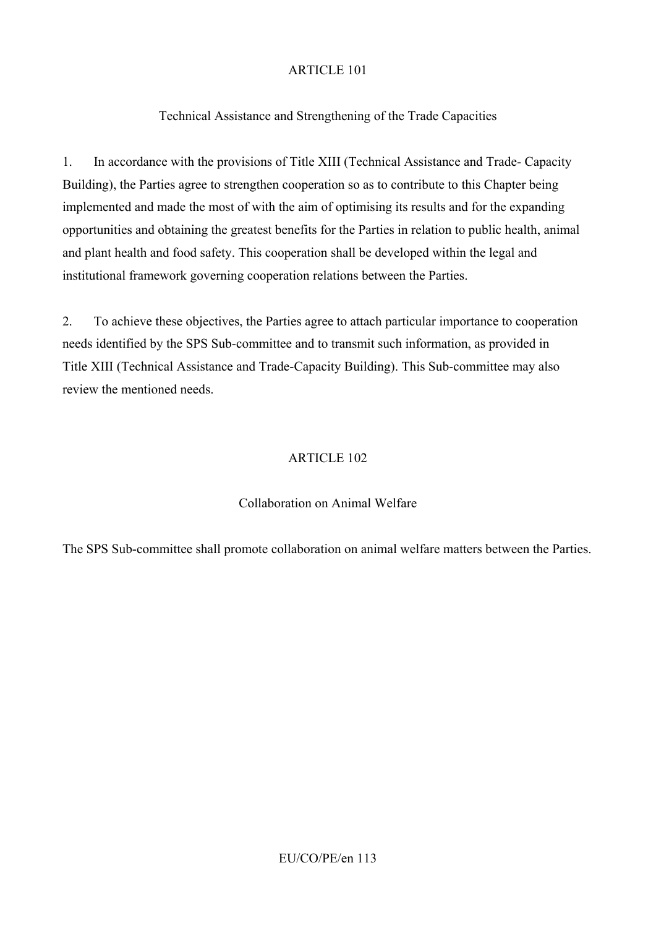# Technical Assistance and Strengthening of the Trade Capacities

1. In accordance with the provisions of Title XIII (Technical Assistance and Trade- Capacity Building), the Parties agree to strengthen cooperation so as to contribute to this Chapter being implemented and made the most of with the aim of optimising its results and for the expanding opportunities and obtaining the greatest benefits for the Parties in relation to public health, animal and plant health and food safety. This cooperation shall be developed within the legal and institutional framework governing cooperation relations between the Parties.

2. To achieve these objectives, the Parties agree to attach particular importance to cooperation needs identified by the SPS Sub-committee and to transmit such information, as provided in Title XIII (Technical Assistance and Trade-Capacity Building). This Sub-committee may also review the mentioned needs.

### ARTICLE 102

## Collaboration on Animal Welfare

The SPS Sub-committee shall promote collaboration on animal welfare matters between the Parties.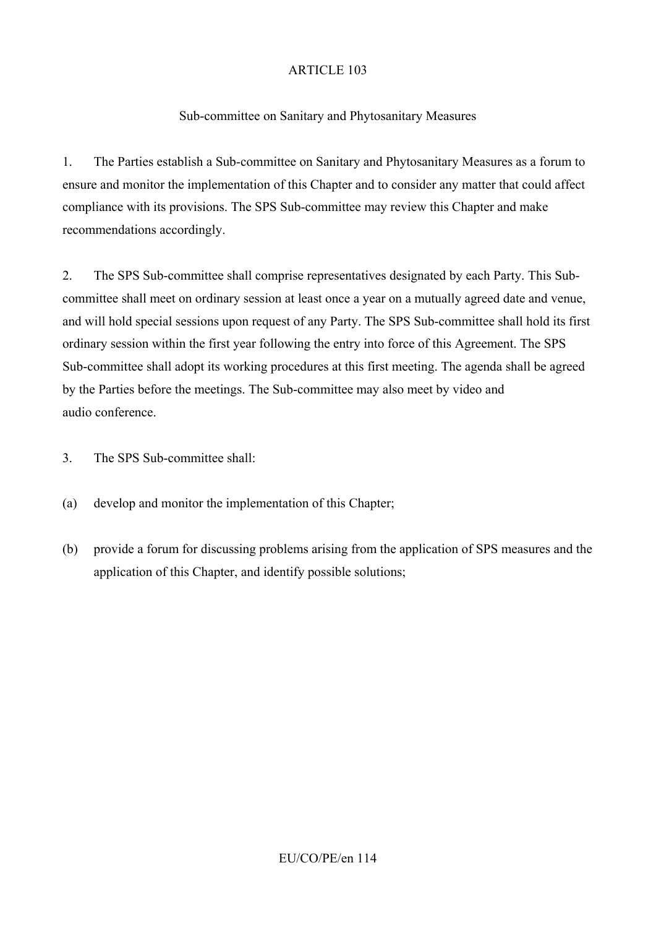# Sub-committee on Sanitary and Phytosanitary Measures

1. The Parties establish a Sub-committee on Sanitary and Phytosanitary Measures as a forum to ensure and monitor the implementation of this Chapter and to consider any matter that could affect compliance with its provisions. The SPS Sub-committee may review this Chapter and make recommendations accordingly.

2. The SPS Sub-committee shall comprise representatives designated by each Party. This Subcommittee shall meet on ordinary session at least once a year on a mutually agreed date and venue, and will hold special sessions upon request of any Party. The SPS Sub-committee shall hold its first ordinary session within the first year following the entry into force of this Agreement. The SPS Sub-committee shall adopt its working procedures at this first meeting. The agenda shall be agreed by the Parties before the meetings. The Sub-committee may also meet by video and audio conference.

3. The SPS Sub-committee shall:

- (a) develop and monitor the implementation of this Chapter;
- (b) provide a forum for discussing problems arising from the application of SPS measures and the application of this Chapter, and identify possible solutions;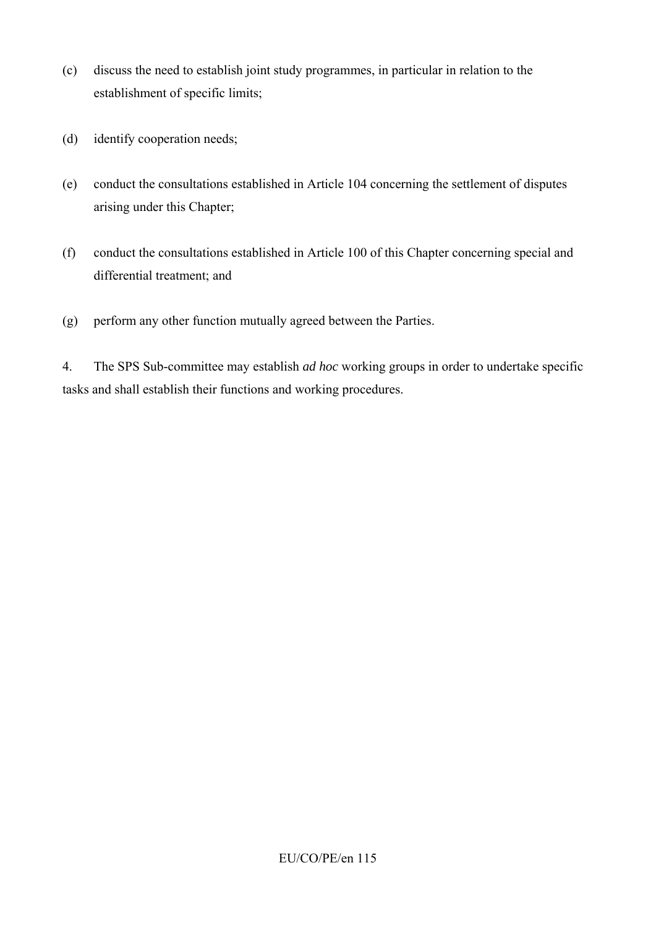- (c) discuss the need to establish joint study programmes, in particular in relation to the establishment of specific limits;
- (d) identify cooperation needs;
- (e) conduct the consultations established in Article 104 concerning the settlement of disputes arising under this Chapter;
- (f) conduct the consultations established in Article 100 of this Chapter concerning special and differential treatment; and
- (g) perform any other function mutually agreed between the Parties.

4. The SPS Sub-committee may establish *ad hoc* working groups in order to undertake specific tasks and shall establish their functions and working procedures.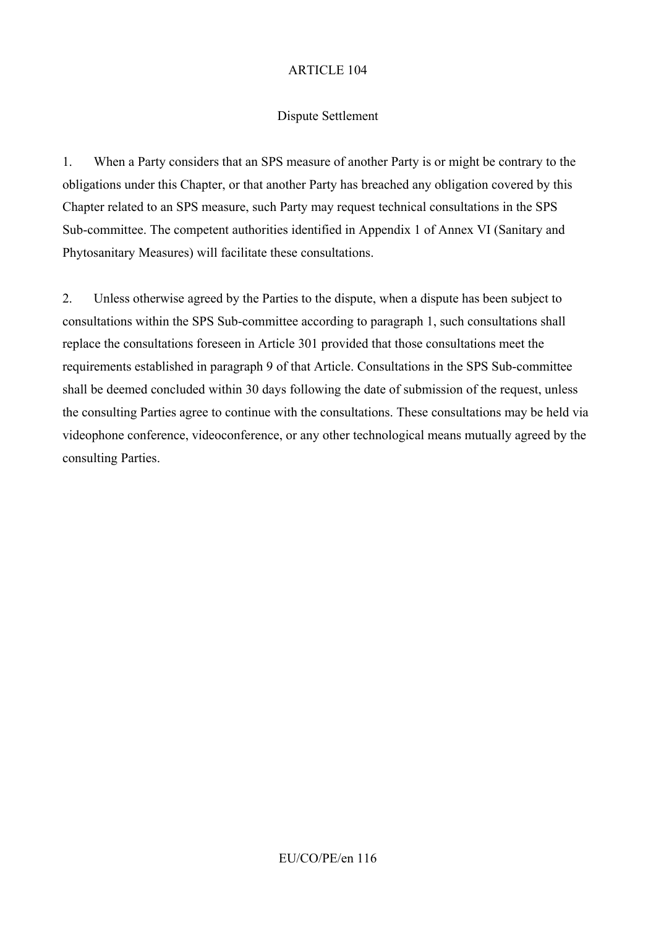#### Dispute Settlement

1. When a Party considers that an SPS measure of another Party is or might be contrary to the obligations under this Chapter, or that another Party has breached any obligation covered by this Chapter related to an SPS measure, such Party may request technical consultations in the SPS Sub-committee. The competent authorities identified in Appendix 1 of Annex VI (Sanitary and Phytosanitary Measures) will facilitate these consultations.

2. Unless otherwise agreed by the Parties to the dispute, when a dispute has been subject to consultations within the SPS Sub-committee according to paragraph 1, such consultations shall replace the consultations foreseen in Article 301 provided that those consultations meet the requirements established in paragraph 9 of that Article. Consultations in the SPS Sub-committee shall be deemed concluded within 30 days following the date of submission of the request, unless the consulting Parties agree to continue with the consultations. These consultations may be held via videophone conference, videoconference, or any other technological means mutually agreed by the consulting Parties.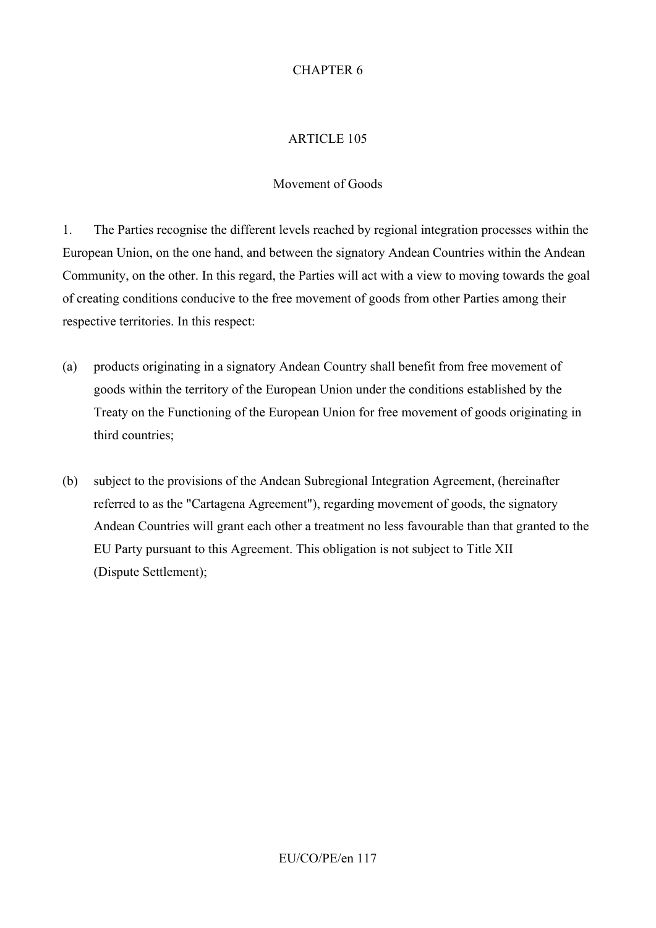### CHAPTER 6

#### ARTICLE 105

#### Movement of Goods

1. The Parties recognise the different levels reached by regional integration processes within the European Union, on the one hand, and between the signatory Andean Countries within the Andean Community, on the other. In this regard, the Parties will act with a view to moving towards the goal of creating conditions conducive to the free movement of goods from other Parties among their respective territories. In this respect:

- (a) products originating in a signatory Andean Country shall benefit from free movement of goods within the territory of the European Union under the conditions established by the Treaty on the Functioning of the European Union for free movement of goods originating in third countries;
- (b) subject to the provisions of the Andean Subregional Integration Agreement, (hereinafter referred to as the "Cartagena Agreement"), regarding movement of goods, the signatory Andean Countries will grant each other a treatment no less favourable than that granted to the EU Party pursuant to this Agreement. This obligation is not subject to Title XII (Dispute Settlement);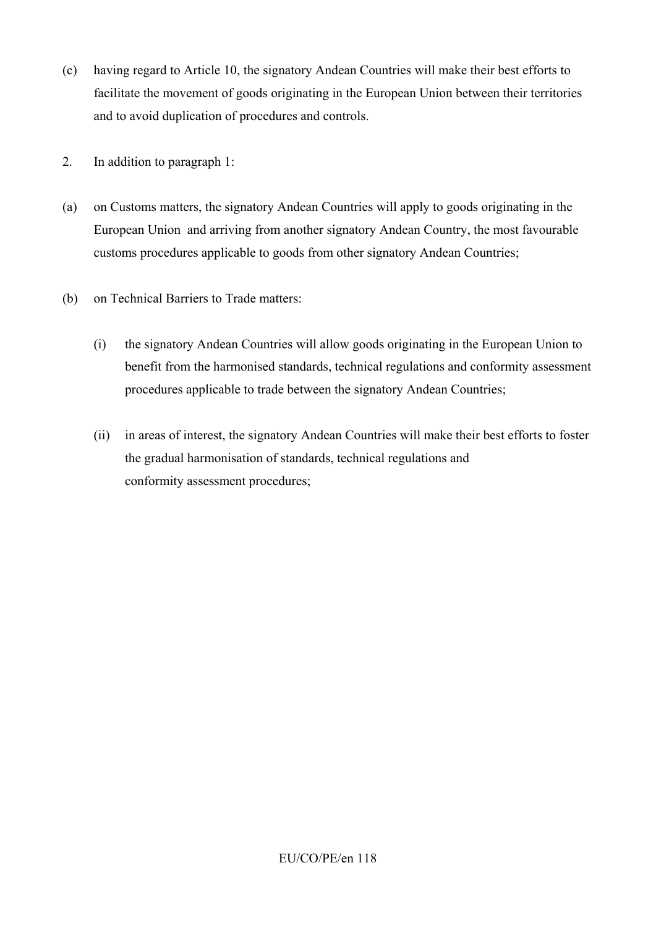- (c) having regard to Article 10, the signatory Andean Countries will make their best efforts to facilitate the movement of goods originating in the European Union between their territories and to avoid duplication of procedures and controls.
- 2. In addition to paragraph 1:
- (a) on Customs matters, the signatory Andean Countries will apply to goods originating in the European Union and arriving from another signatory Andean Country, the most favourable customs procedures applicable to goods from other signatory Andean Countries;
- (b) on Technical Barriers to Trade matters:
	- (i) the signatory Andean Countries will allow goods originating in the European Union to benefit from the harmonised standards, technical regulations and conformity assessment procedures applicable to trade between the signatory Andean Countries;
	- (ii) in areas of interest, the signatory Andean Countries will make their best efforts to foster the gradual harmonisation of standards, technical regulations and conformity assessment procedures;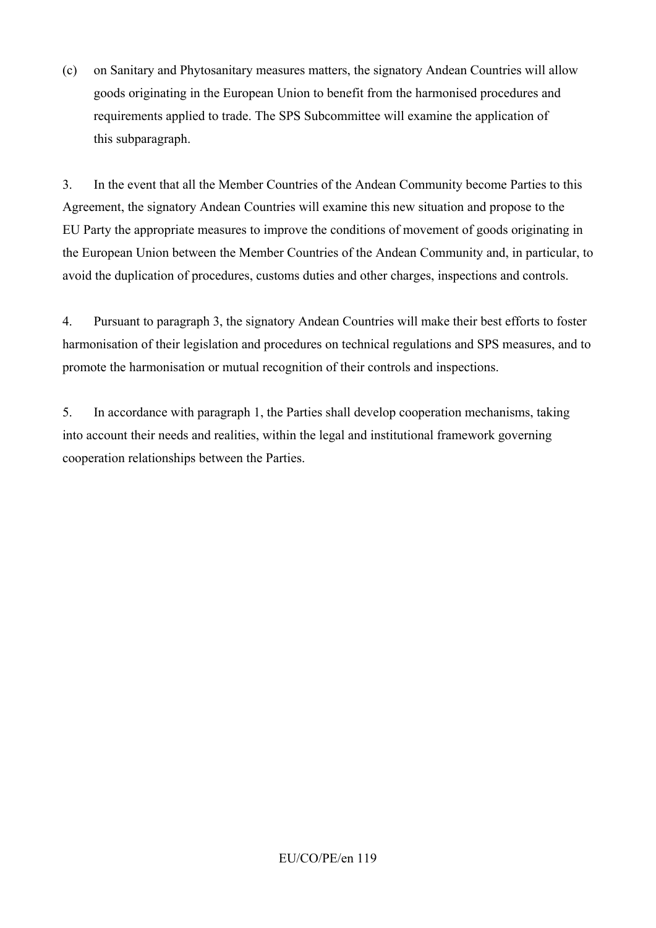(c) on Sanitary and Phytosanitary measures matters, the signatory Andean Countries will allow goods originating in the European Union to benefit from the harmonised procedures and requirements applied to trade. The SPS Subcommittee will examine the application of this subparagraph.

3. In the event that all the Member Countries of the Andean Community become Parties to this Agreement, the signatory Andean Countries will examine this new situation and propose to the EU Party the appropriate measures to improve the conditions of movement of goods originating in the European Union between the Member Countries of the Andean Community and, in particular, to avoid the duplication of procedures, customs duties and other charges, inspections and controls.

4. Pursuant to paragraph 3, the signatory Andean Countries will make their best efforts to foster harmonisation of their legislation and procedures on technical regulations and SPS measures, and to promote the harmonisation or mutual recognition of their controls and inspections.

5. In accordance with paragraph 1, the Parties shall develop cooperation mechanisms, taking into account their needs and realities, within the legal and institutional framework governing cooperation relationships between the Parties.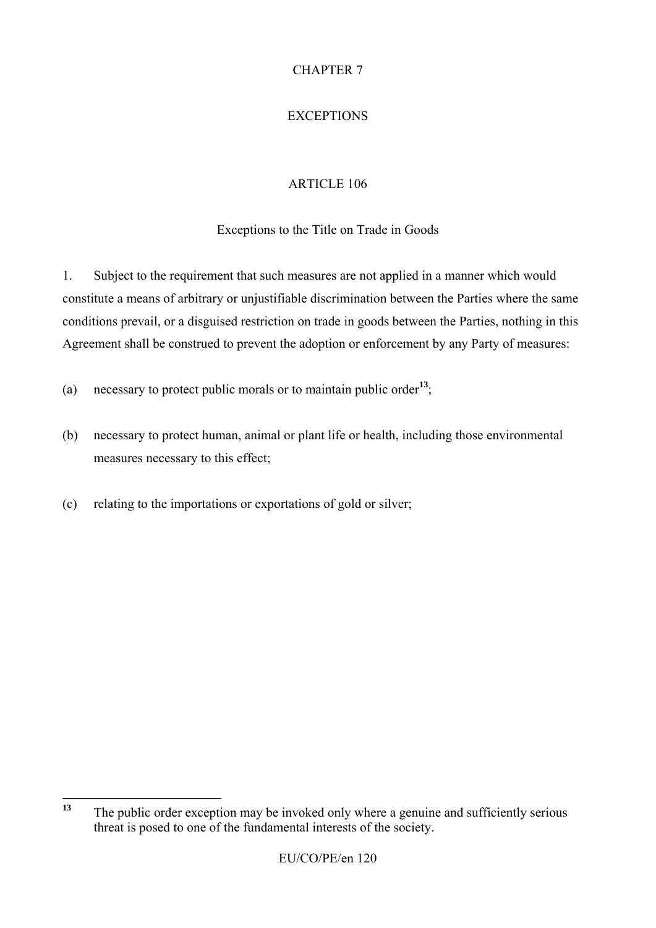# CHAPTER 7

# **EXCEPTIONS**

# ARTICLE 106

## Exceptions to the Title on Trade in Goods

1. Subject to the requirement that such measures are not applied in a manner which would constitute a means of arbitrary or unjustifiable discrimination between the Parties where the same conditions prevail, or a disguised restriction on trade in goods between the Parties, nothing in this Agreement shall be construed to prevent the adoption or enforcement by any Party of measures:

- (a) necessary to protect public morals or to maintain public order**<sup>13</sup>**;
- (b) necessary to protect human, animal or plant life or health, including those environmental measures necessary to this effect;
- (c) relating to the importations or exportations of gold or silver;

 $13$ **<sup>13</sup>** The public order exception may be invoked only where a genuine and sufficiently serious threat is posed to one of the fundamental interests of the society.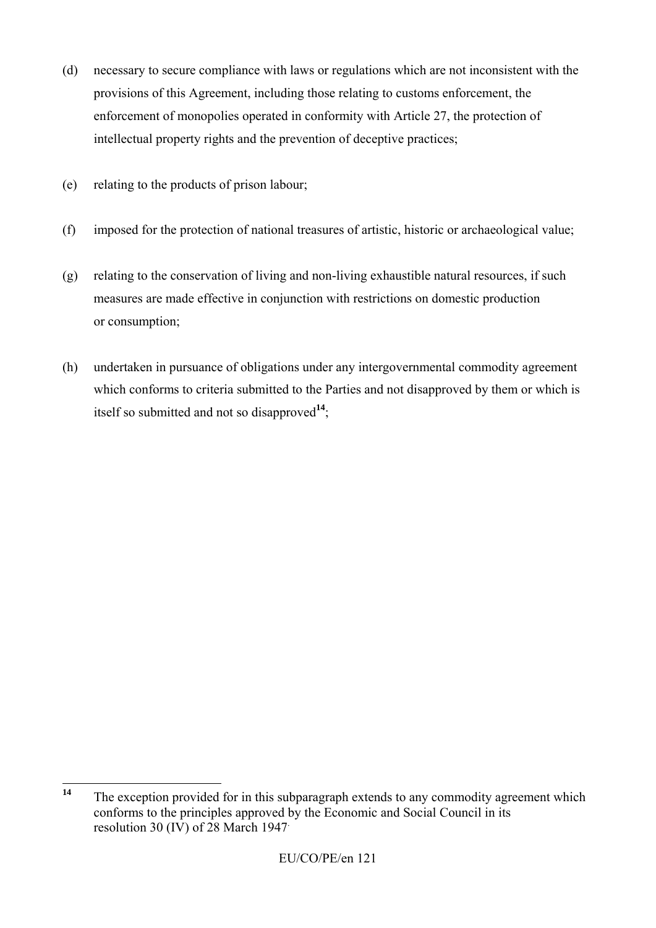- (d) necessary to secure compliance with laws or regulations which are not inconsistent with the provisions of this Agreement, including those relating to customs enforcement, the enforcement of monopolies operated in conformity with Article 27, the protection of intellectual property rights and the prevention of deceptive practices;
- (e) relating to the products of prison labour;
- (f) imposed for the protection of national treasures of artistic, historic or archaeological value;
- (g) relating to the conservation of living and non-living exhaustible natural resources, if such measures are made effective in conjunction with restrictions on domestic production or consumption;
- (h) undertaken in pursuance of obligations under any intergovernmental commodity agreement which conforms to criteria submitted to the Parties and not disapproved by them or which is itself so submitted and not so disapproved**<sup>14</sup>**;

 $14$ The exception provided for in this subparagraph extends to any commodity agreement which conforms to the principles approved by the Economic and Social Council in its resolution 30 (IV) of 28 March 1947.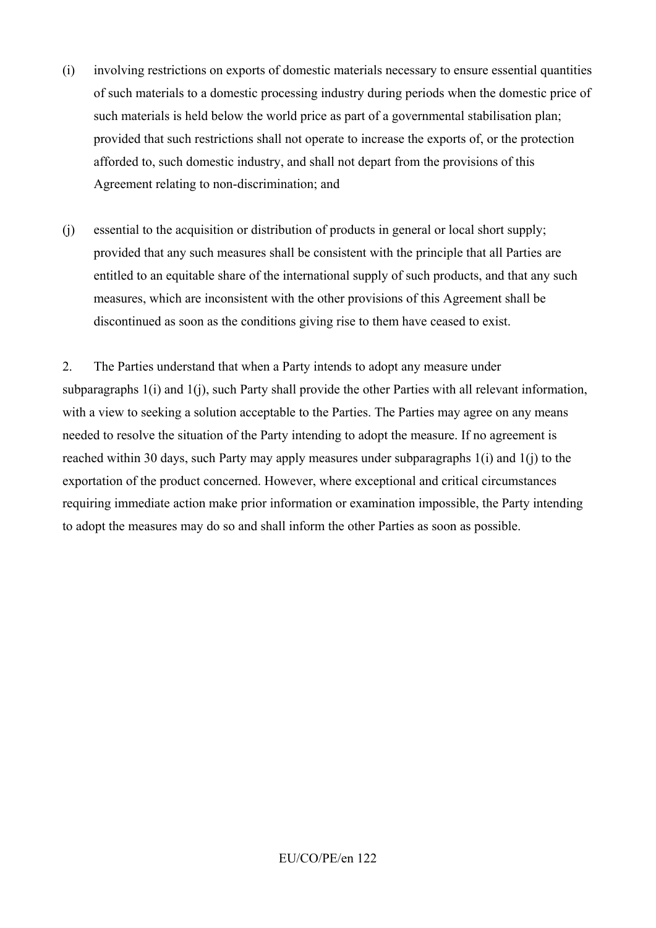- (i) involving restrictions on exports of domestic materials necessary to ensure essential quantities of such materials to a domestic processing industry during periods when the domestic price of such materials is held below the world price as part of a governmental stabilisation plan; provided that such restrictions shall not operate to increase the exports of, or the protection afforded to, such domestic industry, and shall not depart from the provisions of this Agreement relating to non-discrimination; and
- (j) essential to the acquisition or distribution of products in general or local short supply; provided that any such measures shall be consistent with the principle that all Parties are entitled to an equitable share of the international supply of such products, and that any such measures, which are inconsistent with the other provisions of this Agreement shall be discontinued as soon as the conditions giving rise to them have ceased to exist.

2. The Parties understand that when a Party intends to adopt any measure under subparagraphs 1(i) and 1(j), such Party shall provide the other Parties with all relevant information, with a view to seeking a solution acceptable to the Parties. The Parties may agree on any means needed to resolve the situation of the Party intending to adopt the measure. If no agreement is reached within 30 days, such Party may apply measures under subparagraphs 1(i) and 1(j) to the exportation of the product concerned. However, where exceptional and critical circumstances requiring immediate action make prior information or examination impossible, the Party intending to adopt the measures may do so and shall inform the other Parties as soon as possible.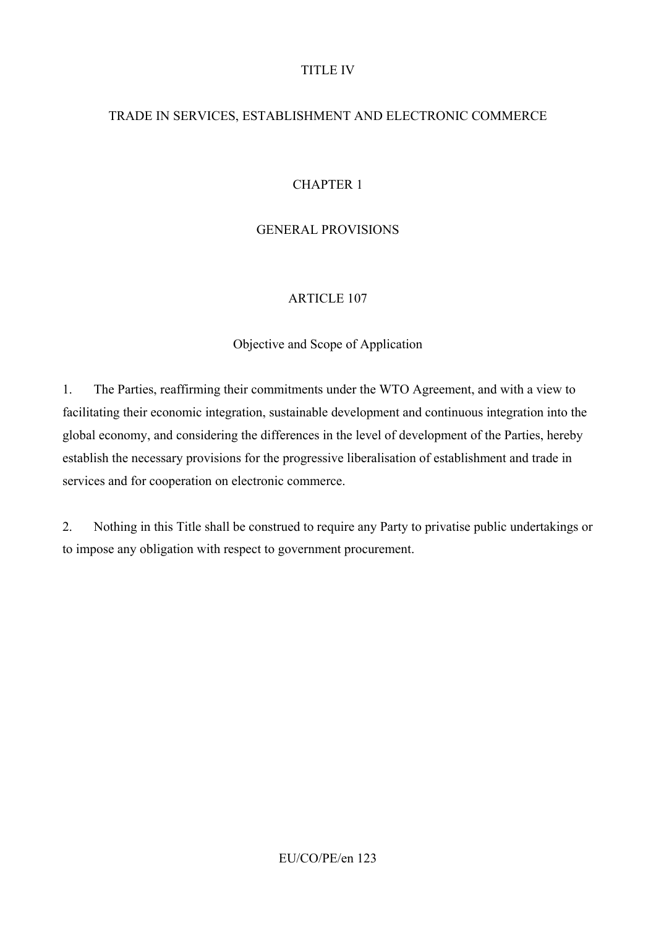#### TITLE IV

# TRADE IN SERVICES, ESTABLISHMENT AND ELECTRONIC COMMERCE

# CHAPTER 1

# GENERAL PROVISIONS

## ARTICLE 107

### Objective and Scope of Application

1. The Parties, reaffirming their commitments under the WTO Agreement, and with a view to facilitating their economic integration, sustainable development and continuous integration into the global economy, and considering the differences in the level of development of the Parties, hereby establish the necessary provisions for the progressive liberalisation of establishment and trade in services and for cooperation on electronic commerce.

2. Nothing in this Title shall be construed to require any Party to privatise public undertakings or to impose any obligation with respect to government procurement.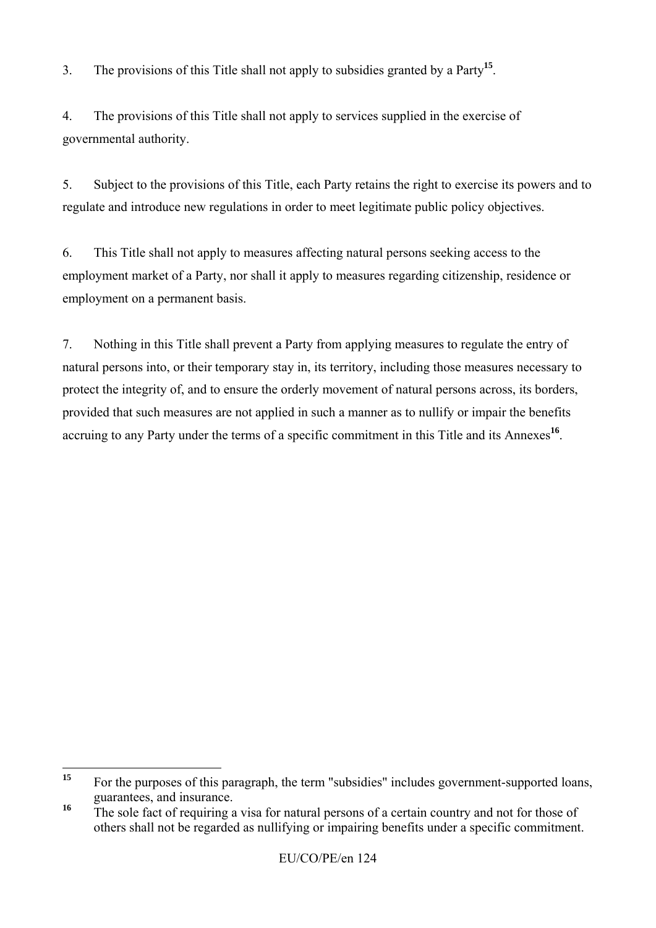3. The provisions of this Title shall not apply to subsidies granted by a Party**<sup>15</sup>**.

4. The provisions of this Title shall not apply to services supplied in the exercise of governmental authority.

5. Subject to the provisions of this Title, each Party retains the right to exercise its powers and to regulate and introduce new regulations in order to meet legitimate public policy objectives.

6. This Title shall not apply to measures affecting natural persons seeking access to the employment market of a Party, nor shall it apply to measures regarding citizenship, residence or employment on a permanent basis.

7. Nothing in this Title shall prevent a Party from applying measures to regulate the entry of natural persons into, or their temporary stay in, its territory, including those measures necessary to protect the integrity of, and to ensure the orderly movement of natural persons across, its borders, provided that such measures are not applied in such a manner as to nullify or impair the benefits accruing to any Party under the terms of a specific commitment in this Title and its Annexes**<sup>16</sup>**.

 $15$ **<sup>15</sup>** For the purposes of this paragraph, the term "subsidies" includes government-supported loans, guarantees, and insurance.

<sup>&</sup>lt;sup>16</sup> The sole fact of requiring a visa for natural persons of a certain country and not for those of others shall not be regarded as nullifying or impairing benefits under a specific commitment.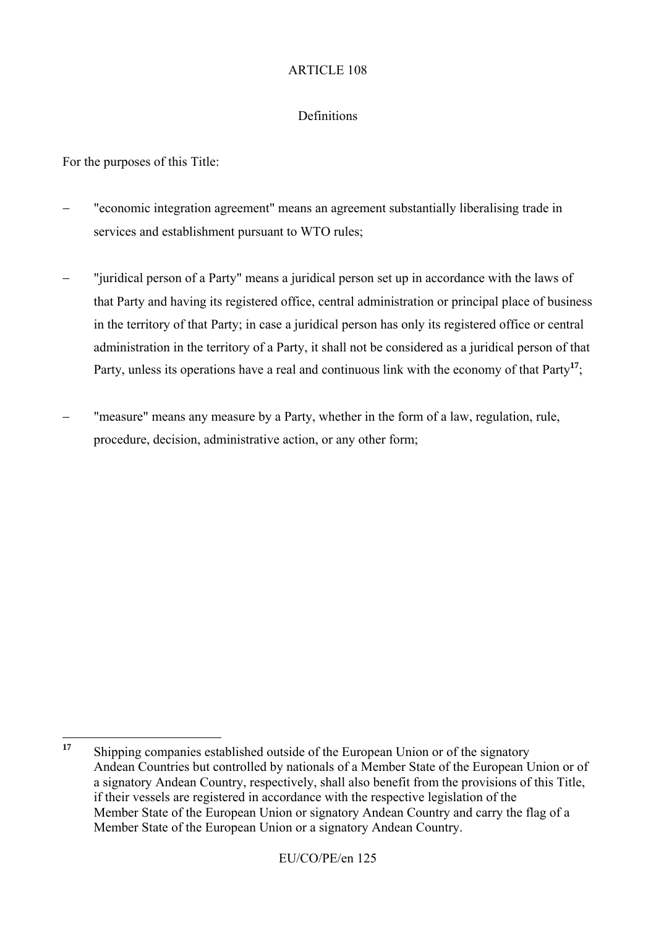### Definitions

For the purposes of this Title:

- − "economic integration agreement" means an agreement substantially liberalising trade in services and establishment pursuant to WTO rules;
- "juridical person of a Party" means a juridical person set up in accordance with the laws of that Party and having its registered office, central administration or principal place of business in the territory of that Party; in case a juridical person has only its registered office or central administration in the territory of a Party, it shall not be considered as a juridical person of that Party, unless its operations have a real and continuous link with the economy of that Party**<sup>17</sup>**;
- "measure" means any measure by a Party, whether in the form of a law, regulation, rule, procedure, decision, administrative action, or any other form;

 $17$ **<sup>17</sup>** Shipping companies established outside of the European Union or of the signatory Andean Countries but controlled by nationals of a Member State of the European Union or of a signatory Andean Country, respectively, shall also benefit from the provisions of this Title, if their vessels are registered in accordance with the respective legislation of the Member State of the European Union or signatory Andean Country and carry the flag of a Member State of the European Union or a signatory Andean Country.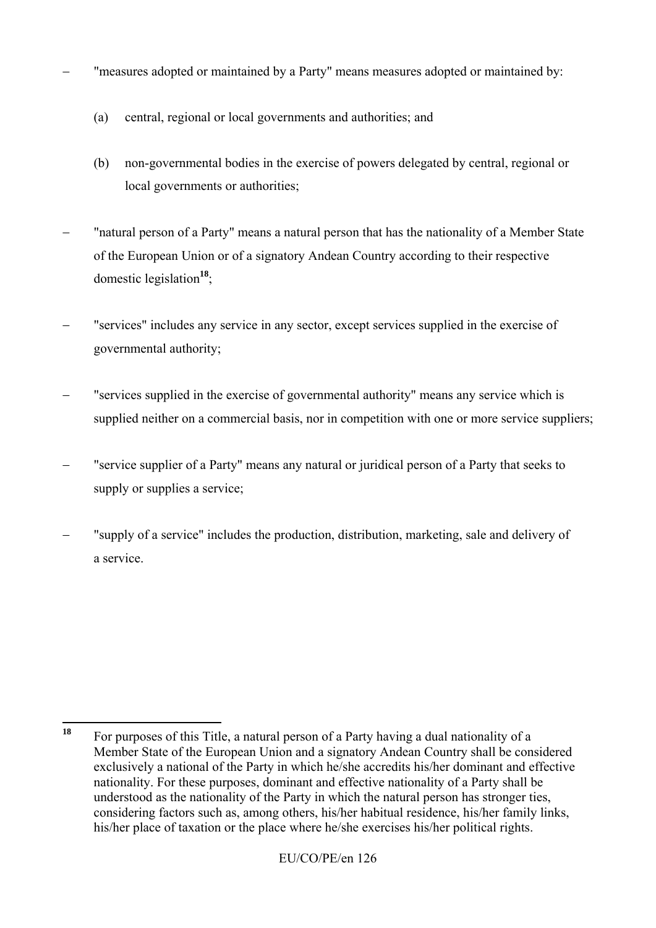- "measures adopted or maintained by a Party" means measures adopted or maintained by:
	- (a) central, regional or local governments and authorities; and
	- (b) non-governmental bodies in the exercise of powers delegated by central, regional or local governments or authorities;
- "natural person of a Party" means a natural person that has the nationality of a Member State of the European Union or of a signatory Andean Country according to their respective domestic legislation**<sup>18</sup>**;
- "services" includes any service in any sector, except services supplied in the exercise of governmental authority;
- s "services supplied in the exercise of governmental authority" means any service which is supplied neither on a commercial basis, nor in competition with one or more service suppliers;
- − "service supplier of a Party" means any natural or juridical person of a Party that seeks to supply or supplies a service;
- "supply of a service" includes the production, distribution, marketing, sale and delivery of a service.

<sup>18</sup> **<sup>18</sup>** For purposes of this Title, a natural person of a Party having a dual nationality of a Member State of the European Union and a signatory Andean Country shall be considered exclusively a national of the Party in which he/she accredits his/her dominant and effective nationality. For these purposes, dominant and effective nationality of a Party shall be understood as the nationality of the Party in which the natural person has stronger ties, considering factors such as, among others, his/her habitual residence, his/her family links, his/her place of taxation or the place where he/she exercises his/her political rights.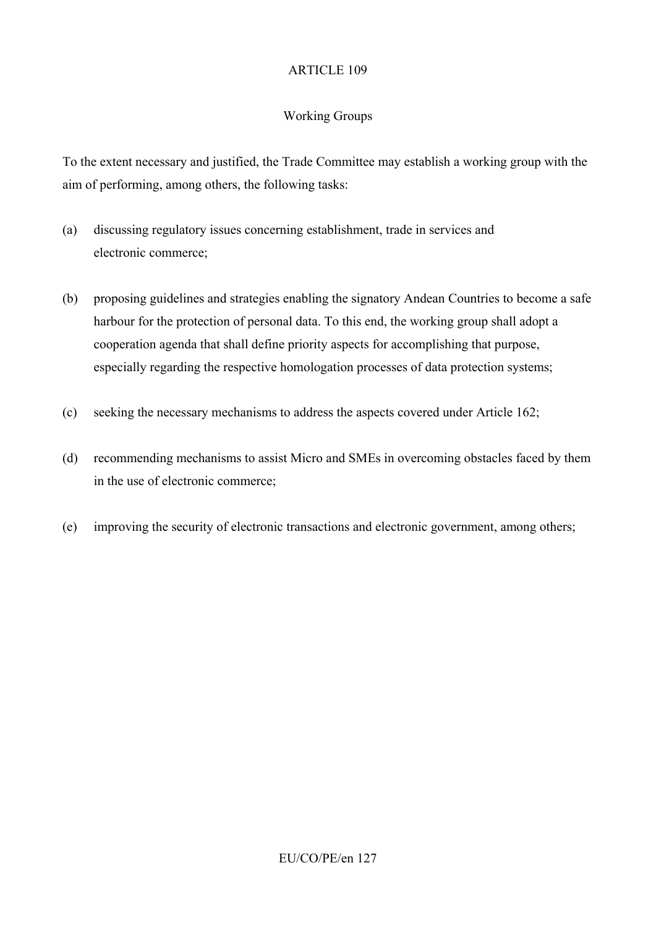# Working Groups

To the extent necessary and justified, the Trade Committee may establish a working group with the aim of performing, among others, the following tasks:

- (a) discussing regulatory issues concerning establishment, trade in services and electronic commerce;
- (b) proposing guidelines and strategies enabling the signatory Andean Countries to become a safe harbour for the protection of personal data. To this end, the working group shall adopt a cooperation agenda that shall define priority aspects for accomplishing that purpose, especially regarding the respective homologation processes of data protection systems;
- (c) seeking the necessary mechanisms to address the aspects covered under Article 162;
- (d) recommending mechanisms to assist Micro and SMEs in overcoming obstacles faced by them in the use of electronic commerce;
- (e) improving the security of electronic transactions and electronic government, among others;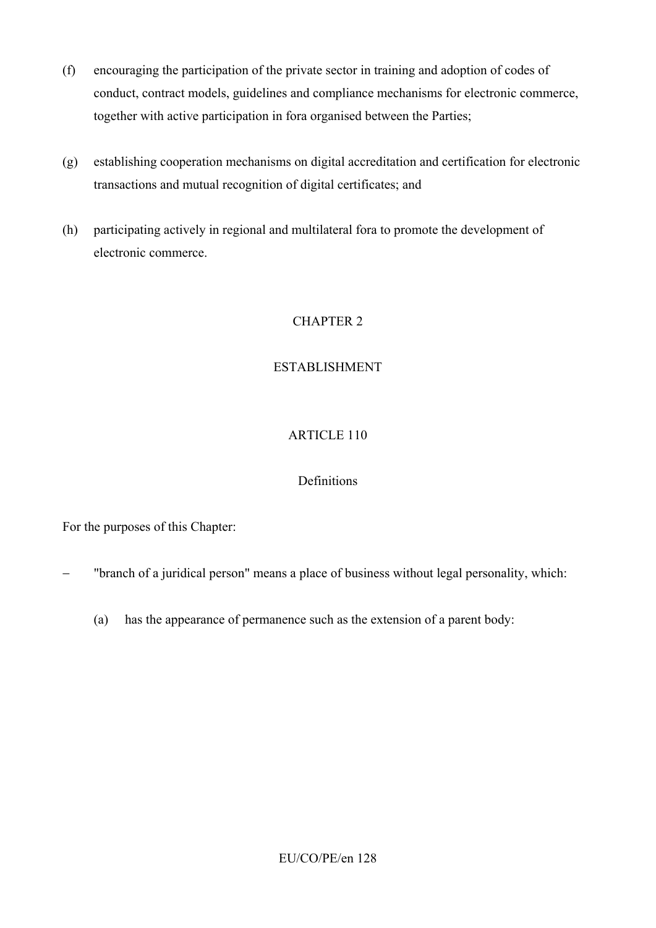- (f) encouraging the participation of the private sector in training and adoption of codes of conduct, contract models, guidelines and compliance mechanisms for electronic commerce, together with active participation in fora organised between the Parties;
- (g) establishing cooperation mechanisms on digital accreditation and certification for electronic transactions and mutual recognition of digital certificates; and
- (h) participating actively in regional and multilateral fora to promote the development of electronic commerce.

# CHAPTER 2

## ESTABLISHMENT

## ARTICLE 110

## **Definitions**

For the purposes of this Chapter:

- "branch of a juridical person" means a place of business without legal personality, which:
	- (a) has the appearance of permanence such as the extension of a parent body: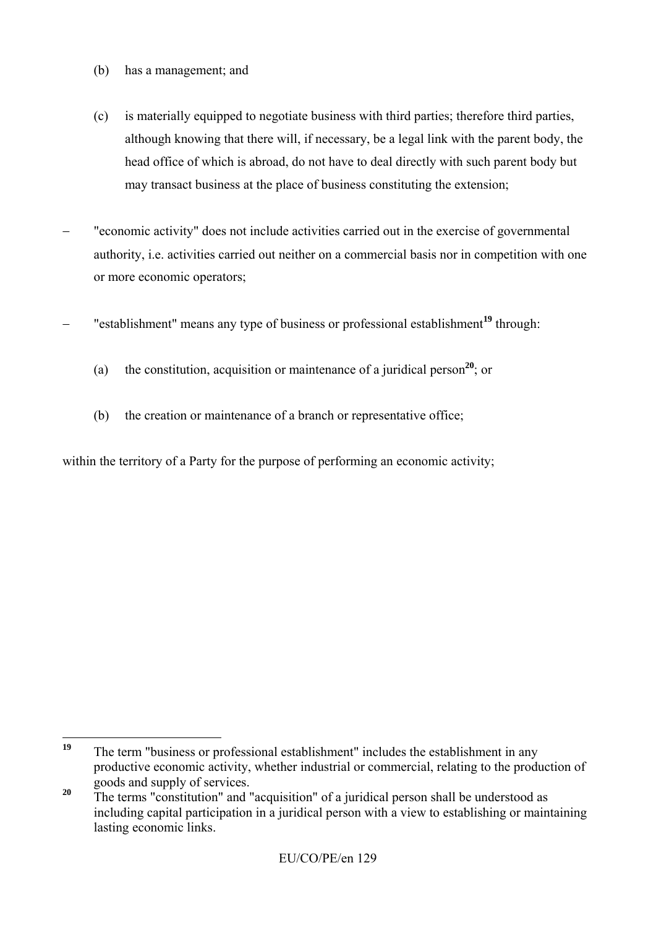- (b) has a management; and
- (c) is materially equipped to negotiate business with third parties; therefore third parties, although knowing that there will, if necessary, be a legal link with the parent body, the head office of which is abroad, do not have to deal directly with such parent body but may transact business at the place of business constituting the extension;
- "economic activity" does not include activities carried out in the exercise of governmental authority, i.e. activities carried out neither on a commercial basis nor in competition with one or more economic operators;
- − "establishment" means any type of business or professional establishment**<sup>19</sup>** through:
	- (a) the constitution, acquisition or maintenance of a juridical person**<sup>20</sup>**; or
	- (b) the creation or maintenance of a branch or representative office;

within the territory of a Party for the purpose of performing an economic activity;

 $19$ The term "business or professional establishment" includes the establishment in any productive economic activity, whether industrial or commercial, relating to the production of goods and supply of services.

<sup>&</sup>lt;sup>20</sup> The terms "constitution" and "acquisition" of a juridical person shall be understood as including capital participation in a juridical person with a view to establishing or maintaining lasting economic links.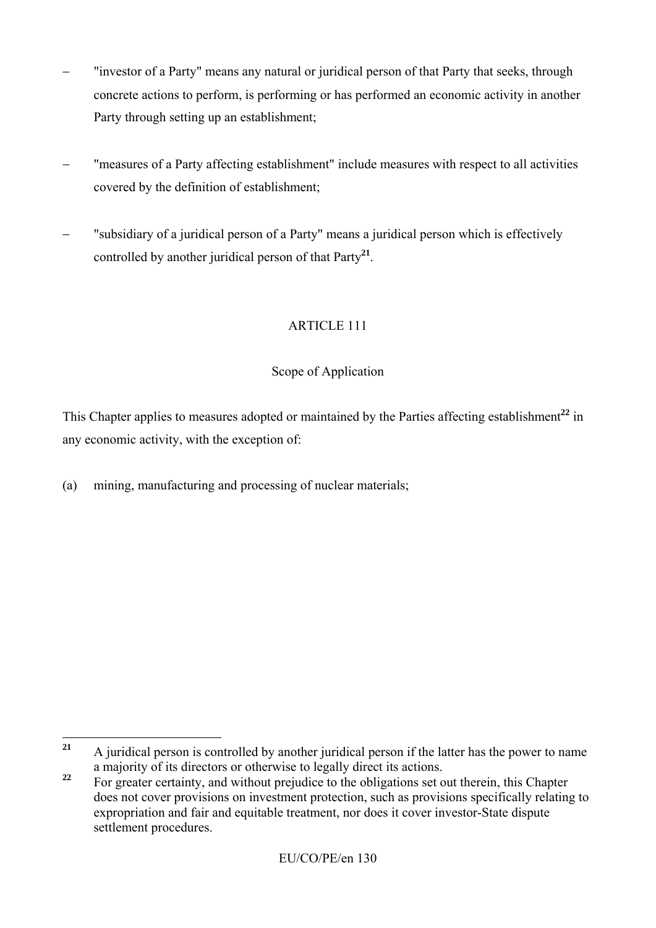- "investor of a Party" means any natural or juridical person of that Party that seeks, through concrete actions to perform, is performing or has performed an economic activity in another Party through setting up an establishment:
- − "measures of a Party affecting establishment" include measures with respect to all activities covered by the definition of establishment;
- "subsidiary of a juridical person of a Party" means a juridical person which is effectively controlled by another juridical person of that Party**<sup>21</sup>**.

## Scope of Application

This Chapter applies to measures adopted or maintained by the Parties affecting establishment<sup>22</sup> in any economic activity, with the exception of:

(a) mining, manufacturing and processing of nuclear materials;

 $21$ **<sup>21</sup>** A juridical person is controlled by another juridical person if the latter has the power to name a majority of its directors or otherwise to legally direct its actions.

<sup>&</sup>lt;sup>22</sup> For greater certainty, and without prejudice to the obligations set out therein, this Chapter does not cover provisions on investment protection, such as provisions specifically relating to expropriation and fair and equitable treatment, nor does it cover investor-State dispute settlement procedures.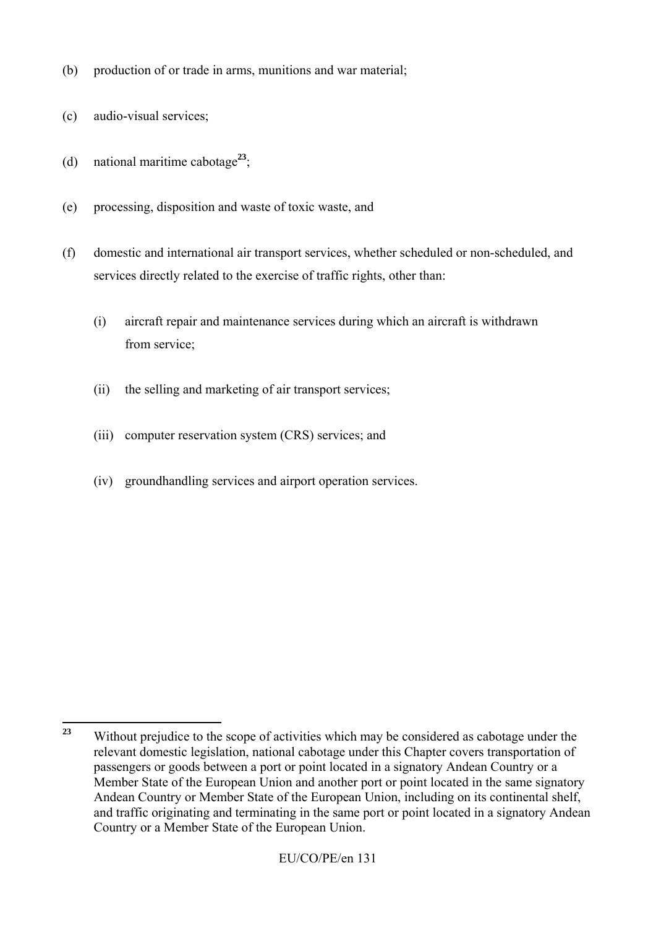- (b) production of or trade in arms, munitions and war material;
- (c) audio-visual services;
- (d) national maritime cabotage**<sup>23</sup>**;
- (e) processing, disposition and waste of toxic waste, and
- (f) domestic and international air transport services, whether scheduled or non-scheduled, and services directly related to the exercise of traffic rights, other than:
	- (i) aircraft repair and maintenance services during which an aircraft is withdrawn from service;
	- (ii) the selling and marketing of air transport services;
	- (iii) computer reservation system (CRS) services; and
	- (iv) groundhandling services and airport operation services.

 $23$ **<sup>23</sup>** Without prejudice to the scope of activities which may be considered as cabotage under the relevant domestic legislation, national cabotage under this Chapter covers transportation of passengers or goods between a port or point located in a signatory Andean Country or a Member State of the European Union and another port or point located in the same signatory Andean Country or Member State of the European Union, including on its continental shelf, and traffic originating and terminating in the same port or point located in a signatory Andean Country or a Member State of the European Union.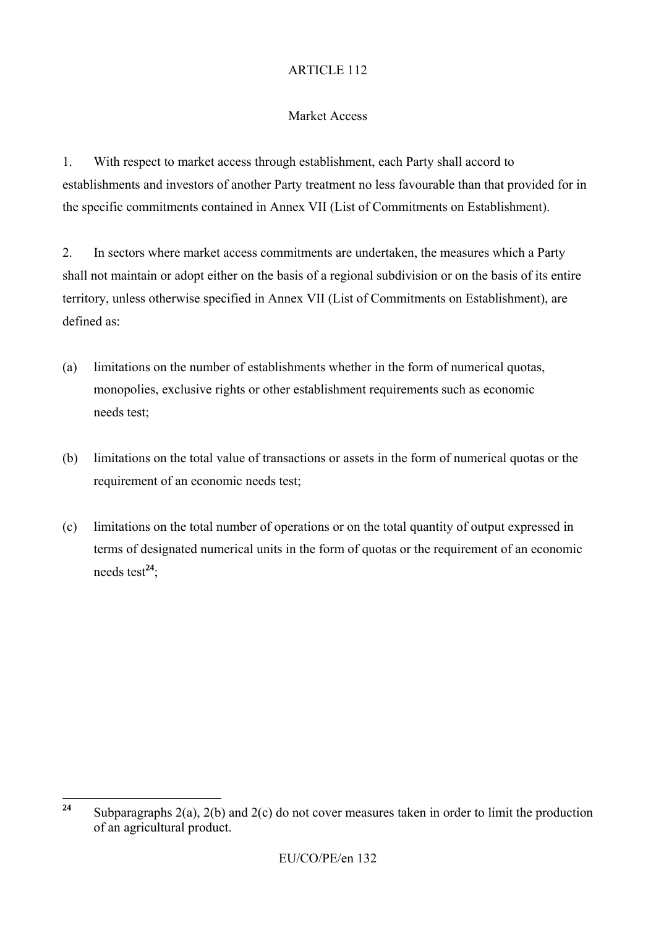### Market Access

1. With respect to market access through establishment, each Party shall accord to establishments and investors of another Party treatment no less favourable than that provided for in the specific commitments contained in Annex VII (List of Commitments on Establishment).

2. In sectors where market access commitments are undertaken, the measures which a Party shall not maintain or adopt either on the basis of a regional subdivision or on the basis of its entire territory, unless otherwise specified in Annex VII (List of Commitments on Establishment), are defined as:

- (a) limitations on the number of establishments whether in the form of numerical quotas, monopolies, exclusive rights or other establishment requirements such as economic needs test;
- (b) limitations on the total value of transactions or assets in the form of numerical quotas or the requirement of an economic needs test;
- (c) limitations on the total number of operations or on the total quantity of output expressed in terms of designated numerical units in the form of quotas or the requirement of an economic needs test**<sup>24</sup>**;

 $24$ **<sup>24</sup>** Subparagraphs 2(a), 2(b) and 2(c) do not cover measures taken in order to limit the production of an agricultural product.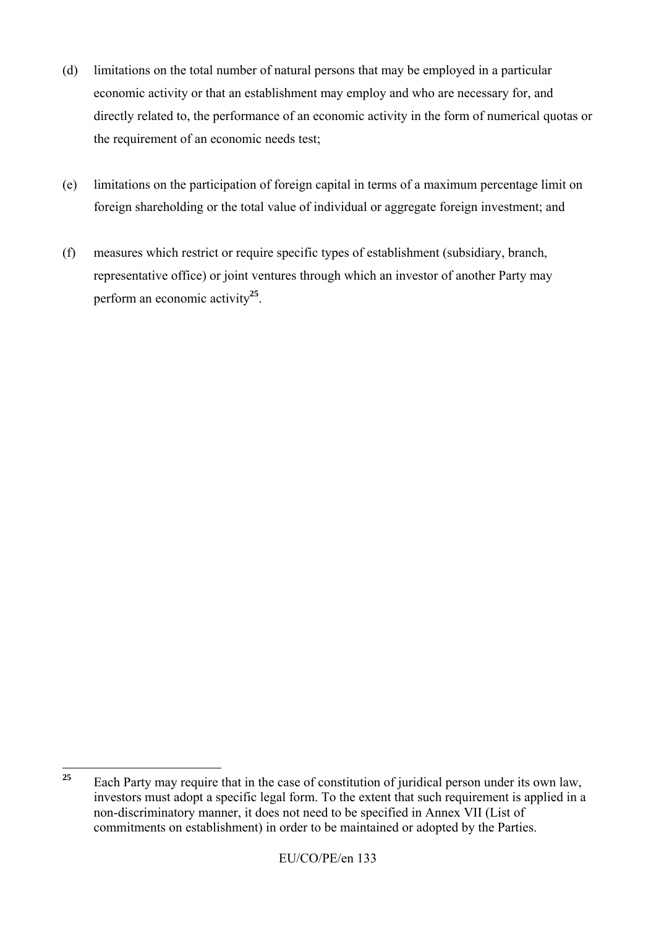- (d) limitations on the total number of natural persons that may be employed in a particular economic activity or that an establishment may employ and who are necessary for, and directly related to, the performance of an economic activity in the form of numerical quotas or the requirement of an economic needs test;
- (e) limitations on the participation of foreign capital in terms of a maximum percentage limit on foreign shareholding or the total value of individual or aggregate foreign investment; and
- (f) measures which restrict or require specific types of establishment (subsidiary, branch, representative office) or joint ventures through which an investor of another Party may perform an economic activity**<sup>25</sup>**.

 $25$ **<sup>25</sup>** Each Party may require that in the case of constitution of juridical person under its own law, investors must adopt a specific legal form. To the extent that such requirement is applied in a non-discriminatory manner, it does not need to be specified in Annex VII (List of commitments on establishment) in order to be maintained or adopted by the Parties.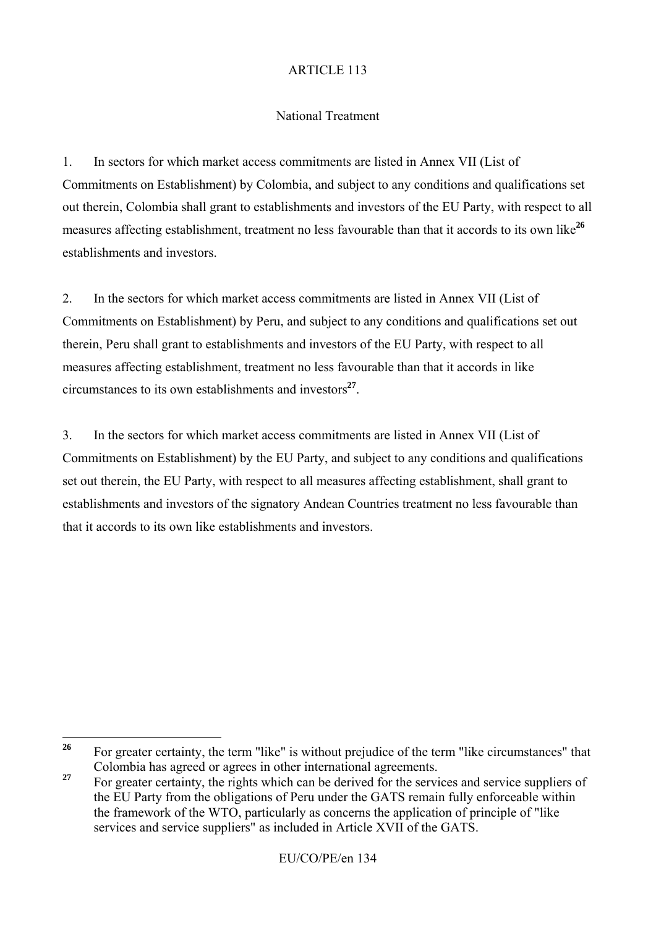### National Treatment

1. In sectors for which market access commitments are listed in Annex VII (List of Commitments on Establishment) by Colombia, and subject to any conditions and qualifications set out therein, Colombia shall grant to establishments and investors of the EU Party, with respect to all measures affecting establishment, treatment no less favourable than that it accords to its own like<sup>26</sup> establishments and investors.

2. In the sectors for which market access commitments are listed in Annex VII (List of Commitments on Establishment) by Peru, and subject to any conditions and qualifications set out therein, Peru shall grant to establishments and investors of the EU Party, with respect to all measures affecting establishment, treatment no less favourable than that it accords in like circumstances to its own establishments and investors**<sup>27</sup>**.

3. In the sectors for which market access commitments are listed in Annex VII (List of Commitments on Establishment) by the EU Party, and subject to any conditions and qualifications set out therein, the EU Party, with respect to all measures affecting establishment, shall grant to establishments and investors of the signatory Andean Countries treatment no less favourable than that it accords to its own like establishments and investors.

<sup>26</sup> For greater certainty, the term "like" is without prejudice of the term "like circumstances" that Colombia has agreed or agrees in other international agreements.

<sup>&</sup>lt;sup>27</sup> For greater certainty, the rights which can be derived for the services and service suppliers of the EU Party from the obligations of Peru under the GATS remain fully enforceable within the framework of the WTO, particularly as concerns the application of principle of "like services and service suppliers" as included in Article XVII of the GATS.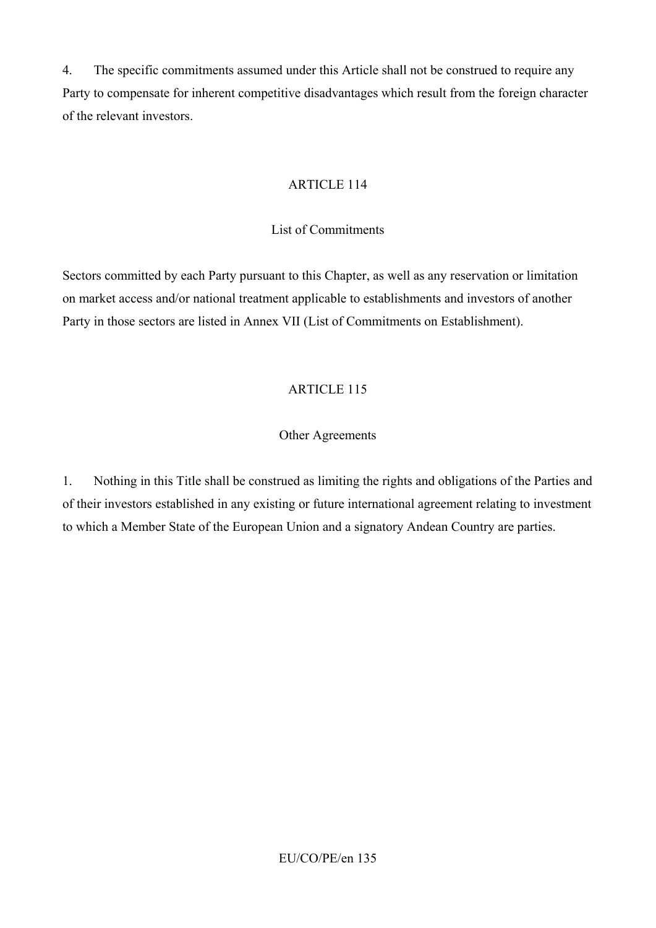4. The specific commitments assumed under this Article shall not be construed to require any Party to compensate for inherent competitive disadvantages which result from the foreign character of the relevant investors.

### ARTICLE 114

### List of Commitments

Sectors committed by each Party pursuant to this Chapter, as well as any reservation or limitation on market access and/or national treatment applicable to establishments and investors of another Party in those sectors are listed in Annex VII (List of Commitments on Establishment).

## ARTICLE 115

## Other Agreements

1. Nothing in this Title shall be construed as limiting the rights and obligations of the Parties and of their investors established in any existing or future international agreement relating to investment to which a Member State of the European Union and a signatory Andean Country are parties.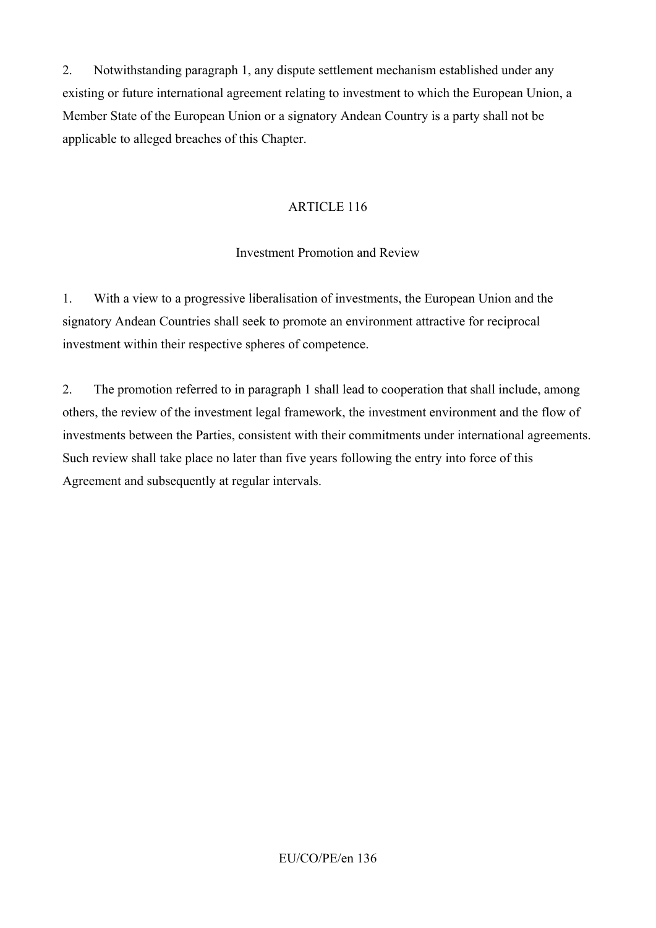2. Notwithstanding paragraph 1, any dispute settlement mechanism established under any existing or future international agreement relating to investment to which the European Union, a Member State of the European Union or a signatory Andean Country is a party shall not be applicable to alleged breaches of this Chapter.

#### ARTICLE 116

## Investment Promotion and Review

1. With a view to a progressive liberalisation of investments, the European Union and the signatory Andean Countries shall seek to promote an environment attractive for reciprocal investment within their respective spheres of competence.

2. The promotion referred to in paragraph 1 shall lead to cooperation that shall include, among others, the review of the investment legal framework, the investment environment and the flow of investments between the Parties, consistent with their commitments under international agreements. Such review shall take place no later than five years following the entry into force of this Agreement and subsequently at regular intervals.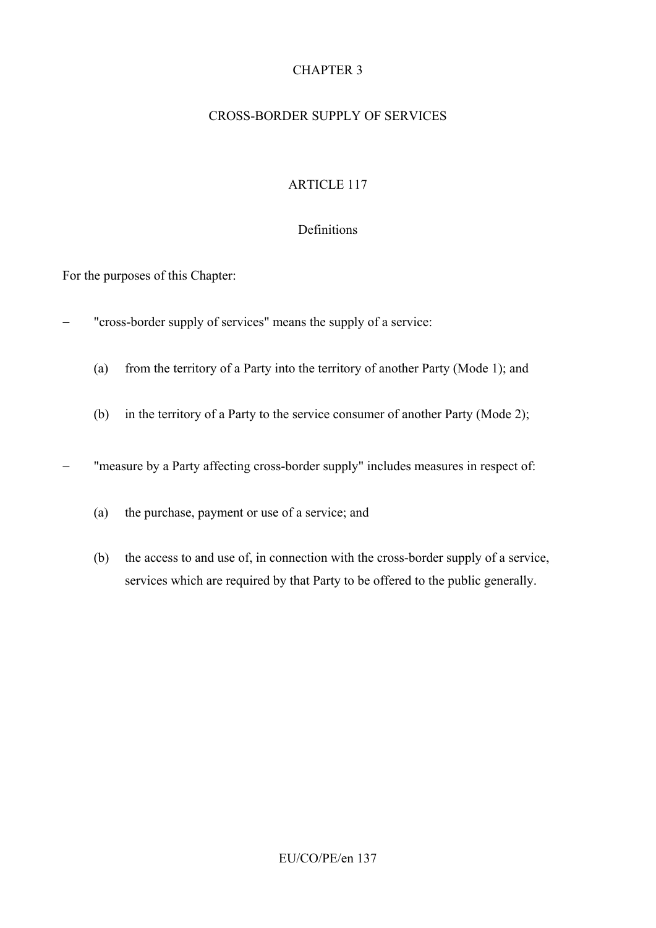## CHAPTER 3

#### CROSS-BORDER SUPPLY OF SERVICES

### ARTICLE 117

#### Definitions

For the purposes of this Chapter:

- "cross-border supply of services" means the supply of a service:
	- (a) from the territory of a Party into the territory of another Party (Mode 1); and
	- (b) in the territory of a Party to the service consumer of another Party (Mode 2);

− "measure by a Party affecting cross-border supply" includes measures in respect of:

- (a) the purchase, payment or use of a service; and
- (b) the access to and use of, in connection with the cross-border supply of a service, services which are required by that Party to be offered to the public generally.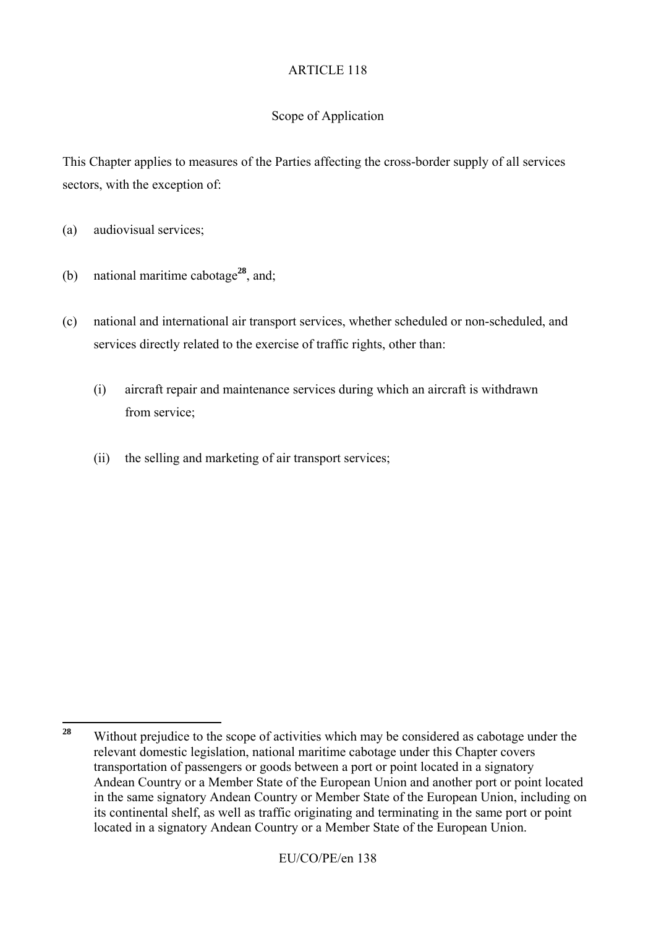### Scope of Application

This Chapter applies to measures of the Parties affecting the cross-border supply of all services sectors, with the exception of:

- (a) audiovisual services;
- (b) national maritime cabotage**<sup>28</sup>**, and;
- (c) national and international air transport services, whether scheduled or non-scheduled, and services directly related to the exercise of traffic rights, other than:
	- (i) aircraft repair and maintenance services during which an aircraft is withdrawn from service;
	- (ii) the selling and marketing of air transport services;

<sup>28</sup> **<sup>28</sup>** Without prejudice to the scope of activities which may be considered as cabotage under the relevant domestic legislation, national maritime cabotage under this Chapter covers transportation of passengers or goods between a port or point located in a signatory Andean Country or a Member State of the European Union and another port or point located in the same signatory Andean Country or Member State of the European Union, including on its continental shelf, as well as traffic originating and terminating in the same port or point located in a signatory Andean Country or a Member State of the European Union.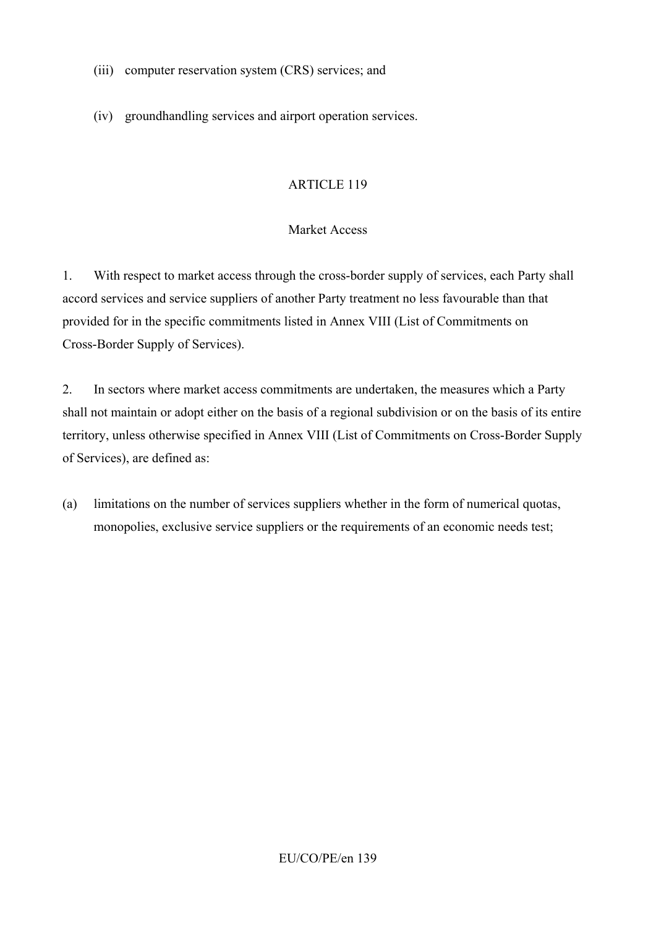- (iii) computer reservation system (CRS) services; and
- (iv) groundhandling services and airport operation services.

#### Market Access

1. With respect to market access through the cross-border supply of services, each Party shall accord services and service suppliers of another Party treatment no less favourable than that provided for in the specific commitments listed in Annex VIII (List of Commitments on Cross-Border Supply of Services).

2. In sectors where market access commitments are undertaken, the measures which a Party shall not maintain or adopt either on the basis of a regional subdivision or on the basis of its entire territory, unless otherwise specified in Annex VIII (List of Commitments on Cross-Border Supply of Services), are defined as:

(a) limitations on the number of services suppliers whether in the form of numerical quotas, monopolies, exclusive service suppliers or the requirements of an economic needs test;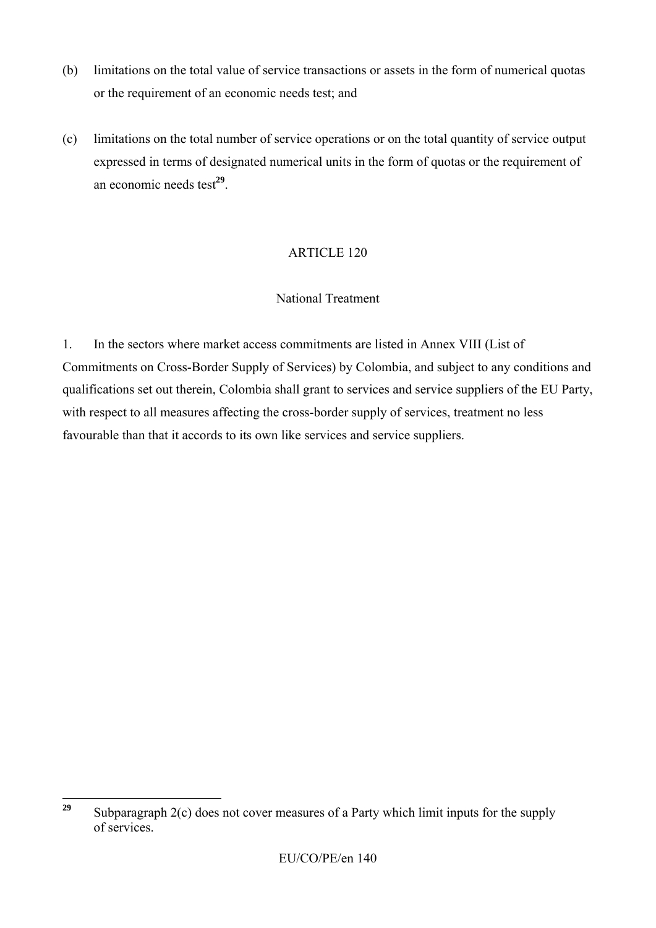- (b) limitations on the total value of service transactions or assets in the form of numerical quotas or the requirement of an economic needs test; and
- (c) limitations on the total number of service operations or on the total quantity of service output expressed in terms of designated numerical units in the form of quotas or the requirement of an economic needs test**<sup>29</sup>**.

#### National Treatment

1. In the sectors where market access commitments are listed in Annex VIII (List of Commitments on Cross-Border Supply of Services) by Colombia, and subject to any conditions and qualifications set out therein, Colombia shall grant to services and service suppliers of the EU Party, with respect to all measures affecting the cross-border supply of services, treatment no less favourable than that it accords to its own like services and service suppliers.

<sup>29</sup> **<sup>29</sup>** Subparagraph 2(c) does not cover measures of a Party which limit inputs for the supply of services.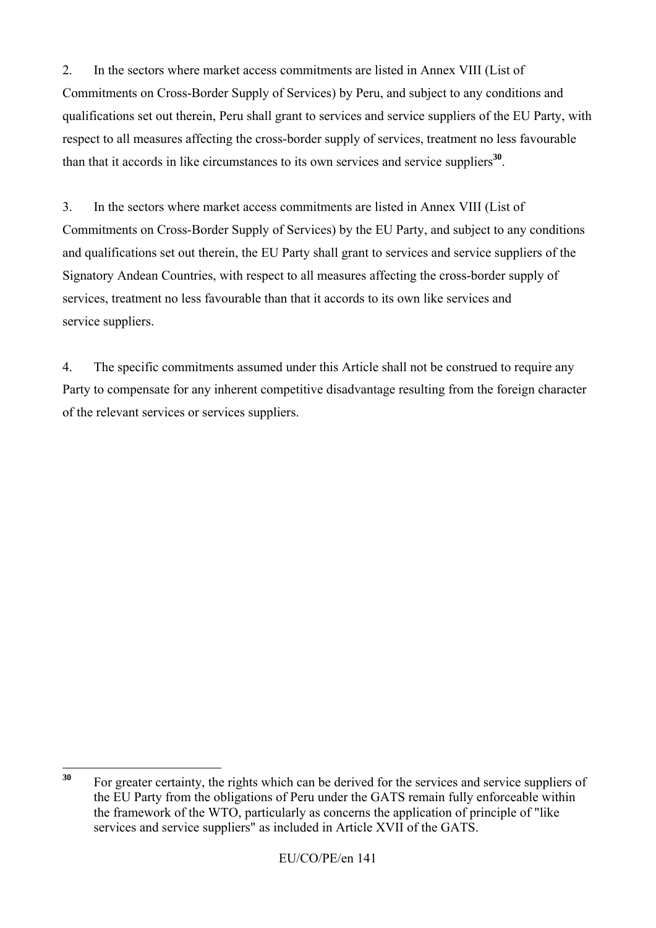2. In the sectors where market access commitments are listed in Annex VIII (List of Commitments on Cross-Border Supply of Services) by Peru, and subject to any conditions and qualifications set out therein, Peru shall grant to services and service suppliers of the EU Party, with respect to all measures affecting the cross-border supply of services, treatment no less favourable than that it accords in like circumstances to its own services and service suppliers**<sup>30</sup>**.

3. In the sectors where market access commitments are listed in Annex VIII (List of Commitments on Cross-Border Supply of Services) by the EU Party, and subject to any conditions and qualifications set out therein, the EU Party shall grant to services and service suppliers of the Signatory Andean Countries, with respect to all measures affecting the cross-border supply of services, treatment no less favourable than that it accords to its own like services and service suppliers.

4. The specific commitments assumed under this Article shall not be construed to require any Party to compensate for any inherent competitive disadvantage resulting from the foreign character of the relevant services or services suppliers.

 $30$ For greater certainty, the rights which can be derived for the services and service suppliers of the EU Party from the obligations of Peru under the GATS remain fully enforceable within the framework of the WTO, particularly as concerns the application of principle of "like services and service suppliers" as included in Article XVII of the GATS.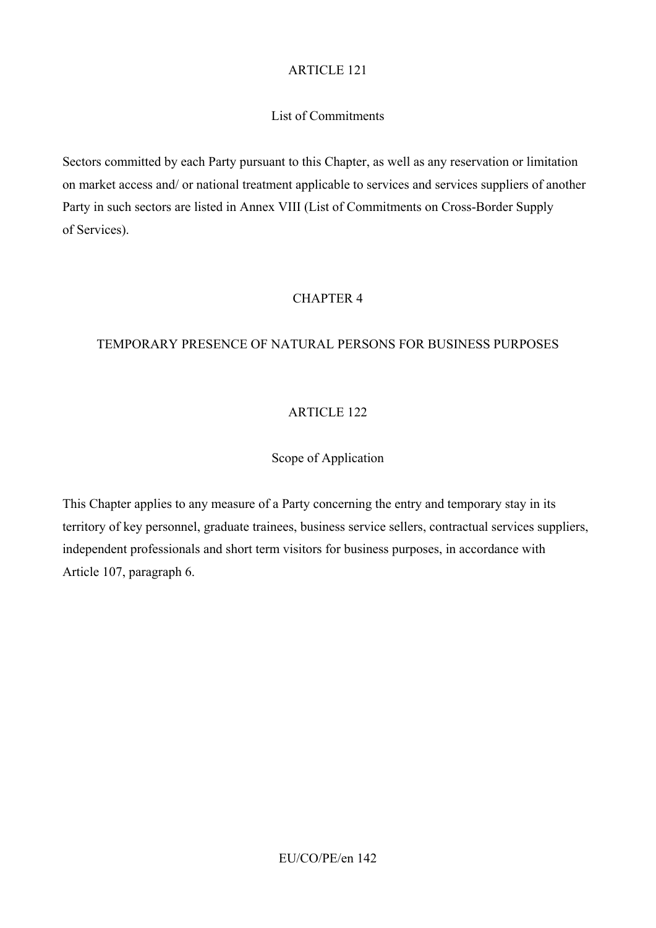## List of Commitments

Sectors committed by each Party pursuant to this Chapter, as well as any reservation or limitation on market access and/ or national treatment applicable to services and services suppliers of another Party in such sectors are listed in Annex VIII (List of Commitments on Cross-Border Supply of Services).

# CHAPTER 4

## TEMPORARY PRESENCE OF NATURAL PERSONS FOR BUSINESS PURPOSES

# ARTICLE 122

# Scope of Application

This Chapter applies to any measure of a Party concerning the entry and temporary stay in its territory of key personnel, graduate trainees, business service sellers, contractual services suppliers, independent professionals and short term visitors for business purposes, in accordance with Article 107, paragraph 6.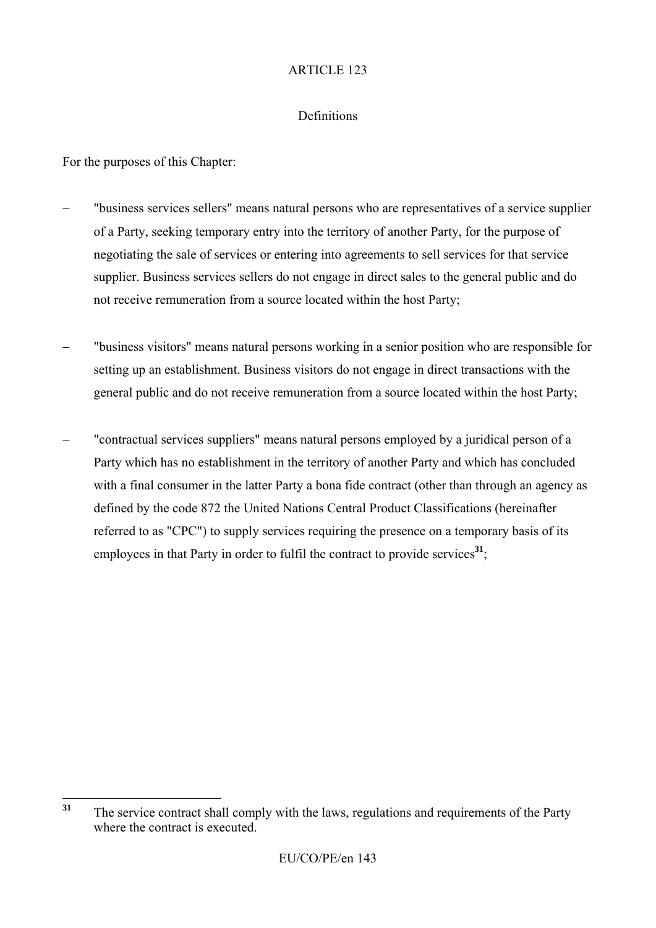#### Definitions

For the purposes of this Chapter:

- − "business services sellers" means natural persons who are representatives of a service supplier of a Party, seeking temporary entry into the territory of another Party, for the purpose of negotiating the sale of services or entering into agreements to sell services for that service supplier. Business services sellers do not engage in direct sales to the general public and do not receive remuneration from a source located within the host Party;
- "business visitors" means natural persons working in a senior position who are responsible for setting up an establishment. Business visitors do not engage in direct transactions with the general public and do not receive remuneration from a source located within the host Party;
- "contractual services suppliers" means natural persons employed by a juridical person of a Party which has no establishment in the territory of another Party and which has concluded with a final consumer in the latter Party a bona fide contract (other than through an agency as defined by the code 872 the United Nations Central Product Classifications (hereinafter referred to as "CPC") to supply services requiring the presence on a temporary basis of its employees in that Party in order to fulfil the contract to provide services**<sup>31</sup>**;

 $31$ **<sup>31</sup>** The service contract shall comply with the laws, regulations and requirements of the Party where the contract is executed.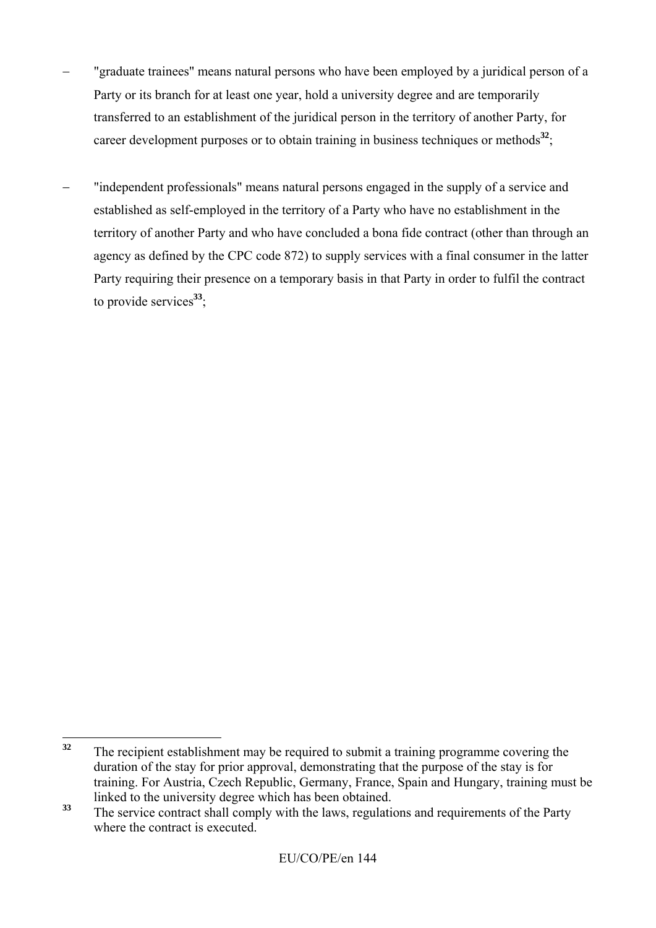- "graduate trainees" means natural persons who have been employed by a juridical person of a Party or its branch for at least one year, hold a university degree and are temporarily transferred to an establishment of the juridical person in the territory of another Party, for career development purposes or to obtain training in business techniques or methods<sup>32</sup>;
- "independent professionals" means natural persons engaged in the supply of a service and established as self-employed in the territory of a Party who have no establishment in the territory of another Party and who have concluded a bona fide contract (other than through an agency as defined by the CPC code 872) to supply services with a final consumer in the latter Party requiring their presence on a temporary basis in that Party in order to fulfil the contract to provide services**<sup>33</sup>**;

 $32$ **<sup>32</sup>** The recipient establishment may be required to submit a training programme covering the duration of the stay for prior approval, demonstrating that the purpose of the stay is for training. For Austria, Czech Republic, Germany, France, Spain and Hungary, training must be linked to the university degree which has been obtained.

<sup>&</sup>lt;sup>33</sup> The service contract shall comply with the laws, regulations and requirements of the Party where the contract is executed.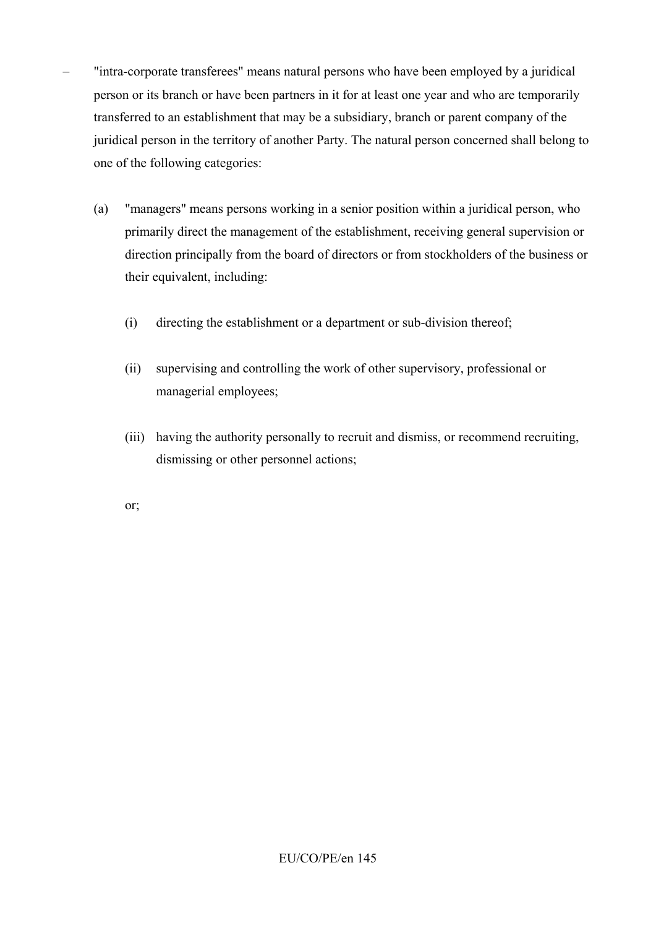- − "intra-corporate transferees" means natural persons who have been employed by a juridical person or its branch or have been partners in it for at least one year and who are temporarily transferred to an establishment that may be a subsidiary, branch or parent company of the juridical person in the territory of another Party. The natural person concerned shall belong to one of the following categories:
	- (a) "managers" means persons working in a senior position within a juridical person, who primarily direct the management of the establishment, receiving general supervision or direction principally from the board of directors or from stockholders of the business or their equivalent, including:
		- (i) directing the establishment or a department or sub-division thereof;
		- (ii) supervising and controlling the work of other supervisory, professional or managerial employees;
		- (iii) having the authority personally to recruit and dismiss, or recommend recruiting, dismissing or other personnel actions;

or;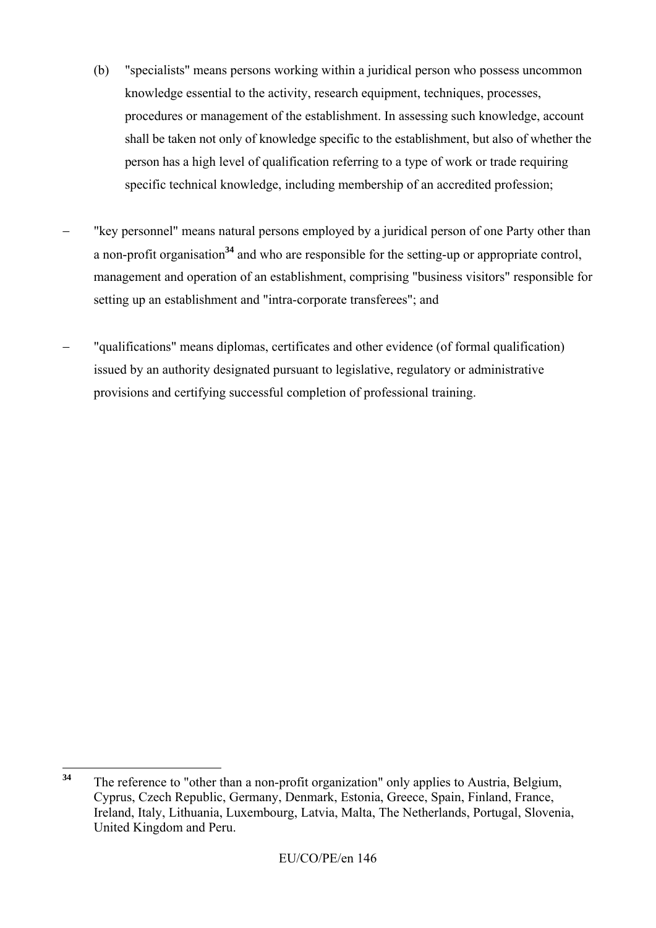- (b) "specialists" means persons working within a juridical person who possess uncommon knowledge essential to the activity, research equipment, techniques, processes, procedures or management of the establishment. In assessing such knowledge, account shall be taken not only of knowledge specific to the establishment, but also of whether the person has a high level of qualification referring to a type of work or trade requiring specific technical knowledge, including membership of an accredited profession;
- "key personnel" means natural persons employed by a juridical person of one Party other than a non-profit organisation**<sup>34</sup>** and who are responsible for the setting-up or appropriate control, management and operation of an establishment, comprising "business visitors" responsible for setting up an establishment and "intra-corporate transferees"; and
- − "qualifications" means diplomas, certificates and other evidence (of formal qualification) issued by an authority designated pursuant to legislative, regulatory or administrative provisions and certifying successful completion of professional training.

 $34$ **<sup>34</sup>** The reference to "other than a non-profit organization" only applies to Austria, Belgium, Cyprus, Czech Republic, Germany, Denmark, Estonia, Greece, Spain, Finland, France, Ireland, Italy, Lithuania, Luxembourg, Latvia, Malta, The Netherlands, Portugal, Slovenia, United Kingdom and Peru.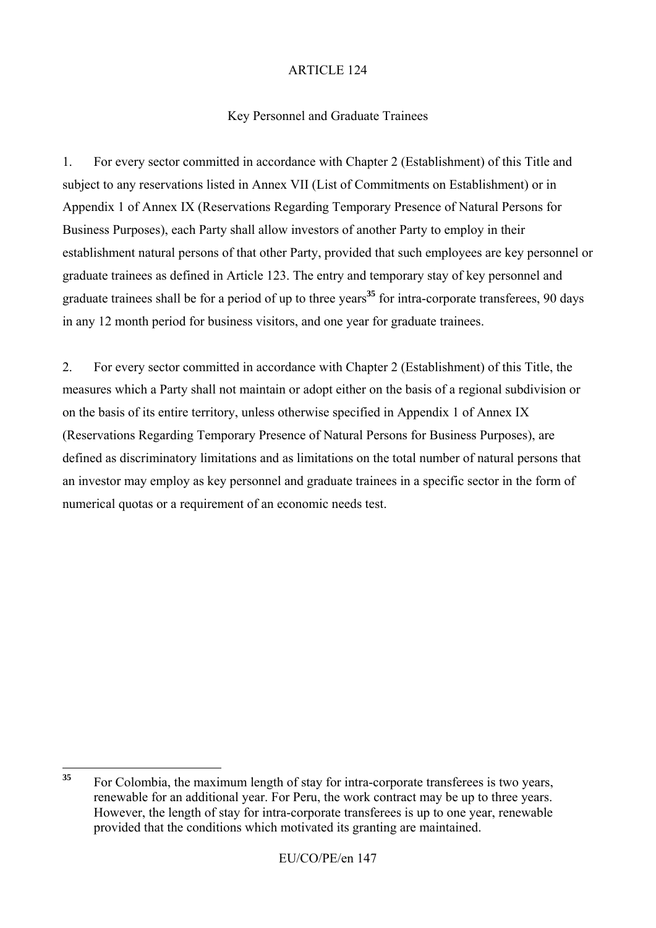# Key Personnel and Graduate Trainees

1. For every sector committed in accordance with Chapter 2 (Establishment) of this Title and subject to any reservations listed in Annex VII (List of Commitments on Establishment) or in Appendix 1 of Annex IX (Reservations Regarding Temporary Presence of Natural Persons for Business Purposes), each Party shall allow investors of another Party to employ in their establishment natural persons of that other Party, provided that such employees are key personnel or graduate trainees as defined in Article 123. The entry and temporary stay of key personnel and graduate trainees shall be for a period of up to three years**<sup>35</sup>** for intra-corporate transferees, 90 days in any 12 month period for business visitors, and one year for graduate trainees.

2. For every sector committed in accordance with Chapter 2 (Establishment) of this Title, the measures which a Party shall not maintain or adopt either on the basis of a regional subdivision or on the basis of its entire territory, unless otherwise specified in Appendix 1 of Annex IX (Reservations Regarding Temporary Presence of Natural Persons for Business Purposes), are defined as discriminatory limitations and as limitations on the total number of natural persons that an investor may employ as key personnel and graduate trainees in a specific sector in the form of numerical quotas or a requirement of an economic needs test.

 $35$ **<sup>35</sup>** For Colombia, the maximum length of stay for intra-corporate transferees is two years, renewable for an additional year. For Peru, the work contract may be up to three years. However, the length of stay for intra-corporate transferees is up to one year, renewable provided that the conditions which motivated its granting are maintained.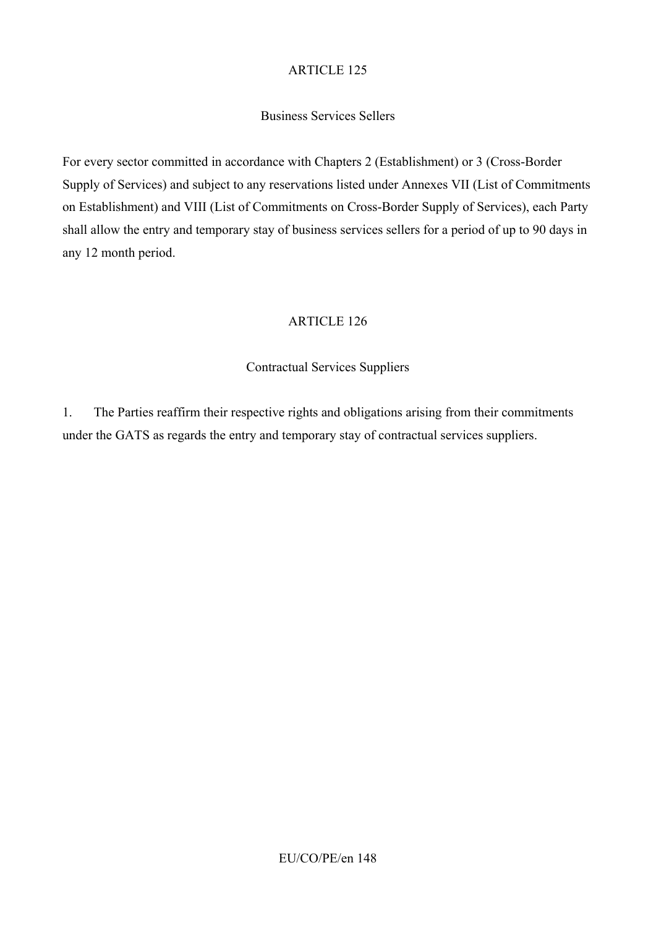# Business Services Sellers

For every sector committed in accordance with Chapters 2 (Establishment) or 3 (Cross-Border Supply of Services) and subject to any reservations listed under Annexes VII (List of Commitments on Establishment) and VIII (List of Commitments on Cross-Border Supply of Services), each Party shall allow the entry and temporary stay of business services sellers for a period of up to 90 days in any 12 month period.

# ARTICLE 126

# Contractual Services Suppliers

1. The Parties reaffirm their respective rights and obligations arising from their commitments under the GATS as regards the entry and temporary stay of contractual services suppliers.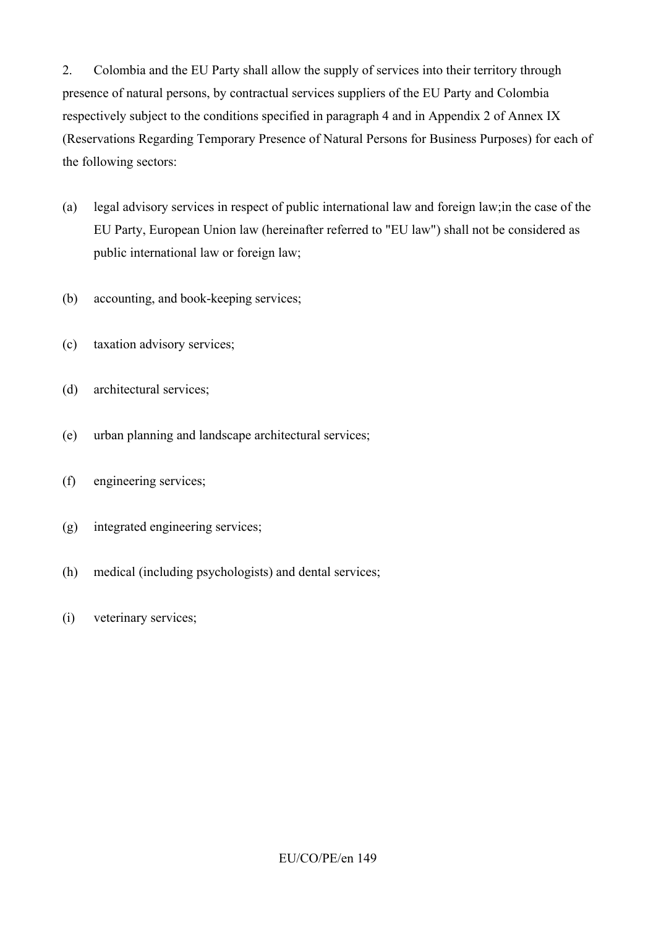2. Colombia and the EU Party shall allow the supply of services into their territory through presence of natural persons, by contractual services suppliers of the EU Party and Colombia respectively subject to the conditions specified in paragraph 4 and in Appendix 2 of Annex IX (Reservations Regarding Temporary Presence of Natural Persons for Business Purposes) for each of the following sectors:

- (a) legal advisory services in respect of public international law and foreign law;in the case of the EU Party, European Union law (hereinafter referred to "EU law") shall not be considered as public international law or foreign law;
- (b) accounting, and book-keeping services;
- (c) taxation advisory services;
- (d) architectural services;
- (e) urban planning and landscape architectural services;
- (f) engineering services;
- (g) integrated engineering services;
- (h) medical (including psychologists) and dental services;
- (i) veterinary services;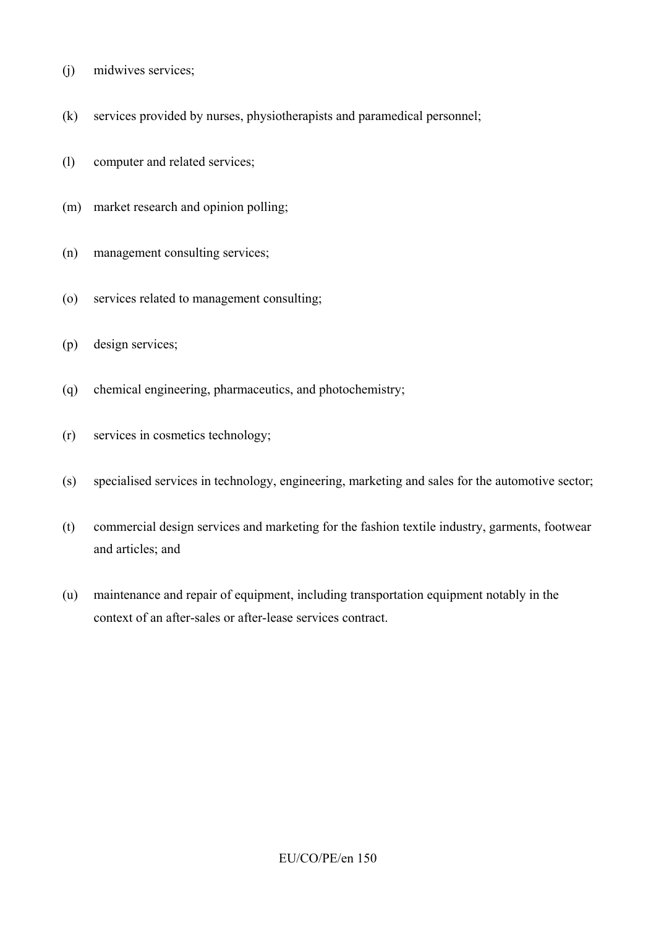- (j) midwives services;
- (k) services provided by nurses, physiotherapists and paramedical personnel;
- (l) computer and related services;
- (m) market research and opinion polling;
- (n) management consulting services;
- (o) services related to management consulting;
- (p) design services;
- (q) chemical engineering, pharmaceutics, and photochemistry;
- (r) services in cosmetics technology;
- (s) specialised services in technology, engineering, marketing and sales for the automotive sector;
- (t) commercial design services and marketing for the fashion textile industry, garments, footwear and articles; and
- (u) maintenance and repair of equipment, including transportation equipment notably in the context of an after-sales or after-lease services contract.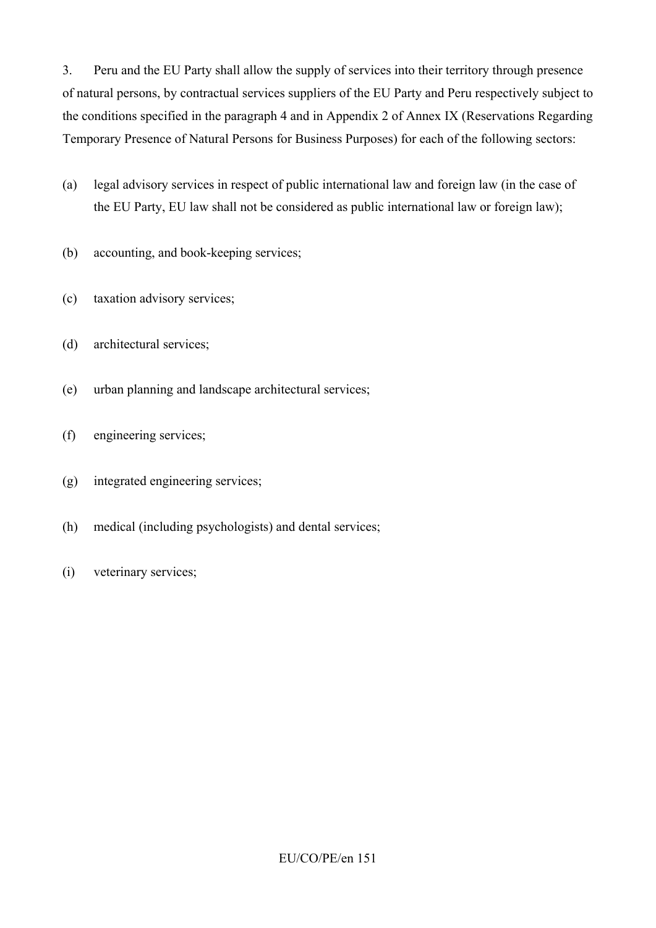3. Peru and the EU Party shall allow the supply of services into their territory through presence of natural persons, by contractual services suppliers of the EU Party and Peru respectively subject to the conditions specified in the paragraph 4 and in Appendix 2 of Annex IX (Reservations Regarding Temporary Presence of Natural Persons for Business Purposes) for each of the following sectors:

- (a) legal advisory services in respect of public international law and foreign law (in the case of the EU Party, EU law shall not be considered as public international law or foreign law);
- (b) accounting, and book-keeping services;
- (c) taxation advisory services;
- (d) architectural services;
- (e) urban planning and landscape architectural services;
- (f) engineering services;
- (g) integrated engineering services;
- (h) medical (including psychologists) and dental services;
- (i) veterinary services;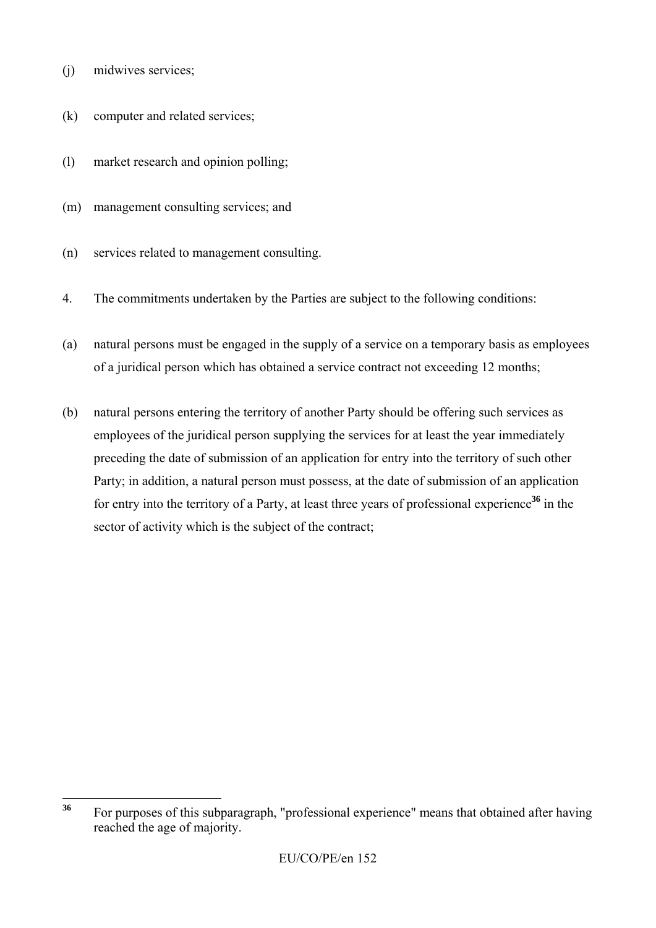- (j) midwives services;
- (k) computer and related services;
- (l) market research and opinion polling;
- (m) management consulting services; and
- (n) services related to management consulting.
- 4. The commitments undertaken by the Parties are subject to the following conditions:
- (a) natural persons must be engaged in the supply of a service on a temporary basis as employees of a juridical person which has obtained a service contract not exceeding 12 months;
- (b) natural persons entering the territory of another Party should be offering such services as employees of the juridical person supplying the services for at least the year immediately preceding the date of submission of an application for entry into the territory of such other Party; in addition, a natural person must possess, at the date of submission of an application for entry into the territory of a Party, at least three years of professional experience<sup>36</sup> in the sector of activity which is the subject of the contract;

 $36$ **<sup>36</sup>** For purposes of this subparagraph, "professional experience" means that obtained after having reached the age of majority.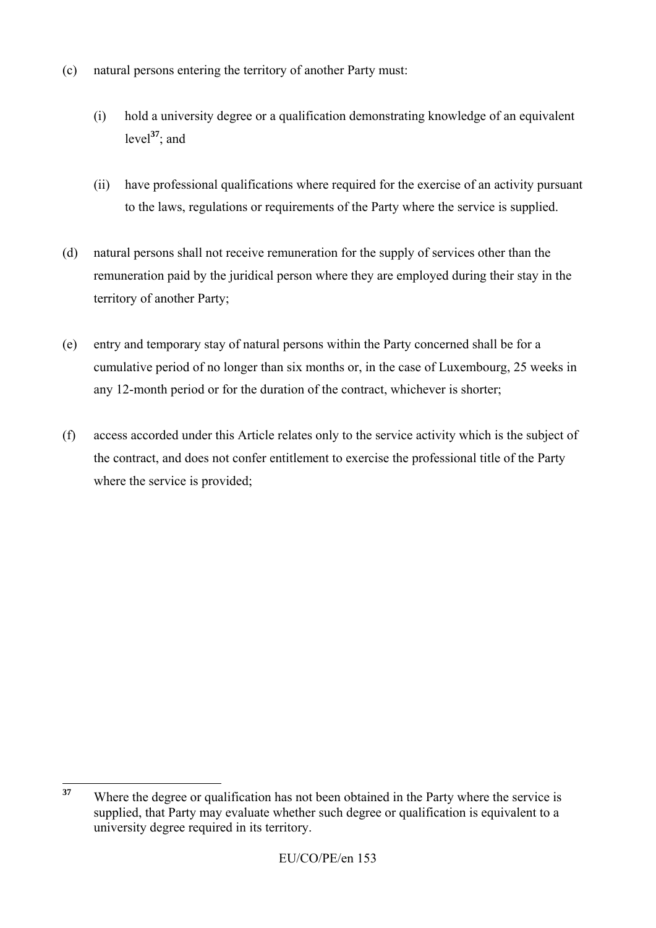- (c) natural persons entering the territory of another Party must:
	- (i) hold a university degree or a qualification demonstrating knowledge of an equivalent level**<sup>37</sup>**; and
	- (ii) have professional qualifications where required for the exercise of an activity pursuant to the laws, regulations or requirements of the Party where the service is supplied.
- (d) natural persons shall not receive remuneration for the supply of services other than the remuneration paid by the juridical person where they are employed during their stay in the territory of another Party;
- (e) entry and temporary stay of natural persons within the Party concerned shall be for a cumulative period of no longer than six months or, in the case of Luxembourg, 25 weeks in any 12-month period or for the duration of the contract, whichever is shorter;
- (f) access accorded under this Article relates only to the service activity which is the subject of the contract, and does not confer entitlement to exercise the professional title of the Party where the service is provided;

<sup>37</sup> **<sup>37</sup>** Where the degree or qualification has not been obtained in the Party where the service is supplied, that Party may evaluate whether such degree or qualification is equivalent to a university degree required in its territory.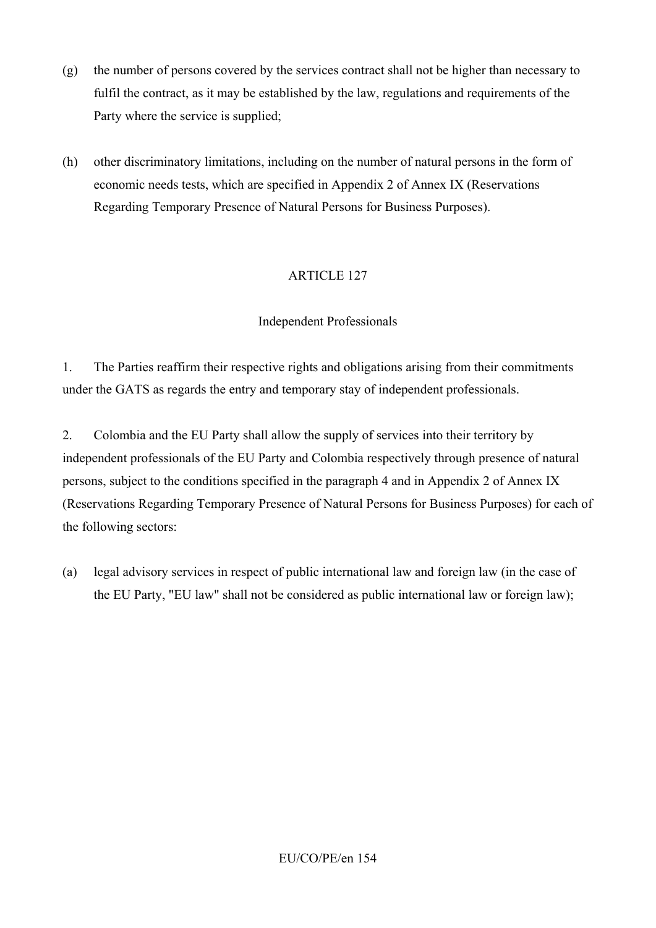- (g) the number of persons covered by the services contract shall not be higher than necessary to fulfil the contract, as it may be established by the law, regulations and requirements of the Party where the service is supplied;
- (h) other discriminatory limitations, including on the number of natural persons in the form of economic needs tests, which are specified in Appendix 2 of Annex IX (Reservations Regarding Temporary Presence of Natural Persons for Business Purposes).

#### Independent Professionals

1. The Parties reaffirm their respective rights and obligations arising from their commitments under the GATS as regards the entry and temporary stay of independent professionals.

2. Colombia and the EU Party shall allow the supply of services into their territory by independent professionals of the EU Party and Colombia respectively through presence of natural persons, subject to the conditions specified in the paragraph 4 and in Appendix 2 of Annex IX (Reservations Regarding Temporary Presence of Natural Persons for Business Purposes) for each of the following sectors:

(a) legal advisory services in respect of public international law and foreign law (in the case of the EU Party, "EU law" shall not be considered as public international law or foreign law);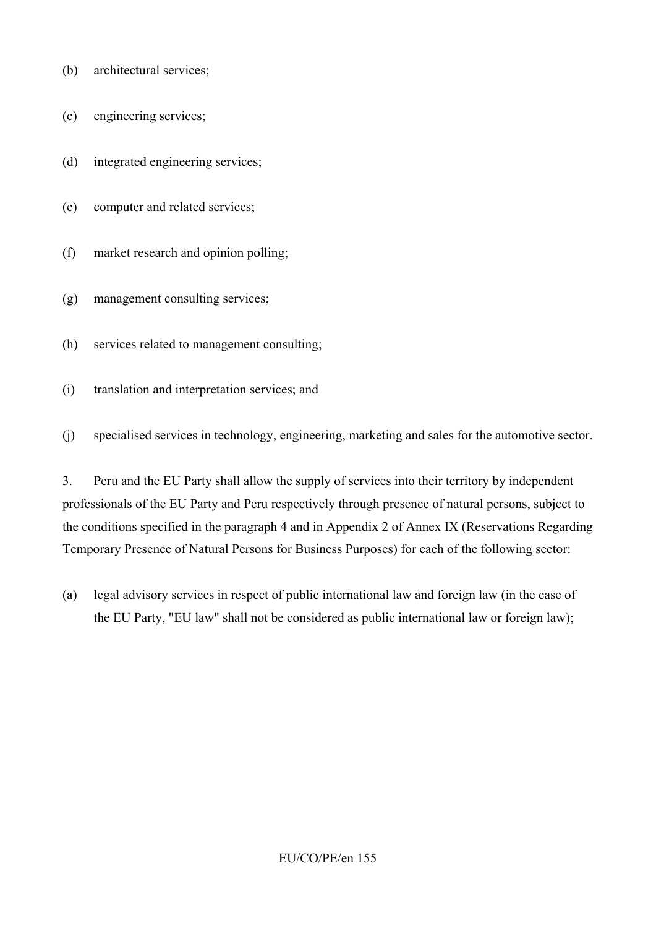- (b) architectural services;
- (c) engineering services;
- (d) integrated engineering services;
- (e) computer and related services;
- (f) market research and opinion polling;
- (g) management consulting services;
- (h) services related to management consulting;
- (i) translation and interpretation services; and
- (j) specialised services in technology, engineering, marketing and sales for the automotive sector.

3. Peru and the EU Party shall allow the supply of services into their territory by independent professionals of the EU Party and Peru respectively through presence of natural persons, subject to the conditions specified in the paragraph 4 and in Appendix 2 of Annex IX (Reservations Regarding Temporary Presence of Natural Persons for Business Purposes) for each of the following sector:

(a) legal advisory services in respect of public international law and foreign law (in the case of the EU Party, "EU law" shall not be considered as public international law or foreign law);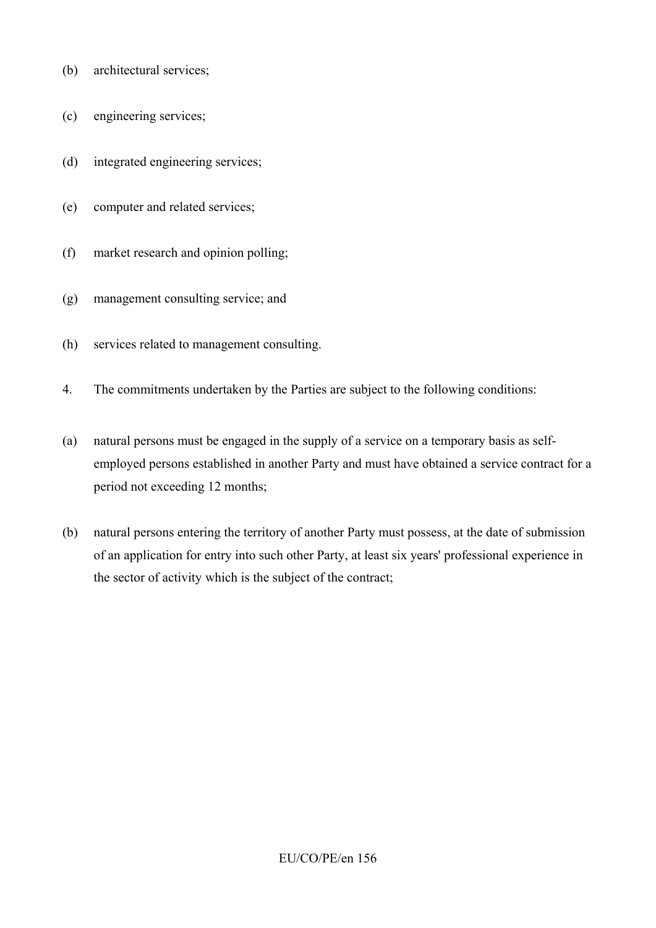- (b) architectural services;
- (c) engineering services;
- (d) integrated engineering services;
- (e) computer and related services;
- (f) market research and opinion polling;
- (g) management consulting service; and
- (h) services related to management consulting.
- 4. The commitments undertaken by the Parties are subject to the following conditions:
- (a) natural persons must be engaged in the supply of a service on a temporary basis as selfemployed persons established in another Party and must have obtained a service contract for a period not exceeding 12 months;
- (b) natural persons entering the territory of another Party must possess, at the date of submission of an application for entry into such other Party, at least six years' professional experience in the sector of activity which is the subject of the contract;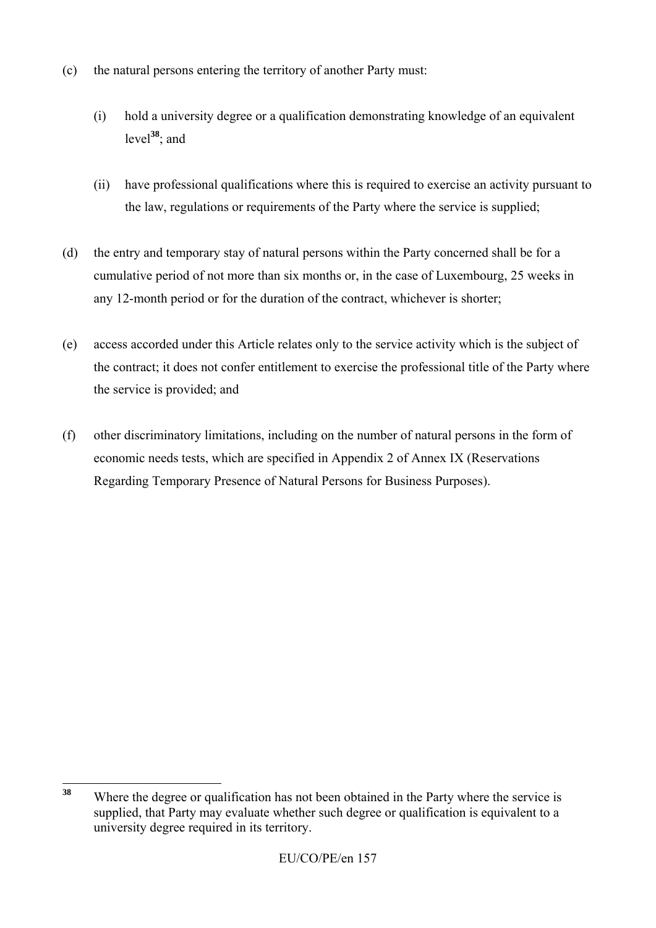- (c) the natural persons entering the territory of another Party must:
	- (i) hold a university degree or a qualification demonstrating knowledge of an equivalent level**<sup>38</sup>**; and
	- (ii) have professional qualifications where this is required to exercise an activity pursuant to the law, regulations or requirements of the Party where the service is supplied;
- (d) the entry and temporary stay of natural persons within the Party concerned shall be for a cumulative period of not more than six months or, in the case of Luxembourg, 25 weeks in any 12-month period or for the duration of the contract, whichever is shorter;
- (e) access accorded under this Article relates only to the service activity which is the subject of the contract; it does not confer entitlement to exercise the professional title of the Party where the service is provided; and
- (f) other discriminatory limitations, including on the number of natural persons in the form of economic needs tests, which are specified in Appendix 2 of Annex IX (Reservations Regarding Temporary Presence of Natural Persons for Business Purposes).

<sup>38</sup> **<sup>38</sup>** Where the degree or qualification has not been obtained in the Party where the service is supplied, that Party may evaluate whether such degree or qualification is equivalent to a university degree required in its territory.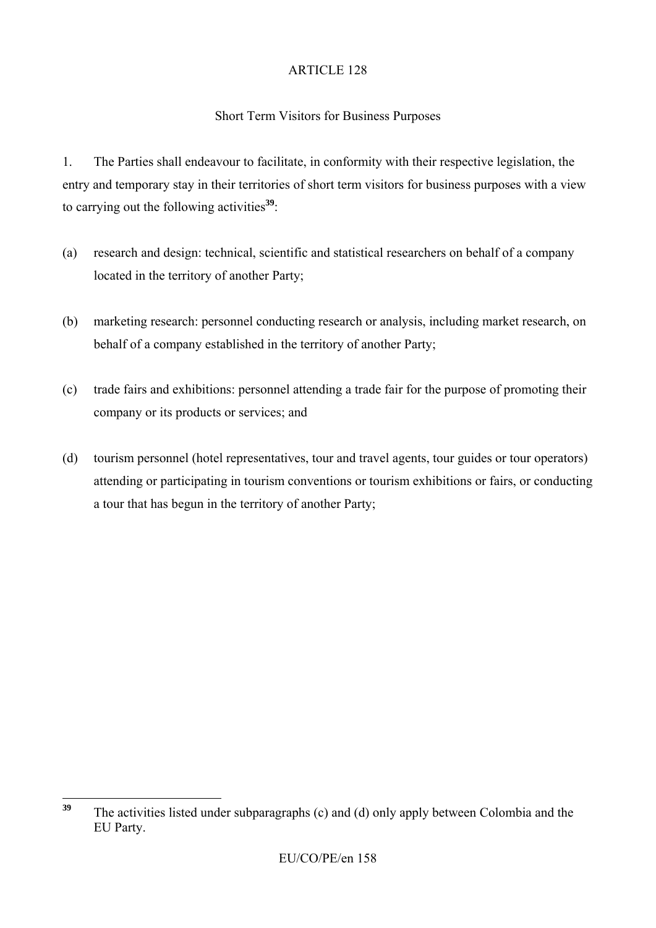# Short Term Visitors for Business Purposes

1. The Parties shall endeavour to facilitate, in conformity with their respective legislation, the entry and temporary stay in their territories of short term visitors for business purposes with a view to carrying out the following activities**<sup>39</sup>**:

- (a) research and design: technical, scientific and statistical researchers on behalf of a company located in the territory of another Party;
- (b) marketing research: personnel conducting research or analysis, including market research, on behalf of a company established in the territory of another Party;
- (c) trade fairs and exhibitions: personnel attending a trade fair for the purpose of promoting their company or its products or services; and
- (d) tourism personnel (hotel representatives, tour and travel agents, tour guides or tour operators) attending or participating in tourism conventions or tourism exhibitions or fairs, or conducting a tour that has begun in the territory of another Party;

<sup>39</sup> **<sup>39</sup>** The activities listed under subparagraphs (c) and (d) only apply between Colombia and the EU Party.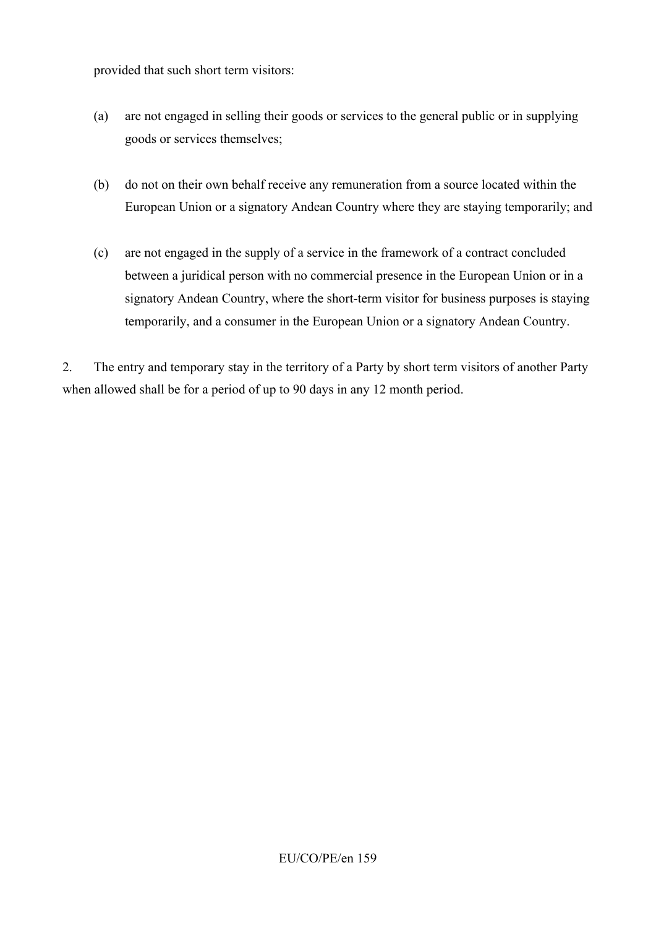provided that such short term visitors:

- (a) are not engaged in selling their goods or services to the general public or in supplying goods or services themselves;
- (b) do not on their own behalf receive any remuneration from a source located within the European Union or a signatory Andean Country where they are staying temporarily; and
- (c) are not engaged in the supply of a service in the framework of a contract concluded between a juridical person with no commercial presence in the European Union or in a signatory Andean Country, where the short-term visitor for business purposes is staying temporarily, and a consumer in the European Union or a signatory Andean Country.

2. The entry and temporary stay in the territory of a Party by short term visitors of another Party when allowed shall be for a period of up to 90 days in any 12 month period.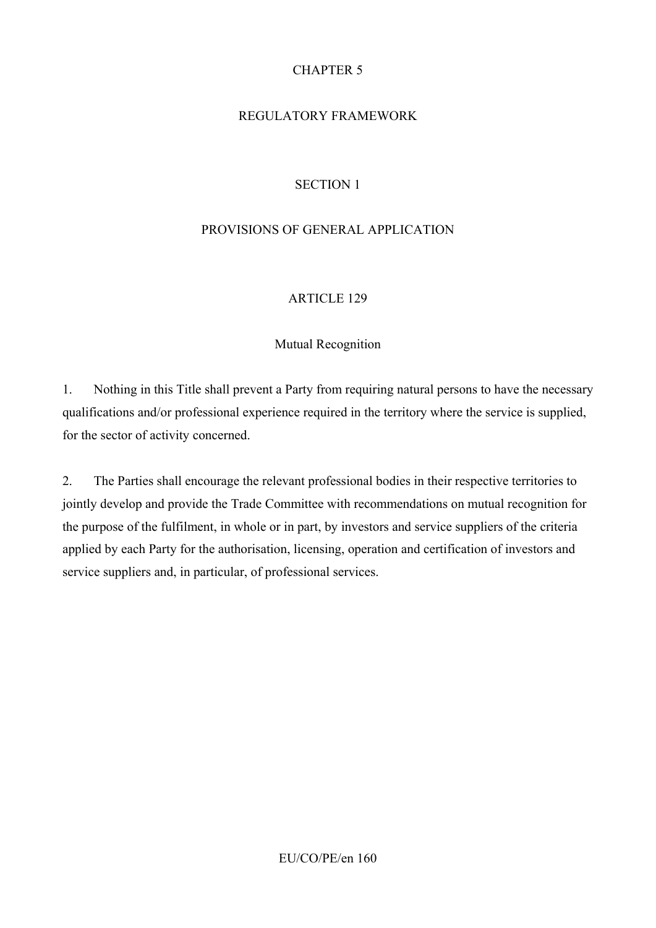# CHAPTER 5

# REGULATORY FRAMEWORK

# SECTION 1

### PROVISIONS OF GENERAL APPLICATION

### ARTICLE 129

### Mutual Recognition

1. Nothing in this Title shall prevent a Party from requiring natural persons to have the necessary qualifications and/or professional experience required in the territory where the service is supplied, for the sector of activity concerned.

2. The Parties shall encourage the relevant professional bodies in their respective territories to jointly develop and provide the Trade Committee with recommendations on mutual recognition for the purpose of the fulfilment, in whole or in part, by investors and service suppliers of the criteria applied by each Party for the authorisation, licensing, operation and certification of investors and service suppliers and, in particular, of professional services.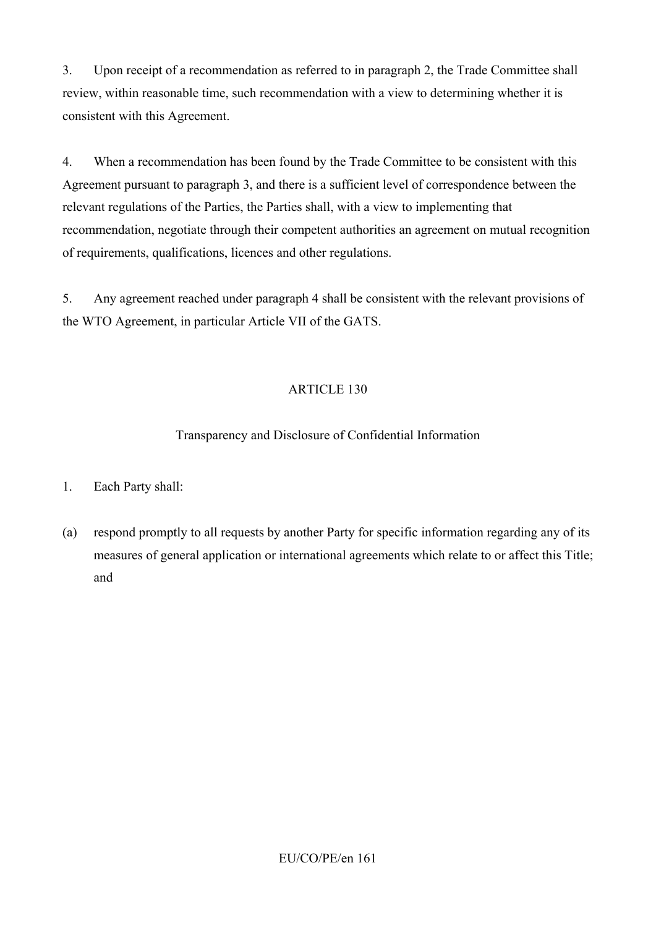3. Upon receipt of a recommendation as referred to in paragraph 2, the Trade Committee shall review, within reasonable time, such recommendation with a view to determining whether it is consistent with this Agreement.

4. When a recommendation has been found by the Trade Committee to be consistent with this Agreement pursuant to paragraph 3, and there is a sufficient level of correspondence between the relevant regulations of the Parties, the Parties shall, with a view to implementing that recommendation, negotiate through their competent authorities an agreement on mutual recognition of requirements, qualifications, licences and other regulations.

5. Any agreement reached under paragraph 4 shall be consistent with the relevant provisions of the WTO Agreement, in particular Article VII of the GATS.

# ARTICLE 130

# Transparency and Disclosure of Confidential Information

- 1. Each Party shall:
- (a) respond promptly to all requests by another Party for specific information regarding any of its measures of general application or international agreements which relate to or affect this Title; and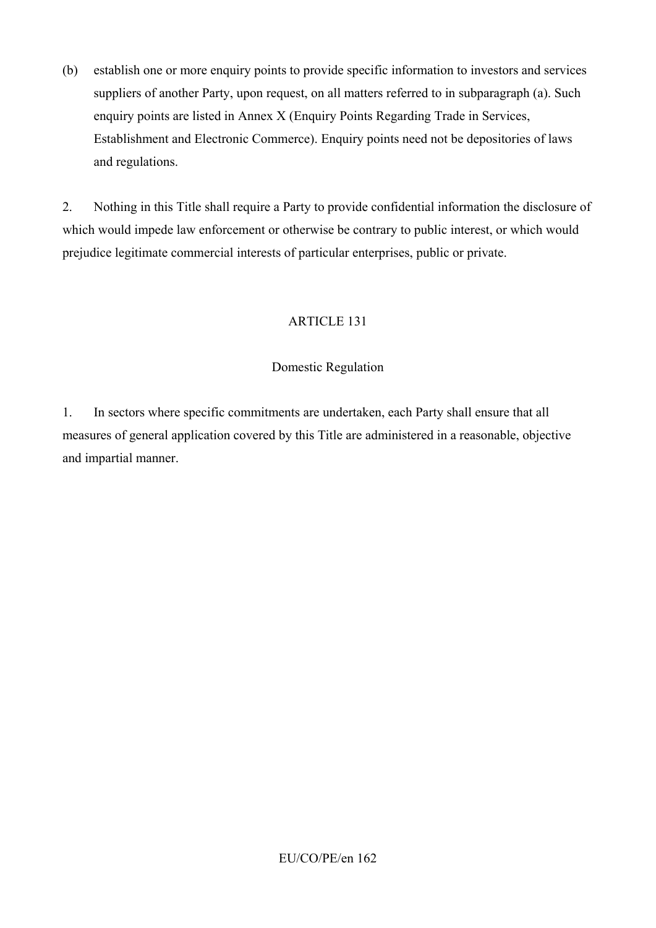(b) establish one or more enquiry points to provide specific information to investors and services suppliers of another Party, upon request, on all matters referred to in subparagraph (a). Such enquiry points are listed in Annex X (Enquiry Points Regarding Trade in Services, Establishment and Electronic Commerce). Enquiry points need not be depositories of laws and regulations.

2. Nothing in this Title shall require a Party to provide confidential information the disclosure of which would impede law enforcement or otherwise be contrary to public interest, or which would prejudice legitimate commercial interests of particular enterprises, public or private.

# ARTICLE 131

### Domestic Regulation

1. In sectors where specific commitments are undertaken, each Party shall ensure that all measures of general application covered by this Title are administered in a reasonable, objective and impartial manner.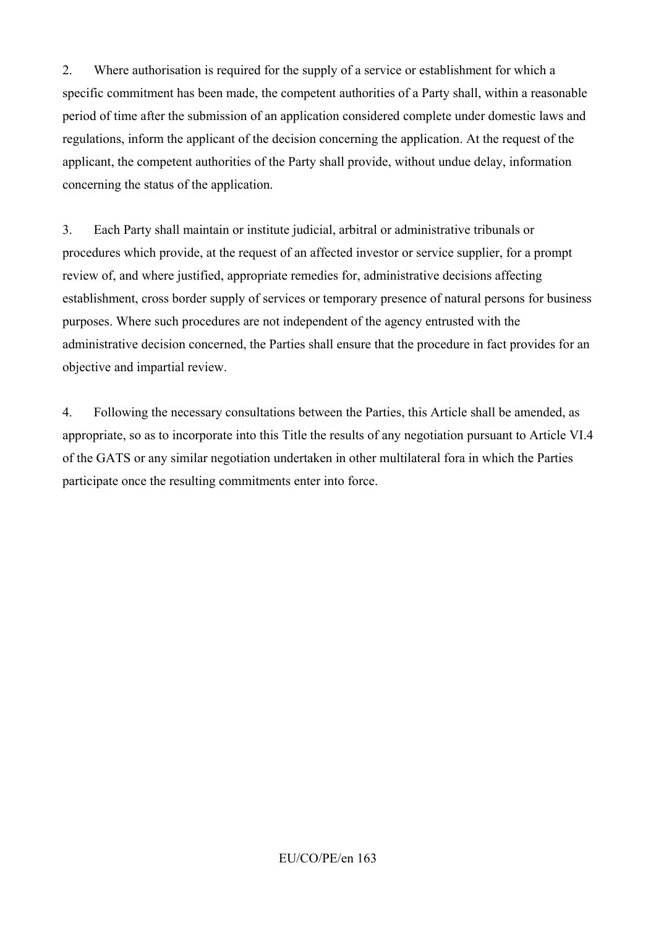2. Where authorisation is required for the supply of a service or establishment for which a specific commitment has been made, the competent authorities of a Party shall, within a reasonable period of time after the submission of an application considered complete under domestic laws and regulations, inform the applicant of the decision concerning the application. At the request of the applicant, the competent authorities of the Party shall provide, without undue delay, information concerning the status of the application.

3. Each Party shall maintain or institute judicial, arbitral or administrative tribunals or procedures which provide, at the request of an affected investor or service supplier, for a prompt review of, and where justified, appropriate remedies for, administrative decisions affecting establishment, cross border supply of services or temporary presence of natural persons for business purposes. Where such procedures are not independent of the agency entrusted with the administrative decision concerned, the Parties shall ensure that the procedure in fact provides for an objective and impartial review.

4. Following the necessary consultations between the Parties, this Article shall be amended, as appropriate, so as to incorporate into this Title the results of any negotiation pursuant to Article VI.4 of the GATS or any similar negotiation undertaken in other multilateral fora in which the Parties participate once the resulting commitments enter into force.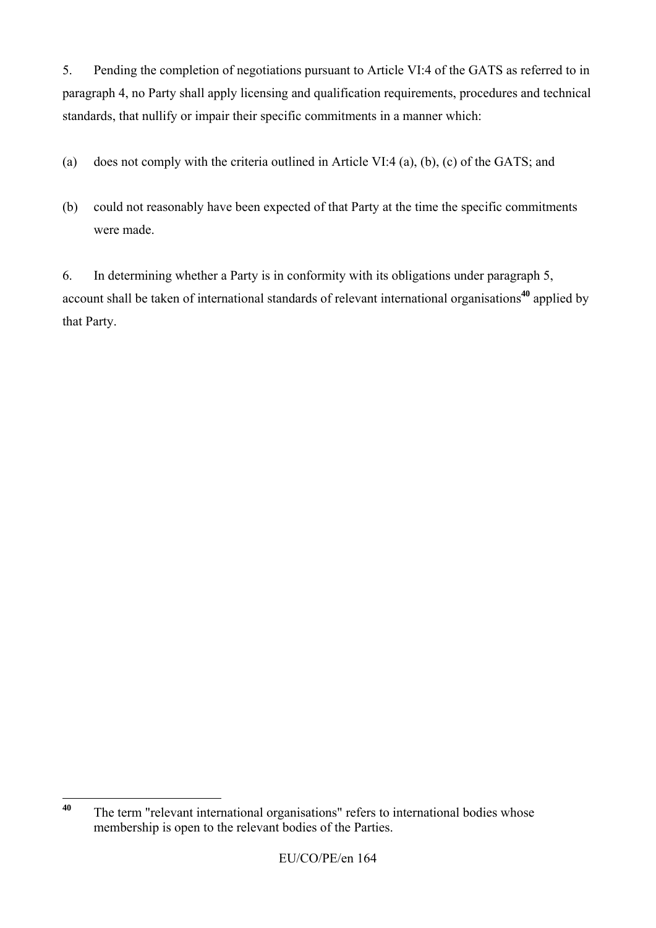5. Pending the completion of negotiations pursuant to Article VI:4 of the GATS as referred to in paragraph 4, no Party shall apply licensing and qualification requirements, procedures and technical standards, that nullify or impair their specific commitments in a manner which:

- (a) does not comply with the criteria outlined in Article VI:4 (a), (b), (c) of the GATS; and
- (b) could not reasonably have been expected of that Party at the time the specific commitments were made.

6. In determining whether a Party is in conformity with its obligations under paragraph 5, account shall be taken of international standards of relevant international organisations**<sup>40</sup>** applied by that Party.

<sup>40</sup> The term "relevant international organisations" refers to international bodies whose membership is open to the relevant bodies of the Parties.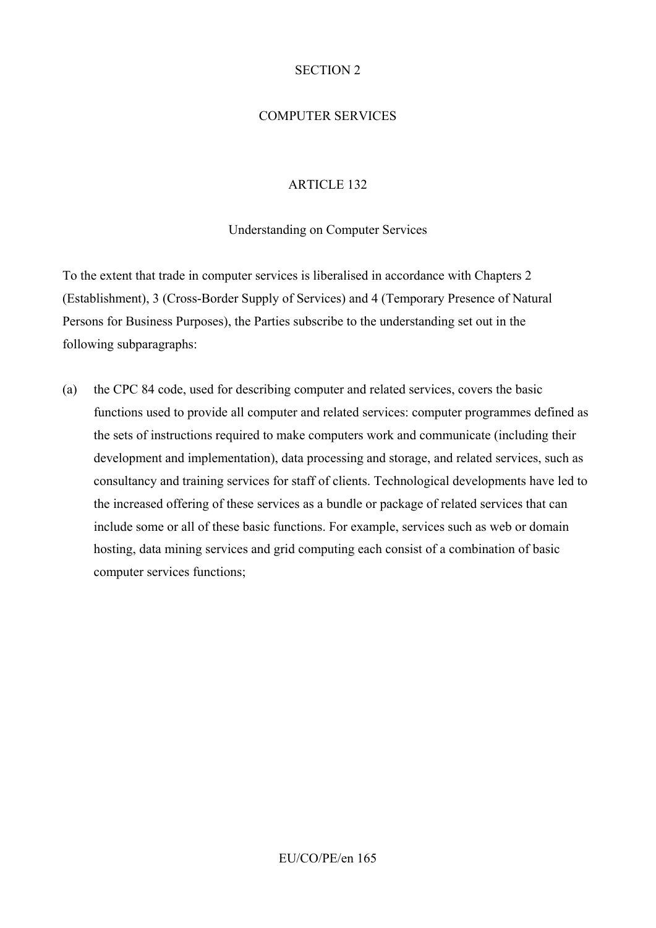#### SECTION 2

# COMPUTER SERVICES

## ARTICLE 132

#### Understanding on Computer Services

To the extent that trade in computer services is liberalised in accordance with Chapters 2 (Establishment), 3 (Cross-Border Supply of Services) and 4 (Temporary Presence of Natural Persons for Business Purposes), the Parties subscribe to the understanding set out in the following subparagraphs:

(a) the CPC 84 code, used for describing computer and related services, covers the basic functions used to provide all computer and related services: computer programmes defined as the sets of instructions required to make computers work and communicate (including their development and implementation), data processing and storage, and related services, such as consultancy and training services for staff of clients. Technological developments have led to the increased offering of these services as a bundle or package of related services that can include some or all of these basic functions. For example, services such as web or domain hosting, data mining services and grid computing each consist of a combination of basic computer services functions;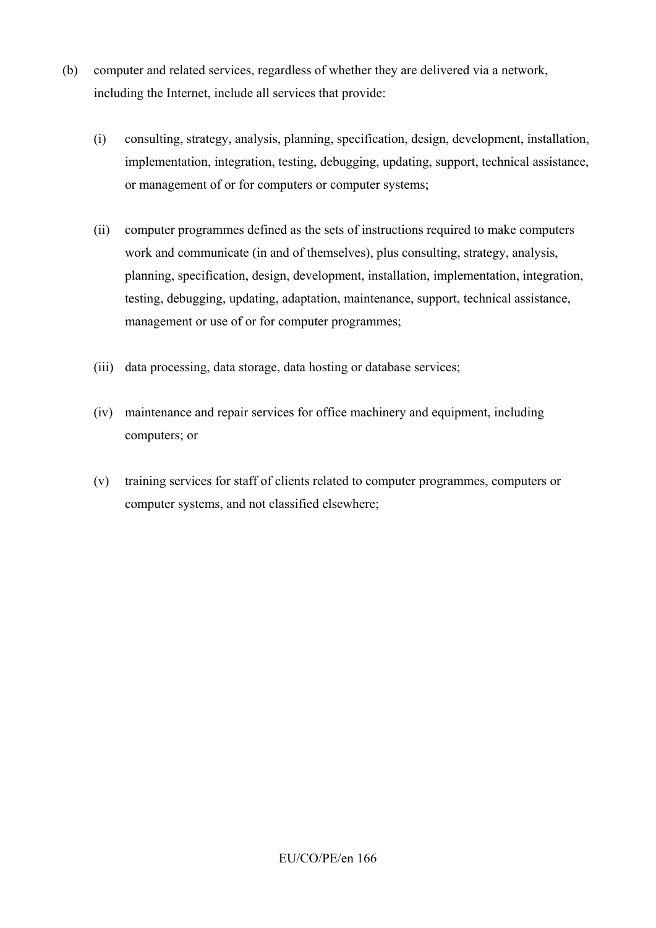- (b) computer and related services, regardless of whether they are delivered via a network, including the Internet, include all services that provide:
	- (i) consulting, strategy, analysis, planning, specification, design, development, installation, implementation, integration, testing, debugging, updating, support, technical assistance, or management of or for computers or computer systems;
	- (ii) computer programmes defined as the sets of instructions required to make computers work and communicate (in and of themselves), plus consulting, strategy, analysis, planning, specification, design, development, installation, implementation, integration, testing, debugging, updating, adaptation, maintenance, support, technical assistance, management or use of or for computer programmes;
	- (iii) data processing, data storage, data hosting or database services;
	- (iv) maintenance and repair services for office machinery and equipment, including computers; or
	- (v) training services for staff of clients related to computer programmes, computers or computer systems, and not classified elsewhere;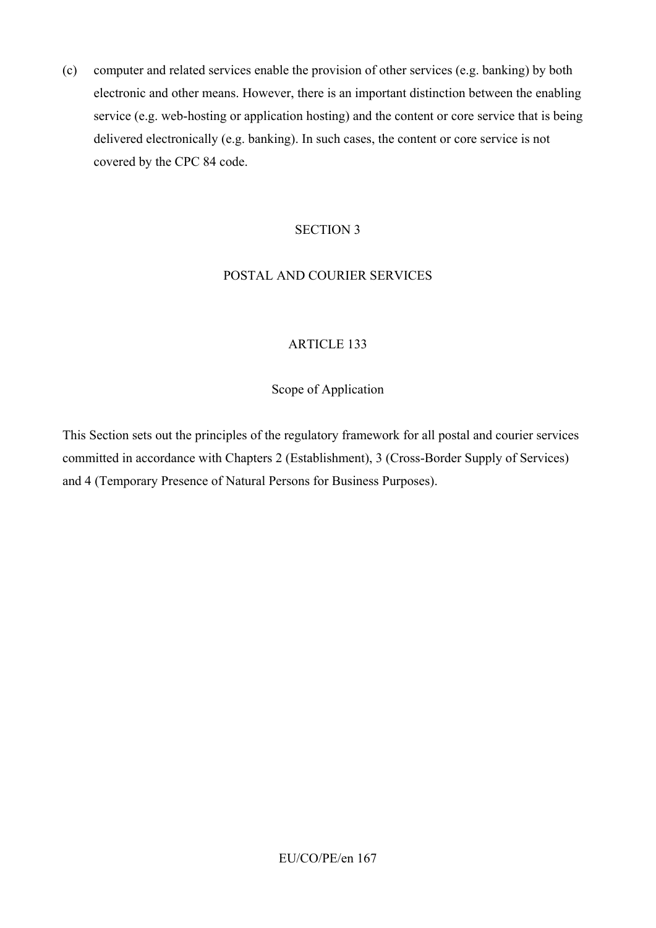(c) computer and related services enable the provision of other services (e.g. banking) by both electronic and other means. However, there is an important distinction between the enabling service (e.g. web-hosting or application hosting) and the content or core service that is being delivered electronically (e.g. banking). In such cases, the content or core service is not covered by the CPC 84 code.

#### SECTION 3

#### POSTAL AND COURIER SERVICES

### ARTICLE 133

#### Scope of Application

This Section sets out the principles of the regulatory framework for all postal and courier services committed in accordance with Chapters 2 (Establishment), 3 (Cross-Border Supply of Services) and 4 (Temporary Presence of Natural Persons for Business Purposes).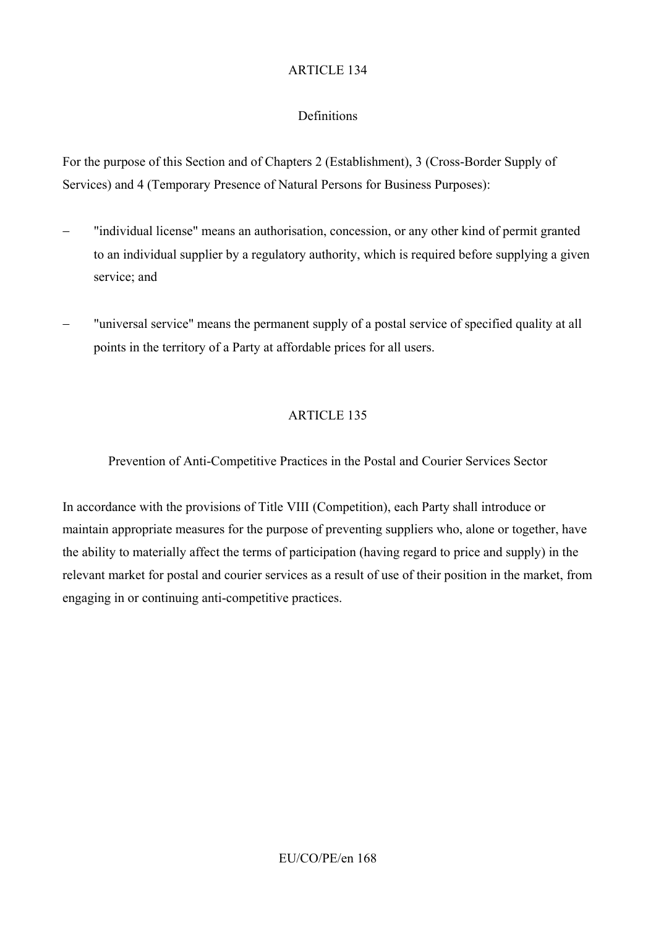# **Definitions**

For the purpose of this Section and of Chapters 2 (Establishment), 3 (Cross-Border Supply of Services) and 4 (Temporary Presence of Natural Persons for Business Purposes):

- − "individual license" means an authorisation, concession, or any other kind of permit granted to an individual supplier by a regulatory authority, which is required before supplying a given service; and
- − "universal service" means the permanent supply of a postal service of specified quality at all points in the territory of a Party at affordable prices for all users.

# ARTICLE 135

Prevention of Anti-Competitive Practices in the Postal and Courier Services Sector

In accordance with the provisions of Title VIII (Competition), each Party shall introduce or maintain appropriate measures for the purpose of preventing suppliers who, alone or together, have the ability to materially affect the terms of participation (having regard to price and supply) in the relevant market for postal and courier services as a result of use of their position in the market, from engaging in or continuing anti-competitive practices.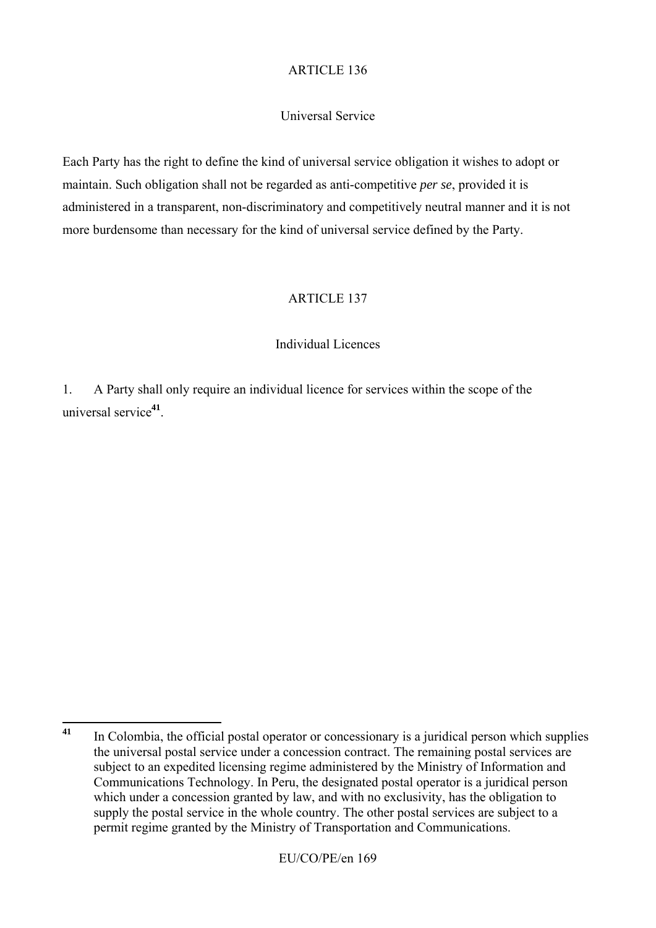## Universal Service

Each Party has the right to define the kind of universal service obligation it wishes to adopt or maintain. Such obligation shall not be regarded as anti-competitive *per se*, provided it is administered in a transparent, non-discriminatory and competitively neutral manner and it is not more burdensome than necessary for the kind of universal service defined by the Party.

#### ARTICLE 137

#### Individual Licences

1. A Party shall only require an individual licence for services within the scope of the universal service**<sup>41</sup>**.

 $41$ **<sup>41</sup>** In Colombia, the official postal operator or concessionary is a juridical person which supplies the universal postal service under a concession contract. The remaining postal services are subject to an expedited licensing regime administered by the Ministry of Information and Communications Technology. In Peru, the designated postal operator is a juridical person which under a concession granted by law, and with no exclusivity, has the obligation to supply the postal service in the whole country. The other postal services are subject to a permit regime granted by the Ministry of Transportation and Communications.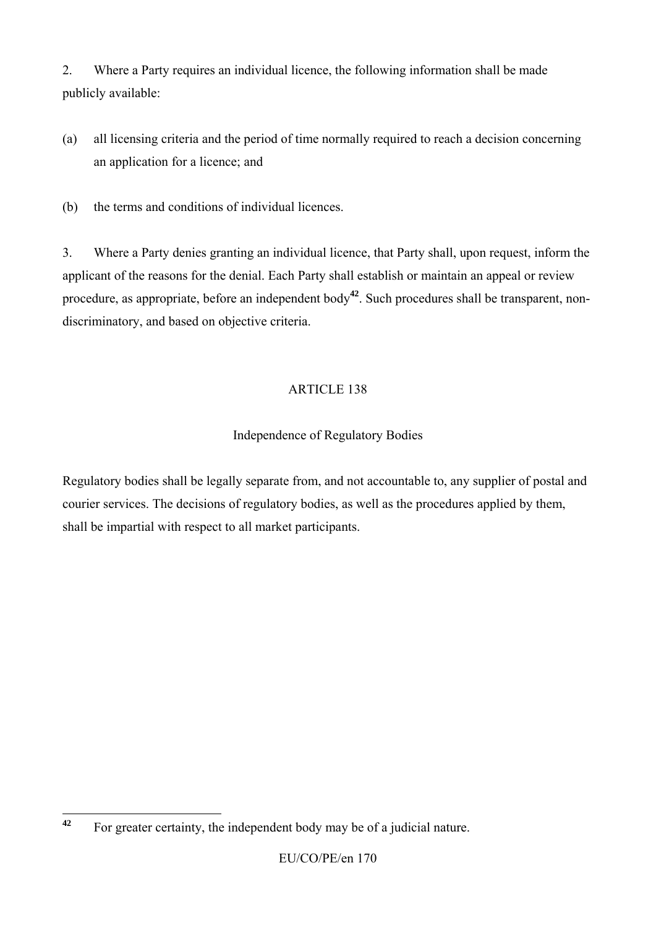2. Where a Party requires an individual licence, the following information shall be made publicly available:

- (a) all licensing criteria and the period of time normally required to reach a decision concerning an application for a licence; and
- (b) the terms and conditions of individual licences.

3. Where a Party denies granting an individual licence, that Party shall, upon request, inform the applicant of the reasons for the denial. Each Party shall establish or maintain an appeal or review procedure, as appropriate, before an independent body**<sup>42</sup>**. Such procedures shall be transparent, nondiscriminatory, and based on objective criteria.

# ARTICLE 138

# Independence of Regulatory Bodies

Regulatory bodies shall be legally separate from, and not accountable to, any supplier of postal and courier services. The decisions of regulatory bodies, as well as the procedures applied by them, shall be impartial with respect to all market participants.

 $42$ **<sup>42</sup>** For greater certainty, the independent body may be of a judicial nature.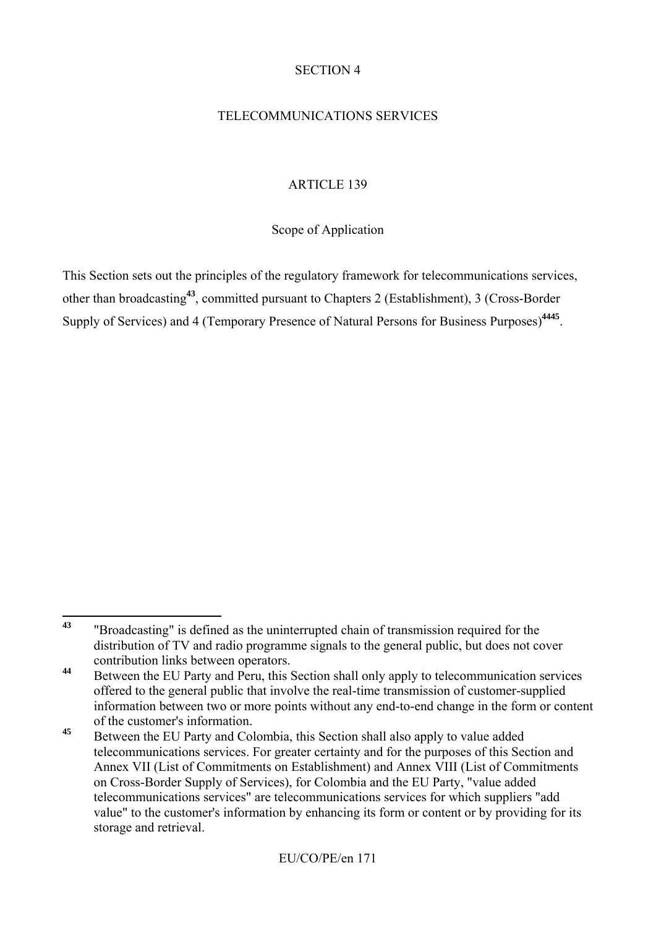#### SECTION 4

## TELECOMMUNICATIONS SERVICES

## ARTICLE 139

Scope of Application

This Section sets out the principles of the regulatory framework for telecommunications services, other than broadcasting**<sup>43</sup>**, committed pursuant to Chapters 2 (Establishment), 3 (Cross-Border Supply of Services) and 4 (Temporary Presence of Natural Persons for Business Purposes)**<sup>4445</sup>**.

 $43$ **<sup>43</sup>** "Broadcasting" is defined as the uninterrupted chain of transmission required for the distribution of TV and radio programme signals to the general public, but does not cover contribution links between operators.

**<sup>44</sup>** Between the EU Party and Peru, this Section shall only apply to telecommunication services offered to the general public that involve the real-time transmission of customer-supplied information between two or more points without any end-to-end change in the form or content of the customer's information.

<sup>&</sup>lt;sup>45</sup> Between the EU Party and Colombia, this Section shall also apply to value added telecommunications services. For greater certainty and for the purposes of this Section and Annex VII (List of Commitments on Establishment) and Annex VIII (List of Commitments on Cross-Border Supply of Services), for Colombia and the EU Party, "value added telecommunications services" are telecommunications services for which suppliers "add value" to the customer's information by enhancing its form or content or by providing for its storage and retrieval.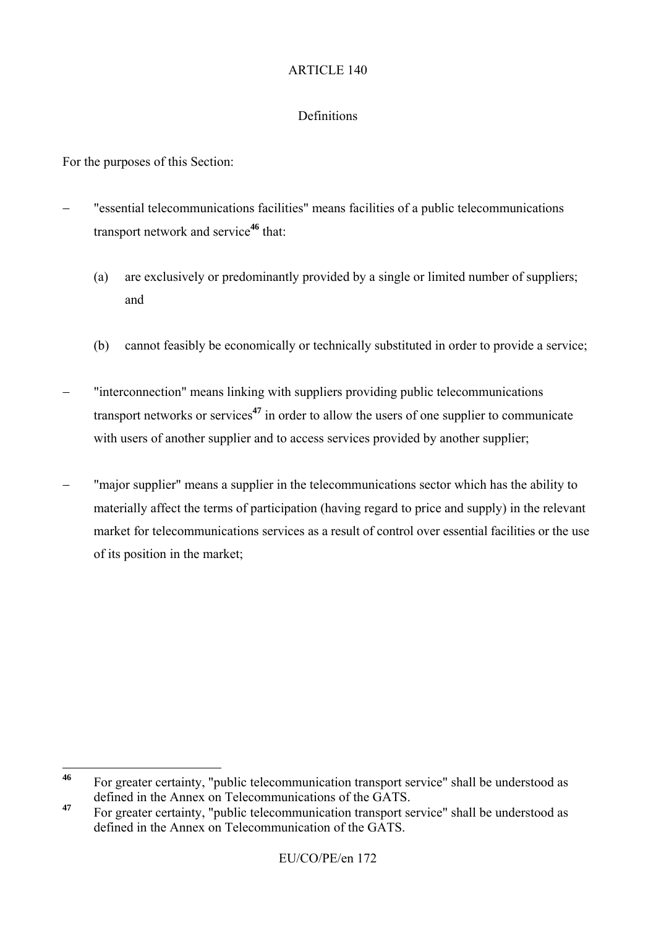#### Definitions

For the purposes of this Section:

- − "essential telecommunications facilities" means facilities of a public telecommunications transport network and service**<sup>46</sup>** that:
	- (a) are exclusively or predominantly provided by a single or limited number of suppliers; and
	- (b) cannot feasibly be economically or technically substituted in order to provide a service;
- − "interconnection" means linking with suppliers providing public telecommunications transport networks or services**<sup>47</sup>** in order to allow the users of one supplier to communicate with users of another supplier and to access services provided by another supplier;
- − "major supplier" means a supplier in the telecommunications sector which has the ability to materially affect the terms of participation (having regard to price and supply) in the relevant market for telecommunications services as a result of control over essential facilities or the use of its position in the market;

 $46$ **<sup>46</sup>** For greater certainty, "public telecommunication transport service" shall be understood as defined in the Annex on Telecommunications of the GATS.

**<sup>47</sup>** For greater certainty, "public telecommunication transport service" shall be understood as defined in the Annex on Telecommunication of the GATS.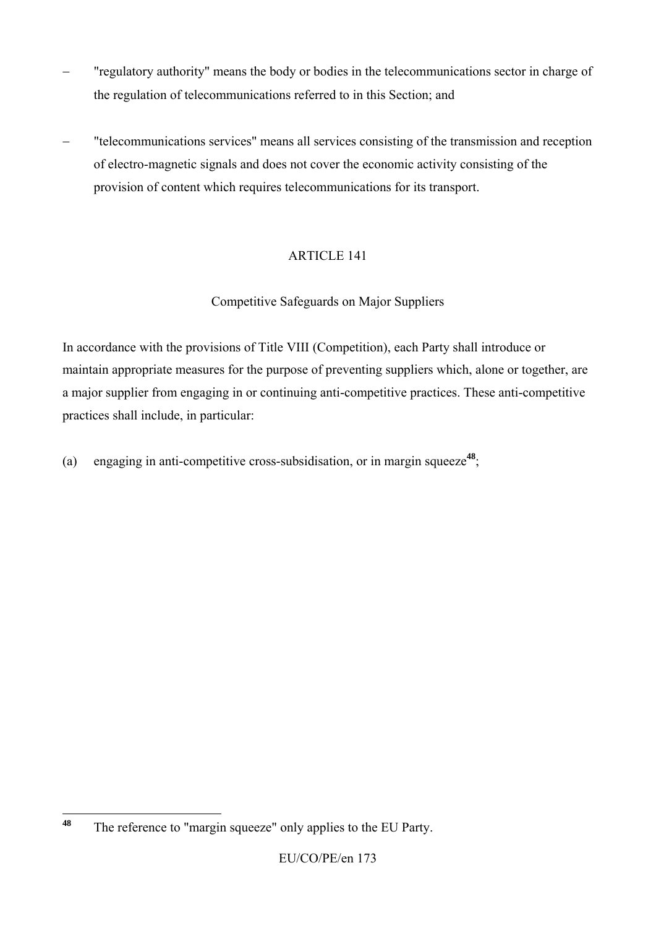- − "regulatory authority" means the body or bodies in the telecommunications sector in charge of the regulation of telecommunications referred to in this Section; and
- − "telecommunications services" means all services consisting of the transmission and reception of electro-magnetic signals and does not cover the economic activity consisting of the provision of content which requires telecommunications for its transport.

# Competitive Safeguards on Major Suppliers

In accordance with the provisions of Title VIII (Competition), each Party shall introduce or maintain appropriate measures for the purpose of preventing suppliers which, alone or together, are a major supplier from engaging in or continuing anti-competitive practices. These anti-competitive practices shall include, in particular:

(a) engaging in anti-competitive cross-subsidisation, or in margin squeeze**<sup>48</sup>**;

<sup>48</sup> The reference to "margin squeeze" only applies to the EU Party.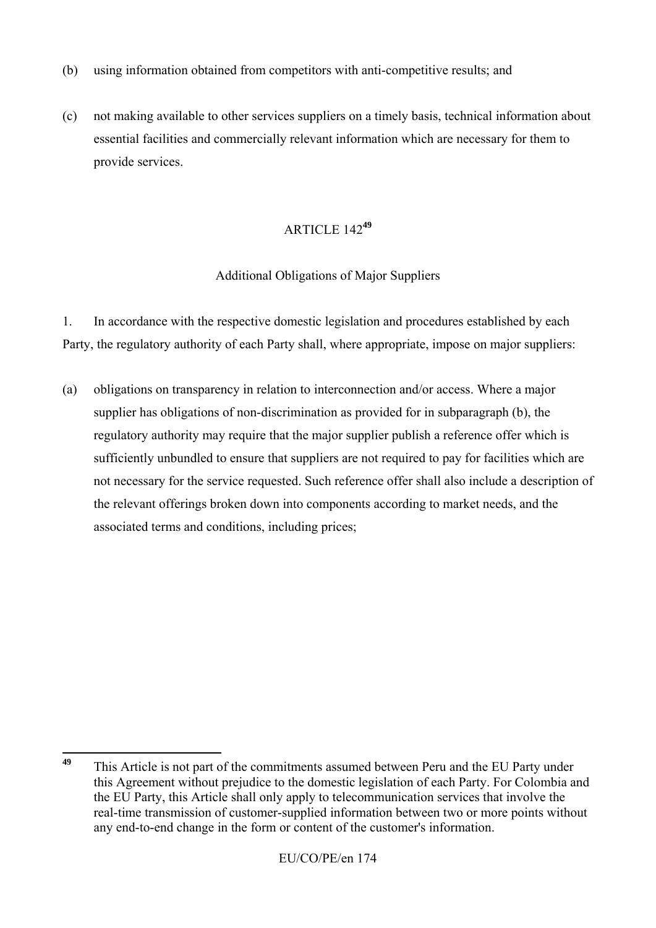- (b) using information obtained from competitors with anti-competitive results; and
- (c) not making available to other services suppliers on a timely basis, technical information about essential facilities and commercially relevant information which are necessary for them to provide services.

### Additional Obligations of Major Suppliers

1. In accordance with the respective domestic legislation and procedures established by each Party, the regulatory authority of each Party shall, where appropriate, impose on major suppliers:

(a) obligations on transparency in relation to interconnection and/or access. Where a major supplier has obligations of non-discrimination as provided for in subparagraph (b), the regulatory authority may require that the major supplier publish a reference offer which is sufficiently unbundled to ensure that suppliers are not required to pay for facilities which are not necessary for the service requested. Such reference offer shall also include a description of the relevant offerings broken down into components according to market needs, and the associated terms and conditions, including prices;

<sup>49</sup> **<sup>49</sup>** This Article is not part of the commitments assumed between Peru and the EU Party under this Agreement without prejudice to the domestic legislation of each Party. For Colombia and the EU Party, this Article shall only apply to telecommunication services that involve the real-time transmission of customer-supplied information between two or more points without any end-to-end change in the form or content of the customer's information.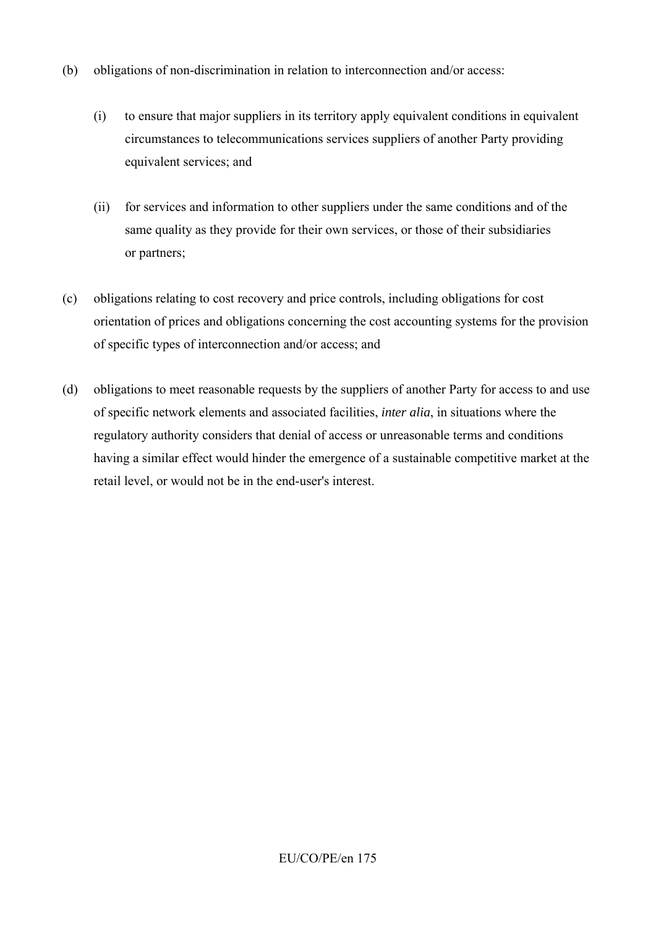- (b) obligations of non-discrimination in relation to interconnection and/or access:
	- (i) to ensure that major suppliers in its territory apply equivalent conditions in equivalent circumstances to telecommunications services suppliers of another Party providing equivalent services; and
	- (ii) for services and information to other suppliers under the same conditions and of the same quality as they provide for their own services, or those of their subsidiaries or partners;
- (c) obligations relating to cost recovery and price controls, including obligations for cost orientation of prices and obligations concerning the cost accounting systems for the provision of specific types of interconnection and/or access; and
- (d) obligations to meet reasonable requests by the suppliers of another Party for access to and use of specific network elements and associated facilities, *inter alia*, in situations where the regulatory authority considers that denial of access or unreasonable terms and conditions having a similar effect would hinder the emergence of a sustainable competitive market at the retail level, or would not be in the end-user's interest.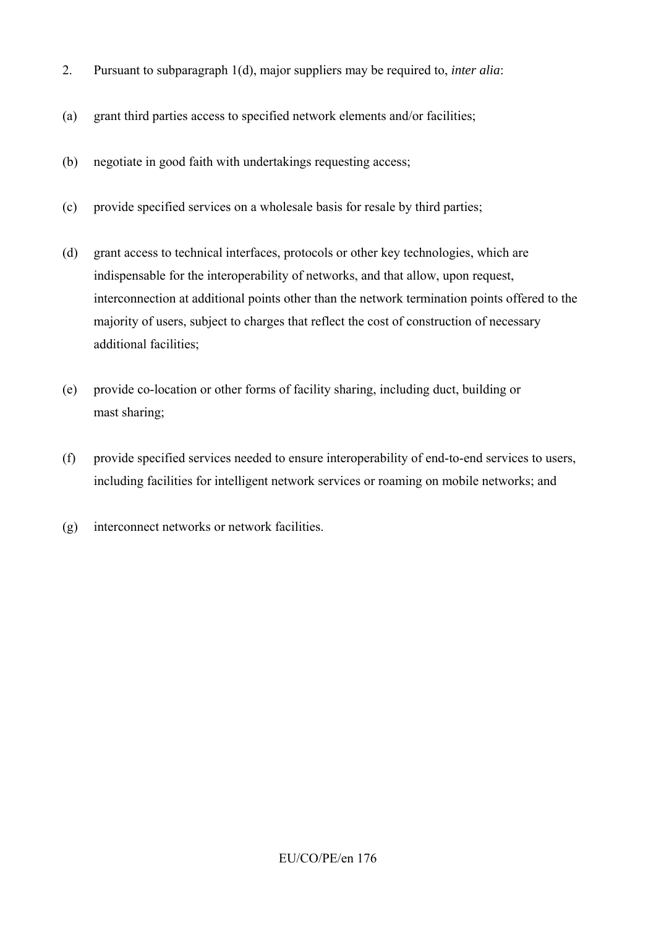- 2. Pursuant to subparagraph 1(d), major suppliers may be required to, *inter alia*:
- (a) grant third parties access to specified network elements and/or facilities;
- (b) negotiate in good faith with undertakings requesting access;
- (c) provide specified services on a wholesale basis for resale by third parties;
- (d) grant access to technical interfaces, protocols or other key technologies, which are indispensable for the interoperability of networks, and that allow, upon request, interconnection at additional points other than the network termination points offered to the majority of users, subject to charges that reflect the cost of construction of necessary additional facilities;
- (e) provide co-location or other forms of facility sharing, including duct, building or mast sharing;
- (f) provide specified services needed to ensure interoperability of end-to-end services to users, including facilities for intelligent network services or roaming on mobile networks; and
- (g) interconnect networks or network facilities.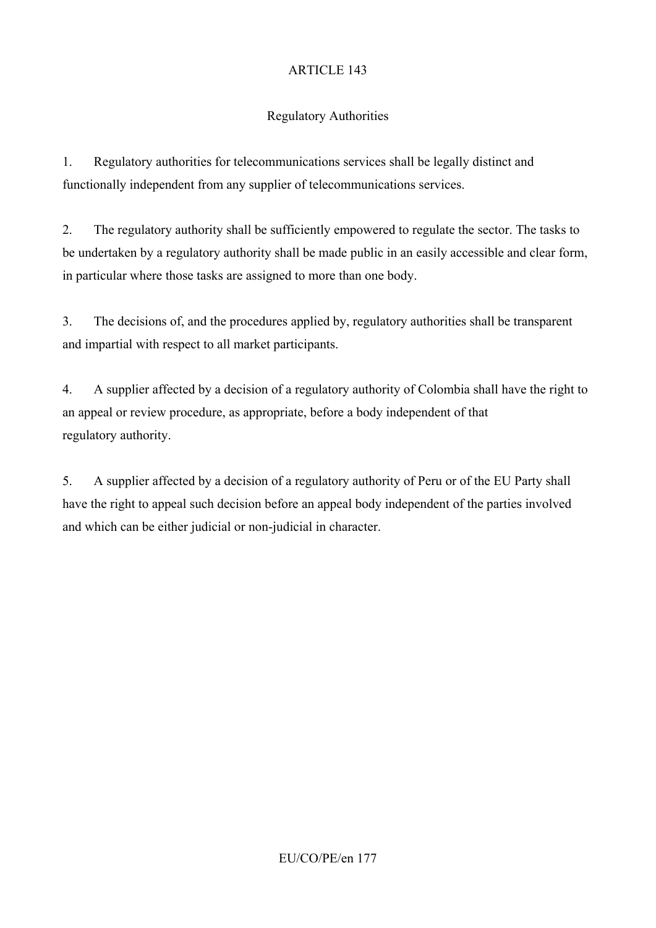# Regulatory Authorities

1. Regulatory authorities for telecommunications services shall be legally distinct and functionally independent from any supplier of telecommunications services.

2. The regulatory authority shall be sufficiently empowered to regulate the sector. The tasks to be undertaken by a regulatory authority shall be made public in an easily accessible and clear form, in particular where those tasks are assigned to more than one body.

3. The decisions of, and the procedures applied by, regulatory authorities shall be transparent and impartial with respect to all market participants.

4. A supplier affected by a decision of a regulatory authority of Colombia shall have the right to an appeal or review procedure, as appropriate, before a body independent of that regulatory authority.

5. A supplier affected by a decision of a regulatory authority of Peru or of the EU Party shall have the right to appeal such decision before an appeal body independent of the parties involved and which can be either judicial or non-judicial in character.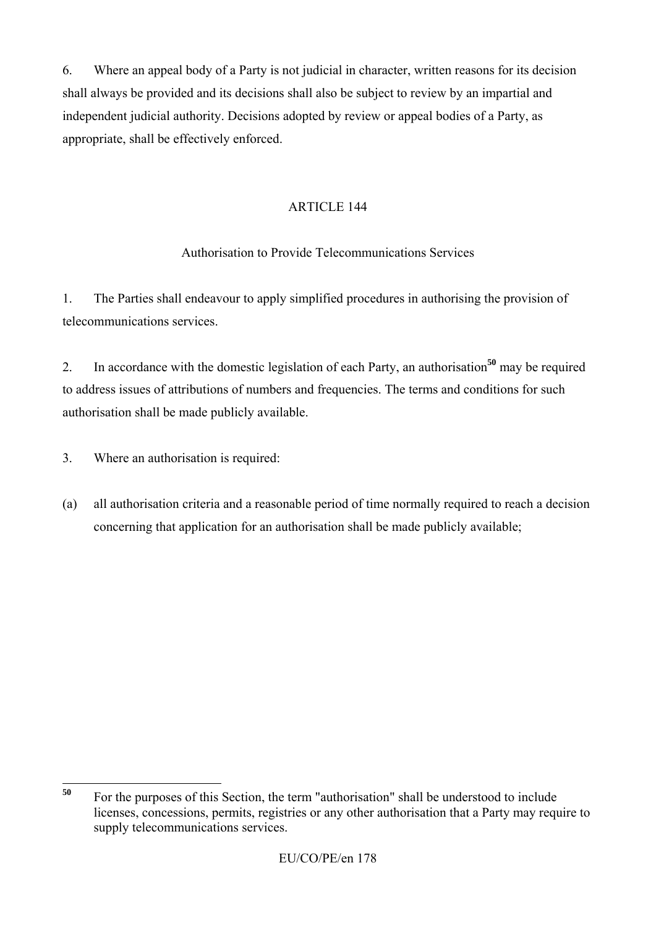6. Where an appeal body of a Party is not judicial in character, written reasons for its decision shall always be provided and its decisions shall also be subject to review by an impartial and independent judicial authority. Decisions adopted by review or appeal bodies of a Party, as appropriate, shall be effectively enforced.

# ARTICLE 144

# Authorisation to Provide Telecommunications Services

1. The Parties shall endeavour to apply simplified procedures in authorising the provision of telecommunications services.

2. In accordance with the domestic legislation of each Party, an authorisation**<sup>50</sup>** may be required to address issues of attributions of numbers and frequencies. The terms and conditions for such authorisation shall be made publicly available.

3. Where an authorisation is required:

(a) all authorisation criteria and a reasonable period of time normally required to reach a decision concerning that application for an authorisation shall be made publicly available;

<sup>50</sup> **<sup>50</sup>** For the purposes of this Section, the term "authorisation" shall be understood to include licenses, concessions, permits, registries or any other authorisation that a Party may require to supply telecommunications services.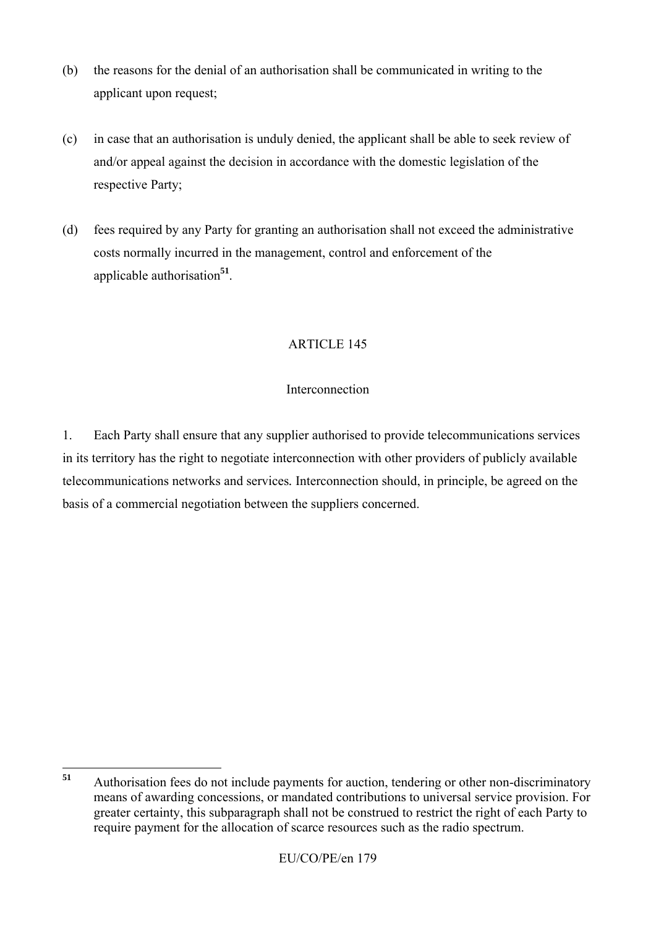- (b) the reasons for the denial of an authorisation shall be communicated in writing to the applicant upon request;
- (c) in case that an authorisation is unduly denied, the applicant shall be able to seek review of and/or appeal against the decision in accordance with the domestic legislation of the respective Party;
- (d) fees required by any Party for granting an authorisation shall not exceed the administrative costs normally incurred in the management, control and enforcement of the applicable authorisation**<sup>51</sup>**.

### **Interconnection**

1. Each Party shall ensure that any supplier authorised to provide telecommunications services in its territory has the right to negotiate interconnection with other providers of publicly available telecommunications networks and services*.* Interconnection should, in principle, be agreed on the basis of a commercial negotiation between the suppliers concerned.

 $51$ **<sup>51</sup>** Authorisation fees do not include payments for auction, tendering or other non-discriminatory means of awarding concessions, or mandated contributions to universal service provision. For greater certainty, this subparagraph shall not be construed to restrict the right of each Party to require payment for the allocation of scarce resources such as the radio spectrum.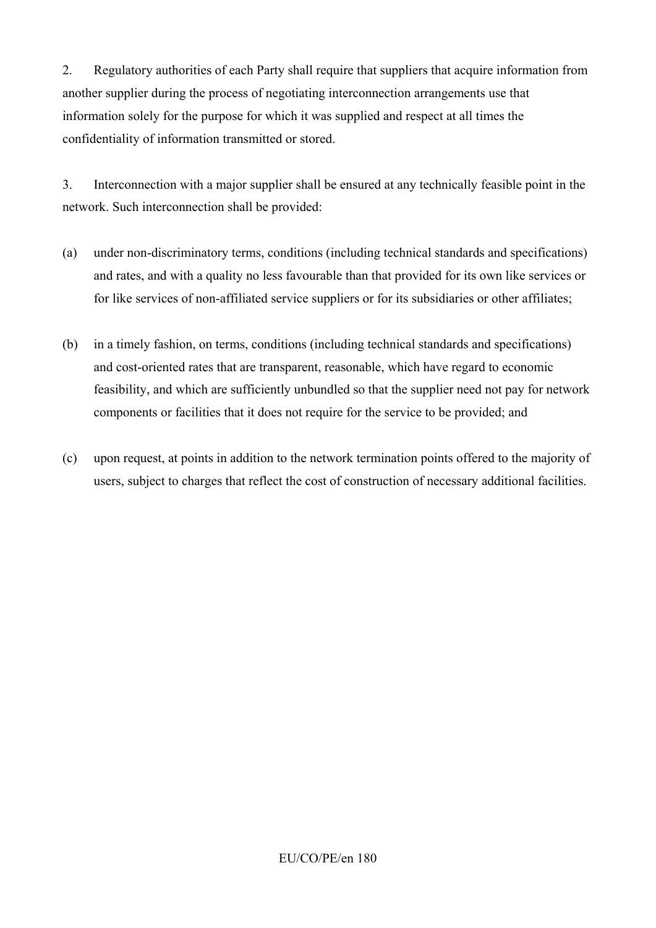2. Regulatory authorities of each Party shall require that suppliers that acquire information from another supplier during the process of negotiating interconnection arrangements use that information solely for the purpose for which it was supplied and respect at all times the confidentiality of information transmitted or stored.

3. Interconnection with a major supplier shall be ensured at any technically feasible point in the network. Such interconnection shall be provided:

- (a) under non-discriminatory terms, conditions (including technical standards and specifications) and rates, and with a quality no less favourable than that provided for its own like services or for like services of non-affiliated service suppliers or for its subsidiaries or other affiliates;
- (b) in a timely fashion, on terms, conditions (including technical standards and specifications) and cost-oriented rates that are transparent, reasonable, which have regard to economic feasibility, and which are sufficiently unbundled so that the supplier need not pay for network components or facilities that it does not require for the service to be provided; and
- (c) upon request, at points in addition to the network termination points offered to the majority of users, subject to charges that reflect the cost of construction of necessary additional facilities.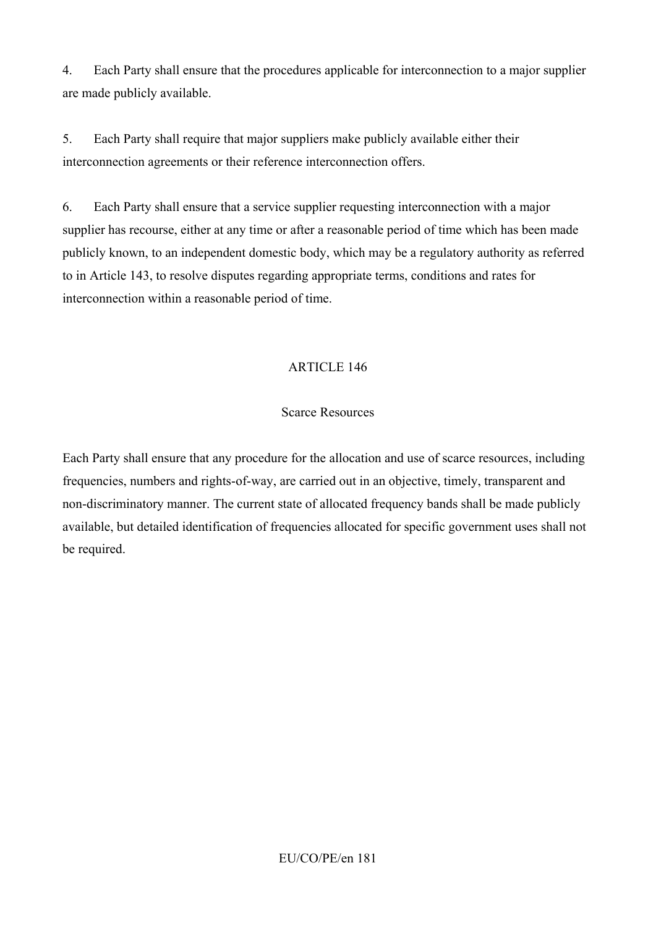4. Each Party shall ensure that the procedures applicable for interconnection to a major supplier are made publicly available.

5. Each Party shall require that major suppliers make publicly available either their interconnection agreements or their reference interconnection offers.

6. Each Party shall ensure that a service supplier requesting interconnection with a major supplier has recourse, either at any time or after a reasonable period of time which has been made publicly known, to an independent domestic body, which may be a regulatory authority as referred to in Article 143, to resolve disputes regarding appropriate terms, conditions and rates for interconnection within a reasonable period of time.

## ARTICLE 146

#### Scarce Resources

Each Party shall ensure that any procedure for the allocation and use of scarce resources, including frequencies, numbers and rights-of-way, are carried out in an objective, timely, transparent and non-discriminatory manner. The current state of allocated frequency bands shall be made publicly available, but detailed identification of frequencies allocated for specific government uses shall not be required.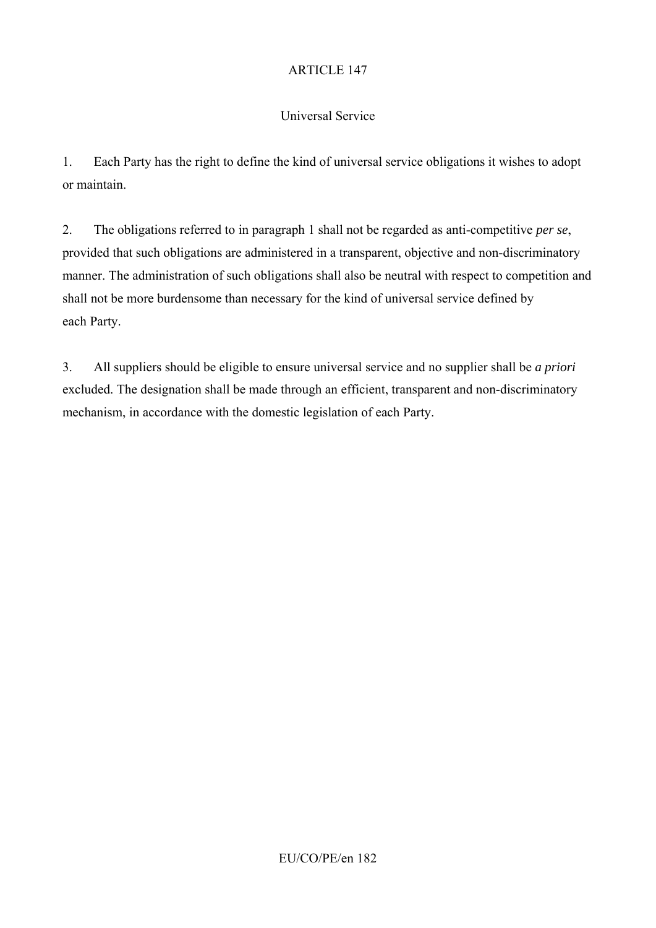## Universal Service

1. Each Party has the right to define the kind of universal service obligations it wishes to adopt or maintain.

2. The obligations referred to in paragraph 1 shall not be regarded as anti-competitive *per se*, provided that such obligations are administered in a transparent, objective and non-discriminatory manner. The administration of such obligations shall also be neutral with respect to competition and shall not be more burdensome than necessary for the kind of universal service defined by each Party.

3. All suppliers should be eligible to ensure universal service and no supplier shall be *a priori*  excluded. The designation shall be made through an efficient, transparent and non-discriminatory mechanism, in accordance with the domestic legislation of each Party.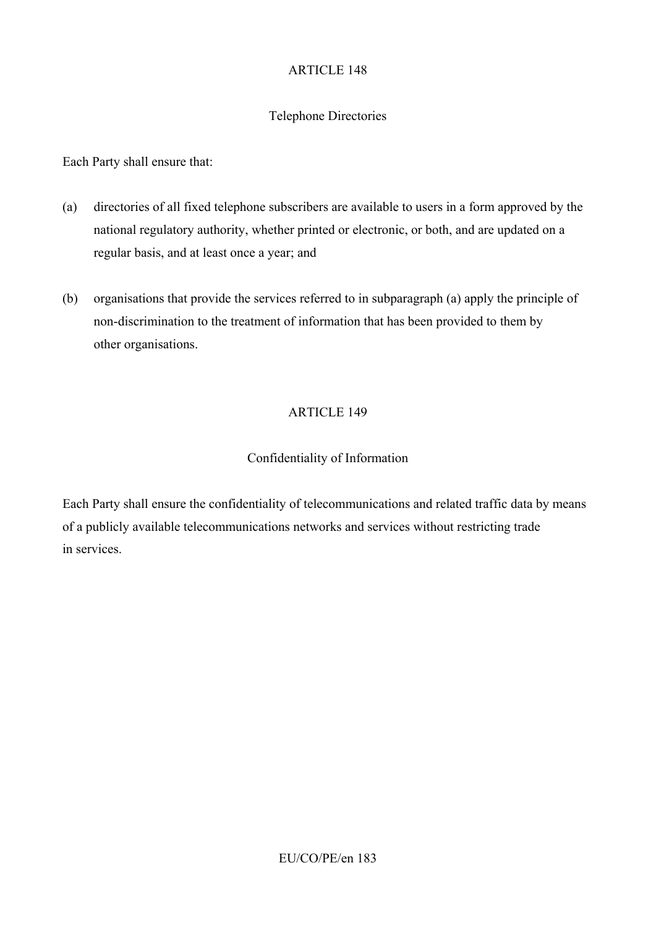### Telephone Directories

Each Party shall ensure that:

- (a) directories of all fixed telephone subscribers are available to users in a form approved by the national regulatory authority, whether printed or electronic, or both, and are updated on a regular basis, and at least once a year; and
- (b) organisations that provide the services referred to in subparagraph (a) apply the principle of non-discrimination to the treatment of information that has been provided to them by other organisations.

## ARTICLE 149

#### Confidentiality of Information

Each Party shall ensure the confidentiality of telecommunications and related traffic data by means of a publicly available telecommunications networks and services without restricting trade in services.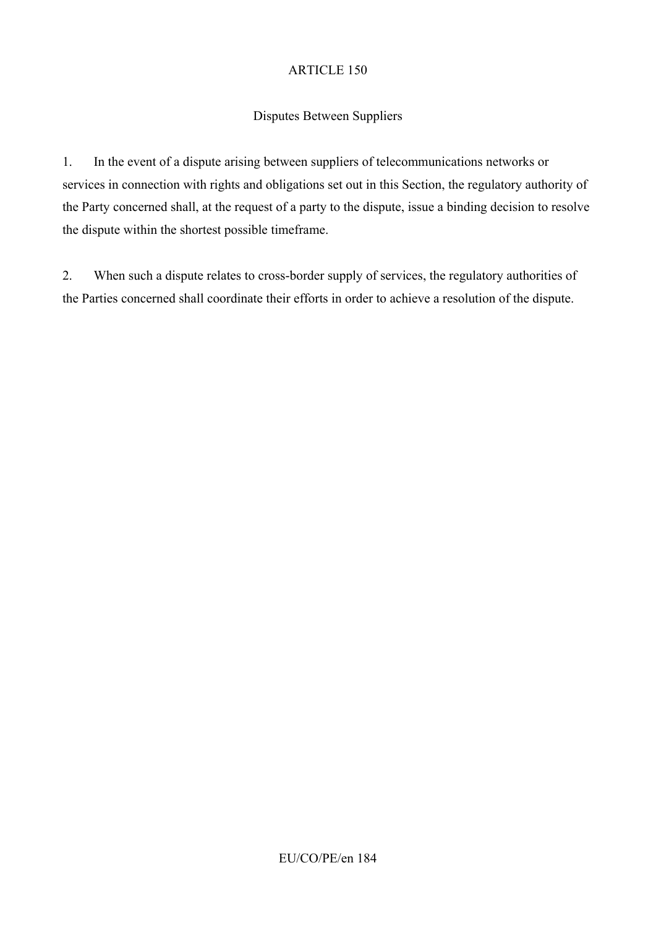## Disputes Between Suppliers

1. In the event of a dispute arising between suppliers of telecommunications networks or services in connection with rights and obligations set out in this Section, the regulatory authority of the Party concerned shall, at the request of a party to the dispute, issue a binding decision to resolve the dispute within the shortest possible timeframe.

2. When such a dispute relates to cross-border supply of services, the regulatory authorities of the Parties concerned shall coordinate their efforts in order to achieve a resolution of the dispute.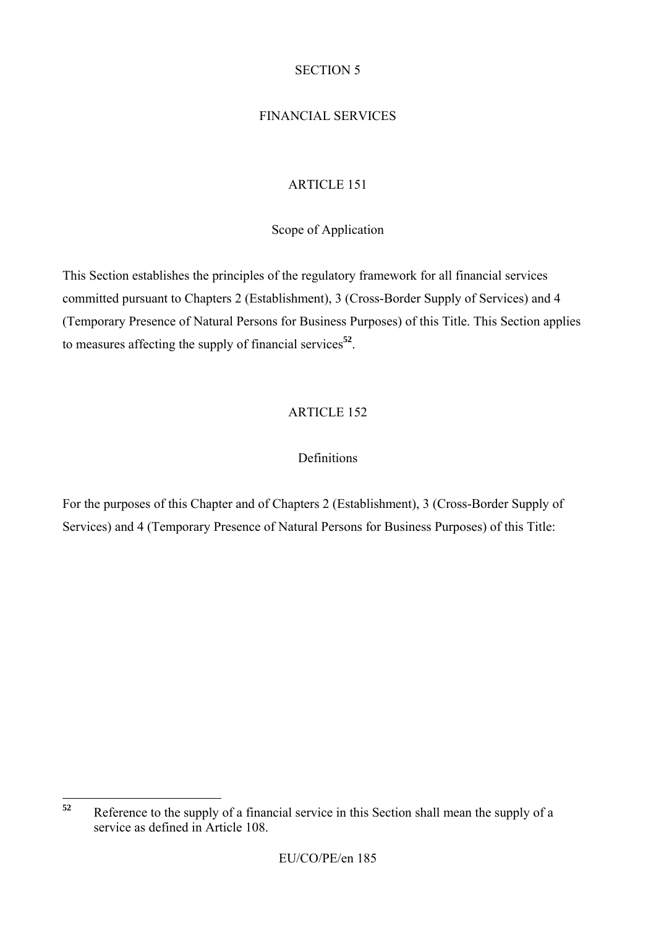## SECTION 5

## FINANCIAL SERVICES

## ARTICLE 151

Scope of Application

This Section establishes the principles of the regulatory framework for all financial services committed pursuant to Chapters 2 (Establishment), 3 (Cross-Border Supply of Services) and 4 (Temporary Presence of Natural Persons for Business Purposes) of this Title. This Section applies to measures affecting the supply of financial services**<sup>52</sup>**.

# ARTICLE 152

## **Definitions**

For the purposes of this Chapter and of Chapters 2 (Establishment), 3 (Cross-Border Supply of Services) and 4 (Temporary Presence of Natural Persons for Business Purposes) of this Title:

 $52$ **<sup>52</sup>** Reference to the supply of a financial service in this Section shall mean the supply of a service as defined in Article 108.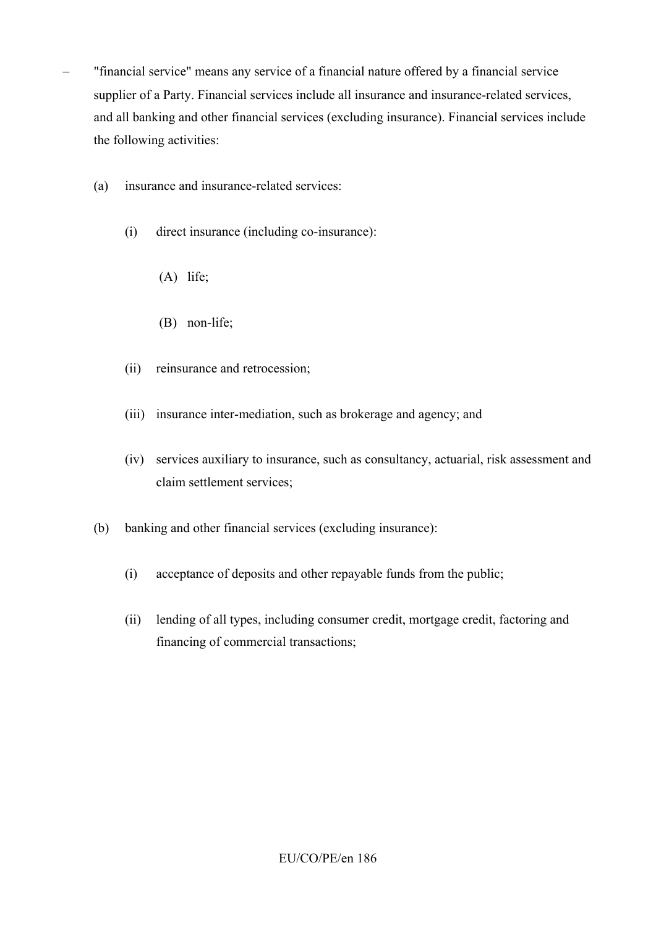- − "financial service" means any service of a financial nature offered by a financial service supplier of a Party. Financial services include all insurance and insurance-related services, and all banking and other financial services (excluding insurance). Financial services include the following activities:
	- (a) insurance and insurance-related services:
		- (i) direct insurance (including co-insurance):
			- (A) life;
			- (B) non-life;
		- (ii) reinsurance and retrocession;
		- (iii) insurance inter-mediation, such as brokerage and agency; and
		- (iv) services auxiliary to insurance, such as consultancy, actuarial, risk assessment and claim settlement services;
	- (b) banking and other financial services (excluding insurance):
		- (i) acceptance of deposits and other repayable funds from the public;
		- (ii) lending of all types, including consumer credit, mortgage credit, factoring and financing of commercial transactions;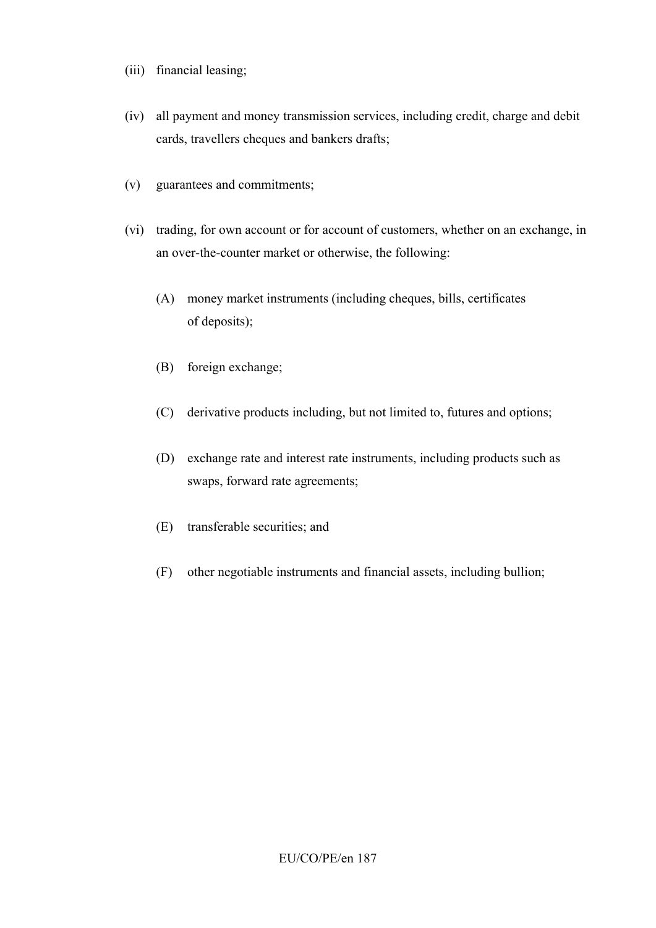- (iii) financial leasing;
- (iv) all payment and money transmission services, including credit, charge and debit cards, travellers cheques and bankers drafts;
- (v) guarantees and commitments;
- (vi) trading, for own account or for account of customers, whether on an exchange, in an over-the-counter market or otherwise, the following:
	- (A) money market instruments (including cheques, bills, certificates of deposits);
	- (B) foreign exchange;
	- (C) derivative products including, but not limited to, futures and options;
	- (D) exchange rate and interest rate instruments, including products such as swaps, forward rate agreements;
	- (E) transferable securities; and
	- (F) other negotiable instruments and financial assets, including bullion;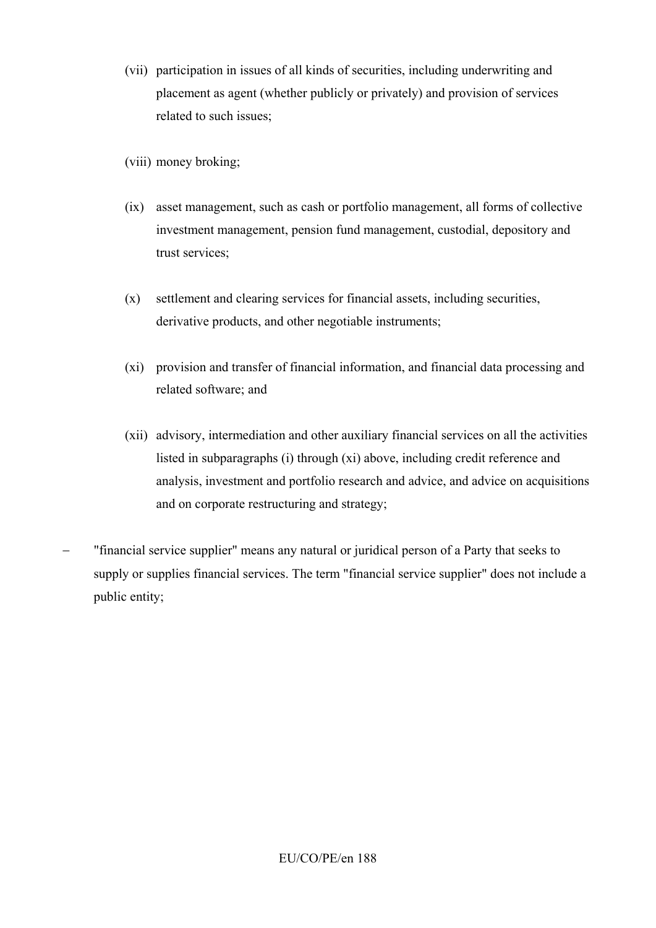- (vii) participation in issues of all kinds of securities, including underwriting and placement as agent (whether publicly or privately) and provision of services related to such issues;
- (viii) money broking;
- (ix) asset management, such as cash or portfolio management, all forms of collective investment management, pension fund management, custodial, depository and trust services;
- (x) settlement and clearing services for financial assets, including securities, derivative products, and other negotiable instruments;
- (xi) provision and transfer of financial information, and financial data processing and related software; and
- (xii) advisory, intermediation and other auxiliary financial services on all the activities listed in subparagraphs (i) through (xi) above, including credit reference and analysis, investment and portfolio research and advice, and advice on acquisitions and on corporate restructuring and strategy;
- "financial service supplier" means any natural or juridical person of a Party that seeks to supply or supplies financial services. The term "financial service supplier" does not include a public entity;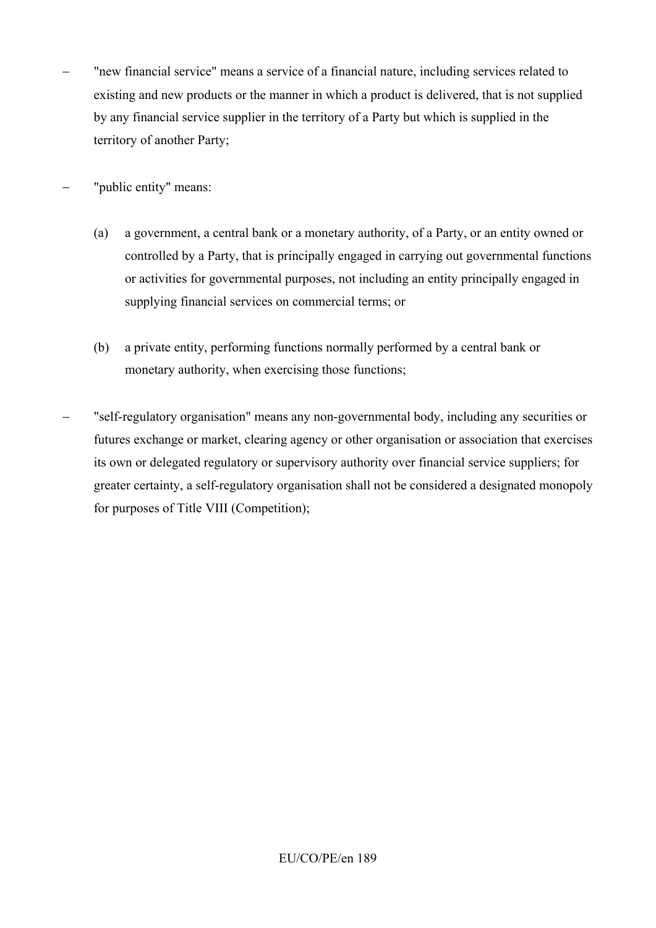The "new financial service" means a service of a financial nature, including services related to existing and new products or the manner in which a product is delivered, that is not supplied by any financial service supplier in the territory of a Party but which is supplied in the territory of another Party;

"public entity" means:

- (a) a government, a central bank or a monetary authority, of a Party, or an entity owned or controlled by a Party, that is principally engaged in carrying out governmental functions or activities for governmental purposes, not including an entity principally engaged in supplying financial services on commercial terms; or
- (b) a private entity, performing functions normally performed by a central bank or monetary authority, when exercising those functions;
- − "self-regulatory organisation" means any non-governmental body, including any securities or futures exchange or market, clearing agency or other organisation or association that exercises its own or delegated regulatory or supervisory authority over financial service suppliers; for greater certainty, a self-regulatory organisation shall not be considered a designated monopoly for purposes of Title VIII (Competition);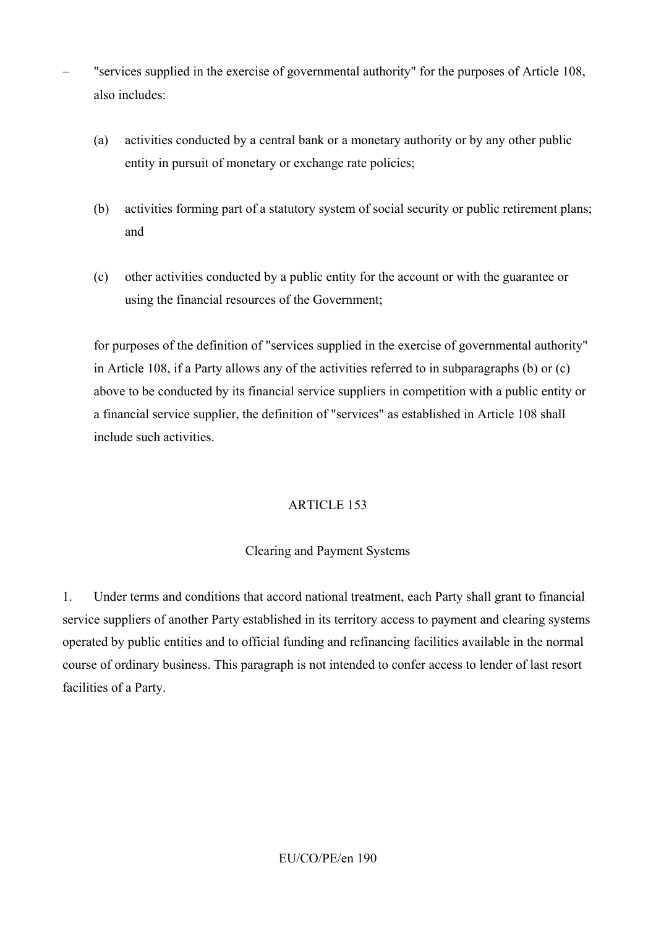- "services supplied in the exercise of governmental authority" for the purposes of Article 108, also includes:
	- (a) activities conducted by a central bank or a monetary authority or by any other public entity in pursuit of monetary or exchange rate policies;
	- (b) activities forming part of a statutory system of social security or public retirement plans; and
	- (c) other activities conducted by a public entity for the account or with the guarantee or using the financial resources of the Government;

for purposes of the definition of "services supplied in the exercise of governmental authority" in Article 108, if a Party allows any of the activities referred to in subparagraphs (b) or (c) above to be conducted by its financial service suppliers in competition with a public entity or a financial service supplier, the definition of "services" as established in Article 108 shall include such activities.

## ARTICLE 153

#### Clearing and Payment Systems

1. Under terms and conditions that accord national treatment, each Party shall grant to financial service suppliers of another Party established in its territory access to payment and clearing systems operated by public entities and to official funding and refinancing facilities available in the normal course of ordinary business. This paragraph is not intended to confer access to lender of last resort facilities of a Party.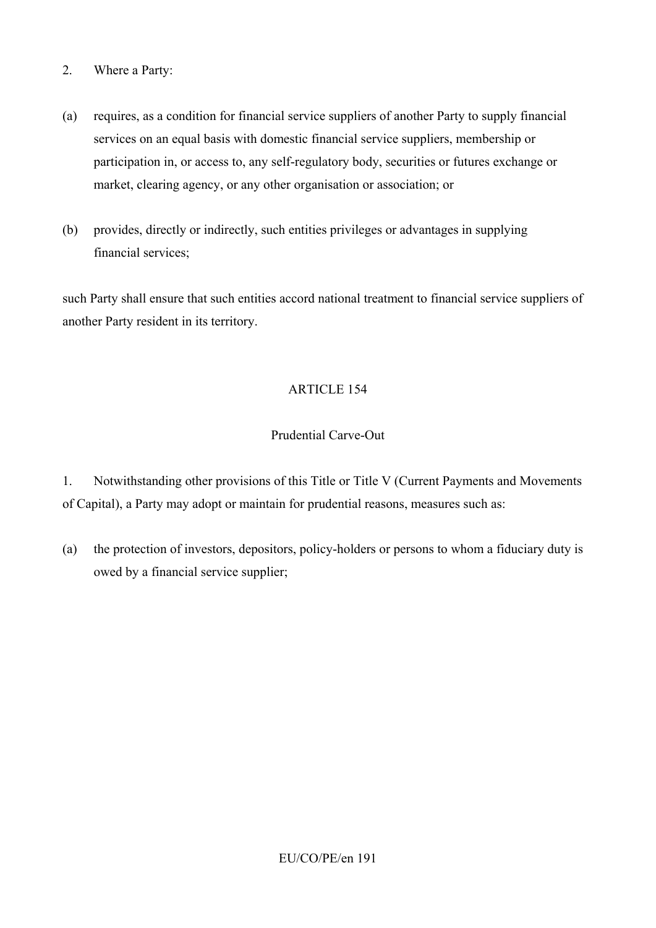- 2. Where a Party:
- (a) requires, as a condition for financial service suppliers of another Party to supply financial services on an equal basis with domestic financial service suppliers, membership or participation in, or access to, any self-regulatory body, securities or futures exchange or market, clearing agency, or any other organisation or association; or
- (b) provides, directly or indirectly, such entities privileges or advantages in supplying financial services;

such Party shall ensure that such entities accord national treatment to financial service suppliers of another Party resident in its territory.

## ARTICLE 154

## Prudential Carve-Out

1. Notwithstanding other provisions of this Title or Title V (Current Payments and Movements of Capital), a Party may adopt or maintain for prudential reasons, measures such as:

(a) the protection of investors, depositors, policy-holders or persons to whom a fiduciary duty is owed by a financial service supplier;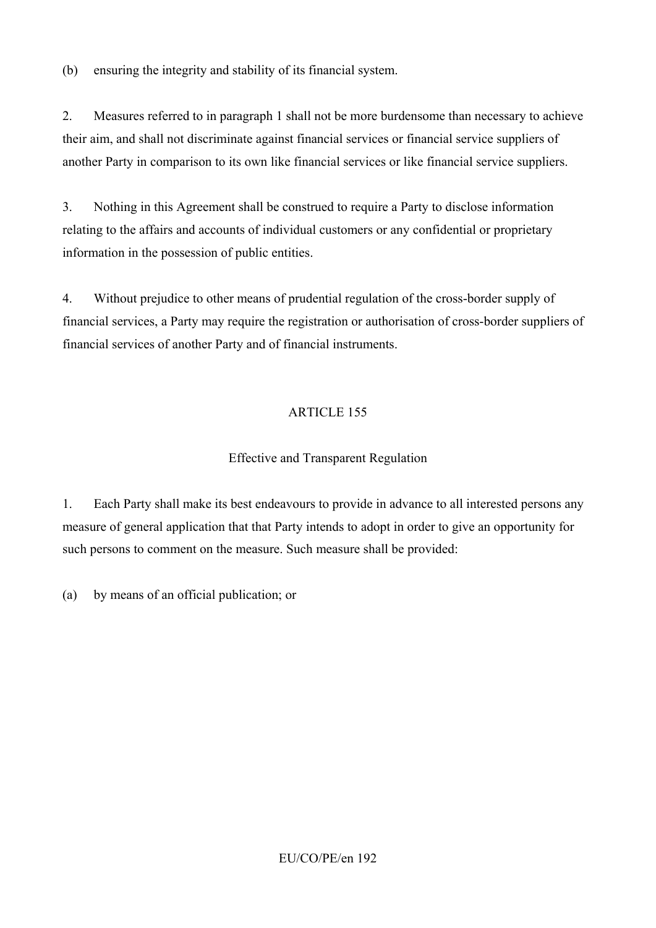(b) ensuring the integrity and stability of its financial system.

2. Measures referred to in paragraph 1 shall not be more burdensome than necessary to achieve their aim, and shall not discriminate against financial services or financial service suppliers of another Party in comparison to its own like financial services or like financial service suppliers.

3. Nothing in this Agreement shall be construed to require a Party to disclose information relating to the affairs and accounts of individual customers or any confidential or proprietary information in the possession of public entities.

4. Without prejudice to other means of prudential regulation of the cross-border supply of financial services, a Party may require the registration or authorisation of cross-border suppliers of financial services of another Party and of financial instruments.

# ARTICLE 155

## Effective and Transparent Regulation

1. Each Party shall make its best endeavours to provide in advance to all interested persons any measure of general application that that Party intends to adopt in order to give an opportunity for such persons to comment on the measure. Such measure shall be provided:

(a) by means of an official publication; or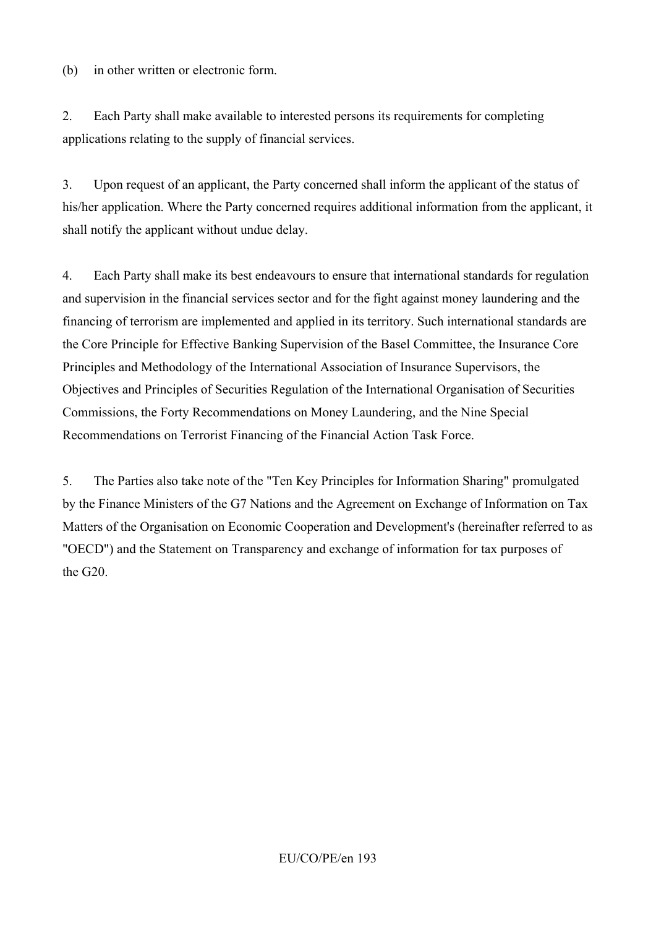(b) in other written or electronic form.

2. Each Party shall make available to interested persons its requirements for completing applications relating to the supply of financial services.

3. Upon request of an applicant, the Party concerned shall inform the applicant of the status of his/her application. Where the Party concerned requires additional information from the applicant, it shall notify the applicant without undue delay.

4. Each Party shall make its best endeavours to ensure that international standards for regulation and supervision in the financial services sector and for the fight against money laundering and the financing of terrorism are implemented and applied in its territory. Such international standards are the Core Principle for Effective Banking Supervision of the Basel Committee, the Insurance Core Principles and Methodology of the International Association of Insurance Supervisors, the Objectives and Principles of Securities Regulation of the International Organisation of Securities Commissions, the Forty Recommendations on Money Laundering, and the Nine Special Recommendations on Terrorist Financing of the Financial Action Task Force.

5. The Parties also take note of the "Ten Key Principles for Information Sharing" promulgated by the Finance Ministers of the G7 Nations and the Agreement on Exchange of Information on Tax Matters of the Organisation on Economic Cooperation and Development's (hereinafter referred to as "OECD") and the Statement on Transparency and exchange of information for tax purposes of the G20.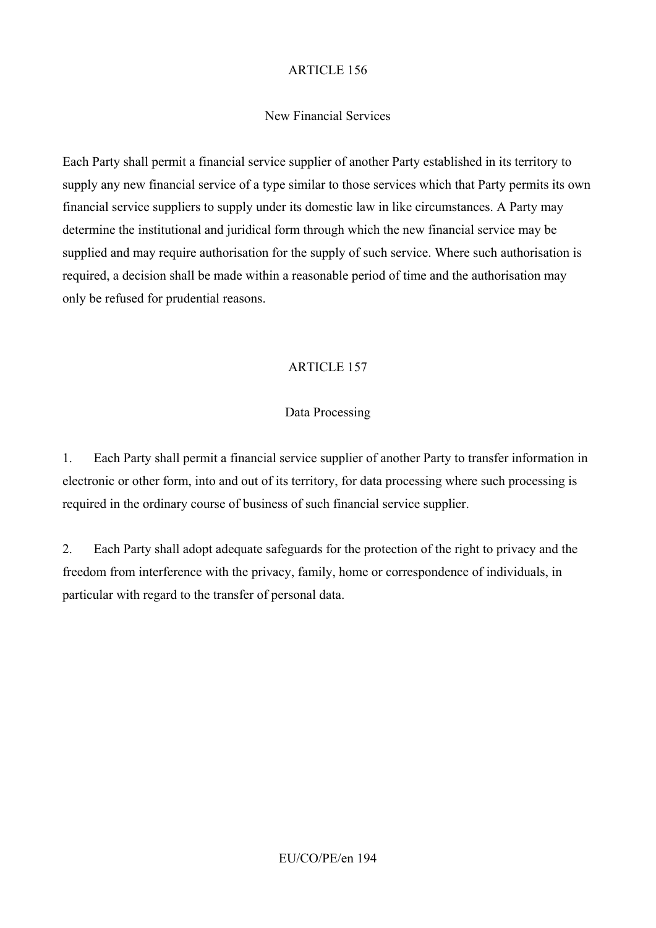## New Financial Services

Each Party shall permit a financial service supplier of another Party established in its territory to supply any new financial service of a type similar to those services which that Party permits its own financial service suppliers to supply under its domestic law in like circumstances. A Party may determine the institutional and juridical form through which the new financial service may be supplied and may require authorisation for the supply of such service. Where such authorisation is required, a decision shall be made within a reasonable period of time and the authorisation may only be refused for prudential reasons.

## ARTICLE 157

## Data Processing

1. Each Party shall permit a financial service supplier of another Party to transfer information in electronic or other form, into and out of its territory, for data processing where such processing is required in the ordinary course of business of such financial service supplier.

2. Each Party shall adopt adequate safeguards for the protection of the right to privacy and the freedom from interference with the privacy, family, home or correspondence of individuals, in particular with regard to the transfer of personal data.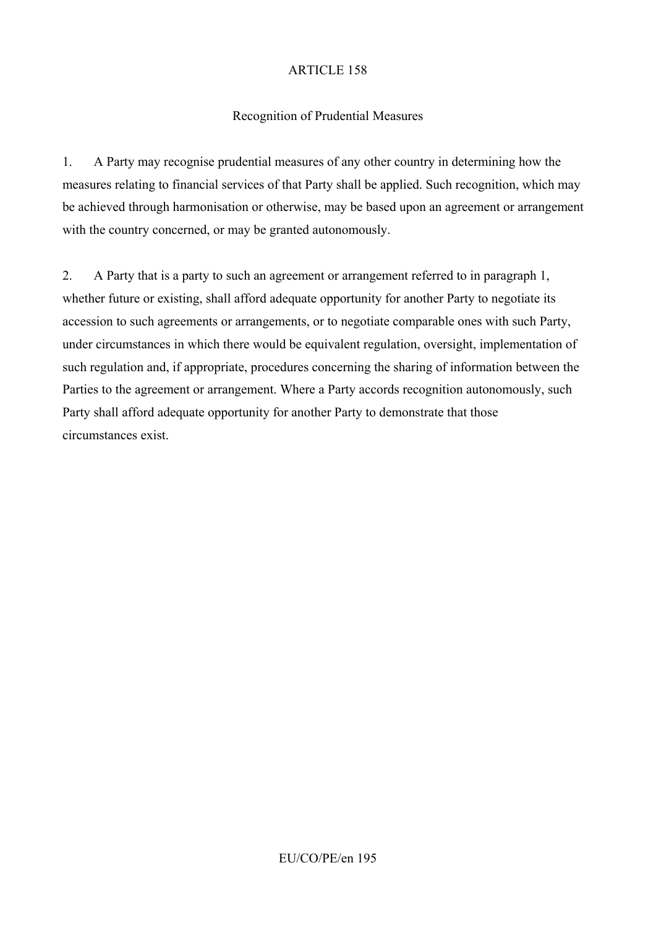#### Recognition of Prudential Measures

1. A Party may recognise prudential measures of any other country in determining how the measures relating to financial services of that Party shall be applied. Such recognition, which may be achieved through harmonisation or otherwise, may be based upon an agreement or arrangement with the country concerned, or may be granted autonomously.

2. A Party that is a party to such an agreement or arrangement referred to in paragraph 1, whether future or existing, shall afford adequate opportunity for another Party to negotiate its accession to such agreements or arrangements, or to negotiate comparable ones with such Party, under circumstances in which there would be equivalent regulation, oversight, implementation of such regulation and, if appropriate, procedures concerning the sharing of information between the Parties to the agreement or arrangement. Where a Party accords recognition autonomously, such Party shall afford adequate opportunity for another Party to demonstrate that those circumstances exist.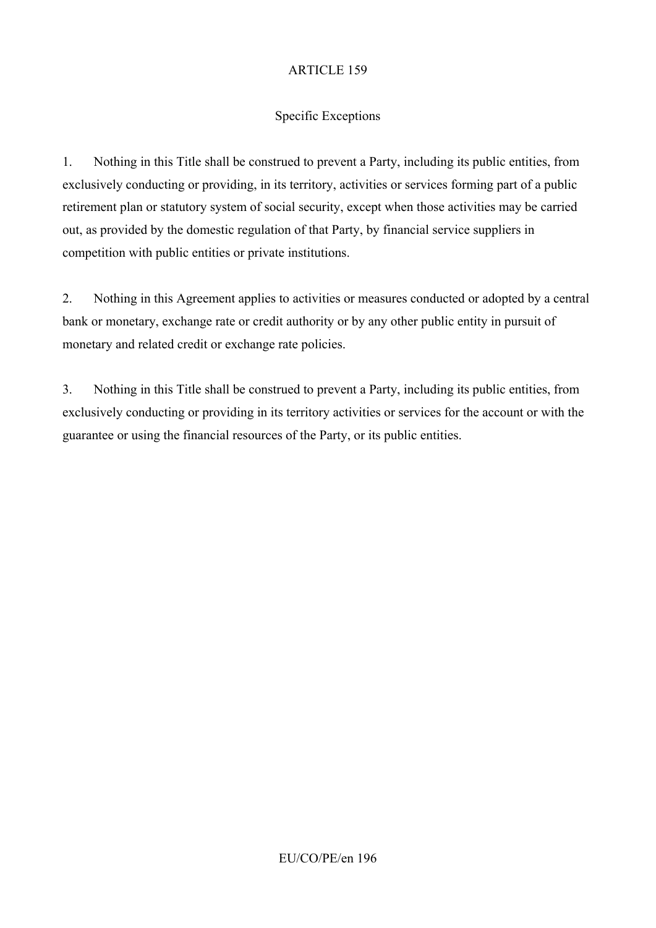## Specific Exceptions

1. Nothing in this Title shall be construed to prevent a Party, including its public entities, from exclusively conducting or providing, in its territory, activities or services forming part of a public retirement plan or statutory system of social security, except when those activities may be carried out, as provided by the domestic regulation of that Party, by financial service suppliers in competition with public entities or private institutions.

2. Nothing in this Agreement applies to activities or measures conducted or adopted by a central bank or monetary, exchange rate or credit authority or by any other public entity in pursuit of monetary and related credit or exchange rate policies.

3. Nothing in this Title shall be construed to prevent a Party, including its public entities, from exclusively conducting or providing in its territory activities or services for the account or with the guarantee or using the financial resources of the Party, or its public entities.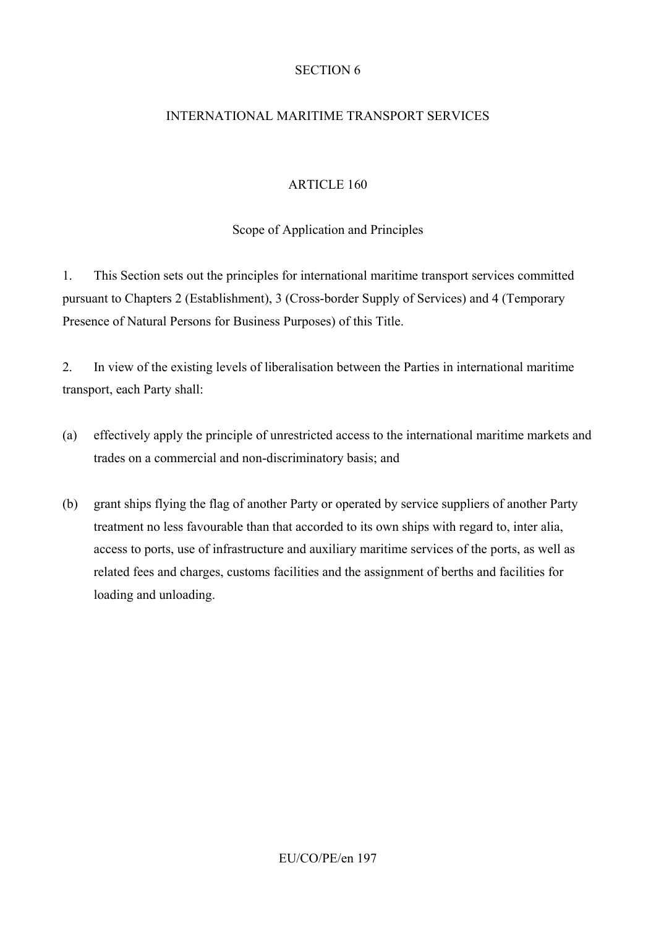#### SECTION 6

## INTERNATIONAL MARITIME TRANSPORT SERVICES

#### ARTICLE 160

Scope of Application and Principles

1. This Section sets out the principles for international maritime transport services committed pursuant to Chapters 2 (Establishment), 3 (Cross-border Supply of Services) and 4 (Temporary Presence of Natural Persons for Business Purposes) of this Title.

2. In view of the existing levels of liberalisation between the Parties in international maritime transport, each Party shall:

- (a) effectively apply the principle of unrestricted access to the international maritime markets and trades on a commercial and non-discriminatory basis; and
- (b) grant ships flying the flag of another Party or operated by service suppliers of another Party treatment no less favourable than that accorded to its own ships with regard to, inter alia, access to ports, use of infrastructure and auxiliary maritime services of the ports, as well as related fees and charges, customs facilities and the assignment of berths and facilities for loading and unloading.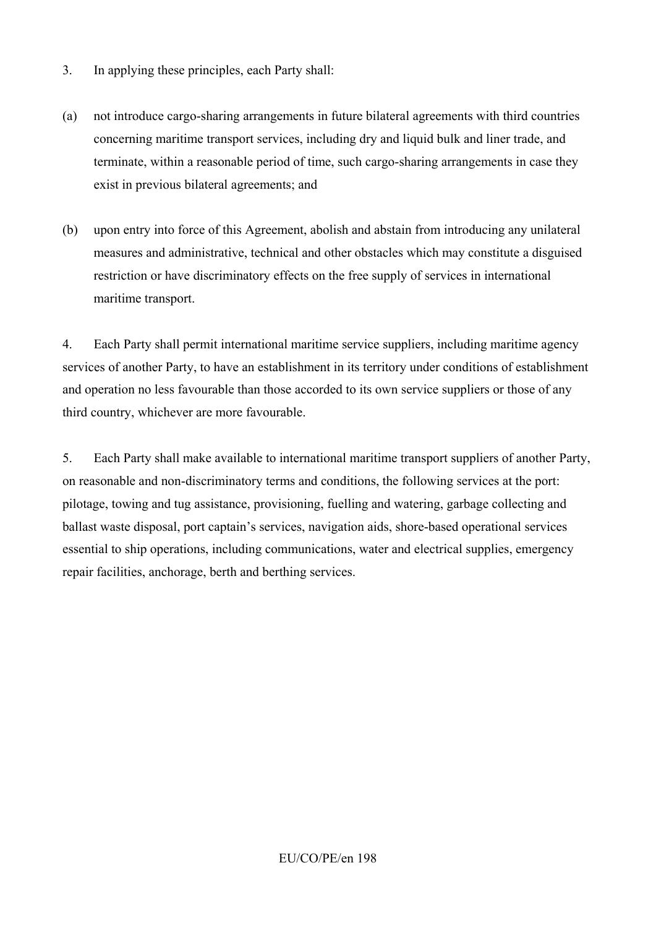- 3. In applying these principles, each Party shall:
- (a) not introduce cargo-sharing arrangements in future bilateral agreements with third countries concerning maritime transport services, including dry and liquid bulk and liner trade, and terminate, within a reasonable period of time, such cargo-sharing arrangements in case they exist in previous bilateral agreements; and
- (b) upon entry into force of this Agreement, abolish and abstain from introducing any unilateral measures and administrative, technical and other obstacles which may constitute a disguised restriction or have discriminatory effects on the free supply of services in international maritime transport.

4. Each Party shall permit international maritime service suppliers, including maritime agency services of another Party, to have an establishment in its territory under conditions of establishment and operation no less favourable than those accorded to its own service suppliers or those of any third country, whichever are more favourable.

5. Each Party shall make available to international maritime transport suppliers of another Party, on reasonable and non-discriminatory terms and conditions, the following services at the port: pilotage, towing and tug assistance, provisioning, fuelling and watering, garbage collecting and ballast waste disposal, port captain's services, navigation aids, shore-based operational services essential to ship operations, including communications, water and electrical supplies, emergency repair facilities, anchorage, berth and berthing services.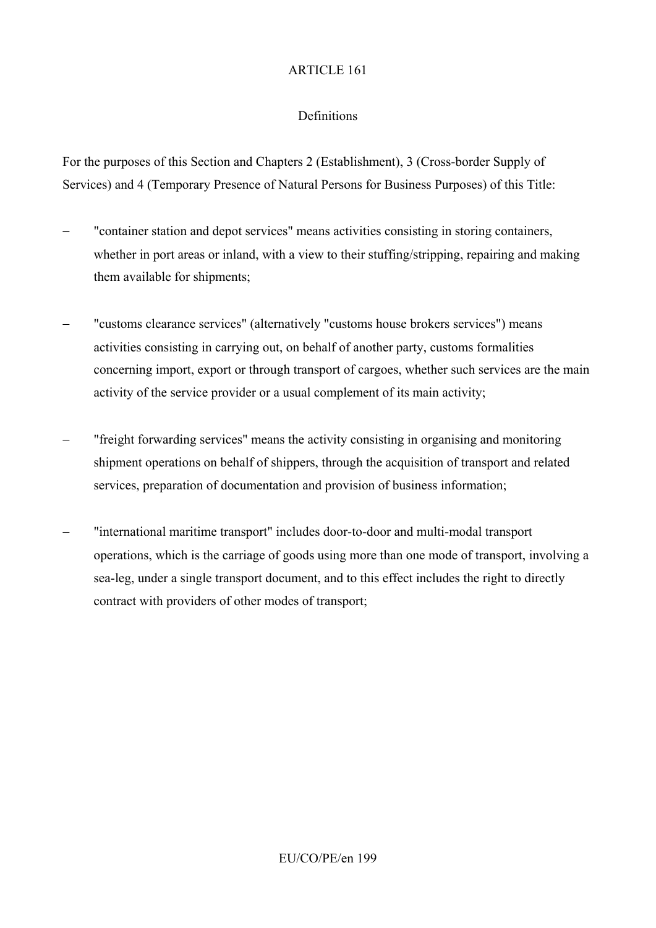## Definitions

For the purposes of this Section and Chapters 2 (Establishment), 3 (Cross-border Supply of Services) and 4 (Temporary Presence of Natural Persons for Business Purposes) of this Title:

- − "container station and depot services" means activities consisting in storing containers, whether in port areas or inland, with a view to their stuffing/stripping, repairing and making them available for shipments;
- − "customs clearance services" (alternatively "customs house brokers services") means activities consisting in carrying out, on behalf of another party, customs formalities concerning import, export or through transport of cargoes, whether such services are the main activity of the service provider or a usual complement of its main activity;
- − "freight forwarding services" means the activity consisting in organising and monitoring shipment operations on behalf of shippers, through the acquisition of transport and related services, preparation of documentation and provision of business information;
- "international maritime transport" includes door-to-door and multi-modal transport operations, which is the carriage of goods using more than one mode of transport, involving a sea-leg, under a single transport document, and to this effect includes the right to directly contract with providers of other modes of transport;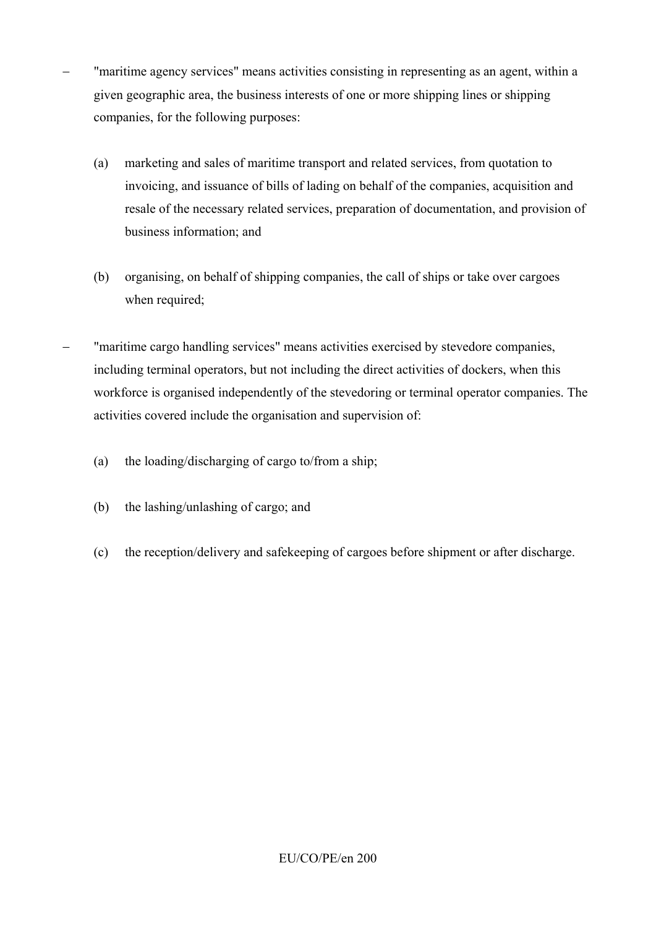- "maritime agency services" means activities consisting in representing as an agent, within a given geographic area, the business interests of one or more shipping lines or shipping companies, for the following purposes:
	- (a) marketing and sales of maritime transport and related services, from quotation to invoicing, and issuance of bills of lading on behalf of the companies, acquisition and resale of the necessary related services, preparation of documentation, and provision of business information; and
	- (b) organising, on behalf of shipping companies, the call of ships or take over cargoes when required;
- "maritime cargo handling services" means activities exercised by stevedore companies, including terminal operators, but not including the direct activities of dockers, when this workforce is organised independently of the stevedoring or terminal operator companies. The activities covered include the organisation and supervision of:
	- (a) the loading/discharging of cargo to/from a ship;
	- (b) the lashing/unlashing of cargo; and
	- (c) the reception/delivery and safekeeping of cargoes before shipment or after discharge.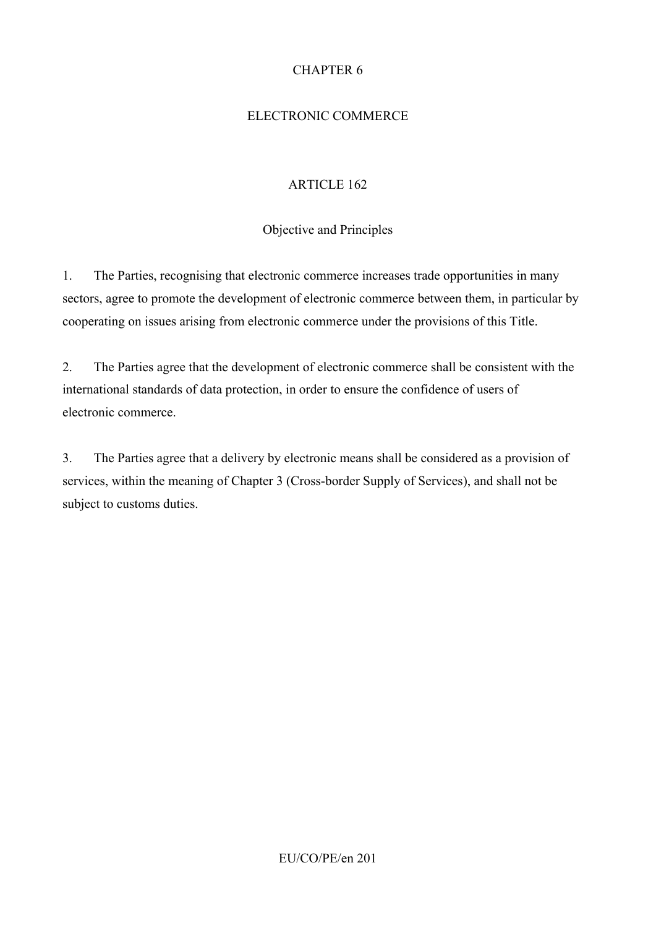## CHAPTER 6

## ELECTRONIC COMMERCE

#### ARTICLE 162

#### Objective and Principles

1. The Parties, recognising that electronic commerce increases trade opportunities in many sectors, agree to promote the development of electronic commerce between them, in particular by cooperating on issues arising from electronic commerce under the provisions of this Title.

2. The Parties agree that the development of electronic commerce shall be consistent with the international standards of data protection, in order to ensure the confidence of users of electronic commerce.

3. The Parties agree that a delivery by electronic means shall be considered as a provision of services, within the meaning of Chapter 3 (Cross-border Supply of Services), and shall not be subject to customs duties.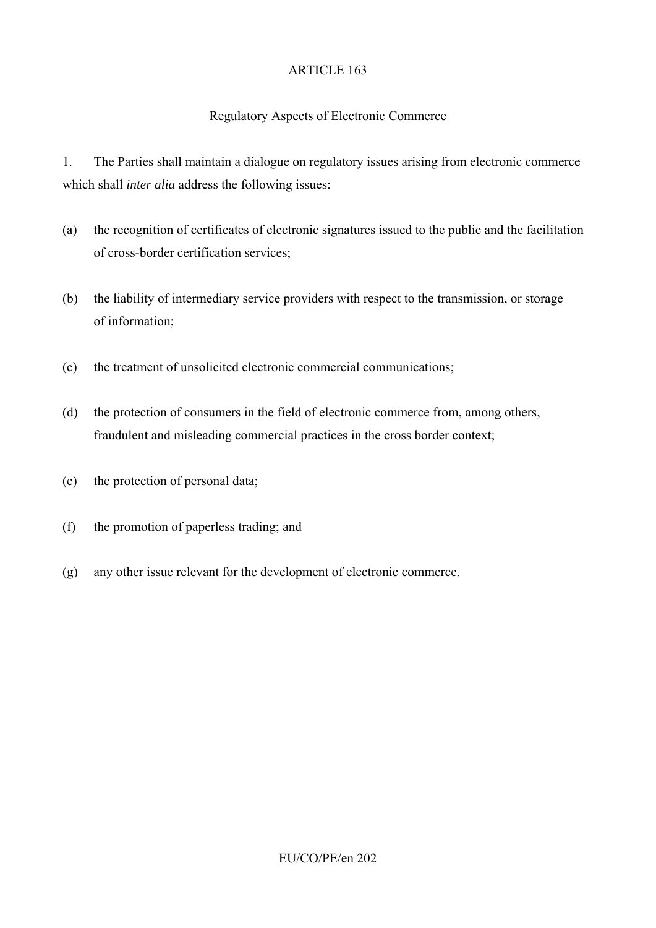## Regulatory Aspects of Electronic Commerce

1. The Parties shall maintain a dialogue on regulatory issues arising from electronic commerce which shall *inter alia* address the following issues:

- (a) the recognition of certificates of electronic signatures issued to the public and the facilitation of cross-border certification services;
- (b) the liability of intermediary service providers with respect to the transmission, or storage of information;
- (c) the treatment of unsolicited electronic commercial communications;
- (d) the protection of consumers in the field of electronic commerce from, among others, fraudulent and misleading commercial practices in the cross border context;
- (e) the protection of personal data;
- (f) the promotion of paperless trading; and
- (g) any other issue relevant for the development of electronic commerce.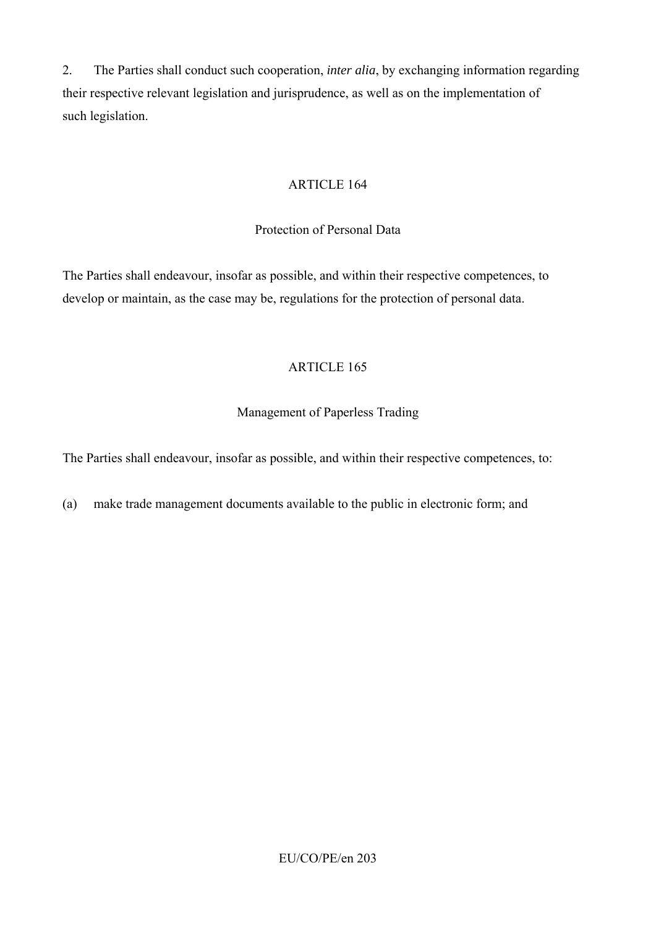2. The Parties shall conduct such cooperation, *inter alia*, by exchanging information regarding their respective relevant legislation and jurisprudence, as well as on the implementation of such legislation.

## ARTICLE 164

#### Protection of Personal Data

The Parties shall endeavour, insofar as possible, and within their respective competences, to develop or maintain, as the case may be, regulations for the protection of personal data.

## ARTICLE 165

## Management of Paperless Trading

The Parties shall endeavour, insofar as possible, and within their respective competences, to:

(a) make trade management documents available to the public in electronic form; and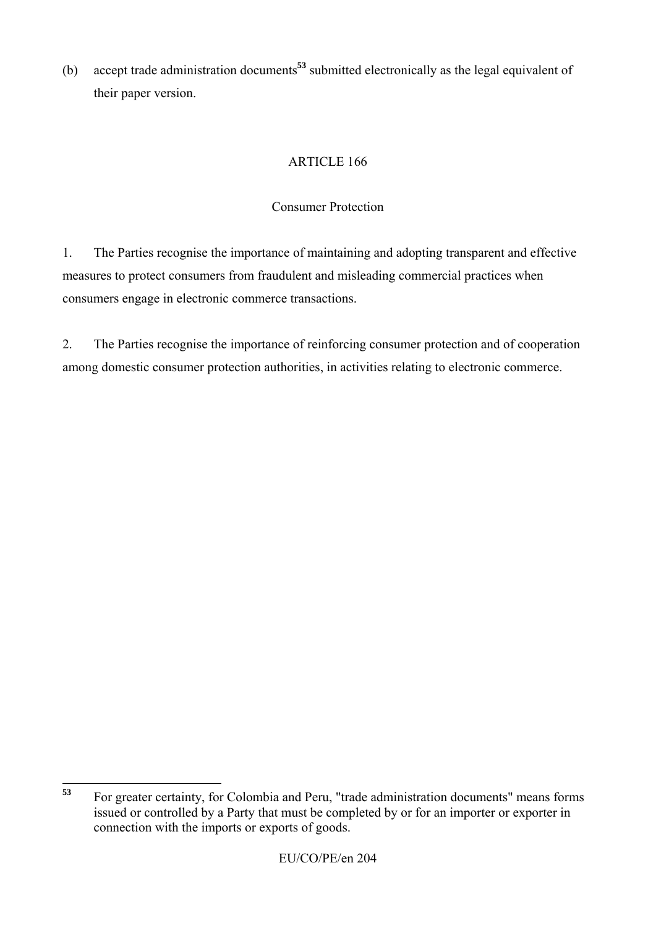(b) accept trade administration documents**<sup>53</sup>** submitted electronically as the legal equivalent of their paper version.

# ARTICLE 166

## Consumer Protection

1. The Parties recognise the importance of maintaining and adopting transparent and effective measures to protect consumers from fraudulent and misleading commercial practices when consumers engage in electronic commerce transactions.

2. The Parties recognise the importance of reinforcing consumer protection and of cooperation among domestic consumer protection authorities, in activities relating to electronic commerce.

 $53$ **<sup>53</sup>** For greater certainty, for Colombia and Peru, "trade administration documents" means forms issued or controlled by a Party that must be completed by or for an importer or exporter in connection with the imports or exports of goods.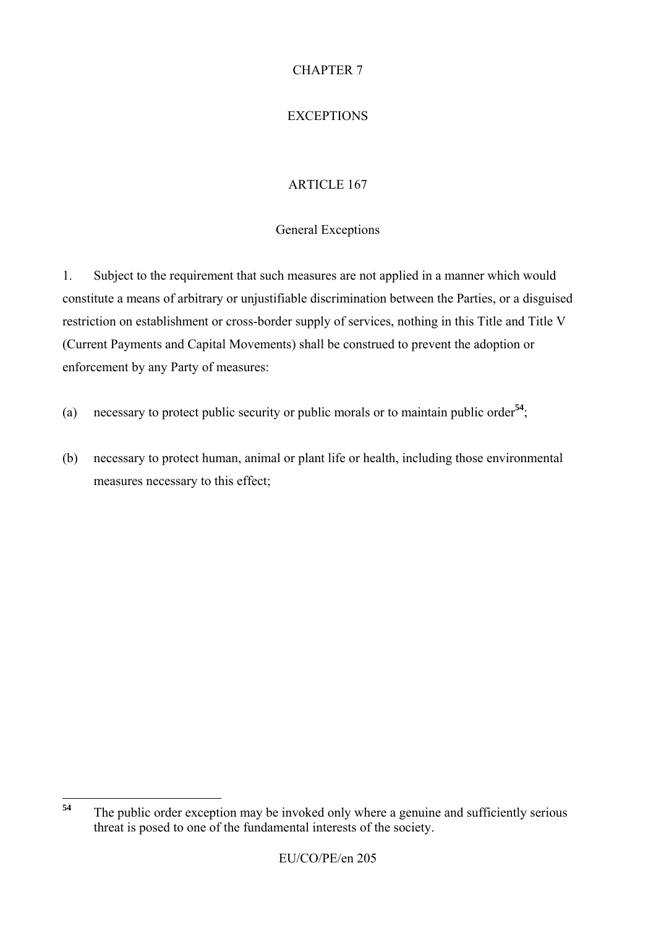# CHAPTER 7

# **EXCEPTIONS**

# ARTICLE 167

## General Exceptions

1. Subject to the requirement that such measures are not applied in a manner which would constitute a means of arbitrary or unjustifiable discrimination between the Parties, or a disguised restriction on establishment or cross-border supply of services, nothing in this Title and Title V (Current Payments and Capital Movements) shall be construed to prevent the adoption or enforcement by any Party of measures:

- (a) necessary to protect public security or public morals or to maintain public order**<sup>54</sup>**;
- (b) necessary to protect human, animal or plant life or health, including those environmental measures necessary to this effect;

<sup>54</sup> The public order exception may be invoked only where a genuine and sufficiently serious threat is posed to one of the fundamental interests of the society.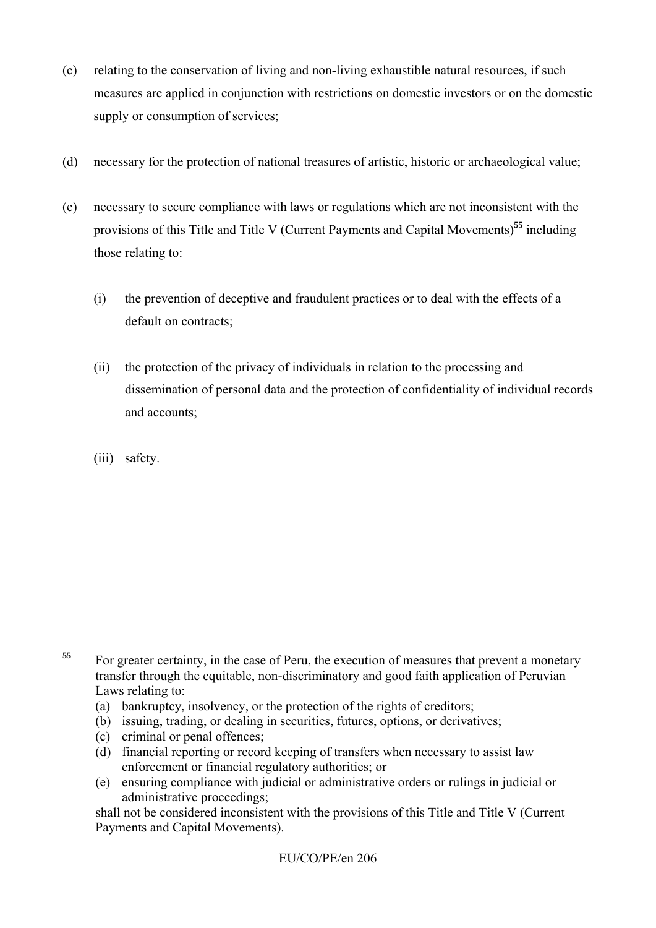- (c) relating to the conservation of living and non-living exhaustible natural resources, if such measures are applied in conjunction with restrictions on domestic investors or on the domestic supply or consumption of services;
- (d) necessary for the protection of national treasures of artistic, historic or archaeological value;
- (e) necessary to secure compliance with laws or regulations which are not inconsistent with the provisions of this Title and Title V (Current Payments and Capital Movements)**<sup>55</sup>** including those relating to:
	- (i) the prevention of deceptive and fraudulent practices or to deal with the effects of a default on contracts;
	- (ii) the protection of the privacy of individuals in relation to the processing and dissemination of personal data and the protection of confidentiality of individual records and accounts;
	- (iii) safety.

- (c) criminal or penal offences;
- (d) financial reporting or record keeping of transfers when necessary to assist law enforcement or financial regulatory authorities; or
- (e) ensuring compliance with judicial or administrative orders or rulings in judicial or administrative proceedings;

<sup>55</sup> **<sup>55</sup>** For greater certainty, in the case of Peru, the execution of measures that prevent a monetary transfer through the equitable, non-discriminatory and good faith application of Peruvian Laws relating to:

<sup>(</sup>a) bankruptcy, insolvency, or the protection of the rights of creditors;

<sup>(</sup>b) issuing, trading, or dealing in securities, futures, options, or derivatives;

shall not be considered inconsistent with the provisions of this Title and Title V (Current Payments and Capital Movements).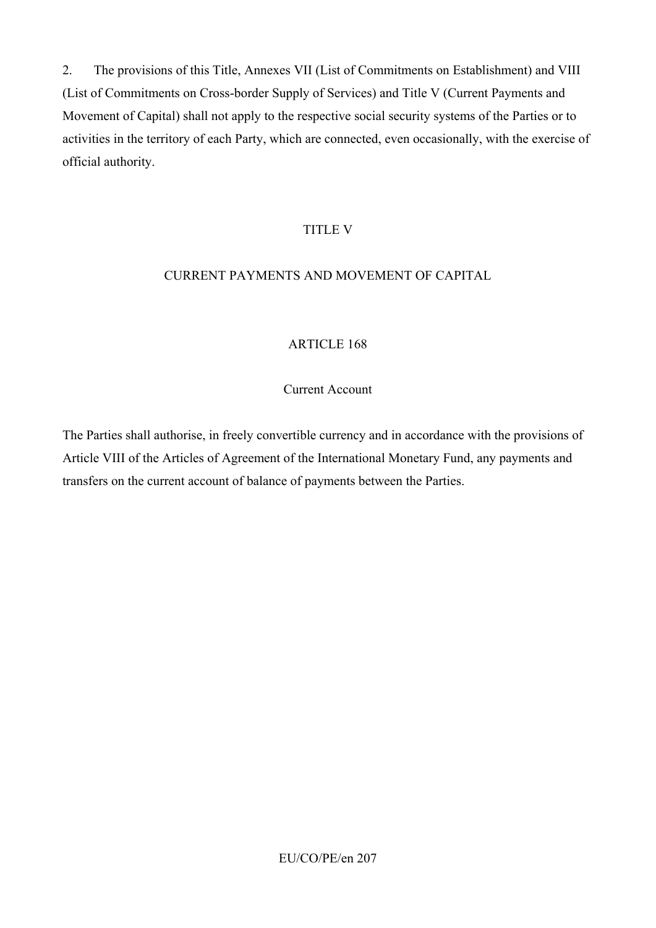2. The provisions of this Title, Annexes VII (List of Commitments on Establishment) and VIII (List of Commitments on Cross-border Supply of Services) and Title V (Current Payments and Movement of Capital) shall not apply to the respective social security systems of the Parties or to activities in the territory of each Party, which are connected, even occasionally, with the exercise of official authority.

#### TITLE V

#### CURRENT PAYMENTS AND MOVEMENT OF CAPITAL

#### ARTICLE 168

#### Current Account

The Parties shall authorise, in freely convertible currency and in accordance with the provisions of Article VIII of the Articles of Agreement of the International Monetary Fund, any payments and transfers on the current account of balance of payments between the Parties.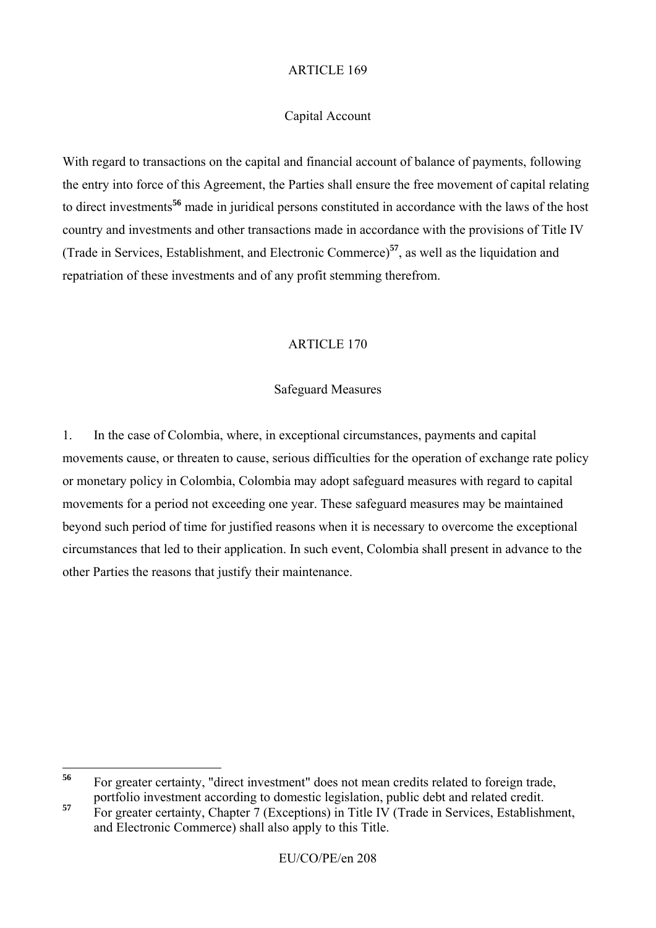#### Capital Account

With regard to transactions on the capital and financial account of balance of payments, following the entry into force of this Agreement, the Parties shall ensure the free movement of capital relating to direct investments**<sup>56</sup>** made in juridical persons constituted in accordance with the laws of the host country and investments and other transactions made in accordance with the provisions of Title IV (Trade in Services, Establishment, and Electronic Commerce)**<sup>57</sup>**, as well as the liquidation and repatriation of these investments and of any profit stemming therefrom.

#### ARTICLE 170

#### Safeguard Measures

1. In the case of Colombia, where, in exceptional circumstances, payments and capital movements cause, or threaten to cause, serious difficulties for the operation of exchange rate policy or monetary policy in Colombia, Colombia may adopt safeguard measures with regard to capital movements for a period not exceeding one year. These safeguard measures may be maintained beyond such period of time for justified reasons when it is necessary to overcome the exceptional circumstances that led to their application. In such event, Colombia shall present in advance to the other Parties the reasons that justify their maintenance.

<sup>56</sup> **<sup>56</sup>** For greater certainty, "direct investment" does not mean credits related to foreign trade, portfolio investment according to domestic legislation, public debt and related credit.

**<sup>57</sup>** For greater certainty, Chapter 7 (Exceptions) in Title IV (Trade in Services, Establishment, and Electronic Commerce) shall also apply to this Title.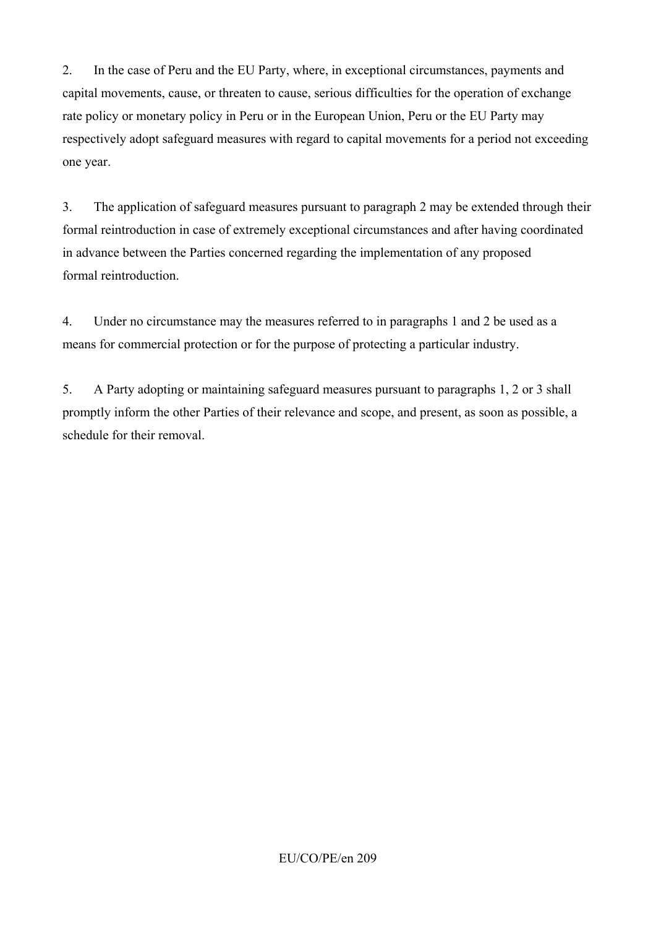2. In the case of Peru and the EU Party, where, in exceptional circumstances, payments and capital movements, cause, or threaten to cause, serious difficulties for the operation of exchange rate policy or monetary policy in Peru or in the European Union, Peru or the EU Party may respectively adopt safeguard measures with regard to capital movements for a period not exceeding one year.

3. The application of safeguard measures pursuant to paragraph 2 may be extended through their formal reintroduction in case of extremely exceptional circumstances and after having coordinated in advance between the Parties concerned regarding the implementation of any proposed formal reintroduction.

4. Under no circumstance may the measures referred to in paragraphs 1 and 2 be used as a means for commercial protection or for the purpose of protecting a particular industry.

5. A Party adopting or maintaining safeguard measures pursuant to paragraphs 1, 2 or 3 shall promptly inform the other Parties of their relevance and scope, and present, as soon as possible, a schedule for their removal.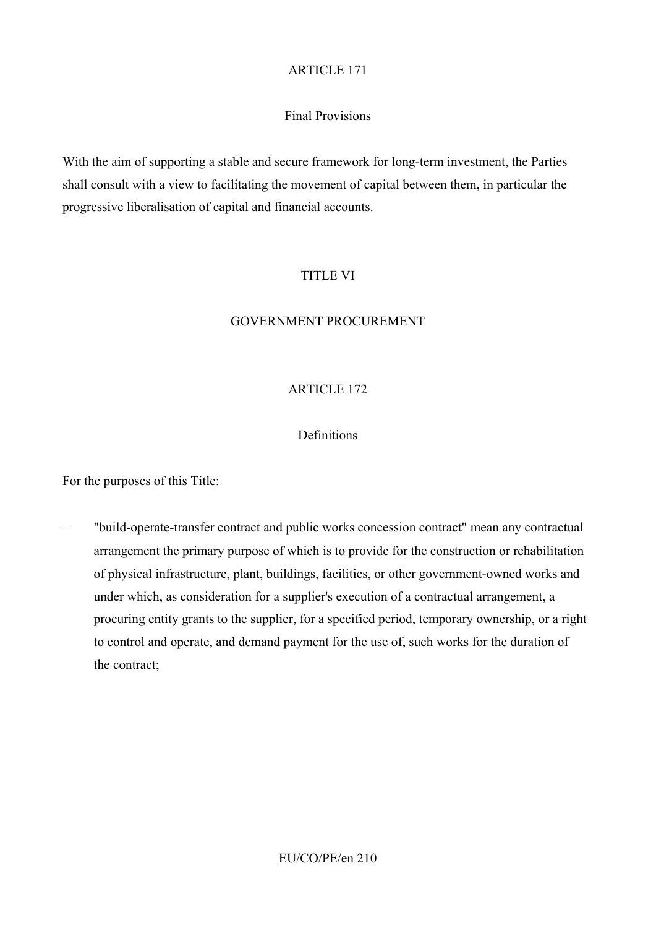## Final Provisions

With the aim of supporting a stable and secure framework for long-term investment, the Parties shall consult with a view to facilitating the movement of capital between them, in particular the progressive liberalisation of capital and financial accounts.

## TITLE VI

#### GOVERNMENT PROCUREMENT

## ARTICLE 172

#### Definitions

For the purposes of this Title:

− "build-operate-transfer contract and public works concession contract" mean any contractual arrangement the primary purpose of which is to provide for the construction or rehabilitation of physical infrastructure, plant, buildings, facilities, or other government-owned works and under which, as consideration for a supplier's execution of a contractual arrangement, a procuring entity grants to the supplier, for a specified period, temporary ownership, or a right to control and operate, and demand payment for the use of, such works for the duration of the contract;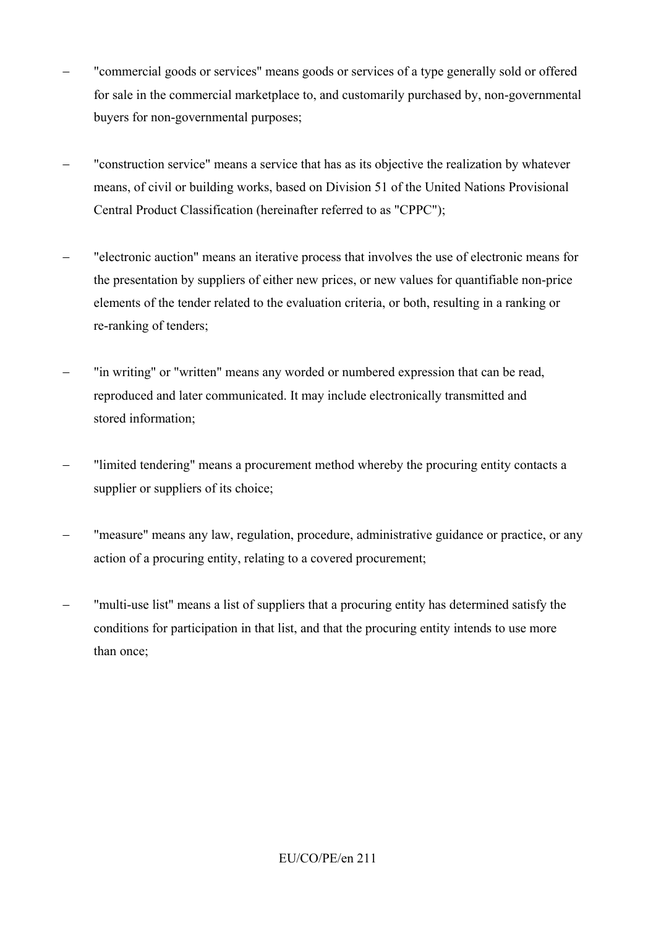- "commercial goods or services" means goods or services of a type generally sold or offered for sale in the commercial marketplace to, and customarily purchased by, non-governmental buyers for non-governmental purposes;
- − "construction service" means a service that has as its objective the realization by whatever means, of civil or building works, based on Division 51 of the United Nations Provisional Central Product Classification (hereinafter referred to as "CPPC");
- − "electronic auction" means an iterative process that involves the use of electronic means for the presentation by suppliers of either new prices, or new values for quantifiable non-price elements of the tender related to the evaluation criteria, or both, resulting in a ranking or re-ranking of tenders;
- "in writing" or "written" means any worded or numbered expression that can be read, reproduced and later communicated. It may include electronically transmitted and stored information;
- − "limited tendering" means a procurement method whereby the procuring entity contacts a supplier or suppliers of its choice;
- − "measure" means any law, regulation, procedure, administrative guidance or practice, or any action of a procuring entity, relating to a covered procurement;
- "multi-use list" means a list of suppliers that a procuring entity has determined satisfy the conditions for participation in that list, and that the procuring entity intends to use more than once;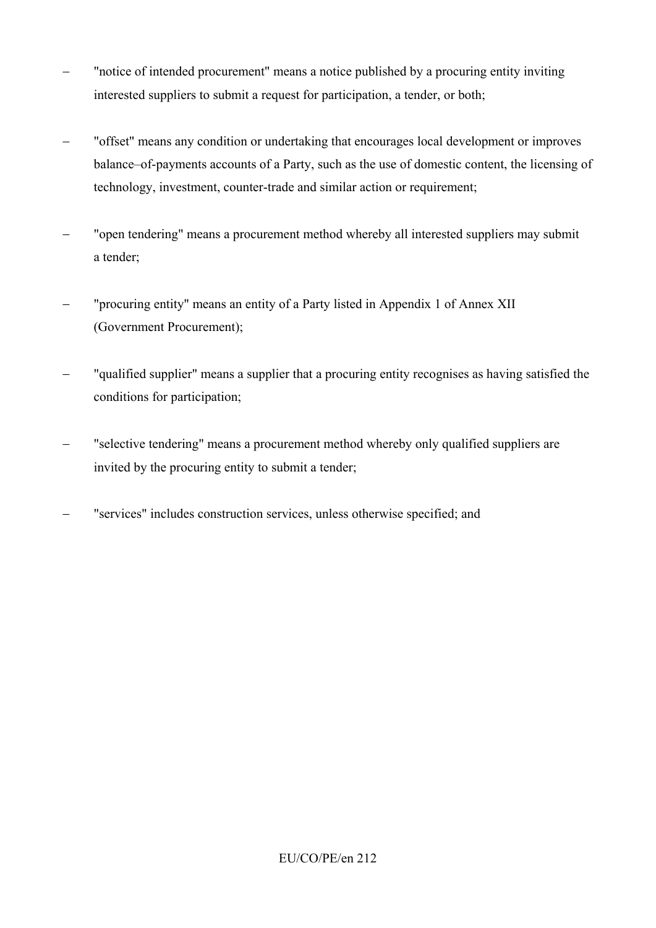- − "notice of intended procurement" means a notice published by a procuring entity inviting interested suppliers to submit a request for participation, a tender, or both;
- − "offset" means any condition or undertaking that encourages local development or improves balance–of-payments accounts of a Party, such as the use of domestic content, the licensing of technology, investment, counter-trade and similar action or requirement;
- − "open tendering" means a procurement method whereby all interested suppliers may submit a tender;
- − "procuring entity" means an entity of a Party listed in Appendix 1 of Annex XII (Government Procurement);
- − "qualified supplier" means a supplier that a procuring entity recognises as having satisfied the conditions for participation;
- − "selective tendering" means a procurement method whereby only qualified suppliers are invited by the procuring entity to submit a tender;
- − "services" includes construction services, unless otherwise specified; and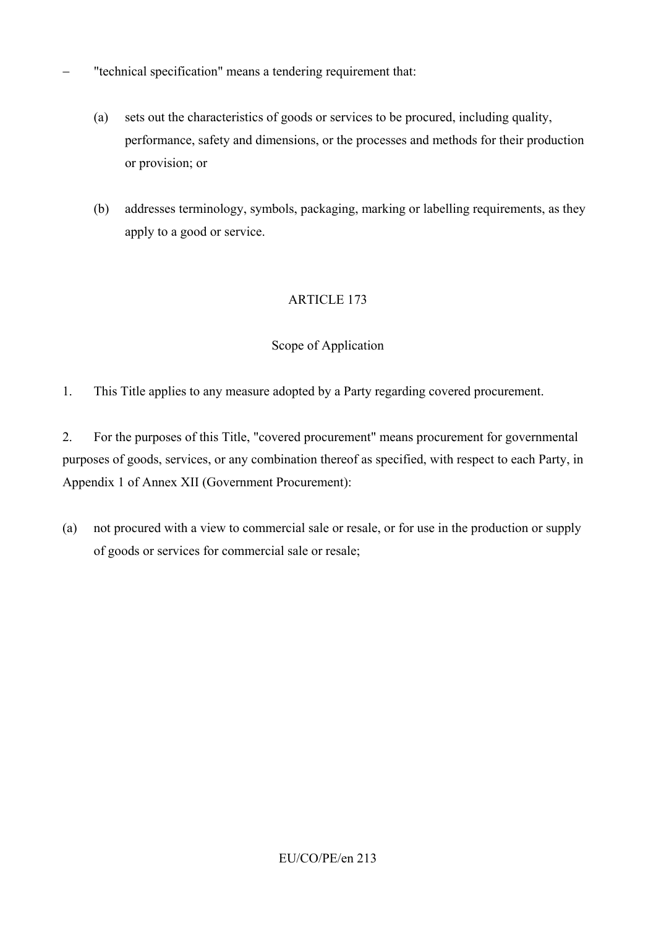- − "technical specification" means a tendering requirement that:
	- (a) sets out the characteristics of goods or services to be procured, including quality, performance, safety and dimensions, or the processes and methods for their production or provision; or
	- (b) addresses terminology, symbols, packaging, marking or labelling requirements, as they apply to a good or service.

#### Scope of Application

1. This Title applies to any measure adopted by a Party regarding covered procurement.

2. For the purposes of this Title, "covered procurement" means procurement for governmental purposes of goods, services, or any combination thereof as specified, with respect to each Party, in Appendix 1 of Annex XII (Government Procurement):

(a) not procured with a view to commercial sale or resale, or for use in the production or supply of goods or services for commercial sale or resale;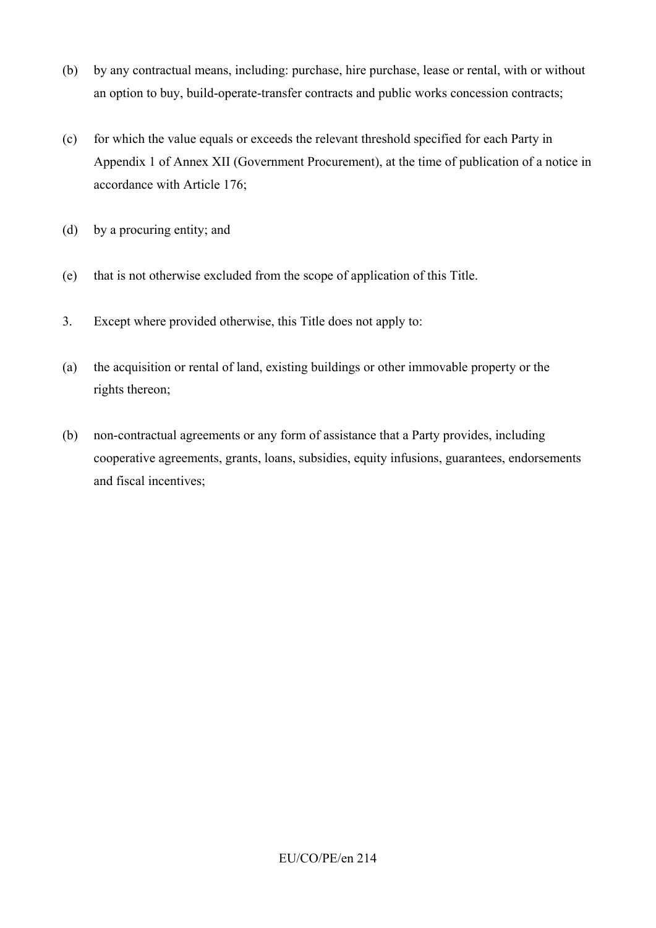- (b) by any contractual means, including: purchase, hire purchase, lease or rental, with or without an option to buy, build-operate-transfer contracts and public works concession contracts;
- (c) for which the value equals or exceeds the relevant threshold specified for each Party in Appendix 1 of Annex XII (Government Procurement), at the time of publication of a notice in accordance with Article 176;
- (d) by a procuring entity; and
- (e) that is not otherwise excluded from the scope of application of this Title.
- 3. Except where provided otherwise, this Title does not apply to:
- (a) the acquisition or rental of land, existing buildings or other immovable property or the rights thereon;
- (b) non-contractual agreements or any form of assistance that a Party provides, including cooperative agreements, grants, loans, subsidies, equity infusions, guarantees, endorsements and fiscal incentives;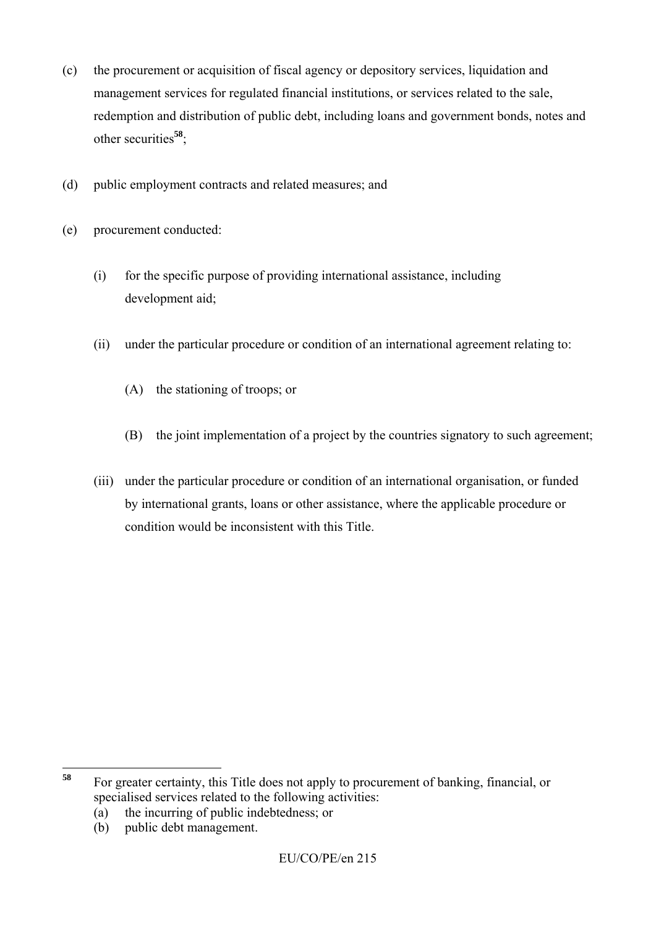- (c) the procurement or acquisition of fiscal agency or depository services, liquidation and management services for regulated financial institutions, or services related to the sale, redemption and distribution of public debt, including loans and government bonds, notes and other securities**<sup>58</sup>**;
- (d) public employment contracts and related measures; and
- (e) procurement conducted:
	- (i) for the specific purpose of providing international assistance, including development aid;
	- (ii) under the particular procedure or condition of an international agreement relating to:
		- (A) the stationing of troops; or
		- (B) the joint implementation of a project by the countries signatory to such agreement;
	- (iii) under the particular procedure or condition of an international organisation, or funded by international grants, loans or other assistance, where the applicable procedure or condition would be inconsistent with this Title.

(b) public debt management.

<sup>58</sup> **<sup>58</sup>** For greater certainty, this Title does not apply to procurement of banking, financial, or specialised services related to the following activities:

<sup>(</sup>a) the incurring of public indebtedness; or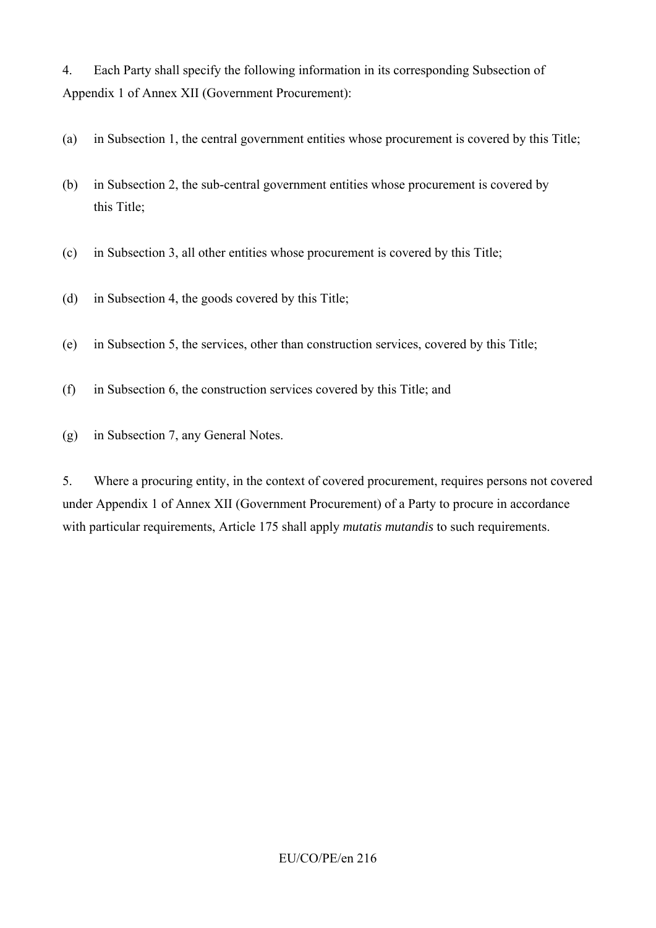4. Each Party shall specify the following information in its corresponding Subsection of Appendix 1 of Annex XII (Government Procurement):

- (a) in Subsection 1, the central government entities whose procurement is covered by this Title;
- (b) in Subsection 2, the sub-central government entities whose procurement is covered by this Title;
- (c) in Subsection 3, all other entities whose procurement is covered by this Title;
- (d) in Subsection 4, the goods covered by this Title;
- (e) in Subsection 5, the services, other than construction services, covered by this Title;
- (f) in Subsection 6, the construction services covered by this Title; and
- (g) in Subsection 7, any General Notes.

5. Where a procuring entity, in the context of covered procurement, requires persons not covered under Appendix 1 of Annex XII (Government Procurement) of a Party to procure in accordance with particular requirements, Article 175 shall apply *mutatis mutandis* to such requirements.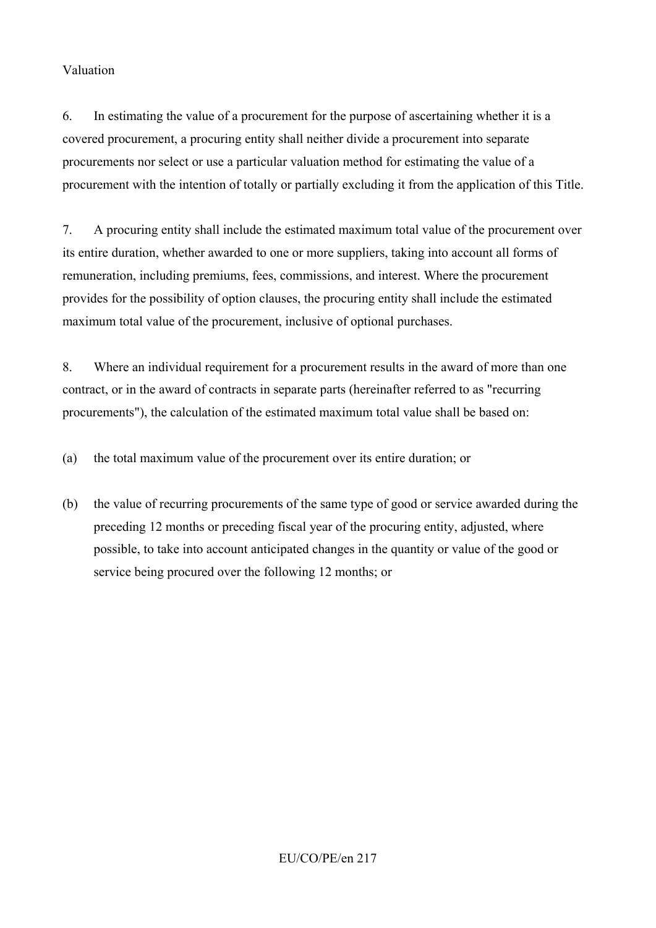#### Valuation

6. In estimating the value of a procurement for the purpose of ascertaining whether it is a covered procurement, a procuring entity shall neither divide a procurement into separate procurements nor select or use a particular valuation method for estimating the value of a procurement with the intention of totally or partially excluding it from the application of this Title.

7. A procuring entity shall include the estimated maximum total value of the procurement over its entire duration, whether awarded to one or more suppliers, taking into account all forms of remuneration, including premiums, fees, commissions, and interest. Where the procurement provides for the possibility of option clauses, the procuring entity shall include the estimated maximum total value of the procurement, inclusive of optional purchases.

8. Where an individual requirement for a procurement results in the award of more than one contract, or in the award of contracts in separate parts (hereinafter referred to as "recurring procurements"), the calculation of the estimated maximum total value shall be based on:

(a) the total maximum value of the procurement over its entire duration; or

(b) the value of recurring procurements of the same type of good or service awarded during the preceding 12 months or preceding fiscal year of the procuring entity, adjusted, where possible, to take into account anticipated changes in the quantity or value of the good or service being procured over the following 12 months; or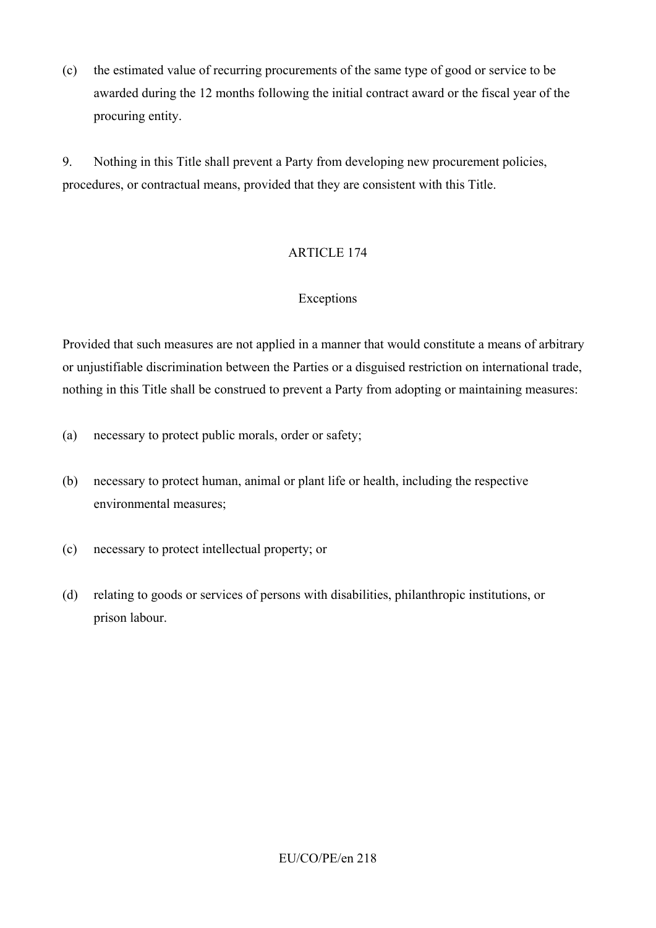(c) the estimated value of recurring procurements of the same type of good or service to be awarded during the 12 months following the initial contract award or the fiscal year of the procuring entity.

9. Nothing in this Title shall prevent a Party from developing new procurement policies, procedures, or contractual means, provided that they are consistent with this Title.

## ARTICLE 174

## Exceptions

Provided that such measures are not applied in a manner that would constitute a means of arbitrary or unjustifiable discrimination between the Parties or a disguised restriction on international trade, nothing in this Title shall be construed to prevent a Party from adopting or maintaining measures:

- (a) necessary to protect public morals, order or safety;
- (b) necessary to protect human, animal or plant life or health, including the respective environmental measures;
- (c) necessary to protect intellectual property; or
- (d) relating to goods or services of persons with disabilities, philanthropic institutions, or prison labour.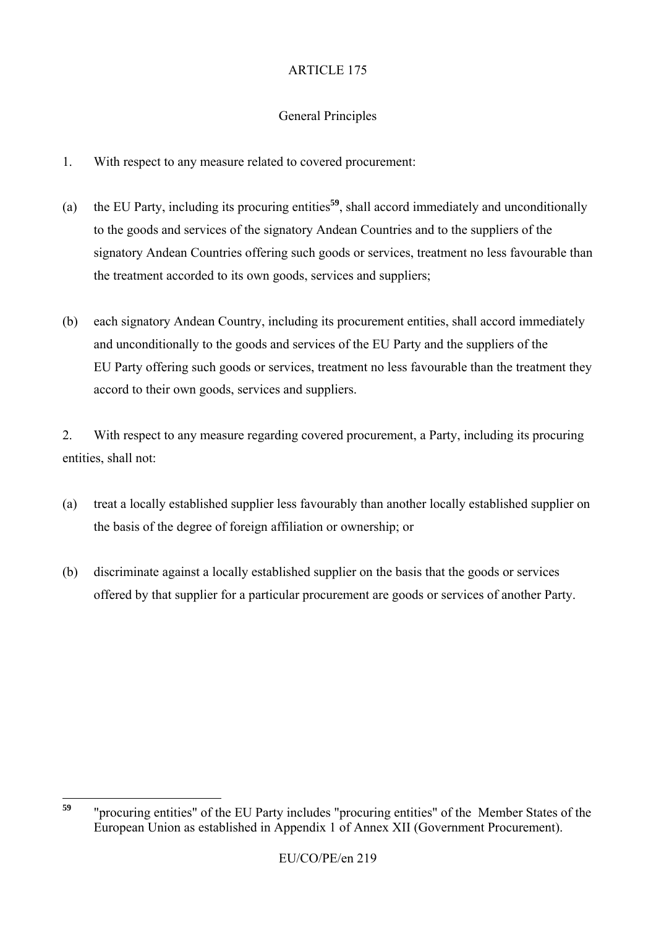# General Principles

- 1. With respect to any measure related to covered procurement:
- (a) the EU Party, including its procuring entities**<sup>59</sup>**, shall accord immediately and unconditionally to the goods and services of the signatory Andean Countries and to the suppliers of the signatory Andean Countries offering such goods or services, treatment no less favourable than the treatment accorded to its own goods, services and suppliers;
- (b) each signatory Andean Country, including its procurement entities, shall accord immediately and unconditionally to the goods and services of the EU Party and the suppliers of the EU Party offering such goods or services, treatment no less favourable than the treatment they accord to their own goods, services and suppliers.

2. With respect to any measure regarding covered procurement, a Party, including its procuring entities, shall not:

- (a) treat a locally established supplier less favourably than another locally established supplier on the basis of the degree of foreign affiliation or ownership; or
- (b) discriminate against a locally established supplier on the basis that the goods or services offered by that supplier for a particular procurement are goods or services of another Party.

<sup>59</sup> **<sup>59</sup>** "procuring entities" of the EU Party includes "procuring entities" of the Member States of the European Union as established in Appendix 1 of Annex XII (Government Procurement).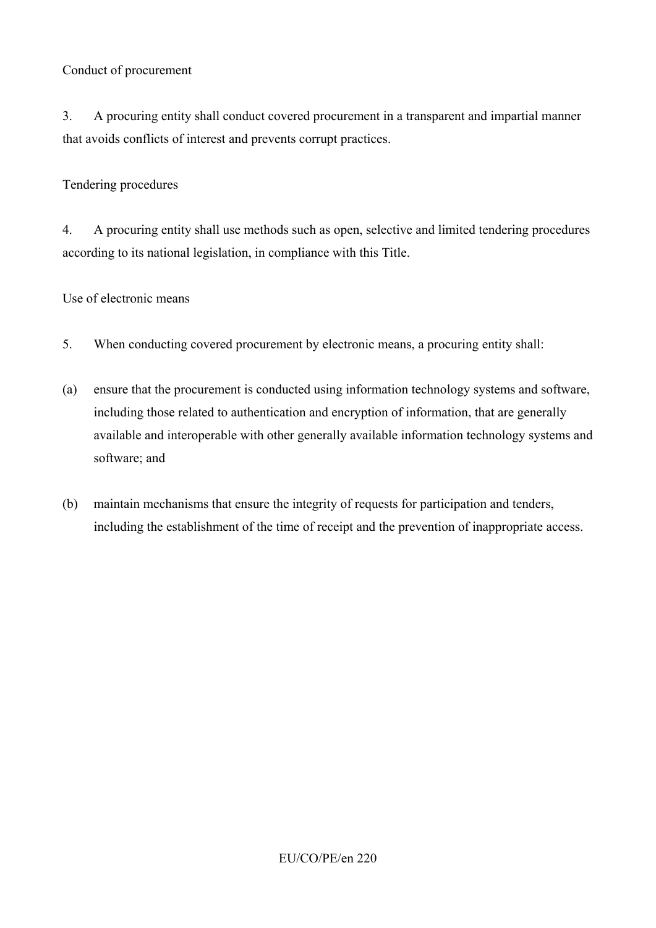### Conduct of procurement

3. A procuring entity shall conduct covered procurement in a transparent and impartial manner that avoids conflicts of interest and prevents corrupt practices.

#### Tendering procedures

4. A procuring entity shall use methods such as open, selective and limited tendering procedures according to its national legislation, in compliance with this Title.

#### Use of electronic means

- 5. When conducting covered procurement by electronic means, a procuring entity shall:
- (a) ensure that the procurement is conducted using information technology systems and software, including those related to authentication and encryption of information, that are generally available and interoperable with other generally available information technology systems and software; and
- (b) maintain mechanisms that ensure the integrity of requests for participation and tenders, including the establishment of the time of receipt and the prevention of inappropriate access.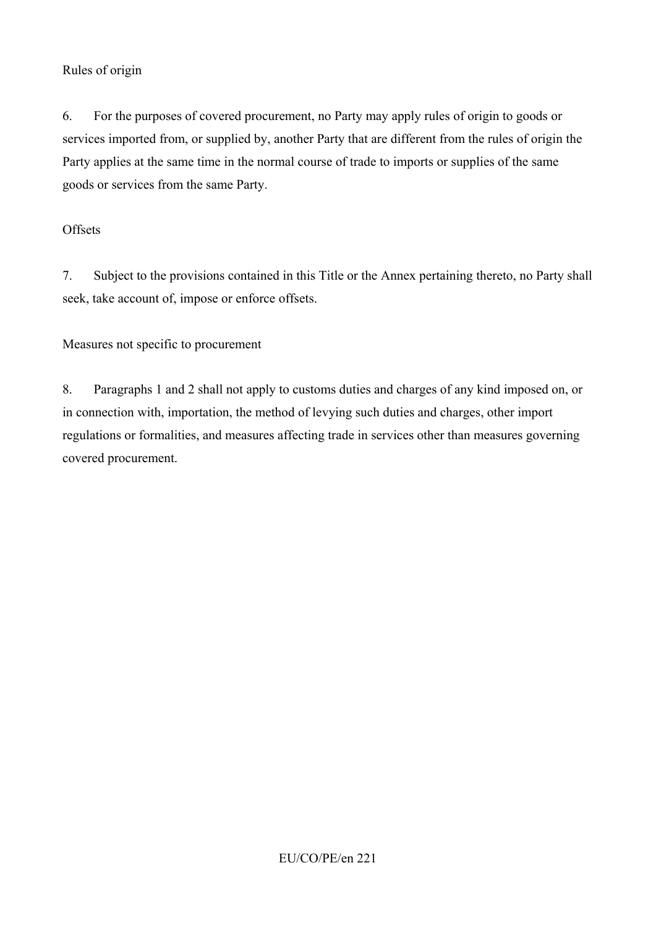### Rules of origin

6. For the purposes of covered procurement, no Party may apply rules of origin to goods or services imported from, or supplied by, another Party that are different from the rules of origin the Party applies at the same time in the normal course of trade to imports or supplies of the same goods or services from the same Party.

### **Offsets**

7. Subject to the provisions contained in this Title or the Annex pertaining thereto, no Party shall seek, take account of, impose or enforce offsets.

Measures not specific to procurement

8. Paragraphs 1 and 2 shall not apply to customs duties and charges of any kind imposed on, or in connection with, importation, the method of levying such duties and charges, other import regulations or formalities, and measures affecting trade in services other than measures governing covered procurement.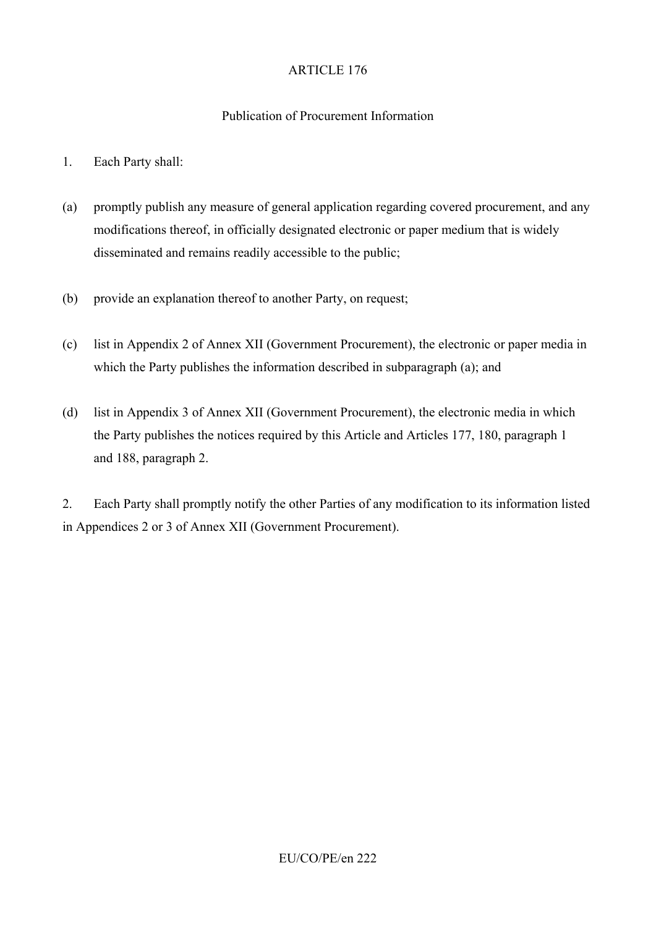### Publication of Procurement Information

- 1. Each Party shall:
- (a) promptly publish any measure of general application regarding covered procurement, and any modifications thereof, in officially designated electronic or paper medium that is widely disseminated and remains readily accessible to the public;
- (b) provide an explanation thereof to another Party, on request;
- (c) list in Appendix 2 of Annex XII (Government Procurement), the electronic or paper media in which the Party publishes the information described in subparagraph (a); and
- (d) list in Appendix 3 of Annex XII (Government Procurement), the electronic media in which the Party publishes the notices required by this Article and Articles 177, 180, paragraph 1 and 188, paragraph 2.

2. Each Party shall promptly notify the other Parties of any modification to its information listed in Appendices 2 or 3 of Annex XII (Government Procurement).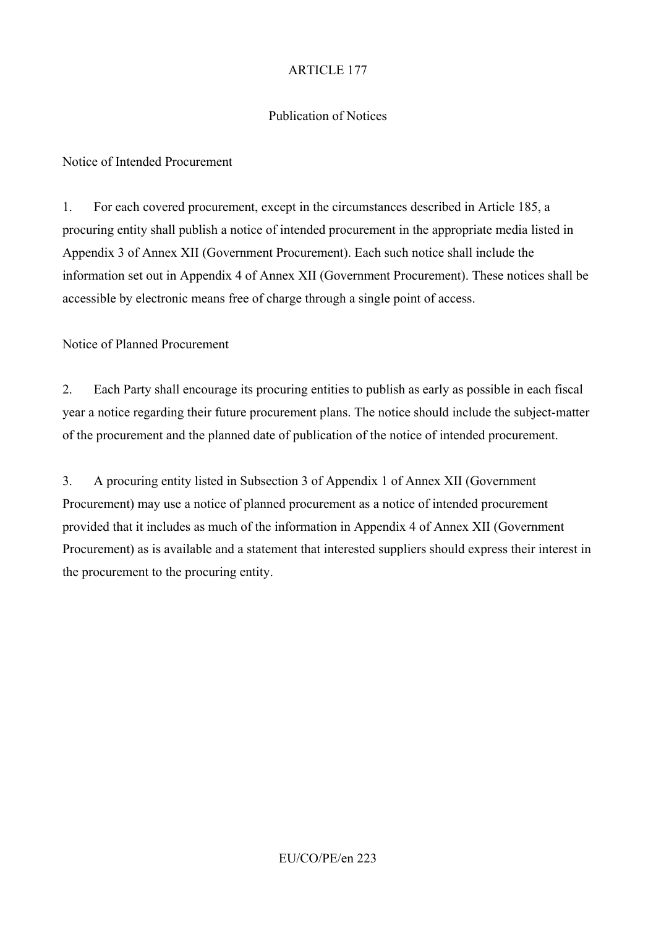### Publication of Notices

Notice of Intended Procurement

1. For each covered procurement, except in the circumstances described in Article 185, a procuring entity shall publish a notice of intended procurement in the appropriate media listed in Appendix 3 of Annex XII (Government Procurement). Each such notice shall include the information set out in Appendix 4 of Annex XII (Government Procurement). These notices shall be accessible by electronic means free of charge through a single point of access.

Notice of Planned Procurement

2. Each Party shall encourage its procuring entities to publish as early as possible in each fiscal year a notice regarding their future procurement plans. The notice should include the subject-matter of the procurement and the planned date of publication of the notice of intended procurement.

3. A procuring entity listed in Subsection 3 of Appendix 1 of Annex XII (Government Procurement) may use a notice of planned procurement as a notice of intended procurement provided that it includes as much of the information in Appendix 4 of Annex XII (Government Procurement) as is available and a statement that interested suppliers should express their interest in the procurement to the procuring entity.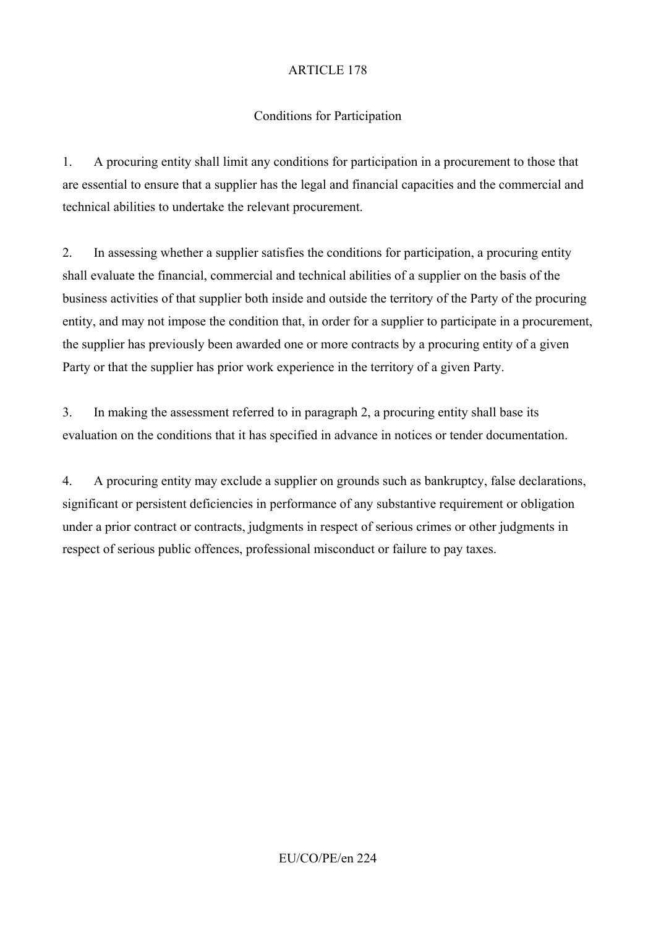# Conditions for Participation

1. A procuring entity shall limit any conditions for participation in a procurement to those that are essential to ensure that a supplier has the legal and financial capacities and the commercial and technical abilities to undertake the relevant procurement.

2. In assessing whether a supplier satisfies the conditions for participation, a procuring entity shall evaluate the financial, commercial and technical abilities of a supplier on the basis of the business activities of that supplier both inside and outside the territory of the Party of the procuring entity, and may not impose the condition that, in order for a supplier to participate in a procurement, the supplier has previously been awarded one or more contracts by a procuring entity of a given Party or that the supplier has prior work experience in the territory of a given Party.

3. In making the assessment referred to in paragraph 2, a procuring entity shall base its evaluation on the conditions that it has specified in advance in notices or tender documentation.

4. A procuring entity may exclude a supplier on grounds such as bankruptcy, false declarations, significant or persistent deficiencies in performance of any substantive requirement or obligation under a prior contract or contracts, judgments in respect of serious crimes or other judgments in respect of serious public offences, professional misconduct or failure to pay taxes.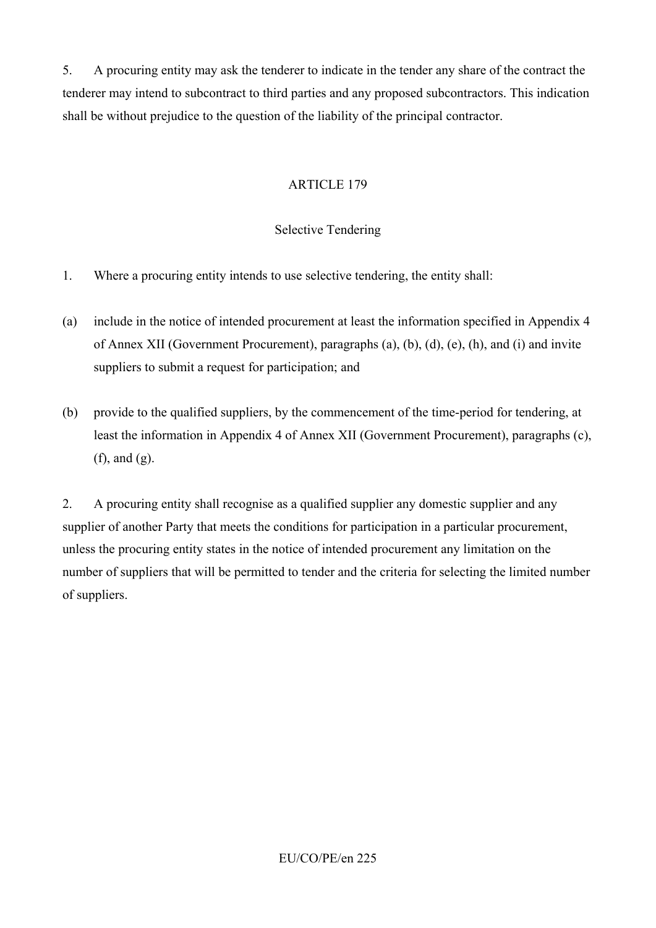5. A procuring entity may ask the tenderer to indicate in the tender any share of the contract the tenderer may intend to subcontract to third parties and any proposed subcontractors. This indication shall be without prejudice to the question of the liability of the principal contractor.

## ARTICLE 179

# Selective Tendering

- 1. Where a procuring entity intends to use selective tendering, the entity shall:
- (a) include in the notice of intended procurement at least the information specified in Appendix 4 of Annex XII (Government Procurement), paragraphs (a), (b), (d), (e), (h), and (i) and invite suppliers to submit a request for participation; and
- (b) provide to the qualified suppliers, by the commencement of the time-period for tendering, at least the information in Appendix 4 of Annex XII (Government Procurement), paragraphs (c), (f), and (g).

2. A procuring entity shall recognise as a qualified supplier any domestic supplier and any supplier of another Party that meets the conditions for participation in a particular procurement, unless the procuring entity states in the notice of intended procurement any limitation on the number of suppliers that will be permitted to tender and the criteria for selecting the limited number of suppliers.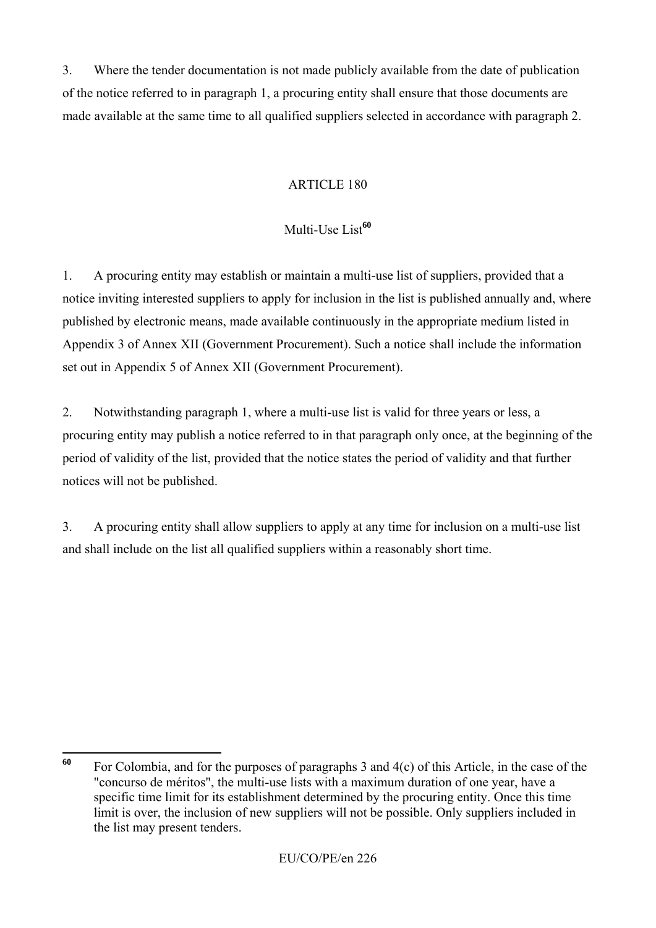3. Where the tender documentation is not made publicly available from the date of publication of the notice referred to in paragraph 1, a procuring entity shall ensure that those documents are made available at the same time to all qualified suppliers selected in accordance with paragraph 2.

# ARTICLE 180

# Multi-Use List**<sup>60</sup>**

1. A procuring entity may establish or maintain a multi-use list of suppliers, provided that a notice inviting interested suppliers to apply for inclusion in the list is published annually and, where published by electronic means, made available continuously in the appropriate medium listed in Appendix 3 of Annex XII (Government Procurement). Such a notice shall include the information set out in Appendix 5 of Annex XII (Government Procurement).

2. Notwithstanding paragraph 1, where a multi-use list is valid for three years or less, a procuring entity may publish a notice referred to in that paragraph only once, at the beginning of the period of validity of the list, provided that the notice states the period of validity and that further notices will not be published.

3. A procuring entity shall allow suppliers to apply at any time for inclusion on a multi-use list and shall include on the list all qualified suppliers within a reasonably short time.

<sup>60</sup> For Colombia, and for the purposes of paragraphs 3 and 4(c) of this Article, in the case of the "concurso de méritos", the multi-use lists with a maximum duration of one year, have a specific time limit for its establishment determined by the procuring entity. Once this time limit is over, the inclusion of new suppliers will not be possible. Only suppliers included in the list may present tenders.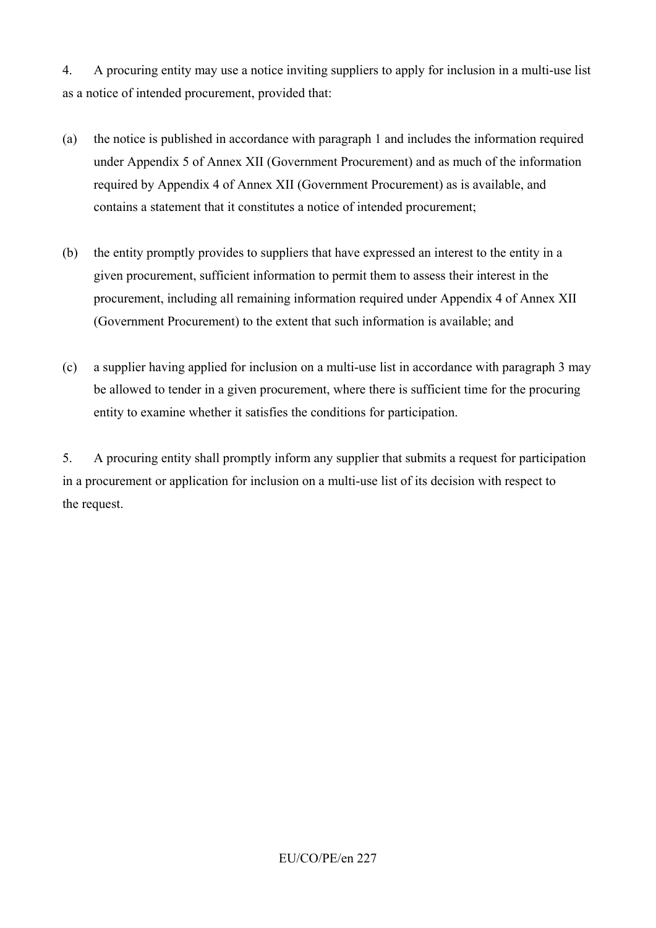4. A procuring entity may use a notice inviting suppliers to apply for inclusion in a multi-use list as a notice of intended procurement, provided that:

- (a) the notice is published in accordance with paragraph 1 and includes the information required under Appendix 5 of Annex XII (Government Procurement) and as much of the information required by Appendix 4 of Annex XII (Government Procurement) as is available, and contains a statement that it constitutes a notice of intended procurement;
- (b) the entity promptly provides to suppliers that have expressed an interest to the entity in a given procurement, sufficient information to permit them to assess their interest in the procurement, including all remaining information required under Appendix 4 of Annex XII (Government Procurement) to the extent that such information is available; and
- (c) a supplier having applied for inclusion on a multi-use list in accordance with paragraph 3 may be allowed to tender in a given procurement, where there is sufficient time for the procuring entity to examine whether it satisfies the conditions for participation.

5. A procuring entity shall promptly inform any supplier that submits a request for participation in a procurement or application for inclusion on a multi-use list of its decision with respect to the request.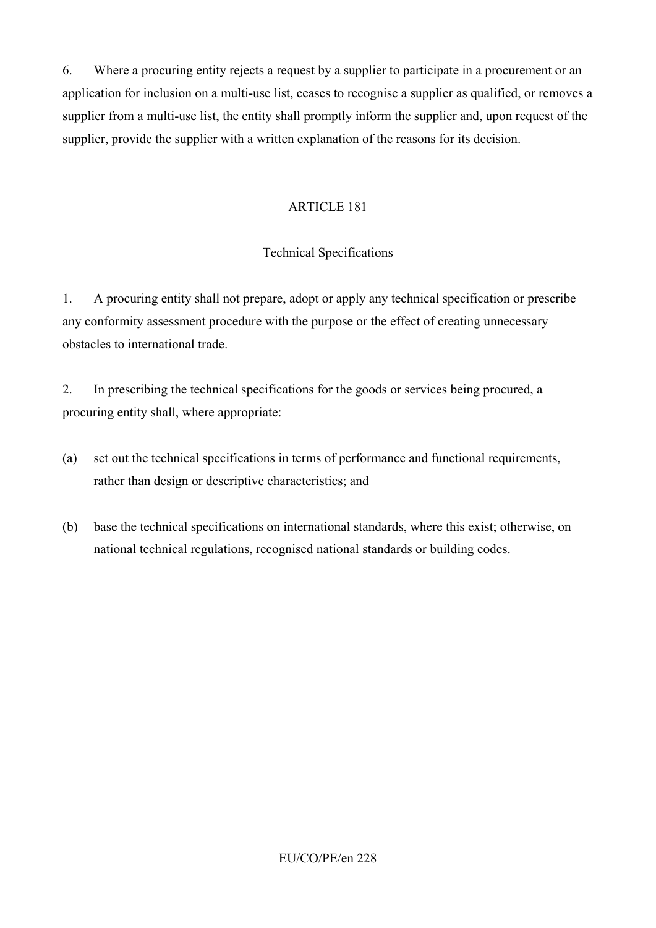6. Where a procuring entity rejects a request by a supplier to participate in a procurement or an application for inclusion on a multi-use list, ceases to recognise a supplier as qualified, or removes a supplier from a multi-use list, the entity shall promptly inform the supplier and, upon request of the supplier, provide the supplier with a written explanation of the reasons for its decision.

### ARTICLE 181

## Technical Specifications

1. A procuring entity shall not prepare, adopt or apply any technical specification or prescribe any conformity assessment procedure with the purpose or the effect of creating unnecessary obstacles to international trade.

2. In prescribing the technical specifications for the goods or services being procured, a procuring entity shall, where appropriate:

- (a) set out the technical specifications in terms of performance and functional requirements, rather than design or descriptive characteristics; and
- (b) base the technical specifications on international standards, where this exist; otherwise, on national technical regulations, recognised national standards or building codes.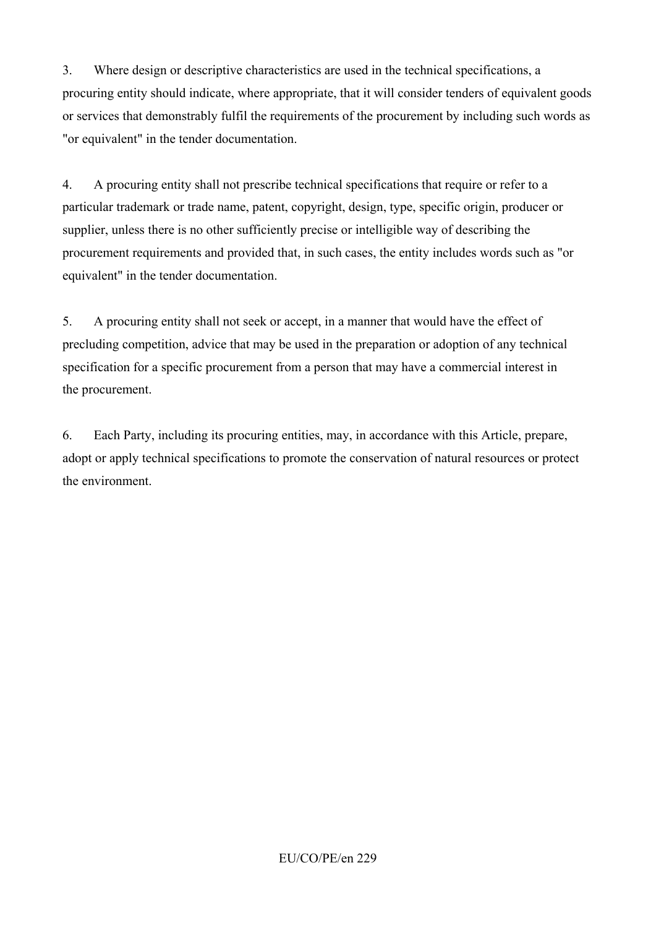3. Where design or descriptive characteristics are used in the technical specifications, a procuring entity should indicate, where appropriate, that it will consider tenders of equivalent goods or services that demonstrably fulfil the requirements of the procurement by including such words as "or equivalent" in the tender documentation.

4. A procuring entity shall not prescribe technical specifications that require or refer to a particular trademark or trade name, patent, copyright, design, type, specific origin, producer or supplier, unless there is no other sufficiently precise or intelligible way of describing the procurement requirements and provided that, in such cases, the entity includes words such as "or equivalent" in the tender documentation.

5. A procuring entity shall not seek or accept, in a manner that would have the effect of precluding competition, advice that may be used in the preparation or adoption of any technical specification for a specific procurement from a person that may have a commercial interest in the procurement.

6. Each Party, including its procuring entities, may, in accordance with this Article, prepare, adopt or apply technical specifications to promote the conservation of natural resources or protect the environment.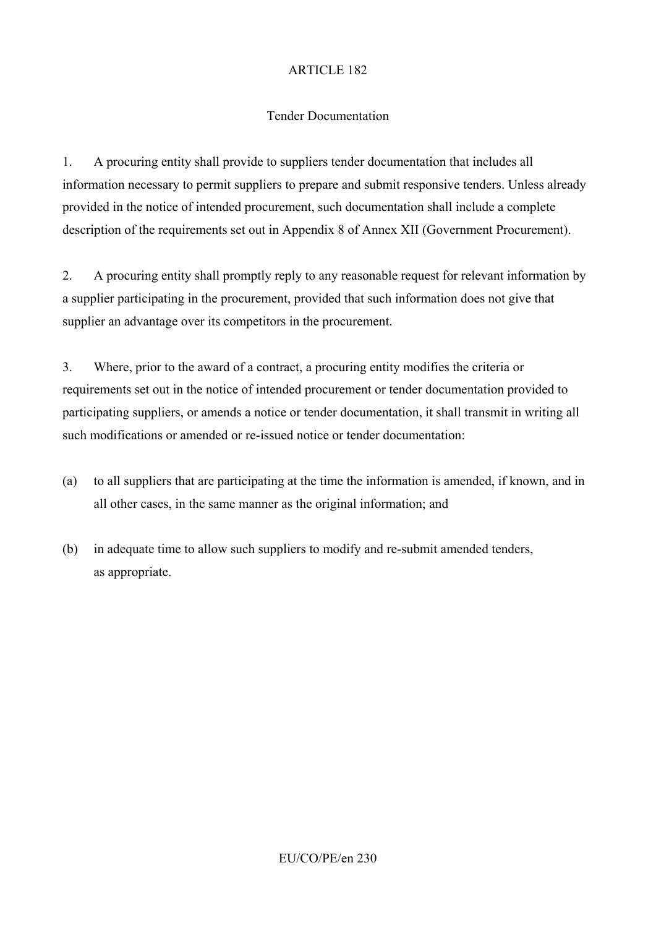## Tender Documentation

1. A procuring entity shall provide to suppliers tender documentation that includes all information necessary to permit suppliers to prepare and submit responsive tenders. Unless already provided in the notice of intended procurement, such documentation shall include a complete description of the requirements set out in Appendix 8 of Annex XII (Government Procurement).

2. A procuring entity shall promptly reply to any reasonable request for relevant information by a supplier participating in the procurement, provided that such information does not give that supplier an advantage over its competitors in the procurement.

3. Where, prior to the award of a contract, a procuring entity modifies the criteria or requirements set out in the notice of intended procurement or tender documentation provided to participating suppliers, or amends a notice or tender documentation, it shall transmit in writing all such modifications or amended or re-issued notice or tender documentation:

- (a) to all suppliers that are participating at the time the information is amended, if known, and in all other cases, in the same manner as the original information; and
- (b) in adequate time to allow such suppliers to modify and re-submit amended tenders, as appropriate.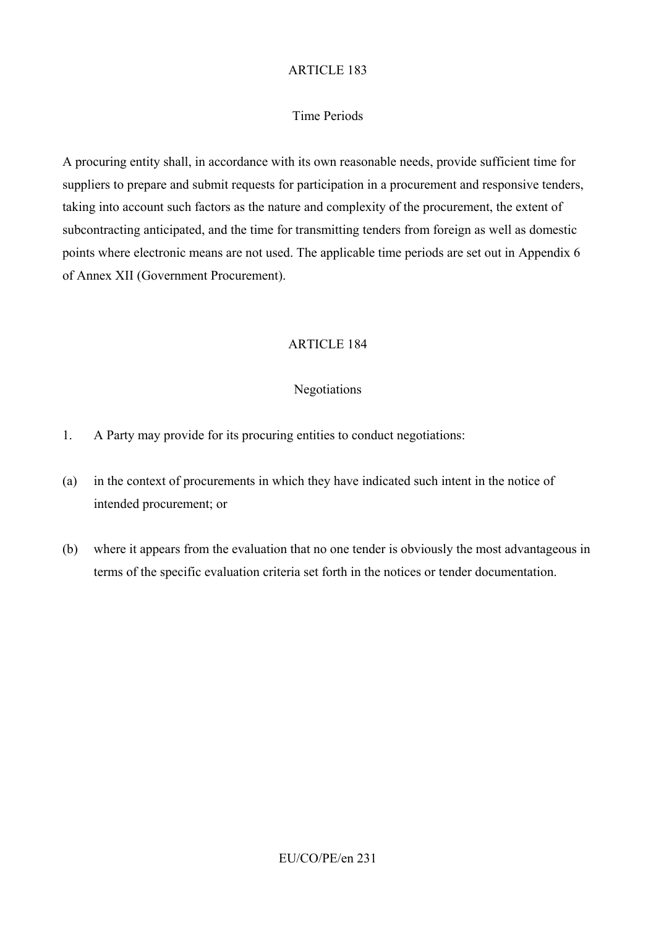#### Time Periods

A procuring entity shall, in accordance with its own reasonable needs, provide sufficient time for suppliers to prepare and submit requests for participation in a procurement and responsive tenders, taking into account such factors as the nature and complexity of the procurement, the extent of subcontracting anticipated, and the time for transmitting tenders from foreign as well as domestic points where electronic means are not used. The applicable time periods are set out in Appendix 6 of Annex XII (Government Procurement).

### ARTICLE 184

#### Negotiations

- 1. A Party may provide for its procuring entities to conduct negotiations:
- (a) in the context of procurements in which they have indicated such intent in the notice of intended procurement; or
- (b) where it appears from the evaluation that no one tender is obviously the most advantageous in terms of the specific evaluation criteria set forth in the notices or tender documentation.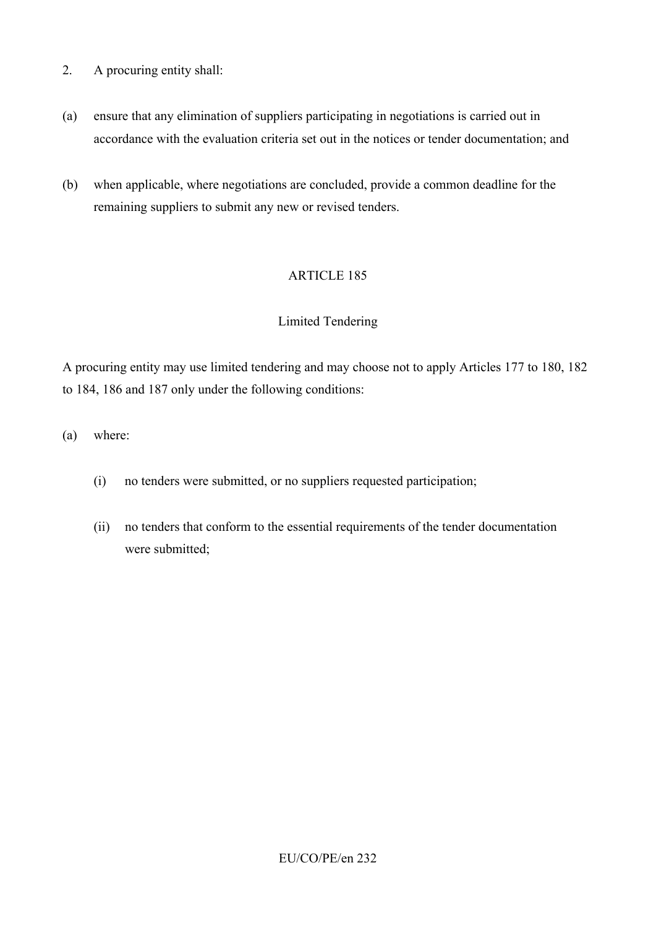- 2. A procuring entity shall:
- (a) ensure that any elimination of suppliers participating in negotiations is carried out in accordance with the evaluation criteria set out in the notices or tender documentation; and
- (b) when applicable, where negotiations are concluded, provide a common deadline for the remaining suppliers to submit any new or revised tenders.

### Limited Tendering

A procuring entity may use limited tendering and may choose not to apply Articles 177 to 180, 182 to 184, 186 and 187 only under the following conditions:

(a) where:

- (i) no tenders were submitted, or no suppliers requested participation;
- (ii) no tenders that conform to the essential requirements of the tender documentation were submitted;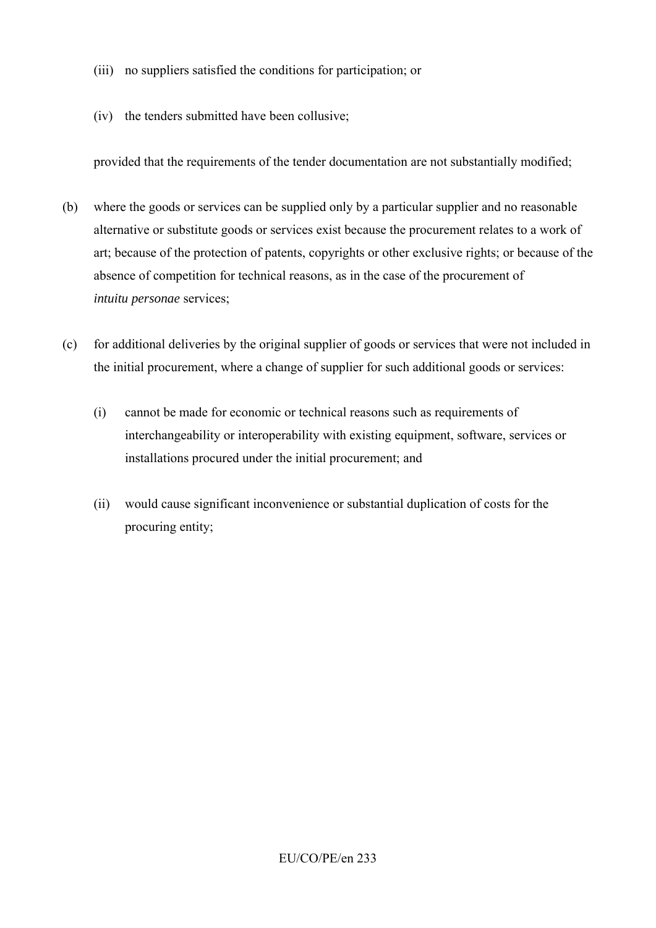- (iii) no suppliers satisfied the conditions for participation; or
- (iv) the tenders submitted have been collusive;

provided that the requirements of the tender documentation are not substantially modified;

- (b) where the goods or services can be supplied only by a particular supplier and no reasonable alternative or substitute goods or services exist because the procurement relates to a work of art; because of the protection of patents, copyrights or other exclusive rights; or because of the absence of competition for technical reasons, as in the case of the procurement of *intuitu personae* services;
- (c) for additional deliveries by the original supplier of goods or services that were not included in the initial procurement, where a change of supplier for such additional goods or services:
	- (i) cannot be made for economic or technical reasons such as requirements of interchangeability or interoperability with existing equipment, software, services or installations procured under the initial procurement; and
	- (ii) would cause significant inconvenience or substantial duplication of costs for the procuring entity;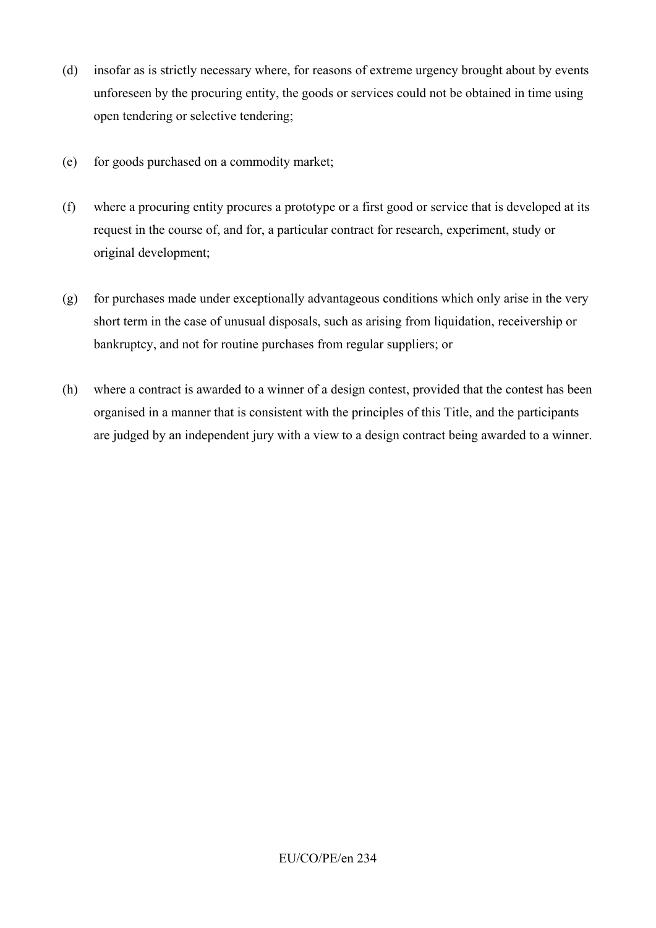- (d) insofar as is strictly necessary where, for reasons of extreme urgency brought about by events unforeseen by the procuring entity, the goods or services could not be obtained in time using open tendering or selective tendering;
- (e) for goods purchased on a commodity market;
- (f) where a procuring entity procures a prototype or a first good or service that is developed at its request in the course of, and for, a particular contract for research, experiment, study or original development;
- (g) for purchases made under exceptionally advantageous conditions which only arise in the very short term in the case of unusual disposals, such as arising from liquidation, receivership or bankruptcy, and not for routine purchases from regular suppliers; or
- (h) where a contract is awarded to a winner of a design contest, provided that the contest has been organised in a manner that is consistent with the principles of this Title, and the participants are judged by an independent jury with a view to a design contract being awarded to a winner.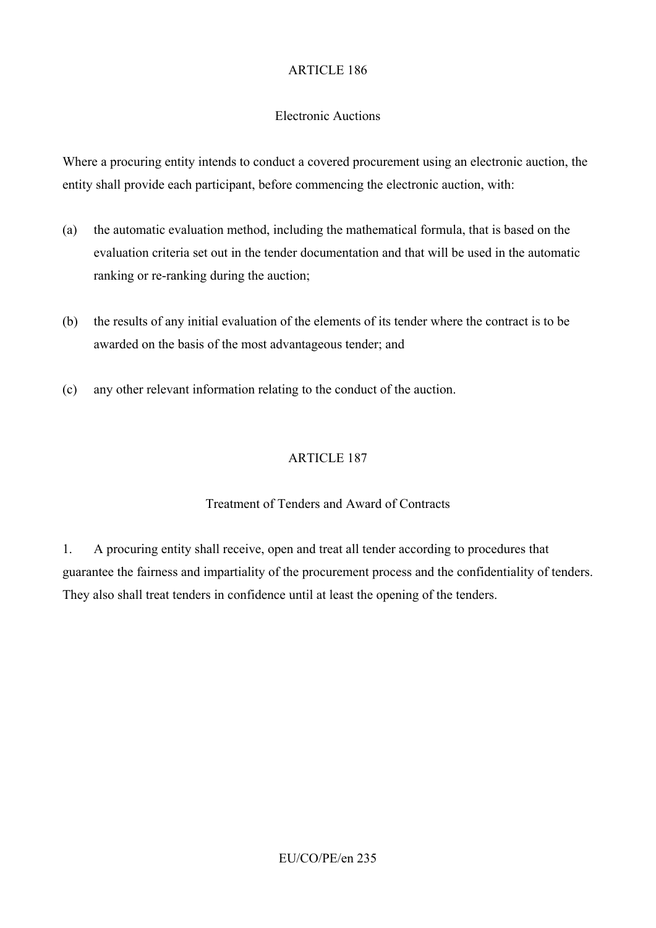### Electronic Auctions

Where a procuring entity intends to conduct a covered procurement using an electronic auction, the entity shall provide each participant, before commencing the electronic auction, with:

- (a) the automatic evaluation method, including the mathematical formula, that is based on the evaluation criteria set out in the tender documentation and that will be used in the automatic ranking or re-ranking during the auction;
- (b) the results of any initial evaluation of the elements of its tender where the contract is to be awarded on the basis of the most advantageous tender; and
- (c) any other relevant information relating to the conduct of the auction.

# ARTICLE 187

## Treatment of Tenders and Award of Contracts

1. A procuring entity shall receive, open and treat all tender according to procedures that guarantee the fairness and impartiality of the procurement process and the confidentiality of tenders. They also shall treat tenders in confidence until at least the opening of the tenders.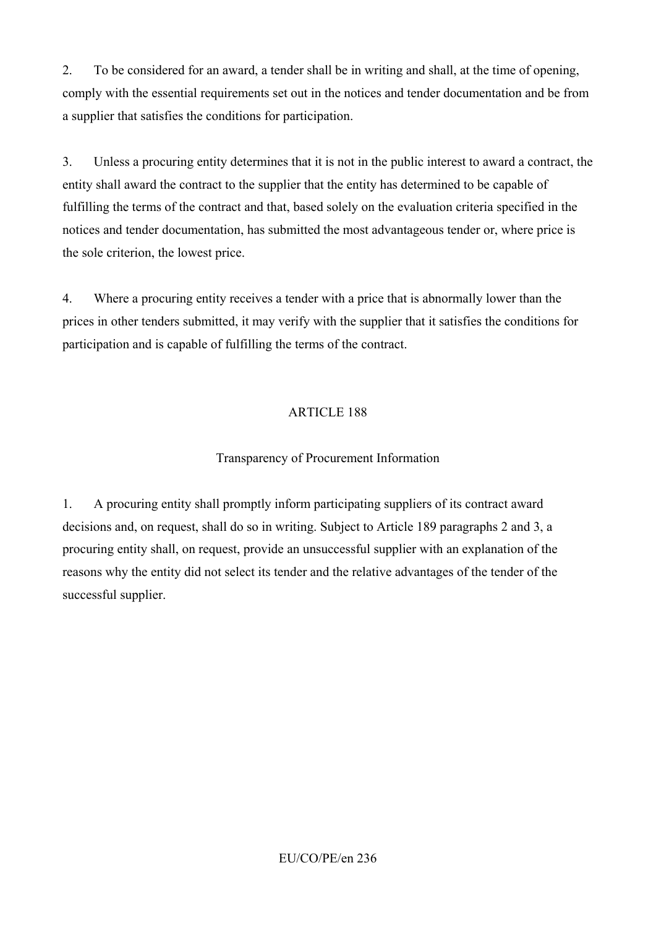2. To be considered for an award, a tender shall be in writing and shall, at the time of opening, comply with the essential requirements set out in the notices and tender documentation and be from a supplier that satisfies the conditions for participation.

3. Unless a procuring entity determines that it is not in the public interest to award a contract, the entity shall award the contract to the supplier that the entity has determined to be capable of fulfilling the terms of the contract and that, based solely on the evaluation criteria specified in the notices and tender documentation, has submitted the most advantageous tender or, where price is the sole criterion, the lowest price.

4. Where a procuring entity receives a tender with a price that is abnormally lower than the prices in other tenders submitted, it may verify with the supplier that it satisfies the conditions for participation and is capable of fulfilling the terms of the contract.

# ARTICLE 188

## Transparency of Procurement Information

1. A procuring entity shall promptly inform participating suppliers of its contract award decisions and, on request, shall do so in writing. Subject to Article 189 paragraphs 2 and 3, a procuring entity shall, on request, provide an unsuccessful supplier with an explanation of the reasons why the entity did not select its tender and the relative advantages of the tender of the successful supplier.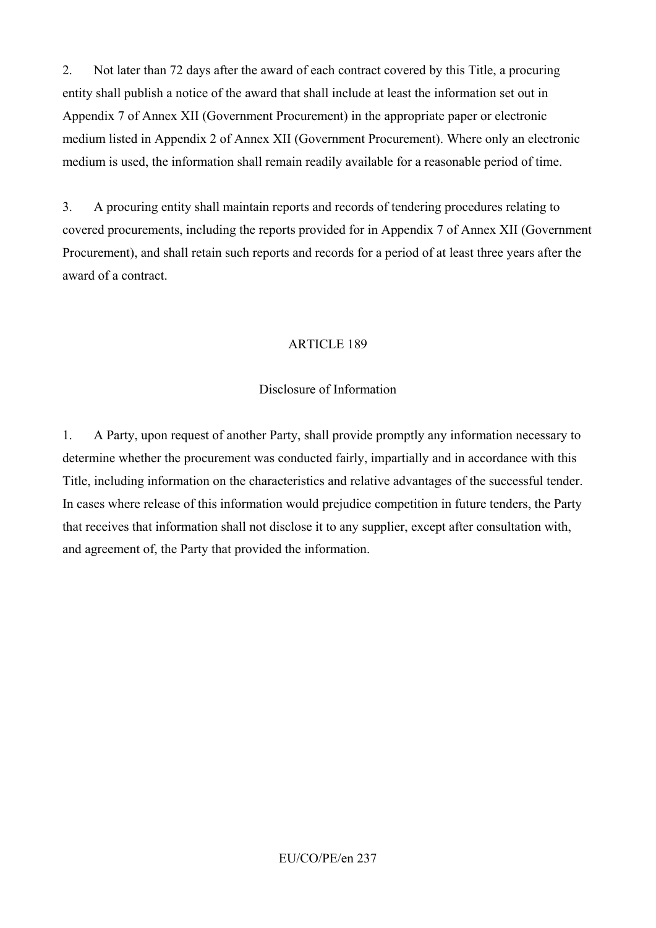2. Not later than 72 days after the award of each contract covered by this Title, a procuring entity shall publish a notice of the award that shall include at least the information set out in Appendix 7 of Annex XII (Government Procurement) in the appropriate paper or electronic medium listed in Appendix 2 of Annex XII (Government Procurement). Where only an electronic medium is used, the information shall remain readily available for a reasonable period of time.

3. A procuring entity shall maintain reports and records of tendering procedures relating to covered procurements, including the reports provided for in Appendix 7 of Annex XII (Government Procurement), and shall retain such reports and records for a period of at least three years after the award of a contract.

### ARTICLE 189

## Disclosure of Information

1. A Party, upon request of another Party, shall provide promptly any information necessary to determine whether the procurement was conducted fairly, impartially and in accordance with this Title, including information on the characteristics and relative advantages of the successful tender. In cases where release of this information would prejudice competition in future tenders, the Party that receives that information shall not disclose it to any supplier, except after consultation with, and agreement of, the Party that provided the information.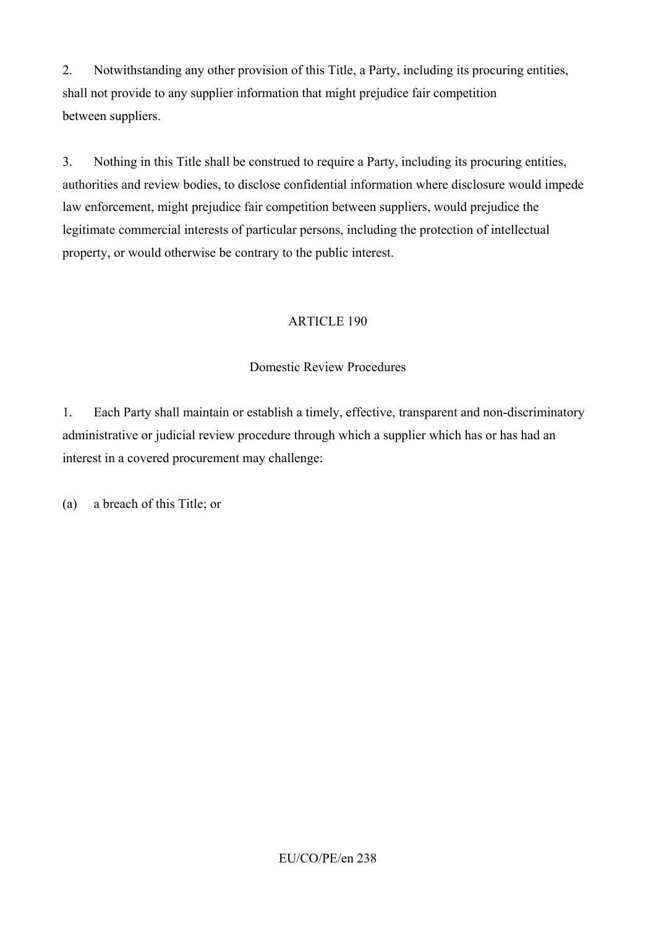2. Notwithstanding any other provision of this Title, a Party, including its procuring entities, shall not provide to any supplier information that might prejudice fair competition between suppliers.

3. Nothing in this Title shall be construed to require a Party, including its procuring entities, authorities and review bodies, to disclose confidential information where disclosure would impede law enforcement, might prejudice fair competition between suppliers, would prejudice the legitimate commercial interests of particular persons, including the protection of intellectual property, or would otherwise be contrary to the public interest.

## ARTICLE 190

### Domestic Review Procedures

1. Each Party shall maintain or establish a timely, effective, transparent and non-discriminatory administrative or judicial review procedure through which a supplier which has or has had an interest in a covered procurement may challenge:

(a) a breach of this Title; or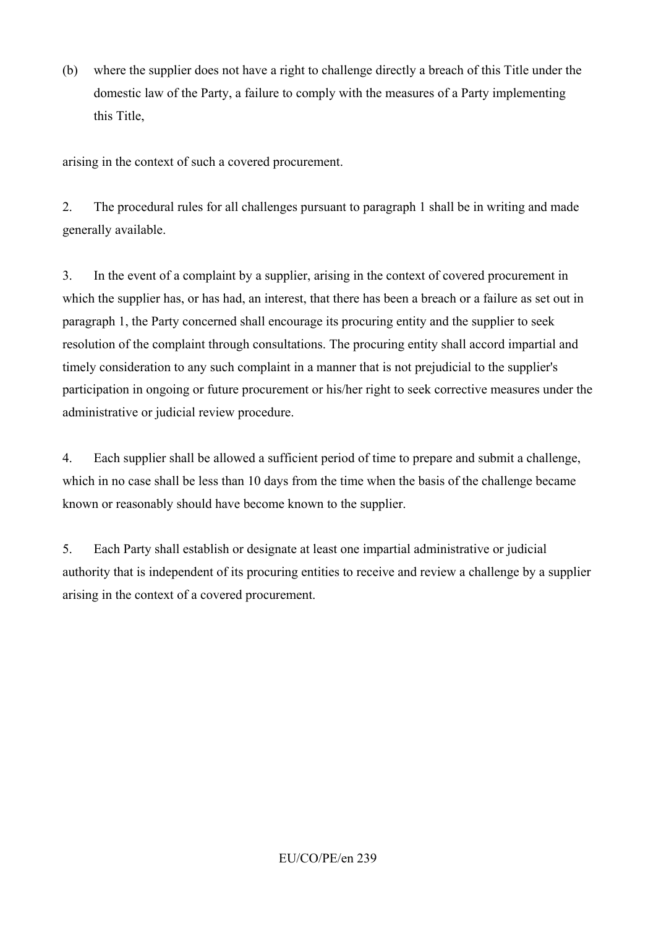(b) where the supplier does not have a right to challenge directly a breach of this Title under the domestic law of the Party, a failure to comply with the measures of a Party implementing this Title,

arising in the context of such a covered procurement.

2. The procedural rules for all challenges pursuant to paragraph 1 shall be in writing and made generally available.

3. In the event of a complaint by a supplier, arising in the context of covered procurement in which the supplier has, or has had, an interest, that there has been a breach or a failure as set out in paragraph 1, the Party concerned shall encourage its procuring entity and the supplier to seek resolution of the complaint through consultations. The procuring entity shall accord impartial and timely consideration to any such complaint in a manner that is not prejudicial to the supplier's participation in ongoing or future procurement or his/her right to seek corrective measures under the administrative or judicial review procedure.

4. Each supplier shall be allowed a sufficient period of time to prepare and submit a challenge, which in no case shall be less than 10 days from the time when the basis of the challenge became known or reasonably should have become known to the supplier.

5. Each Party shall establish or designate at least one impartial administrative or judicial authority that is independent of its procuring entities to receive and review a challenge by a supplier arising in the context of a covered procurement.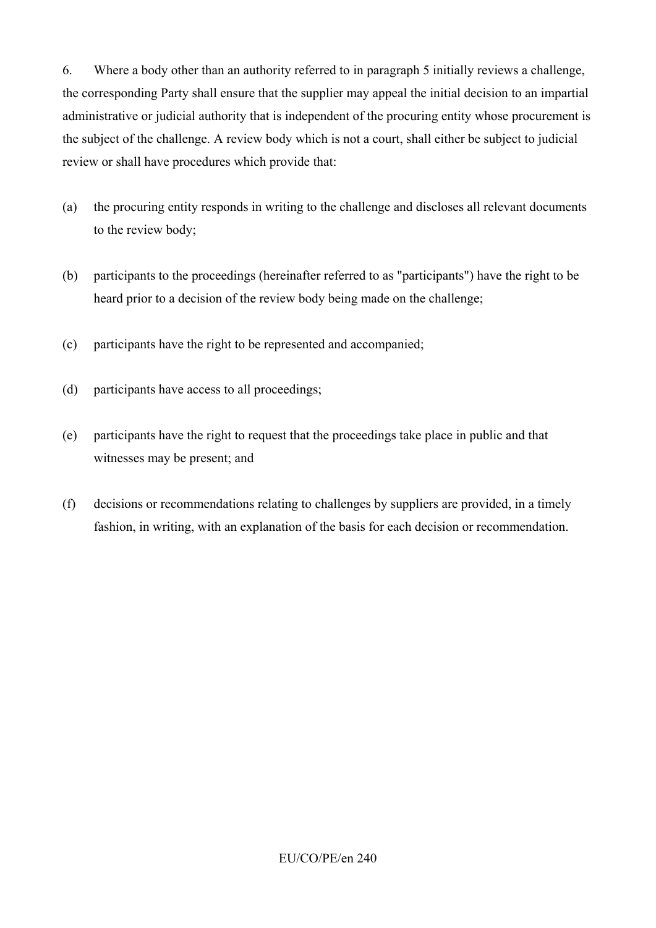6. Where a body other than an authority referred to in paragraph 5 initially reviews a challenge, the corresponding Party shall ensure that the supplier may appeal the initial decision to an impartial administrative or judicial authority that is independent of the procuring entity whose procurement is the subject of the challenge. A review body which is not a court, shall either be subject to judicial review or shall have procedures which provide that:

- (a) the procuring entity responds in writing to the challenge and discloses all relevant documents to the review body;
- (b) participants to the proceedings (hereinafter referred to as "participants") have the right to be heard prior to a decision of the review body being made on the challenge;
- (c) participants have the right to be represented and accompanied;
- (d) participants have access to all proceedings;
- (e) participants have the right to request that the proceedings take place in public and that witnesses may be present; and
- (f) decisions or recommendations relating to challenges by suppliers are provided, in a timely fashion, in writing, with an explanation of the basis for each decision or recommendation.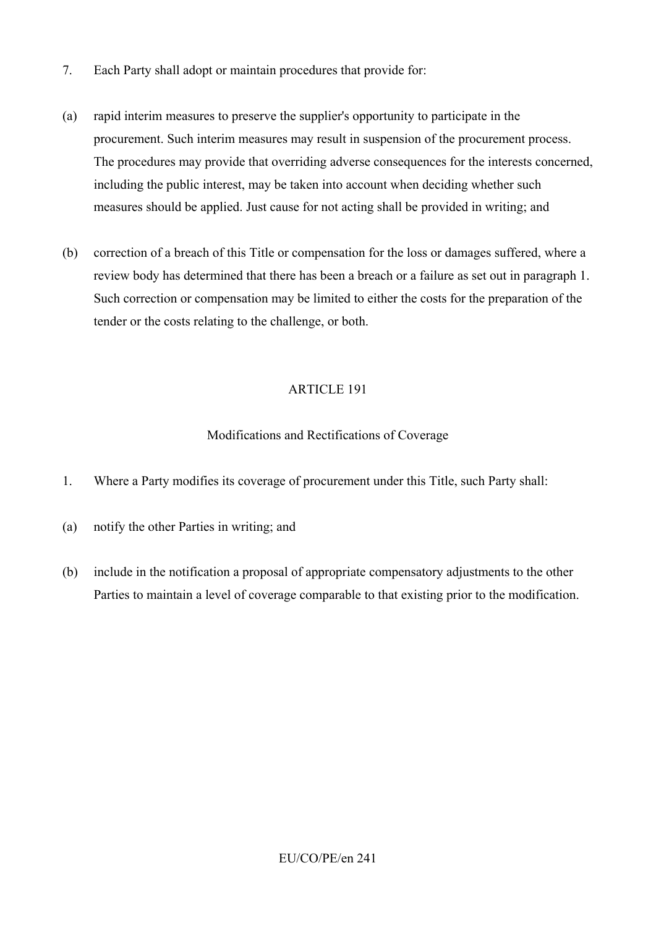- 7. Each Party shall adopt or maintain procedures that provide for:
- (a) rapid interim measures to preserve the supplier's opportunity to participate in the procurement. Such interim measures may result in suspension of the procurement process. The procedures may provide that overriding adverse consequences for the interests concerned, including the public interest, may be taken into account when deciding whether such measures should be applied. Just cause for not acting shall be provided in writing; and
- (b) correction of a breach of this Title or compensation for the loss or damages suffered, where a review body has determined that there has been a breach or a failure as set out in paragraph 1. Such correction or compensation may be limited to either the costs for the preparation of the tender or the costs relating to the challenge, or both.

### Modifications and Rectifications of Coverage

- 1. Where a Party modifies its coverage of procurement under this Title, such Party shall:
- (a) notify the other Parties in writing; and
- (b) include in the notification a proposal of appropriate compensatory adjustments to the other Parties to maintain a level of coverage comparable to that existing prior to the modification.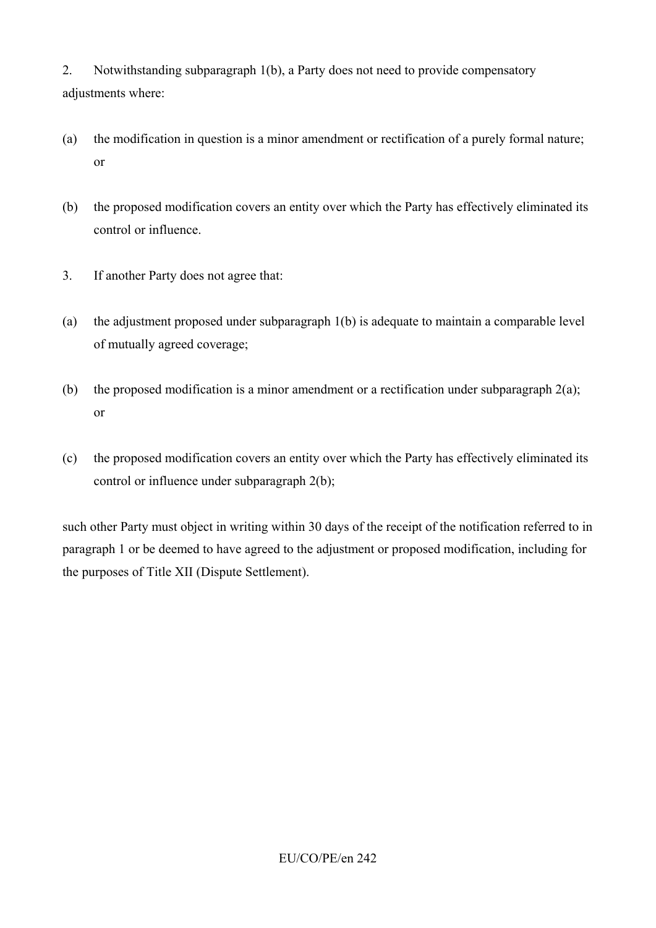2. Notwithstanding subparagraph 1(b), a Party does not need to provide compensatory adjustments where:

- (a) the modification in question is a minor amendment or rectification of a purely formal nature; or
- (b) the proposed modification covers an entity over which the Party has effectively eliminated its control or influence.
- 3. If another Party does not agree that:
- (a) the adjustment proposed under subparagraph 1(b) is adequate to maintain a comparable level of mutually agreed coverage;
- (b) the proposed modification is a minor amendment or a rectification under subparagraph  $2(a)$ ; or
- (c) the proposed modification covers an entity over which the Party has effectively eliminated its control or influence under subparagraph 2(b);

such other Party must object in writing within 30 days of the receipt of the notification referred to in paragraph 1 or be deemed to have agreed to the adjustment or proposed modification, including for the purposes of Title XII (Dispute Settlement).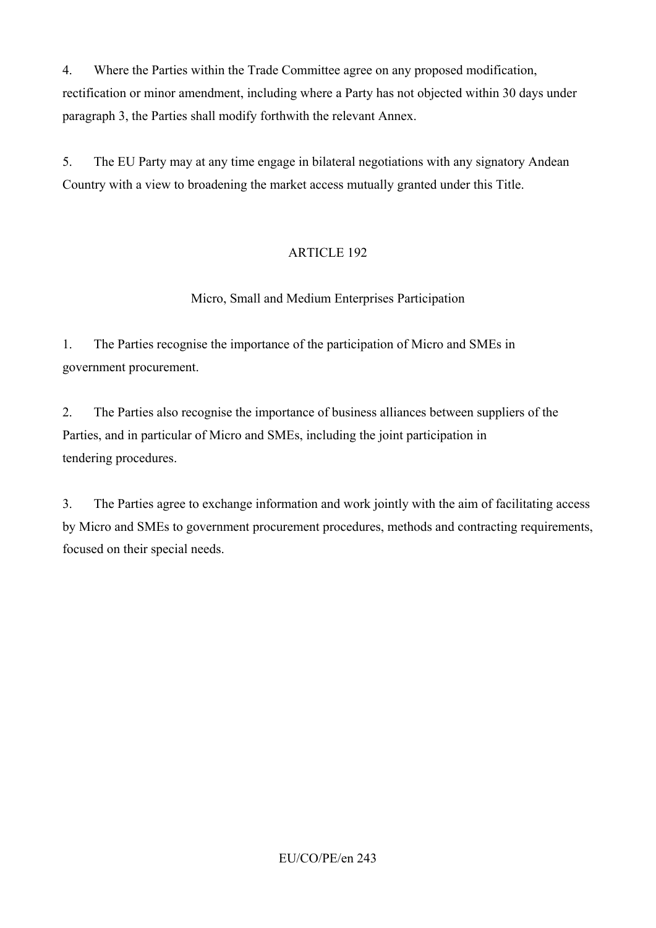4. Where the Parties within the Trade Committee agree on any proposed modification, rectification or minor amendment, including where a Party has not objected within 30 days under paragraph 3, the Parties shall modify forthwith the relevant Annex.

5. The EU Party may at any time engage in bilateral negotiations with any signatory Andean Country with a view to broadening the market access mutually granted under this Title.

# ARTICLE 192

# Micro, Small and Medium Enterprises Participation

1. The Parties recognise the importance of the participation of Micro and SMEs in government procurement.

2. The Parties also recognise the importance of business alliances between suppliers of the Parties, and in particular of Micro and SMEs, including the joint participation in tendering procedures.

3. The Parties agree to exchange information and work jointly with the aim of facilitating access by Micro and SMEs to government procurement procedures, methods and contracting requirements, focused on their special needs.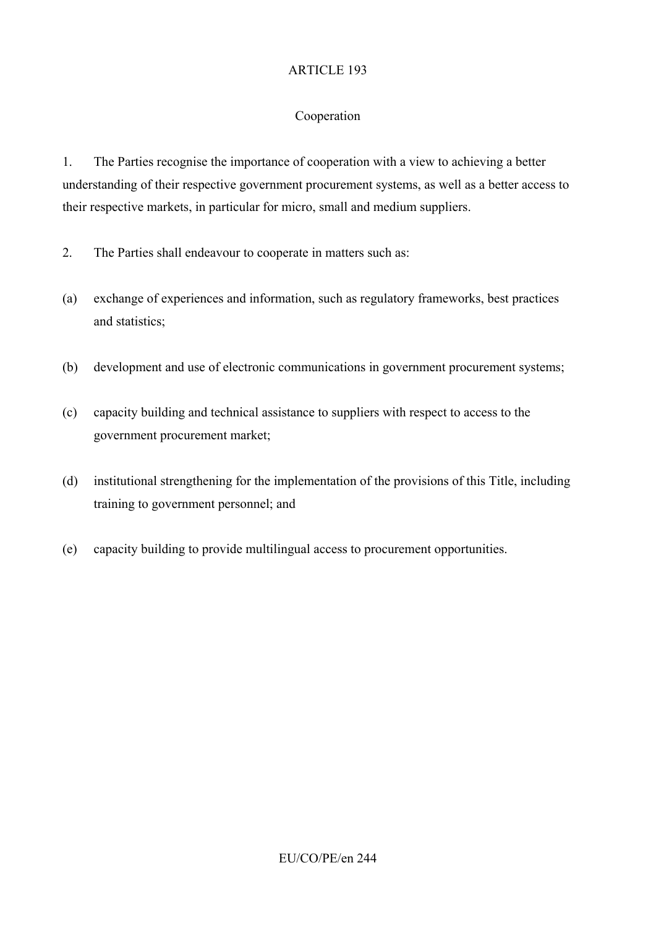### Cooperation

1. The Parties recognise the importance of cooperation with a view to achieving a better understanding of their respective government procurement systems, as well as a better access to their respective markets, in particular for micro, small and medium suppliers.

- 2. The Parties shall endeavour to cooperate in matters such as:
- (a) exchange of experiences and information, such as regulatory frameworks, best practices and statistics;
- (b) development and use of electronic communications in government procurement systems;
- (c) capacity building and technical assistance to suppliers with respect to access to the government procurement market;
- (d) institutional strengthening for the implementation of the provisions of this Title, including training to government personnel; and
- (e) capacity building to provide multilingual access to procurement opportunities.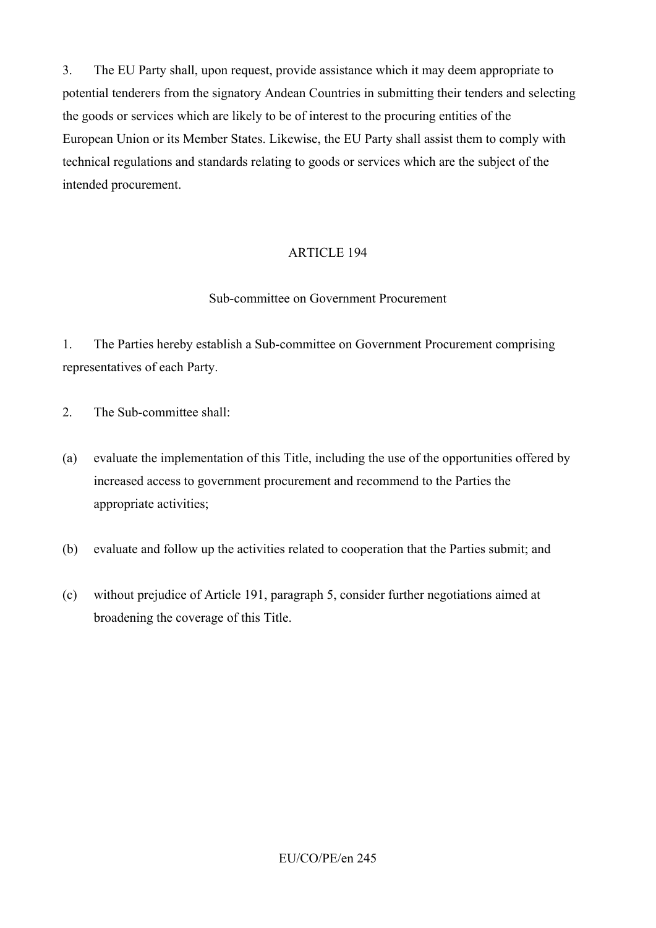3. The EU Party shall, upon request, provide assistance which it may deem appropriate to potential tenderers from the signatory Andean Countries in submitting their tenders and selecting the goods or services which are likely to be of interest to the procuring entities of the European Union or its Member States. Likewise, the EU Party shall assist them to comply with technical regulations and standards relating to goods or services which are the subject of the intended procurement.

### ARTICLE 194

#### Sub-committee on Government Procurement

1. The Parties hereby establish a Sub-committee on Government Procurement comprising representatives of each Party.

- 2 The Sub-committee shall:
- (a) evaluate the implementation of this Title, including the use of the opportunities offered by increased access to government procurement and recommend to the Parties the appropriate activities;
- (b) evaluate and follow up the activities related to cooperation that the Parties submit; and
- (c) without prejudice of Article 191, paragraph 5, consider further negotiations aimed at broadening the coverage of this Title.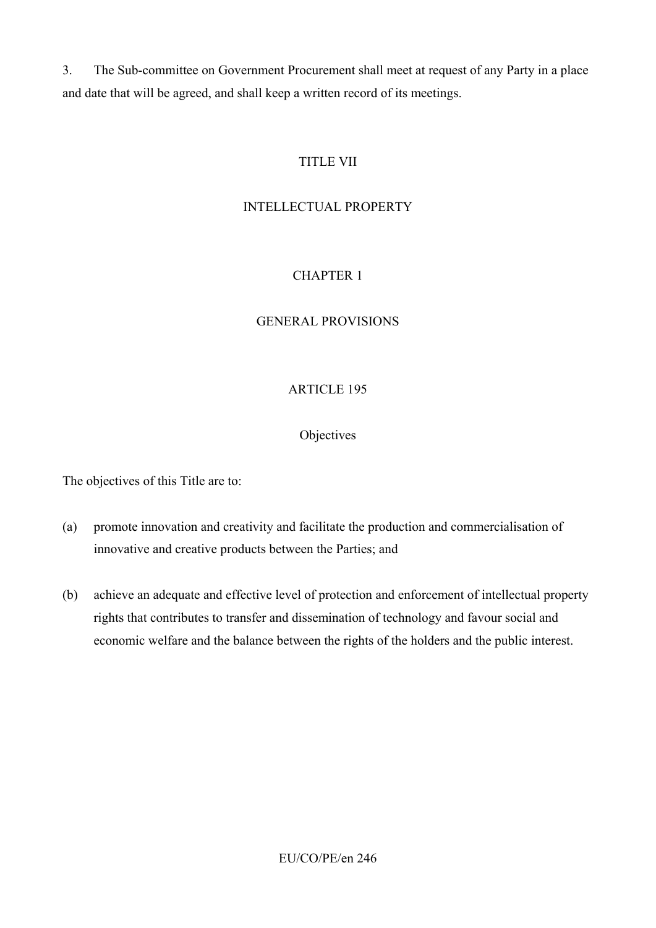3. The Sub-committee on Government Procurement shall meet at request of any Party in a place and date that will be agreed, and shall keep a written record of its meetings.

## TITLE VII

### INTELLECTUAL PROPERTY

## CHAPTER 1

#### GENERAL PROVISIONS

#### ARTICLE 195

#### **Objectives**

The objectives of this Title are to:

- (a) promote innovation and creativity and facilitate the production and commercialisation of innovative and creative products between the Parties; and
- (b) achieve an adequate and effective level of protection and enforcement of intellectual property rights that contributes to transfer and dissemination of technology and favour social and economic welfare and the balance between the rights of the holders and the public interest.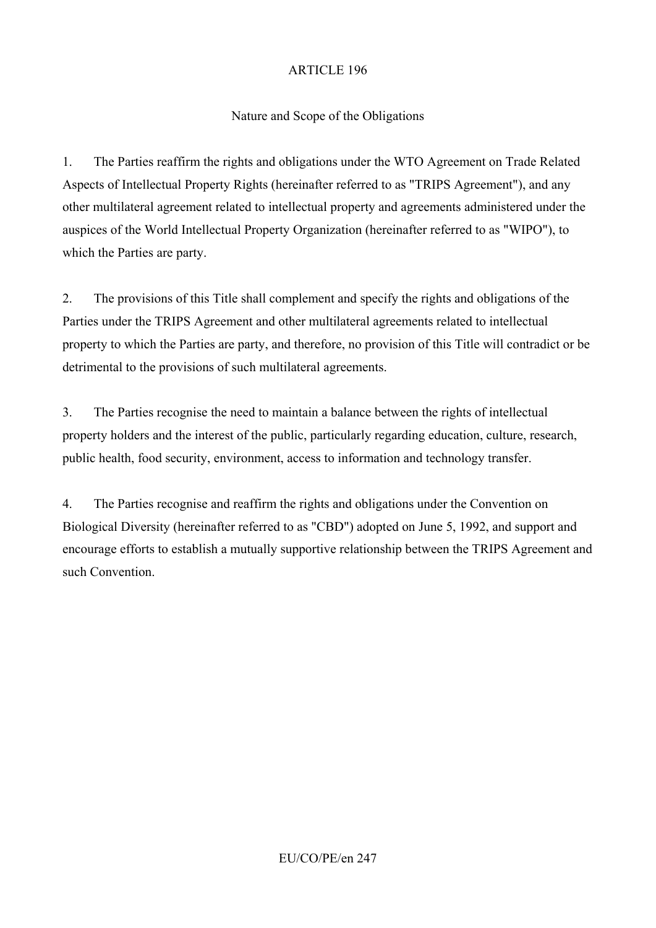## Nature and Scope of the Obligations

1. The Parties reaffirm the rights and obligations under the WTO Agreement on Trade Related Aspects of Intellectual Property Rights (hereinafter referred to as "TRIPS Agreement"), and any other multilateral agreement related to intellectual property and agreements administered under the auspices of the World Intellectual Property Organization (hereinafter referred to as "WIPO"), to which the Parties are party.

2. The provisions of this Title shall complement and specify the rights and obligations of the Parties under the TRIPS Agreement and other multilateral agreements related to intellectual property to which the Parties are party, and therefore, no provision of this Title will contradict or be detrimental to the provisions of such multilateral agreements.

3. The Parties recognise the need to maintain a balance between the rights of intellectual property holders and the interest of the public, particularly regarding education, culture, research, public health, food security, environment, access to information and technology transfer.

4. The Parties recognise and reaffirm the rights and obligations under the Convention on Biological Diversity (hereinafter referred to as "CBD") adopted on June 5, 1992, and support and encourage efforts to establish a mutually supportive relationship between the TRIPS Agreement and such Convention.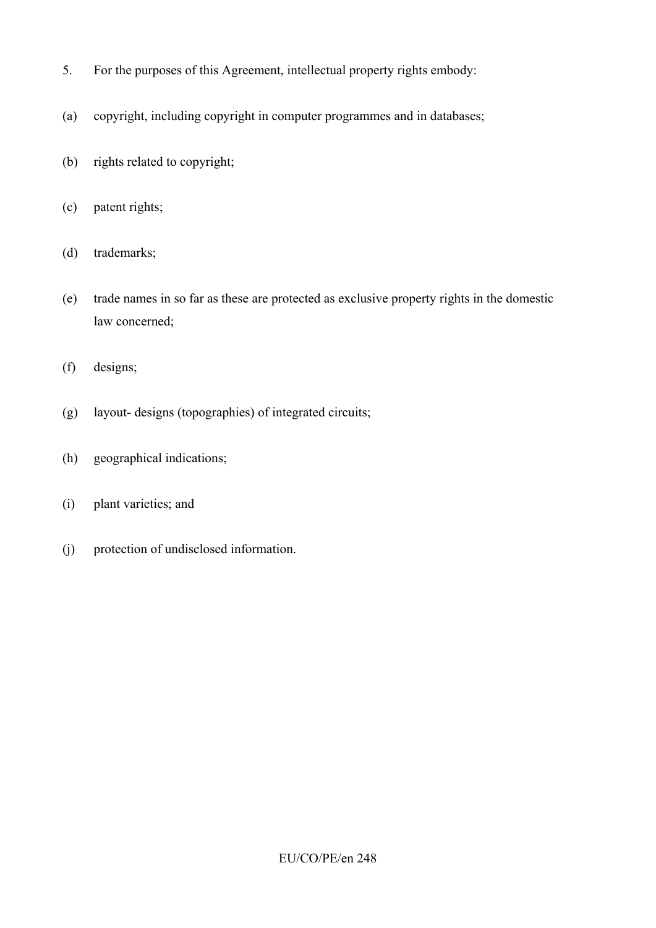- 5. For the purposes of this Agreement, intellectual property rights embody:
- (a) copyright, including copyright in computer programmes and in databases;
- (b) rights related to copyright;
- (c) patent rights;
- (d) trademarks;
- (e) trade names in so far as these are protected as exclusive property rights in the domestic law concerned;
- (f) designs;
- (g) layout- designs (topographies) of integrated circuits;
- (h) geographical indications;
- (i) plant varieties; and
- (j) protection of undisclosed information.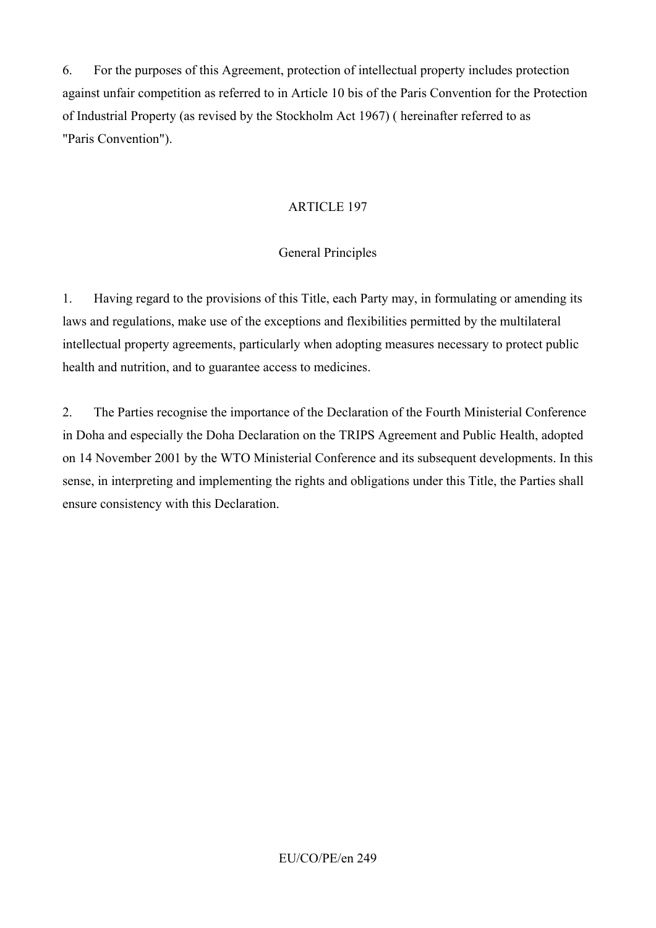6. For the purposes of this Agreement, protection of intellectual property includes protection against unfair competition as referred to in Article 10 bis of the Paris Convention for the Protection of Industrial Property (as revised by the Stockholm Act 1967) ( hereinafter referred to as "Paris Convention").

### ARTICLE 197

### General Principles

1. Having regard to the provisions of this Title, each Party may, in formulating or amending its laws and regulations, make use of the exceptions and flexibilities permitted by the multilateral intellectual property agreements, particularly when adopting measures necessary to protect public health and nutrition, and to guarantee access to medicines.

2. The Parties recognise the importance of the Declaration of the Fourth Ministerial Conference in Doha and especially the Doha Declaration on the TRIPS Agreement and Public Health, adopted on 14 November 2001 by the WTO Ministerial Conference and its subsequent developments. In this sense, in interpreting and implementing the rights and obligations under this Title, the Parties shall ensure consistency with this Declaration.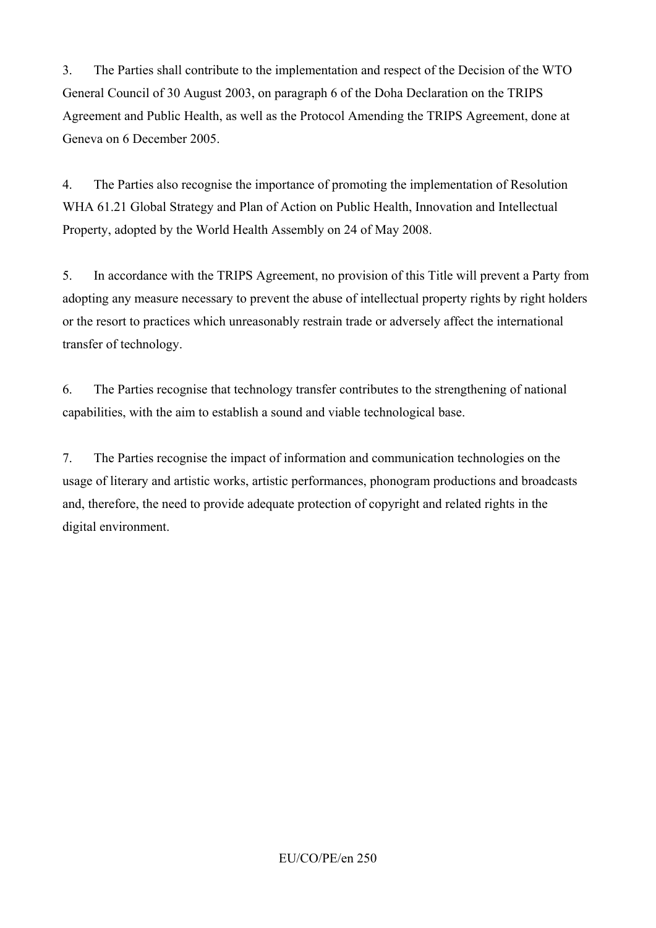3. The Parties shall contribute to the implementation and respect of the Decision of the WTO General Council of 30 August 2003, on paragraph 6 of the Doha Declaration on the TRIPS Agreement and Public Health, as well as the Protocol Amending the TRIPS Agreement, done at Geneva on 6 December 2005.

4. The Parties also recognise the importance of promoting the implementation of Resolution WHA 61.21 Global Strategy and Plan of Action on Public Health, Innovation and Intellectual Property, adopted by the World Health Assembly on 24 of May 2008.

5. In accordance with the TRIPS Agreement, no provision of this Title will prevent a Party from adopting any measure necessary to prevent the abuse of intellectual property rights by right holders or the resort to practices which unreasonably restrain trade or adversely affect the international transfer of technology.

6. The Parties recognise that technology transfer contributes to the strengthening of national capabilities, with the aim to establish a sound and viable technological base.

7. The Parties recognise the impact of information and communication technologies on the usage of literary and artistic works, artistic performances, phonogram productions and broadcasts and, therefore, the need to provide adequate protection of copyright and related rights in the digital environment.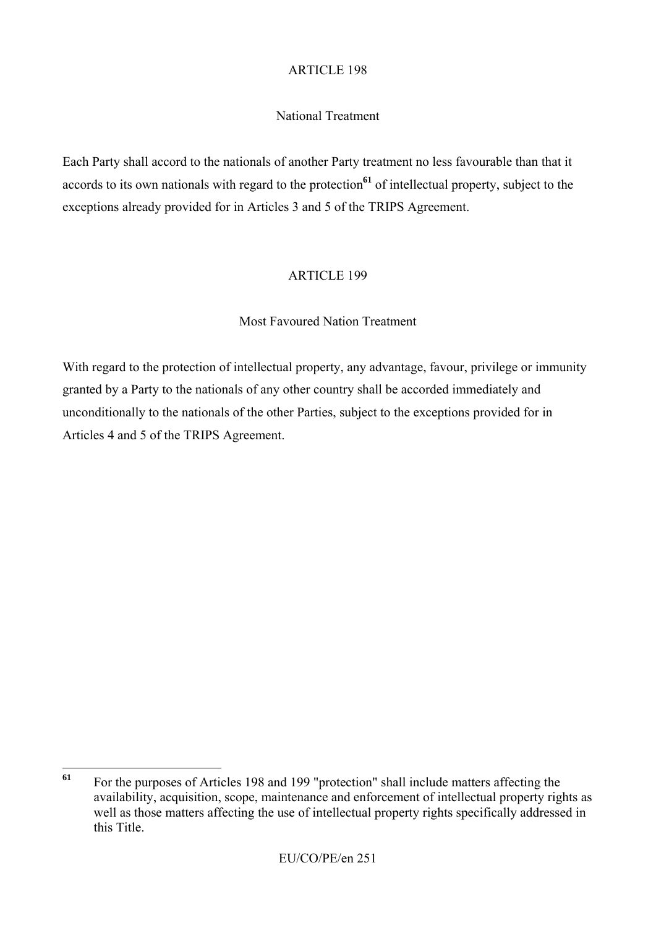## National Treatment

Each Party shall accord to the nationals of another Party treatment no less favourable than that it accords to its own nationals with regard to the protection**<sup>61</sup>** of intellectual property, subject to the exceptions already provided for in Articles 3 and 5 of the TRIPS Agreement.

## ARTICLE 199

## Most Favoured Nation Treatment

With regard to the protection of intellectual property, any advantage, favour, privilege or immunity granted by a Party to the nationals of any other country shall be accorded immediately and unconditionally to the nationals of the other Parties, subject to the exceptions provided for in Articles 4 and 5 of the TRIPS Agreement.

 $61$ **<sup>61</sup>** For the purposes of Articles 198 and 199 "protection" shall include matters affecting the availability, acquisition, scope, maintenance and enforcement of intellectual property rights as well as those matters affecting the use of intellectual property rights specifically addressed in this Title.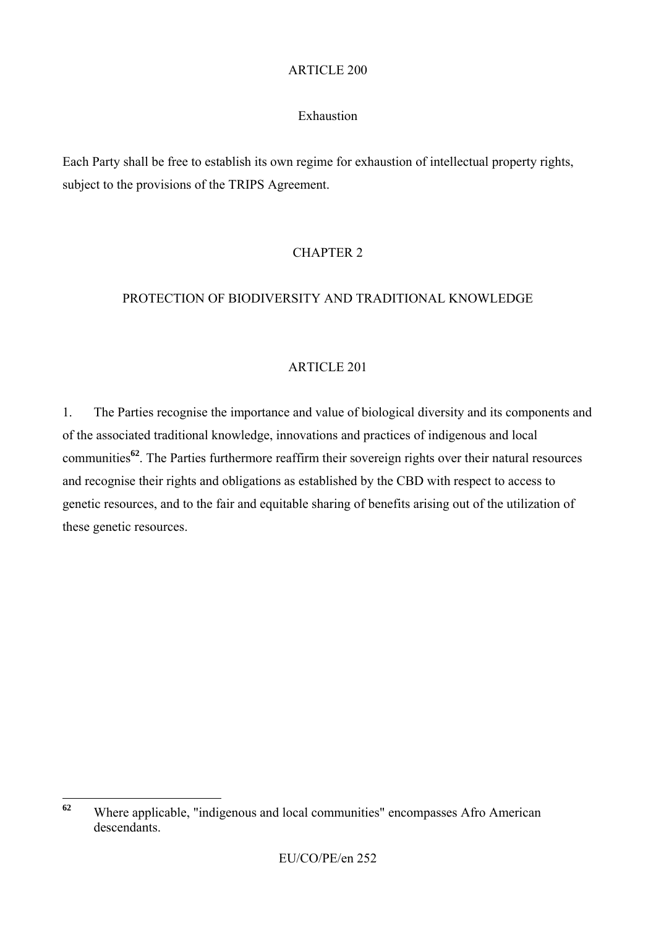### Exhaustion

Each Party shall be free to establish its own regime for exhaustion of intellectual property rights, subject to the provisions of the TRIPS Agreement.

# CHAPTER 2

### PROTECTION OF BIODIVERSITY AND TRADITIONAL KNOWLEDGE

### ARTICLE 201

1. The Parties recognise the importance and value of biological diversity and its components and of the associated traditional knowledge, innovations and practices of indigenous and local communities**<sup>62</sup>**. The Parties furthermore reaffirm their sovereign rights over their natural resources and recognise their rights and obligations as established by the CBD with respect to access to genetic resources, and to the fair and equitable sharing of benefits arising out of the utilization of these genetic resources.

 $62$ **<sup>62</sup>** Where applicable, "indigenous and local communities" encompasses Afro American descendants.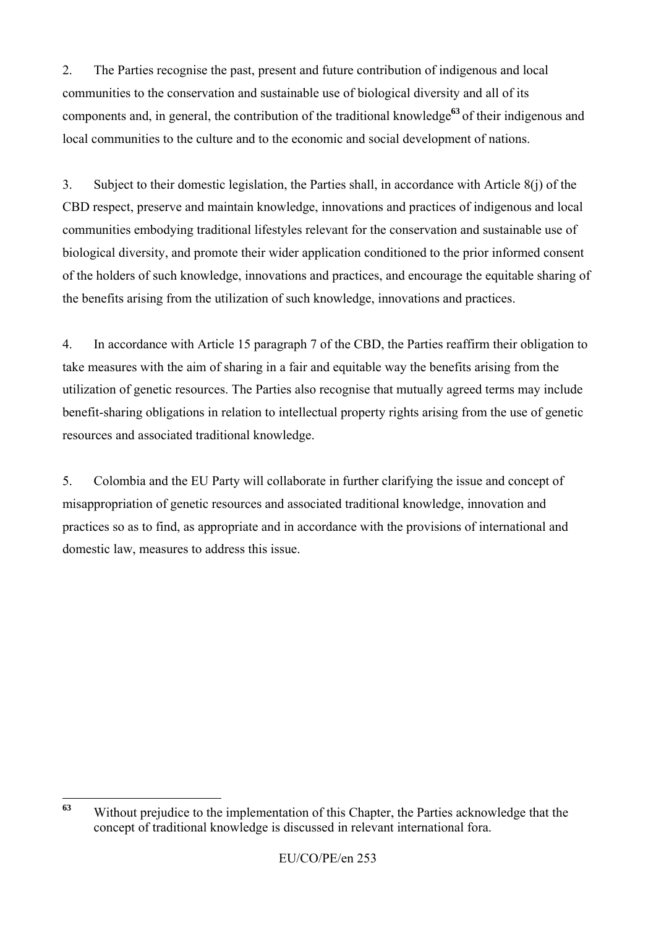2. The Parties recognise the past, present and future contribution of indigenous and local communities to the conservation and sustainable use of biological diversity and all of its components and, in general, the contribution of the traditional knowledge**<sup>63</sup>** of their indigenous and local communities to the culture and to the economic and social development of nations.

3. Subject to their domestic legislation, the Parties shall, in accordance with Article 8(j) of the CBD respect, preserve and maintain knowledge, innovations and practices of indigenous and local communities embodying traditional lifestyles relevant for the conservation and sustainable use of biological diversity, and promote their wider application conditioned to the prior informed consent of the holders of such knowledge, innovations and practices, and encourage the equitable sharing of the benefits arising from the utilization of such knowledge, innovations and practices.

4. In accordance with Article 15 paragraph 7 of the CBD, the Parties reaffirm their obligation to take measures with the aim of sharing in a fair and equitable way the benefits arising from the utilization of genetic resources. The Parties also recognise that mutually agreed terms may include benefit-sharing obligations in relation to intellectual property rights arising from the use of genetic resources and associated traditional knowledge.

5. Colombia and the EU Party will collaborate in further clarifying the issue and concept of misappropriation of genetic resources and associated traditional knowledge, innovation and practices so as to find, as appropriate and in accordance with the provisions of international and domestic law, measures to address this issue.

 $63$ **<sup>63</sup>** Without prejudice to the implementation of this Chapter, the Parties acknowledge that the concept of traditional knowledge is discussed in relevant international fora.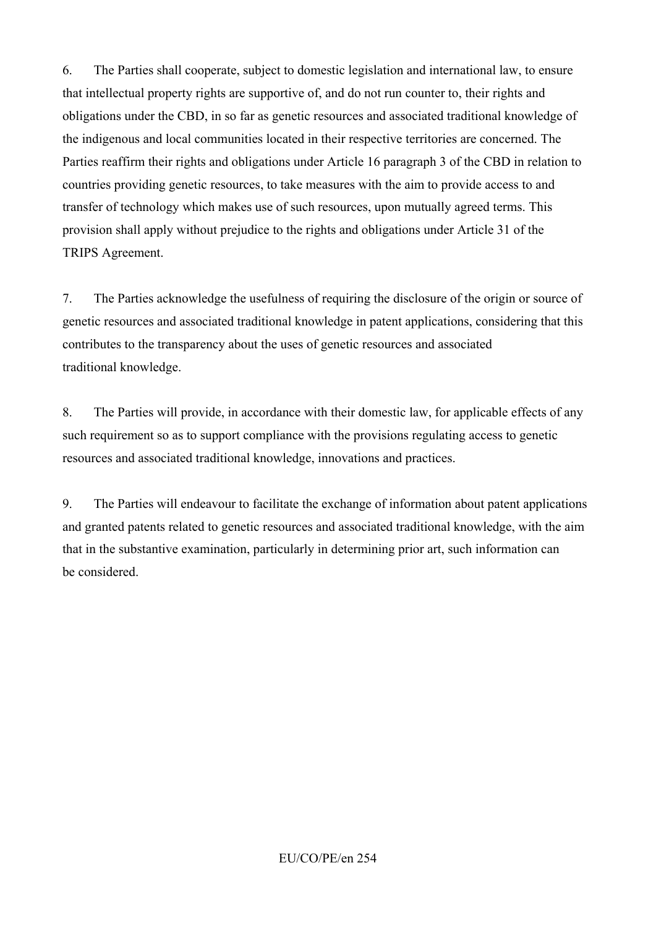6. The Parties shall cooperate, subject to domestic legislation and international law, to ensure that intellectual property rights are supportive of, and do not run counter to, their rights and obligations under the CBD, in so far as genetic resources and associated traditional knowledge of the indigenous and local communities located in their respective territories are concerned. The Parties reaffirm their rights and obligations under Article 16 paragraph 3 of the CBD in relation to countries providing genetic resources, to take measures with the aim to provide access to and transfer of technology which makes use of such resources, upon mutually agreed terms. This provision shall apply without prejudice to the rights and obligations under Article 31 of the TRIPS Agreement.

7. The Parties acknowledge the usefulness of requiring the disclosure of the origin or source of genetic resources and associated traditional knowledge in patent applications, considering that this contributes to the transparency about the uses of genetic resources and associated traditional knowledge.

8. The Parties will provide, in accordance with their domestic law, for applicable effects of any such requirement so as to support compliance with the provisions regulating access to genetic resources and associated traditional knowledge, innovations and practices.

9. The Parties will endeavour to facilitate the exchange of information about patent applications and granted patents related to genetic resources and associated traditional knowledge, with the aim that in the substantive examination, particularly in determining prior art, such information can be considered.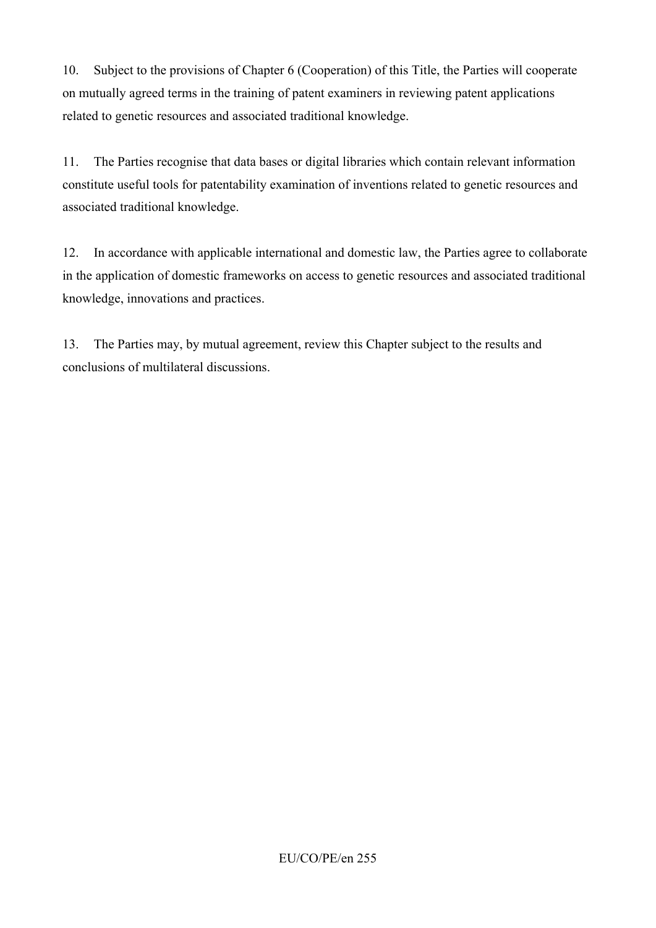10. Subject to the provisions of Chapter 6 (Cooperation) of this Title, the Parties will cooperate on mutually agreed terms in the training of patent examiners in reviewing patent applications related to genetic resources and associated traditional knowledge.

11. The Parties recognise that data bases or digital libraries which contain relevant information constitute useful tools for patentability examination of inventions related to genetic resources and associated traditional knowledge.

12. In accordance with applicable international and domestic law, the Parties agree to collaborate in the application of domestic frameworks on access to genetic resources and associated traditional knowledge, innovations and practices.

13. The Parties may, by mutual agreement, review this Chapter subject to the results and conclusions of multilateral discussions.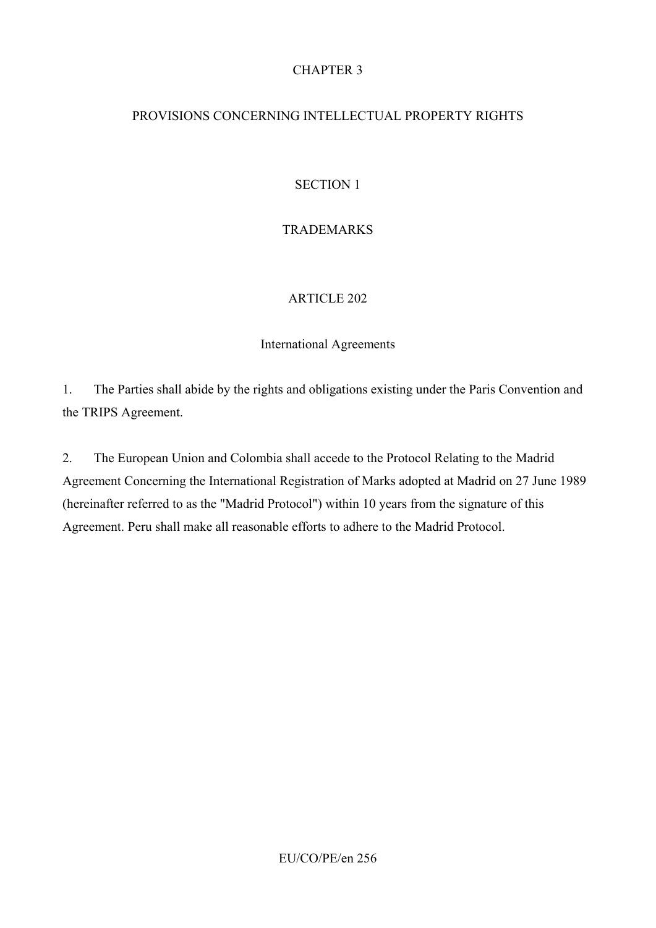## CHAPTER 3

### PROVISIONS CONCERNING INTELLECTUAL PROPERTY RIGHTS

### SECTION 1

### TRADEMARKS

#### ARTICLE 202

#### International Agreements

1. The Parties shall abide by the rights and obligations existing under the Paris Convention and the TRIPS Agreement.

2. The European Union and Colombia shall accede to the Protocol Relating to the Madrid Agreement Concerning the International Registration of Marks adopted at Madrid on 27 June 1989 (hereinafter referred to as the "Madrid Protocol") within 10 years from the signature of this Agreement. Peru shall make all reasonable efforts to adhere to the Madrid Protocol.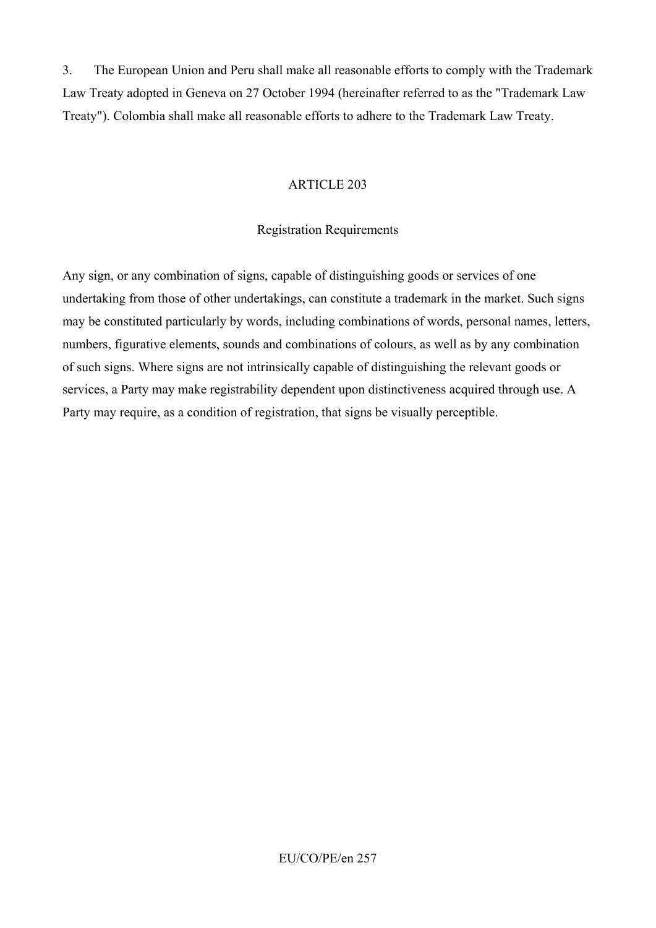3. The European Union and Peru shall make all reasonable efforts to comply with the Trademark Law Treaty adopted in Geneva on 27 October 1994 (hereinafter referred to as the "Trademark Law Treaty"). Colombia shall make all reasonable efforts to adhere to the Trademark Law Treaty.

### ARTICLE 203

### Registration Requirements

Any sign, or any combination of signs, capable of distinguishing goods or services of one undertaking from those of other undertakings, can constitute a trademark in the market. Such signs may be constituted particularly by words, including combinations of words, personal names, letters, numbers, figurative elements, sounds and combinations of colours, as well as by any combination of such signs. Where signs are not intrinsically capable of distinguishing the relevant goods or services, a Party may make registrability dependent upon distinctiveness acquired through use. A Party may require, as a condition of registration, that signs be visually perceptible.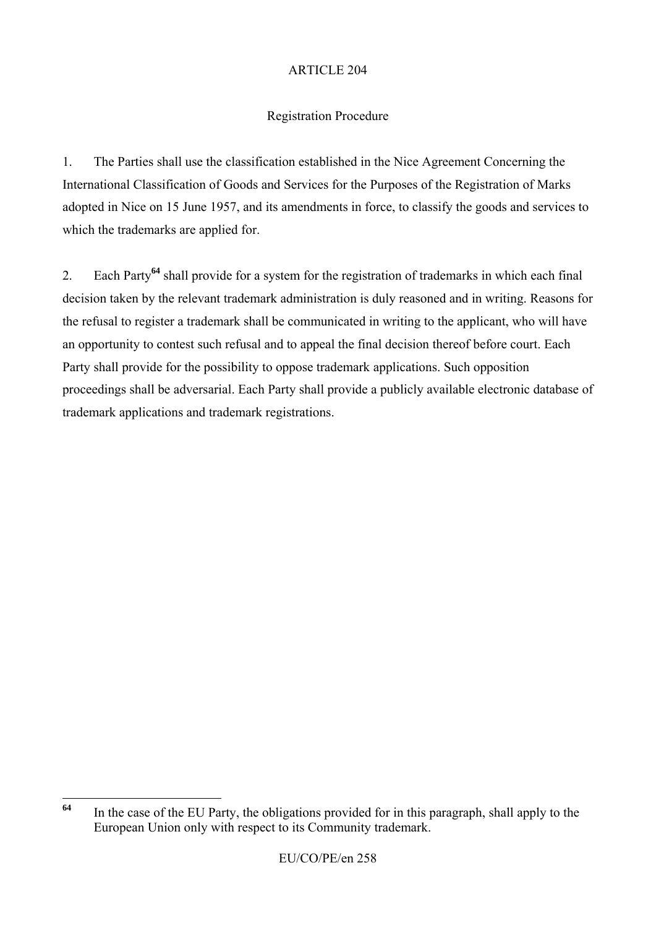# Registration Procedure

1. The Parties shall use the classification established in the Nice Agreement Concerning the International Classification of Goods and Services for the Purposes of the Registration of Marks adopted in Nice on 15 June 1957, and its amendments in force, to classify the goods and services to which the trademarks are applied for.

2. Each Party**<sup>64</sup>** shall provide for a system for the registration of trademarks in which each final decision taken by the relevant trademark administration is duly reasoned and in writing. Reasons for the refusal to register a trademark shall be communicated in writing to the applicant, who will have an opportunity to contest such refusal and to appeal the final decision thereof before court. Each Party shall provide for the possibility to oppose trademark applications. Such opposition proceedings shall be adversarial. Each Party shall provide a publicly available electronic database of trademark applications and trademark registrations.

<sup>64</sup> **<sup>64</sup>** In the case of the EU Party, the obligations provided for in this paragraph, shall apply to the European Union only with respect to its Community trademark.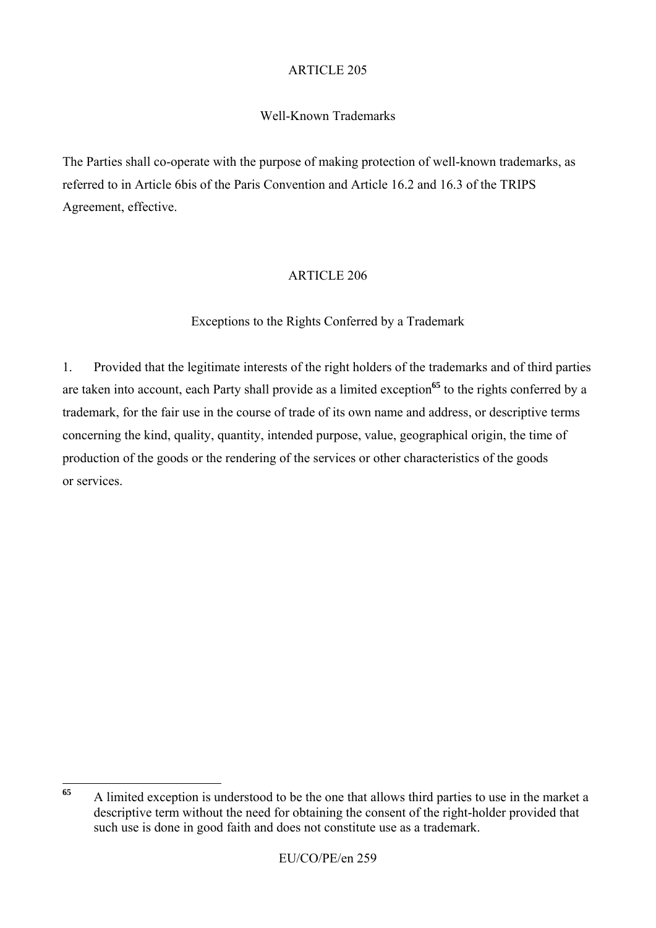# Well-Known Trademarks

The Parties shall co-operate with the purpose of making protection of well-known trademarks, as referred to in Article 6bis of the Paris Convention and Article 16.2 and 16.3 of the TRIPS Agreement, effective.

# ARTICLE 206

# Exceptions to the Rights Conferred by a Trademark

1. Provided that the legitimate interests of the right holders of the trademarks and of third parties are taken into account, each Party shall provide as a limited exception<sup>65</sup> to the rights conferred by a trademark, for the fair use in the course of trade of its own name and address, or descriptive terms concerning the kind, quality, quantity, intended purpose, value, geographical origin, the time of production of the goods or the rendering of the services or other characteristics of the goods or services.

<sup>65</sup> **<sup>65</sup>** A limited exception is understood to be the one that allows third parties to use in the market a descriptive term without the need for obtaining the consent of the right-holder provided that such use is done in good faith and does not constitute use as a trademark.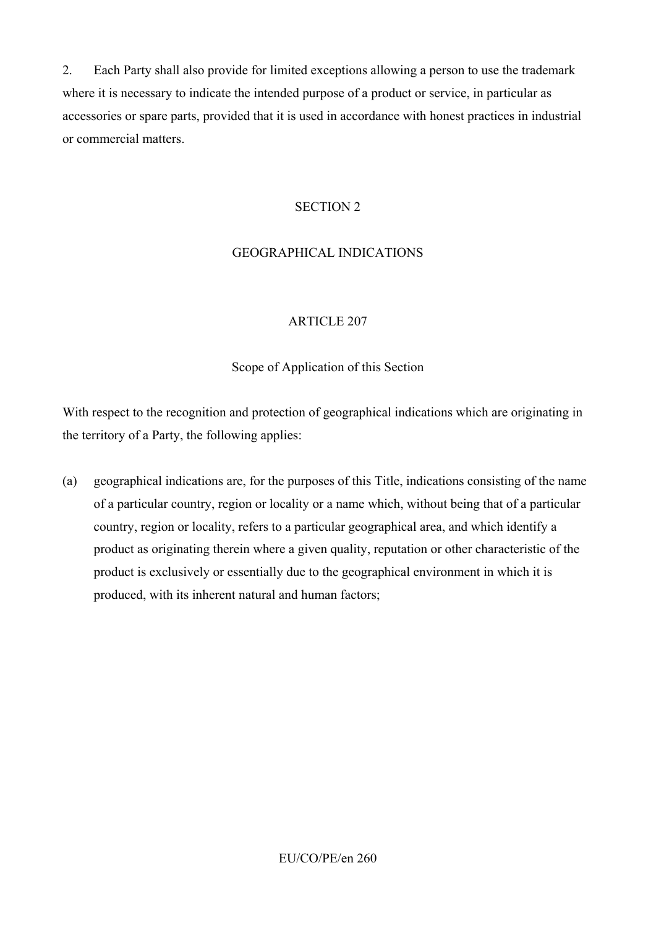2. Each Party shall also provide for limited exceptions allowing a person to use the trademark where it is necessary to indicate the intended purpose of a product or service, in particular as accessories or spare parts, provided that it is used in accordance with honest practices in industrial or commercial matters.

#### SECTION 2

### GEOGRAPHICAL INDICATIONS

#### ARTICLE 207

#### Scope of Application of this Section

With respect to the recognition and protection of geographical indications which are originating in the territory of a Party, the following applies:

(a) geographical indications are, for the purposes of this Title, indications consisting of the name of a particular country, region or locality or a name which, without being that of a particular country, region or locality, refers to a particular geographical area, and which identify a product as originating therein where a given quality, reputation or other characteristic of the product is exclusively or essentially due to the geographical environment in which it is produced, with its inherent natural and human factors;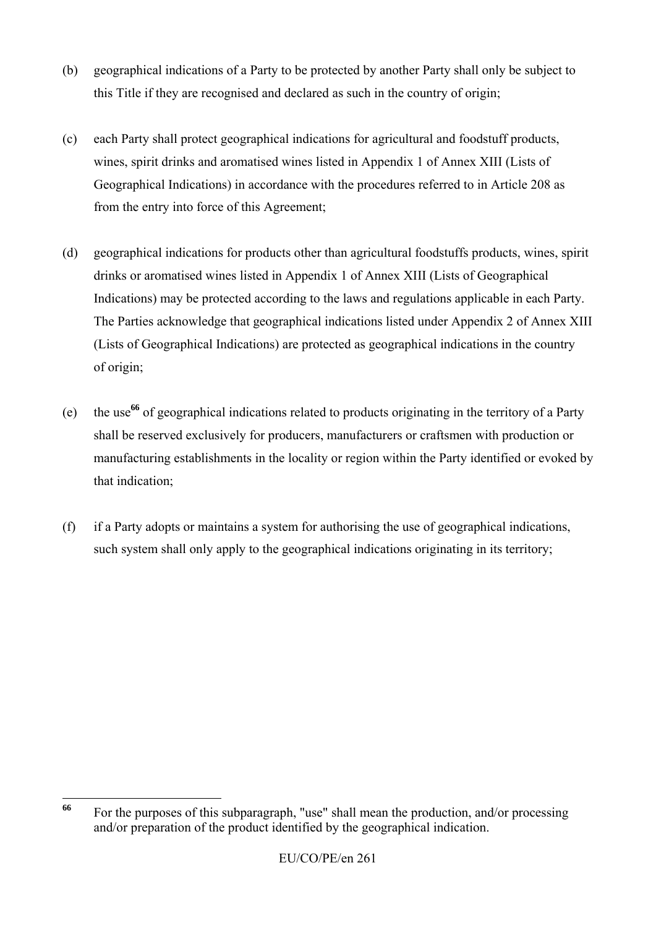- (b) geographical indications of a Party to be protected by another Party shall only be subject to this Title if they are recognised and declared as such in the country of origin;
- (c) each Party shall protect geographical indications for agricultural and foodstuff products, wines, spirit drinks and aromatised wines listed in Appendix 1 of Annex XIII (Lists of Geographical Indications) in accordance with the procedures referred to in Article 208 as from the entry into force of this Agreement;
- (d) geographical indications for products other than agricultural foodstuffs products, wines, spirit drinks or aromatised wines listed in Appendix 1 of Annex XIII (Lists of Geographical Indications) may be protected according to the laws and regulations applicable in each Party. The Parties acknowledge that geographical indications listed under Appendix 2 of Annex XIII (Lists of Geographical Indications) are protected as geographical indications in the country of origin;
- (e) the use**<sup>66</sup>** of geographical indications related to products originating in the territory of a Party shall be reserved exclusively for producers, manufacturers or craftsmen with production or manufacturing establishments in the locality or region within the Party identified or evoked by that indication;
- (f) if a Party adopts or maintains a system for authorising the use of geographical indications, such system shall only apply to the geographical indications originating in its territory;

<sup>66</sup> For the purposes of this subparagraph, "use" shall mean the production, and/or processing and/or preparation of the product identified by the geographical indication.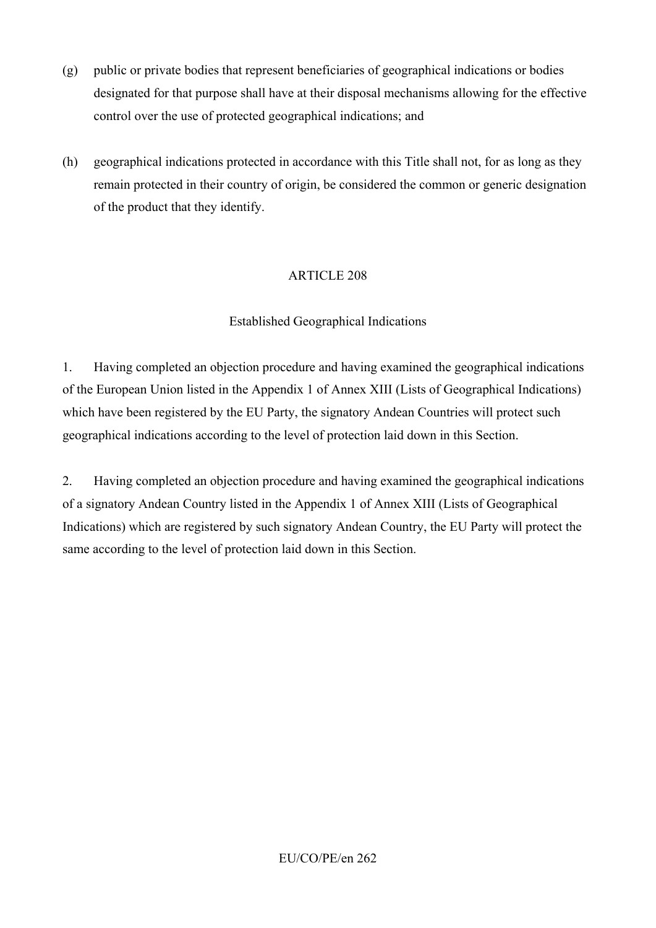- (g) public or private bodies that represent beneficiaries of geographical indications or bodies designated for that purpose shall have at their disposal mechanisms allowing for the effective control over the use of protected geographical indications; and
- (h) geographical indications protected in accordance with this Title shall not, for as long as they remain protected in their country of origin, be considered the common or generic designation of the product that they identify.

# Established Geographical Indications

1. Having completed an objection procedure and having examined the geographical indications of the European Union listed in the Appendix 1 of Annex XIII (Lists of Geographical Indications) which have been registered by the EU Party, the signatory Andean Countries will protect such geographical indications according to the level of protection laid down in this Section.

2. Having completed an objection procedure and having examined the geographical indications of a signatory Andean Country listed in the Appendix 1 of Annex XIII (Lists of Geographical Indications) which are registered by such signatory Andean Country, the EU Party will protect the same according to the level of protection laid down in this Section.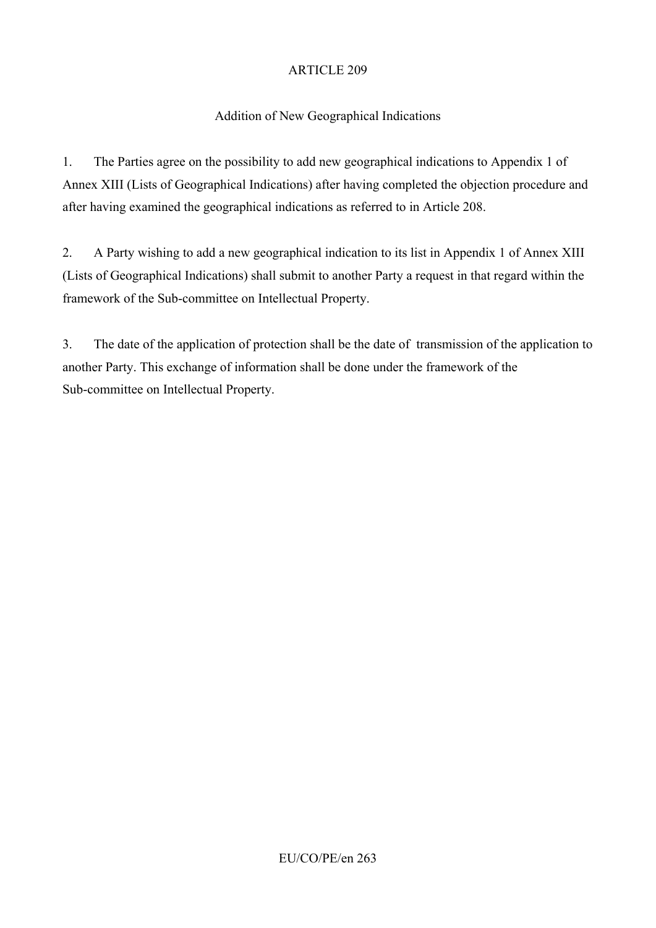# Addition of New Geographical Indications

1. The Parties agree on the possibility to add new geographical indications to Appendix 1 of Annex XIII (Lists of Geographical Indications) after having completed the objection procedure and after having examined the geographical indications as referred to in Article 208.

2. A Party wishing to add a new geographical indication to its list in Appendix 1 of Annex XIII (Lists of Geographical Indications) shall submit to another Party a request in that regard within the framework of the Sub-committee on Intellectual Property.

3. The date of the application of protection shall be the date of transmission of the application to another Party. This exchange of information shall be done under the framework of the Sub-committee on Intellectual Property.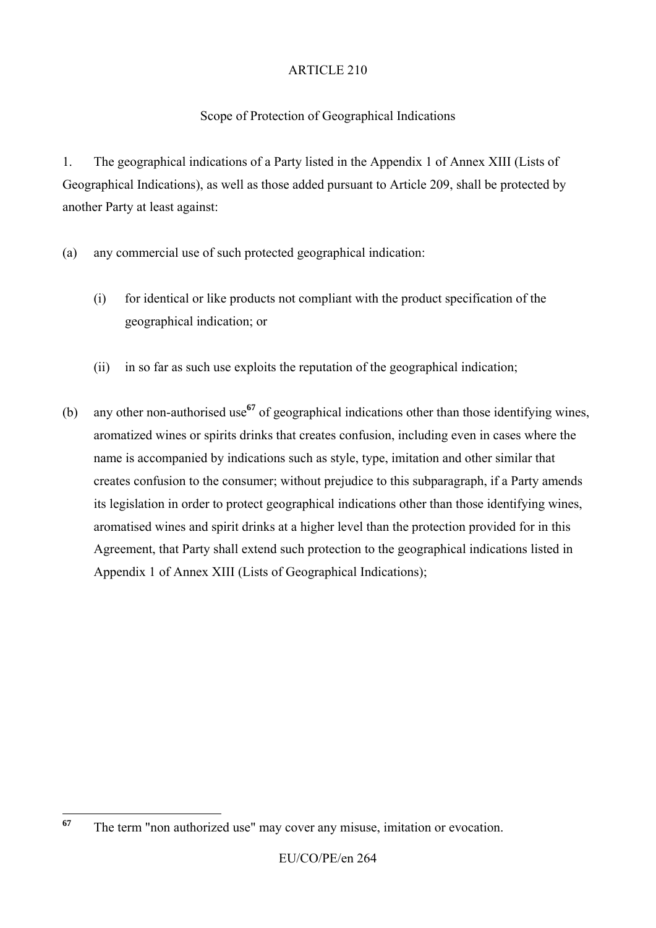# Scope of Protection of Geographical Indications

1. The geographical indications of a Party listed in the Appendix 1 of Annex XIII (Lists of Geographical Indications), as well as those added pursuant to Article 209, shall be protected by another Party at least against:

- (a) any commercial use of such protected geographical indication:
	- (i) for identical or like products not compliant with the product specification of the geographical indication; or
	- (ii) in so far as such use exploits the reputation of the geographical indication;
- (b) any other non-authorised use**<sup>67</sup>** of geographical indications other than those identifying wines, aromatized wines or spirits drinks that creates confusion, including even in cases where the name is accompanied by indications such as style, type, imitation and other similar that creates confusion to the consumer; without prejudice to this subparagraph, if a Party amends its legislation in order to protect geographical indications other than those identifying wines, aromatised wines and spirit drinks at a higher level than the protection provided for in this Agreement, that Party shall extend such protection to the geographical indications listed in Appendix 1 of Annex XIII (Lists of Geographical Indications);

<sup>67</sup> The term "non authorized use" may cover any misuse, imitation or evocation.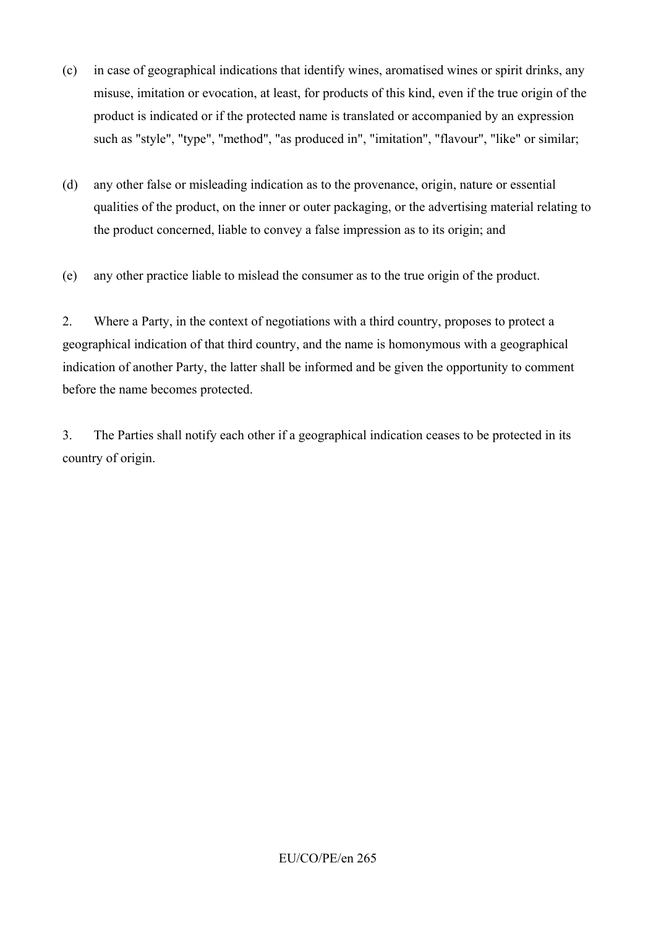- (c) in case of geographical indications that identify wines, aromatised wines or spirit drinks, any misuse, imitation or evocation, at least, for products of this kind, even if the true origin of the product is indicated or if the protected name is translated or accompanied by an expression such as "style", "type", "method", "as produced in", "imitation", "flavour", "like" or similar;
- (d) any other false or misleading indication as to the provenance, origin, nature or essential qualities of the product, on the inner or outer packaging, or the advertising material relating to the product concerned, liable to convey a false impression as to its origin; and
- (e) any other practice liable to mislead the consumer as to the true origin of the product.

2. Where a Party, in the context of negotiations with a third country, proposes to protect a geographical indication of that third country, and the name is homonymous with a geographical indication of another Party, the latter shall be informed and be given the opportunity to comment before the name becomes protected.

3. The Parties shall notify each other if a geographical indication ceases to be protected in its country of origin.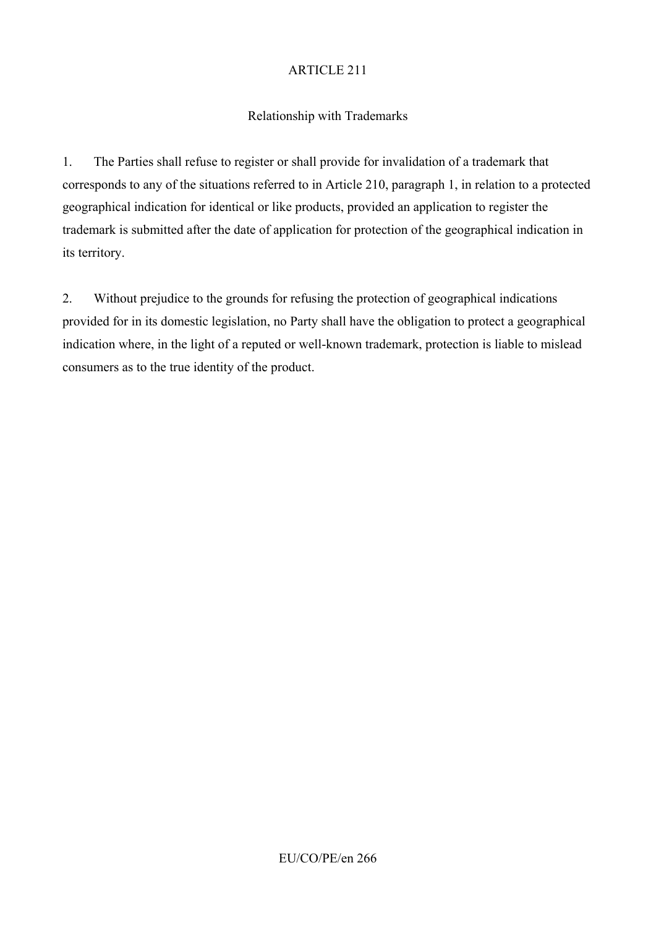# Relationship with Trademarks

1. The Parties shall refuse to register or shall provide for invalidation of a trademark that corresponds to any of the situations referred to in Article 210, paragraph 1, in relation to a protected geographical indication for identical or like products, provided an application to register the trademark is submitted after the date of application for protection of the geographical indication in its territory.

2. Without prejudice to the grounds for refusing the protection of geographical indications provided for in its domestic legislation, no Party shall have the obligation to protect a geographical indication where, in the light of a reputed or well-known trademark, protection is liable to mislead consumers as to the true identity of the product.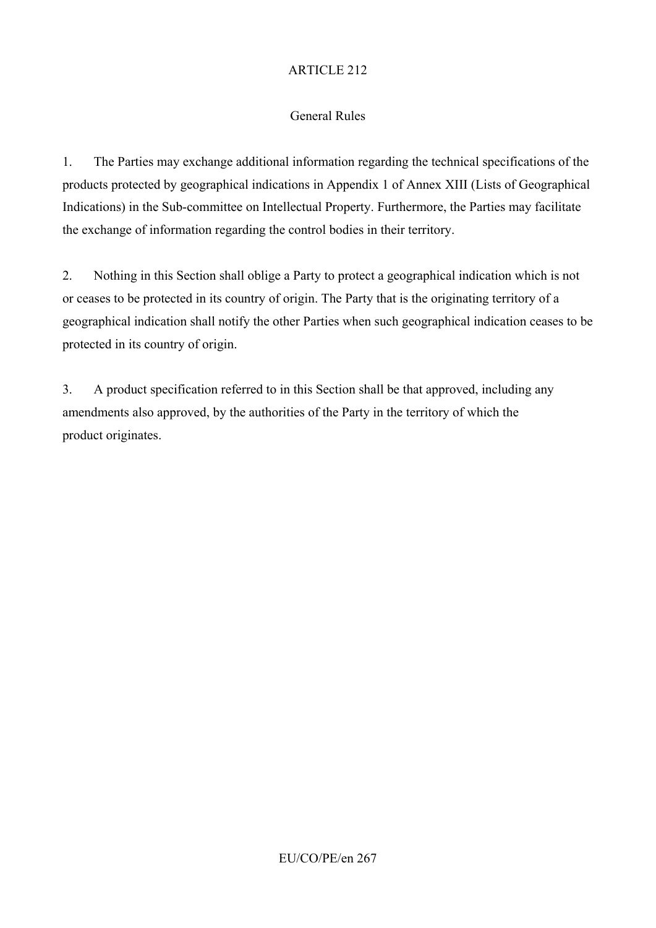# General Rules

1. The Parties may exchange additional information regarding the technical specifications of the products protected by geographical indications in Appendix 1 of Annex XIII (Lists of Geographical Indications) in the Sub-committee on Intellectual Property. Furthermore, the Parties may facilitate the exchange of information regarding the control bodies in their territory.

2. Nothing in this Section shall oblige a Party to protect a geographical indication which is not or ceases to be protected in its country of origin. The Party that is the originating territory of a geographical indication shall notify the other Parties when such geographical indication ceases to be protected in its country of origin.

3. A product specification referred to in this Section shall be that approved, including any amendments also approved, by the authorities of the Party in the territory of which the product originates.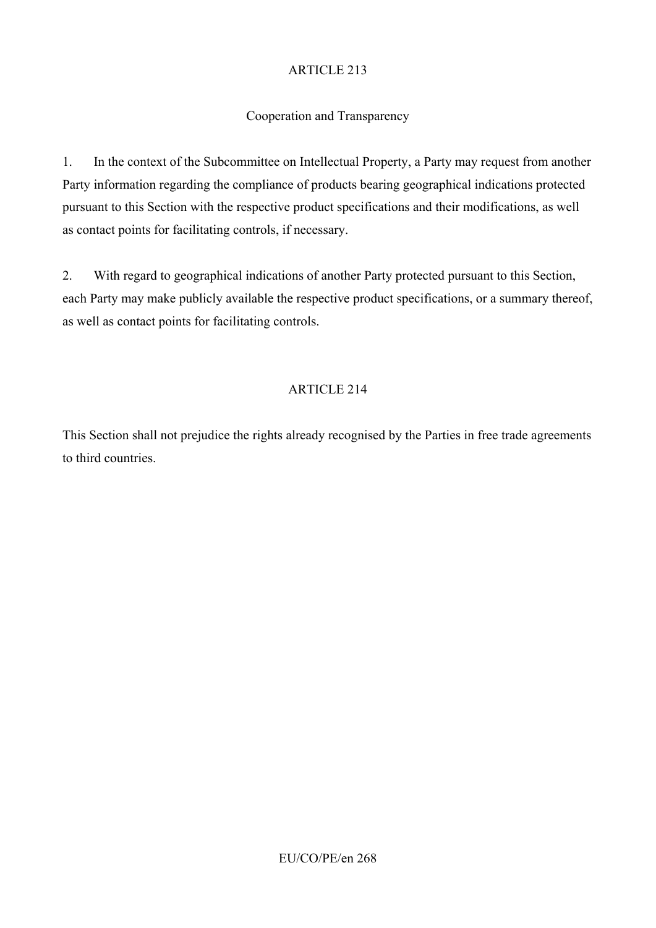# Cooperation and Transparency

1. In the context of the Subcommittee on Intellectual Property, a Party may request from another Party information regarding the compliance of products bearing geographical indications protected pursuant to this Section with the respective product specifications and their modifications, as well as contact points for facilitating controls, if necessary.

2. With regard to geographical indications of another Party protected pursuant to this Section, each Party may make publicly available the respective product specifications, or a summary thereof, as well as contact points for facilitating controls.

# ARTICLE 214

This Section shall not prejudice the rights already recognised by the Parties in free trade agreements to third countries.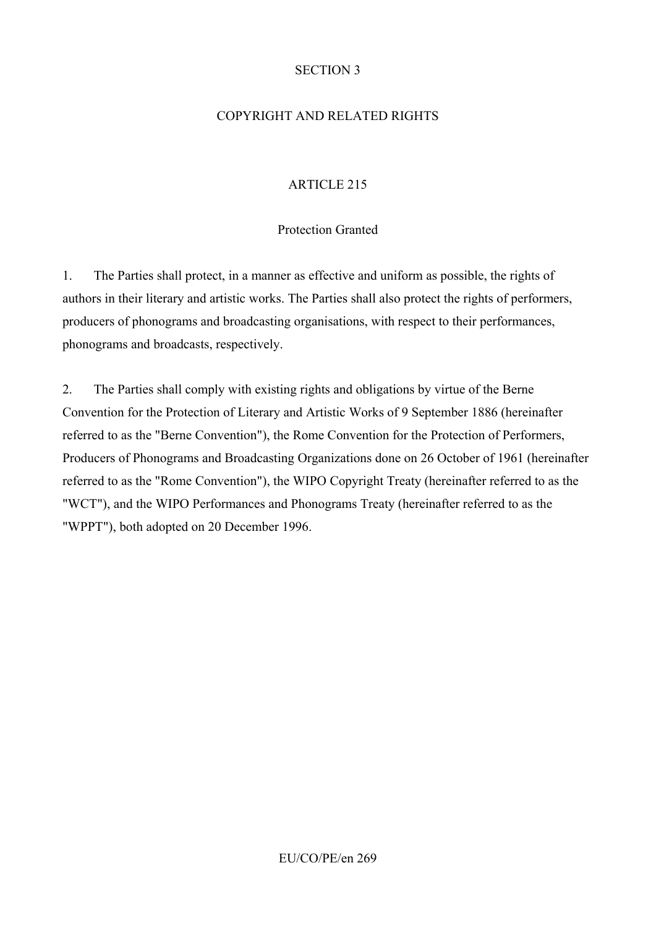### SECTION 3

## COPYRIGHT AND RELATED RIGHTS

# ARTICLE 215

### Protection Granted

1. The Parties shall protect, in a manner as effective and uniform as possible, the rights of authors in their literary and artistic works. The Parties shall also protect the rights of performers, producers of phonograms and broadcasting organisations, with respect to their performances, phonograms and broadcasts, respectively.

2. The Parties shall comply with existing rights and obligations by virtue of the Berne Convention for the Protection of Literary and Artistic Works of 9 September 1886 (hereinafter referred to as the "Berne Convention"), the Rome Convention for the Protection of Performers, Producers of Phonograms and Broadcasting Organizations done on 26 October of 1961 (hereinafter referred to as the "Rome Convention"), the WIPO Copyright Treaty (hereinafter referred to as the "WCT"), and the WIPO Performances and Phonograms Treaty (hereinafter referred to as the "WPPT"), both adopted on 20 December 1996.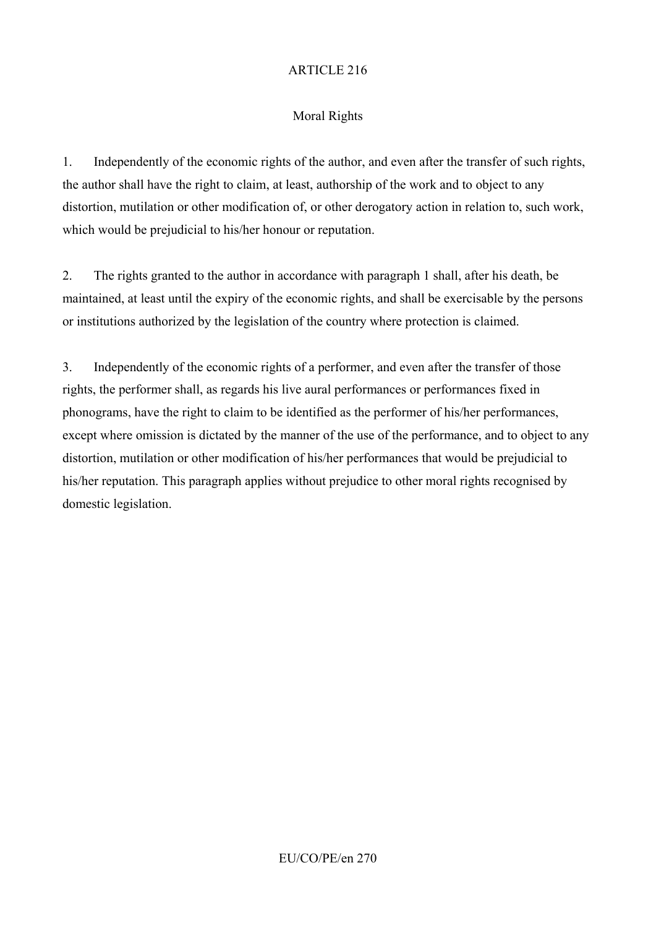# Moral Rights

1. Independently of the economic rights of the author, and even after the transfer of such rights, the author shall have the right to claim, at least, authorship of the work and to object to any distortion, mutilation or other modification of, or other derogatory action in relation to, such work, which would be prejudicial to his/her honour or reputation.

2. The rights granted to the author in accordance with paragraph 1 shall, after his death, be maintained, at least until the expiry of the economic rights, and shall be exercisable by the persons or institutions authorized by the legislation of the country where protection is claimed.

3. Independently of the economic rights of a performer, and even after the transfer of those rights, the performer shall, as regards his live aural performances or performances fixed in phonograms, have the right to claim to be identified as the performer of his/her performances, except where omission is dictated by the manner of the use of the performance, and to object to any distortion, mutilation or other modification of his/her performances that would be prejudicial to his/her reputation. This paragraph applies without prejudice to other moral rights recognised by domestic legislation.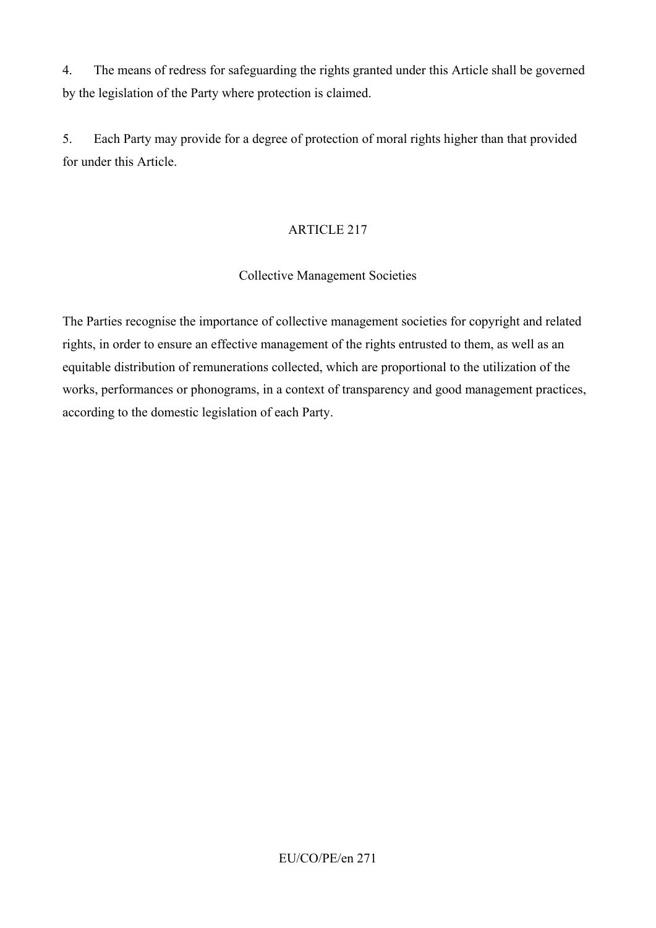4. The means of redress for safeguarding the rights granted under this Article shall be governed by the legislation of the Party where protection is claimed.

5. Each Party may provide for a degree of protection of moral rights higher than that provided for under this Article.

#### ARTICLE 217

#### Collective Management Societies

The Parties recognise the importance of collective management societies for copyright and related rights, in order to ensure an effective management of the rights entrusted to them, as well as an equitable distribution of remunerations collected, which are proportional to the utilization of the works, performances or phonograms, in a context of transparency and good management practices, according to the domestic legislation of each Party.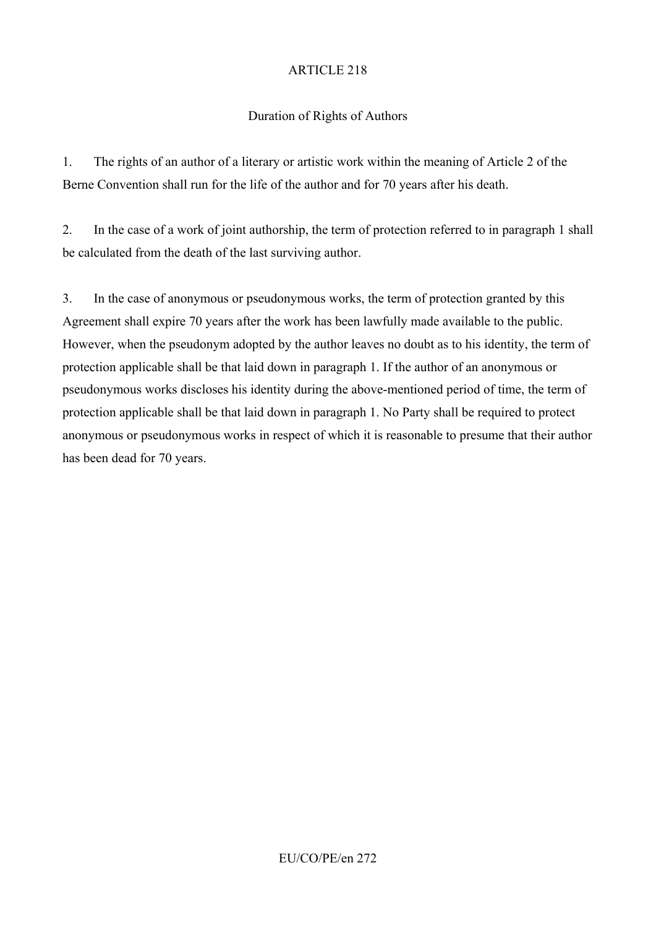### Duration of Rights of Authors

1. The rights of an author of a literary or artistic work within the meaning of Article 2 of the Berne Convention shall run for the life of the author and for 70 years after his death.

2. In the case of a work of joint authorship, the term of protection referred to in paragraph 1 shall be calculated from the death of the last surviving author.

3. In the case of anonymous or pseudonymous works, the term of protection granted by this Agreement shall expire 70 years after the work has been lawfully made available to the public. However, when the pseudonym adopted by the author leaves no doubt as to his identity, the term of protection applicable shall be that laid down in paragraph 1. If the author of an anonymous or pseudonymous works discloses his identity during the above-mentioned period of time, the term of protection applicable shall be that laid down in paragraph 1. No Party shall be required to protect anonymous or pseudonymous works in respect of which it is reasonable to presume that their author has been dead for 70 years.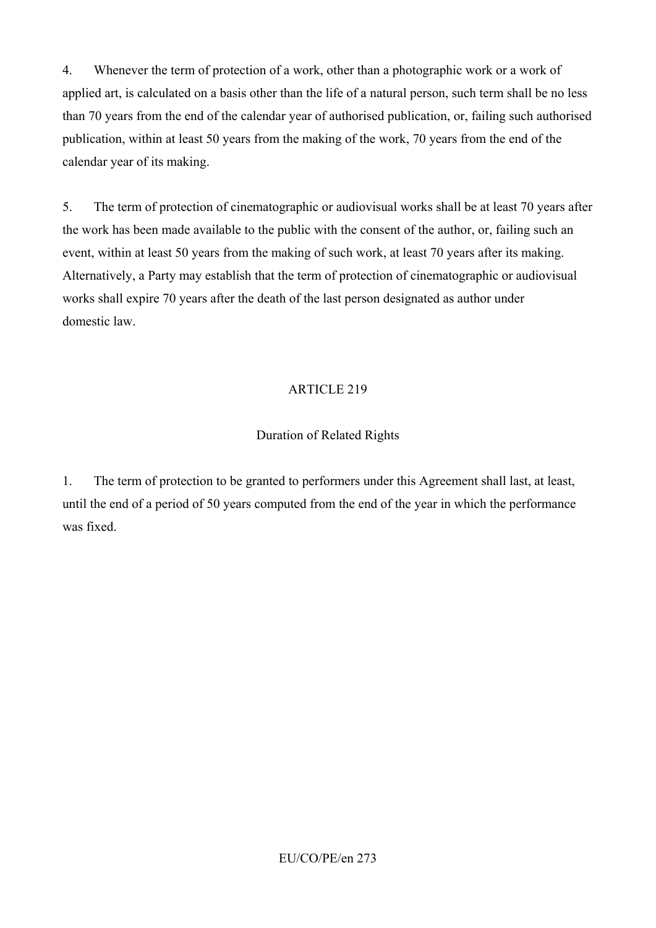4. Whenever the term of protection of a work, other than a photographic work or a work of applied art, is calculated on a basis other than the life of a natural person, such term shall be no less than 70 years from the end of the calendar year of authorised publication, or, failing such authorised publication, within at least 50 years from the making of the work, 70 years from the end of the calendar year of its making.

5. The term of protection of cinematographic or audiovisual works shall be at least 70 years after the work has been made available to the public with the consent of the author, or, failing such an event, within at least 50 years from the making of such work, at least 70 years after its making. Alternatively, a Party may establish that the term of protection of cinematographic or audiovisual works shall expire 70 years after the death of the last person designated as author under domestic law.

#### ARTICLE 219

#### Duration of Related Rights

1. The term of protection to be granted to performers under this Agreement shall last, at least, until the end of a period of 50 years computed from the end of the year in which the performance was fixed.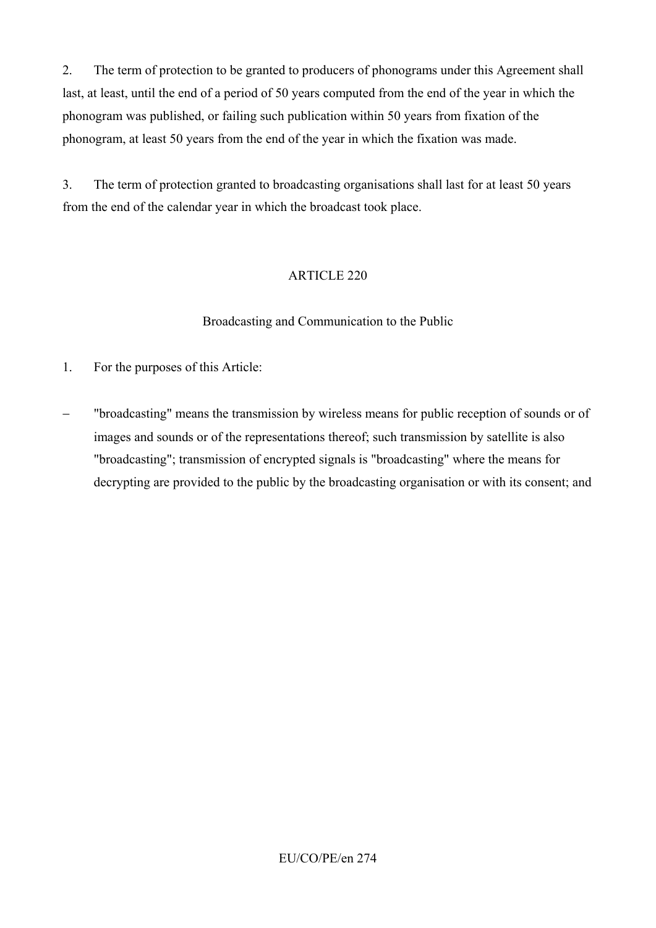2. The term of protection to be granted to producers of phonograms under this Agreement shall last, at least, until the end of a period of 50 years computed from the end of the year in which the phonogram was published, or failing such publication within 50 years from fixation of the phonogram, at least 50 years from the end of the year in which the fixation was made.

3. The term of protection granted to broadcasting organisations shall last for at least 50 years from the end of the calendar year in which the broadcast took place.

# ARTICLE 220

#### Broadcasting and Communication to the Public

- 1. For the purposes of this Article:
- − "broadcasting" means the transmission by wireless means for public reception of sounds or of images and sounds or of the representations thereof; such transmission by satellite is also "broadcasting"; transmission of encrypted signals is "broadcasting" where the means for decrypting are provided to the public by the broadcasting organisation or with its consent; and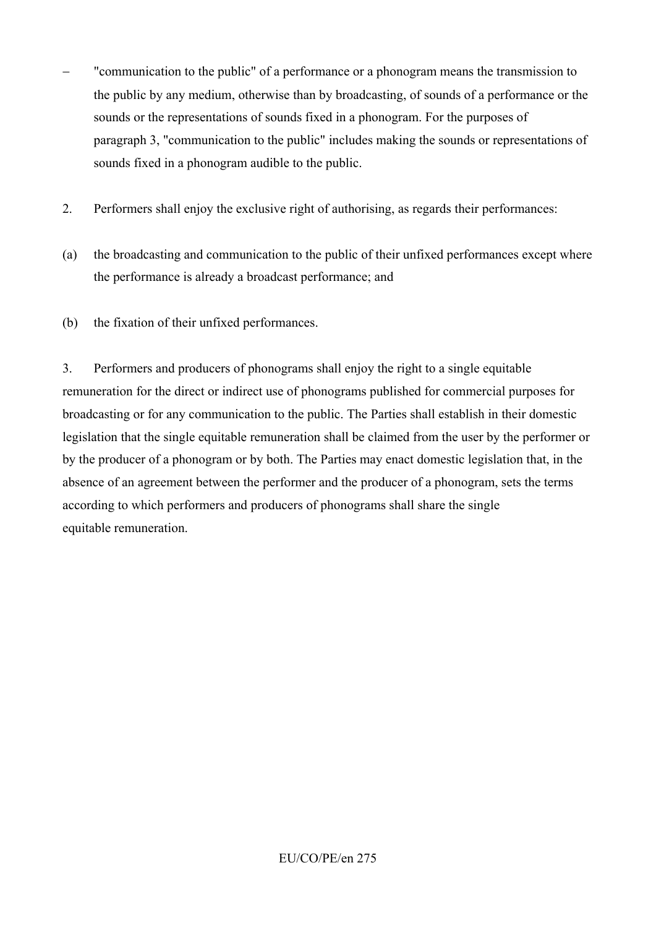- "communication to the public" of a performance or a phonogram means the transmission to the public by any medium, otherwise than by broadcasting, of sounds of a performance or the sounds or the representations of sounds fixed in a phonogram. For the purposes of paragraph 3, "communication to the public" includes making the sounds or representations of sounds fixed in a phonogram audible to the public.
- 2. Performers shall enjoy the exclusive right of authorising, as regards their performances:
- (a) the broadcasting and communication to the public of their unfixed performances except where the performance is already a broadcast performance; and
- (b) the fixation of their unfixed performances.

3. Performers and producers of phonograms shall enjoy the right to a single equitable remuneration for the direct or indirect use of phonograms published for commercial purposes for broadcasting or for any communication to the public. The Parties shall establish in their domestic legislation that the single equitable remuneration shall be claimed from the user by the performer or by the producer of a phonogram or by both. The Parties may enact domestic legislation that, in the absence of an agreement between the performer and the producer of a phonogram, sets the terms according to which performers and producers of phonograms shall share the single equitable remuneration.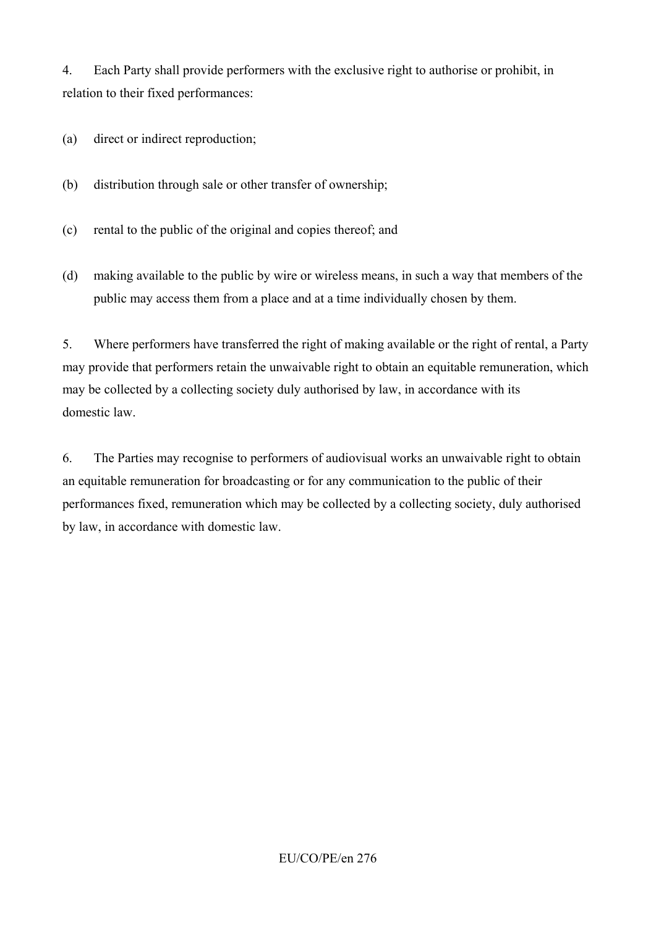4. Each Party shall provide performers with the exclusive right to authorise or prohibit, in relation to their fixed performances:

- (a) direct or indirect reproduction;
- (b) distribution through sale or other transfer of ownership;
- (c) rental to the public of the original and copies thereof; and
- (d) making available to the public by wire or wireless means, in such a way that members of the public may access them from a place and at a time individually chosen by them.

5. Where performers have transferred the right of making available or the right of rental, a Party may provide that performers retain the unwaivable right to obtain an equitable remuneration, which may be collected by a collecting society duly authorised by law, in accordance with its domestic law.

6. The Parties may recognise to performers of audiovisual works an unwaivable right to obtain an equitable remuneration for broadcasting or for any communication to the public of their performances fixed, remuneration which may be collected by a collecting society, duly authorised by law, in accordance with domestic law.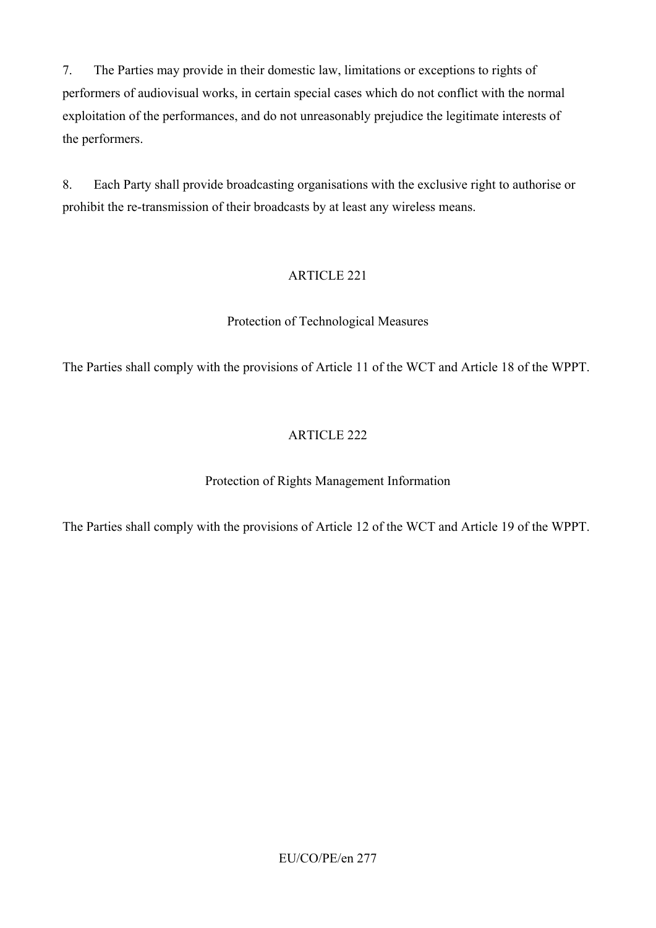7. The Parties may provide in their domestic law, limitations or exceptions to rights of performers of audiovisual works, in certain special cases which do not conflict with the normal exploitation of the performances, and do not unreasonably prejudice the legitimate interests of the performers.

8. Each Party shall provide broadcasting organisations with the exclusive right to authorise or prohibit the re-transmission of their broadcasts by at least any wireless means.

# ARTICLE 221

# Protection of Technological Measures

The Parties shall comply with the provisions of Article 11 of the WCT and Article 18 of the WPPT.

# ARTICLE 222

# Protection of Rights Management Information

The Parties shall comply with the provisions of Article 12 of the WCT and Article 19 of the WPPT.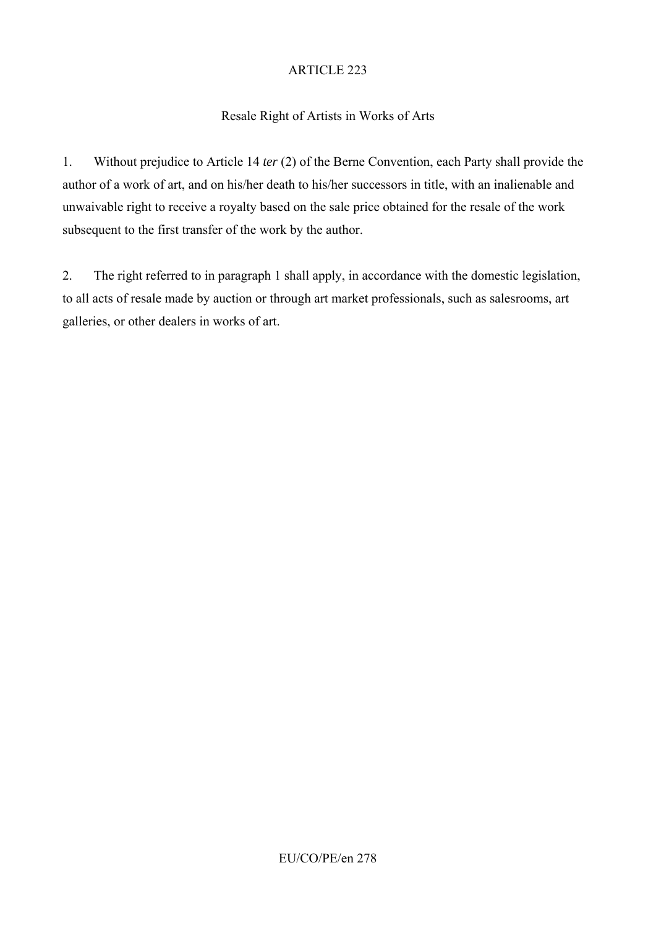# Resale Right of Artists in Works of Arts

1. Without prejudice to Article 14 *ter* (2) of the Berne Convention, each Party shall provide the author of a work of art, and on his/her death to his/her successors in title, with an inalienable and unwaivable right to receive a royalty based on the sale price obtained for the resale of the work subsequent to the first transfer of the work by the author.

2. The right referred to in paragraph 1 shall apply, in accordance with the domestic legislation, to all acts of resale made by auction or through art market professionals, such as salesrooms, art galleries, or other dealers in works of art.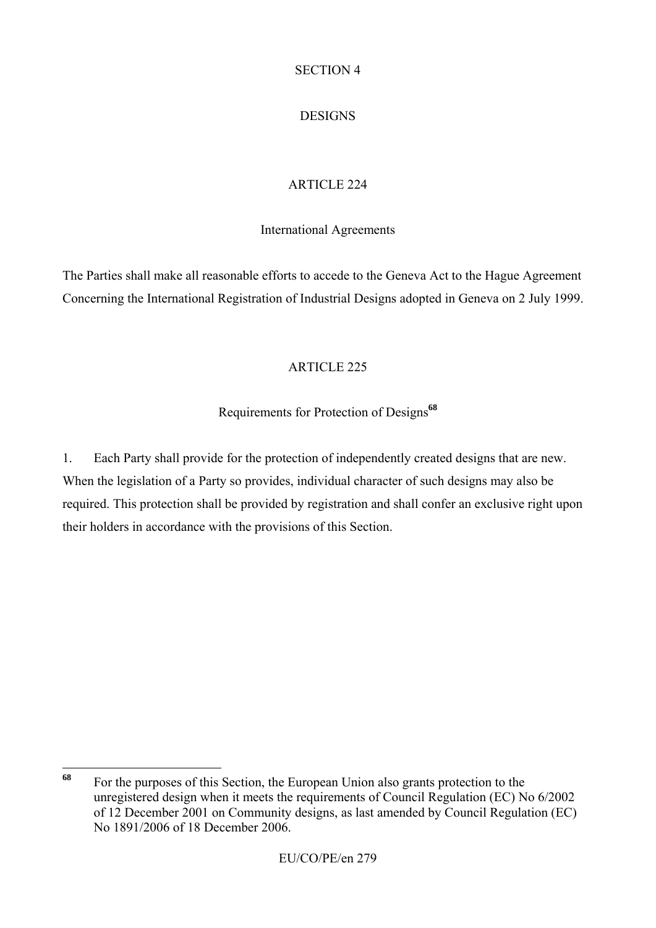#### SECTION 4

# DESIGNS

# ARTICLE 224

#### International Agreements

The Parties shall make all reasonable efforts to accede to the Geneva Act to the Hague Agreement Concerning the International Registration of Industrial Designs adopted in Geneva on 2 July 1999.

#### ARTICLE 225

# Requirements for Protection of Designs**<sup>68</sup>**

1. Each Party shall provide for the protection of independently created designs that are new. When the legislation of a Party so provides, individual character of such designs may also be required. This protection shall be provided by registration and shall confer an exclusive right upon their holders in accordance with the provisions of this Section.

<sup>68</sup> **<sup>68</sup>** For the purposes of this Section, the European Union also grants protection to the unregistered design when it meets the requirements of Council Regulation (EC) No 6/2002 of 12 December 2001 on Community designs, as last amended by Council Regulation (EC) No 1891/2006 of 18 December 2006.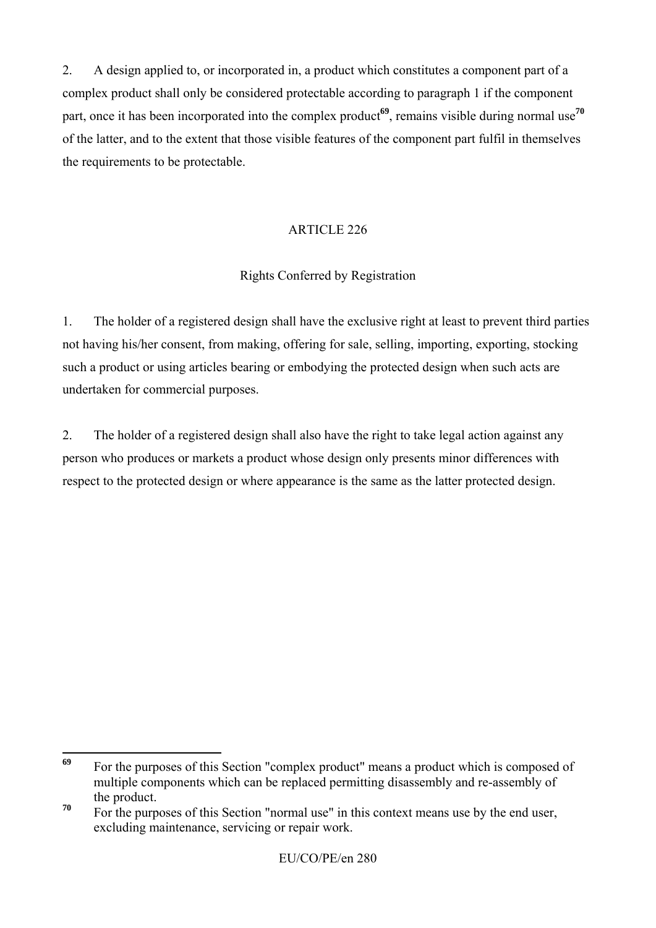2. A design applied to, or incorporated in, a product which constitutes a component part of a complex product shall only be considered protectable according to paragraph 1 if the component part, once it has been incorporated into the complex product**<sup>69</sup>**, remains visible during normal use**<sup>70</sup>** of the latter, and to the extent that those visible features of the component part fulfil in themselves the requirements to be protectable.

### ARTICLE 226

# Rights Conferred by Registration

1. The holder of a registered design shall have the exclusive right at least to prevent third parties not having his/her consent, from making, offering for sale, selling, importing, exporting, stocking such a product or using articles bearing or embodying the protected design when such acts are undertaken for commercial purposes.

2. The holder of a registered design shall also have the right to take legal action against any person who produces or markets a product whose design only presents minor differences with respect to the protected design or where appearance is the same as the latter protected design.

<sup>69</sup> For the purposes of this Section "complex product" means a product which is composed of multiple components which can be replaced permitting disassembly and re-assembly of the product.

<sup>&</sup>lt;sup>70</sup> For the purposes of this Section "normal use" in this context means use by the end user, excluding maintenance, servicing or repair work.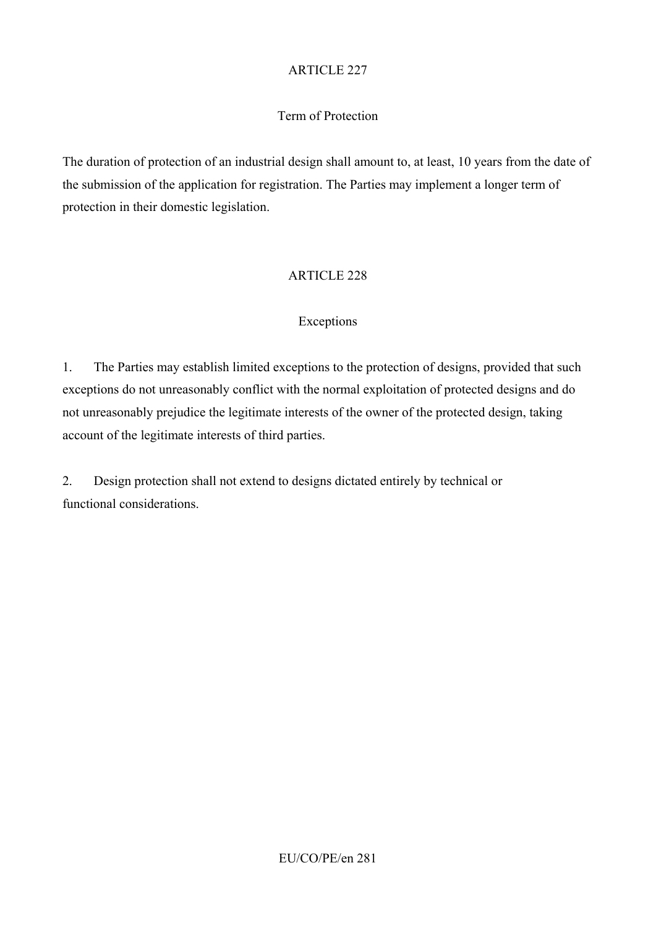### Term of Protection

The duration of protection of an industrial design shall amount to, at least, 10 years from the date of the submission of the application for registration. The Parties may implement a longer term of protection in their domestic legislation.

### ARTICLE 228

#### Exceptions

1. The Parties may establish limited exceptions to the protection of designs, provided that such exceptions do not unreasonably conflict with the normal exploitation of protected designs and do not unreasonably prejudice the legitimate interests of the owner of the protected design, taking account of the legitimate interests of third parties.

2. Design protection shall not extend to designs dictated entirely by technical or functional considerations.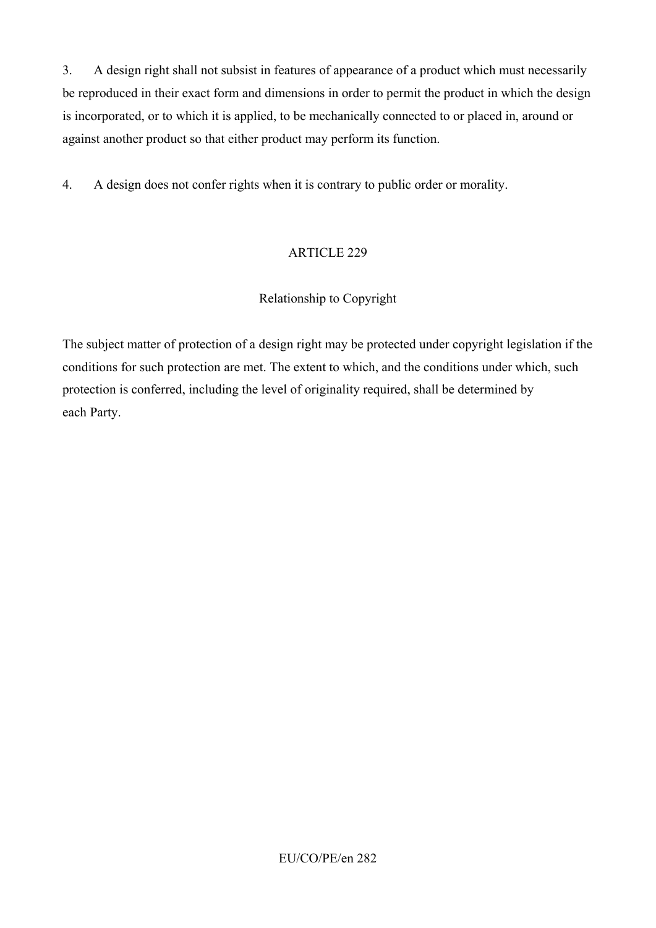3. A design right shall not subsist in features of appearance of a product which must necessarily be reproduced in their exact form and dimensions in order to permit the product in which the design is incorporated, or to which it is applied, to be mechanically connected to or placed in, around or against another product so that either product may perform its function.

4. A design does not confer rights when it is contrary to public order or morality.

# ARTICLE 229

# Relationship to Copyright

The subject matter of protection of a design right may be protected under copyright legislation if the conditions for such protection are met. The extent to which, and the conditions under which, such protection is conferred, including the level of originality required, shall be determined by each Party.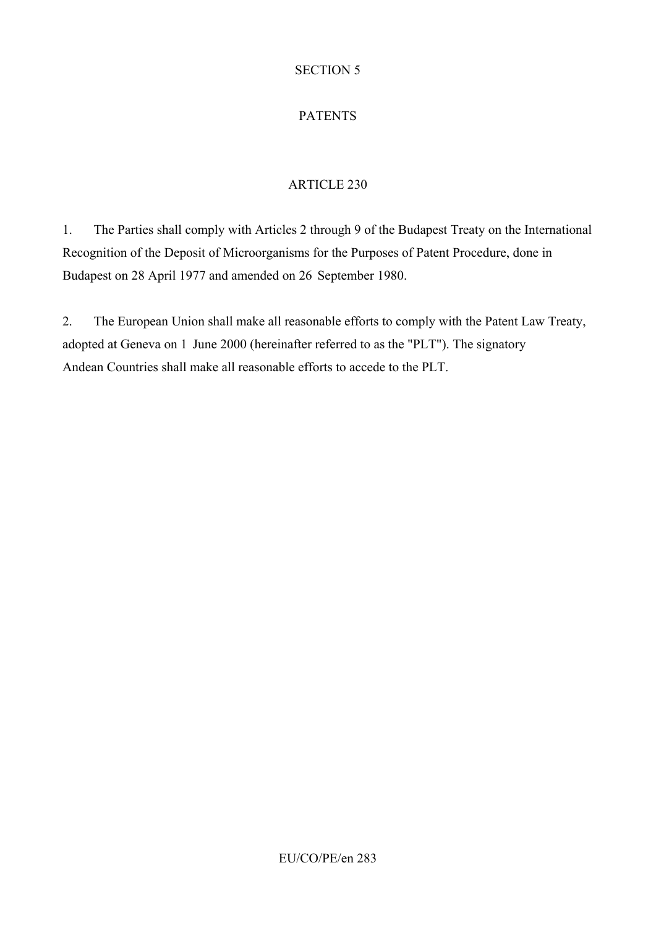### SECTION 5

# PATENTS

# ARTICLE 230

1. The Parties shall comply with Articles 2 through 9 of the Budapest Treaty on the International Recognition of the Deposit of Microorganisms for the Purposes of Patent Procedure, done in Budapest on 28 April 1977 and amended on 26 September 1980.

2. The European Union shall make all reasonable efforts to comply with the Patent Law Treaty, adopted at Geneva on 1 June 2000 (hereinafter referred to as the "PLT"). The signatory Andean Countries shall make all reasonable efforts to accede to the PLT.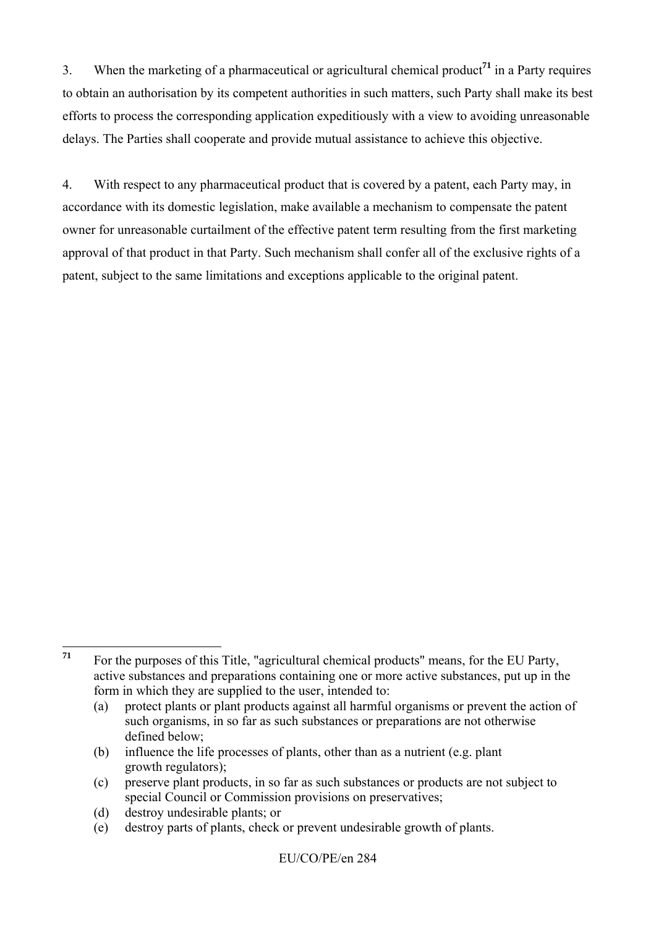3. When the marketing of a pharmaceutical or agricultural chemical product**<sup>71</sup>** in a Party requires to obtain an authorisation by its competent authorities in such matters, such Party shall make its best efforts to process the corresponding application expeditiously with a view to avoiding unreasonable delays. The Parties shall cooperate and provide mutual assistance to achieve this objective.

4. With respect to any pharmaceutical product that is covered by a patent, each Party may, in accordance with its domestic legislation, make available a mechanism to compensate the patent owner for unreasonable curtailment of the effective patent term resulting from the first marketing approval of that product in that Party. Such mechanism shall confer all of the exclusive rights of a patent, subject to the same limitations and exceptions applicable to the original patent.

(b) influence the life processes of plants, other than as a nutrient (e.g. plant growth regulators);

(d) destroy undesirable plants; or

 $71$ **<sup>71</sup>** For the purposes of this Title, "agricultural chemical products" means, for the EU Party, active substances and preparations containing one or more active substances, put up in the form in which they are supplied to the user, intended to:

<sup>(</sup>a) protect plants or plant products against all harmful organisms or prevent the action of such organisms, in so far as such substances or preparations are not otherwise defined below;

<sup>(</sup>c) preserve plant products, in so far as such substances or products are not subject to special Council or Commission provisions on preservatives;

<sup>(</sup>e) destroy parts of plants, check or prevent undesirable growth of plants.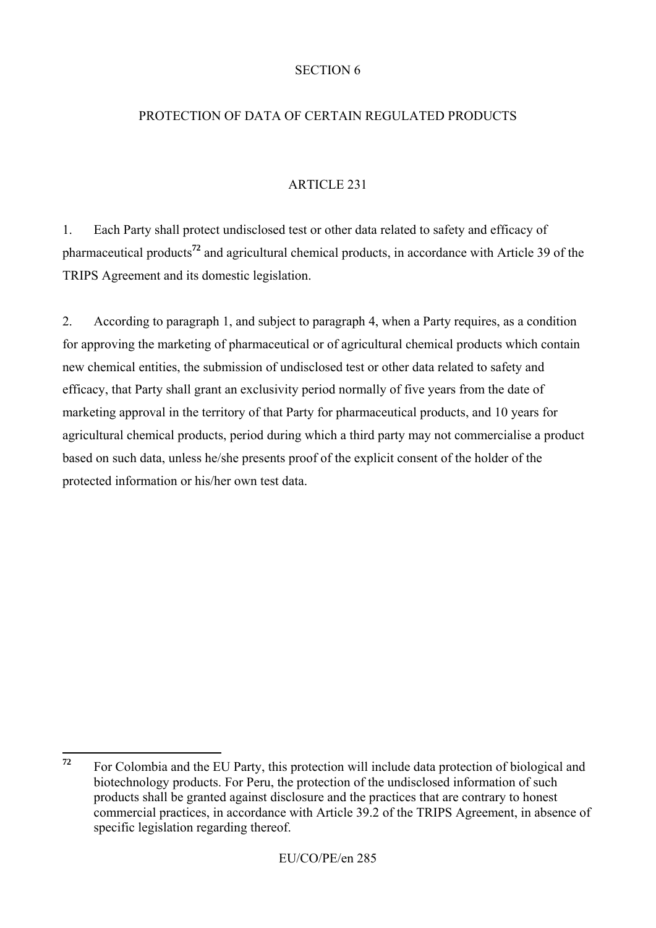#### SECTION 6

### PROTECTION OF DATA OF CERTAIN REGULATED PRODUCTS

### ARTICLE 231

1. Each Party shall protect undisclosed test or other data related to safety and efficacy of pharmaceutical products**<sup>72</sup>** and agricultural chemical products, in accordance with Article 39 of the TRIPS Agreement and its domestic legislation.

2. According to paragraph 1, and subject to paragraph 4, when a Party requires, as a condition for approving the marketing of pharmaceutical or of agricultural chemical products which contain new chemical entities, the submission of undisclosed test or other data related to safety and efficacy, that Party shall grant an exclusivity period normally of five years from the date of marketing approval in the territory of that Party for pharmaceutical products, and 10 years for agricultural chemical products, period during which a third party may not commercialise a product based on such data, unless he/she presents proof of the explicit consent of the holder of the protected information or his/her own test data.

<sup>72</sup> **<sup>72</sup>** For Colombia and the EU Party, this protection will include data protection of biological and biotechnology products. For Peru, the protection of the undisclosed information of such products shall be granted against disclosure and the practices that are contrary to honest commercial practices, in accordance with Article 39.2 of the TRIPS Agreement, in absence of specific legislation regarding thereof.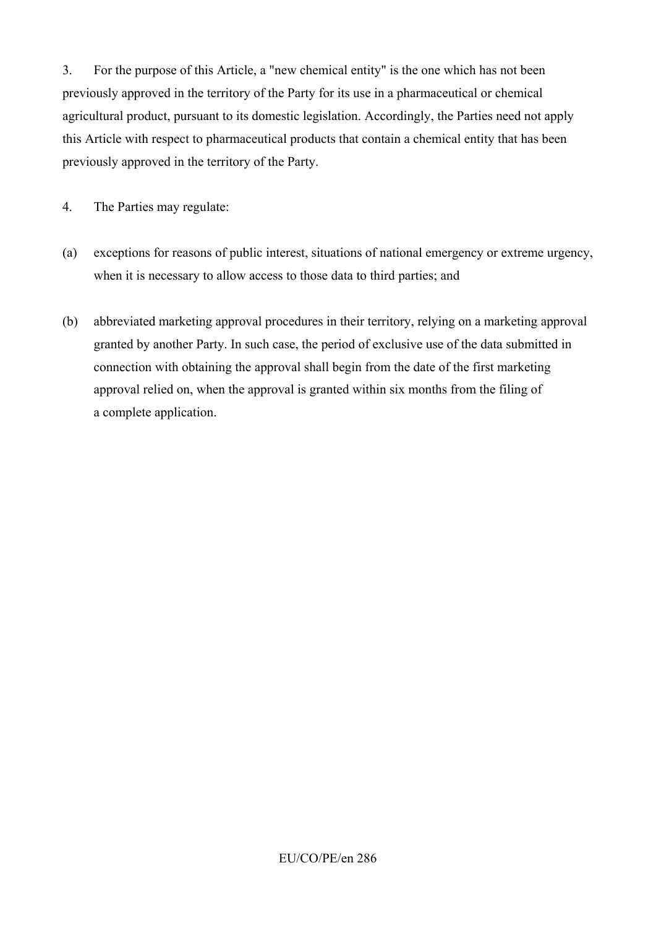3. For the purpose of this Article, a "new chemical entity" is the one which has not been previously approved in the territory of the Party for its use in a pharmaceutical or chemical agricultural product, pursuant to its domestic legislation. Accordingly, the Parties need not apply this Article with respect to pharmaceutical products that contain a chemical entity that has been previously approved in the territory of the Party.

4. The Parties may regulate:

- (a) exceptions for reasons of public interest, situations of national emergency or extreme urgency, when it is necessary to allow access to those data to third parties; and
- (b) abbreviated marketing approval procedures in their territory, relying on a marketing approval granted by another Party. In such case, the period of exclusive use of the data submitted in connection with obtaining the approval shall begin from the date of the first marketing approval relied on, when the approval is granted within six months from the filing of a complete application.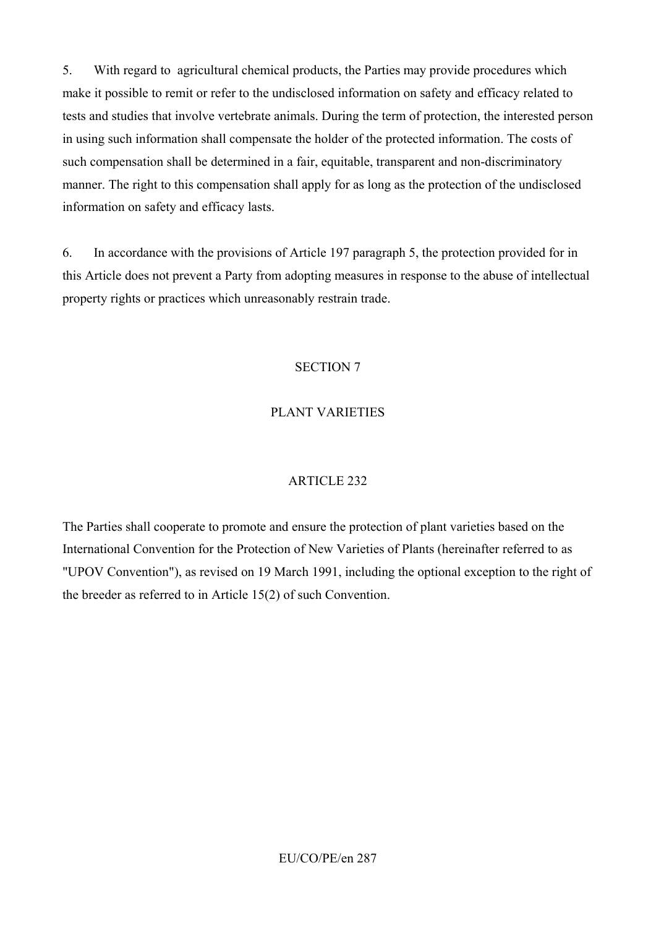5. With regard to agricultural chemical products, the Parties may provide procedures which make it possible to remit or refer to the undisclosed information on safety and efficacy related to tests and studies that involve vertebrate animals. During the term of protection, the interested person in using such information shall compensate the holder of the protected information. The costs of such compensation shall be determined in a fair, equitable, transparent and non-discriminatory manner. The right to this compensation shall apply for as long as the protection of the undisclosed information on safety and efficacy lasts.

6. In accordance with the provisions of Article 197 paragraph 5, the protection provided for in this Article does not prevent a Party from adopting measures in response to the abuse of intellectual property rights or practices which unreasonably restrain trade.

#### SECTION 7

#### PLANT VARIETIES

#### ARTICLE 232

The Parties shall cooperate to promote and ensure the protection of plant varieties based on the International Convention for the Protection of New Varieties of Plants (hereinafter referred to as "UPOV Convention"), as revised on 19 March 1991, including the optional exception to the right of the breeder as referred to in Article 15(2) of such Convention.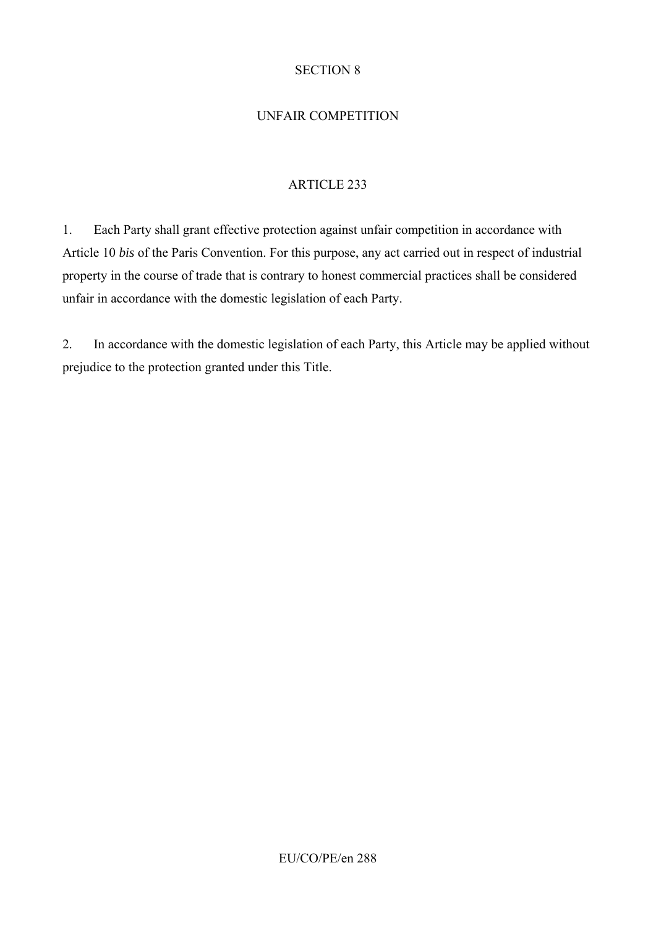#### SECTION 8

# UNFAIR COMPETITION

# ARTICLE 233

1. Each Party shall grant effective protection against unfair competition in accordance with Article 10 *bis* of the Paris Convention. For this purpose, any act carried out in respect of industrial property in the course of trade that is contrary to honest commercial practices shall be considered unfair in accordance with the domestic legislation of each Party.

2. In accordance with the domestic legislation of each Party, this Article may be applied without prejudice to the protection granted under this Title.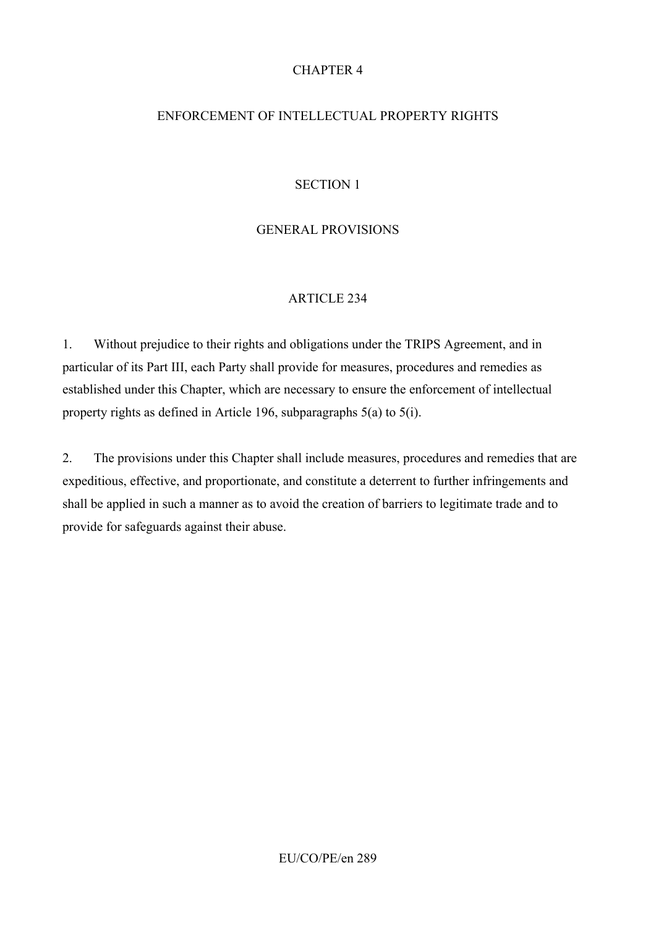## CHAPTER 4

## ENFORCEMENT OF INTELLECTUAL PROPERTY RIGHTS

### SECTION 1

## GENERAL PROVISIONS

### ARTICLE 234

1. Without prejudice to their rights and obligations under the TRIPS Agreement, and in particular of its Part III, each Party shall provide for measures, procedures and remedies as established under this Chapter, which are necessary to ensure the enforcement of intellectual property rights as defined in Article 196, subparagraphs 5(a) to 5(i).

2. The provisions under this Chapter shall include measures, procedures and remedies that are expeditious, effective, and proportionate, and constitute a deterrent to further infringements and shall be applied in such a manner as to avoid the creation of barriers to legitimate trade and to provide for safeguards against their abuse.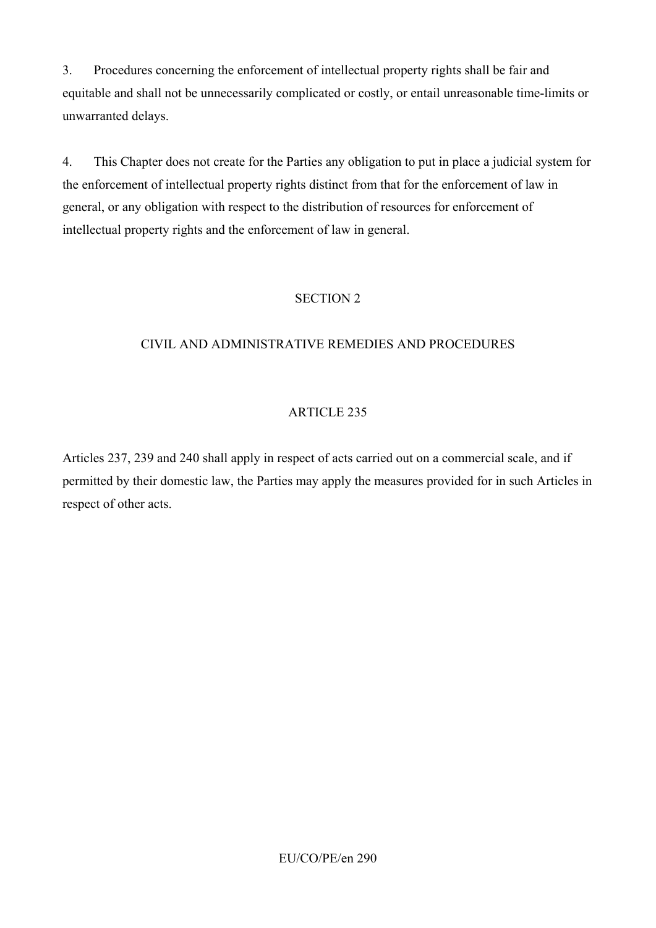3. Procedures concerning the enforcement of intellectual property rights shall be fair and equitable and shall not be unnecessarily complicated or costly, or entail unreasonable time-limits or unwarranted delays.

4. This Chapter does not create for the Parties any obligation to put in place a judicial system for the enforcement of intellectual property rights distinct from that for the enforcement of law in general, or any obligation with respect to the distribution of resources for enforcement of intellectual property rights and the enforcement of law in general.

### SECTION 2

## CIVIL AND ADMINISTRATIVE REMEDIES AND PROCEDURES

## ARTICLE 235

Articles 237, 239 and 240 shall apply in respect of acts carried out on a commercial scale, and if permitted by their domestic law, the Parties may apply the measures provided for in such Articles in respect of other acts.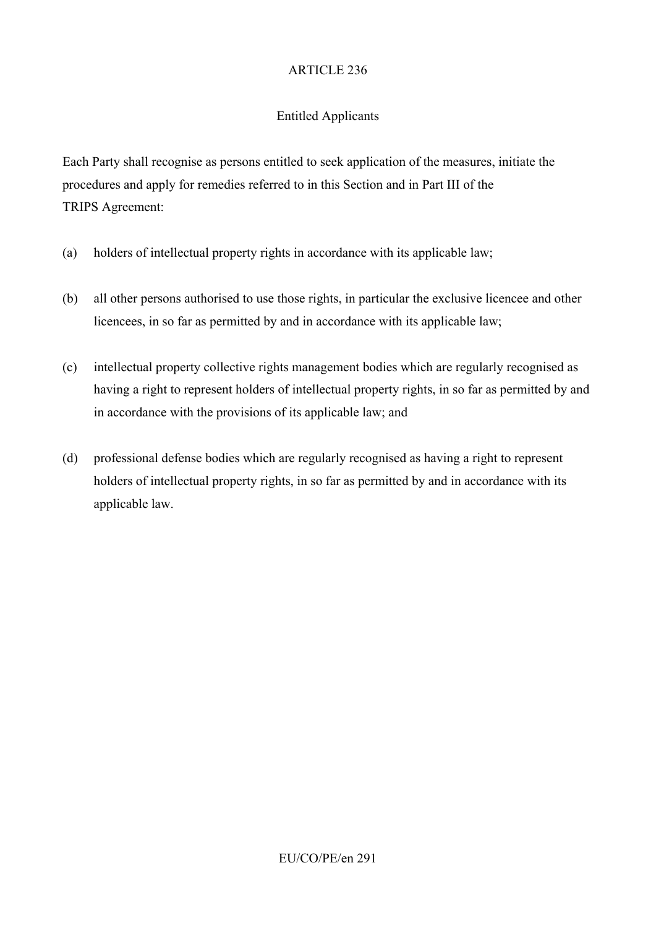# Entitled Applicants

Each Party shall recognise as persons entitled to seek application of the measures, initiate the procedures and apply for remedies referred to in this Section and in Part III of the TRIPS Agreement:

- (a) holders of intellectual property rights in accordance with its applicable law;
- (b) all other persons authorised to use those rights, in particular the exclusive licencee and other licencees, in so far as permitted by and in accordance with its applicable law;
- (c) intellectual property collective rights management bodies which are regularly recognised as having a right to represent holders of intellectual property rights, in so far as permitted by and in accordance with the provisions of its applicable law; and
- (d) professional defense bodies which are regularly recognised as having a right to represent holders of intellectual property rights, in so far as permitted by and in accordance with its applicable law.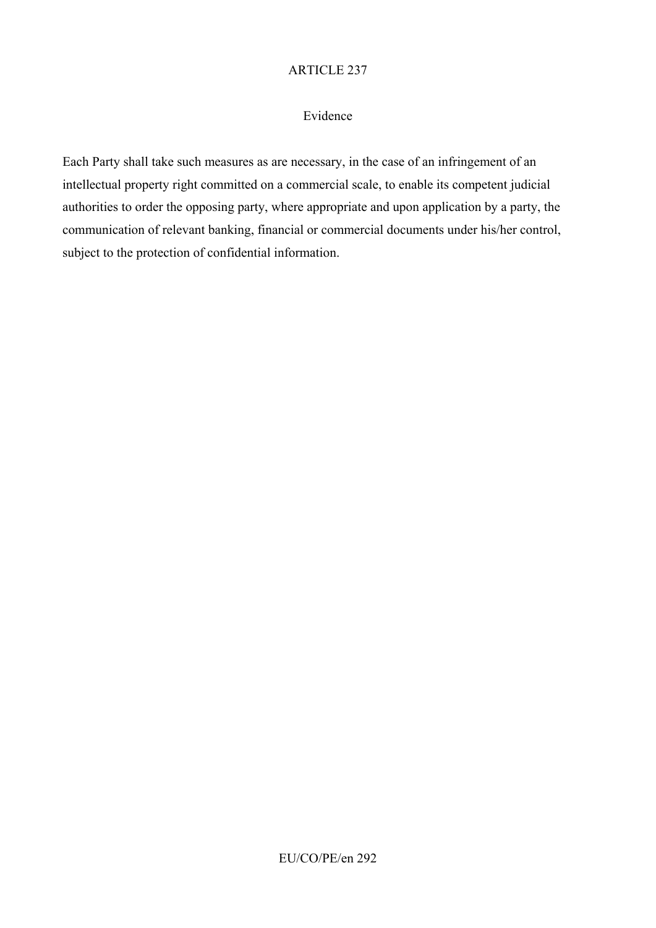#### Evidence

Each Party shall take such measures as are necessary, in the case of an infringement of an intellectual property right committed on a commercial scale, to enable its competent judicial authorities to order the opposing party, where appropriate and upon application by a party, the communication of relevant banking, financial or commercial documents under his/her control, subject to the protection of confidential information.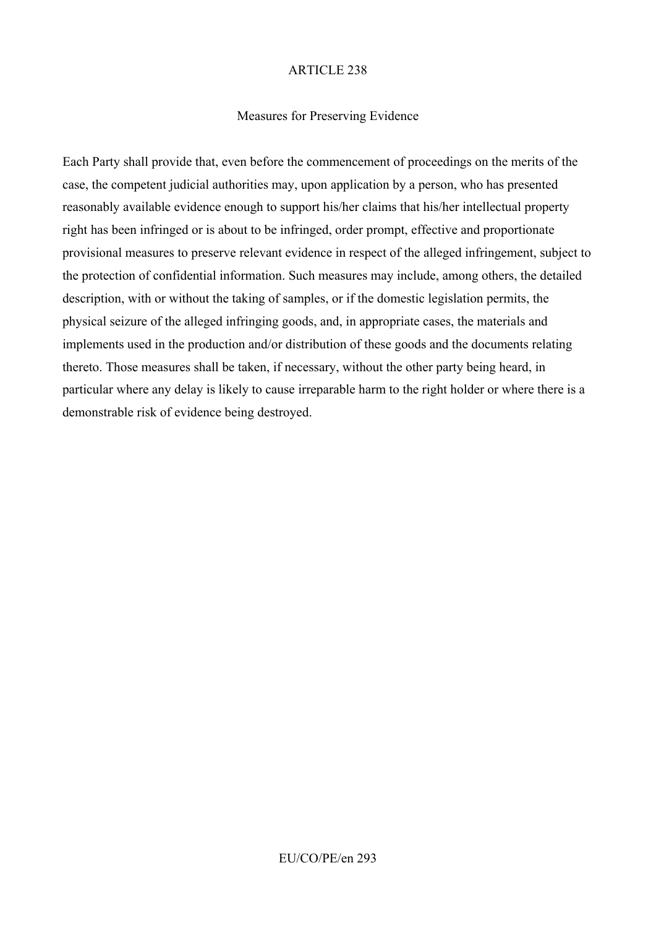### Measures for Preserving Evidence

Each Party shall provide that, even before the commencement of proceedings on the merits of the case, the competent judicial authorities may, upon application by a person, who has presented reasonably available evidence enough to support his/her claims that his/her intellectual property right has been infringed or is about to be infringed, order prompt, effective and proportionate provisional measures to preserve relevant evidence in respect of the alleged infringement, subject to the protection of confidential information. Such measures may include, among others, the detailed description, with or without the taking of samples, or if the domestic legislation permits, the physical seizure of the alleged infringing goods, and, in appropriate cases, the materials and implements used in the production and/or distribution of these goods and the documents relating thereto. Those measures shall be taken, if necessary, without the other party being heard, in particular where any delay is likely to cause irreparable harm to the right holder or where there is a demonstrable risk of evidence being destroyed.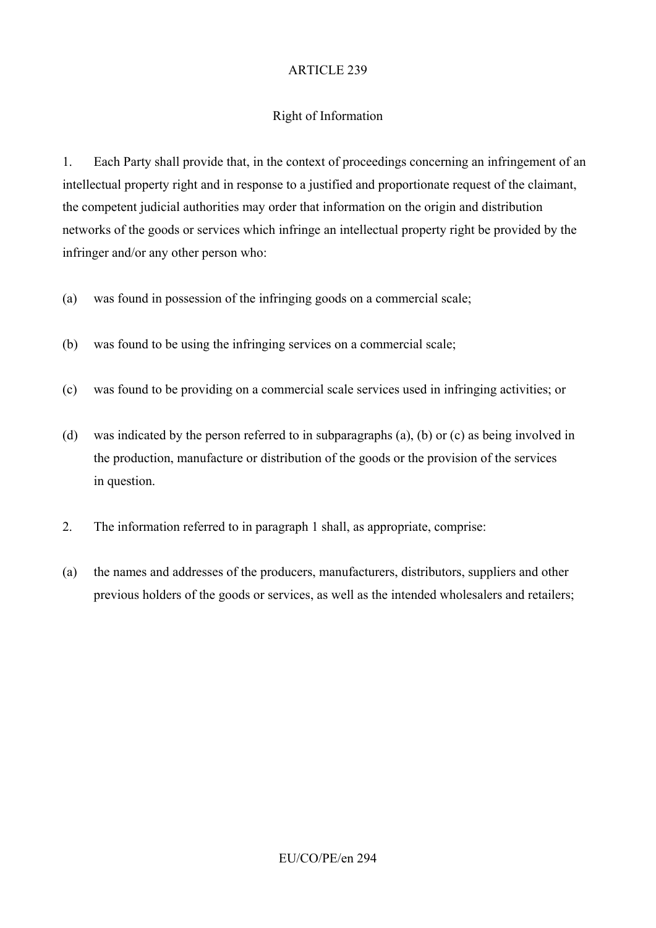### Right of Information

1. Each Party shall provide that, in the context of proceedings concerning an infringement of an intellectual property right and in response to a justified and proportionate request of the claimant, the competent judicial authorities may order that information on the origin and distribution networks of the goods or services which infringe an intellectual property right be provided by the infringer and/or any other person who:

- (a) was found in possession of the infringing goods on a commercial scale;
- (b) was found to be using the infringing services on a commercial scale;
- (c) was found to be providing on a commercial scale services used in infringing activities; or
- (d) was indicated by the person referred to in subparagraphs (a), (b) or (c) as being involved in the production, manufacture or distribution of the goods or the provision of the services in question.
- 2. The information referred to in paragraph 1 shall, as appropriate, comprise:
- (a) the names and addresses of the producers, manufacturers, distributors, suppliers and other previous holders of the goods or services, as well as the intended wholesalers and retailers;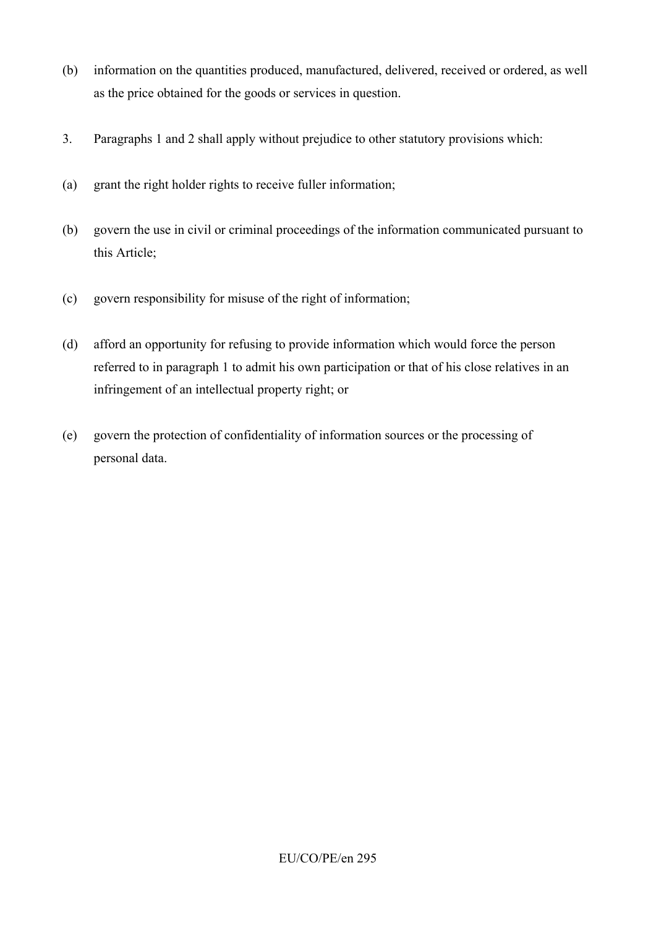- (b) information on the quantities produced, manufactured, delivered, received or ordered, as well as the price obtained for the goods or services in question.
- 3. Paragraphs 1 and 2 shall apply without prejudice to other statutory provisions which:
- (a) grant the right holder rights to receive fuller information;
- (b) govern the use in civil or criminal proceedings of the information communicated pursuant to this Article;
- (c) govern responsibility for misuse of the right of information;
- (d) afford an opportunity for refusing to provide information which would force the person referred to in paragraph 1 to admit his own participation or that of his close relatives in an infringement of an intellectual property right; or
- (e) govern the protection of confidentiality of information sources or the processing of personal data.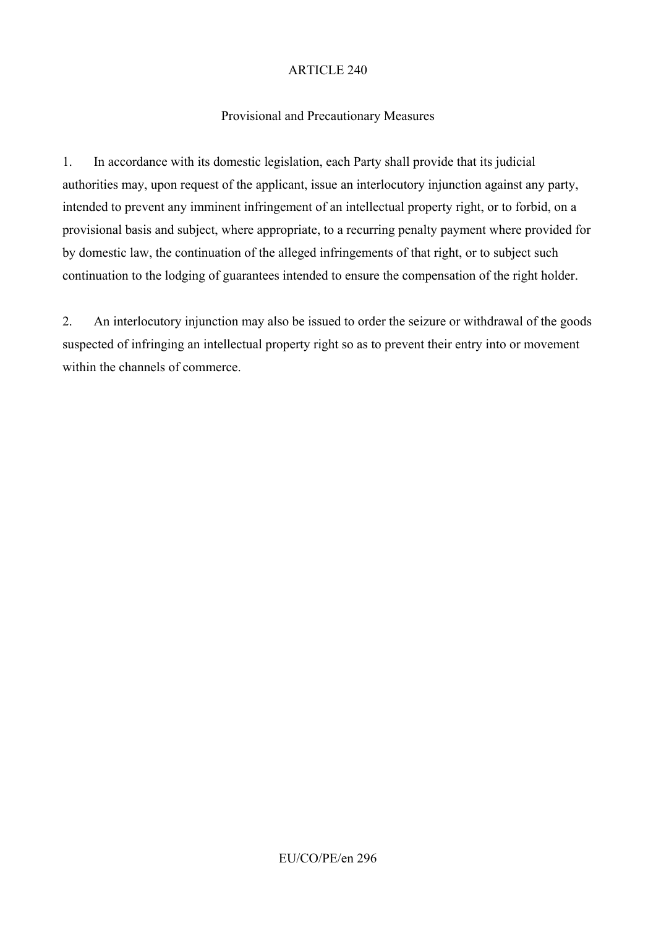### Provisional and Precautionary Measures

1. In accordance with its domestic legislation, each Party shall provide that its judicial authorities may, upon request of the applicant, issue an interlocutory injunction against any party, intended to prevent any imminent infringement of an intellectual property right, or to forbid, on a provisional basis and subject, where appropriate, to a recurring penalty payment where provided for by domestic law, the continuation of the alleged infringements of that right, or to subject such continuation to the lodging of guarantees intended to ensure the compensation of the right holder.

2. An interlocutory injunction may also be issued to order the seizure or withdrawal of the goods suspected of infringing an intellectual property right so as to prevent their entry into or movement within the channels of commerce.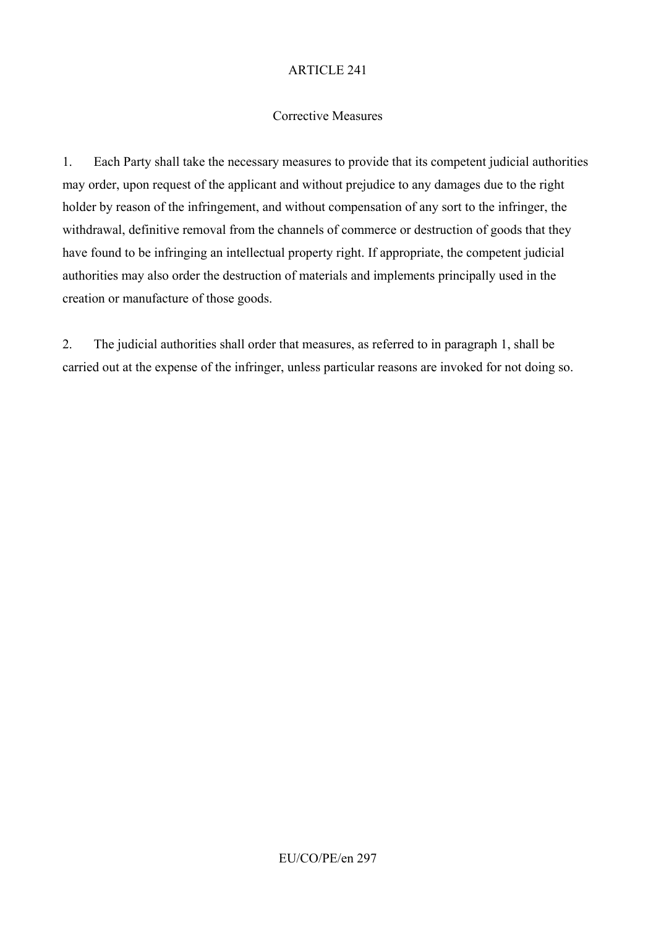### Corrective Measures

1. Each Party shall take the necessary measures to provide that its competent judicial authorities may order, upon request of the applicant and without prejudice to any damages due to the right holder by reason of the infringement, and without compensation of any sort to the infringer, the withdrawal, definitive removal from the channels of commerce or destruction of goods that they have found to be infringing an intellectual property right. If appropriate, the competent judicial authorities may also order the destruction of materials and implements principally used in the creation or manufacture of those goods.

2. The judicial authorities shall order that measures, as referred to in paragraph 1, shall be carried out at the expense of the infringer, unless particular reasons are invoked for not doing so.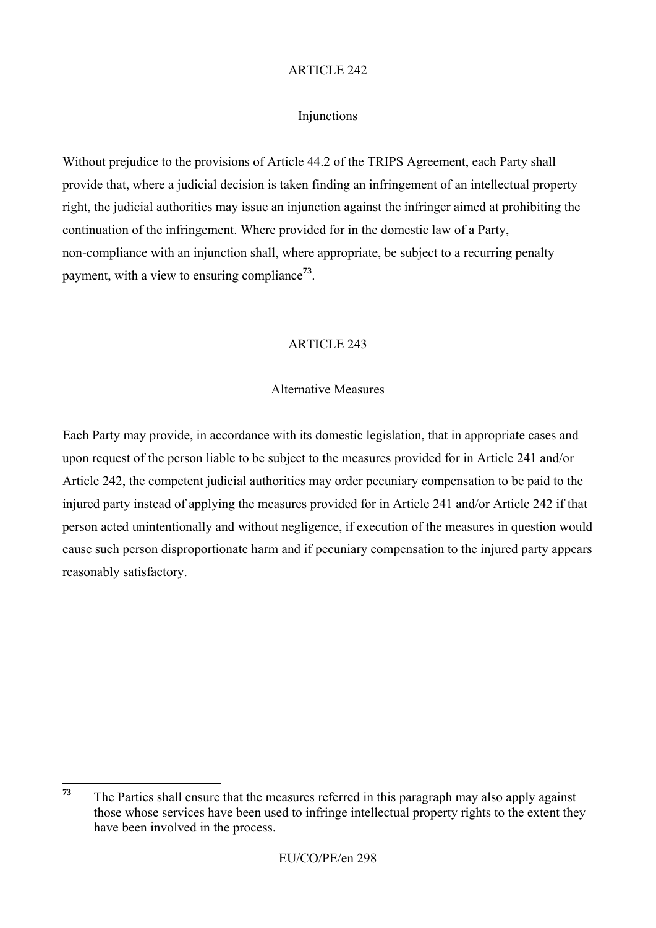#### Injunctions

Without prejudice to the provisions of Article 44.2 of the TRIPS Agreement, each Party shall provide that, where a judicial decision is taken finding an infringement of an intellectual property right, the judicial authorities may issue an injunction against the infringer aimed at prohibiting the continuation of the infringement. Where provided for in the domestic law of a Party, non-compliance with an injunction shall, where appropriate, be subject to a recurring penalty payment, with a view to ensuring compliance**<sup>73</sup>**.

### ARTICLE 243

#### Alternative Measures

Each Party may provide, in accordance with its domestic legislation, that in appropriate cases and upon request of the person liable to be subject to the measures provided for in Article 241 and/or Article 242, the competent judicial authorities may order pecuniary compensation to be paid to the injured party instead of applying the measures provided for in Article 241 and/or Article 242 if that person acted unintentionally and without negligence, if execution of the measures in question would cause such person disproportionate harm and if pecuniary compensation to the injured party appears reasonably satisfactory.

<sup>73</sup> **<sup>73</sup>** The Parties shall ensure that the measures referred in this paragraph may also apply against those whose services have been used to infringe intellectual property rights to the extent they have been involved in the process.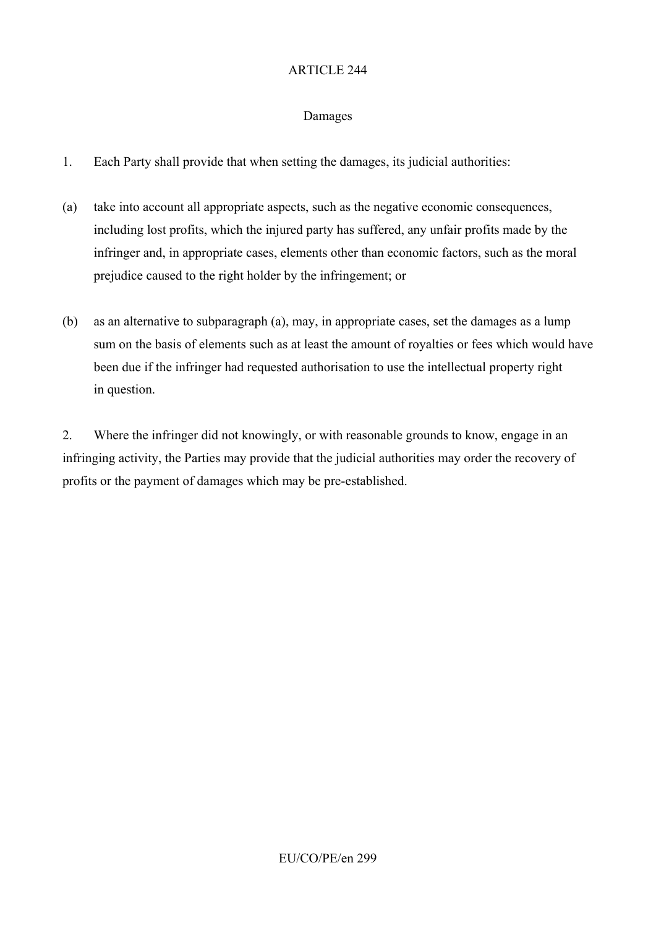#### Damages

- 1. Each Party shall provide that when setting the damages, its judicial authorities:
- (a) take into account all appropriate aspects, such as the negative economic consequences, including lost profits, which the injured party has suffered, any unfair profits made by the infringer and, in appropriate cases, elements other than economic factors, such as the moral prejudice caused to the right holder by the infringement; or
- (b) as an alternative to subparagraph (a), may, in appropriate cases, set the damages as a lump sum on the basis of elements such as at least the amount of royalties or fees which would have been due if the infringer had requested authorisation to use the intellectual property right in question.

2. Where the infringer did not knowingly, or with reasonable grounds to know, engage in an infringing activity, the Parties may provide that the judicial authorities may order the recovery of profits or the payment of damages which may be pre-established.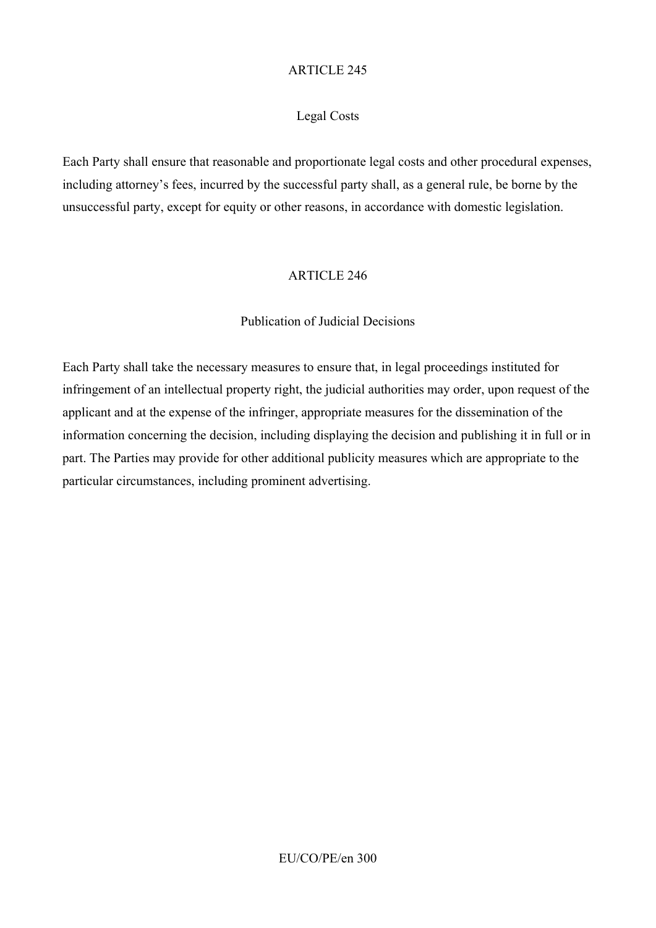### Legal Costs

Each Party shall ensure that reasonable and proportionate legal costs and other procedural expenses, including attorney's fees, incurred by the successful party shall, as a general rule, be borne by the unsuccessful party, except for equity or other reasons, in accordance with domestic legislation.

#### ARTICLE 246

#### Publication of Judicial Decisions

Each Party shall take the necessary measures to ensure that, in legal proceedings instituted for infringement of an intellectual property right, the judicial authorities may order, upon request of the applicant and at the expense of the infringer, appropriate measures for the dissemination of the information concerning the decision, including displaying the decision and publishing it in full or in part. The Parties may provide for other additional publicity measures which are appropriate to the particular circumstances, including prominent advertising.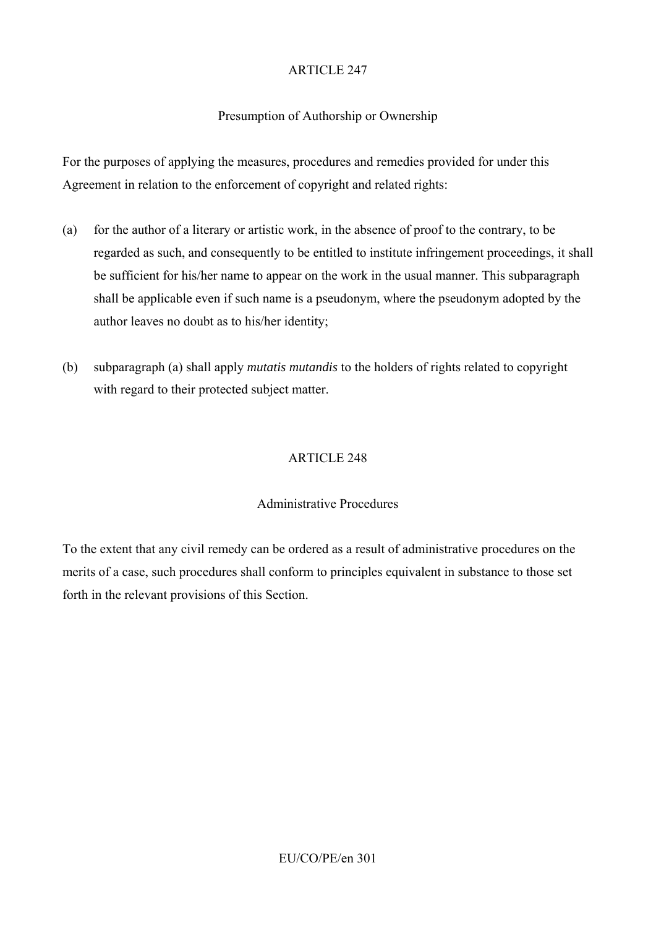## Presumption of Authorship or Ownership

For the purposes of applying the measures, procedures and remedies provided for under this Agreement in relation to the enforcement of copyright and related rights:

- (a) for the author of a literary or artistic work, in the absence of proof to the contrary, to be regarded as such, and consequently to be entitled to institute infringement proceedings, it shall be sufficient for his/her name to appear on the work in the usual manner. This subparagraph shall be applicable even if such name is a pseudonym, where the pseudonym adopted by the author leaves no doubt as to his/her identity;
- (b) subparagraph (a) shall apply *mutatis mutandis* to the holders of rights related to copyright with regard to their protected subject matter.

## ARTICLE 248

### Administrative Procedures

To the extent that any civil remedy can be ordered as a result of administrative procedures on the merits of a case, such procedures shall conform to principles equivalent in substance to those set forth in the relevant provisions of this Section.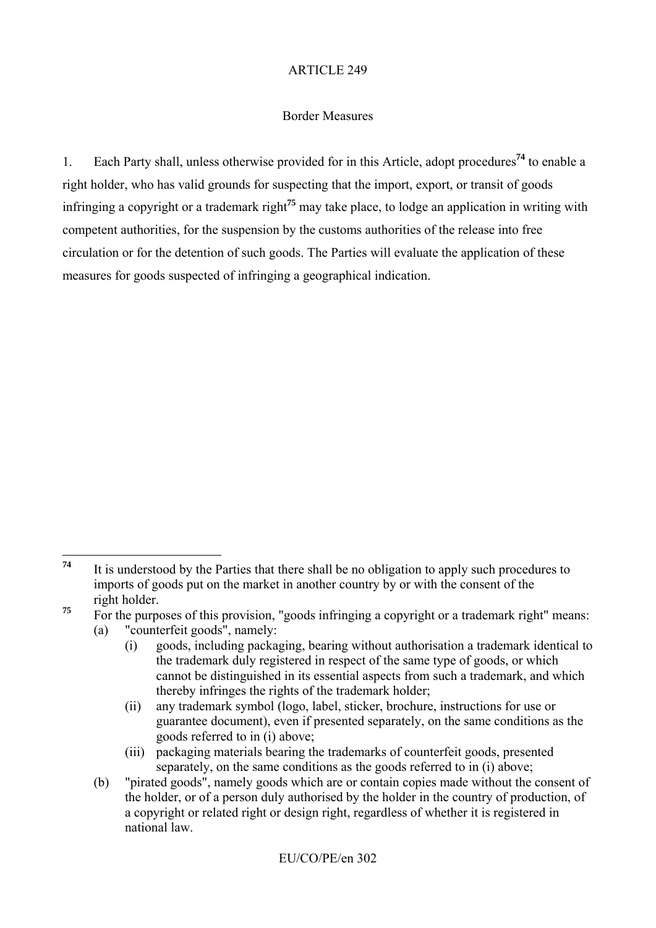### Border Measures

1. Each Party shall, unless otherwise provided for in this Article, adopt procedures**<sup>74</sup>** to enable a right holder, who has valid grounds for suspecting that the import, export, or transit of goods infringing a copyright or a trademark right**<sup>75</sup>** may take place, to lodge an application in writing with competent authorities, for the suspension by the customs authorities of the release into free circulation or for the detention of such goods. The Parties will evaluate the application of these measures for goods suspected of infringing a geographical indication.

- (a) "counterfeit goods", namely:
	- (i) goods, including packaging, bearing without authorisation a trademark identical to the trademark duly registered in respect of the same type of goods, or which cannot be distinguished in its essential aspects from such a trademark, and which thereby infringes the rights of the trademark holder;
	- (ii) any trademark symbol (logo, label, sticker, brochure, instructions for use or guarantee document), even if presented separately, on the same conditions as the goods referred to in (i) above;
	- (iii) packaging materials bearing the trademarks of counterfeit goods, presented separately, on the same conditions as the goods referred to in (i) above;
- (b) "pirated goods", namely goods which are or contain copies made without the consent of the holder, or of a person duly authorised by the holder in the country of production, of a copyright or related right or design right, regardless of whether it is registered in national law.

 $74$ **<sup>74</sup>** It is understood by the Parties that there shall be no obligation to apply such procedures to imports of goods put on the market in another country by or with the consent of the right holder.

<sup>&</sup>lt;sup>75</sup> For the purposes of this provision. "goods infringing a copyright or a trademark right" means: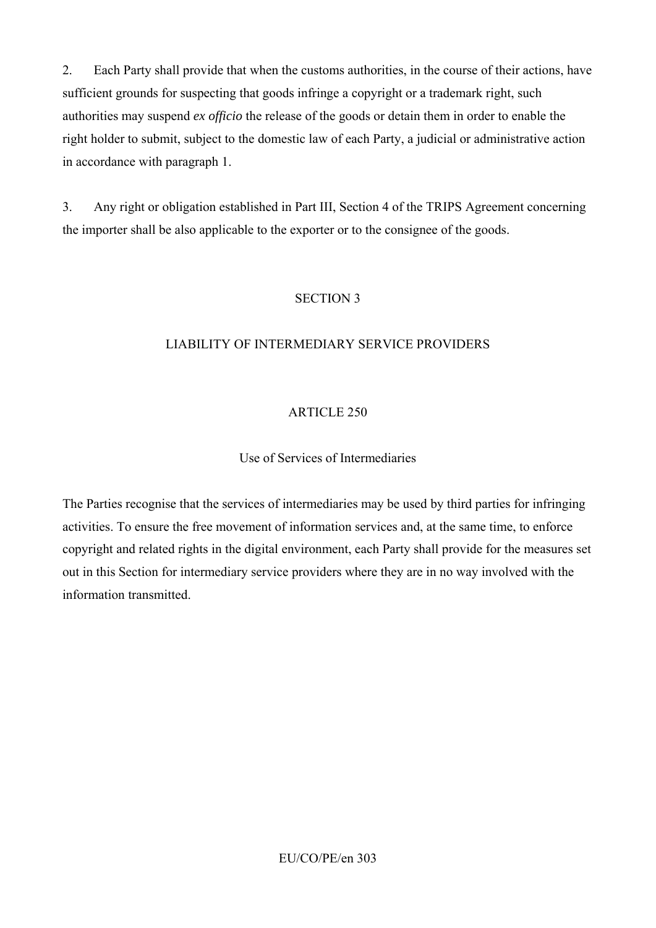2. Each Party shall provide that when the customs authorities, in the course of their actions, have sufficient grounds for suspecting that goods infringe a copyright or a trademark right, such authorities may suspend *ex officio* the release of the goods or detain them in order to enable the right holder to submit, subject to the domestic law of each Party, a judicial or administrative action in accordance with paragraph 1.

3. Any right or obligation established in Part III, Section 4 of the TRIPS Agreement concerning the importer shall be also applicable to the exporter or to the consignee of the goods.

### SECTION 3

## LIABILITY OF INTERMEDIARY SERVICE PROVIDERS

## ARTICLE 250

## Use of Services of Intermediaries

The Parties recognise that the services of intermediaries may be used by third parties for infringing activities. To ensure the free movement of information services and, at the same time, to enforce copyright and related rights in the digital environment, each Party shall provide for the measures set out in this Section for intermediary service providers where they are in no way involved with the information transmitted.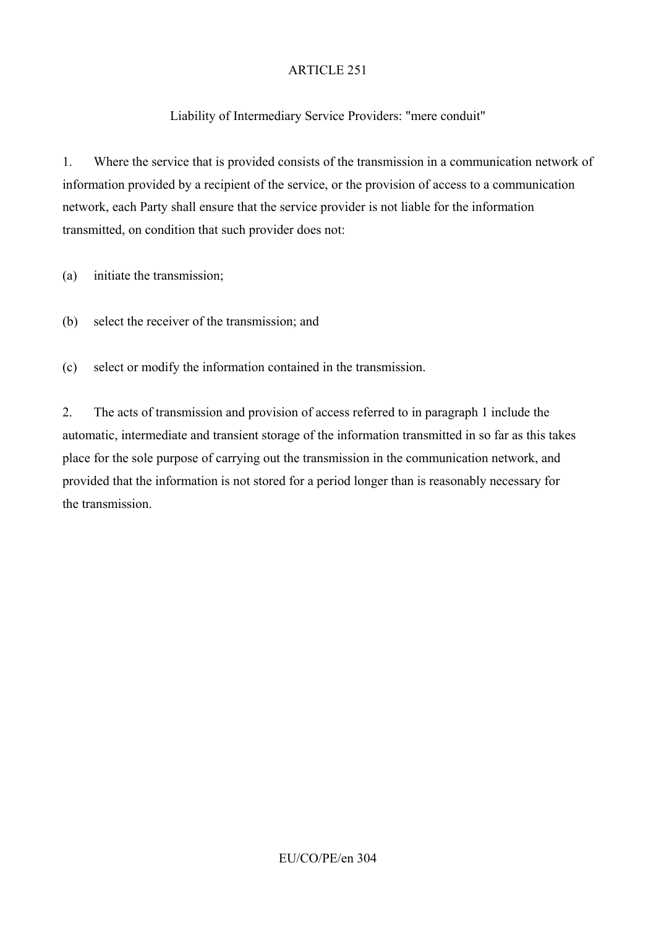# Liability of Intermediary Service Providers: "mere conduit"

1. Where the service that is provided consists of the transmission in a communication network of information provided by a recipient of the service, or the provision of access to a communication network, each Party shall ensure that the service provider is not liable for the information transmitted, on condition that such provider does not:

(a) initiate the transmission;

(b) select the receiver of the transmission; and

(c) select or modify the information contained in the transmission.

2. The acts of transmission and provision of access referred to in paragraph 1 include the automatic, intermediate and transient storage of the information transmitted in so far as this takes place for the sole purpose of carrying out the transmission in the communication network, and provided that the information is not stored for a period longer than is reasonably necessary for the transmission.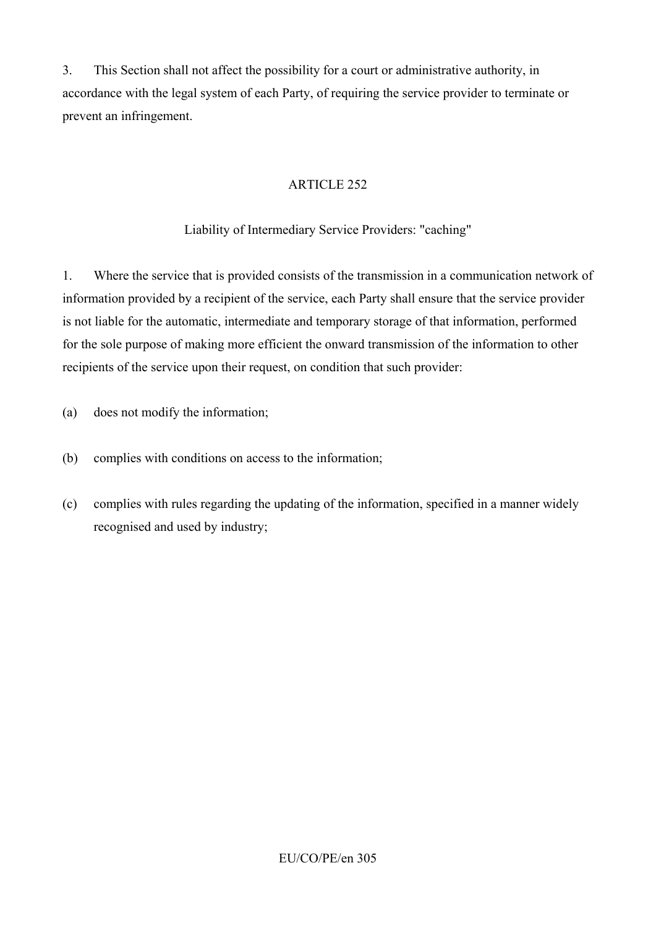3. This Section shall not affect the possibility for a court or administrative authority, in accordance with the legal system of each Party, of requiring the service provider to terminate or prevent an infringement.

# ARTICLE 252

Liability of Intermediary Service Providers: "caching"

1. Where the service that is provided consists of the transmission in a communication network of information provided by a recipient of the service, each Party shall ensure that the service provider is not liable for the automatic, intermediate and temporary storage of that information, performed for the sole purpose of making more efficient the onward transmission of the information to other recipients of the service upon their request, on condition that such provider:

- (a) does not modify the information;
- (b) complies with conditions on access to the information;
- (c) complies with rules regarding the updating of the information, specified in a manner widely recognised and used by industry;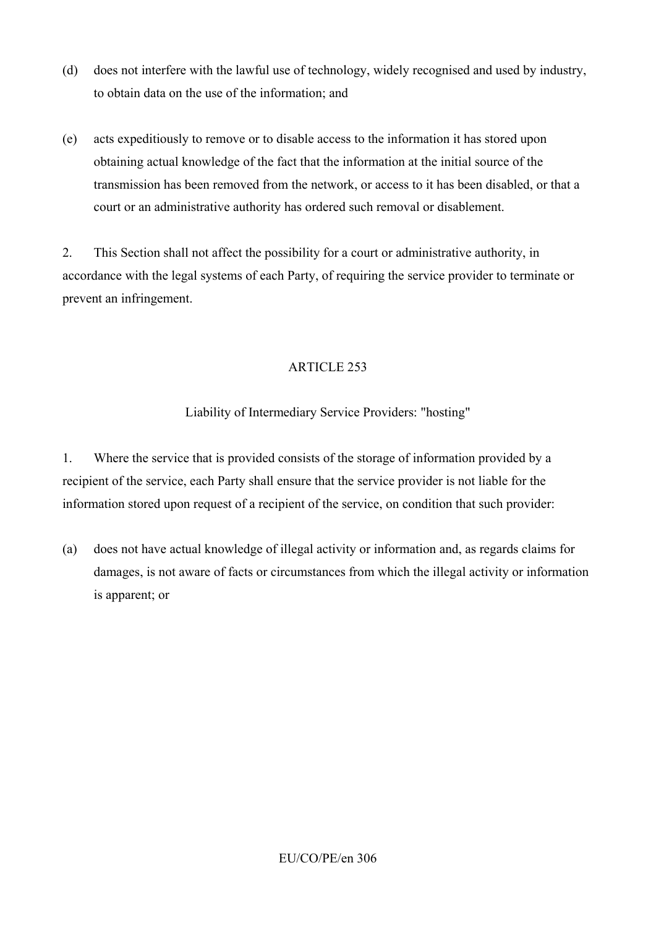- (d) does not interfere with the lawful use of technology, widely recognised and used by industry, to obtain data on the use of the information; and
- (e) acts expeditiously to remove or to disable access to the information it has stored upon obtaining actual knowledge of the fact that the information at the initial source of the transmission has been removed from the network, or access to it has been disabled, or that a court or an administrative authority has ordered such removal or disablement.

2. This Section shall not affect the possibility for a court or administrative authority, in accordance with the legal systems of each Party, of requiring the service provider to terminate or prevent an infringement.

## ARTICLE 253

## Liability of Intermediary Service Providers: "hosting"

1. Where the service that is provided consists of the storage of information provided by a recipient of the service, each Party shall ensure that the service provider is not liable for the information stored upon request of a recipient of the service, on condition that such provider:

(a) does not have actual knowledge of illegal activity or information and, as regards claims for damages, is not aware of facts or circumstances from which the illegal activity or information is apparent; or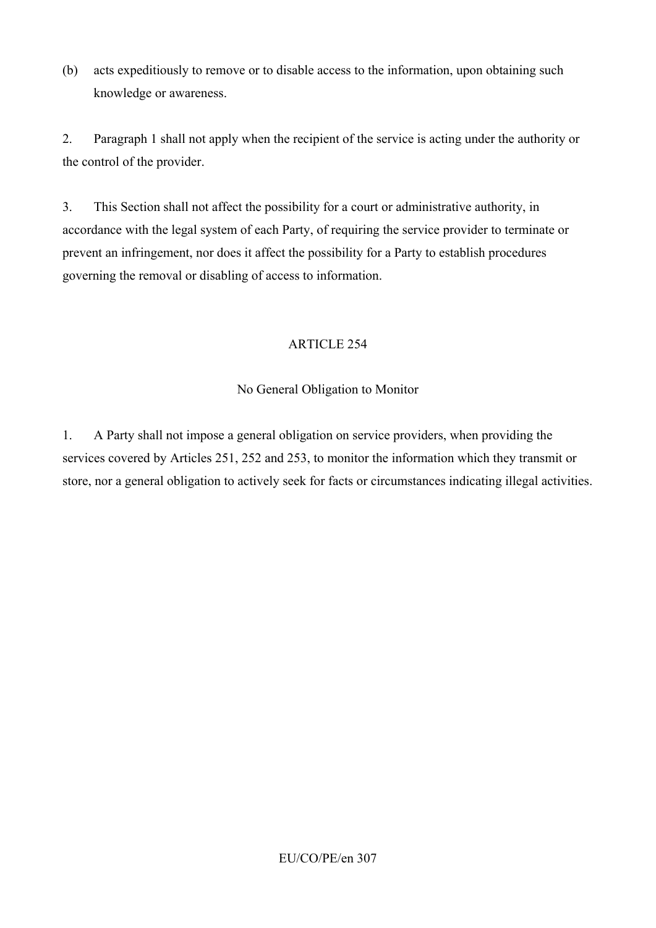(b) acts expeditiously to remove or to disable access to the information, upon obtaining such knowledge or awareness.

2. Paragraph 1 shall not apply when the recipient of the service is acting under the authority or the control of the provider.

3. This Section shall not affect the possibility for a court or administrative authority, in accordance with the legal system of each Party, of requiring the service provider to terminate or prevent an infringement, nor does it affect the possibility for a Party to establish procedures governing the removal or disabling of access to information.

## ARTICLE 254

# No General Obligation to Monitor

1. A Party shall not impose a general obligation on service providers, when providing the services covered by Articles 251, 252 and 253, to monitor the information which they transmit or store, nor a general obligation to actively seek for facts or circumstances indicating illegal activities.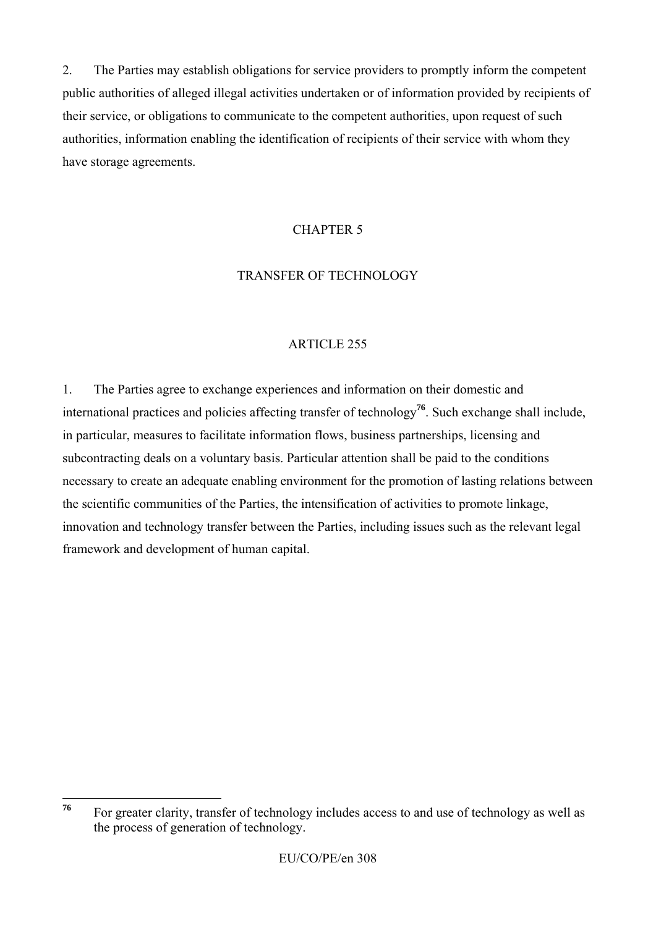2. The Parties may establish obligations for service providers to promptly inform the competent public authorities of alleged illegal activities undertaken or of information provided by recipients of their service, or obligations to communicate to the competent authorities, upon request of such authorities, information enabling the identification of recipients of their service with whom they have storage agreements.

### CHAPTER 5

### TRANSFER OF TECHNOLOGY

## ARTICLE 255

1. The Parties agree to exchange experiences and information on their domestic and international practices and policies affecting transfer of technology**<sup>76</sup>**. Such exchange shall include, in particular, measures to facilitate information flows, business partnerships, licensing and subcontracting deals on a voluntary basis. Particular attention shall be paid to the conditions necessary to create an adequate enabling environment for the promotion of lasting relations between the scientific communities of the Parties, the intensification of activities to promote linkage, innovation and technology transfer between the Parties, including issues such as the relevant legal framework and development of human capital.

<sup>76</sup> For greater clarity, transfer of technology includes access to and use of technology as well as the process of generation of technology.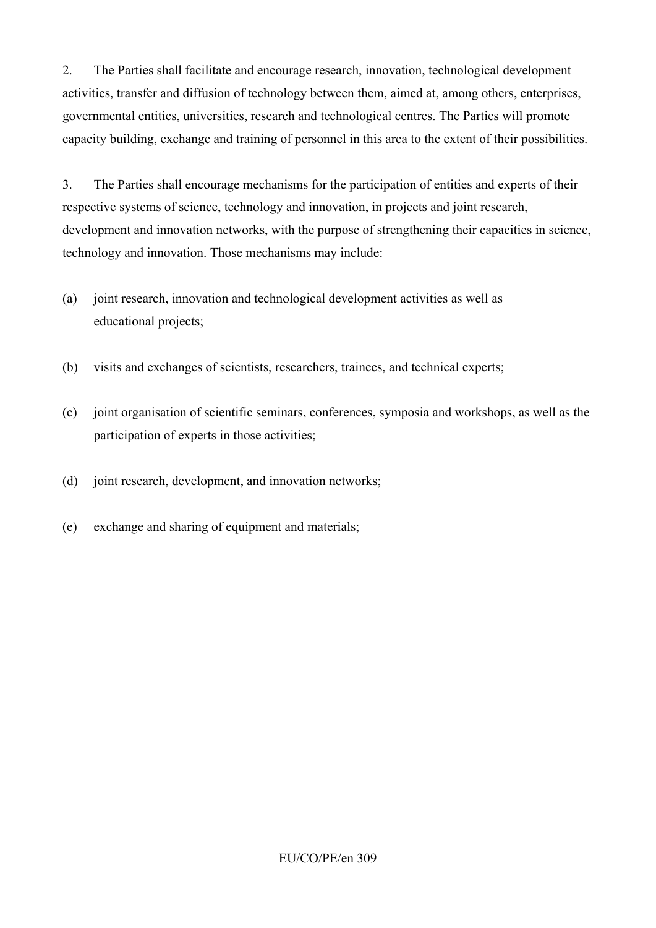2. The Parties shall facilitate and encourage research, innovation, technological development activities, transfer and diffusion of technology between them, aimed at, among others, enterprises, governmental entities, universities, research and technological centres. The Parties will promote capacity building, exchange and training of personnel in this area to the extent of their possibilities.

3. The Parties shall encourage mechanisms for the participation of entities and experts of their respective systems of science, technology and innovation, in projects and joint research, development and innovation networks, with the purpose of strengthening their capacities in science, technology and innovation. Those mechanisms may include:

- (a) joint research, innovation and technological development activities as well as educational projects;
- (b) visits and exchanges of scientists, researchers, trainees, and technical experts;
- (c) joint organisation of scientific seminars, conferences, symposia and workshops, as well as the participation of experts in those activities;
- (d) joint research, development, and innovation networks;
- (e) exchange and sharing of equipment and materials;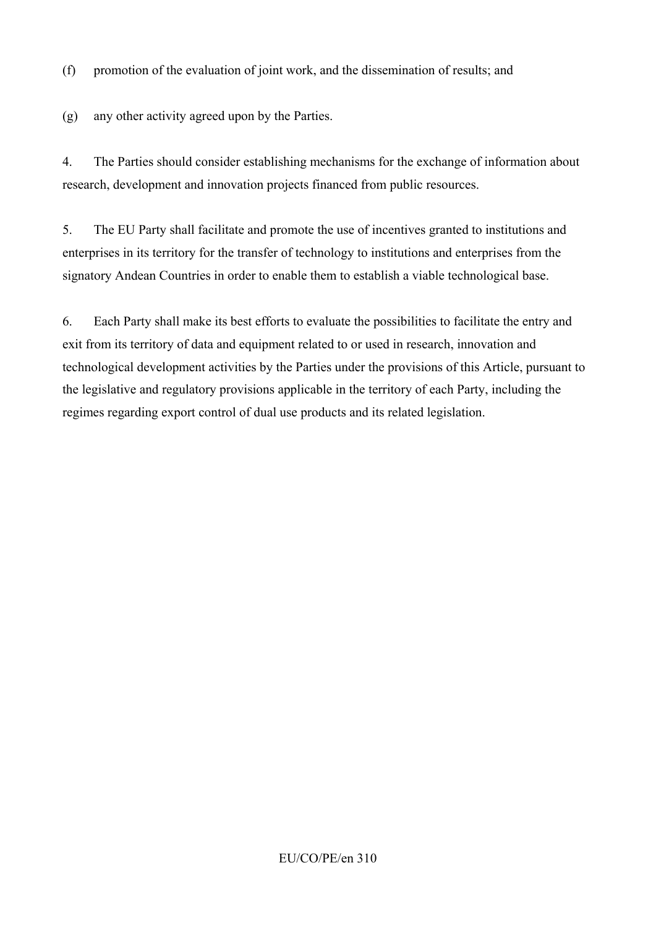(f) promotion of the evaluation of joint work, and the dissemination of results; and

(g) any other activity agreed upon by the Parties.

4. The Parties should consider establishing mechanisms for the exchange of information about research, development and innovation projects financed from public resources.

5. The EU Party shall facilitate and promote the use of incentives granted to institutions and enterprises in its territory for the transfer of technology to institutions and enterprises from the signatory Andean Countries in order to enable them to establish a viable technological base.

6. Each Party shall make its best efforts to evaluate the possibilities to facilitate the entry and exit from its territory of data and equipment related to or used in research, innovation and technological development activities by the Parties under the provisions of this Article, pursuant to the legislative and regulatory provisions applicable in the territory of each Party, including the regimes regarding export control of dual use products and its related legislation.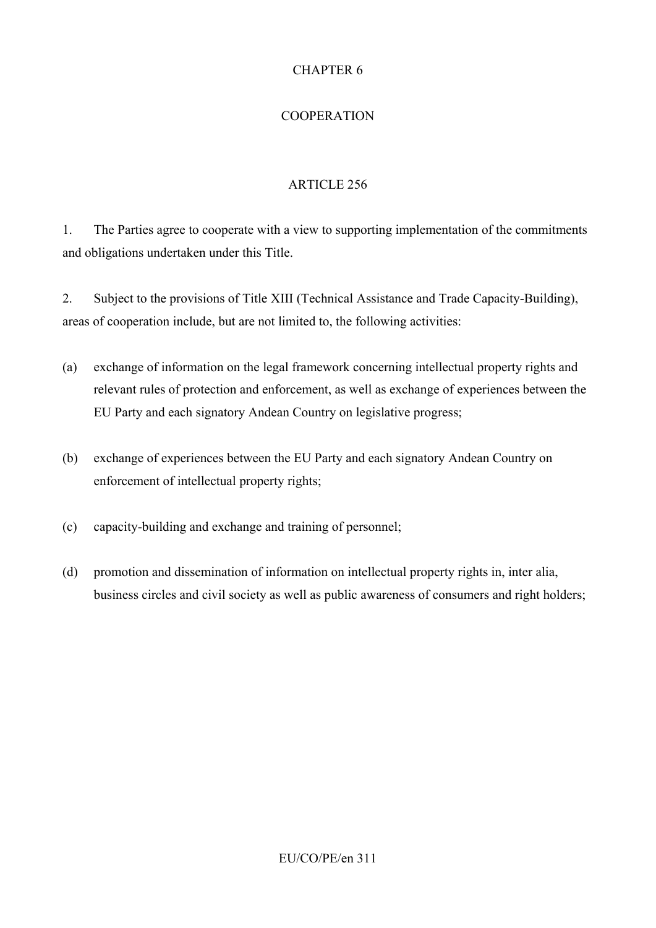## CHAPTER 6

## COOPERATION

## ARTICLE 256

1. The Parties agree to cooperate with a view to supporting implementation of the commitments and obligations undertaken under this Title.

2. Subject to the provisions of Title XIII (Technical Assistance and Trade Capacity-Building), areas of cooperation include, but are not limited to, the following activities:

- (a) exchange of information on the legal framework concerning intellectual property rights and relevant rules of protection and enforcement, as well as exchange of experiences between the EU Party and each signatory Andean Country on legislative progress;
- (b) exchange of experiences between the EU Party and each signatory Andean Country on enforcement of intellectual property rights;
- (c) capacity-building and exchange and training of personnel;
- (d) promotion and dissemination of information on intellectual property rights in, inter alia, business circles and civil society as well as public awareness of consumers and right holders;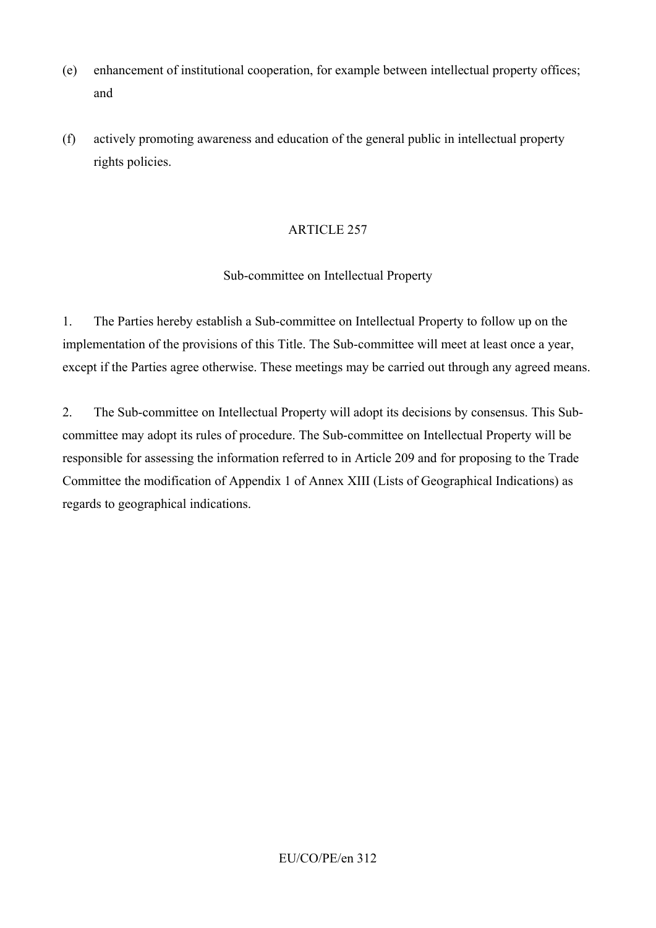- (e) enhancement of institutional cooperation, for example between intellectual property offices; and
- (f) actively promoting awareness and education of the general public in intellectual property rights policies.

### Sub-committee on Intellectual Property

1. The Parties hereby establish a Sub-committee on Intellectual Property to follow up on the implementation of the provisions of this Title. The Sub-committee will meet at least once a year, except if the Parties agree otherwise. These meetings may be carried out through any agreed means.

2. The Sub-committee on Intellectual Property will adopt its decisions by consensus. This Subcommittee may adopt its rules of procedure. The Sub-committee on Intellectual Property will be responsible for assessing the information referred to in Article 209 and for proposing to the Trade Committee the modification of Appendix 1 of Annex XIII (Lists of Geographical Indications) as regards to geographical indications.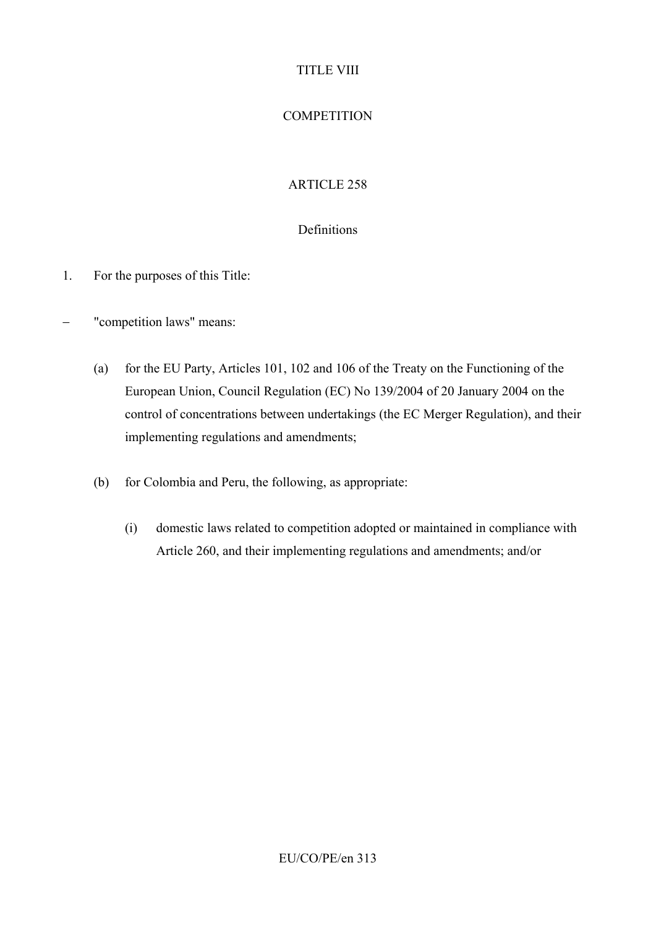## TITLE VIII

# **COMPETITION**

# ARTICLE 258

## Definitions

- 1. For the purposes of this Title:
- − "competition laws" means:
	- (a) for the EU Party, Articles 101, 102 and 106 of the Treaty on the Functioning of the European Union, Council Regulation (EC) No 139/2004 of 20 January 2004 on the control of concentrations between undertakings (the EC Merger Regulation), and their implementing regulations and amendments;
	- (b) for Colombia and Peru, the following, as appropriate:
		- (i) domestic laws related to competition adopted or maintained in compliance with Article 260, and their implementing regulations and amendments; and/or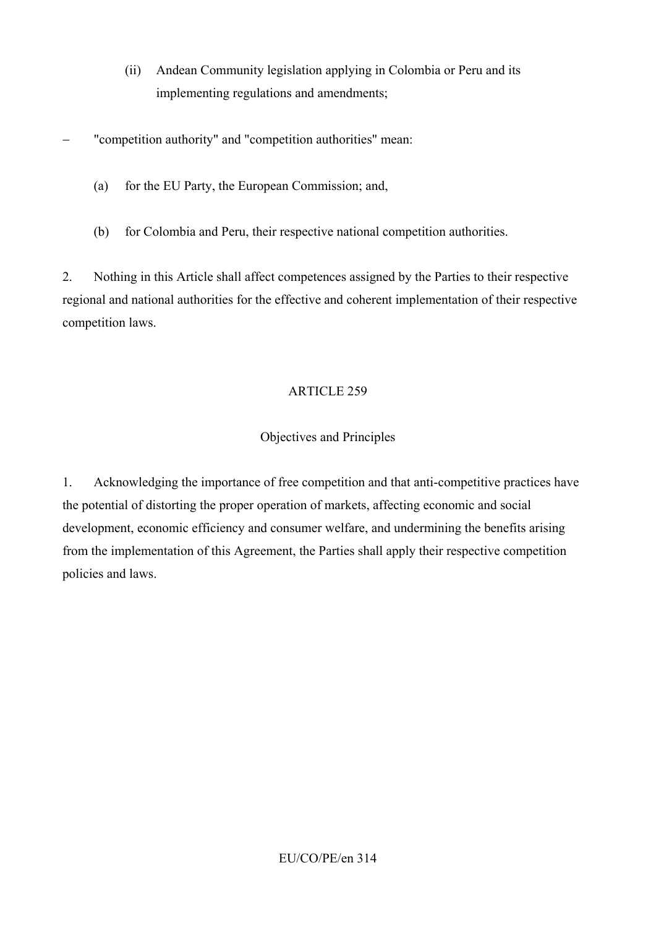- (ii) Andean Community legislation applying in Colombia or Peru and its implementing regulations and amendments;
- "competition authority" and "competition authorities" mean:
	- (a) for the EU Party, the European Commission; and,
	- (b) for Colombia and Peru, their respective national competition authorities.

2. Nothing in this Article shall affect competences assigned by the Parties to their respective regional and national authorities for the effective and coherent implementation of their respective competition laws.

# ARTICLE 259

# Objectives and Principles

1. Acknowledging the importance of free competition and that anti-competitive practices have the potential of distorting the proper operation of markets, affecting economic and social development, economic efficiency and consumer welfare, and undermining the benefits arising from the implementation of this Agreement, the Parties shall apply their respective competition policies and laws.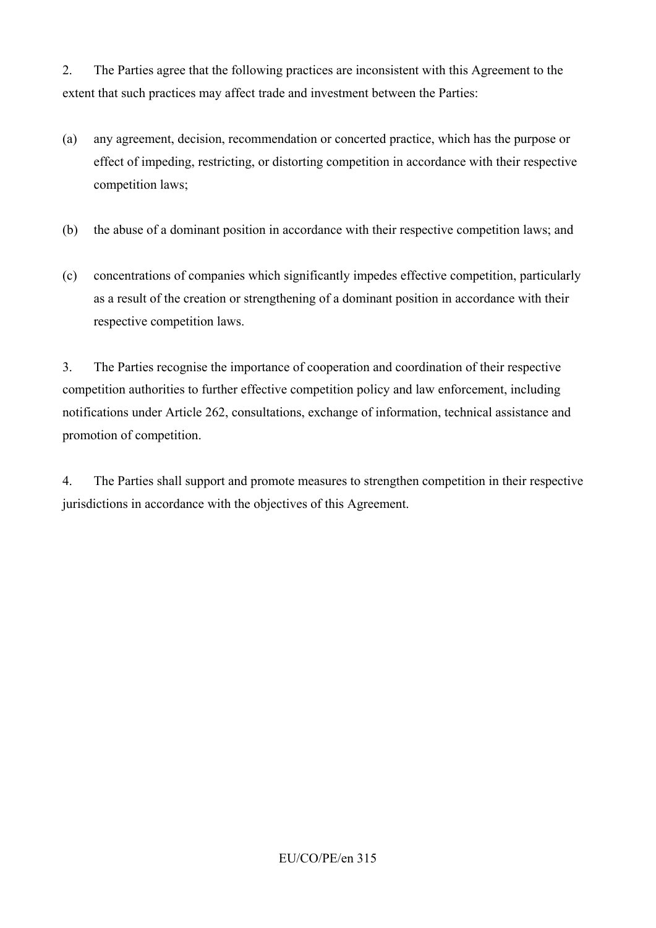2. The Parties agree that the following practices are inconsistent with this Agreement to the extent that such practices may affect trade and investment between the Parties:

- (a) any agreement, decision, recommendation or concerted practice, which has the purpose or effect of impeding, restricting, or distorting competition in accordance with their respective competition laws;
- (b) the abuse of a dominant position in accordance with their respective competition laws; and
- (c) concentrations of companies which significantly impedes effective competition, particularly as a result of the creation or strengthening of a dominant position in accordance with their respective competition laws.

3. The Parties recognise the importance of cooperation and coordination of their respective competition authorities to further effective competition policy and law enforcement, including notifications under Article 262, consultations, exchange of information, technical assistance and promotion of competition.

4. The Parties shall support and promote measures to strengthen competition in their respective jurisdictions in accordance with the objectives of this Agreement.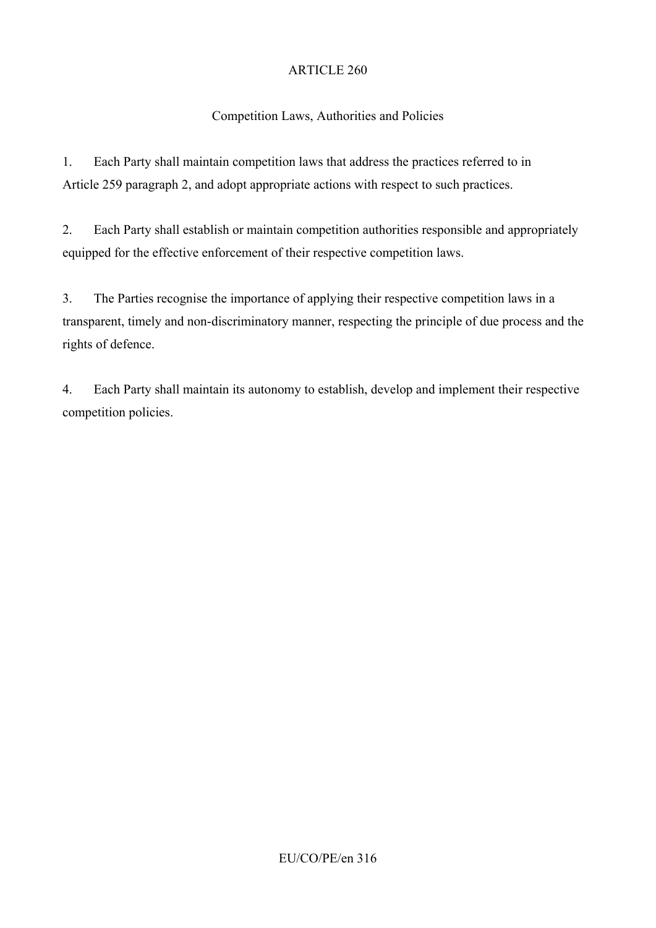# Competition Laws, Authorities and Policies

1. Each Party shall maintain competition laws that address the practices referred to in Article 259 paragraph 2, and adopt appropriate actions with respect to such practices.

2. Each Party shall establish or maintain competition authorities responsible and appropriately equipped for the effective enforcement of their respective competition laws.

3. The Parties recognise the importance of applying their respective competition laws in a transparent, timely and non-discriminatory manner, respecting the principle of due process and the rights of defence.

4. Each Party shall maintain its autonomy to establish, develop and implement their respective competition policies.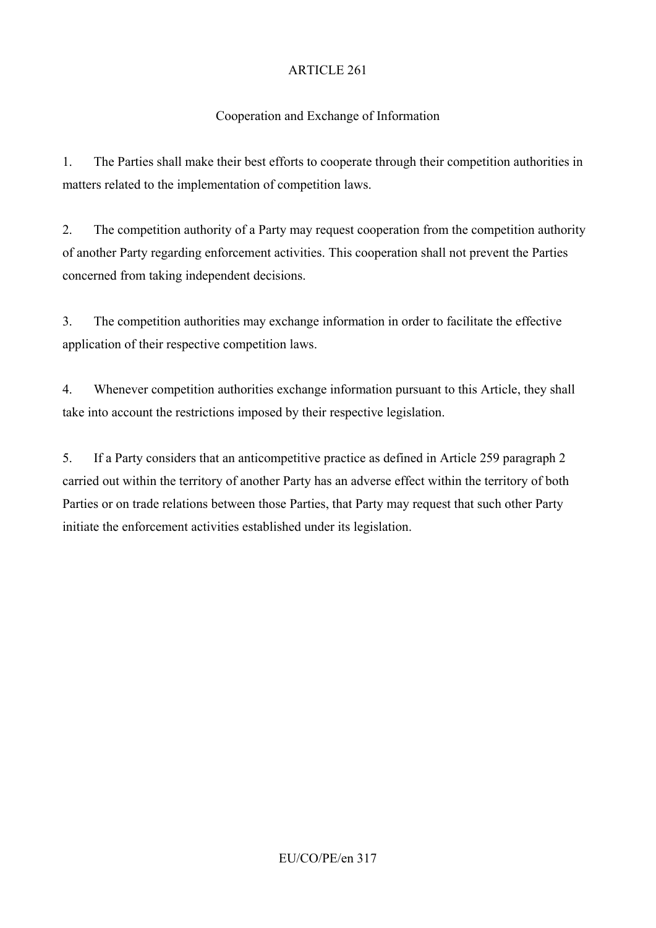# Cooperation and Exchange of Information

1. The Parties shall make their best efforts to cooperate through their competition authorities in matters related to the implementation of competition laws.

2. The competition authority of a Party may request cooperation from the competition authority of another Party regarding enforcement activities. This cooperation shall not prevent the Parties concerned from taking independent decisions.

3. The competition authorities may exchange information in order to facilitate the effective application of their respective competition laws.

4. Whenever competition authorities exchange information pursuant to this Article, they shall take into account the restrictions imposed by their respective legislation.

5. If a Party considers that an anticompetitive practice as defined in Article 259 paragraph 2 carried out within the territory of another Party has an adverse effect within the territory of both Parties or on trade relations between those Parties, that Party may request that such other Party initiate the enforcement activities established under its legislation.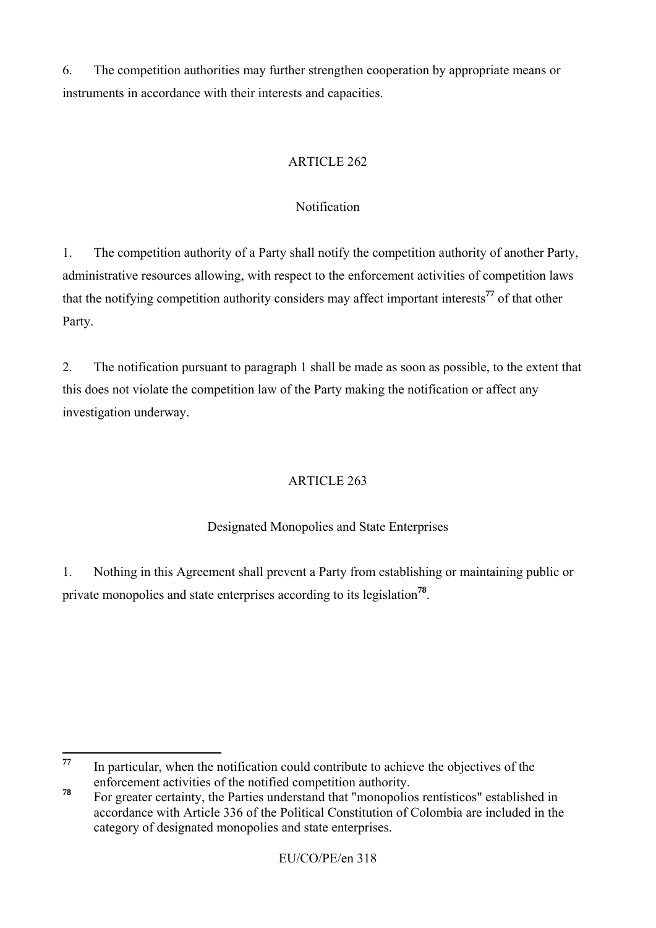6. The competition authorities may further strengthen cooperation by appropriate means or instruments in accordance with their interests and capacities.

# ARTICLE 262

# Notification

1. The competition authority of a Party shall notify the competition authority of another Party, administrative resources allowing, with respect to the enforcement activities of competition laws that the notifying competition authority considers may affect important interests**<sup>77</sup>** of that other Party.

2. The notification pursuant to paragraph 1 shall be made as soon as possible, to the extent that this does not violate the competition law of the Party making the notification or affect any investigation underway.

# ARTICLE 263

# Designated Monopolies and State Enterprises

1. Nothing in this Agreement shall prevent a Party from establishing or maintaining public or private monopolies and state enterprises according to its legislation**<sup>78</sup>**.

<sup>77</sup> **<sup>77</sup>** In particular, when the notification could contribute to achieve the objectives of the enforcement activities of the notified competition authority.

**<sup>78</sup>** For greater certainty, the Parties understand that "monopolios rentísticos" established in accordance with Article 336 of the Political Constitution of Colombia are included in the category of designated monopolies and state enterprises.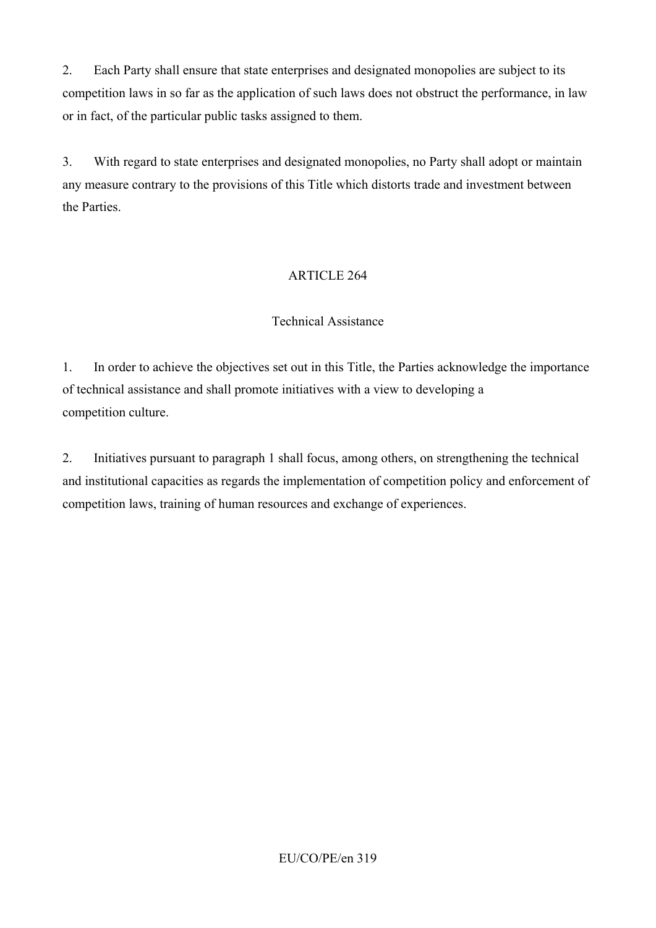2. Each Party shall ensure that state enterprises and designated monopolies are subject to its competition laws in so far as the application of such laws does not obstruct the performance, in law or in fact, of the particular public tasks assigned to them.

3. With regard to state enterprises and designated monopolies, no Party shall adopt or maintain any measure contrary to the provisions of this Title which distorts trade and investment between the Parties.

## ARTICLE 264

### Technical Assistance

1. In order to achieve the objectives set out in this Title, the Parties acknowledge the importance of technical assistance and shall promote initiatives with a view to developing a competition culture.

2. Initiatives pursuant to paragraph 1 shall focus, among others, on strengthening the technical and institutional capacities as regards the implementation of competition policy and enforcement of competition laws, training of human resources and exchange of experiences.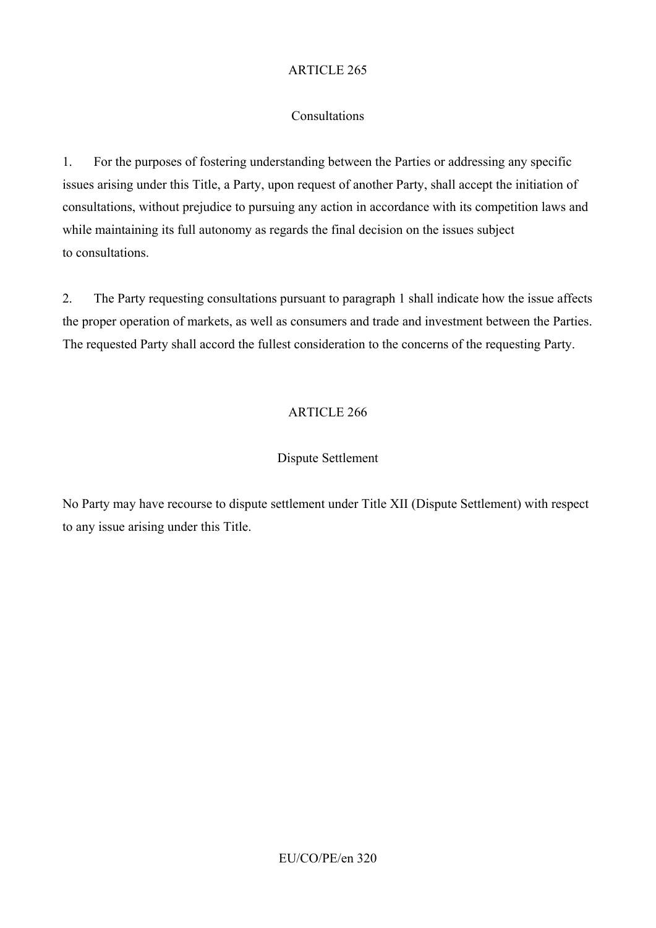## Consultations

1. For the purposes of fostering understanding between the Parties or addressing any specific issues arising under this Title, a Party, upon request of another Party, shall accept the initiation of consultations, without prejudice to pursuing any action in accordance with its competition laws and while maintaining its full autonomy as regards the final decision on the issues subject to consultations.

2. The Party requesting consultations pursuant to paragraph 1 shall indicate how the issue affects the proper operation of markets, as well as consumers and trade and investment between the Parties. The requested Party shall accord the fullest consideration to the concerns of the requesting Party.

# ARTICLE 266

# Dispute Settlement

No Party may have recourse to dispute settlement under Title XII (Dispute Settlement) with respect to any issue arising under this Title.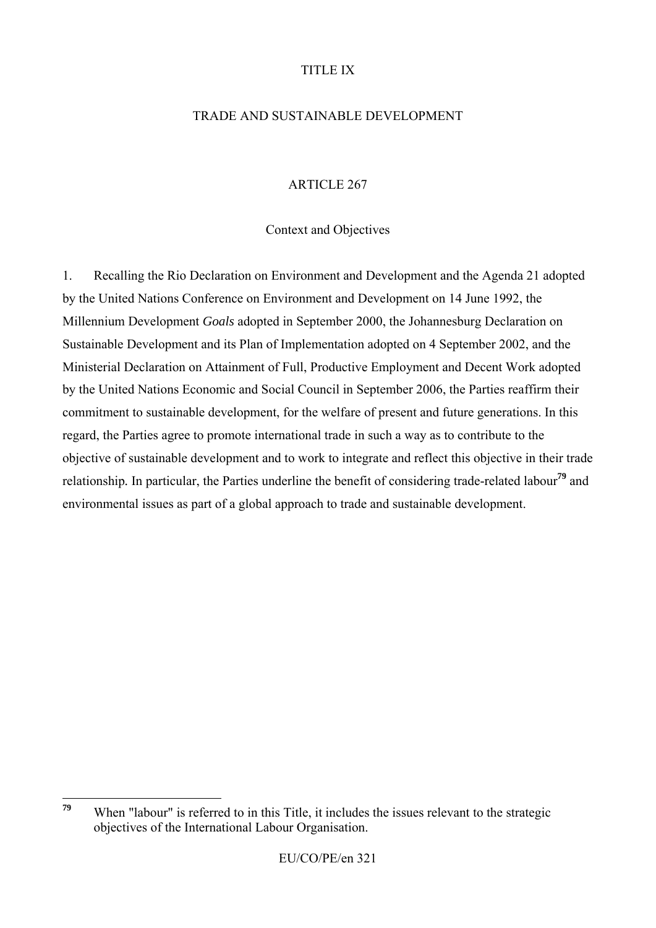## TITLE IX

## TRADE AND SUSTAINABLE DEVELOPMENT

## ARTICLE 267

### Context and Objectives

1. Recalling the Rio Declaration on Environment and Development and the Agenda 21 adopted by the United Nations Conference on Environment and Development on 14 June 1992, the Millennium Development *Goals* adopted in September 2000, the Johannesburg Declaration on Sustainable Development and its Plan of Implementation adopted on 4 September 2002, and the Ministerial Declaration on Attainment of Full, Productive Employment and Decent Work adopted by the United Nations Economic and Social Council in September 2006, the Parties reaffirm their commitment to sustainable development, for the welfare of present and future generations. In this regard, the Parties agree to promote international trade in such a way as to contribute to the objective of sustainable development and to work to integrate and reflect this objective in their trade relationship*.* In particular, the Parties underline the benefit of considering trade-related labour**<sup>79</sup>** and environmental issues as part of a global approach to trade and sustainable development.

<sup>79</sup> When "labour" is referred to in this Title, it includes the issues relevant to the strategic objectives of the International Labour Organisation.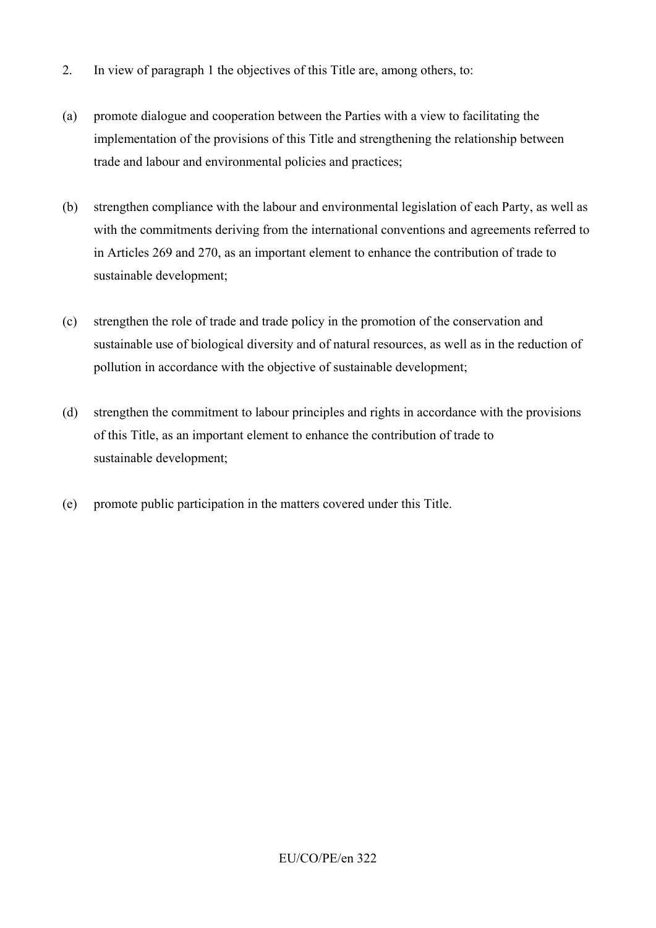- 2. In view of paragraph 1 the objectives of this Title are, among others, to:
- (a) promote dialogue and cooperation between the Parties with a view to facilitating the implementation of the provisions of this Title and strengthening the relationship between trade and labour and environmental policies and practices;
- (b) strengthen compliance with the labour and environmental legislation of each Party, as well as with the commitments deriving from the international conventions and agreements referred to in Articles 269 and 270, as an important element to enhance the contribution of trade to sustainable development;
- (c) strengthen the role of trade and trade policy in the promotion of the conservation and sustainable use of biological diversity and of natural resources, as well as in the reduction of pollution in accordance with the objective of sustainable development;
- (d) strengthen the commitment to labour principles and rights in accordance with the provisions of this Title, as an important element to enhance the contribution of trade to sustainable development;
- (e) promote public participation in the matters covered under this Title.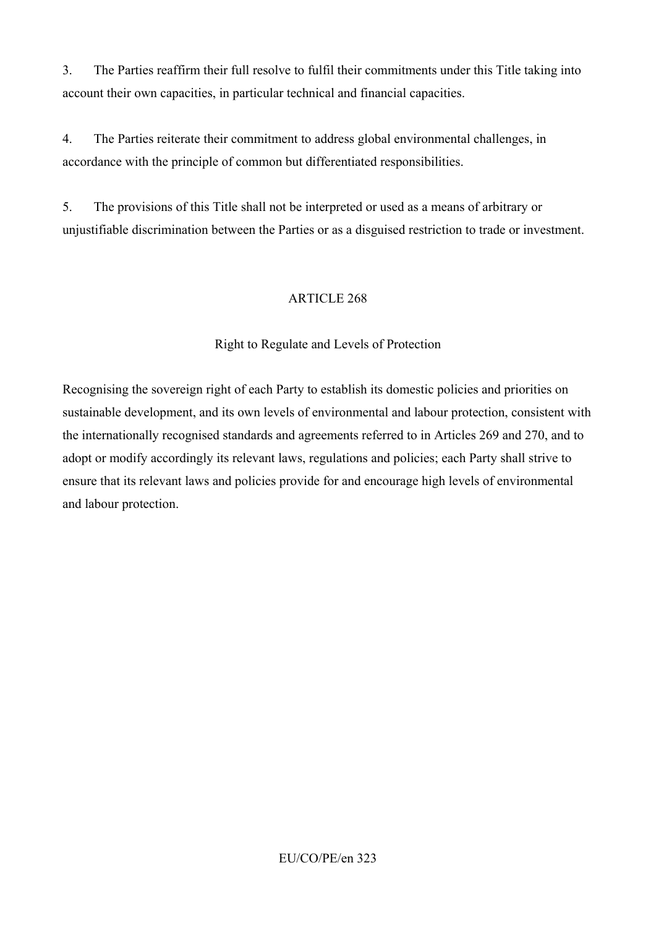3. The Parties reaffirm their full resolve to fulfil their commitments under this Title taking into account their own capacities, in particular technical and financial capacities.

4. The Parties reiterate their commitment to address global environmental challenges, in accordance with the principle of common but differentiated responsibilities.

5. The provisions of this Title shall not be interpreted or used as a means of arbitrary or unjustifiable discrimination between the Parties or as a disguised restriction to trade or investment.

### ARTICLE 268

## Right to Regulate and Levels of Protection

Recognising the sovereign right of each Party to establish its domestic policies and priorities on sustainable development, and its own levels of environmental and labour protection, consistent with the internationally recognised standards and agreements referred to in Articles 269 and 270, and to adopt or modify accordingly its relevant laws, regulations and policies; each Party shall strive to ensure that its relevant laws and policies provide for and encourage high levels of environmental and labour protection.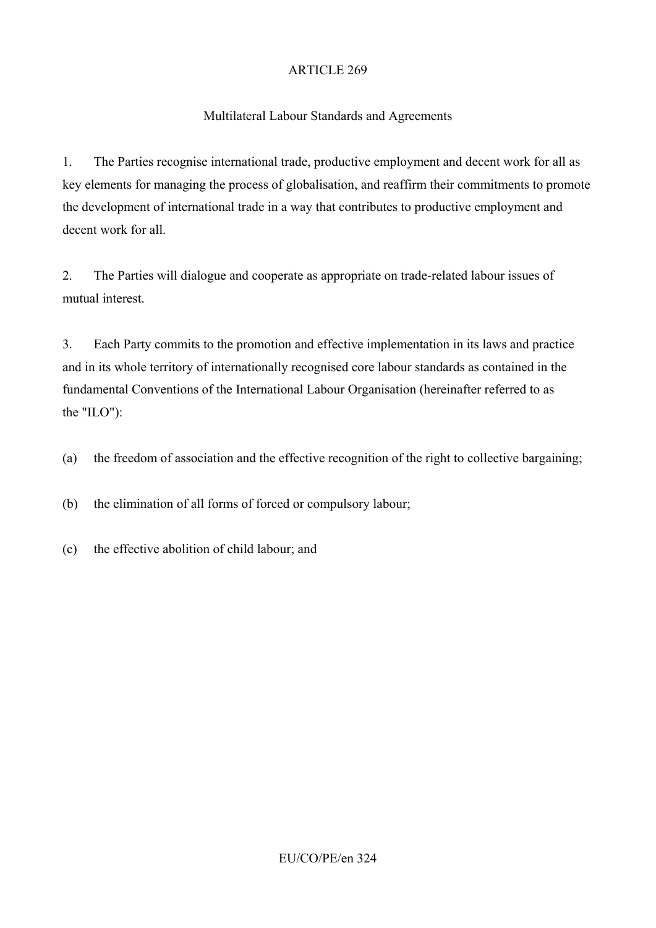## Multilateral Labour Standards and Agreements

1. The Parties recognise international trade, productive employment and decent work for all as key elements for managing the process of globalisation, and reaffirm their commitments to promote the development of international trade in a way that contributes to productive employment and decent work for all.

2. The Parties will dialogue and cooperate as appropriate on trade-related labour issues of mutual interest.

3. Each Party commits to the promotion and effective implementation in its laws and practice and in its whole territory of internationally recognised core labour standards as contained in the fundamental Conventions of the International Labour Organisation (hereinafter referred to as the "ILO"):

(a) the freedom of association and the effective recognition of the right to collective bargaining;

(b) the elimination of all forms of forced or compulsory labour;

(c) the effective abolition of child labour; and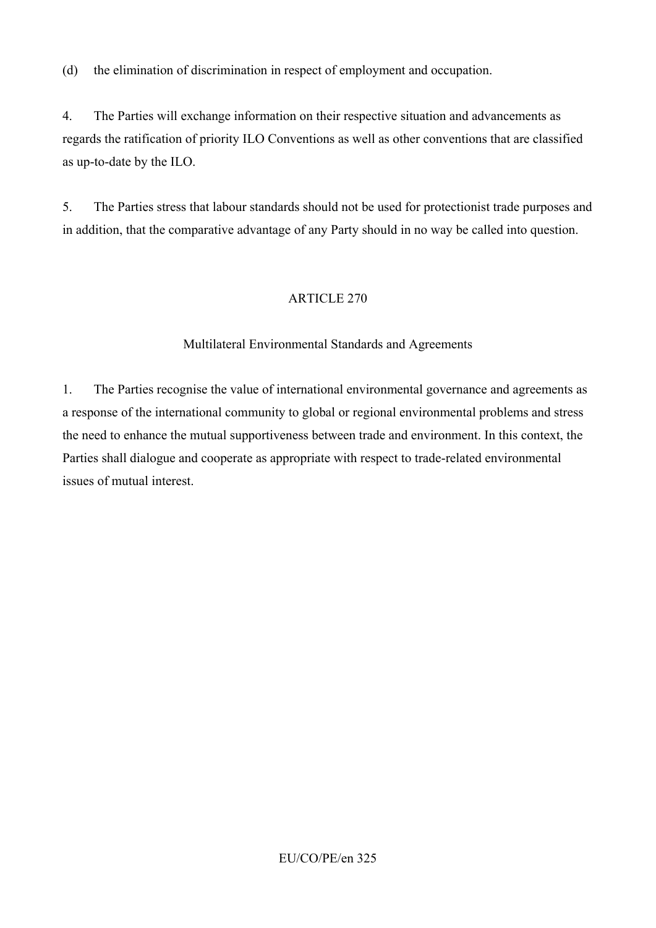(d) the elimination of discrimination in respect of employment and occupation.

4. The Parties will exchange information on their respective situation and advancements as regards the ratification of priority ILO Conventions as well as other conventions that are classified as up-to-date by the ILO.

5. The Parties stress that labour standards should not be used for protectionist trade purposes and in addition, that the comparative advantage of any Party should in no way be called into question.

# ARTICLE 270

# Multilateral Environmental Standards and Agreements

1. The Parties recognise the value of international environmental governance and agreements as a response of the international community to global or regional environmental problems and stress the need to enhance the mutual supportiveness between trade and environment. In this context, the Parties shall dialogue and cooperate as appropriate with respect to trade-related environmental issues of mutual interest.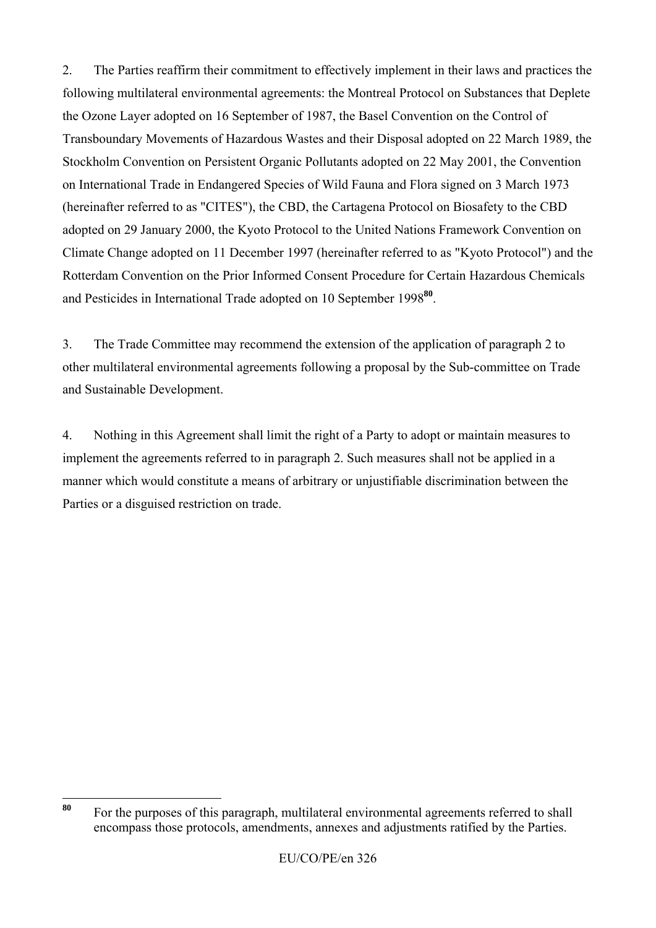2. The Parties reaffirm their commitment to effectively implement in their laws and practices the following multilateral environmental agreements: the Montreal Protocol on Substances that Deplete the Ozone Layer adopted on 16 September of 1987, the Basel Convention on the Control of Transboundary Movements of Hazardous Wastes and their Disposal adopted on 22 March 1989, the Stockholm Convention on Persistent Organic Pollutants adopted on 22 May 2001, the Convention on International Trade in Endangered Species of Wild Fauna and Flora signed on 3 March 1973 (hereinafter referred to as "CITES"), the CBD, the Cartagena Protocol on Biosafety to the CBD adopted on 29 January 2000, the Kyoto Protocol to the United Nations Framework Convention on Climate Change adopted on 11 December 1997 (hereinafter referred to as "Kyoto Protocol") and the Rotterdam Convention on the Prior Informed Consent Procedure for Certain Hazardous Chemicals and Pesticides in International Trade adopted on 10 September 1998**<sup>80</sup>**.

3. The Trade Committee may recommend the extension of the application of paragraph 2 to other multilateral environmental agreements following a proposal by the Sub-committee on Trade and Sustainable Development.

4. Nothing in this Agreement shall limit the right of a Party to adopt or maintain measures to implement the agreements referred to in paragraph 2. Such measures shall not be applied in a manner which would constitute a means of arbitrary or unjustifiable discrimination between the Parties or a disguised restriction on trade.

<sup>80</sup> **<sup>80</sup>** For the purposes of this paragraph, multilateral environmental agreements referred to shall encompass those protocols, amendments, annexes and adjustments ratified by the Parties.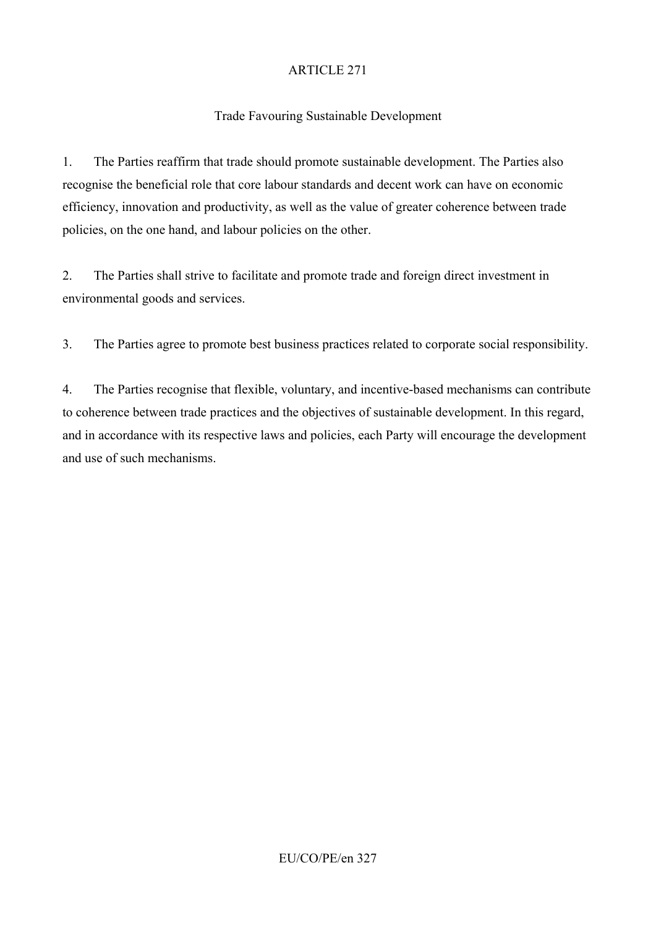# Trade Favouring Sustainable Development

1. The Parties reaffirm that trade should promote sustainable development. The Parties also recognise the beneficial role that core labour standards and decent work can have on economic efficiency, innovation and productivity, as well as the value of greater coherence between trade policies, on the one hand, and labour policies on the other.

2. The Parties shall strive to facilitate and promote trade and foreign direct investment in environmental goods and services.

3. The Parties agree to promote best business practices related to corporate social responsibility.

4. The Parties recognise that flexible, voluntary, and incentive-based mechanisms can contribute to coherence between trade practices and the objectives of sustainable development. In this regard, and in accordance with its respective laws and policies, each Party will encourage the development and use of such mechanisms.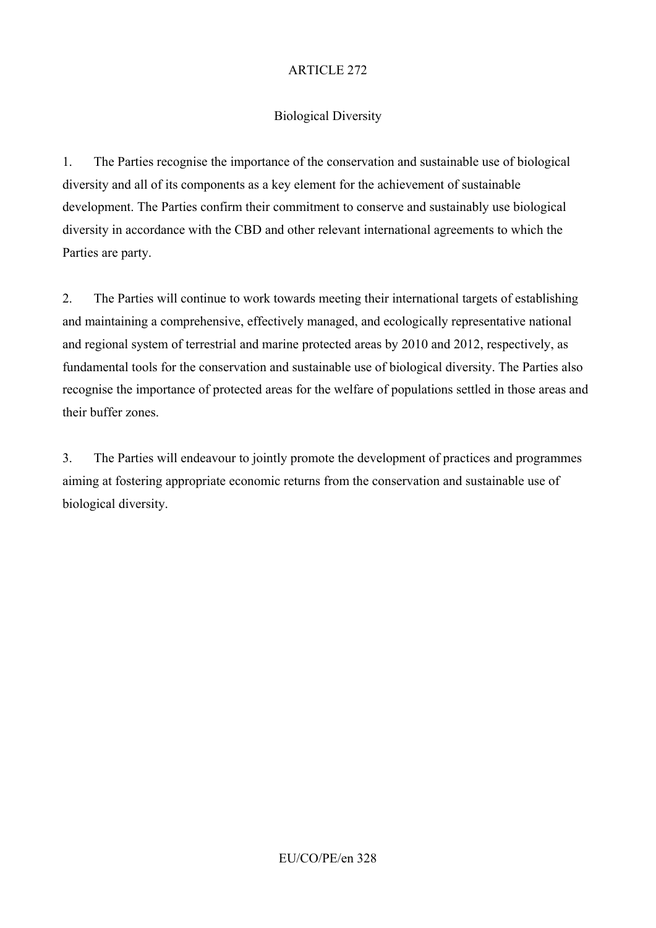# Biological Diversity

1. The Parties recognise the importance of the conservation and sustainable use of biological diversity and all of its components as a key element for the achievement of sustainable development. The Parties confirm their commitment to conserve and sustainably use biological diversity in accordance with the CBD and other relevant international agreements to which the Parties are party.

2. The Parties will continue to work towards meeting their international targets of establishing and maintaining a comprehensive, effectively managed, and ecologically representative national and regional system of terrestrial and marine protected areas by 2010 and 2012, respectively, as fundamental tools for the conservation and sustainable use of biological diversity. The Parties also recognise the importance of protected areas for the welfare of populations settled in those areas and their buffer zones.

3. The Parties will endeavour to jointly promote the development of practices and programmes aiming at fostering appropriate economic returns from the conservation and sustainable use of biological diversity.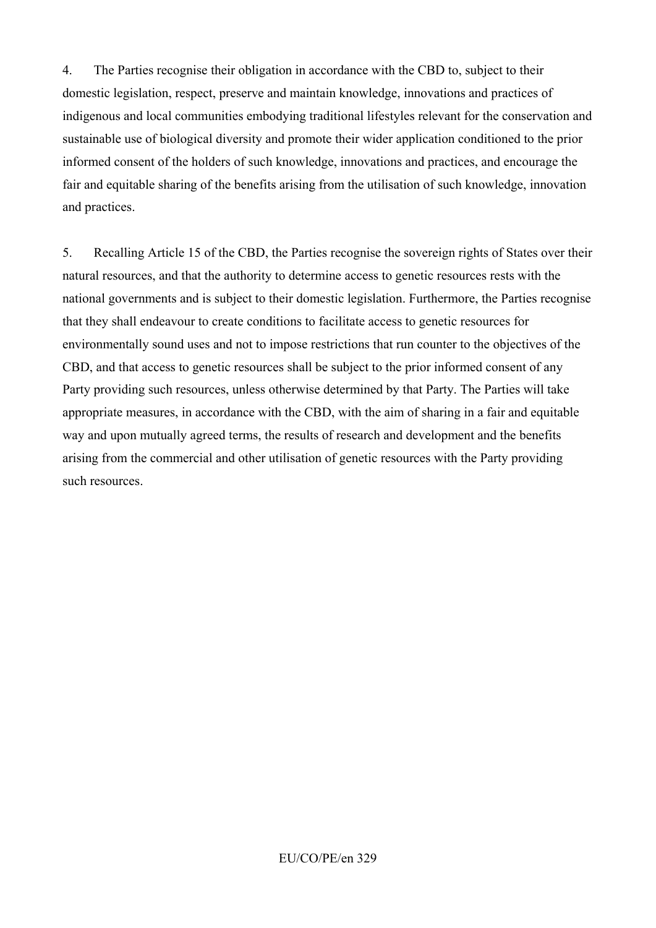4. The Parties recognise their obligation in accordance with the CBD to, subject to their domestic legislation, respect, preserve and maintain knowledge, innovations and practices of indigenous and local communities embodying traditional lifestyles relevant for the conservation and sustainable use of biological diversity and promote their wider application conditioned to the prior informed consent of the holders of such knowledge, innovations and practices, and encourage the fair and equitable sharing of the benefits arising from the utilisation of such knowledge, innovation and practices.

5. Recalling Article 15 of the CBD, the Parties recognise the sovereign rights of States over their natural resources, and that the authority to determine access to genetic resources rests with the national governments and is subject to their domestic legislation. Furthermore, the Parties recognise that they shall endeavour to create conditions to facilitate access to genetic resources for environmentally sound uses and not to impose restrictions that run counter to the objectives of the CBD, and that access to genetic resources shall be subject to the prior informed consent of any Party providing such resources, unless otherwise determined by that Party. The Parties will take appropriate measures, in accordance with the CBD, with the aim of sharing in a fair and equitable way and upon mutually agreed terms, the results of research and development and the benefits arising from the commercial and other utilisation of genetic resources with the Party providing such resources.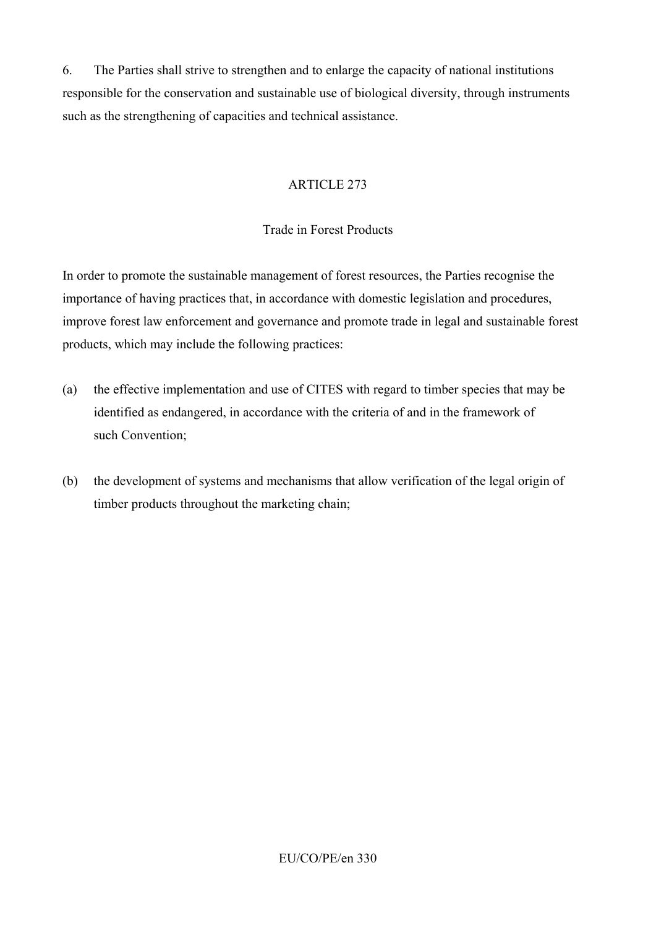6. The Parties shall strive to strengthen and to enlarge the capacity of national institutions responsible for the conservation and sustainable use of biological diversity, through instruments such as the strengthening of capacities and technical assistance.

# ARTICLE 273

### Trade in Forest Products

In order to promote the sustainable management of forest resources, the Parties recognise the importance of having practices that, in accordance with domestic legislation and procedures, improve forest law enforcement and governance and promote trade in legal and sustainable forest products, which may include the following practices:

- (a) the effective implementation and use of CITES with regard to timber species that may be identified as endangered, in accordance with the criteria of and in the framework of such Convention;
- (b) the development of systems and mechanisms that allow verification of the legal origin of timber products throughout the marketing chain;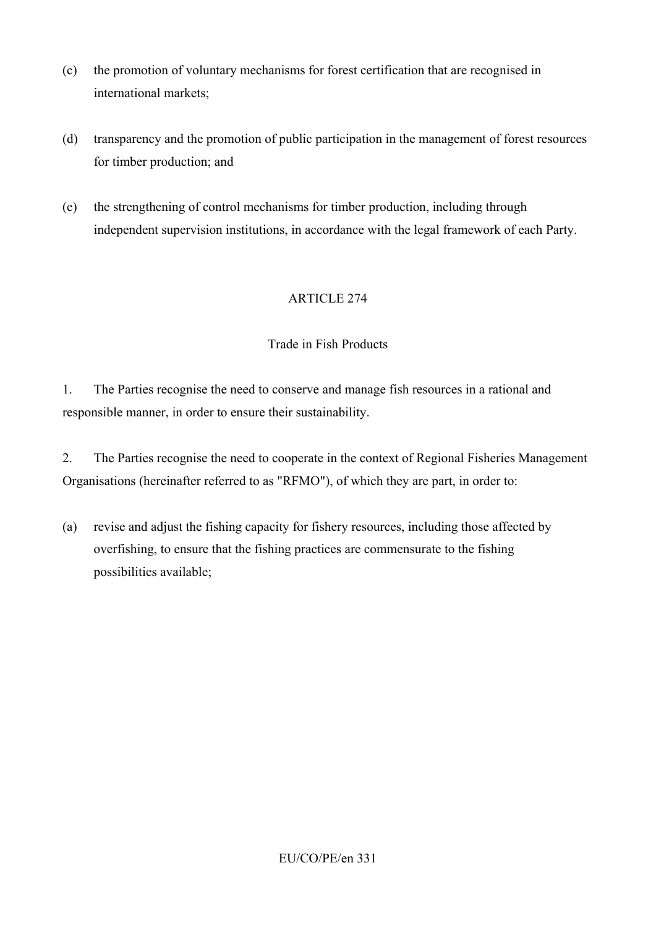- (c) the promotion of voluntary mechanisms for forest certification that are recognised in international markets;
- (d) transparency and the promotion of public participation in the management of forest resources for timber production; and
- (e) the strengthening of control mechanisms for timber production, including through independent supervision institutions, in accordance with the legal framework of each Party.

# Trade in Fish Products

1. The Parties recognise the need to conserve and manage fish resources in a rational and responsible manner, in order to ensure their sustainability.

2. The Parties recognise the need to cooperate in the context of Regional Fisheries Management Organisations (hereinafter referred to as "RFMO"), of which they are part, in order to:

(a) revise and adjust the fishing capacity for fishery resources, including those affected by overfishing, to ensure that the fishing practices are commensurate to the fishing possibilities available;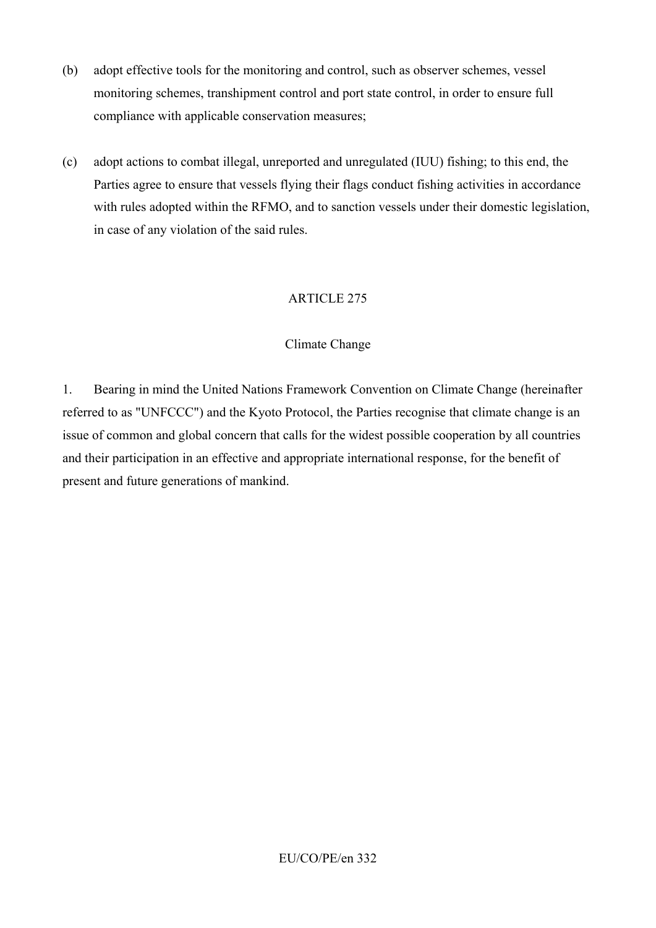- (b) adopt effective tools for the monitoring and control, such as observer schemes, vessel monitoring schemes, transhipment control and port state control, in order to ensure full compliance with applicable conservation measures;
- (c) adopt actions to combat illegal, unreported and unregulated (IUU) fishing; to this end, the Parties agree to ensure that vessels flying their flags conduct fishing activities in accordance with rules adopted within the RFMO, and to sanction vessels under their domestic legislation, in case of any violation of the said rules.

# Climate Change

1. Bearing in mind the United Nations Framework Convention on Climate Change (hereinafter referred to as "UNFCCC") and the Kyoto Protocol, the Parties recognise that climate change is an issue of common and global concern that calls for the widest possible cooperation by all countries and their participation in an effective and appropriate international response, for the benefit of present and future generations of mankind.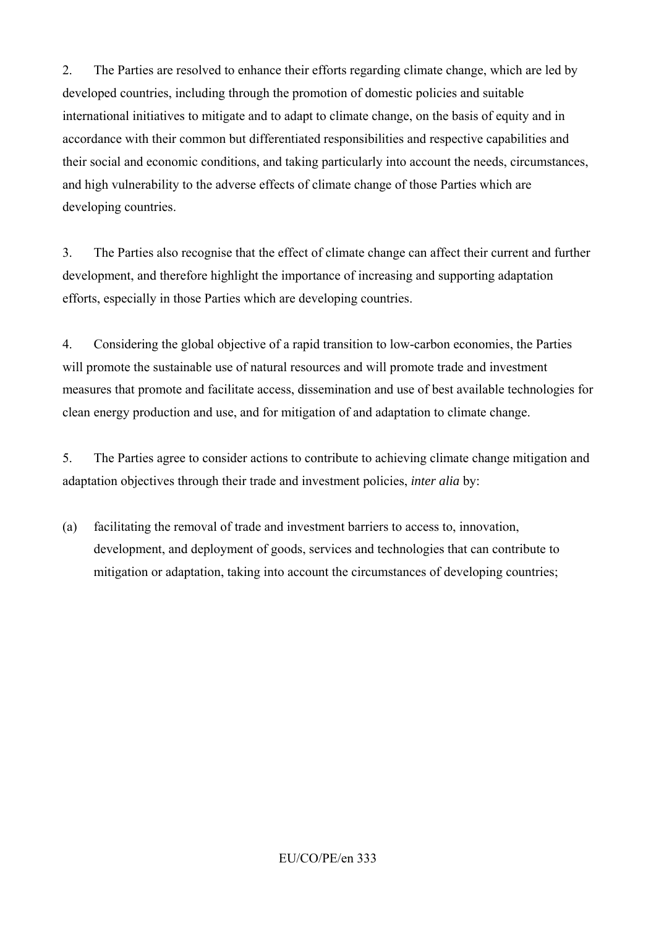2. The Parties are resolved to enhance their efforts regarding climate change, which are led by developed countries, including through the promotion of domestic policies and suitable international initiatives to mitigate and to adapt to climate change, on the basis of equity and in accordance with their common but differentiated responsibilities and respective capabilities and their social and economic conditions, and taking particularly into account the needs, circumstances, and high vulnerability to the adverse effects of climate change of those Parties which are developing countries.

3. The Parties also recognise that the effect of climate change can affect their current and further development, and therefore highlight the importance of increasing and supporting adaptation efforts, especially in those Parties which are developing countries.

4. Considering the global objective of a rapid transition to low-carbon economies, the Parties will promote the sustainable use of natural resources and will promote trade and investment measures that promote and facilitate access, dissemination and use of best available technologies for clean energy production and use, and for mitigation of and adaptation to climate change.

5. The Parties agree to consider actions to contribute to achieving climate change mitigation and adaptation objectives through their trade and investment policies, *inter alia* by:

(a) facilitating the removal of trade and investment barriers to access to, innovation, development, and deployment of goods, services and technologies that can contribute to mitigation or adaptation, taking into account the circumstances of developing countries;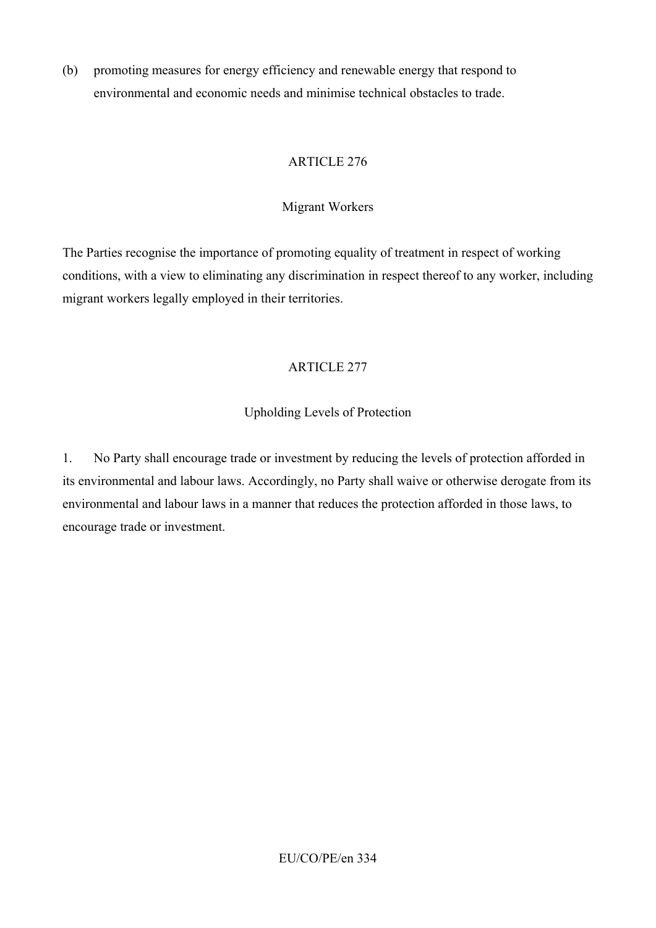(b) promoting measures for energy efficiency and renewable energy that respond to environmental and economic needs and minimise technical obstacles to trade.

### ARTICLE 276

# Migrant Workers

The Parties recognise the importance of promoting equality of treatment in respect of working conditions, with a view to eliminating any discrimination in respect thereof to any worker, including migrant workers legally employed in their territories.

# ARTICLE 277

# Upholding Levels of Protection

1. No Party shall encourage trade or investment by reducing the levels of protection afforded in its environmental and labour laws. Accordingly, no Party shall waive or otherwise derogate from its environmental and labour laws in a manner that reduces the protection afforded in those laws, to encourage trade or investment.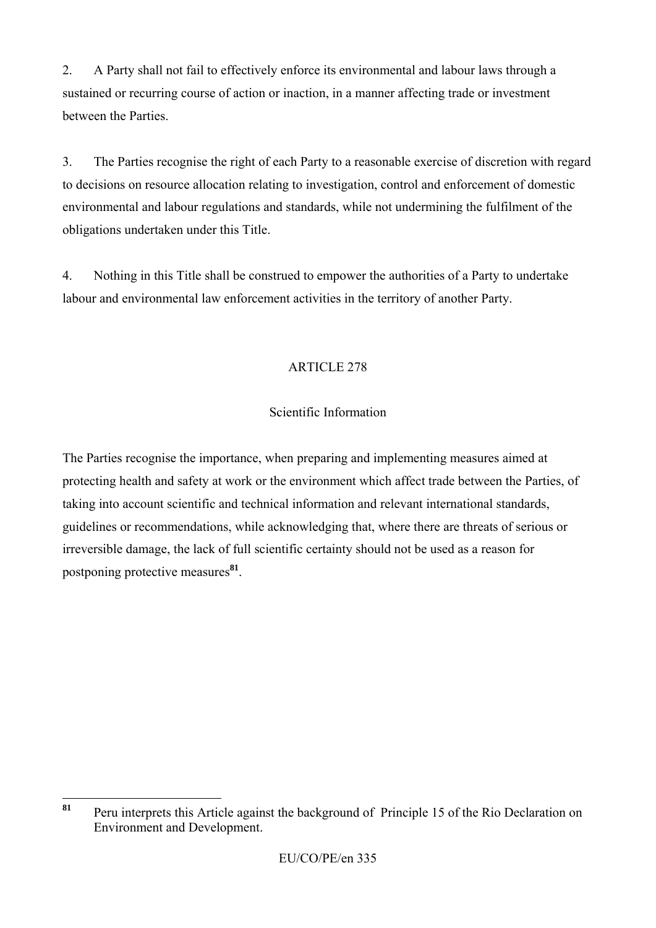2. A Party shall not fail to effectively enforce its environmental and labour laws through a sustained or recurring course of action or inaction, in a manner affecting trade or investment between the Parties.

3. The Parties recognise the right of each Party to a reasonable exercise of discretion with regard to decisions on resource allocation relating to investigation, control and enforcement of domestic environmental and labour regulations and standards, while not undermining the fulfilment of the obligations undertaken under this Title.

4. Nothing in this Title shall be construed to empower the authorities of a Party to undertake labour and environmental law enforcement activities in the territory of another Party.

# ARTICLE 278

# Scientific Information

The Parties recognise the importance, when preparing and implementing measures aimed at protecting health and safety at work or the environment which affect trade between the Parties, of taking into account scientific and technical information and relevant international standards, guidelines or recommendations, while acknowledging that, where there are threats of serious or irreversible damage, the lack of full scientific certainty should not be used as a reason for postponing protective measures**<sup>81</sup>**.

<sup>81</sup> **<sup>81</sup>** Peru interprets this Article against the background of Principle 15 of the Rio Declaration on Environment and Development.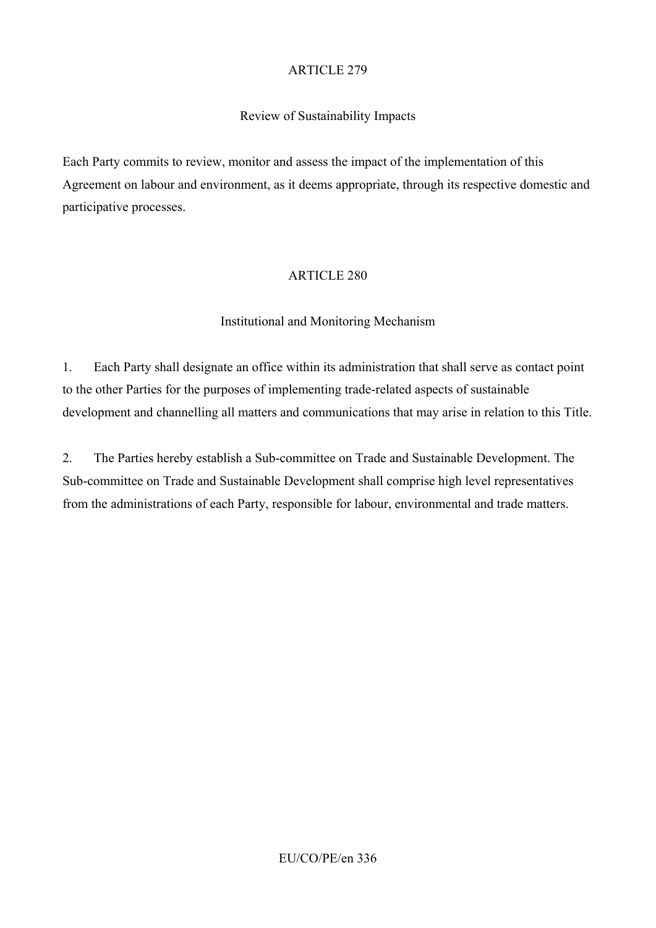#### Review of Sustainability Impacts

Each Party commits to review, monitor and assess the impact of the implementation of this Agreement on labour and environment, as it deems appropriate, through its respective domestic and participative processes.

#### ARTICLE 280

#### Institutional and Monitoring Mechanism

1. Each Party shall designate an office within its administration that shall serve as contact point to the other Parties for the purposes of implementing trade-related aspects of sustainable development and channelling all matters and communications that may arise in relation to this Title.

2. The Parties hereby establish a Sub-committee on Trade and Sustainable Development. The Sub-committee on Trade and Sustainable Development shall comprise high level representatives from the administrations of each Party, responsible for labour, environmental and trade matters.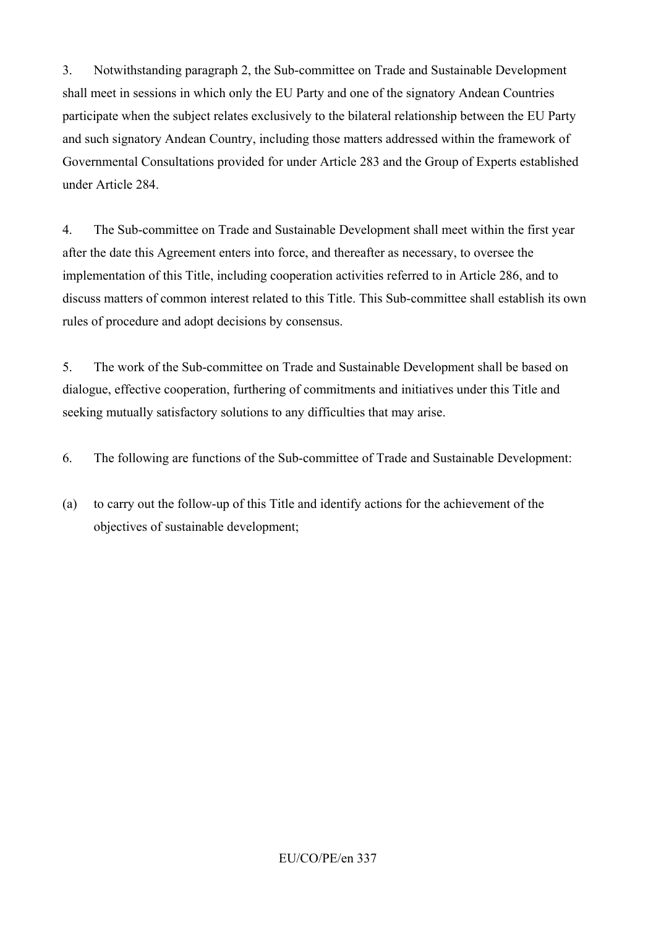3. Notwithstanding paragraph 2, the Sub-committee on Trade and Sustainable Development shall meet in sessions in which only the EU Party and one of the signatory Andean Countries participate when the subject relates exclusively to the bilateral relationship between the EU Party and such signatory Andean Country, including those matters addressed within the framework of Governmental Consultations provided for under Article 283 and the Group of Experts established under Article 284.

4. The Sub-committee on Trade and Sustainable Development shall meet within the first year after the date this Agreement enters into force, and thereafter as necessary, to oversee the implementation of this Title, including cooperation activities referred to in Article 286, and to discuss matters of common interest related to this Title. This Sub-committee shall establish its own rules of procedure and adopt decisions by consensus.

5. The work of the Sub-committee on Trade and Sustainable Development shall be based on dialogue, effective cooperation, furthering of commitments and initiatives under this Title and seeking mutually satisfactory solutions to any difficulties that may arise.

- 6. The following are functions of the Sub-committee of Trade and Sustainable Development:
- (a) to carry out the follow-up of this Title and identify actions for the achievement of the objectives of sustainable development;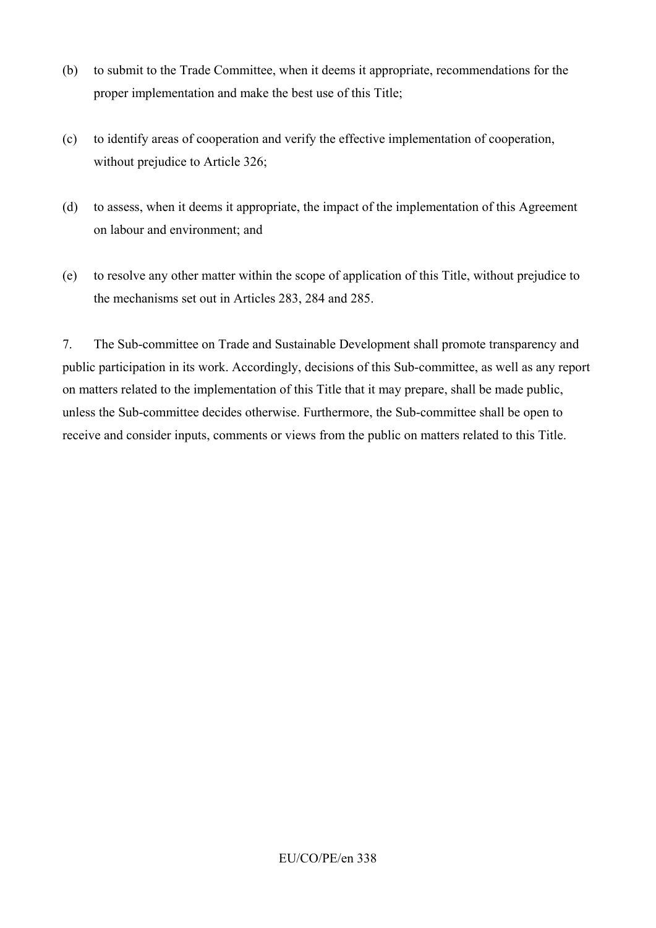- (b) to submit to the Trade Committee, when it deems it appropriate, recommendations for the proper implementation and make the best use of this Title;
- (c) to identify areas of cooperation and verify the effective implementation of cooperation, without prejudice to Article 326;
- (d) to assess, when it deems it appropriate, the impact of the implementation of this Agreement on labour and environment; and
- (e) to resolve any other matter within the scope of application of this Title, without prejudice to the mechanisms set out in Articles 283, 284 and 285.

7. The Sub-committee on Trade and Sustainable Development shall promote transparency and public participation in its work. Accordingly, decisions of this Sub-committee, as well as any report on matters related to the implementation of this Title that it may prepare, shall be made public, unless the Sub-committee decides otherwise. Furthermore, the Sub-committee shall be open to receive and consider inputs, comments or views from the public on matters related to this Title.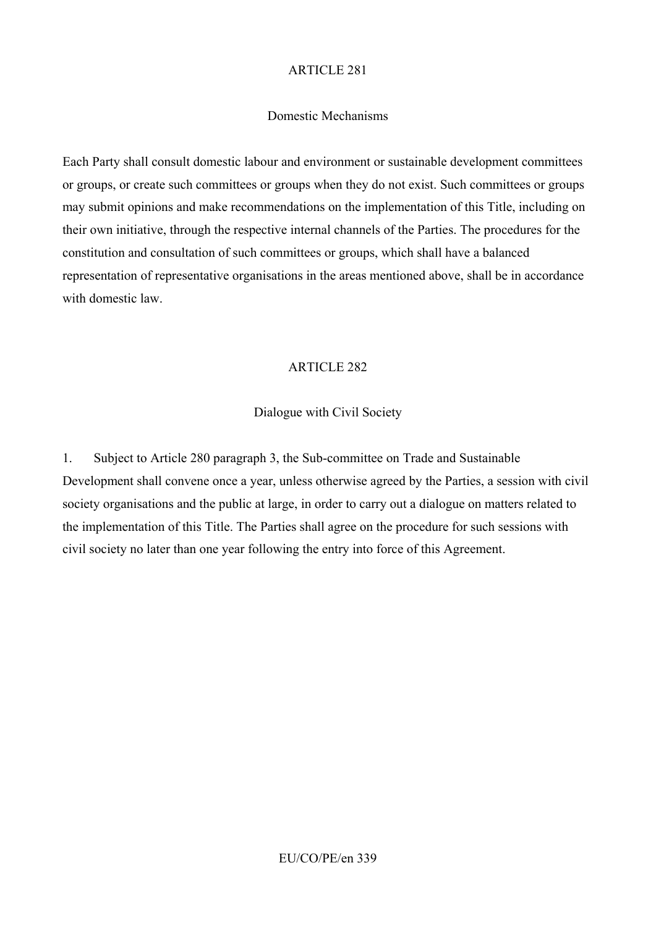#### Domestic Mechanisms

Each Party shall consult domestic labour and environment or sustainable development committees or groups, or create such committees or groups when they do not exist. Such committees or groups may submit opinions and make recommendations on the implementation of this Title, including on their own initiative, through the respective internal channels of the Parties. The procedures for the constitution and consultation of such committees or groups, which shall have a balanced representation of representative organisations in the areas mentioned above, shall be in accordance with domestic law.

### ARTICLE 282

#### Dialogue with Civil Society

1. Subject to Article 280 paragraph 3, the Sub-committee on Trade and Sustainable Development shall convene once a year, unless otherwise agreed by the Parties, a session with civil society organisations and the public at large, in order to carry out a dialogue on matters related to the implementation of this Title. The Parties shall agree on the procedure for such sessions with civil society no later than one year following the entry into force of this Agreement.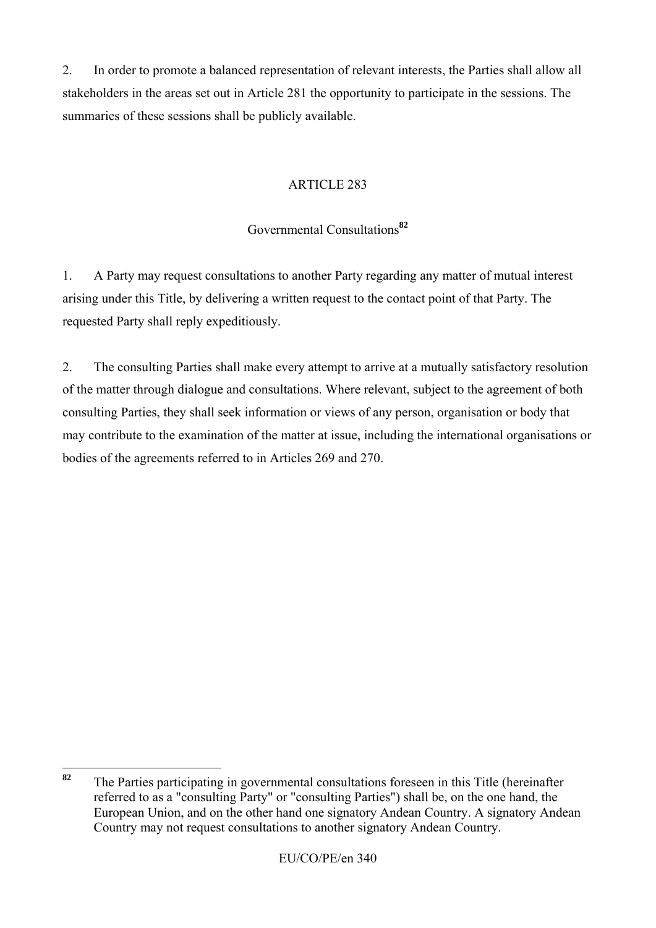2. In order to promote a balanced representation of relevant interests, the Parties shall allow all stakeholders in the areas set out in Article 281 the opportunity to participate in the sessions. The summaries of these sessions shall be publicly available.

# ARTICLE 283

# Governmental Consultations**<sup>82</sup>**

1. A Party may request consultations to another Party regarding any matter of mutual interest arising under this Title, by delivering a written request to the contact point of that Party. The requested Party shall reply expeditiously.

2. The consulting Parties shall make every attempt to arrive at a mutually satisfactory resolution of the matter through dialogue and consultations. Where relevant, subject to the agreement of both consulting Parties, they shall seek information or views of any person, organisation or body that may contribute to the examination of the matter at issue, including the international organisations or bodies of the agreements referred to in Articles 269 and 270.

<sup>82</sup> **<sup>82</sup>** The Parties participating in governmental consultations foreseen in this Title (hereinafter referred to as a "consulting Party" or "consulting Parties") shall be, on the one hand, the European Union, and on the other hand one signatory Andean Country. A signatory Andean Country may not request consultations to another signatory Andean Country.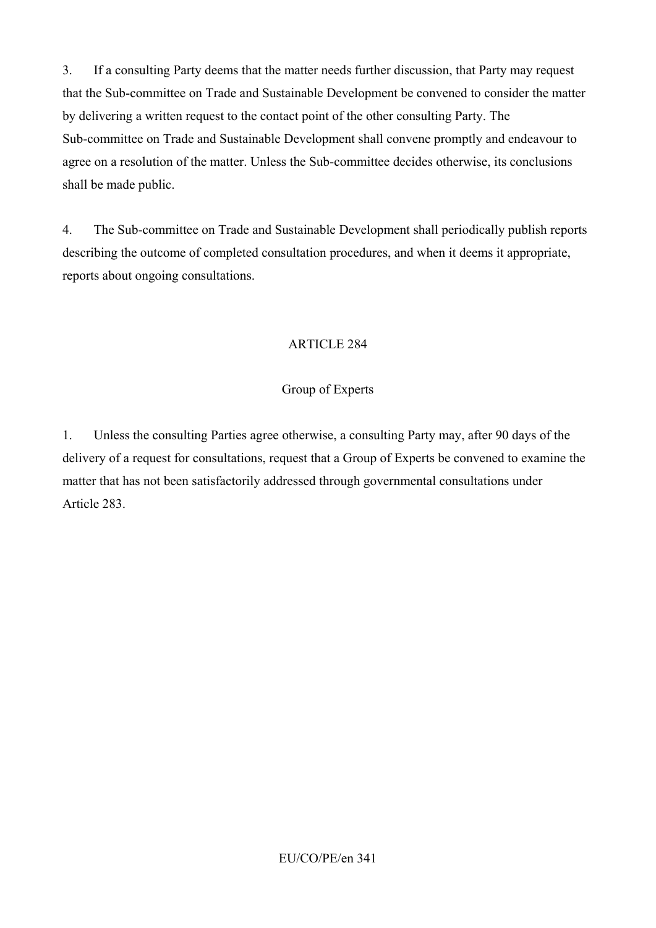3. If a consulting Party deems that the matter needs further discussion, that Party may request that the Sub-committee on Trade and Sustainable Development be convened to consider the matter by delivering a written request to the contact point of the other consulting Party. The Sub-committee on Trade and Sustainable Development shall convene promptly and endeavour to agree on a resolution of the matter. Unless the Sub-committee decides otherwise, its conclusions shall be made public.

4. The Sub-committee on Trade and Sustainable Development shall periodically publish reports describing the outcome of completed consultation procedures, and when it deems it appropriate, reports about ongoing consultations.

# ARTICLE 284

### Group of Experts

1. Unless the consulting Parties agree otherwise, a consulting Party may, after 90 days of the delivery of a request for consultations, request that a Group of Experts be convened to examine the matter that has not been satisfactorily addressed through governmental consultations under Article 283.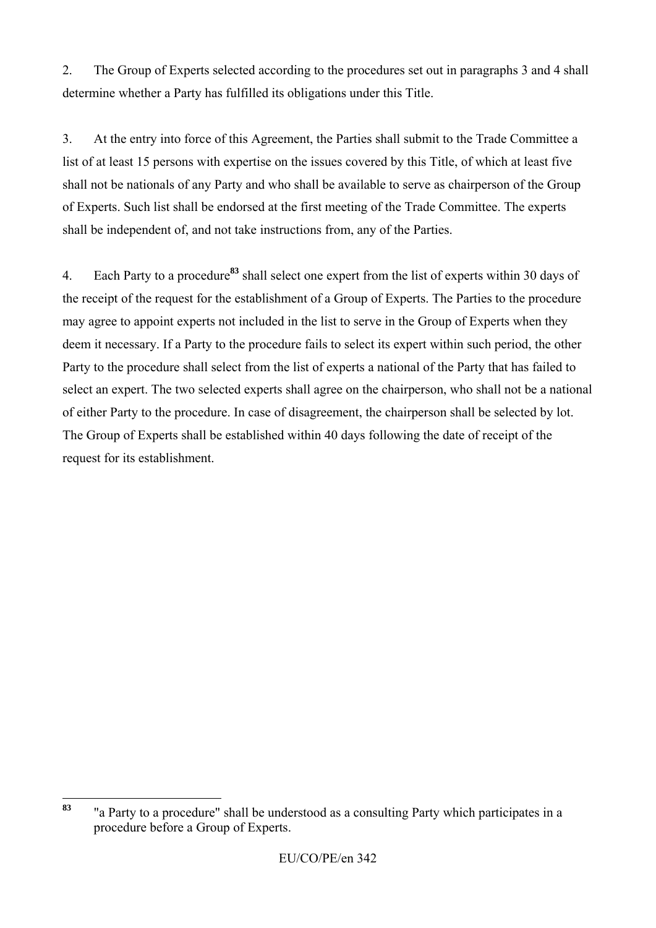2. The Group of Experts selected according to the procedures set out in paragraphs 3 and 4 shall determine whether a Party has fulfilled its obligations under this Title.

3. At the entry into force of this Agreement, the Parties shall submit to the Trade Committee a list of at least 15 persons with expertise on the issues covered by this Title, of which at least five shall not be nationals of any Party and who shall be available to serve as chairperson of the Group of Experts. Such list shall be endorsed at the first meeting of the Trade Committee. The experts shall be independent of, and not take instructions from, any of the Parties.

4. Each Party to a procedure**<sup>83</sup>** shall select one expert from the list of experts within 30 days of the receipt of the request for the establishment of a Group of Experts. The Parties to the procedure may agree to appoint experts not included in the list to serve in the Group of Experts when they deem it necessary. If a Party to the procedure fails to select its expert within such period, the other Party to the procedure shall select from the list of experts a national of the Party that has failed to select an expert. The two selected experts shall agree on the chairperson, who shall not be a national of either Party to the procedure. In case of disagreement, the chairperson shall be selected by lot. The Group of Experts shall be established within 40 days following the date of receipt of the request for its establishment.

<sup>83</sup> **<sup>83</sup>** "a Party to a procedure" shall be understood as a consulting Party which participates in a procedure before a Group of Experts.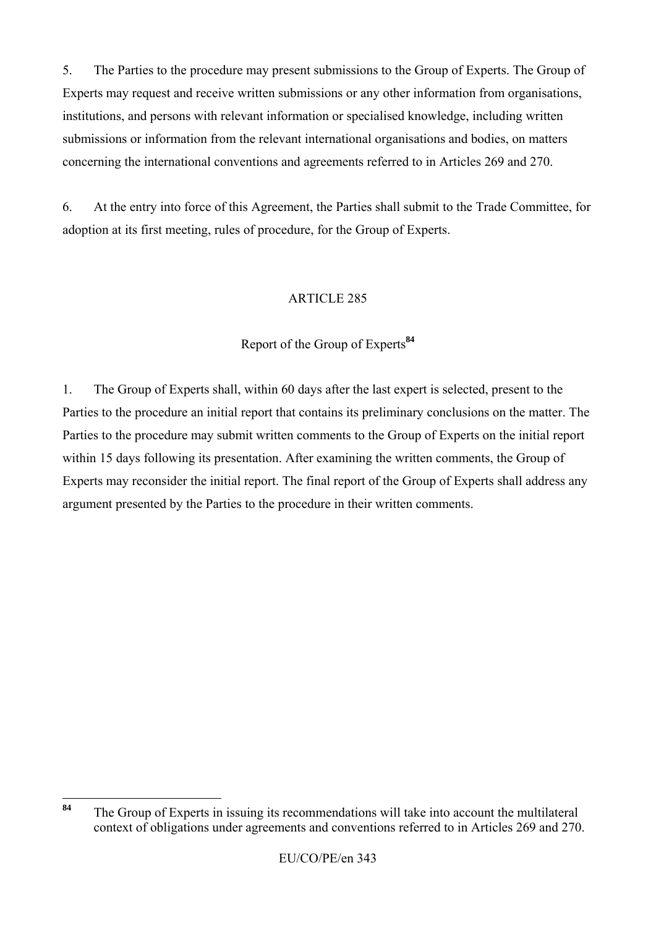5. The Parties to the procedure may present submissions to the Group of Experts. The Group of Experts may request and receive written submissions or any other information from organisations, institutions, and persons with relevant information or specialised knowledge, including written submissions or information from the relevant international organisations and bodies, on matters concerning the international conventions and agreements referred to in Articles 269 and 270.

6. At the entry into force of this Agreement, the Parties shall submit to the Trade Committee, for adoption at its first meeting, rules of procedure, for the Group of Experts.

# ARTICLE 285

# Report of the Group of Experts**<sup>84</sup>**

1. The Group of Experts shall, within 60 days after the last expert is selected, present to the Parties to the procedure an initial report that contains its preliminary conclusions on the matter. The Parties to the procedure may submit written comments to the Group of Experts on the initial report within 15 days following its presentation. After examining the written comments, the Group of Experts may reconsider the initial report. The final report of the Group of Experts shall address any argument presented by the Parties to the procedure in their written comments.

<sup>84</sup> **<sup>84</sup>** The Group of Experts in issuing its recommendations will take into account the multilateral context of obligations under agreements and conventions referred to in Articles 269 and 270.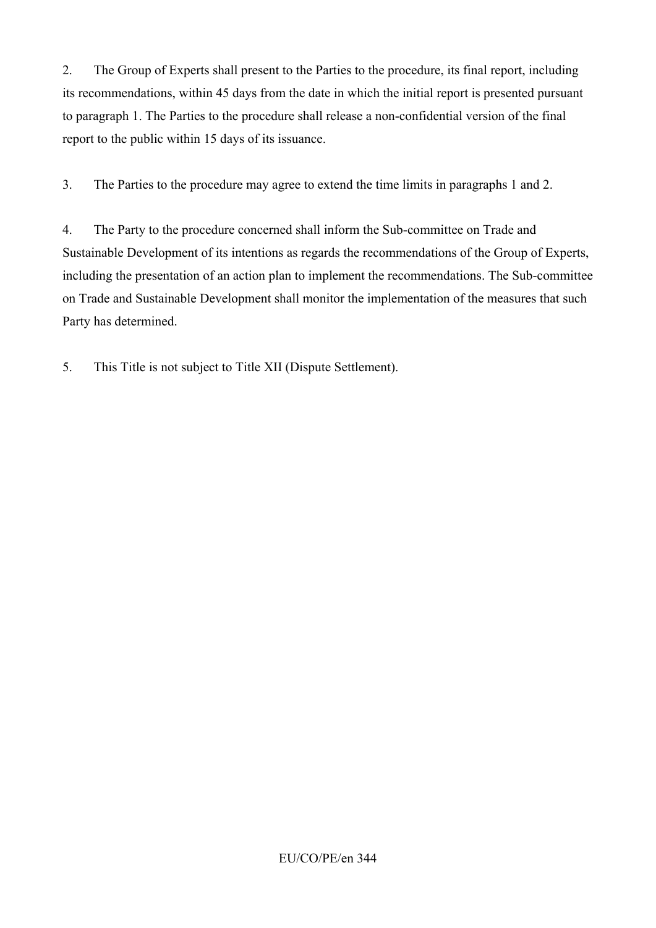2. The Group of Experts shall present to the Parties to the procedure, its final report, including its recommendations, within 45 days from the date in which the initial report is presented pursuant to paragraph 1. The Parties to the procedure shall release a non-confidential version of the final report to the public within 15 days of its issuance.

3. The Parties to the procedure may agree to extend the time limits in paragraphs 1 and 2.

4. The Party to the procedure concerned shall inform the Sub-committee on Trade and Sustainable Development of its intentions as regards the recommendations of the Group of Experts, including the presentation of an action plan to implement the recommendations. The Sub-committee on Trade and Sustainable Development shall monitor the implementation of the measures that such Party has determined.

5. This Title is not subject to Title XII (Dispute Settlement).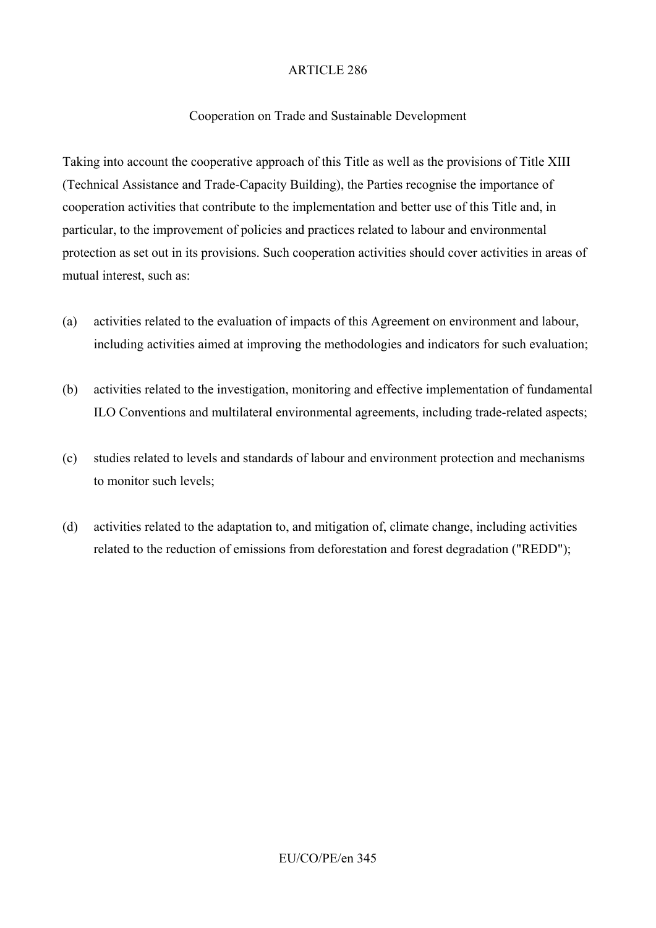### Cooperation on Trade and Sustainable Development

Taking into account the cooperative approach of this Title as well as the provisions of Title XIII (Technical Assistance and Trade-Capacity Building), the Parties recognise the importance of cooperation activities that contribute to the implementation and better use of this Title and, in particular, to the improvement of policies and practices related to labour and environmental protection as set out in its provisions. Such cooperation activities should cover activities in areas of mutual interest, such as:

- (a) activities related to the evaluation of impacts of this Agreement on environment and labour, including activities aimed at improving the methodologies and indicators for such evaluation;
- (b) activities related to the investigation, monitoring and effective implementation of fundamental ILO Conventions and multilateral environmental agreements, including trade-related aspects;
- (c) studies related to levels and standards of labour and environment protection and mechanisms to monitor such levels;
- (d) activities related to the adaptation to, and mitigation of, climate change, including activities related to the reduction of emissions from deforestation and forest degradation ("REDD");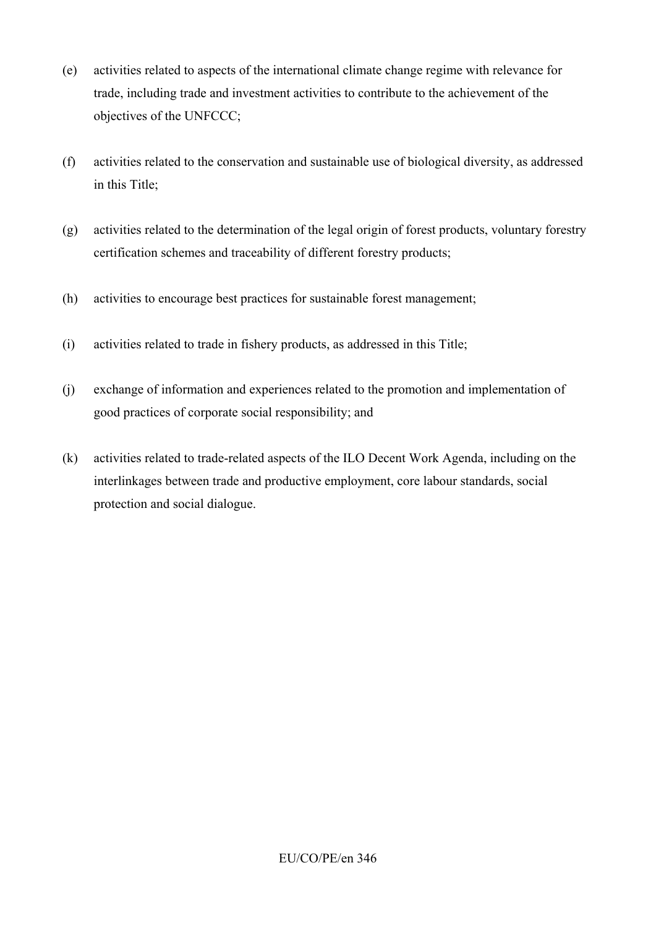- (e) activities related to aspects of the international climate change regime with relevance for trade, including trade and investment activities to contribute to the achievement of the objectives of the UNFCCC;
- (f) activities related to the conservation and sustainable use of biological diversity, as addressed in this Title;
- (g) activities related to the determination of the legal origin of forest products, voluntary forestry certification schemes and traceability of different forestry products;
- (h) activities to encourage best practices for sustainable forest management;
- (i) activities related to trade in fishery products, as addressed in this Title;
- (j) exchange of information and experiences related to the promotion and implementation of good practices of corporate social responsibility; and
- (k) activities related to trade-related aspects of the ILO Decent Work Agenda, including on the interlinkages between trade and productive employment, core labour standards, social protection and social dialogue.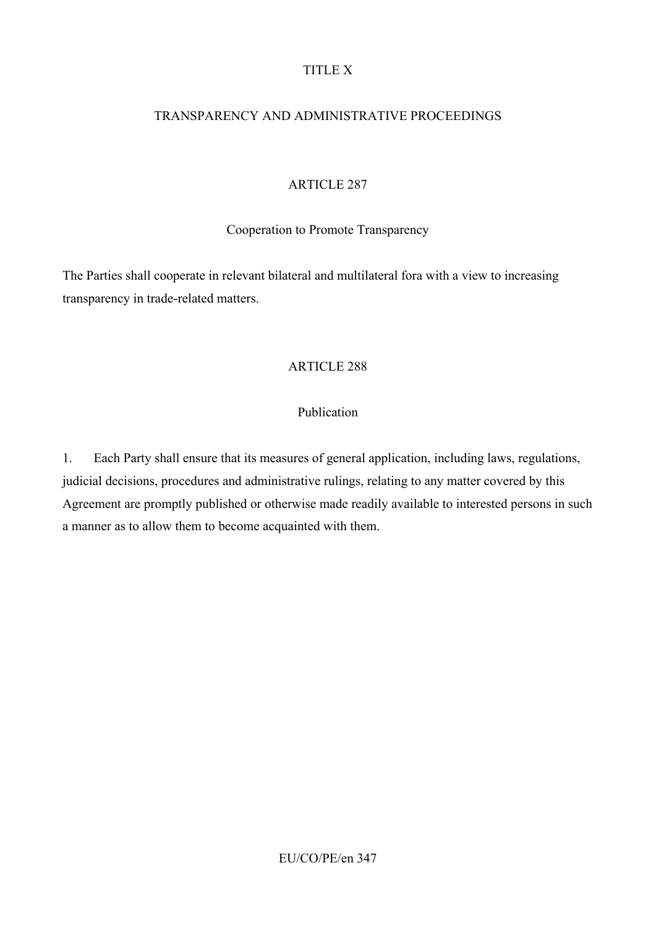#### TITLE X

### TRANSPARENCY AND ADMINISTRATIVE PROCEEDINGS

### ARTICLE 287

#### Cooperation to Promote Transparency

The Parties shall cooperate in relevant bilateral and multilateral fora with a view to increasing transparency in trade-related matters.

### ARTICLE 288

### Publication

1. Each Party shall ensure that its measures of general application, including laws, regulations, judicial decisions, procedures and administrative rulings, relating to any matter covered by this Agreement are promptly published or otherwise made readily available to interested persons in such a manner as to allow them to become acquainted with them.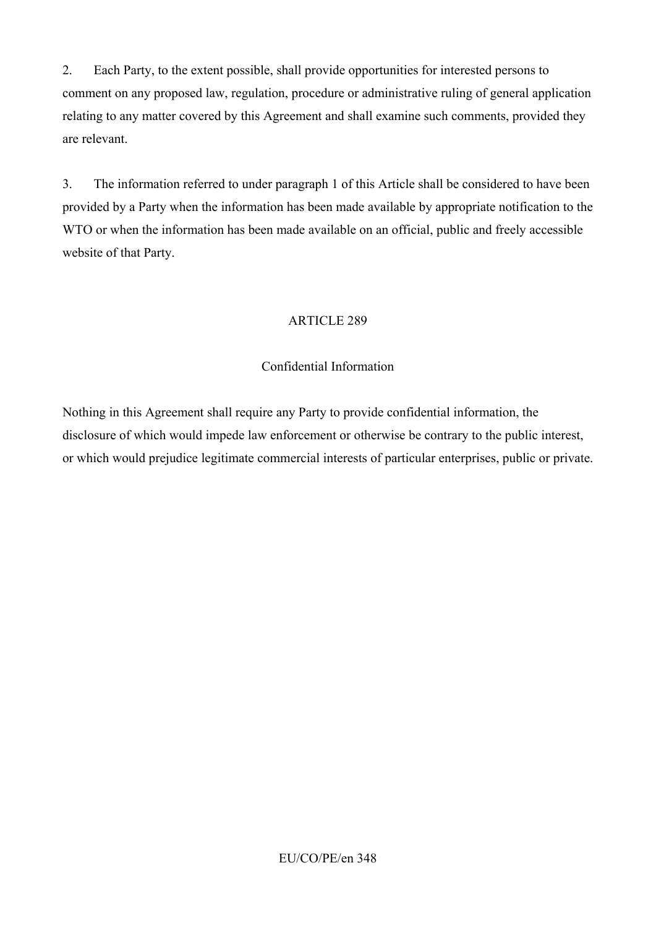2. Each Party, to the extent possible, shall provide opportunities for interested persons to comment on any proposed law, regulation, procedure or administrative ruling of general application relating to any matter covered by this Agreement and shall examine such comments, provided they are relevant.

3. The information referred to under paragraph 1 of this Article shall be considered to have been provided by a Party when the information has been made available by appropriate notification to the WTO or when the information has been made available on an official, public and freely accessible website of that Party.

# ARTICLE 289

### Confidential Information

Nothing in this Agreement shall require any Party to provide confidential information, the disclosure of which would impede law enforcement or otherwise be contrary to the public interest, or which would prejudice legitimate commercial interests of particular enterprises, public or private.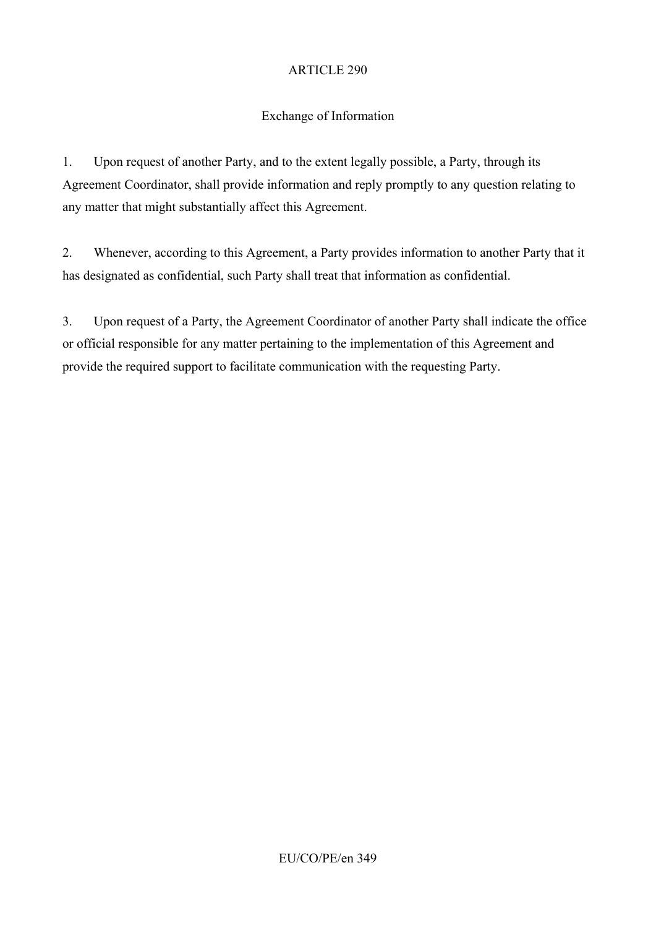# Exchange of Information

1. Upon request of another Party, and to the extent legally possible, a Party, through its Agreement Coordinator, shall provide information and reply promptly to any question relating to any matter that might substantially affect this Agreement.

2. Whenever, according to this Agreement, a Party provides information to another Party that it has designated as confidential, such Party shall treat that information as confidential.

3. Upon request of a Party, the Agreement Coordinator of another Party shall indicate the office or official responsible for any matter pertaining to the implementation of this Agreement and provide the required support to facilitate communication with the requesting Party.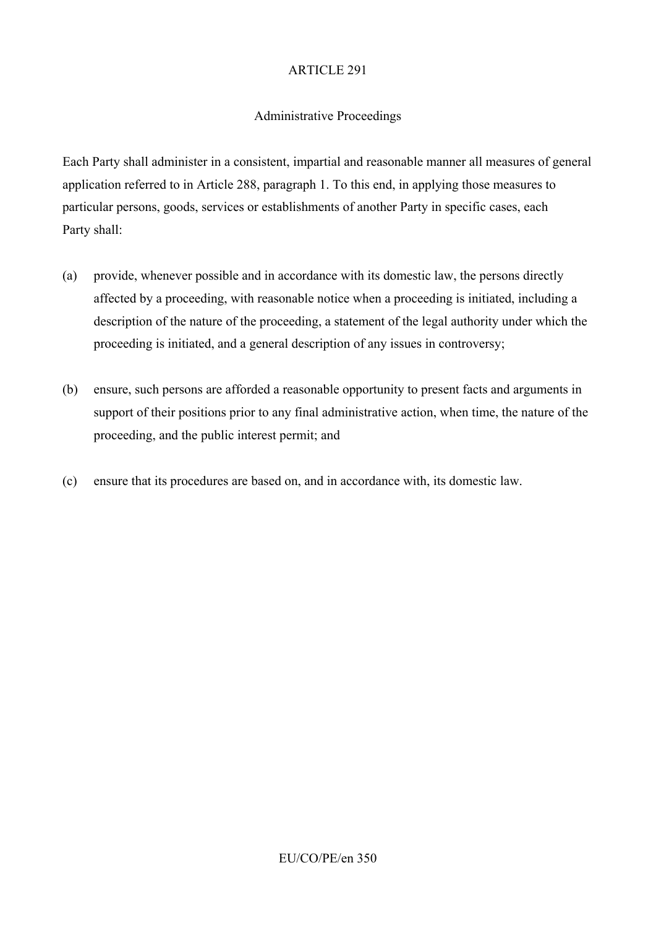#### Administrative Proceedings

Each Party shall administer in a consistent, impartial and reasonable manner all measures of general application referred to in Article 288, paragraph 1. To this end, in applying those measures to particular persons, goods, services or establishments of another Party in specific cases, each Party shall:

- (a) provide, whenever possible and in accordance with its domestic law, the persons directly affected by a proceeding, with reasonable notice when a proceeding is initiated, including a description of the nature of the proceeding, a statement of the legal authority under which the proceeding is initiated, and a general description of any issues in controversy;
- (b) ensure, such persons are afforded a reasonable opportunity to present facts and arguments in support of their positions prior to any final administrative action, when time, the nature of the proceeding, and the public interest permit; and
- (c) ensure that its procedures are based on, and in accordance with, its domestic law.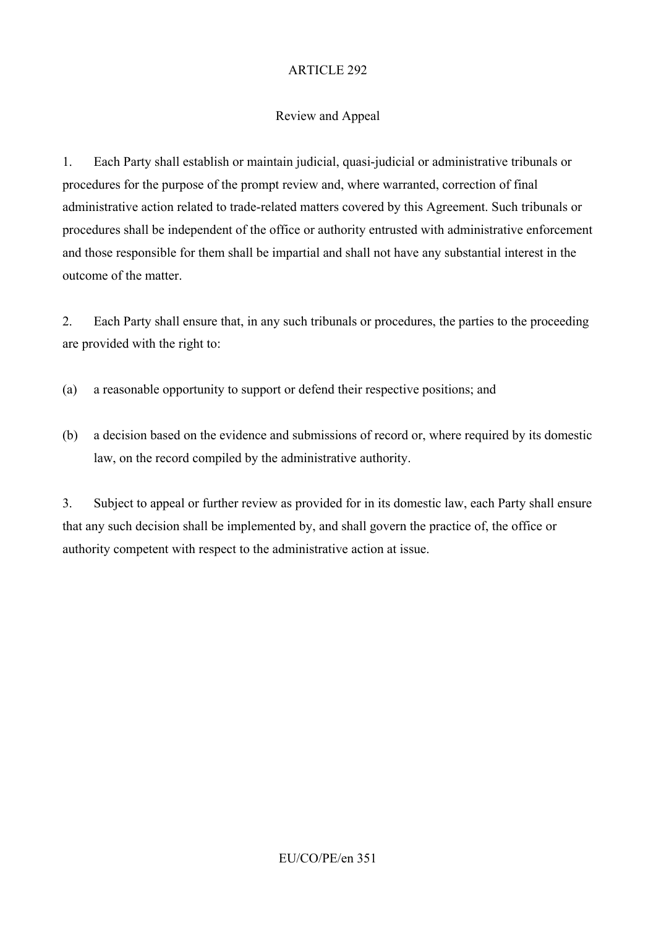# Review and Appeal

1. Each Party shall establish or maintain judicial, quasi-judicial or administrative tribunals or procedures for the purpose of the prompt review and, where warranted, correction of final administrative action related to trade-related matters covered by this Agreement. Such tribunals or procedures shall be independent of the office or authority entrusted with administrative enforcement and those responsible for them shall be impartial and shall not have any substantial interest in the outcome of the matter.

2. Each Party shall ensure that, in any such tribunals or procedures, the parties to the proceeding are provided with the right to:

- (a) a reasonable opportunity to support or defend their respective positions; and
- (b) a decision based on the evidence and submissions of record or, where required by its domestic law, on the record compiled by the administrative authority.

3. Subject to appeal or further review as provided for in its domestic law, each Party shall ensure that any such decision shall be implemented by, and shall govern the practice of, the office or authority competent with respect to the administrative action at issue.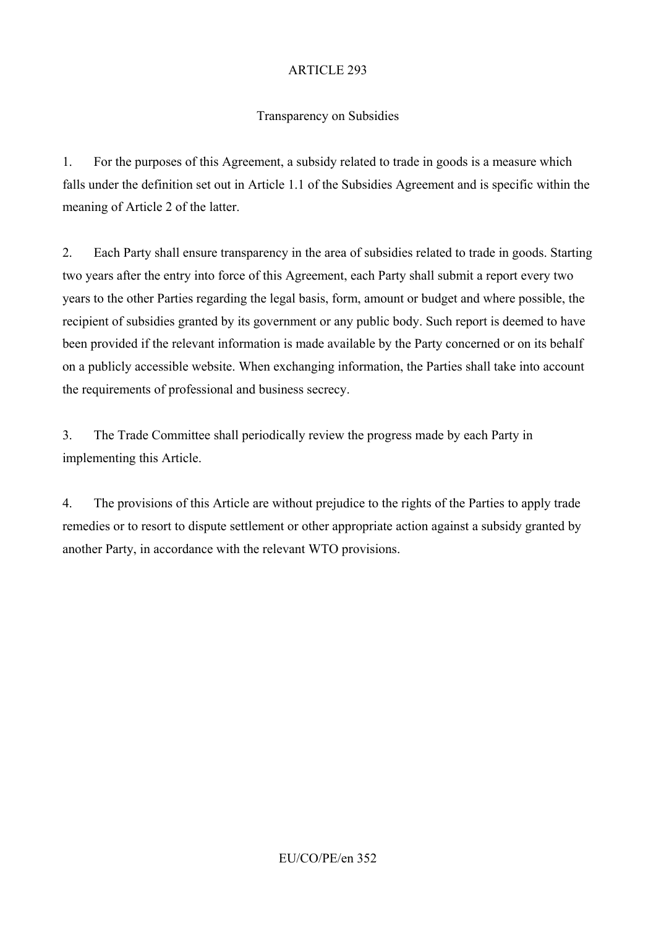# Transparency on Subsidies

1. For the purposes of this Agreement, a subsidy related to trade in goods is a measure which falls under the definition set out in Article 1.1 of the Subsidies Agreement and is specific within the meaning of Article 2 of the latter.

2. Each Party shall ensure transparency in the area of subsidies related to trade in goods. Starting two years after the entry into force of this Agreement, each Party shall submit a report every two years to the other Parties regarding the legal basis, form, amount or budget and where possible, the recipient of subsidies granted by its government or any public body. Such report is deemed to have been provided if the relevant information is made available by the Party concerned or on its behalf on a publicly accessible website. When exchanging information, the Parties shall take into account the requirements of professional and business secrecy.

3. The Trade Committee shall periodically review the progress made by each Party in implementing this Article.

4. The provisions of this Article are without prejudice to the rights of the Parties to apply trade remedies or to resort to dispute settlement or other appropriate action against a subsidy granted by another Party, in accordance with the relevant WTO provisions.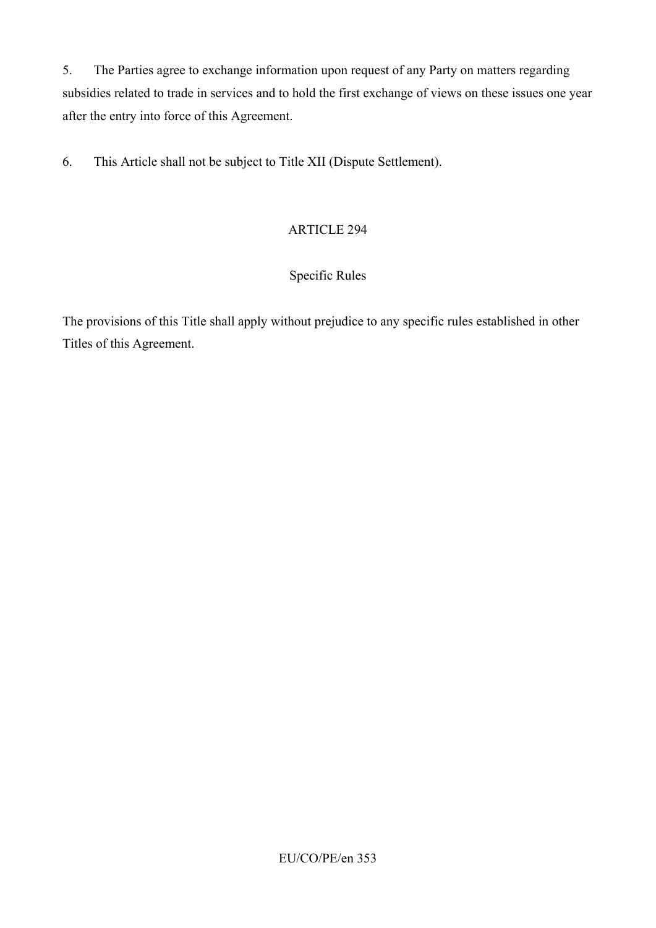5. The Parties agree to exchange information upon request of any Party on matters regarding subsidies related to trade in services and to hold the first exchange of views on these issues one year after the entry into force of this Agreement.

6. This Article shall not be subject to Title XII (Dispute Settlement).

# ARTICLE 294

# Specific Rules

The provisions of this Title shall apply without prejudice to any specific rules established in other Titles of this Agreement.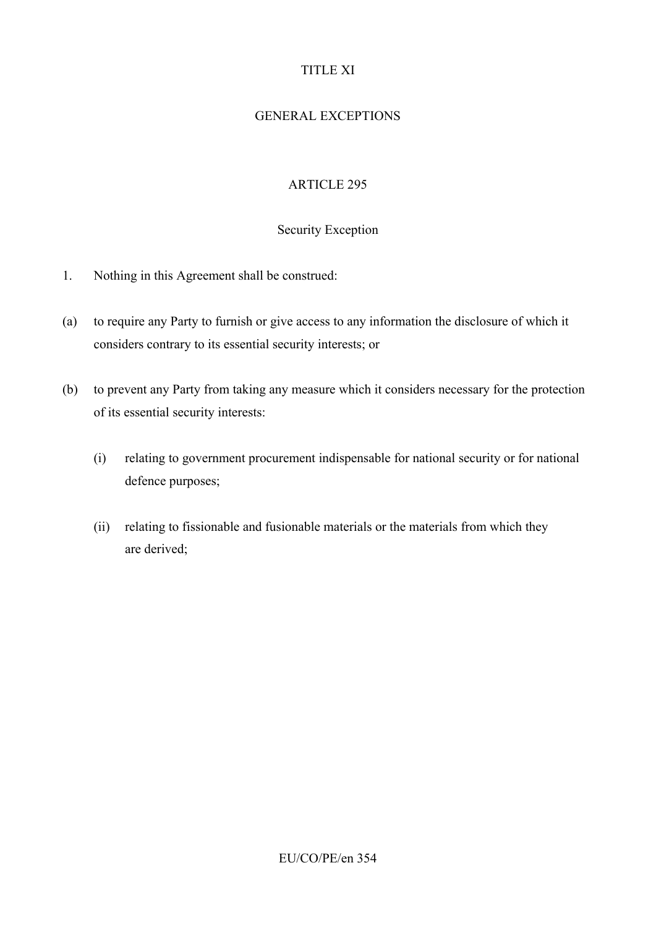# TITLE XI

# GENERAL EXCEPTIONS

# ARTICLE 295

# Security Exception

- 1. Nothing in this Agreement shall be construed:
- (a) to require any Party to furnish or give access to any information the disclosure of which it considers contrary to its essential security interests; or
- (b) to prevent any Party from taking any measure which it considers necessary for the protection of its essential security interests:
	- (i) relating to government procurement indispensable for national security or for national defence purposes;
	- (ii) relating to fissionable and fusionable materials or the materials from which they are derived;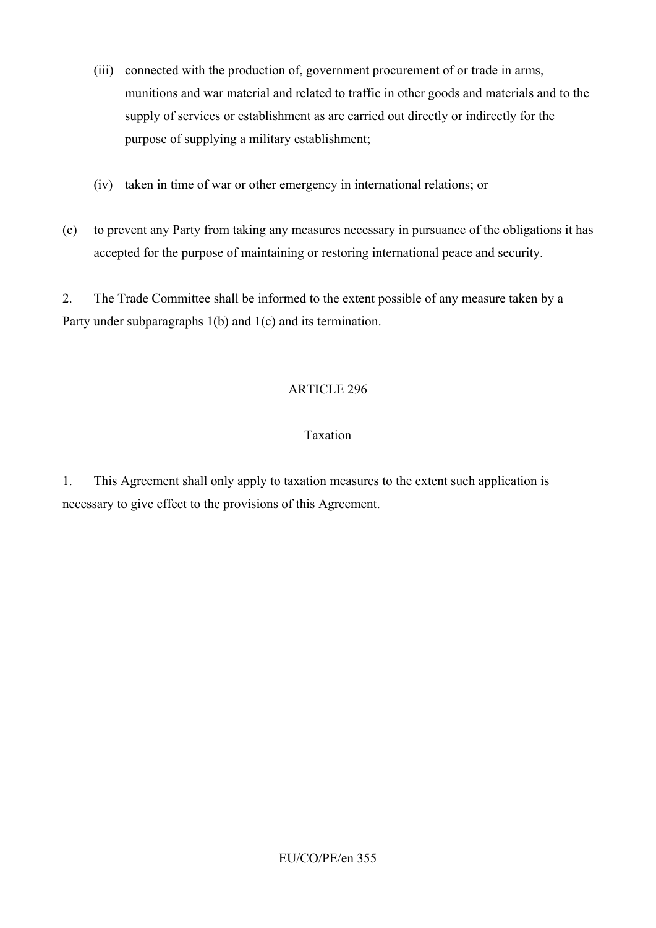- (iii) connected with the production of, government procurement of or trade in arms, munitions and war material and related to traffic in other goods and materials and to the supply of services or establishment as are carried out directly or indirectly for the purpose of supplying a military establishment;
- (iv) taken in time of war or other emergency in international relations; or
- (c) to prevent any Party from taking any measures necessary in pursuance of the obligations it has accepted for the purpose of maintaining or restoring international peace and security.

2. The Trade Committee shall be informed to the extent possible of any measure taken by a Party under subparagraphs 1(b) and 1(c) and its termination.

### ARTICLE 296

### Taxation

1. This Agreement shall only apply to taxation measures to the extent such application is necessary to give effect to the provisions of this Agreement.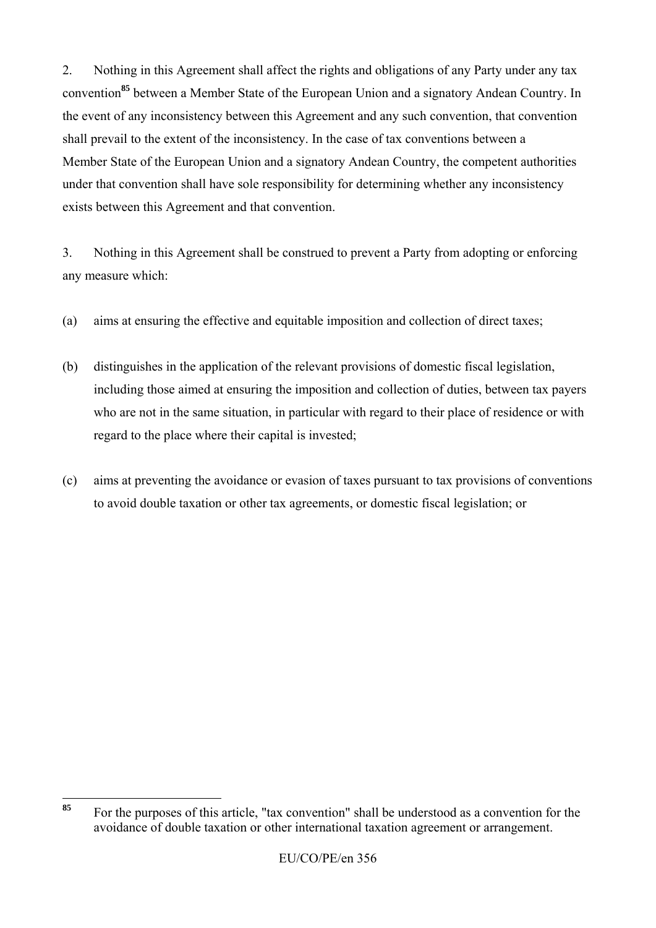2. Nothing in this Agreement shall affect the rights and obligations of any Party under any tax convention**<sup>85</sup>** between a Member State of the European Union and a signatory Andean Country. In the event of any inconsistency between this Agreement and any such convention, that convention shall prevail to the extent of the inconsistency. In the case of tax conventions between a Member State of the European Union and a signatory Andean Country, the competent authorities under that convention shall have sole responsibility for determining whether any inconsistency exists between this Agreement and that convention.

3. Nothing in this Agreement shall be construed to prevent a Party from adopting or enforcing any measure which:

- (a) aims at ensuring the effective and equitable imposition and collection of direct taxes;
- (b) distinguishes in the application of the relevant provisions of domestic fiscal legislation, including those aimed at ensuring the imposition and collection of duties, between tax payers who are not in the same situation, in particular with regard to their place of residence or with regard to the place where their capital is invested;
- (c) aims at preventing the avoidance or evasion of taxes pursuant to tax provisions of conventions to avoid double taxation or other tax agreements, or domestic fiscal legislation; or

<sup>85</sup> **<sup>85</sup>** For the purposes of this article, "tax convention" shall be understood as a convention for the avoidance of double taxation or other international taxation agreement or arrangement.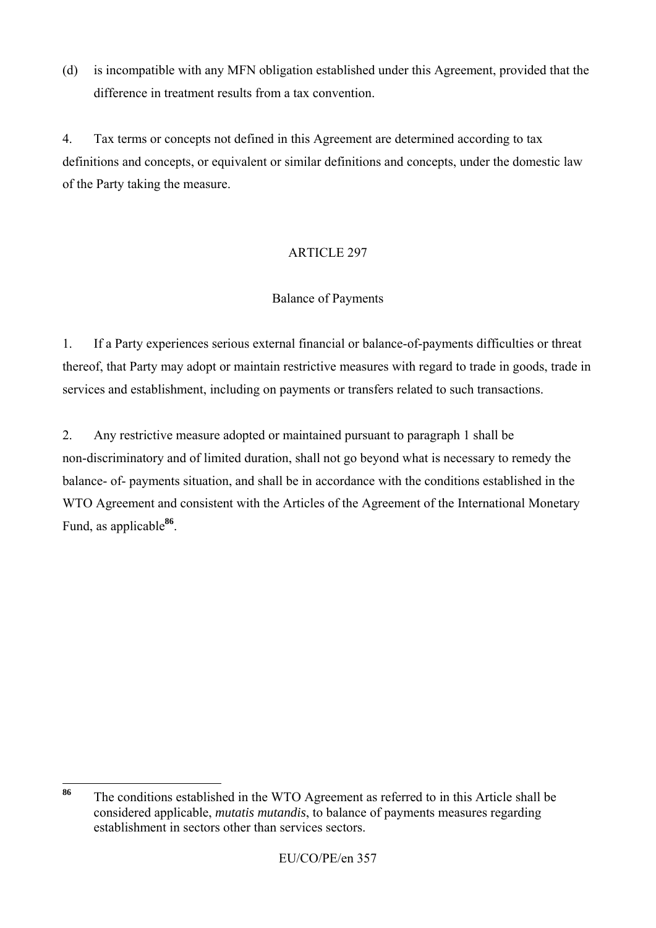(d) is incompatible with any MFN obligation established under this Agreement, provided that the difference in treatment results from a tax convention.

4. Tax terms or concepts not defined in this Agreement are determined according to tax definitions and concepts, or equivalent or similar definitions and concepts, under the domestic law of the Party taking the measure.

# ARTICLE 297

# Balance of Payments

1. If a Party experiences serious external financial or balance-of-payments difficulties or threat thereof, that Party may adopt or maintain restrictive measures with regard to trade in goods, trade in services and establishment, including on payments or transfers related to such transactions.

2. Any restrictive measure adopted or maintained pursuant to paragraph 1 shall be non-discriminatory and of limited duration, shall not go beyond what is necessary to remedy the balance- of- payments situation, and shall be in accordance with the conditions established in the WTO Agreement and consistent with the Articles of the Agreement of the International Monetary Fund, as applicable**<sup>86</sup>**.

<sup>86</sup> The conditions established in the WTO Agreement as referred to in this Article shall be considered applicable, *mutatis mutandis*, to balance of payments measures regarding establishment in sectors other than services sectors.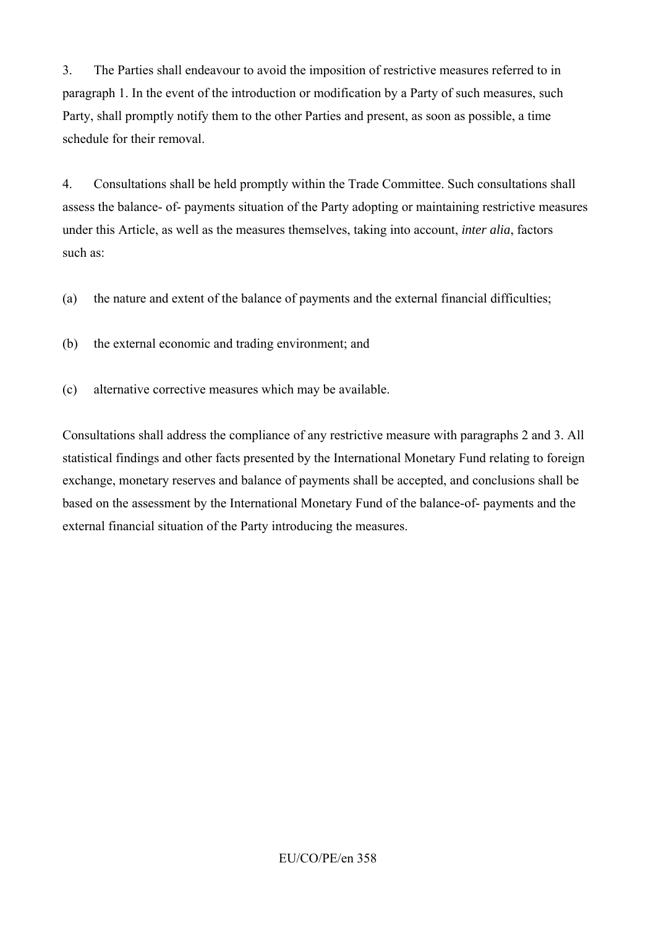3. The Parties shall endeavour to avoid the imposition of restrictive measures referred to in paragraph 1. In the event of the introduction or modification by a Party of such measures, such Party, shall promptly notify them to the other Parties and present, as soon as possible, a time schedule for their removal.

4. Consultations shall be held promptly within the Trade Committee. Such consultations shall assess the balance- of- payments situation of the Party adopting or maintaining restrictive measures under this Article, as well as the measures themselves, taking into account, *inter alia*, factors such as:

- (a) the nature and extent of the balance of payments and the external financial difficulties;
- (b) the external economic and trading environment; and
- (c) alternative corrective measures which may be available.

Consultations shall address the compliance of any restrictive measure with paragraphs 2 and 3. All statistical findings and other facts presented by the International Monetary Fund relating to foreign exchange, monetary reserves and balance of payments shall be accepted, and conclusions shall be based on the assessment by the International Monetary Fund of the balance-of- payments and the external financial situation of the Party introducing the measures.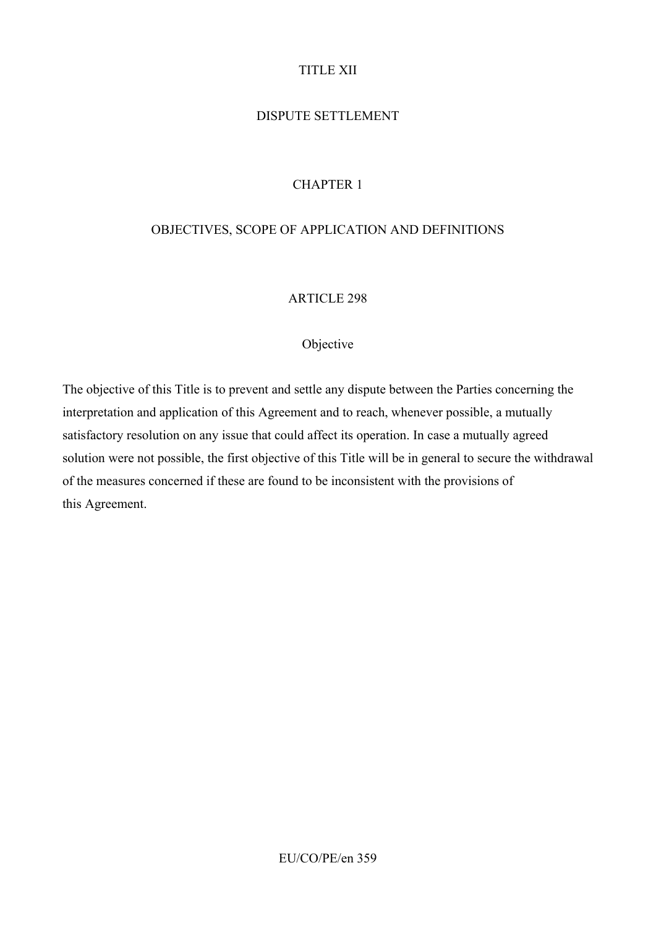# TITLE XII

# DISPUTE SETTLEMENT

# CHAPTER 1

#### OBJECTIVES, SCOPE OF APPLICATION AND DEFINITIONS

#### ARTICLE 298

#### Objective

The objective of this Title is to prevent and settle any dispute between the Parties concerning the interpretation and application of this Agreement and to reach, whenever possible, a mutually satisfactory resolution on any issue that could affect its operation. In case a mutually agreed solution were not possible, the first objective of this Title will be in general to secure the withdrawal of the measures concerned if these are found to be inconsistent with the provisions of this Agreement.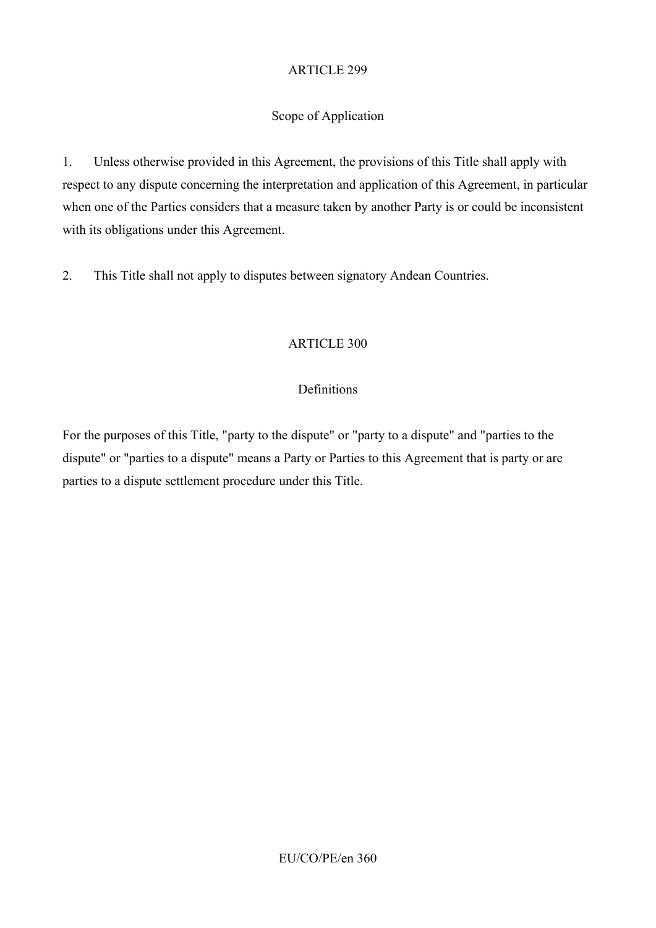# Scope of Application

1. Unless otherwise provided in this Agreement, the provisions of this Title shall apply with respect to any dispute concerning the interpretation and application of this Agreement, in particular when one of the Parties considers that a measure taken by another Party is or could be inconsistent with its obligations under this Agreement.

2. This Title shall not apply to disputes between signatory Andean Countries.

# ARTICLE 300

# Definitions

For the purposes of this Title, "party to the dispute" or "party to a dispute" and "parties to the dispute" or "parties to a dispute" means a Party or Parties to this Agreement that is party or are parties to a dispute settlement procedure under this Title.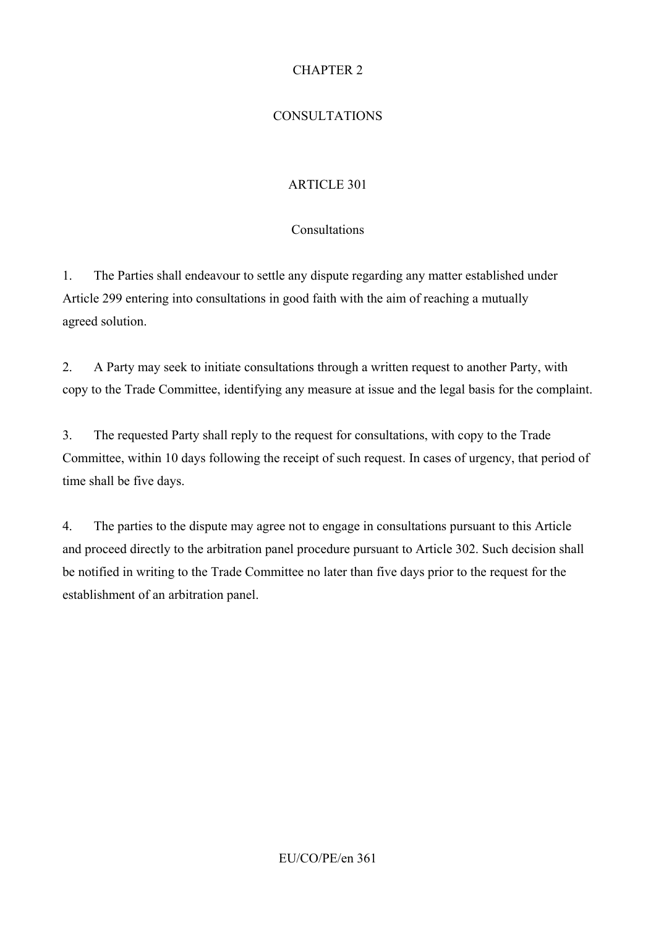## CHAPTER 2

## CONSULTATIONS

## ARTICLE 301

## Consultations

1. The Parties shall endeavour to settle any dispute regarding any matter established under Article 299 entering into consultations in good faith with the aim of reaching a mutually agreed solution.

2. A Party may seek to initiate consultations through a written request to another Party, with copy to the Trade Committee, identifying any measure at issue and the legal basis for the complaint.

3. The requested Party shall reply to the request for consultations, with copy to the Trade Committee, within 10 days following the receipt of such request. In cases of urgency, that period of time shall be five days.

4. The parties to the dispute may agree not to engage in consultations pursuant to this Article and proceed directly to the arbitration panel procedure pursuant to Article 302. Such decision shall be notified in writing to the Trade Committee no later than five days prior to the request for the establishment of an arbitration panel.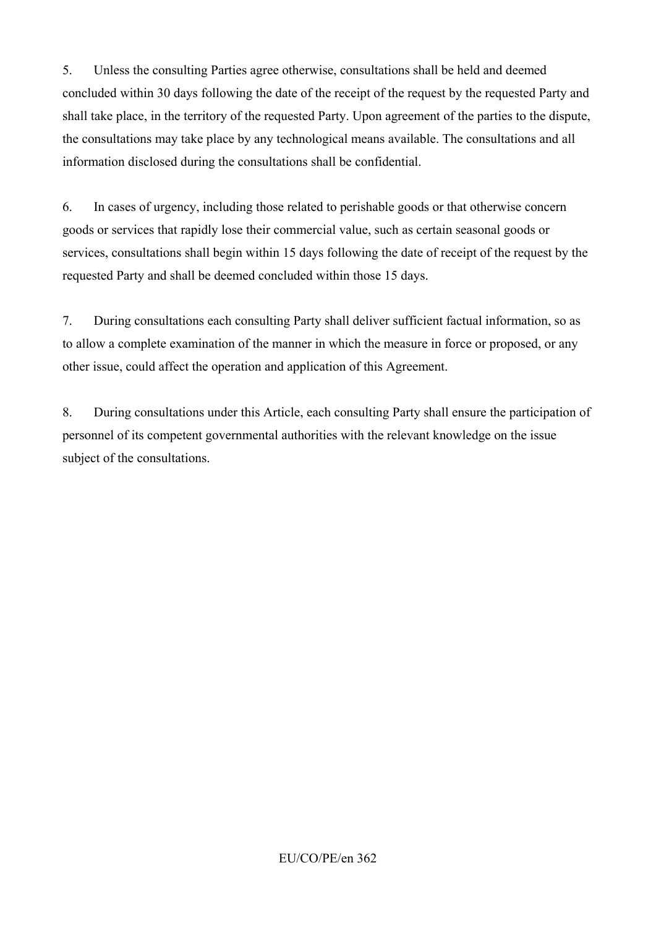5. Unless the consulting Parties agree otherwise, consultations shall be held and deemed concluded within 30 days following the date of the receipt of the request by the requested Party and shall take place, in the territory of the requested Party. Upon agreement of the parties to the dispute, the consultations may take place by any technological means available. The consultations and all information disclosed during the consultations shall be confidential.

6. In cases of urgency, including those related to perishable goods or that otherwise concern goods or services that rapidly lose their commercial value, such as certain seasonal goods or services, consultations shall begin within 15 days following the date of receipt of the request by the requested Party and shall be deemed concluded within those 15 days.

7. During consultations each consulting Party shall deliver sufficient factual information, so as to allow a complete examination of the manner in which the measure in force or proposed, or any other issue, could affect the operation and application of this Agreement.

8. During consultations under this Article, each consulting Party shall ensure the participation of personnel of its competent governmental authorities with the relevant knowledge on the issue subject of the consultations.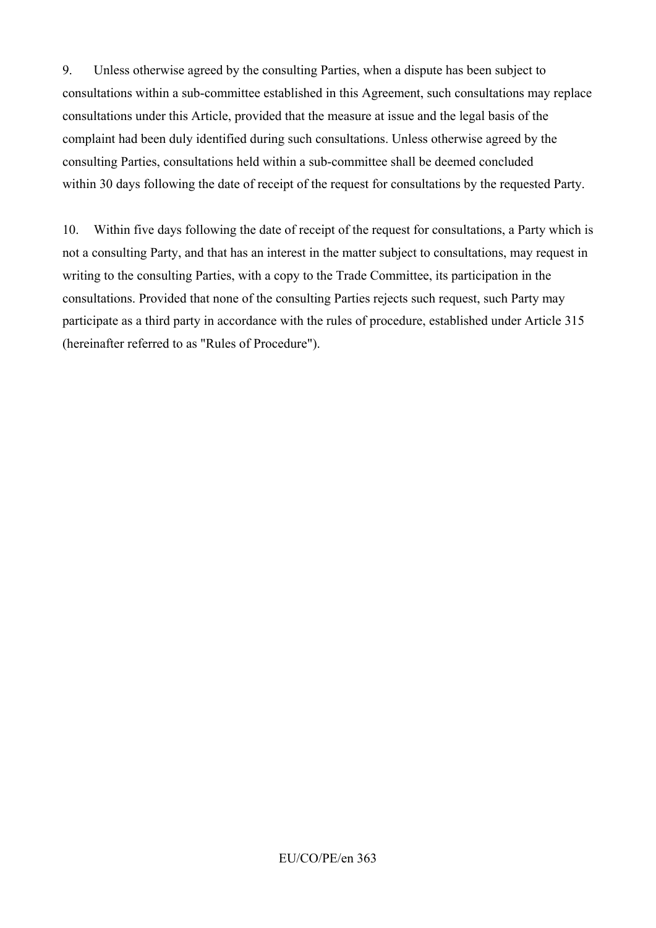9. Unless otherwise agreed by the consulting Parties, when a dispute has been subject to consultations within a sub-committee established in this Agreement, such consultations may replace consultations under this Article, provided that the measure at issue and the legal basis of the complaint had been duly identified during such consultations. Unless otherwise agreed by the consulting Parties, consultations held within a sub-committee shall be deemed concluded within 30 days following the date of receipt of the request for consultations by the requested Party.

10. Within five days following the date of receipt of the request for consultations, a Party which is not a consulting Party, and that has an interest in the matter subject to consultations, may request in writing to the consulting Parties, with a copy to the Trade Committee, its participation in the consultations. Provided that none of the consulting Parties rejects such request, such Party may participate as a third party in accordance with the rules of procedure, established under Article 315 (hereinafter referred to as "Rules of Procedure").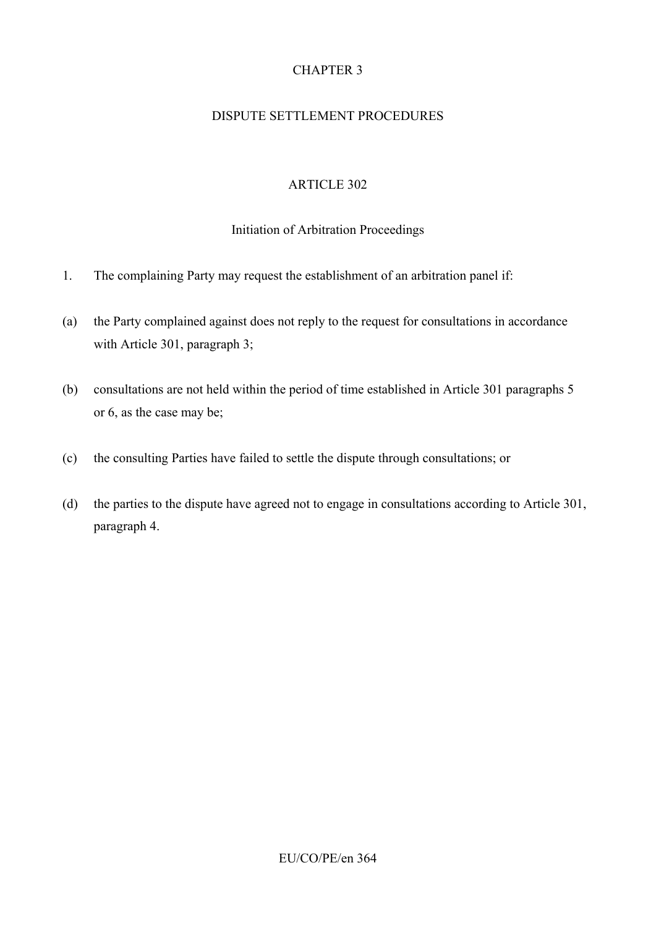## CHAPTER 3

### DISPUTE SETTLEMENT PROCEDURES

### ARTICLE 302

#### Initiation of Arbitration Proceedings

- 1. The complaining Party may request the establishment of an arbitration panel if:
- (a) the Party complained against does not reply to the request for consultations in accordance with Article 301, paragraph 3;
- (b) consultations are not held within the period of time established in Article 301 paragraphs 5 or 6, as the case may be;
- (c) the consulting Parties have failed to settle the dispute through consultations; or
- (d) the parties to the dispute have agreed not to engage in consultations according to Article 301, paragraph 4.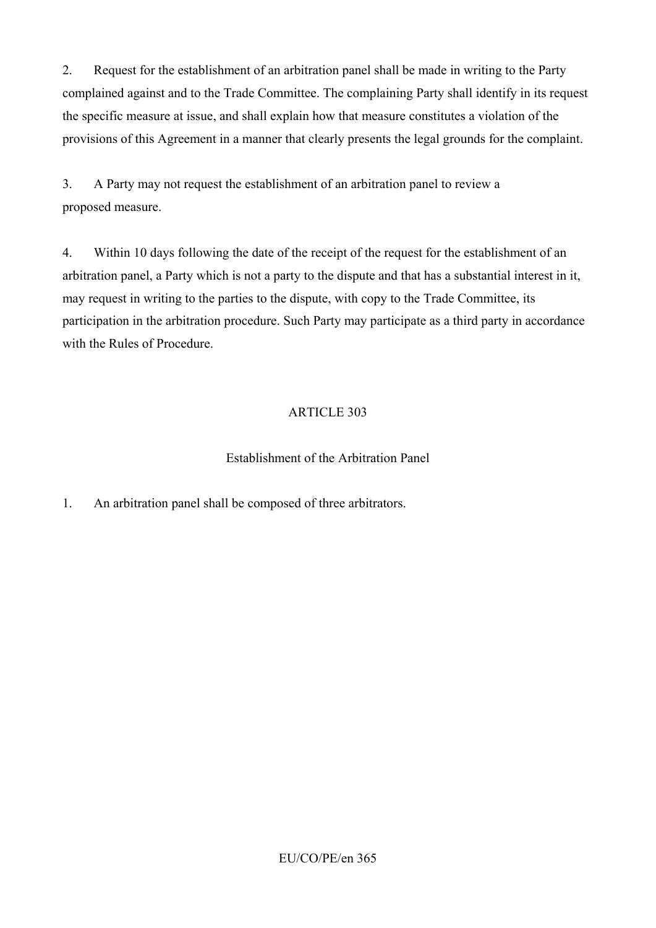2. Request for the establishment of an arbitration panel shall be made in writing to the Party complained against and to the Trade Committee. The complaining Party shall identify in its request the specific measure at issue, and shall explain how that measure constitutes a violation of the provisions of this Agreement in a manner that clearly presents the legal grounds for the complaint.

3. A Party may not request the establishment of an arbitration panel to review a proposed measure.

4. Within 10 days following the date of the receipt of the request for the establishment of an arbitration panel, a Party which is not a party to the dispute and that has a substantial interest in it, may request in writing to the parties to the dispute, with copy to the Trade Committee, its participation in the arbitration procedure. Such Party may participate as a third party in accordance with the Rules of Procedure.

## ARTICLE 303

### Establishment of the Arbitration Panel

1. An arbitration panel shall be composed of three arbitrators.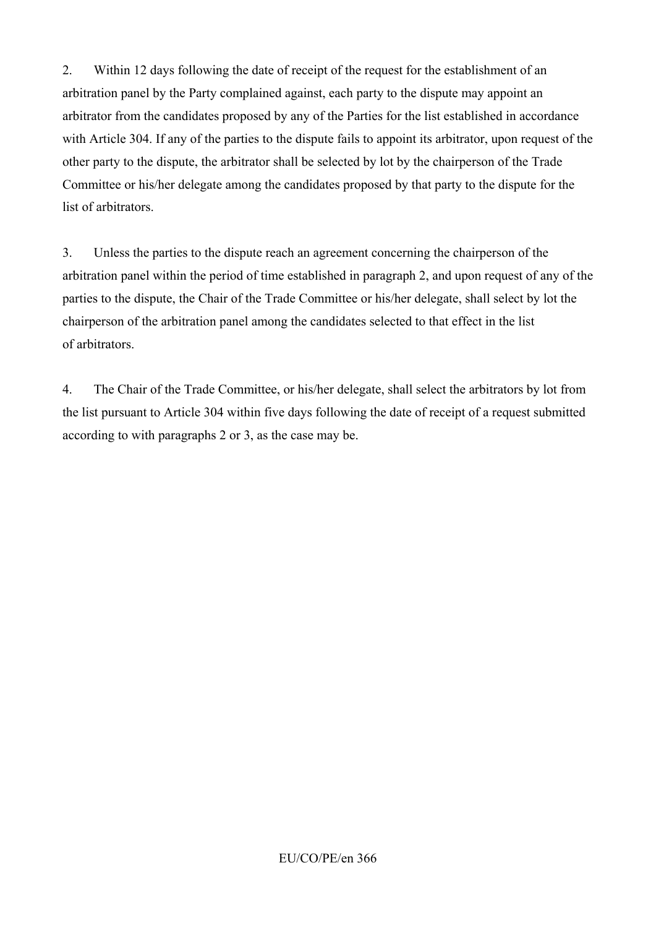2. Within 12 days following the date of receipt of the request for the establishment of an arbitration panel by the Party complained against, each party to the dispute may appoint an arbitrator from the candidates proposed by any of the Parties for the list established in accordance with Article 304. If any of the parties to the dispute fails to appoint its arbitrator, upon request of the other party to the dispute, the arbitrator shall be selected by lot by the chairperson of the Trade Committee or his/her delegate among the candidates proposed by that party to the dispute for the list of arbitrators.

3. Unless the parties to the dispute reach an agreement concerning the chairperson of the arbitration panel within the period of time established in paragraph 2, and upon request of any of the parties to the dispute, the Chair of the Trade Committee or his/her delegate, shall select by lot the chairperson of the arbitration panel among the candidates selected to that effect in the list of arbitrators.

4. The Chair of the Trade Committee, or his/her delegate, shall select the arbitrators by lot from the list pursuant to Article 304 within five days following the date of receipt of a request submitted according to with paragraphs 2 or 3, as the case may be.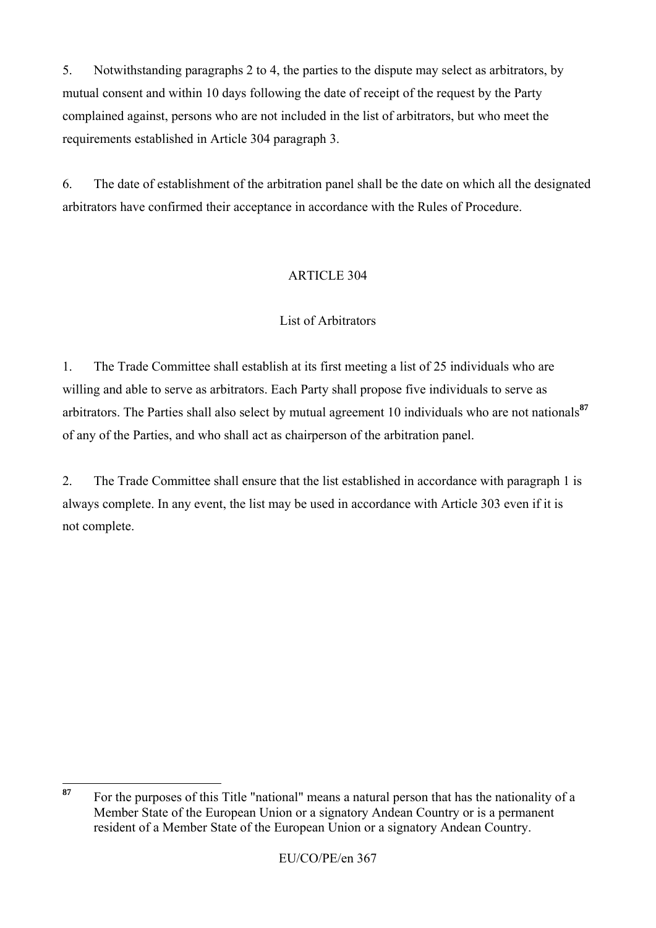5. Notwithstanding paragraphs 2 to 4, the parties to the dispute may select as arbitrators, by mutual consent and within 10 days following the date of receipt of the request by the Party complained against, persons who are not included in the list of arbitrators, but who meet the requirements established in Article 304 paragraph 3.

6. The date of establishment of the arbitration panel shall be the date on which all the designated arbitrators have confirmed their acceptance in accordance with the Rules of Procedure.

## ARTICLE 304

### List of Arbitrators

1. The Trade Committee shall establish at its first meeting a list of 25 individuals who are willing and able to serve as arbitrators. Each Party shall propose five individuals to serve as arbitrators. The Parties shall also select by mutual agreement 10 individuals who are not nationals**<sup>87</sup>** of any of the Parties, and who shall act as chairperson of the arbitration panel.

2. The Trade Committee shall ensure that the list established in accordance with paragraph 1 is always complete. In any event, the list may be used in accordance with Article 303 even if it is not complete.

<sup>87</sup> **<sup>87</sup>** For the purposes of this Title "national" means a natural person that has the nationality of a Member State of the European Union or a signatory Andean Country or is a permanent resident of a Member State of the European Union or a signatory Andean Country.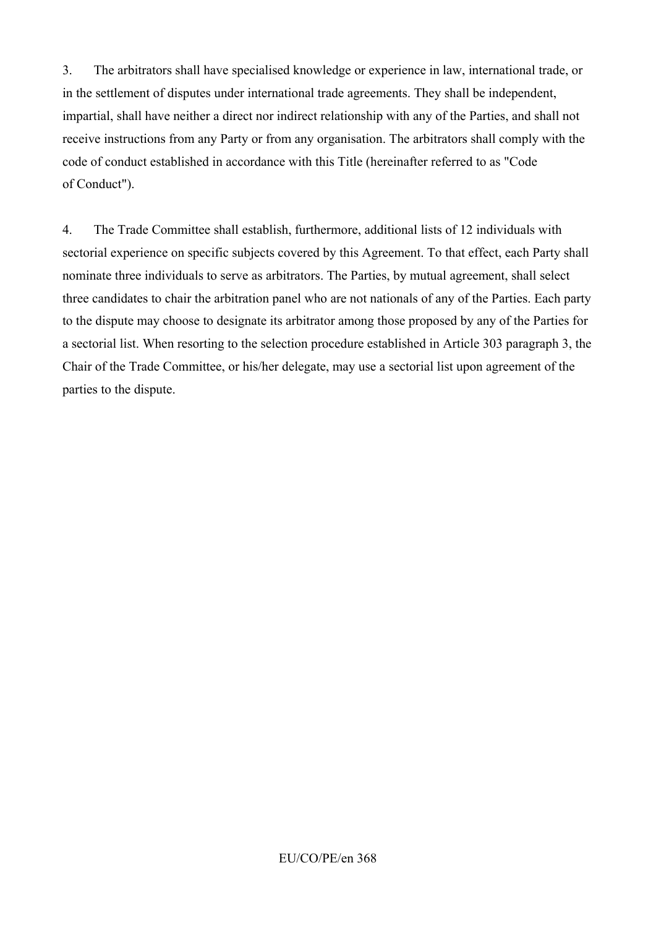3. The arbitrators shall have specialised knowledge or experience in law, international trade, or in the settlement of disputes under international trade agreements. They shall be independent, impartial, shall have neither a direct nor indirect relationship with any of the Parties, and shall not receive instructions from any Party or from any organisation. The arbitrators shall comply with the code of conduct established in accordance with this Title (hereinafter referred to as "Code of Conduct").

4. The Trade Committee shall establish, furthermore, additional lists of 12 individuals with sectorial experience on specific subjects covered by this Agreement. To that effect, each Party shall nominate three individuals to serve as arbitrators. The Parties, by mutual agreement, shall select three candidates to chair the arbitration panel who are not nationals of any of the Parties. Each party to the dispute may choose to designate its arbitrator among those proposed by any of the Parties for a sectorial list. When resorting to the selection procedure established in Article 303 paragraph 3, the Chair of the Trade Committee, or his/her delegate, may use a sectorial list upon agreement of the parties to the dispute.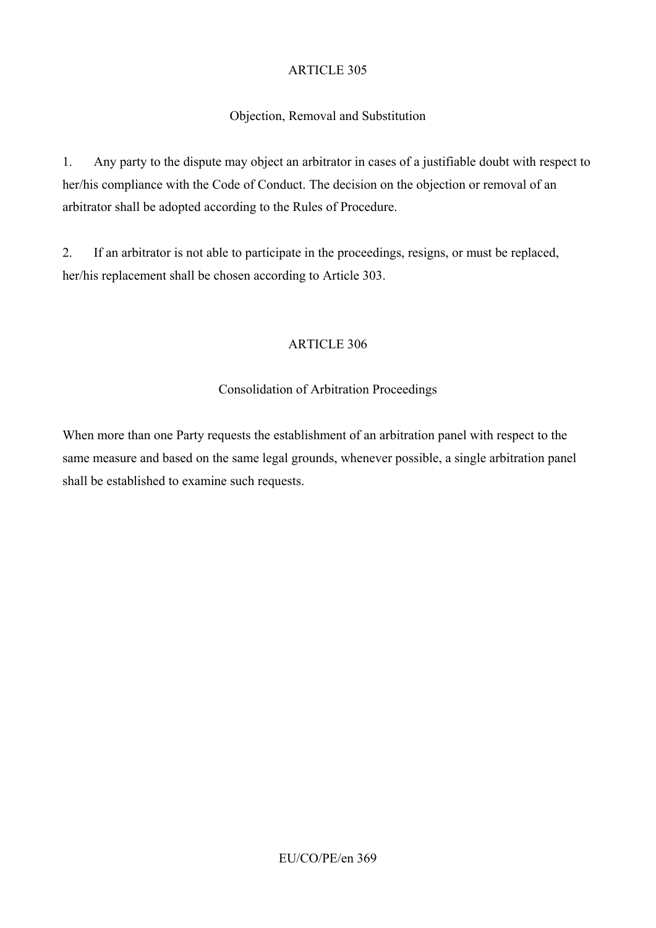### Objection, Removal and Substitution

1. Any party to the dispute may object an arbitrator in cases of a justifiable doubt with respect to her/his compliance with the Code of Conduct. The decision on the objection or removal of an arbitrator shall be adopted according to the Rules of Procedure.

2. If an arbitrator is not able to participate in the proceedings, resigns, or must be replaced, her/his replacement shall be chosen according to Article 303.

#### ARTICLE 306

#### Consolidation of Arbitration Proceedings

When more than one Party requests the establishment of an arbitration panel with respect to the same measure and based on the same legal grounds, whenever possible, a single arbitration panel shall be established to examine such requests.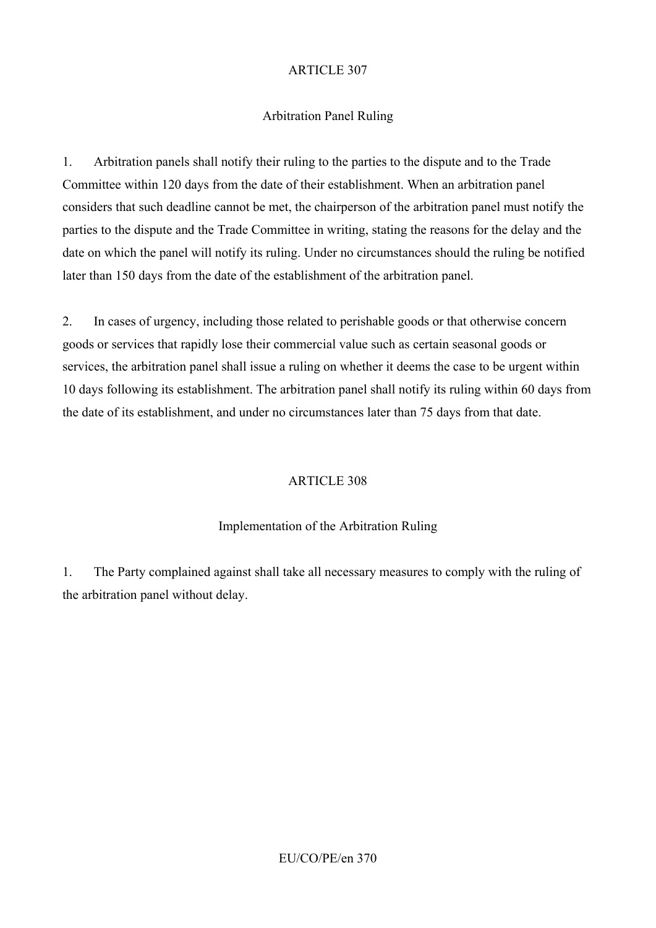### Arbitration Panel Ruling

1. Arbitration panels shall notify their ruling to the parties to the dispute and to the Trade Committee within 120 days from the date of their establishment. When an arbitration panel considers that such deadline cannot be met, the chairperson of the arbitration panel must notify the parties to the dispute and the Trade Committee in writing, stating the reasons for the delay and the date on which the panel will notify its ruling. Under no circumstances should the ruling be notified later than 150 days from the date of the establishment of the arbitration panel.

2. In cases of urgency, including those related to perishable goods or that otherwise concern goods or services that rapidly lose their commercial value such as certain seasonal goods or services, the arbitration panel shall issue a ruling on whether it deems the case to be urgent within 10 days following its establishment. The arbitration panel shall notify its ruling within 60 days from the date of its establishment, and under no circumstances later than 75 days from that date.

#### ARTICLE 308

#### Implementation of the Arbitration Ruling

1. The Party complained against shall take all necessary measures to comply with the ruling of the arbitration panel without delay.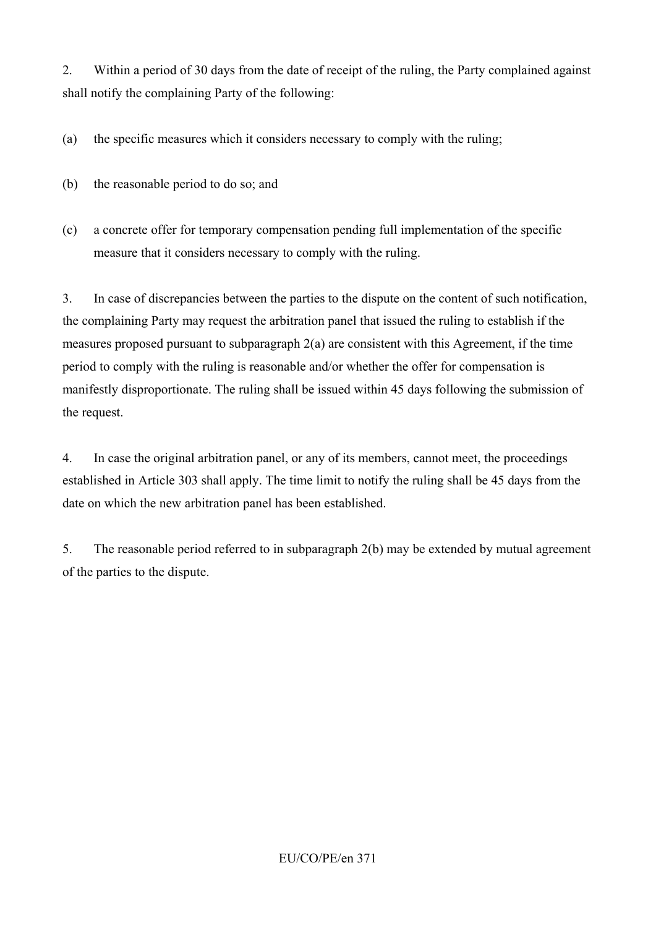2. Within a period of 30 days from the date of receipt of the ruling, the Party complained against shall notify the complaining Party of the following:

(a) the specific measures which it considers necessary to comply with the ruling;

- (b) the reasonable period to do so; and
- (c) a concrete offer for temporary compensation pending full implementation of the specific measure that it considers necessary to comply with the ruling.

3. In case of discrepancies between the parties to the dispute on the content of such notification, the complaining Party may request the arbitration panel that issued the ruling to establish if the measures proposed pursuant to subparagraph 2(a) are consistent with this Agreement, if the time period to comply with the ruling is reasonable and/or whether the offer for compensation is manifestly disproportionate. The ruling shall be issued within 45 days following the submission of the request.

4. In case the original arbitration panel, or any of its members, cannot meet, the proceedings established in Article 303 shall apply. The time limit to notify the ruling shall be 45 days from the date on which the new arbitration panel has been established.

5. The reasonable period referred to in subparagraph 2(b) may be extended by mutual agreement of the parties to the dispute.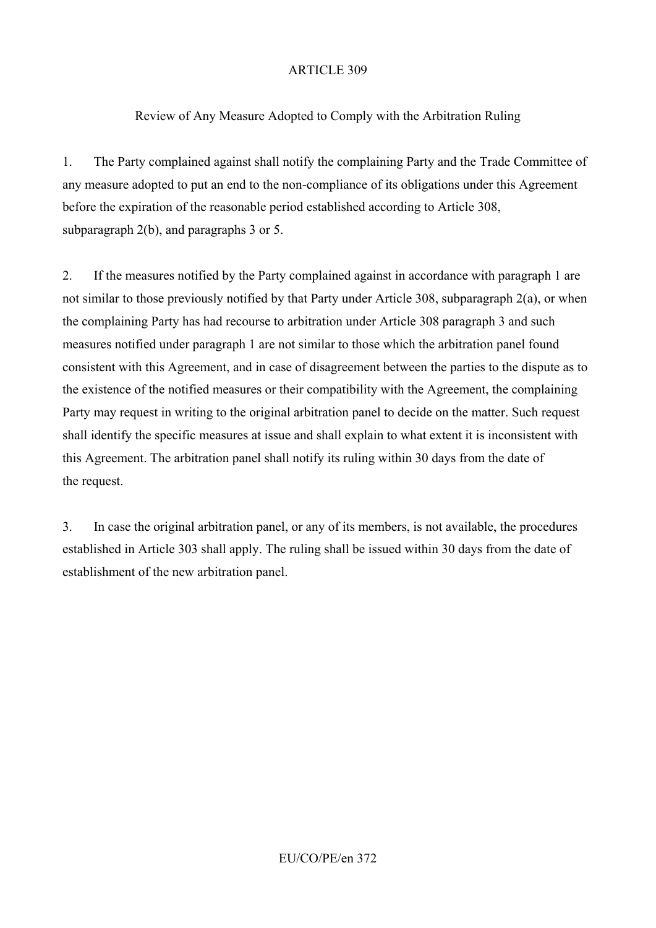### Review of Any Measure Adopted to Comply with the Arbitration Ruling

1. The Party complained against shall notify the complaining Party and the Trade Committee of any measure adopted to put an end to the non-compliance of its obligations under this Agreement before the expiration of the reasonable period established according to Article 308, subparagraph 2(b), and paragraphs 3 or 5.

2. If the measures notified by the Party complained against in accordance with paragraph 1 are not similar to those previously notified by that Party under Article 308, subparagraph 2(a), or when the complaining Party has had recourse to arbitration under Article 308 paragraph 3 and such measures notified under paragraph 1 are not similar to those which the arbitration panel found consistent with this Agreement, and in case of disagreement between the parties to the dispute as to the existence of the notified measures or their compatibility with the Agreement, the complaining Party may request in writing to the original arbitration panel to decide on the matter. Such request shall identify the specific measures at issue and shall explain to what extent it is inconsistent with this Agreement. The arbitration panel shall notify its ruling within 30 days from the date of the request.

3. In case the original arbitration panel, or any of its members, is not available, the procedures established in Article 303 shall apply. The ruling shall be issued within 30 days from the date of establishment of the new arbitration panel.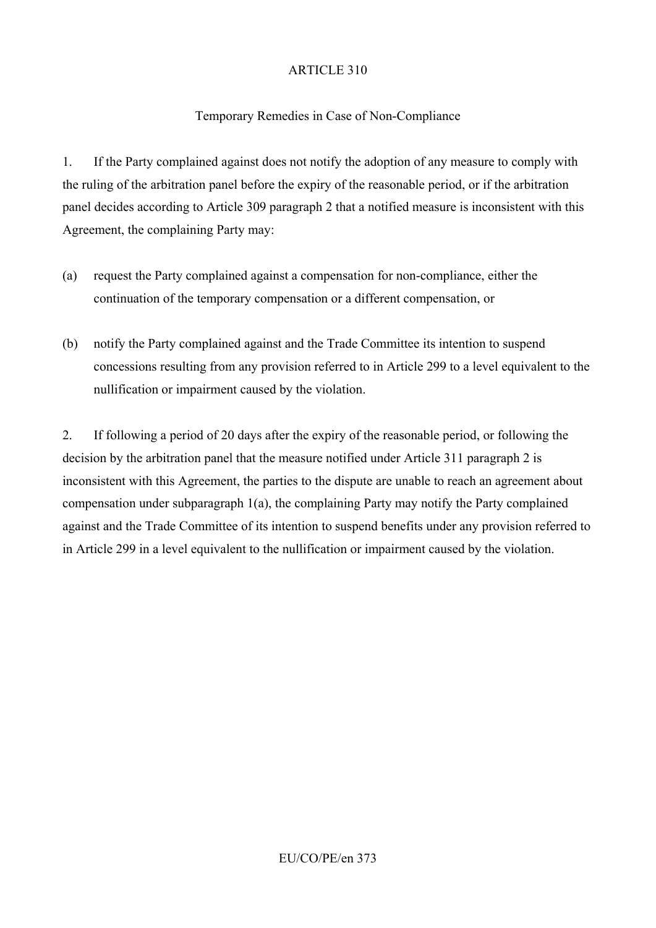### Temporary Remedies in Case of Non-Compliance

1. If the Party complained against does not notify the adoption of any measure to comply with the ruling of the arbitration panel before the expiry of the reasonable period, or if the arbitration panel decides according to Article 309 paragraph 2 that a notified measure is inconsistent with this Agreement, the complaining Party may:

- (a) request the Party complained against a compensation for non-compliance, either the continuation of the temporary compensation or a different compensation, or
- (b) notify the Party complained against and the Trade Committee its intention to suspend concessions resulting from any provision referred to in Article 299 to a level equivalent to the nullification or impairment caused by the violation.

2. If following a period of 20 days after the expiry of the reasonable period, or following the decision by the arbitration panel that the measure notified under Article 311 paragraph 2 is inconsistent with this Agreement, the parties to the dispute are unable to reach an agreement about compensation under subparagraph 1(a), the complaining Party may notify the Party complained against and the Trade Committee of its intention to suspend benefits under any provision referred to in Article 299 in a level equivalent to the nullification or impairment caused by the violation.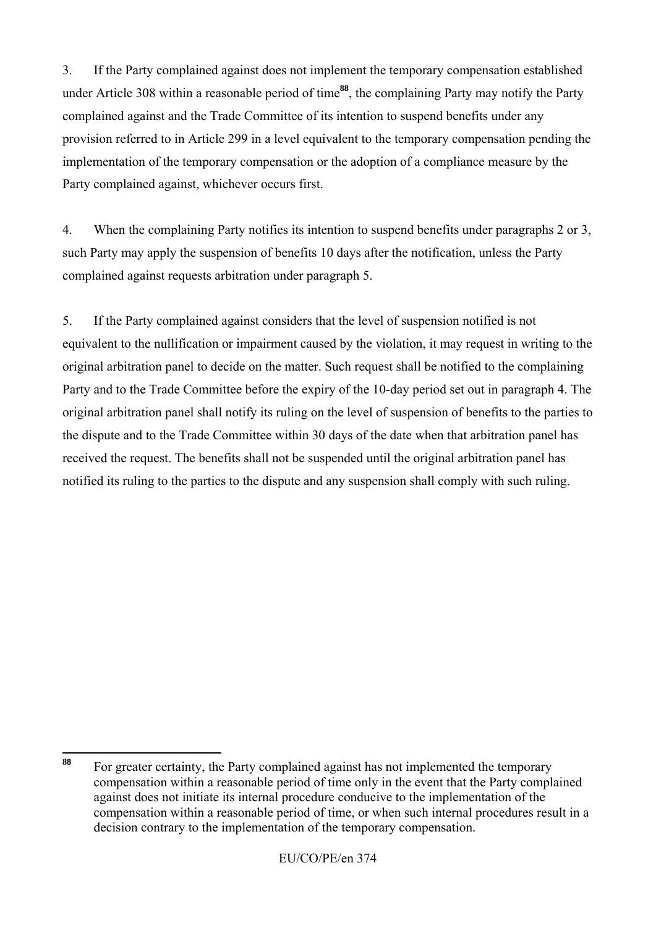3. If the Party complained against does not implement the temporary compensation established under Article 308 within a reasonable period of time**<sup>88</sup>**, the complaining Party may notify the Party complained against and the Trade Committee of its intention to suspend benefits under any provision referred to in Article 299 in a level equivalent to the temporary compensation pending the implementation of the temporary compensation or the adoption of a compliance measure by the Party complained against, whichever occurs first.

4. When the complaining Party notifies its intention to suspend benefits under paragraphs 2 or 3, such Party may apply the suspension of benefits 10 days after the notification, unless the Party complained against requests arbitration under paragraph 5.

5. If the Party complained against considers that the level of suspension notified is not equivalent to the nullification or impairment caused by the violation, it may request in writing to the original arbitration panel to decide on the matter. Such request shall be notified to the complaining Party and to the Trade Committee before the expiry of the 10-day period set out in paragraph 4. The original arbitration panel shall notify its ruling on the level of suspension of benefits to the parties to the dispute and to the Trade Committee within 30 days of the date when that arbitration panel has received the request. The benefits shall not be suspended until the original arbitration panel has notified its ruling to the parties to the dispute and any suspension shall comply with such ruling.

<sup>88</sup> **<sup>88</sup>** For greater certainty, the Party complained against has not implemented the temporary compensation within a reasonable period of time only in the event that the Party complained against does not initiate its internal procedure conducive to the implementation of the compensation within a reasonable period of time, or when such internal procedures result in a decision contrary to the implementation of the temporary compensation.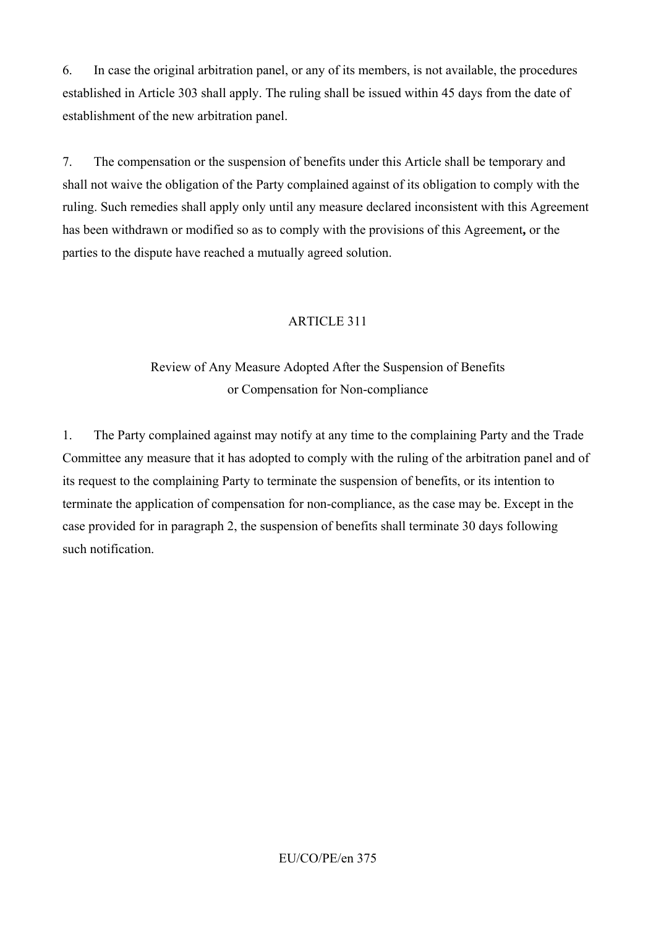6. In case the original arbitration panel, or any of its members, is not available, the procedures established in Article 303 shall apply. The ruling shall be issued within 45 days from the date of establishment of the new arbitration panel.

7. The compensation or the suspension of benefits under this Article shall be temporary and shall not waive the obligation of the Party complained against of its obligation to comply with the ruling. Such remedies shall apply only until any measure declared inconsistent with this Agreement has been withdrawn or modified so as to comply with the provisions of this Agreement**,** or the parties to the dispute have reached a mutually agreed solution.

## ARTICLE 311

# Review of Any Measure Adopted After the Suspension of Benefits or Compensation for Non-compliance

1. The Party complained against may notify at any time to the complaining Party and the Trade Committee any measure that it has adopted to comply with the ruling of the arbitration panel and of its request to the complaining Party to terminate the suspension of benefits, or its intention to terminate the application of compensation for non-compliance, as the case may be. Except in the case provided for in paragraph 2, the suspension of benefits shall terminate 30 days following such notification.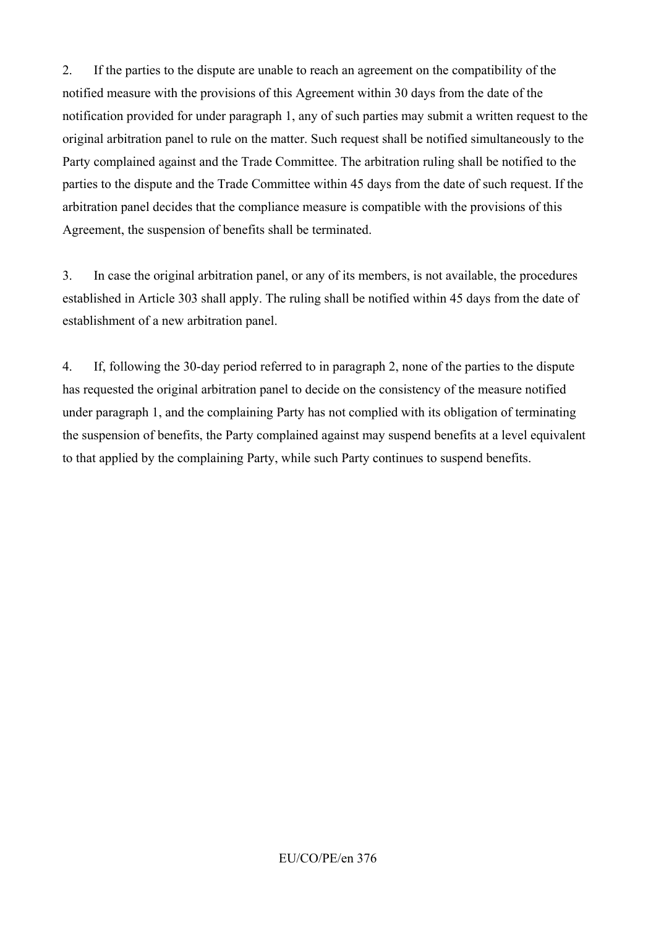2. If the parties to the dispute are unable to reach an agreement on the compatibility of the notified measure with the provisions of this Agreement within 30 days from the date of the notification provided for under paragraph 1, any of such parties may submit a written request to the original arbitration panel to rule on the matter. Such request shall be notified simultaneously to the Party complained against and the Trade Committee. The arbitration ruling shall be notified to the parties to the dispute and the Trade Committee within 45 days from the date of such request. If the arbitration panel decides that the compliance measure is compatible with the provisions of this Agreement, the suspension of benefits shall be terminated.

3. In case the original arbitration panel, or any of its members, is not available, the procedures established in Article 303 shall apply. The ruling shall be notified within 45 days from the date of establishment of a new arbitration panel.

4. If, following the 30-day period referred to in paragraph 2, none of the parties to the dispute has requested the original arbitration panel to decide on the consistency of the measure notified under paragraph 1, and the complaining Party has not complied with its obligation of terminating the suspension of benefits, the Party complained against may suspend benefits at a level equivalent to that applied by the complaining Party, while such Party continues to suspend benefits.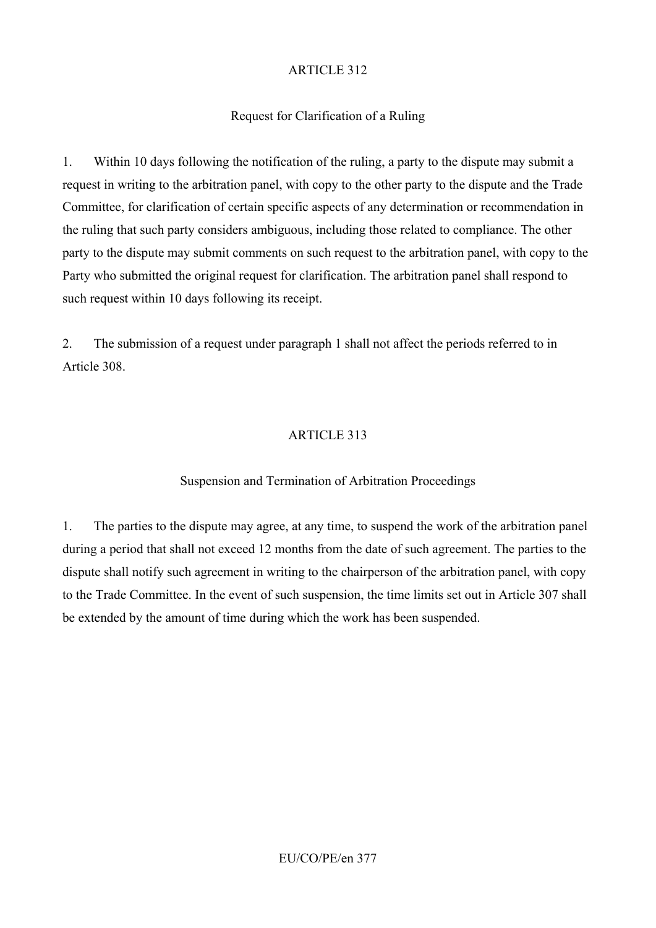## Request for Clarification of a Ruling

1. Within 10 days following the notification of the ruling, a party to the dispute may submit a request in writing to the arbitration panel, with copy to the other party to the dispute and the Trade Committee, for clarification of certain specific aspects of any determination or recommendation in the ruling that such party considers ambiguous, including those related to compliance. The other party to the dispute may submit comments on such request to the arbitration panel, with copy to the Party who submitted the original request for clarification. The arbitration panel shall respond to such request within 10 days following its receipt.

2. The submission of a request under paragraph 1 shall not affect the periods referred to in Article 308.

## ARTICLE 313

## Suspension and Termination of Arbitration Proceedings

1. The parties to the dispute may agree, at any time, to suspend the work of the arbitration panel during a period that shall not exceed 12 months from the date of such agreement. The parties to the dispute shall notify such agreement in writing to the chairperson of the arbitration panel, with copy to the Trade Committee. In the event of such suspension, the time limits set out in Article 307 shall be extended by the amount of time during which the work has been suspended.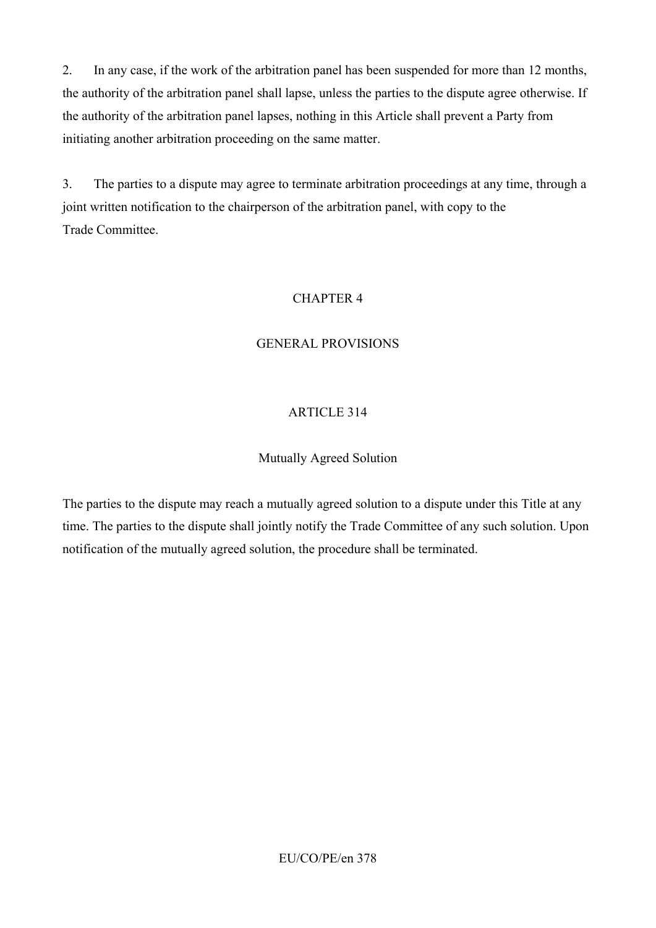2. In any case, if the work of the arbitration panel has been suspended for more than 12 months, the authority of the arbitration panel shall lapse, unless the parties to the dispute agree otherwise. If the authority of the arbitration panel lapses, nothing in this Article shall prevent a Party from initiating another arbitration proceeding on the same matter.

3. The parties to a dispute may agree to terminate arbitration proceedings at any time, through a joint written notification to the chairperson of the arbitration panel, with copy to the Trade Committee.

## CHAPTER 4

## GENERAL PROVISIONS

## ARTICLE 314

### Mutually Agreed Solution

The parties to the dispute may reach a mutually agreed solution to a dispute under this Title at any time. The parties to the dispute shall jointly notify the Trade Committee of any such solution. Upon notification of the mutually agreed solution, the procedure shall be terminated.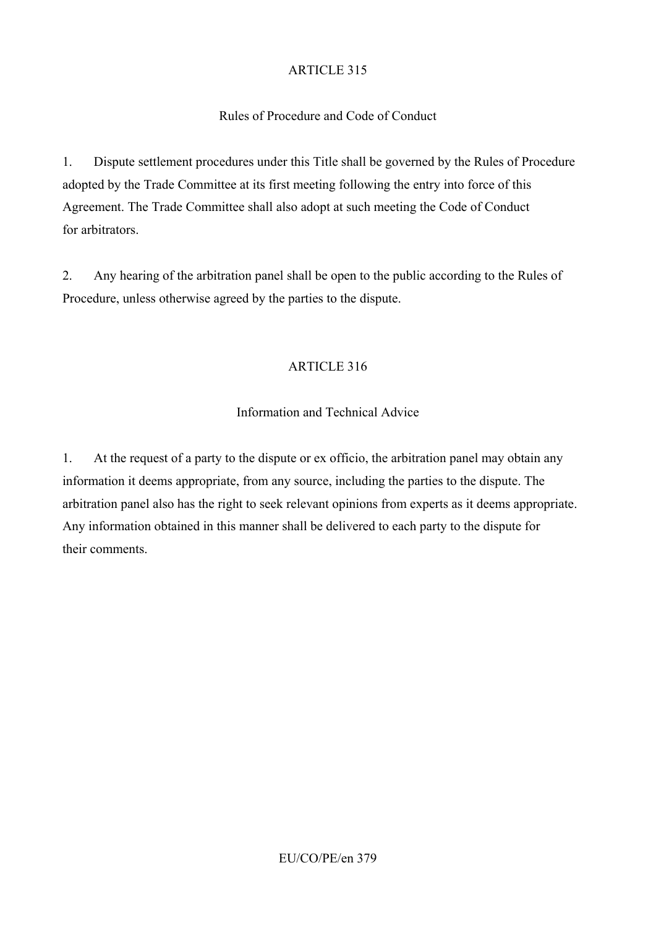## Rules of Procedure and Code of Conduct

1. Dispute settlement procedures under this Title shall be governed by the Rules of Procedure adopted by the Trade Committee at its first meeting following the entry into force of this Agreement. The Trade Committee shall also adopt at such meeting the Code of Conduct for arbitrators.

2. Any hearing of the arbitration panel shall be open to the public according to the Rules of Procedure, unless otherwise agreed by the parties to the dispute.

## ARTICLE 316

## Information and Technical Advice

1. At the request of a party to the dispute or ex officio, the arbitration panel may obtain any information it deems appropriate, from any source, including the parties to the dispute. The arbitration panel also has the right to seek relevant opinions from experts as it deems appropriate. Any information obtained in this manner shall be delivered to each party to the dispute for their comments.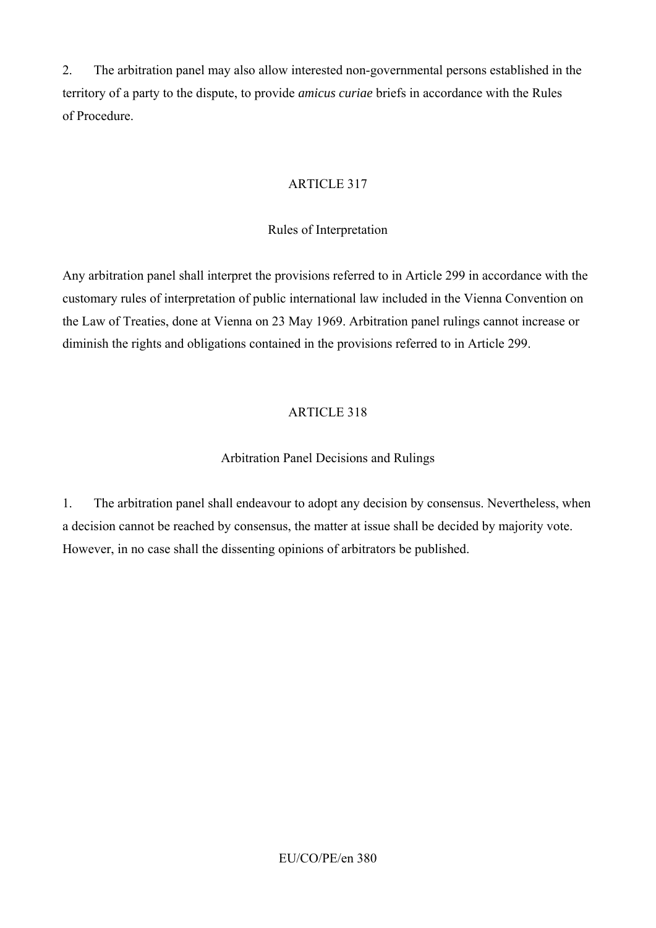2. The arbitration panel may also allow interested non-governmental persons established in the territory of a party to the dispute, to provide *amicus curiae* briefs in accordance with the Rules of Procedure.

## ARTICLE 317

### Rules of Interpretation

Any arbitration panel shall interpret the provisions referred to in Article 299 in accordance with the customary rules of interpretation of public international law included in the Vienna Convention on the Law of Treaties, done at Vienna on 23 May 1969. Arbitration panel rulings cannot increase or diminish the rights and obligations contained in the provisions referred to in Article 299.

## ARTICLE 318

## Arbitration Panel Decisions and Rulings

1. The arbitration panel shall endeavour to adopt any decision by consensus. Nevertheless, when a decision cannot be reached by consensus, the matter at issue shall be decided by majority vote. However, in no case shall the dissenting opinions of arbitrators be published.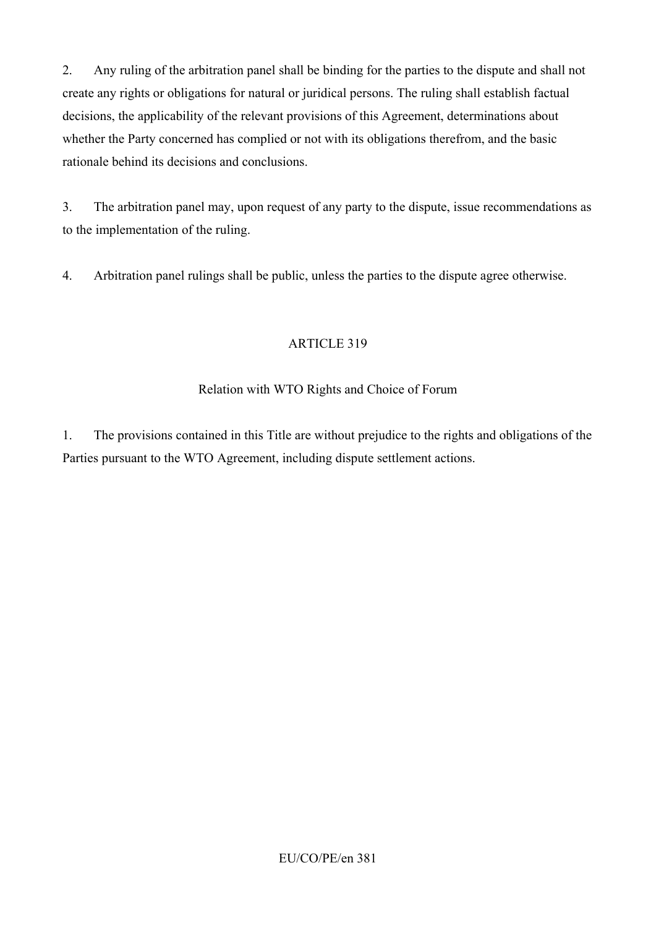2. Any ruling of the arbitration panel shall be binding for the parties to the dispute and shall not create any rights or obligations for natural or juridical persons. The ruling shall establish factual decisions, the applicability of the relevant provisions of this Agreement, determinations about whether the Party concerned has complied or not with its obligations therefrom, and the basic rationale behind its decisions and conclusions.

3. The arbitration panel may, upon request of any party to the dispute, issue recommendations as to the implementation of the ruling.

4. Arbitration panel rulings shall be public, unless the parties to the dispute agree otherwise.

### ARTICLE 319

### Relation with WTO Rights and Choice of Forum

1. The provisions contained in this Title are without prejudice to the rights and obligations of the Parties pursuant to the WTO Agreement, including dispute settlement actions.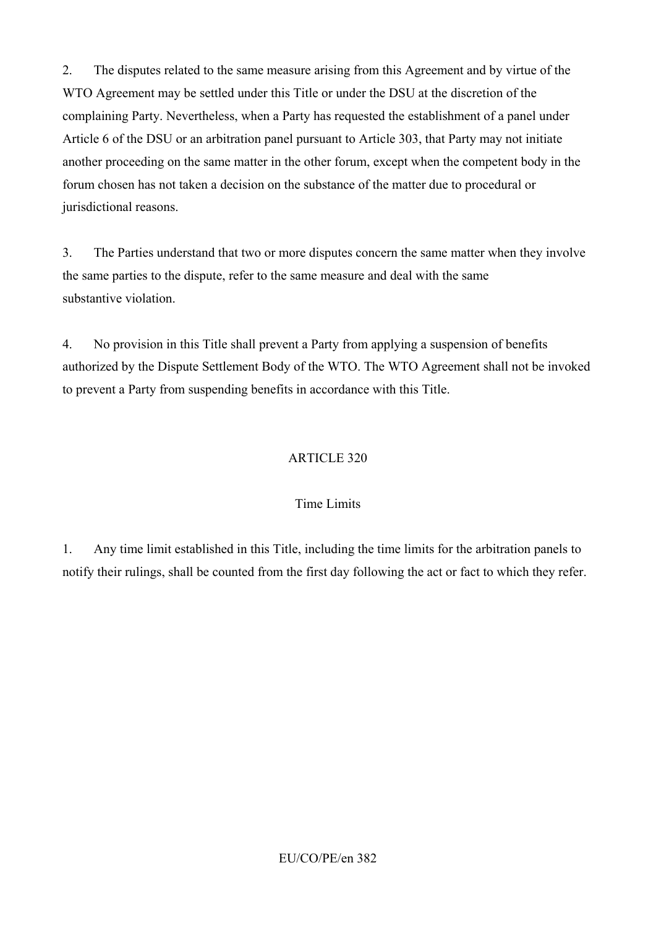2. The disputes related to the same measure arising from this Agreement and by virtue of the WTO Agreement may be settled under this Title or under the DSU at the discretion of the complaining Party. Nevertheless, when a Party has requested the establishment of a panel under Article 6 of the DSU or an arbitration panel pursuant to Article 303, that Party may not initiate another proceeding on the same matter in the other forum, except when the competent body in the forum chosen has not taken a decision on the substance of the matter due to procedural or jurisdictional reasons.

3. The Parties understand that two or more disputes concern the same matter when they involve the same parties to the dispute, refer to the same measure and deal with the same substantive violation.

4. No provision in this Title shall prevent a Party from applying a suspension of benefits authorized by the Dispute Settlement Body of the WTO. The WTO Agreement shall not be invoked to prevent a Party from suspending benefits in accordance with this Title.

### ARTICLE 320

#### Time Limits

1. Any time limit established in this Title, including the time limits for the arbitration panels to notify their rulings, shall be counted from the first day following the act or fact to which they refer.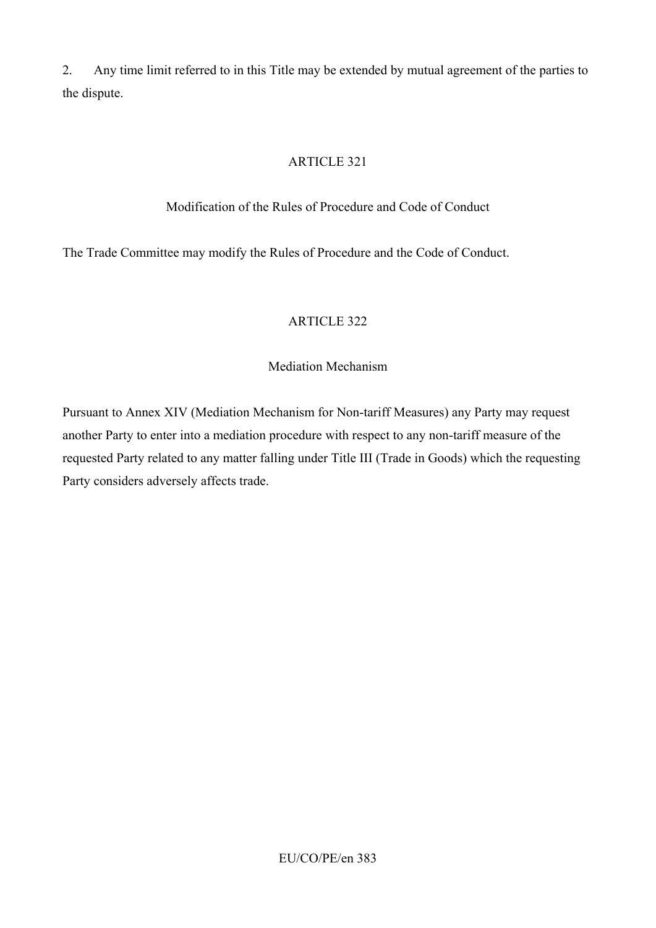2. Any time limit referred to in this Title may be extended by mutual agreement of the parties to the dispute.

### ARTICLE 321

### Modification of the Rules of Procedure and Code of Conduct

The Trade Committee may modify the Rules of Procedure and the Code of Conduct.

## ARTICLE 322

#### Mediation Mechanism

Pursuant to Annex XIV (Mediation Mechanism for Non-tariff Measures) any Party may request another Party to enter into a mediation procedure with respect to any non-tariff measure of the requested Party related to any matter falling under Title III (Trade in Goods) which the requesting Party considers adversely affects trade.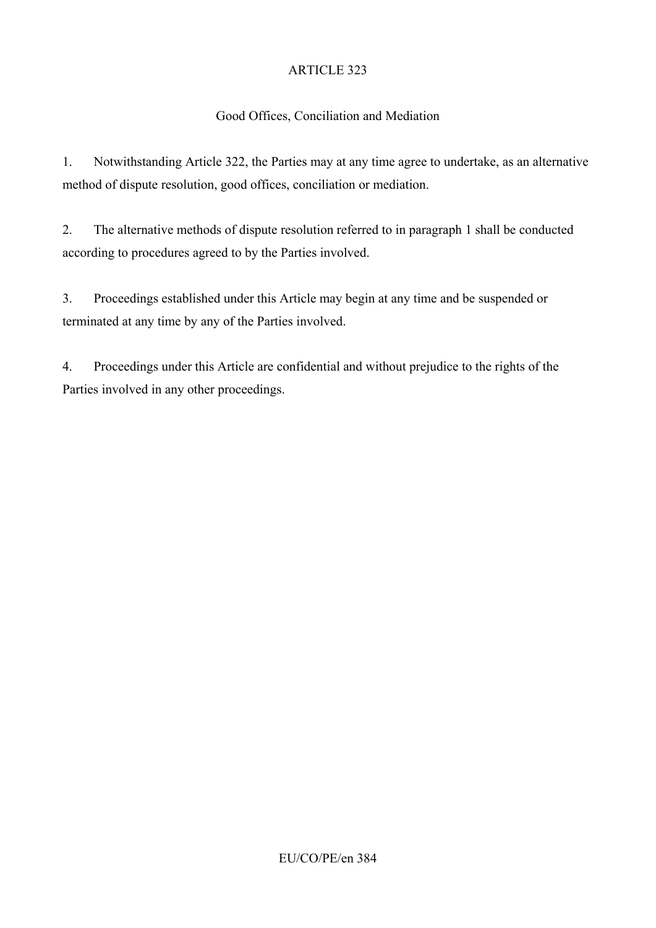## Good Offices, Conciliation and Mediation

1. Notwithstanding Article 322, the Parties may at any time agree to undertake, as an alternative method of dispute resolution, good offices, conciliation or mediation.

2. The alternative methods of dispute resolution referred to in paragraph 1 shall be conducted according to procedures agreed to by the Parties involved.

3. Proceedings established under this Article may begin at any time and be suspended or terminated at any time by any of the Parties involved.

4. Proceedings under this Article are confidential and without prejudice to the rights of the Parties involved in any other proceedings.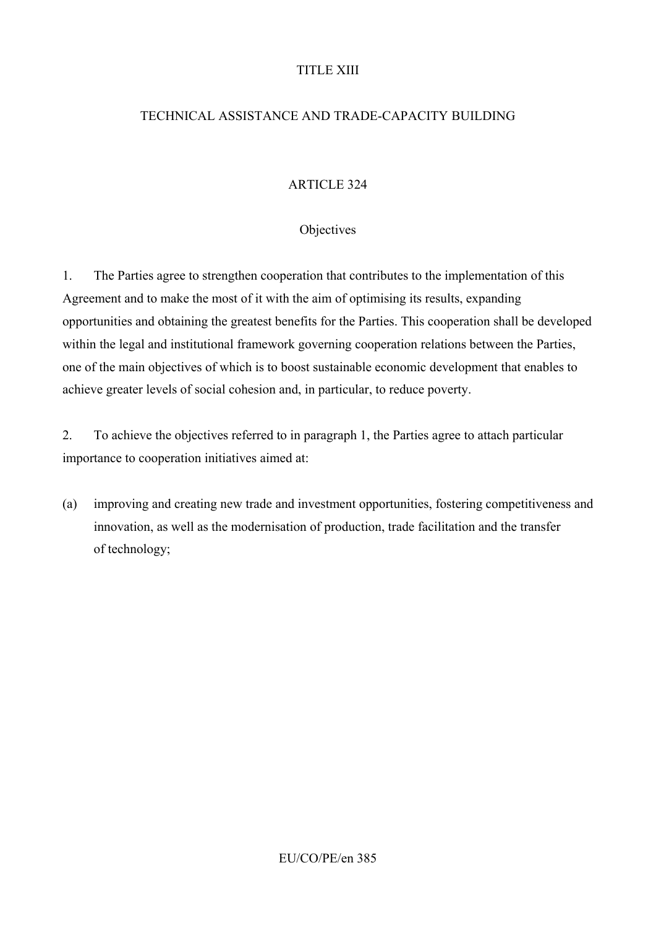### TITLE XIII

## TECHNICAL ASSISTANCE AND TRADE-CAPACITY BUILDING

## ARTICLE 324

#### **Objectives**

1. The Parties agree to strengthen cooperation that contributes to the implementation of this Agreement and to make the most of it with the aim of optimising its results, expanding opportunities and obtaining the greatest benefits for the Parties. This cooperation shall be developed within the legal and institutional framework governing cooperation relations between the Parties, one of the main objectives of which is to boost sustainable economic development that enables to achieve greater levels of social cohesion and, in particular, to reduce poverty.

2. To achieve the objectives referred to in paragraph 1, the Parties agree to attach particular importance to cooperation initiatives aimed at:

(a) improving and creating new trade and investment opportunities, fostering competitiveness and innovation, as well as the modernisation of production, trade facilitation and the transfer of technology;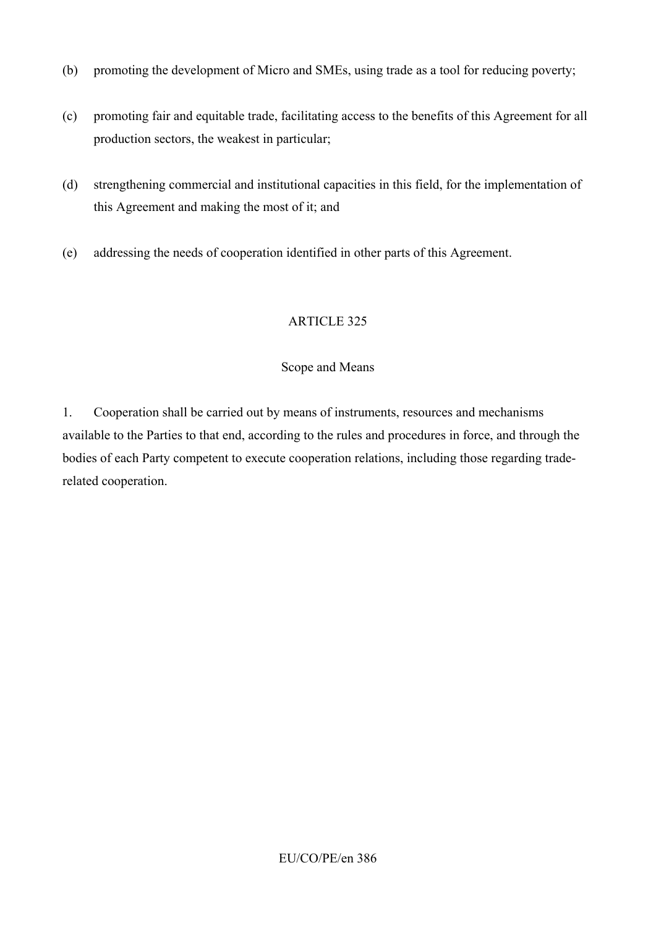- (b) promoting the development of Micro and SMEs, using trade as a tool for reducing poverty;
- (c) promoting fair and equitable trade, facilitating access to the benefits of this Agreement for all production sectors, the weakest in particular;
- (d) strengthening commercial and institutional capacities in this field, for the implementation of this Agreement and making the most of it; and
- (e) addressing the needs of cooperation identified in other parts of this Agreement.

### Scope and Means

1. Cooperation shall be carried out by means of instruments, resources and mechanisms available to the Parties to that end, according to the rules and procedures in force, and through the bodies of each Party competent to execute cooperation relations, including those regarding traderelated cooperation.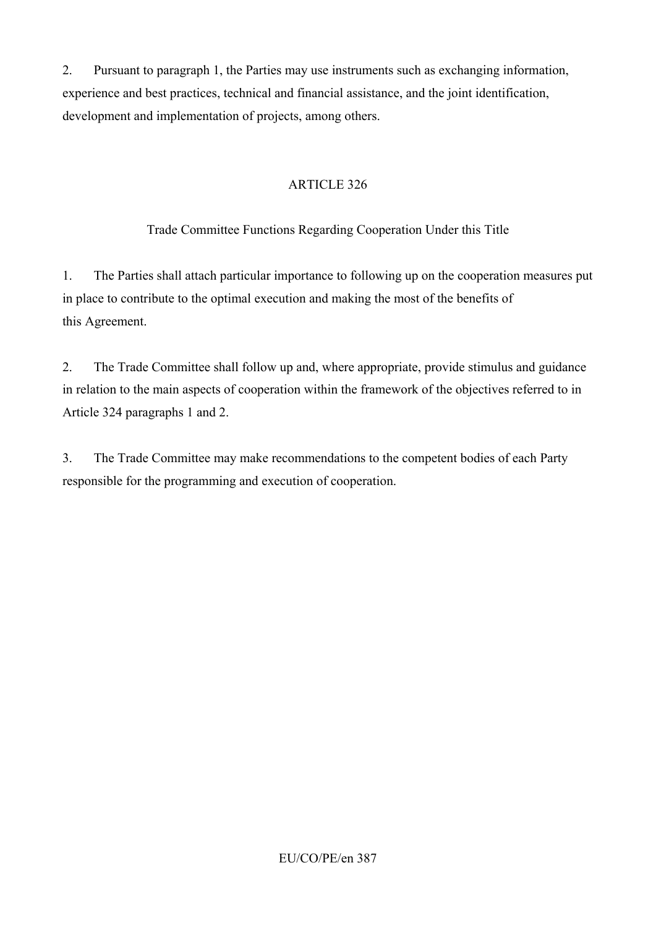2. Pursuant to paragraph 1, the Parties may use instruments such as exchanging information, experience and best practices, technical and financial assistance, and the joint identification, development and implementation of projects, among others.

## ARTICLE 326

## Trade Committee Functions Regarding Cooperation Under this Title

1. The Parties shall attach particular importance to following up on the cooperation measures put in place to contribute to the optimal execution and making the most of the benefits of this Agreement.

2. The Trade Committee shall follow up and, where appropriate, provide stimulus and guidance in relation to the main aspects of cooperation within the framework of the objectives referred to in Article 324 paragraphs 1 and 2.

3. The Trade Committee may make recommendations to the competent bodies of each Party responsible for the programming and execution of cooperation.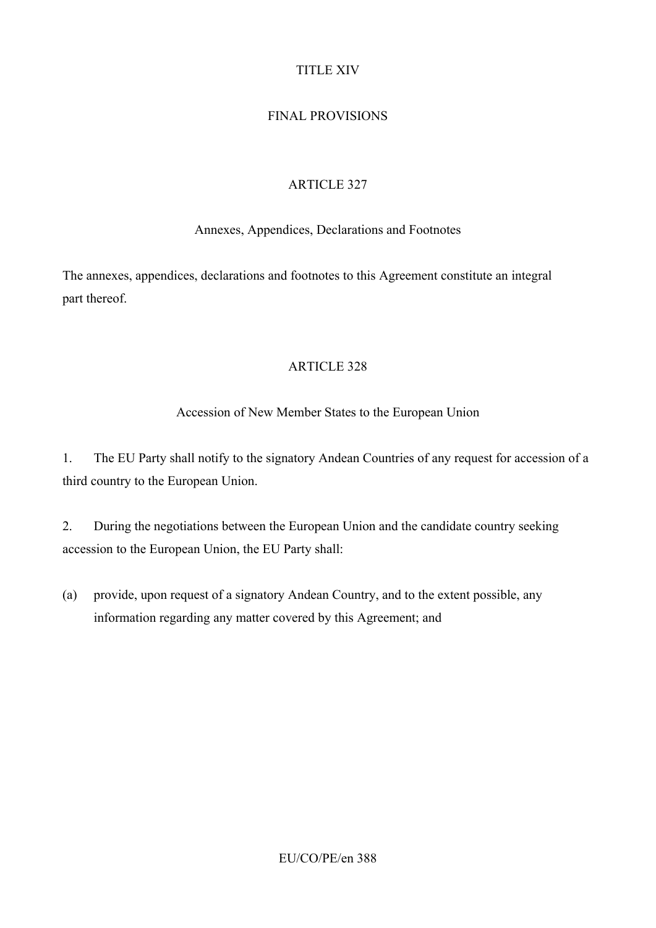## TITLE XIV

## FINAL PROVISIONS

### ARTICLE 327

#### Annexes, Appendices, Declarations and Footnotes

The annexes, appendices, declarations and footnotes to this Agreement constitute an integral part thereof.

#### ARTICLE 328

### Accession of New Member States to the European Union

1. The EU Party shall notify to the signatory Andean Countries of any request for accession of a third country to the European Union.

2. During the negotiations between the European Union and the candidate country seeking accession to the European Union, the EU Party shall:

(a) provide, upon request of a signatory Andean Country, and to the extent possible, any information regarding any matter covered by this Agreement; and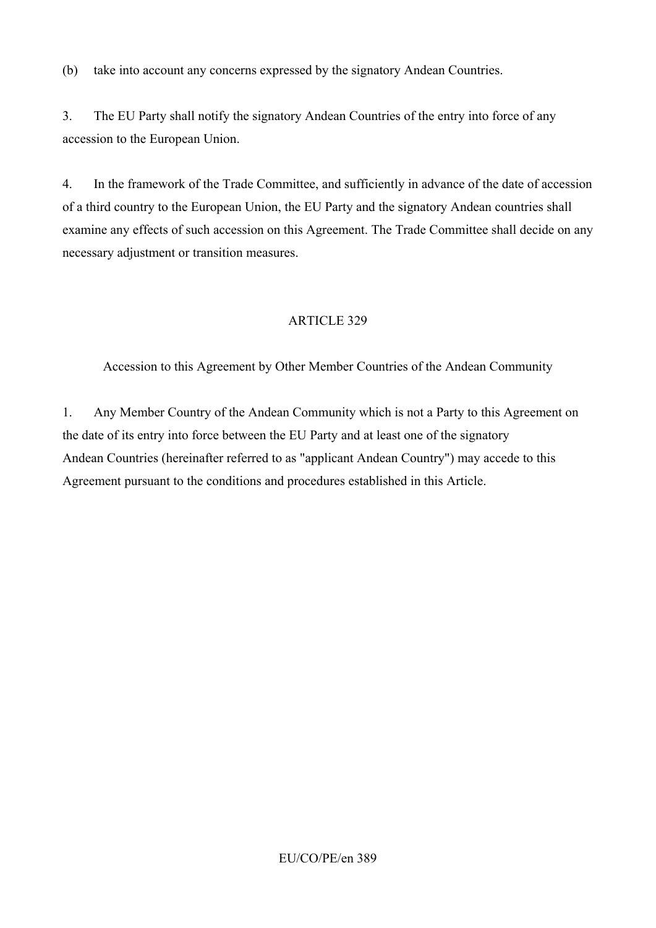(b) take into account any concerns expressed by the signatory Andean Countries.

3. The EU Party shall notify the signatory Andean Countries of the entry into force of any accession to the European Union.

4. In the framework of the Trade Committee, and sufficiently in advance of the date of accession of a third country to the European Union, the EU Party and the signatory Andean countries shall examine any effects of such accession on this Agreement. The Trade Committee shall decide on any necessary adjustment or transition measures.

## ARTICLE 329

Accession to this Agreement by Other Member Countries of the Andean Community

1. Any Member Country of the Andean Community which is not a Party to this Agreement on the date of its entry into force between the EU Party and at least one of the signatory Andean Countries (hereinafter referred to as "applicant Andean Country") may accede to this Agreement pursuant to the conditions and procedures established in this Article.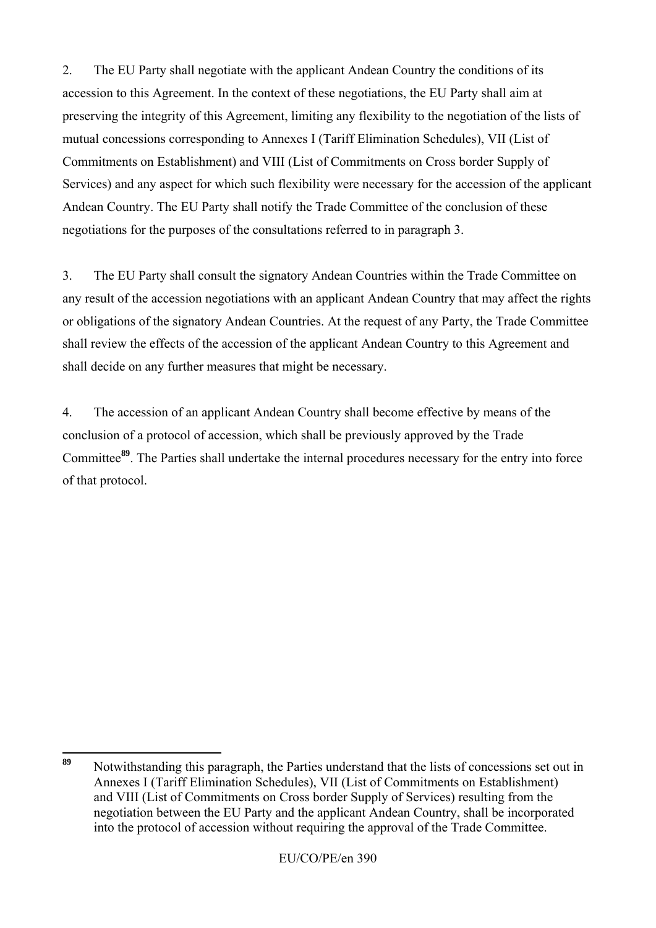2. The EU Party shall negotiate with the applicant Andean Country the conditions of its accession to this Agreement. In the context of these negotiations, the EU Party shall aim at preserving the integrity of this Agreement, limiting any flexibility to the negotiation of the lists of mutual concessions corresponding to Annexes I (Tariff Elimination Schedules), VII (List of Commitments on Establishment) and VIII (List of Commitments on Cross border Supply of Services) and any aspect for which such flexibility were necessary for the accession of the applicant Andean Country. The EU Party shall notify the Trade Committee of the conclusion of these negotiations for the purposes of the consultations referred to in paragraph 3.

3. The EU Party shall consult the signatory Andean Countries within the Trade Committee on any result of the accession negotiations with an applicant Andean Country that may affect the rights or obligations of the signatory Andean Countries. At the request of any Party, the Trade Committee shall review the effects of the accession of the applicant Andean Country to this Agreement and shall decide on any further measures that might be necessary.

4. The accession of an applicant Andean Country shall become effective by means of the conclusion of a protocol of accession, which shall be previously approved by the Trade Committee**<sup>89</sup>**. The Parties shall undertake the internal procedures necessary for the entry into force of that protocol.

<sup>89</sup> **<sup>89</sup>** Notwithstanding this paragraph, the Parties understand that the lists of concessions set out in Annexes I (Tariff Elimination Schedules), VII (List of Commitments on Establishment) and VIII (List of Commitments on Cross border Supply of Services) resulting from the negotiation between the EU Party and the applicant Andean Country, shall be incorporated into the protocol of accession without requiring the approval of the Trade Committee.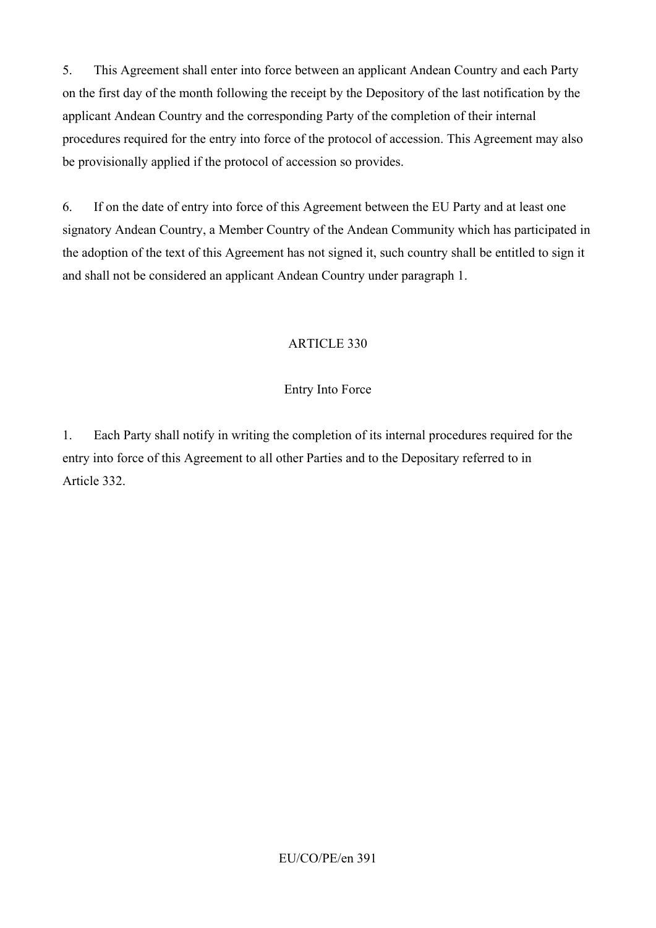5. This Agreement shall enter into force between an applicant Andean Country and each Party on the first day of the month following the receipt by the Depository of the last notification by the applicant Andean Country and the corresponding Party of the completion of their internal procedures required for the entry into force of the protocol of accession. This Agreement may also be provisionally applied if the protocol of accession so provides.

6. If on the date of entry into force of this Agreement between the EU Party and at least one signatory Andean Country, a Member Country of the Andean Community which has participated in the adoption of the text of this Agreement has not signed it, such country shall be entitled to sign it and shall not be considered an applicant Andean Country under paragraph 1.

### ARTICLE 330

### Entry Into Force

1. Each Party shall notify in writing the completion of its internal procedures required for the entry into force of this Agreement to all other Parties and to the Depositary referred to in Article 332.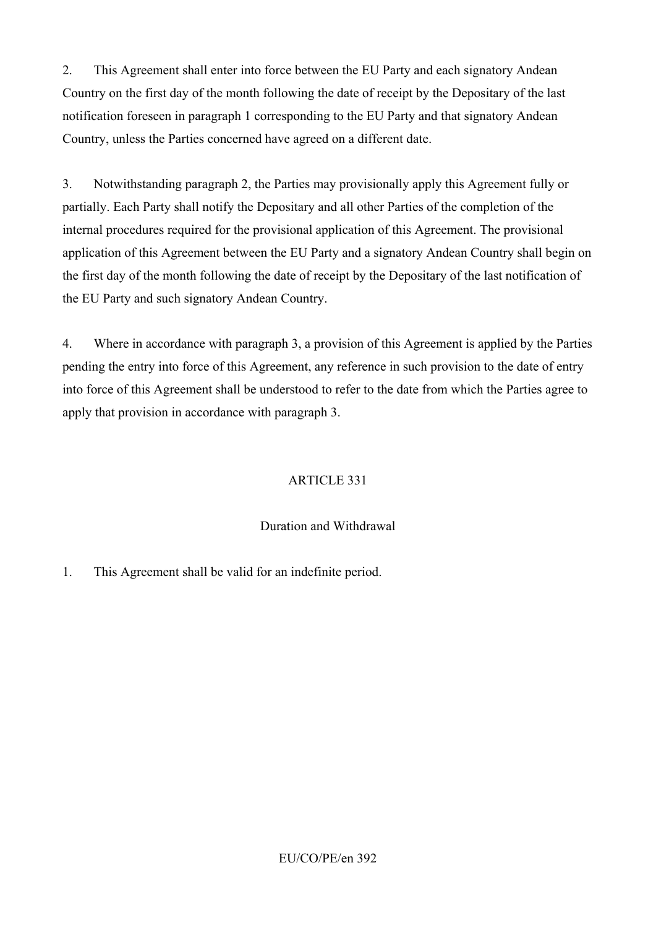2. This Agreement shall enter into force between the EU Party and each signatory Andean Country on the first day of the month following the date of receipt by the Depositary of the last notification foreseen in paragraph 1 corresponding to the EU Party and that signatory Andean Country, unless the Parties concerned have agreed on a different date.

3. Notwithstanding paragraph 2, the Parties may provisionally apply this Agreement fully or partially. Each Party shall notify the Depositary and all other Parties of the completion of the internal procedures required for the provisional application of this Agreement. The provisional application of this Agreement between the EU Party and a signatory Andean Country shall begin on the first day of the month following the date of receipt by the Depositary of the last notification of the EU Party and such signatory Andean Country.

4. Where in accordance with paragraph 3, a provision of this Agreement is applied by the Parties pending the entry into force of this Agreement, any reference in such provision to the date of entry into force of this Agreement shall be understood to refer to the date from which the Parties agree to apply that provision in accordance with paragraph 3.

## ARTICLE 331

#### Duration and Withdrawal

1. This Agreement shall be valid for an indefinite period.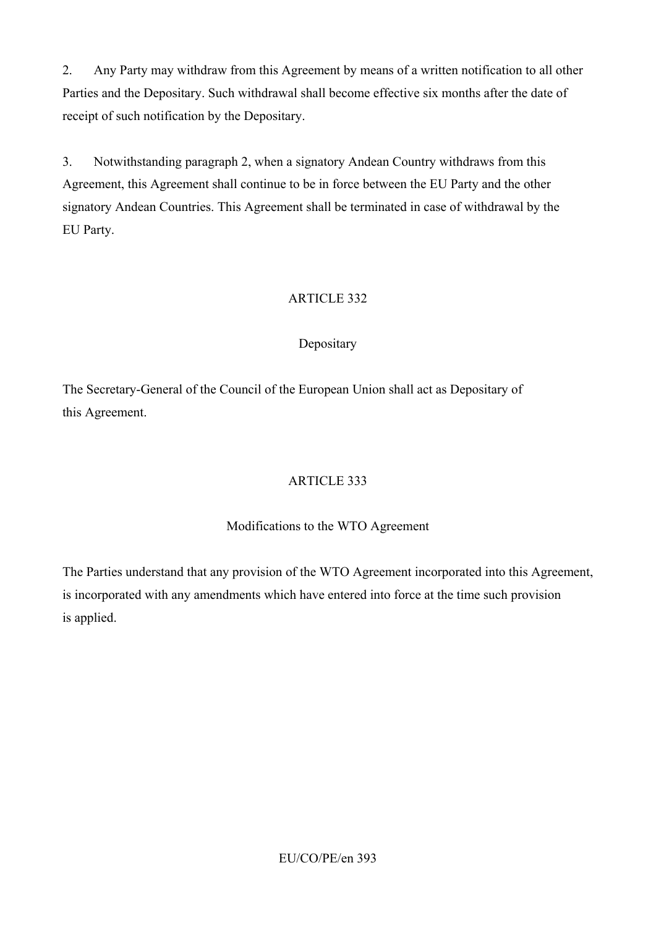2. Any Party may withdraw from this Agreement by means of a written notification to all other Parties and the Depositary. Such withdrawal shall become effective six months after the date of receipt of such notification by the Depositary.

3. Notwithstanding paragraph 2, when a signatory Andean Country withdraws from this Agreement, this Agreement shall continue to be in force between the EU Party and the other signatory Andean Countries. This Agreement shall be terminated in case of withdrawal by the EU Party.

## ARTICLE 332

## Depositary

The Secretary-General of the Council of the European Union shall act as Depositary of this Agreement.

## ARTICLE 333

#### Modifications to the WTO Agreement

The Parties understand that any provision of the WTO Agreement incorporated into this Agreement, is incorporated with any amendments which have entered into force at the time such provision is applied.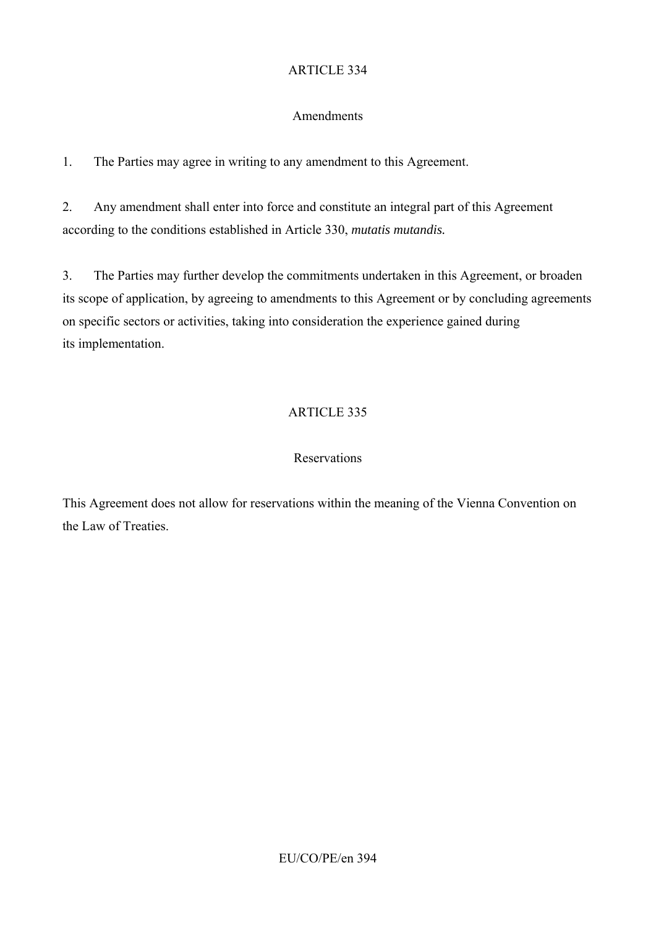### Amendments

1. The Parties may agree in writing to any amendment to this Agreement.

2. Any amendment shall enter into force and constitute an integral part of this Agreement according to the conditions established in Article 330, *mutatis mutandis.* 

3. The Parties may further develop the commitments undertaken in this Agreement, or broaden its scope of application, by agreeing to amendments to this Agreement or by concluding agreements on specific sectors or activities, taking into consideration the experience gained during its implementation.

## ARTICLE 335

### Reservations

This Agreement does not allow for reservations within the meaning of the Vienna Convention on the Law of Treaties.